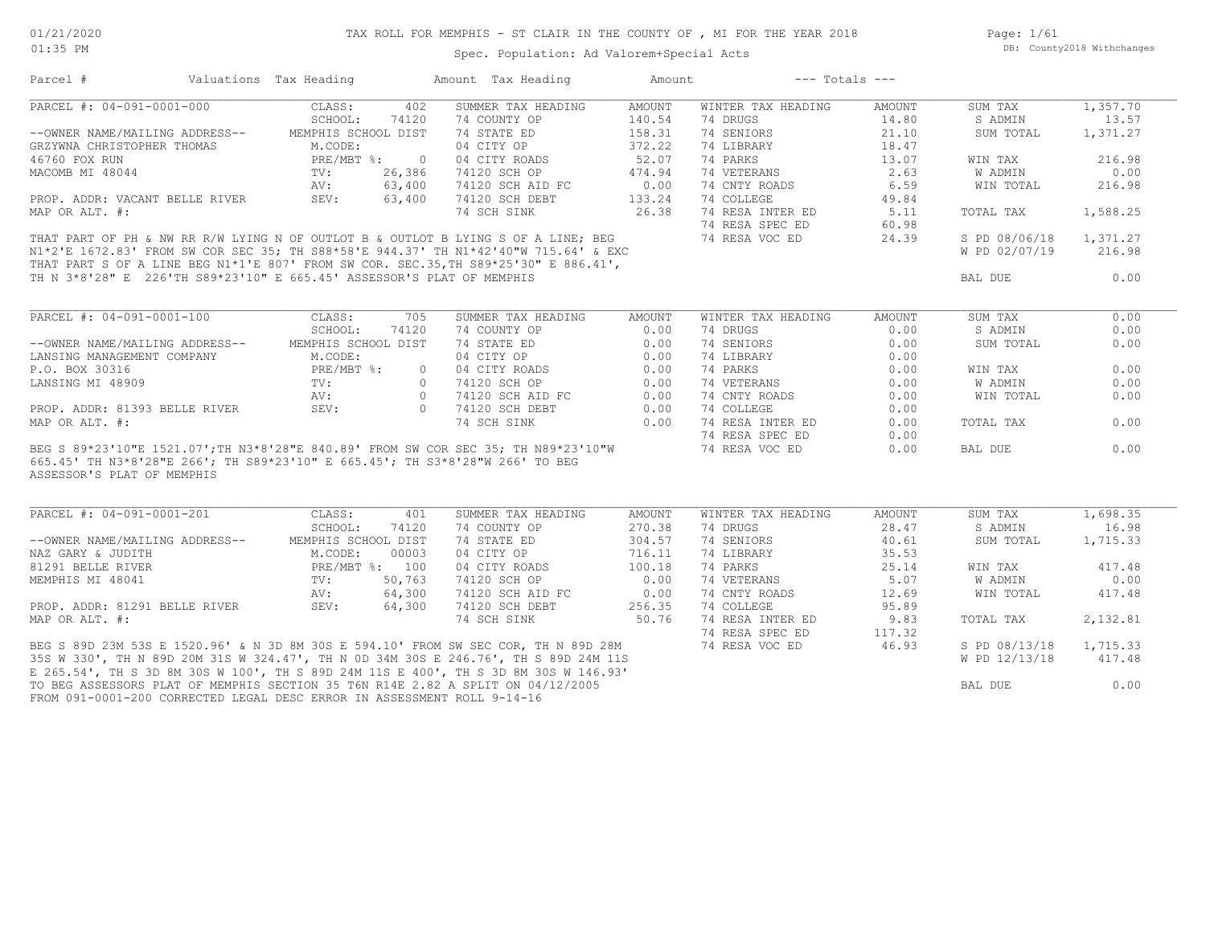Page: 1/61 DB: County2018 Withchanges

### Spec. Population: Ad Valorem+Special Acts

Parcel # Valuations Tax Heading Amount Tax Heading Amount --- Totals ---

| PARCEL #: 04-091-0001-000                                                                                                                                                                                                          | 402<br>CLASS:                        | SUMMER TAX HEADING                                 | <b>AMOUNT</b> | WINTER TAX HEADING           | AMOUNT | SUM TAX        | 1,357.70 |
|------------------------------------------------------------------------------------------------------------------------------------------------------------------------------------------------------------------------------------|--------------------------------------|----------------------------------------------------|---------------|------------------------------|--------|----------------|----------|
|                                                                                                                                                                                                                                    | 74120<br>SCHOOL:                     | 74 COUNTY OP                                       | 140.54        | 74 DRUGS                     | 14.80  | S ADMIN        | 13.57    |
| --OWNER NAME/MAILING ADDRESS-- MEMPHIS SCHOOL DIST                                                                                                                                                                                 |                                      | 74 STATE ED                                        | 158.31        | 74 SENIORS                   | 21.10  | SUM TOTAL      | 1,371.27 |
| GRZYWNA CHRISTOPHER THOMAS                                                                                                                                                                                                         | M.CODE:                              | 04 CITY OP                                         | 372.22        | 74 LIBRARY                   | 18.47  |                |          |
| 46760 FOX RUN                                                                                                                                                                                                                      | PRE/MBT %:<br>$\overline{0}$         | 04 CITY ROADS                                      | 52.07         | 74 PARKS                     | 13.07  | WIN TAX        | 216.98   |
| MACOMB MI 48044                                                                                                                                                                                                                    | TV:<br>26,386                        | 74120 SCH OP                                       | 474.94        | 74 VETERANS                  | 2.63   | <b>W ADMIN</b> | 0.00     |
|                                                                                                                                                                                                                                    |                                      |                                                    |               | 74 CNTY ROADS                | 6.59   | WIN TOTAL      | 216.98   |
| PROP. ADDR: VACANT BELLE RIVER (20, 200)<br>PROP. ADDR: VACANT BELLE RIVER (20, 200)<br>SEV: 63,400                                                                                                                                |                                      |                                                    | 133.24        | 74 COLLEGE                   | 49.84  |                |          |
| MAP OR ALT. #:                                                                                                                                                                                                                     |                                      | 74 SCH SINK                                        |               | 74 RESA INTER ED             | 5.11   | TOTAL TAX      | 1,588.25 |
|                                                                                                                                                                                                                                    |                                      |                                                    |               | 74 RESA SPEC ED              | 60.98  |                |          |
| THAT PART OF PH & NW RR R/W LYING N OF OUTLOT B & OUTLOT B LYING S OF A LINE; BEG                                                                                                                                                  |                                      |                                                    |               | 74 RESA VOC ED               | 24.39  | S PD 08/06/18  | 1,371.27 |
|                                                                                                                                                                                                                                    |                                      |                                                    |               |                              |        | W PD 02/07/19  | 216.98   |
| THAT PART OF PH & NW KK K/W LITNG N OF OGLIGI L & OGLIGI L LITTER 2 UP IT IT. ( & EXC<br>N1*2'E 1672.83' FROM SW COR SEC 35; TH S88*58'E 944.37' TH N1*42'40"W 715.64' & EXC<br>THAT PART S OF A LINE BEG N1*1'E 807' FROM SW COR. |                                      |                                                    |               |                              |        |                |          |
| TH N 3*8'28" E 226'TH S89*23'10" E 665.45' ASSESSOR'S PLAT OF MEMPHIS                                                                                                                                                              |                                      |                                                    |               |                              |        | BAL DUE        | 0.00     |
|                                                                                                                                                                                                                                    |                                      |                                                    |               |                              |        |                |          |
|                                                                                                                                                                                                                                    |                                      |                                                    |               |                              |        |                |          |
| PARCEL #: 04-091-0001-100                                                                                                                                                                                                          | CLASS:<br>705                        | SUMMER TAX HEADING                                 | AMOUNT        | WINTER TAX HEADING           | AMOUNT | SUM TAX        | 0.00     |
|                                                                                                                                                                                                                                    | SCHOOL:<br>74120                     | 74 COUNTY OP                                       | 0.00          | 74 DRUGS                     | 0.00   | S ADMIN        | 0.00     |
| --OWNER NAME/MAILING ADDRESS--                                                                                                                                                                                                     | MEMPHIS SCHOOL DIST                  | 74 STATE ED                                        | 0.00          | 74 SENIORS                   | 0.00   | SUM TOTAL      | 0.00     |
| LANSING MANAGEMENT COMPANY                                                                                                                                                                                                         | M.CODE:                              | 04 CITY OP                                         | 0.00          | 74 LIBRARY                   | 0.00   |                |          |
| P.O. BOX 30316                                                                                                                                                                                                                     | $\Omega$                             | 04 CITY ROADS                                      | 0.00          | 74 PARKS                     | 0.00   | WIN TAX        | 0.00     |
| LANSING MI 48909                                                                                                                                                                                                                   |                                      | 74120 SCH OP<br>74120 SCH AID FC<br>0 74120 SCH OP | 0.00          | 74 VETERANS<br>74 CNTY ROADS | 0.00   | W ADMIN        | 0.00     |
|                                                                                                                                                                                                                                    | PRE/MBT %:<br>TV:<br>AV:<br>$\Omega$ |                                                    | 0.00          |                              | 0.00   | WIN TOTAL      | 0.00     |
| PROP. ADDR: 81393 BELLE RIVER                                                                                                                                                                                                      | SEV:                                 | 0 74120 SCH DEBT                                   | 0.00          | 74 COLLEGE                   | 0.00   |                |          |
| MAP OR ALT. #:                                                                                                                                                                                                                     |                                      | 74 SCH SINK                                        | 0.00          | 74 RESA INTER ED             | 0.00   | TOTAL TAX      | 0.00     |
|                                                                                                                                                                                                                                    |                                      |                                                    |               | 74 RESA SPEC ED              | 0.00   |                |          |
| BEG S 89*23'10"E 1521.07'; TH N3*8'28"E 840.89' FROM SW COR SEC 35; TH N89*23'10"W                                                                                                                                                 |                                      |                                                    |               | 74 RESA VOC ED               | 0.00   | BAL DUE        | 0.00     |
| 665.45' TH N3*8'28"E 266'; TH S89*23'10" E 665.45'; TH S3*8'28"W 266' TO BEG                                                                                                                                                       |                                      |                                                    |               |                              |        |                |          |
| ASSESSOR'S PLAT OF MEMPHIS                                                                                                                                                                                                         |                                      |                                                    |               |                              |        |                |          |
|                                                                                                                                                                                                                                    |                                      |                                                    |               |                              |        |                |          |
| PARCEL #: 04-091-0001-201 CLASS:                                                                                                                                                                                                   | 401                                  | SUMMER TAX HEADING                                 | AMOUNT        | WINTER TAX HEADING           | AMOUNT | SUM TAX        | 1,698.35 |
|                                                                                                                                                                                                                                    | SCHOOL:<br>74120                     | 74 COUNTY OP                                       | 270.38        | 74 DRUGS                     | 28.47  | S ADMIN        | 16.98    |
| --OWNER NAME/MAILING ADDRESS--                                                                                                                                                                                                     | MEMPHIS SCHOOL DIST                  | 74 STATE ED                                        | 304.57        | 74 SENIORS                   | 40.61  | SUM TOTAL      | 1,715.33 |
| NAZ GARY & JUDITH                                                                                                                                                                                                                  | M.CODE:<br>00003                     | 04 CITY OP                                         | 716.11        | 74 LIBRARY                   | 35.53  |                |          |
| 81291 BELLE RIVER                                                                                                                                                                                                                  | PRE/MBT %: 100                       | 04 CITY ROADS                                      | 100.18        | 74 PARKS                     | 25.14  | WIN TAX        | 417.48   |
| MEMPHIS MI 48041                                                                                                                                                                                                                   | TV:<br>50,763                        | 74120 SCH OP                                       | 0.00          | 74 VETERANS                  | 5.07   | W ADMIN        | 0.00     |
|                                                                                                                                                                                                                                    | 64,300                               | 74120 SCH AID FC                                   | 0.00          | 74 CNTY ROADS                | 12.69  | WIN TOTAL      | 417.48   |
| PROP. ADDR: 81291 BELLE RIVER                                                                                                                                                                                                      | AV:<br>SEV:<br>64,300                | 74120 SCH DEBT                                     | 256.35        | 74 COLLEGE                   | 95.89  |                |          |
| MAP OR ALT. #:                                                                                                                                                                                                                     |                                      | 74 SCH SINK                                        |               | 50.76 74 RESA INTER ED       | 9.83   | TOTAL TAX      | 2,132.81 |
|                                                                                                                                                                                                                                    |                                      |                                                    |               | 74 RESA SPEC ED              | 117.32 |                |          |
|                                                                                                                                                                                                                                    |                                      |                                                    |               |                              |        | S PD 08/13/18  | 1,715.33 |
| BEG S 89D 23M 53S E 1520.96' & N 3D 8M 30S E 594.10' FROM SW SEC COR, TH N 89D 28M 74 RESA VOC ED 46.93<br>35S W 330', TH N 89D 20M 31S W 324.47', TH N 0D 34M 30S E 246.76', TH S 89D 24M 11S                                     |                                      |                                                    |               |                              |        | W PD 12/13/18  | 417.48   |
| E 265.54', TH S 3D 8M 30S W 100', TH S 89D 24M 11S E 400', TH S 3D 8M 30S W 146.93'                                                                                                                                                |                                      |                                                    |               |                              |        |                |          |
|                                                                                                                                                                                                                                    |                                      |                                                    |               |                              |        |                |          |
| TO BEG ASSESSORS PLAT OF MEMPHIS SECTION 35 T6N R14E 2.82 A SPLIT ON 04/12/2005<br>FROM 091-0001-200 CORRECTED LEGAL DESC ERROR IN ASSESSMENT ROLL 9-14-16                                                                         |                                      |                                                    |               |                              |        | BAL DUE        | 0.00     |
|                                                                                                                                                                                                                                    |                                      |                                                    |               |                              |        |                |          |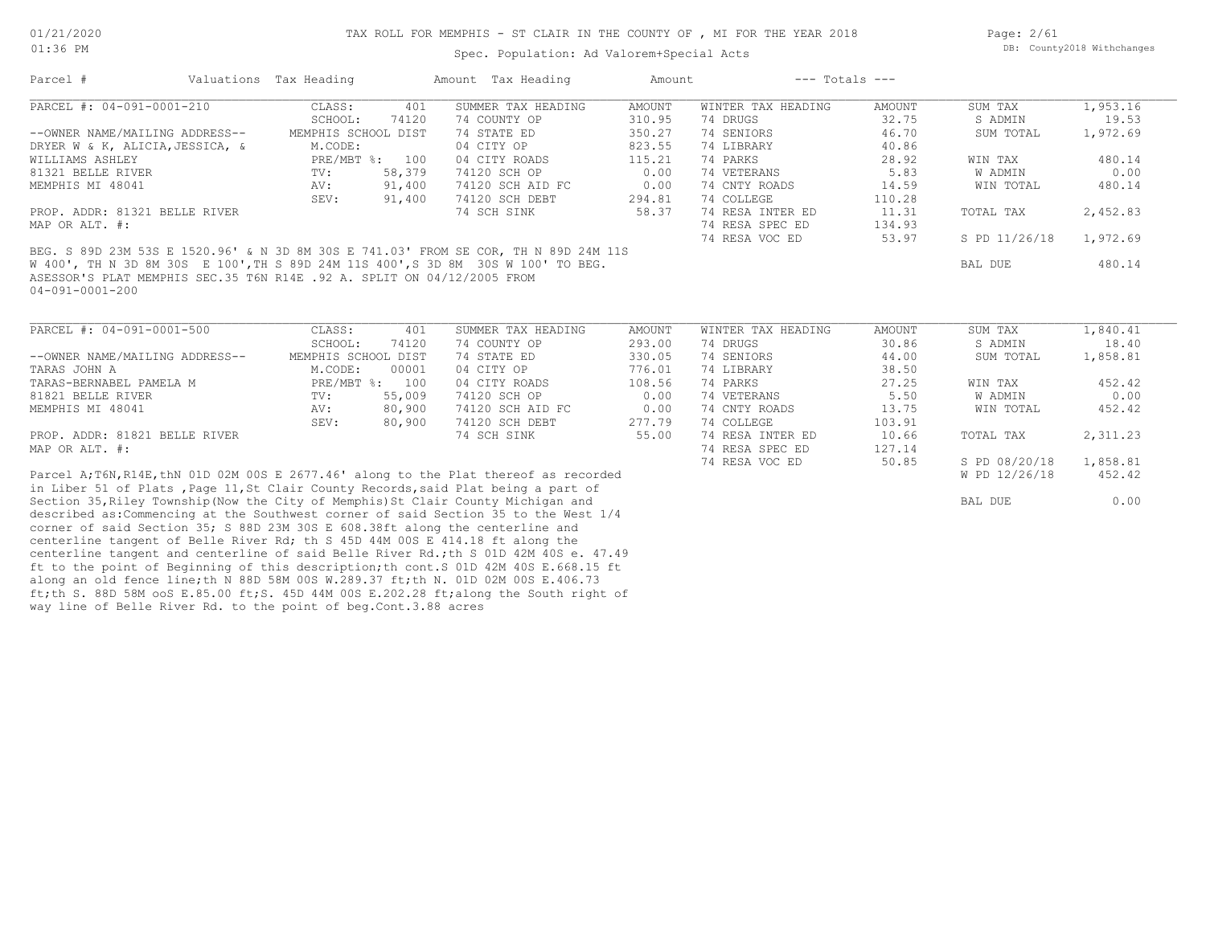way line of Belle River Rd. to the point of beg.Cont.3.88 acres

Spec. Population: Ad Valorem+Special Acts

Page: 2/61 DB: County2018 Withchanges

| Parcel #                                                                              | Valuations Tax Heading |                     |                | Amount Tax Heading | Amount        | $---$ Totals $---$ |        |                |          |
|---------------------------------------------------------------------------------------|------------------------|---------------------|----------------|--------------------|---------------|--------------------|--------|----------------|----------|
| PARCEL #: 04-091-0001-210                                                             |                        | CLASS:              | 401            | SUMMER TAX HEADING | <b>AMOUNT</b> | WINTER TAX HEADING | AMOUNT | SUM TAX        | 1,953.16 |
|                                                                                       |                        | SCHOOL:             | 74120          | 74 COUNTY OP       | 310.95        | 74 DRUGS           | 32.75  | S ADMIN        | 19.53    |
| --OWNER NAME/MAILING ADDRESS--                                                        |                        | MEMPHIS SCHOOL DIST |                | 74 STATE ED        | 350.27        | 74 SENIORS         | 46.70  | SUM TOTAL      | 1,972.69 |
| DRYER W & K, ALICIA, JESSICA, &                                                       |                        | M.CODE:             |                | 04 CITY OP         | 823.55        | 74 LIBRARY         | 40.86  |                |          |
| WILLIAMS ASHLEY                                                                       |                        |                     | PRE/MBT %: 100 | 04 CITY ROADS      | 115.21        | 74 PARKS           | 28.92  | WIN TAX        | 480.14   |
| 81321 BELLE RIVER                                                                     |                        | TV:                 | 58,379         | 74120 SCH OP       | 0.00          | 74 VETERANS        | 5.83   | W ADMIN        | 0.00     |
| MEMPHIS MI 48041                                                                      |                        | AV:                 | 91,400         | 74120 SCH AID FC   | 0.00          | 74 CNTY ROADS      | 14.59  | WIN TOTAL      | 480.14   |
|                                                                                       |                        | SEV:                | 91,400         | 74120 SCH DEBT     | 294.81        | 74 COLLEGE         | 110.28 |                |          |
| PROP. ADDR: 81321 BELLE RIVER                                                         |                        |                     |                | 74 SCH SINK        | 58.37         | 74 RESA INTER ED   | 11.31  | TOTAL TAX      | 2,452.83 |
| MAP OR ALT. #:                                                                        |                        |                     |                |                    |               | 74 RESA SPEC ED    | 134.93 |                |          |
|                                                                                       |                        |                     |                |                    |               | 74 RESA VOC ED     | 53.97  | S PD 11/26/18  | 1,972.69 |
| BEG. S 89D 23M 53S E 1520.96' & N 3D 8M 30S E 741.03' FROM SE COR, TH N 89D 24M 11S   |                        |                     |                |                    |               |                    |        |                |          |
| W 400', TH N 3D 8M 30S E 100', TH S 89D 24M 11S 400', S 3D 8M 30S W 100' TO BEG.      |                        |                     |                |                    |               |                    |        | <b>BAL DUE</b> | 480.14   |
| ASESSOR'S PLAT MEMPHIS SEC.35 T6N R14E .92 A. SPLIT ON 04/12/2005 FROM                |                        |                     |                |                    |               |                    |        |                |          |
| $04 - 091 - 0001 - 200$                                                               |                        |                     |                |                    |               |                    |        |                |          |
|                                                                                       |                        |                     |                |                    |               |                    |        |                |          |
|                                                                                       |                        |                     |                |                    |               |                    |        |                |          |
| PARCEL #: 04-091-0001-500                                                             |                        | CLASS:              | 401            | SUMMER TAX HEADING | <b>AMOUNT</b> | WINTER TAX HEADING | AMOUNT | SUM TAX        | 1,840.41 |
|                                                                                       |                        | SCHOOL:             | 74120          | 74 COUNTY OP       | 293.00        | 74 DRUGS           | 30.86  | S ADMIN        | 18.40    |
| --OWNER NAME/MAILING ADDRESS--                                                        |                        | MEMPHIS SCHOOL DIST |                | 74 STATE ED        | 330.05        | 74 SENIORS         | 44.00  | SUM TOTAL      | 1,858.81 |
| TARAS JOHN A                                                                          |                        | M.CODE:             | 00001          | 04 CITY OP         | 776.01        | 74 LIBRARY         | 38.50  |                |          |
| TARAS-BERNABEL PAMELA M                                                               |                        |                     | PRE/MBT %: 100 | 04 CITY ROADS      | 108.56        | 74 PARKS           | 27.25  | WIN TAX        | 452.42   |
| 81821 BELLE RIVER                                                                     |                        | TV:                 | 55,009         | 74120 SCH OP       | 0.00          | 74 VETERANS        | 5.50   | W ADMIN        | 0.00     |
| MEMPHIS MI 48041                                                                      |                        | AV:                 | 80,900         | 74120 SCH AID FC   | 0.00          | 74 CNTY ROADS      | 13.75  | WIN TOTAL      | 452.42   |
|                                                                                       |                        | SEV:                | 80,900         | 74120 SCH DEBT     | 277.79        | 74 COLLEGE         | 103.91 |                |          |
| PROP. ADDR: 81821 BELLE RIVER                                                         |                        |                     |                | 74 SCH SINK        | 55.00         | 74 RESA INTER ED   | 10.66  | TOTAL TAX      | 2,311.23 |
| MAP OR ALT. #:                                                                        |                        |                     |                |                    |               | 74 RESA SPEC ED    | 127.14 |                |          |
|                                                                                       |                        |                     |                |                    |               | 74 RESA VOC ED     | 50.85  | S PD 08/20/18  | 1,858.81 |
| Parcel A; T6N, R14E, thN 01D 02M 00S E 2677.46' along to the Plat thereof as recorded |                        |                     |                |                    |               |                    |        | W PD 12/26/18  | 452.42   |
| in Liber 51 of Plats, Page 11, St Clair County Records, said Plat being a part of     |                        |                     |                |                    |               |                    |        |                |          |
| Section 35, Riley Township (Now the City of Memphis) St Clair County Michigan and     |                        |                     |                |                    |               |                    |        | BAL DUE        | 0.00     |
| described as: Commencing at the Southwest corner of said Section 35 to the West 1/4   |                        |                     |                |                    |               |                    |        |                |          |
| corner of said Section 35; S 88D 23M 30S E 608.38ft along the centerline and          |                        |                     |                |                    |               |                    |        |                |          |
| centerline tangent of Belle River Rd; th S 45D 44M 00S E 414.18 ft along the          |                        |                     |                |                    |               |                    |        |                |          |
| centerline tangent and centerline of said Belle River Rd.; th S 01D 42M 40S e. 47.49  |                        |                     |                |                    |               |                    |        |                |          |
|                                                                                       |                        |                     |                |                    |               |                    |        |                |          |
| ft to the point of Beginning of this description; th cont. S 01D 42M 40S E.668.15 ft  |                        |                     |                |                    |               |                    |        |                |          |
| along an old fence line; th N 88D 58M 00S W.289.37 ft; th N. 01D 02M 00S E.406.73     |                        |                     |                |                    |               |                    |        |                |          |
| ft;th S. 88D 58M ooS E.85.00 ft;S. 45D 44M 00S E.202.28 ft;along the South right of   |                        |                     |                |                    |               |                    |        |                |          |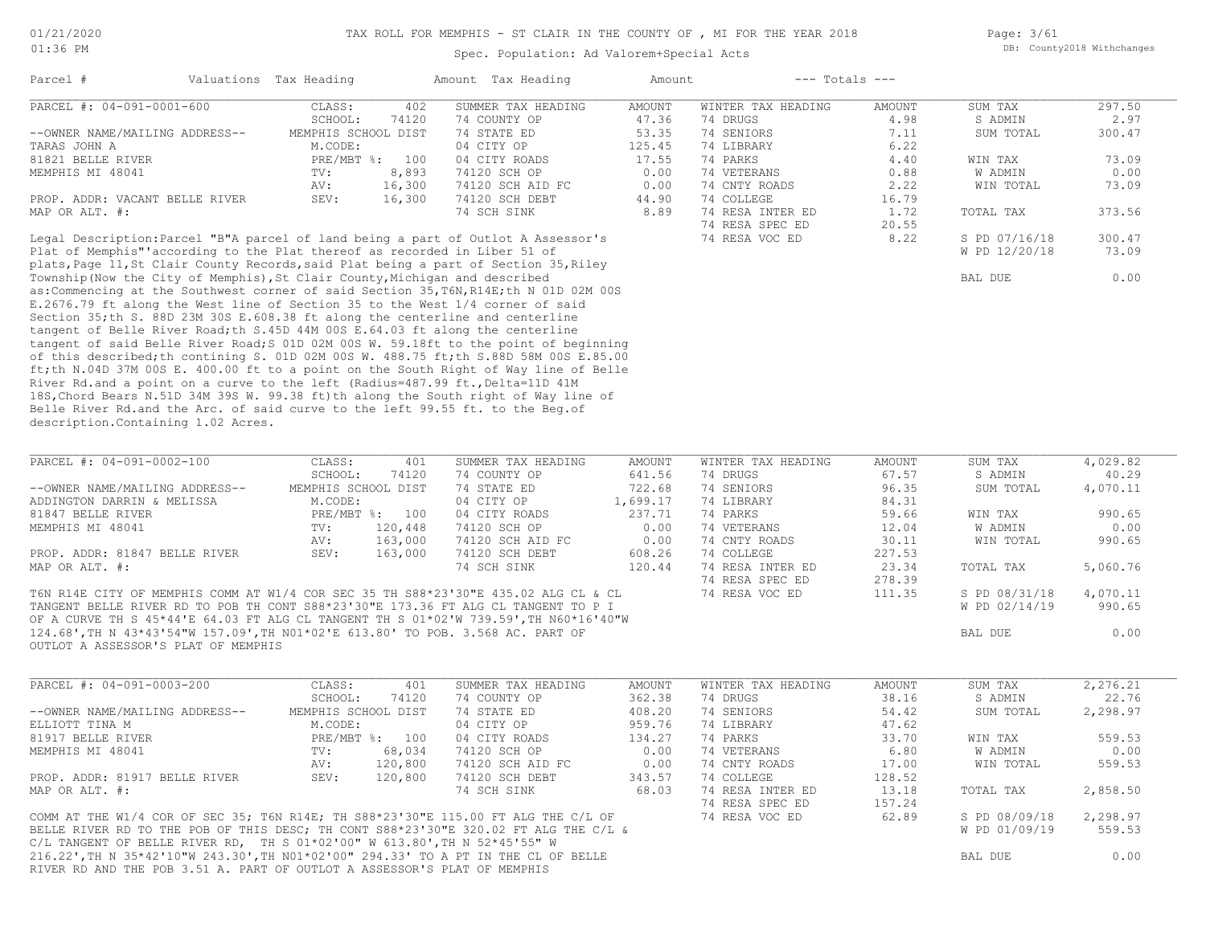Page: 3/61 DB: County2018 Withchanges

#### Spec. Population: Ad Valorem+Special Acts

| Parcel #                                                                          | Valuations Tax Heading    |        | Amount Tax Heading | Amount | $---$ Totals $---$ |        |               |        |
|-----------------------------------------------------------------------------------|---------------------------|--------|--------------------|--------|--------------------|--------|---------------|--------|
| PARCEL #: 04-091-0001-600                                                         | CLASS:                    | 402    | SUMMER TAX HEADING | AMOUNT | WINTER TAX HEADING | AMOUNT | SUM TAX       | 297.50 |
|                                                                                   | SCHOOL:                   | 74120  | 74 COUNTY OP       | 47.36  | 74 DRUGS           | 4.98   | S ADMIN       | 2.97   |
| --OWNER NAME/MAILING ADDRESS--                                                    | MEMPHIS SCHOOL DIST       |        | 74 STATE ED        | 53.35  | 74 SENIORS         | 7.11   | SUM TOTAL     | 300.47 |
| TARAS JOHN A                                                                      | M.CODE:                   |        | 04 CITY OP         | 125.45 | 74 LIBRARY         | 6.22   |               |        |
| 81821 BELLE RIVER                                                                 | $PRE/MBT$ $\frac{1}{6}$ : | 100    | 04 CITY ROADS      | 17.55  | 74 PARKS           | 4.40   | WIN TAX       | 73.09  |
| MEMPHIS MI 48041                                                                  | TV:                       | 8,893  | 74120 SCH OP       | 0.00   | 74 VETERANS        | 0.88   | W ADMIN       | 0.00   |
|                                                                                   | AV:                       | 16,300 | 74120 SCH AID FC   | 0.00   | 74 CNTY ROADS      | 2.22   | WIN TOTAL     | 73.09  |
| PROP. ADDR: VACANT BELLE RIVER                                                    | SEV:                      | 16,300 | 74120 SCH DEBT     | 44.90  | 74 COLLEGE         | 16.79  |               |        |
| MAP OR ALT. #:                                                                    |                           |        | 74 SCH SINK        | 8.89   | 74 RESA INTER ED   | 1.72   | TOTAL TAX     | 373.56 |
|                                                                                   |                           |        |                    |        | 74 RESA SPEC ED    | 20.55  |               |        |
| Legal Description: Parcel "B"A parcel of land being a part of Outlot A Assessor's |                           |        |                    |        | 74 RESA VOC ED     | 8.22   | S PD 07/16/18 | 300.47 |

description.Containing 1.02 Acres. Belle River Rd.and the Arc. of said curve to the left 99.55 ft. to the Beg.of 18S,Chord Bears N.51D 34M 39S W. 99.38 ft)th along the South right of Way line of River Rd.and a point on a curve to the left (Radius=487.99 ft., Delta=11D 41M ft;th N.04D 37M 00S E. 400.00 ft to a point on the South Right of Way line of Belle of this described;th contining S. 01D 02M 00S W. 488.75 ft;th S.88D 58M 00S E.85.00 tangent of said Belle River Road;S 01D 02M 00S W. 59.18ft to the point of beginning tangent of Belle River Road;th S.45D 44M 00S E.64.03 ft along the centerline Section 35;th S. 88D 23M 30S E.608.38 ft along the centerline and centerline E.2676.79 ft along the West line of Section 35 to the West 1/4 corner of said as:Commencing at the Southwest corner of said Section 35,T6N,R14E;th N 01D 02M 00S Township(Now the City of Memphis),St Clair County,Michigan and described BAL DUE 6.00 plats, Page 11, St Clair County Records, said Plat being a part of Section 35, Riley Plat of Memphis"'according to the Plat thereof as recorded in Liber 51 of W PD 12/20/18 73.09

| PARCEL #: 04-091-0002-100                                                            | CLASS:              | 401            | SUMMER TAX HEADING | AMOUNT   | WINTER TAX HEADING | AMOUNT | SUM TAX       | 4,029.82 |
|--------------------------------------------------------------------------------------|---------------------|----------------|--------------------|----------|--------------------|--------|---------------|----------|
|                                                                                      | SCHOOL:             | 74120          | 74 COUNTY OP       | 641.56   | 74 DRUGS           | 67.57  | S ADMIN       | 40.29    |
| --OWNER NAME/MAILING ADDRESS--                                                       | MEMPHIS SCHOOL DIST |                | 74 STATE ED        | 722.68   | 74 SENIORS         | 96.35  | SUM TOTAL     | 4,070.11 |
| ADDINGTON DARRIN & MELISSA                                                           | M.CODE:             |                | 04 CITY OP         | 1,699.17 | 74 LIBRARY         | 84.31  |               |          |
| 81847 BELLE RIVER                                                                    |                     | PRE/MBT %: 100 | 04 CITY ROADS      | 237.71   | 74 PARKS           | 59.66  | WIN TAX       | 990.65   |
| MEMPHIS MI 48041                                                                     | TV:                 | 120,448        | 74120 SCH OP       | 0.00     | 74 VETERANS        | 12.04  | W ADMIN       | 0.00     |
|                                                                                      | AV:                 | 163,000        | 74120 SCH AID FC   | 0.00     | 74 CNTY ROADS      | 30.11  | WIN TOTAL     | 990.65   |
| PROP. ADDR: 81847 BELLE RIVER                                                        | SEV:                | 163,000        | 74120 SCH DEBT     | 608.26   | 74 COLLEGE         | 227.53 |               |          |
| MAP OR ALT. #:                                                                       |                     |                | 74 SCH SINK        | 120.44   | 74 RESA INTER ED   | 23.34  | TOTAL TAX     | 5,060.76 |
|                                                                                      |                     |                |                    |          | 74 RESA SPEC ED    | 278.39 |               |          |
| T6N R14E CITY OF MEMPHIS COMM AT W1/4 COR SEC 35 TH S88*23'30"E 435.02 ALG CL & CL   |                     |                |                    |          | 74 RESA VOC ED     | 111.35 | S PD 08/31/18 | 4,070.11 |
| TANGENT BELLE RIVER RD TO POB TH CONT S88*23'30"E 173.36 FT ALG CL TANGENT TO P I    |                     |                |                    |          |                    |        | W PD 02/14/19 | 990.65   |
| OF A CURVE TH S 45*44'E 64.03 FT ALG CL TANGENT TH S 01*02'W 739.59', TH N60*16'40"W |                     |                |                    |          |                    |        |               |          |
| 124.68', TH N 43*43'54"W 157.09', TH NO1*02'E 613.80' TO POB. 3.568 AC. PART OF      |                     |                |                    |          |                    |        | BAL DUE       | 0.00     |
| OUTLOT A ASSESSOR'S PLAT OF MEMPHIS                                                  |                     |                |                    |          |                    |        |               |          |
|                                                                                      |                     |                |                    |          |                    |        |               |          |
|                                                                                      |                     |                |                    |          |                    |        |               |          |
| PARCEL #: 04-091-0003-200                                                            | CLASS:              | 401            | SUMMER TAX HEADING | AMOUNT   | WINTER TAX HEADING | AMOUNT | SUM TAX       | 2,276.21 |
|                                                                                      | SCHOOL:             | 74120          | 74 COUNTY OP       | 362.38   | 74 DRUGS           | 38.16  | S ADMIN       | 22.76    |
| --OWNER NAME/MAILING ADDRESS--                                                       | MEMPHIS SCHOOL DIST |                | 74 STATE ED        | 408.20   | 74 SENIORS         | 54.42  | SUM TOTAL     | 2,298.97 |
| ELLIOTT TINA M                                                                       | M.CODE:             |                | 04 CITY OP         | 959.76   | 74 LIBRARY         | 47.62  |               |          |
| 81917 BELLE RIVER                                                                    |                     | PRE/MBT %: 100 | 04 CITY ROADS      | 134.27   | 74 PARKS           | 33.70  | WIN TAX       | 559.53   |
| MEMPHIS MI 48041                                                                     | TV:                 | 68,034         | 74120 SCH OP       | 0.00     | 74 VETERANS        | 6.80   | W ADMIN       | 0.00     |
|                                                                                      | AV:                 | 120,800        | 74120 SCH AID FC   | 0.00     | 74 CNTY ROADS      | 17.00  | WIN TOTAL     | 559.53   |
| PROP. ADDR: 81917 BELLE RIVER                                                        | SEV:                | 120,800        | 74120 SCH DEBT     | 343.57   | 74 COLLEGE         | 128.52 |               |          |
| MAP OR ALT. #:                                                                       |                     |                | 74 SCH SINK        | 68.03    | 74 RESA INTER ED   | 13.18  | TOTAL TAX     | 2,858.50 |

74 RESA SPEC ED 157.24

RIVER RD AND THE POB 3.51 A. PART OF OUTLOT A ASSESSOR'S PLAT OF MEMPHIS 216.22',TH N 35\*42'10"W 243.30',TH N01\*02'00" 294.33' TO A PT IN THE CL OF BELLE BAL DUE 0.00 C/L TANGENT OF BELLE RIVER RD, TH S  $01*02'00''$  W  $613.80'$ , TH N  $52*45'55''$  W BELLE RIVER RD TO THE POB OF THIS DESC; TH CONT S88\*23'30"E 320.02 FT ALG THE C/L & W PD 01/09/19 559.53 COMM AT THE W1/4 COR OF SEC 35; T6N R14E; TH S88\*23'30"E 115.00 FT ALG THE C/L OF 74 RESA VOC ED 62.89 S PD 08/09/18 2,298.97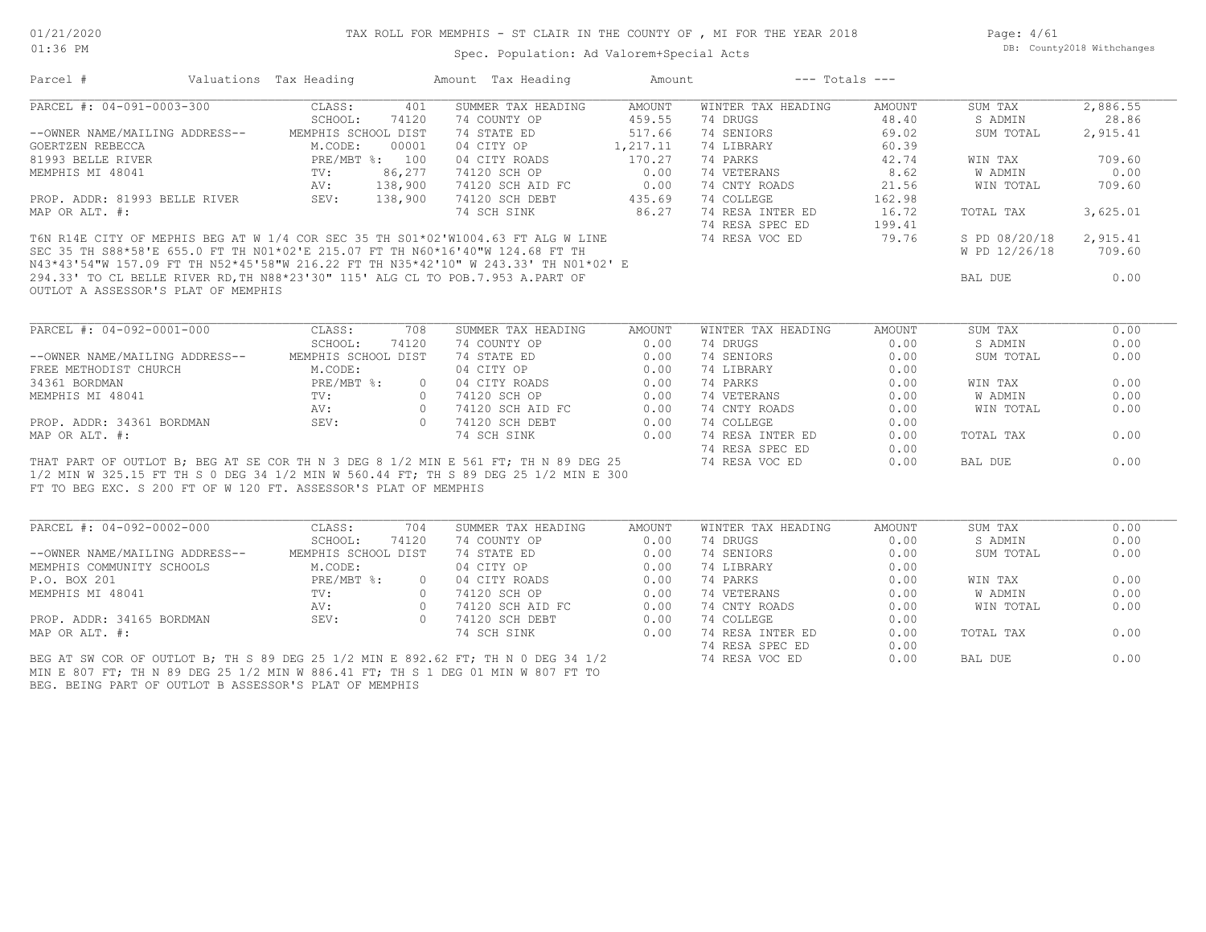Page: 4/61 DB: County2018 Withchanges

| UI;JO FM                                                                                                              |                                | Spec. Population: Ad Valorem+Special Acts |               |                       |        |                        | DD. COUNCYLOUR WICHCHANGES |
|-----------------------------------------------------------------------------------------------------------------------|--------------------------------|-------------------------------------------|---------------|-----------------------|--------|------------------------|----------------------------|
| Parcel # Valuations Tax Heading                                                                                       |                                | Amount Tax Heading                        |               | Amount --- Totals --- |        |                        |                            |
| PARCEL #: 04-091-0003-300                                                                                             | CLASS:<br>401                  | SUMMER TAX HEADING                        | AMOUNT        | WINTER TAX HEADING    | AMOUNT | SUM TAX                | 2,886.55                   |
|                                                                                                                       | SCHOOL:<br>74120               | 74 COUNTY OP                              | 459.55        | 74 DRUGS              | 48.40  | S ADMIN                | 28.86                      |
| --OWNER NAME/MAILING ADDRESS--                                                                                        | MEMPHIS SCHOOL DIST            | 74 STATE ED                               | 517.66        | 74 SENIORS            | 69.02  | SUM TOTAL              | 2,915.41                   |
| GOERTZEN REBECCA                                                                                                      | M.CODE:<br>00001               | 04 CITY OP                                | 1,217.11      | 74 LIBRARY            | 60.39  |                        |                            |
| 81993 BELLE RIVER                                                                                                     | PRE/MBT %: 100                 | 04 CITY ROADS                             | 170.27        | 74 PARKS              | 42.74  | WIN TAX                | 709.60                     |
| MEMPHIS MI 48041                                                                                                      | 86,277<br>TV:                  | 74120 SCH OP                              | 0.00          | 74 VETERANS           | 8.62   | W ADMIN                | 0.00                       |
|                                                                                                                       | AV:<br>138,900                 | 74120 SCH AID FC                          | 0.00          | 74 CNTY ROADS         | 21.56  | WIN TOTAL              | 709.60                     |
| PROP. ADDR: 81993 BELLE RIVER                                                                                         | SEV: 138,900                   | 74120 SCH DEBT                            | 435.69        | 74 COLLEGE            | 162.98 |                        |                            |
| MAP OR ALT. #:                                                                                                        |                                | 74 SCH SINK                               | 86.27         | 74 RESA INTER ED      | 16.72  | TOTAL TAX              | 3,625.01                   |
|                                                                                                                       |                                |                                           |               | 74 RESA SPEC ED       | 199.41 |                        |                            |
| T6N R14E CITY OF MEPHIS BEG AT W 1/4 COR SEC 35 TH S01*02'W1004.63 FT ALG W LINE                                      |                                |                                           |               | 74 RESA VOC ED        | 79.76  | S PD 08/20/18 2,915.41 |                            |
| SEC 35 TH S88*58'E 655.0 FT TH N01*02'E 215.07 FT TH N60*16'40"W 124.68 FT TH                                         |                                |                                           |               |                       |        | W PD 12/26/18          | 709.60                     |
| N43*43'54"W 157.09 FT TH N52*45'58"W 216.22 FT TH N35*42'10" W 243.33' TH N01*02' E                                   |                                |                                           |               |                       |        |                        |                            |
| 294.33' TO CL BELLE RIVER RD, TH N88*23'30" 115' ALG CL TO POB.7.953 A.PART OF<br>OUTLOT A ASSESSOR'S PLAT OF MEMPHIS |                                |                                           |               |                       |        | BAL DUE                | 0.00                       |
|                                                                                                                       |                                |                                           |               |                       |        |                        |                            |
| PARCEL #: 04-092-0001-000                                                                                             | CLASS:<br>708                  | SUMMER TAX HEADING                        | <b>AMOUNT</b> | WINTER TAX HEADING    | AMOUNT | SUM TAX                | 0.00                       |
|                                                                                                                       | SCHOOL:<br>74120               | 74 COUNTY OP                              | 0.00          | 74 DRUGS              | 0.00   | S ADMIN                | 0.00                       |
| --OWNER NAME/MAILING ADDRESS--                                                                                        | MEMPHIS SCHOOL DIST            | 74 STATE ED                               | 0.00          | 74 SENIORS            | 0.00   | SUM TOTAL              | 0.00                       |
| FREE METHODIST CHURCH                                                                                                 | M.CODE:                        | 04 CITY OP                                | 0.00          | 74 LIBRARY            | 0.00   |                        |                            |
| 34361 BORDMAN                                                                                                         | $PRE/MBT$ %:<br>$\overline{0}$ | 04 CITY ROADS                             | 0.00          | 74 PARKS              | 0.00   | WIN TAX                | 0.00                       |
| MEMPHIS MI 48041                                                                                                      | TV:<br>$\circ$                 | 74120 SCH OP                              | 0.00          | 74 VETERANS           | 0.00   | W ADMIN                | 0.00                       |
|                                                                                                                       | AV:                            | 0 74120 SCH AID FC 0.00                   |               | 74 CNTY ROADS         | 0.00   | WIN TOTAL              | 0.00                       |
| PROP. ADDR: 34361 BORDMAN                                                                                             | SEV:                           | 0 74120 SCH DEBT                          | 0.00          | 74 COLLEGE            | 0.00   |                        |                            |
| MAP OR ALT. #:                                                                                                        |                                | 74 SCH SINK                               | 0.00          | 74 RESA INTER ED      | 0.00   | TOTAL TAX              | 0.00                       |
|                                                                                                                       |                                |                                           |               | 74 RESA SPEC ED       | 0.00   |                        |                            |
| THAT PART OF OUTLOT B; BEG AT SE COR TH N 3 DEG 8 1/2 MIN E 561 FT; TH N 89 DEG 25                                    |                                |                                           |               | 74 RESA VOC ED        | 0.00   | BAL DUE                | 0.00                       |
| 1/2 MIN W 325.15 FT TH S 0 DEG 34 1/2 MIN W 560.44 FT; TH S 89 DEG 25 1/2 MIN E 300                                   |                                |                                           |               |                       |        |                        |                            |
| FT TO BEG EXC. S 200 FT OF W 120 FT. ASSESSOR'S PLAT OF MEMPHIS                                                       |                                |                                           |               |                       |        |                        |                            |
|                                                                                                                       |                                |                                           |               |                       |        |                        |                            |
| PARCEL #: 04-092-0002-000                                                                                             | CLASS:<br>704                  | SUMMER TAX HEADING                        | AMOUNT        | WINTER TAX HEADING    | AMOUNT | SUM TAX                | 0.00                       |
|                                                                                                                       | SCHOOL:<br>74120               | 74 COUNTY OP                              | 0.00          | 74 DRUGS              | 0.00   | S ADMIN                | 0.00                       |
| --OWNER NAME/MAILING ADDRESS--                                                                                        | MEMPHIS SCHOOL DIST            | 74 STATE ED                               | 0.00          | 74 SENIORS            | 0.00   | SUM TOTAL              | 0.00                       |
| MEMPHIS COMMUNITY SCHOOLS                                                                                             | M.CODE:                        | 04 CITY OP                                | 0.00          | 74 LIBRARY            | 0.00   |                        |                            |
| P.O. BOX 201                                                                                                          | $PRE/MBT$ %:                   | 0 04 CITY ROADS                           | 0.00          | 74 PARKS              | 0.00   | WIN TAX                | 0.00                       |
| MEMPHIS MI 48041                                                                                                      | $\text{TV}$ :                  | 0 74120 SCH OP                            | 0.00          | 74 VETERANS           | 0.00   | W ADMIN                | 0.00                       |
|                                                                                                                       | AV:                            | 0 74120 SCH AID FC                        | 0.00          | 74 CNTY ROADS         | 0.00   | WIN TOTAL              | 0.00                       |
| PROP. ADDR: 34165 BORDMAN                                                                                             | SEV:<br>$\Omega$               | 74120 SCH DEBT                            | 0.00          | 74 COLLEGE            | 0.00   |                        |                            |
| MAP OR ALT. #:                                                                                                        |                                | 74 SCH SINK                               | 0.00          | 74 RESA INTER ED      | 0.00   | TOTAL TAX              | 0.00                       |
|                                                                                                                       |                                |                                           |               | 74 RESA SPEC ED       | 0.00   |                        |                            |
| BEG AT SW COR OF OUTLOT B; TH S 89 DEG 25 1/2 MIN E 892.62 FT; TH N 0 DEG 34 1/2                                      |                                |                                           |               | 74 RESA VOC ED        | 0.00   | BAL DUE                | 0.00                       |
| MIN E 807 FT; TH N 89 DEG 25 1/2 MIN W 886.41 FT; TH S 1 DEG 01 MIN W 807 FT TO                                       |                                |                                           |               |                       |        |                        |                            |
| BEG. BEING PART OF OUTLOT B ASSESSOR'S PLAT OF MEMPHIS                                                                |                                |                                           |               |                       |        |                        |                            |
|                                                                                                                       |                                |                                           |               |                       |        |                        |                            |
|                                                                                                                       |                                |                                           |               |                       |        |                        |                            |
|                                                                                                                       |                                |                                           |               |                       |        |                        |                            |
|                                                                                                                       |                                |                                           |               |                       |        |                        |                            |
|                                                                                                                       |                                |                                           |               |                       |        |                        |                            |
|                                                                                                                       |                                |                                           |               |                       |        |                        |                            |
|                                                                                                                       |                                |                                           |               |                       |        |                        |                            |
|                                                                                                                       |                                |                                           |               |                       |        |                        |                            |
|                                                                                                                       |                                |                                           |               |                       |        |                        |                            |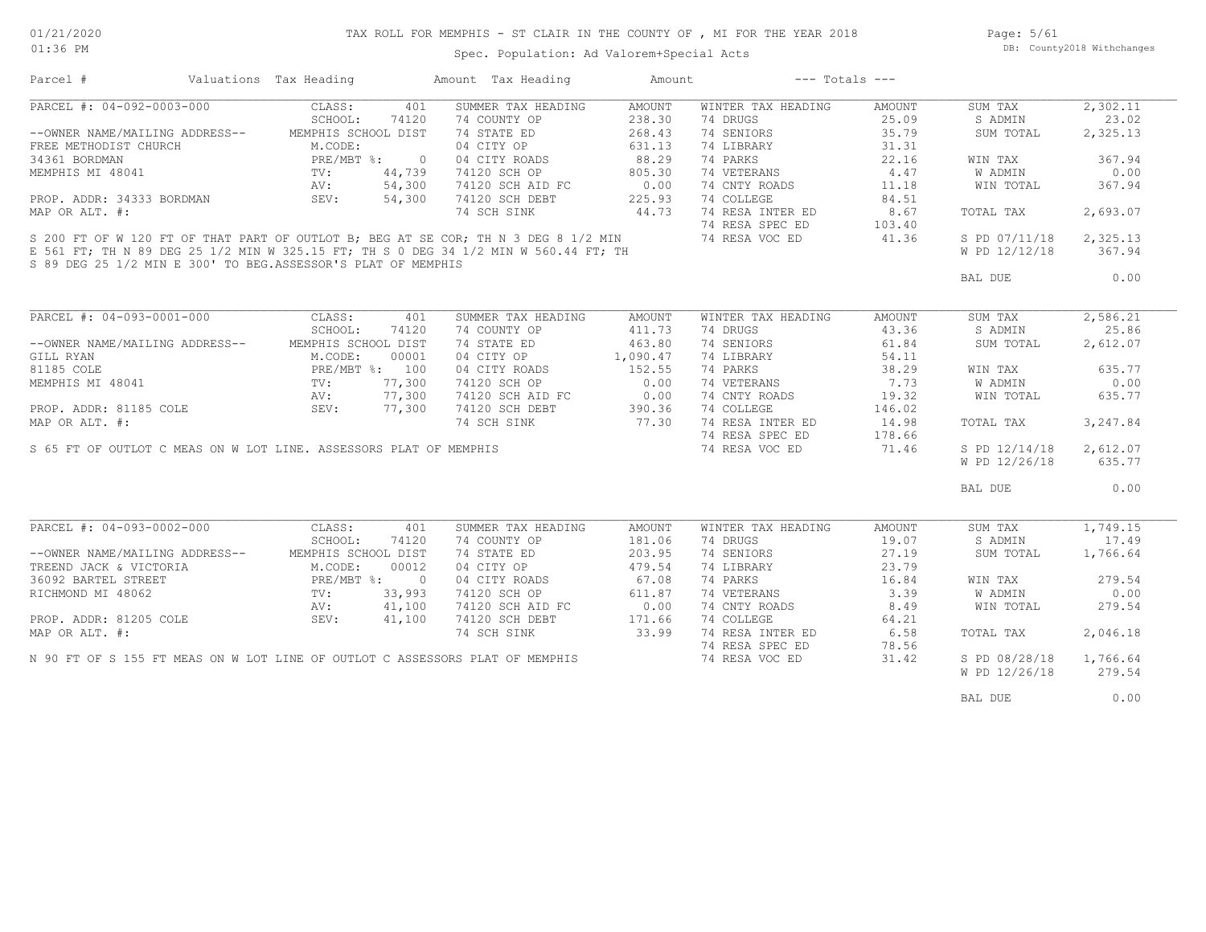# TAX ROLL FOR MEMPHIS - ST CLAIR IN THE COUNTY OF , MI FOR THE YEAR 2018

01:36 PM

### Spec. Population: Ad Valorem+Special Acts

Page: 5/61 DB: County2018 Withchanges

| Parcel #                                                                                                                                                                                                   | Valuations Tax Heading |                | Amount Tax Heading                                                                  | Amount        |                    | $---$ Totals $---$ |                |          |
|------------------------------------------------------------------------------------------------------------------------------------------------------------------------------------------------------------|------------------------|----------------|-------------------------------------------------------------------------------------|---------------|--------------------|--------------------|----------------|----------|
| PARCEL #: 04-092-0003-000                                                                                                                                                                                  | CLASS:                 | 401            | SUMMER TAX HEADING                                                                  | AMOUNT        | WINTER TAX HEADING | AMOUNT             | SUM TAX        | 2,302.11 |
|                                                                                                                                                                                                            | SCHOOL:                | 74120          | 74 COUNTY OP                                                                        | 238.30        | 74 DRUGS           | 25.09              | S ADMIN        | 23.02    |
| --OWNER NAME/MAILING ADDRESS-- MEMPHIS SCHOOL DIST                                                                                                                                                         |                        |                | 74 STATE ED                                                                         | 268.43        | 74 SENIORS         | 35.79              | SUM TOTAL      | 2,325.13 |
| EXERCIBIDIST CHURCH<br>THE METHODIST CHURCH<br>M.CODE: 34361 BORDMAN<br>MEMPHIS MI 48041<br>PROP. ADDR: 34333 BORDMAN<br>PROP. ADDR: 34333 BORDMAN<br>SEV: 5<br>PROP. ADDR: 34333 BORDMAN<br>SEV: 5        |                        |                | 04 CITY OP                                                                          | 631.13        | 74 LIBRARY         | 31.31              |                |          |
|                                                                                                                                                                                                            |                        | $\overline{0}$ | 04 CITY ROADS                                                                       | 88.29         | 74 PARKS           | 22.16              | WIN TAX        | 367.94   |
|                                                                                                                                                                                                            |                        | 44,739         | 74120 SCH OP                                                                        | 805.30        | 74 VETERANS        | 4.47               | <b>W ADMIN</b> | 0.00     |
|                                                                                                                                                                                                            |                        | 54,300         | 74120 SCH AID FC                                                                    | 0.00          | 74 CNTY ROADS      | 11.18              | WIN TOTAL      | 367.94   |
|                                                                                                                                                                                                            |                        | 54,300         | 74120 SCH DEBT                                                                      | 225.93        | 74 COLLEGE         | 84.51              |                |          |
| MAP OR ALT. #:                                                                                                                                                                                             |                        |                | 74 SCH SINK                                                                         | 44.73         | 74 RESA INTER ED   | 8.67               | TOTAL TAX      | 2,693.07 |
|                                                                                                                                                                                                            |                        |                |                                                                                     |               |                    |                    |                |          |
|                                                                                                                                                                                                            |                        |                |                                                                                     |               |                    |                    | S PD 07/11/18  | 2,325.13 |
| S 89 DEG 25 1/2 MIN E 300' TO BEG.ASSESSOR'S PLAT OF MEMPHIS                                                                                                                                               |                        |                | E 561 FT; TH N 89 DEG 25 1/2 MIN W 325.15 FT; TH S 0 DEG 34 1/2 MIN W 560.44 FT; TH |               |                    |                    | W PD 12/12/18  | 367.94   |
|                                                                                                                                                                                                            |                        |                |                                                                                     |               |                    |                    | BAL DUE        | 0.00     |
|                                                                                                                                                                                                            |                        |                |                                                                                     |               |                    |                    |                |          |
|                                                                                                                                                                                                            |                        |                |                                                                                     |               |                    |                    |                |          |
| PARCEL #: 04-093-0001-000 CLASS:                                                                                                                                                                           |                        | 401            | SUMMER TAX HEADING                                                                  | <b>AMOUNT</b> | WINTER TAX HEADING | AMOUNT             | SUM TAX        | 2,586.21 |
|                                                                                                                                                                                                            | SCHOOL:                | 74120          | 74 COUNTY OP                                                                        | 411.73        | 74 DRUGS           | 43.36              | S ADMIN        | 25.86    |
| --OWNER NAME/MAILING ADDRESS-- MEMPHIS SCHOOL DIST                                                                                                                                                         |                        |                | 74 STATE ED                                                                         | 463.80        | 74 SENIORS         | 61.84              | SUM TOTAL      | 2,612.07 |
| GILL RYAN M.CODE: 00001<br>81185 COLE PRE/MBT %: 100<br>MEMPHIS MI 48041 TV: 77,300<br>PROP. ADDR: 81185 COLE SEV: 77,300<br>MAP OR ALT. #: 77,300                                                         |                        |                | 04 CITY OP                                                                          | 1,090.47      | 74 LIBRARY         | 54.11              |                |          |
|                                                                                                                                                                                                            |                        |                | 04 CITY ROADS                                                                       | 152.55        | 74 PARKS           | 38.29              | WIN TAX        | 635.77   |
|                                                                                                                                                                                                            |                        |                | 74120 SCH OP                                                                        | 0.00          | 74 VETERANS        | 7.73               | W ADMIN        | 0.00     |
|                                                                                                                                                                                                            |                        |                |                                                                                     |               | 74 CNTY ROADS      | 19.32              | WIN TOTAL      | 635.77   |
|                                                                                                                                                                                                            |                        |                | 74120 SCH AID FC 0.00<br>74120 SCH DEBT 390.36                                      |               | 74 COLLEGE         | 146.02             |                |          |
|                                                                                                                                                                                                            |                        |                | 74 SCH SINK 77.30                                                                   |               | 74 RESA INTER ED   | 14.98              | TOTAL TAX      | 3,247.84 |
|                                                                                                                                                                                                            |                        |                |                                                                                     |               | 74 RESA SPEC ED    | 178.66             |                |          |
|                                                                                                                                                                                                            |                        |                | S 65 FT OF OUTLOT C MEAS ON W LOT LINE. ASSESSORS PLAT OF MEMPHIS                   |               | 74 RESA VOC ED     | 71.46              | S PD 12/14/18  | 2,612.07 |
|                                                                                                                                                                                                            |                        |                |                                                                                     |               |                    |                    | W PD 12/26/18  | 635.77   |
|                                                                                                                                                                                                            |                        |                |                                                                                     |               |                    |                    |                |          |
|                                                                                                                                                                                                            |                        |                |                                                                                     |               |                    |                    | BAL DUE        | 0.00     |
|                                                                                                                                                                                                            |                        |                |                                                                                     |               |                    |                    |                |          |
|                                                                                                                                                                                                            |                        |                |                                                                                     |               |                    |                    |                |          |
| PARCEL #: 04-093-0002-000                                                                                                                                                                                  | CLASS:                 | 401            | SUMMER TAX HEADING                                                                  | AMOUNT        | WINTER TAX HEADING | AMOUNT             | SUM TAX        | 1,749.15 |
|                                                                                                                                                                                                            | SCHOOL:                | 74120          | 74 COUNTY OP                                                                        | 181.06        | 74 DRUGS           | 19.07              | S ADMIN        | 17.49    |
| --OWNER NAME/MAILING ADDRESS--                                                                                                                                                                             | MEMPHIS SCHOOL DIST    |                | 74 STATE ED                                                                         | 203.95        | 74 SENIORS         | 27.19              | SUM TOTAL      | 1,766.64 |
| TREEND JACK & VICTORIA<br>TREEND JACK & VICTORIA<br>36092 BARTEL STREET<br>RICHMOND MI 48062<br>RICHMOND MI 48062<br>PRE/MBT %: 0<br>NV: 41,100<br>PROP. ADDR: 81205 COLE<br>SEV: 41,100<br>MAP OR ALT. #: |                        |                | 04 CITY OP                                                                          | 479.54        | 74 LIBRARY         | 23.79              |                |          |
|                                                                                                                                                                                                            |                        |                | 04 CITY ROADS                                                                       | 67.08         | 74 PARKS           | 16.84              | WIN TAX        | 279.54   |
|                                                                                                                                                                                                            |                        |                | 74120 SCH OP                                                                        | 611.87        | 74 VETERANS        | 3.39               | W ADMIN        | 0.00     |
|                                                                                                                                                                                                            |                        |                | 74120 SCH AID FC                                                                    | 0.00          | 74 CNTY ROADS      | 8.49               | WIN TOTAL      | 279.54   |
|                                                                                                                                                                                                            |                        |                | 74120 SCH DEBT                                                                      | 171.66        | 74 COLLEGE         | 64.21              |                |          |
|                                                                                                                                                                                                            |                        |                | 74 SCH SINK 33.99                                                                   |               | 74 RESA INTER ED   | 6.58               | TOTAL TAX      | 2,046.18 |
|                                                                                                                                                                                                            |                        |                |                                                                                     |               | 74 RESA SPEC ED    | 78.56              |                |          |
|                                                                                                                                                                                                            |                        |                | N 90 FT OF S 155 FT MEAS ON W LOT LINE OF OUTLOT C ASSESSORS PLAT OF MEMPHIS        |               | 74 RESA VOC ED     | 31.42              | S PD 08/28/18  | 1,766.64 |
|                                                                                                                                                                                                            |                        |                |                                                                                     |               |                    |                    | W PD 12/26/18  | 279.54   |
|                                                                                                                                                                                                            |                        |                |                                                                                     |               |                    |                    |                |          |
|                                                                                                                                                                                                            |                        |                |                                                                                     |               |                    |                    | BAL DUE        | 0.00     |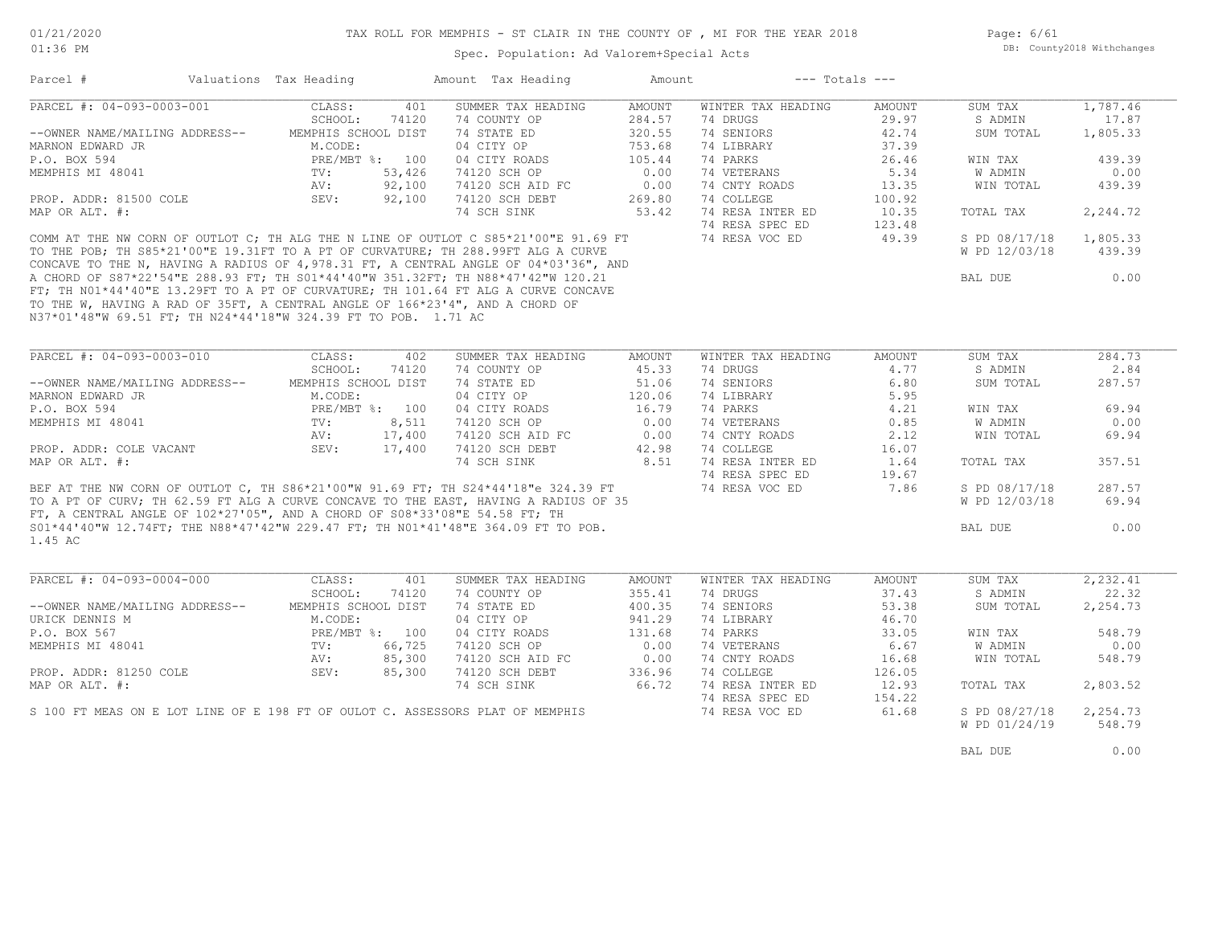Spec. Population: Ad Valorem+Special Acts

Page: 6/61 DB: County2018 Withchanges

| PARCEL #: 04-093-0003-001                                                                                                                                                                                                                                                                                                  | CLASS:              | 401    | SUMMER TAX HEADING    | AMOUNT        | WINTER TAX HEADING             | AMOUNT | SUM TAX       | 1,787.46                       |
|----------------------------------------------------------------------------------------------------------------------------------------------------------------------------------------------------------------------------------------------------------------------------------------------------------------------------|---------------------|--------|-----------------------|---------------|--------------------------------|--------|---------------|--------------------------------|
|                                                                                                                                                                                                                                                                                                                            | SCHOOL:             | 74120  | 74 COUNTY OP          | 284.57        | 74 DRUGS                       | 29.97  | S ADMIN       | 17.87                          |
| --OWNER NAME/MAILING ADDRESS-- MEMPHIS SCHOOL DIST                                                                                                                                                                                                                                                                         |                     |        | 74 STATE ED           | 320.55        | 74 SENIORS                     | 42.74  | SUM TOTAL     | 1,805.33                       |
| MARNON EDWARD JR                                                                                                                                                                                                                                                                                                           | M.CODE:             |        | 04 CITY OP            | 753.68        | 74 LIBRARY                     | 37.39  |               |                                |
| P.O. BOX 594                                                                                                                                                                                                                                                                                                               | PRE/MBT %: 100      |        | 04 CITY ROADS         | 105.44        | 74 PARKS                       | 26.46  | WIN TAX       | 439.39                         |
| MEMPHIS MI 48041                                                                                                                                                                                                                                                                                                           | TV:                 | 53,426 | 74120 SCH OP          | 0.00          | 74 VETERANS                    | 5.34   | W ADMIN       | 0.00                           |
|                                                                                                                                                                                                                                                                                                                            | AV:                 | 92,100 | 74120 SCH AID FC      | 0.00          | 74 CNTY ROADS                  | 13.35  | WIN TOTAL     | 439.39                         |
| PROP. ADDR: 81500 COLE                                                                                                                                                                                                                                                                                                     | SEV:                | 92,100 | 74120 SCH DEBT        | 269.80        | 74 COLLEGE<br>74 RESA INTER ED | 100.92 |               |                                |
| MAP OR ALT. #:                                                                                                                                                                                                                                                                                                             |                     |        | 74 SCH SINK           | 53.42         |                                | 10.35  | TOTAL TAX     | 2,244.72                       |
|                                                                                                                                                                                                                                                                                                                            |                     |        |                       |               | 74 RESA SPEC ED                | 123.48 |               |                                |
| COMM AT THE NW CORN OF OUTLOT C; TH ALG THE N LINE OF OUTLOT C S85*21'00"E 91.69 FT<br>COMM AT THE NW CORN OF COLLUST TO A PT OF CURVATURE; TH 288.99FT ALG A CURVE<br>TO THE POB; TH S85*21'00"E 19.31FT TO A PT OF CURVATURE; TH 288.99FT ALG A CURVE<br>CONCAVE TO THE N, HAVING A RADIUS OF 4,978.31 FT, A CENTRAL ANG |                     |        |                       |               | 74 RESA VOC ED                 | 49.39  | S PD 08/17/18 | 1,805.33                       |
|                                                                                                                                                                                                                                                                                                                            |                     |        |                       |               |                                |        | W PD 12/03/18 | 439.39                         |
|                                                                                                                                                                                                                                                                                                                            |                     |        |                       |               |                                |        |               |                                |
|                                                                                                                                                                                                                                                                                                                            |                     |        |                       |               |                                |        | BAL DUE       | 0.00                           |
| FT; TH NO1*44'40"E 13.29FT TO A PT OF CURVATURE; TH 101.64 FT ALG A CURVE CONCAVE                                                                                                                                                                                                                                          |                     |        |                       |               |                                |        |               |                                |
| TO THE W, HAVING A RAD OF 35FT, A CENTRAL ANGLE OF 166*23'4", AND A CHORD OF                                                                                                                                                                                                                                               |                     |        |                       |               |                                |        |               |                                |
| N37*01'48"W 69.51 FT; TH N24*44'18"W 324.39 FT TO POB. 1.71 AC                                                                                                                                                                                                                                                             |                     |        |                       |               |                                |        |               |                                |
|                                                                                                                                                                                                                                                                                                                            |                     |        |                       |               |                                |        |               |                                |
| PARCEL #: 04-093-0003-010                                                                                                                                                                                                                                                                                                  | CLASS:              | 402    | SUMMER TAX HEADING    | <b>AMOUNT</b> | WINTER TAX HEADING             | AMOUNT | SUM TAX       | 284.73                         |
|                                                                                                                                                                                                                                                                                                                            | SCHOOL:             | 74120  | 74 COUNTY OP          | 45.33         | 74 DRUGS                       | 4.77   | S ADMIN       | 2.84                           |
| --OWNER NAME/MAILING ADDRESS--                                                                                                                                                                                                                                                                                             | MEMPHIS SCHOOL DIST |        | 74 STATE ED           | 51.06         | 74 SENIORS                     | 6.80   | SUM TOTAL     | 287.57                         |
| MARNON EDWARD JR                                                                                                                                                                                                                                                                                                           | M.CODE:             |        | 04 CITY OP            | 120.06        | 74 LIBRARY                     | 5.95   |               |                                |
| P.O. BOX 594                                                                                                                                                                                                                                                                                                               | PRE/MBT %: 100      |        | 04 CITY ROADS         | 16.79         | 74 PARKS                       | 4.21   | WIN TAX       | 69.94                          |
| MEMPHIS MI 48041                                                                                                                                                                                                                                                                                                           | TV:                 | 8,511  | 74120 SCH OP          | 0.00          | 74 VETERANS                    | 0.85   | W ADMIN       | 0.00                           |
|                                                                                                                                                                                                                                                                                                                            | AV:                 | 17,400 | 74120 SCH AID FC 0.00 |               | 74 CNTY ROADS                  | 2.12   | WIN TOTAL     | 69.94                          |
|                                                                                                                                                                                                                                                                                                                            |                     |        | 74120 SCH DEBT        | 42.98         | 74 COLLEGE                     | 16.07  |               |                                |
|                                                                                                                                                                                                                                                                                                                            |                     |        |                       |               |                                |        |               |                                |
| PROP. ADDR: COLE VACANT                                                                                                                                                                                                                                                                                                    | SEV: 17,400         |        |                       |               |                                |        |               |                                |
| MAP OR ALT. #:                                                                                                                                                                                                                                                                                                             |                     |        | 74 SCH SINK           | 8.51          | 74 RESA INTER ED               | 1.64   | TOTAL TAX     | 357.51                         |
|                                                                                                                                                                                                                                                                                                                            |                     |        |                       |               | 74 RESA SPEC ED                | 19.67  |               |                                |
|                                                                                                                                                                                                                                                                                                                            |                     |        |                       |               | 74 RESA VOC ED                 | 7.86   | S PD 08/17/18 | 287.57                         |
| BEF AT THE NW CORN OF OUTLOT C, TH S86*21'00"W 91.69 FT; TH S24*44'18"e 324.39 FT                                                                                                                                                                                                                                          |                     |        |                       |               |                                |        | W PD 12/03/18 | 69.94                          |
|                                                                                                                                                                                                                                                                                                                            |                     |        |                       |               |                                |        |               |                                |
|                                                                                                                                                                                                                                                                                                                            |                     |        |                       |               |                                |        | BAL DUE       | 0.00                           |
|                                                                                                                                                                                                                                                                                                                            |                     |        |                       |               |                                |        |               |                                |
| S01*44'40"W 12.74FT; THE N88*47'42"W 229.47 FT; TH N01*41'48"E 364.09 FT TO POB.                                                                                                                                                                                                                                           |                     |        |                       |               |                                |        |               |                                |
| TO A PT OF CURV; TH 62.59 FT ALG A CURVE CONCAVE TO THE EAST, HAVING A RADIUS OF 35<br>FT, A CENTRAL ANGLE OF 102*27'05", AND A CHORD OF S08*33'08"E 54.58 FT; TH<br>S01*44'40"W 12.74FT: THE N88*47'42"W 229.47 FT: TH N01*41'48"E<br>1.45 AC<br>PARCEL #: 04-093-0004-000                                                | CLASS:              | 401    | SUMMER TAX HEADING    | AMOUNT        | WINTER TAX HEADING             | AMOUNT | SUM TAX       |                                |
|                                                                                                                                                                                                                                                                                                                            | SCHOOL:             | 74120  | 74 COUNTY OP          | 355.41        | 74 DRUGS                       | 37.43  | S ADMIN       |                                |
| --OWNER NAME/MAILING ADDRESS-- MEMPHIS SCHOOL DIST                                                                                                                                                                                                                                                                         |                     |        | 74 STATE ED           | 400.35        | 74 SENIORS                     | 53.38  | SUM TOTAL     | 2,232.41<br>22.32<br>2,254.73  |
| URICK DENNIS M                                                                                                                                                                                                                                                                                                             | M.CODE:             |        | 04 CITY OP            | 941.29        | 74 LIBRARY                     | 46.70  |               |                                |
| P.O. BOX 567                                                                                                                                                                                                                                                                                                               | PRE/MBT %: 100      |        | 04 CITY ROADS         | 131.68        | 74 PARKS                       | 33.05  | WIN TAX       | 548.79                         |
| MEMPHIS MI 48041                                                                                                                                                                                                                                                                                                           | TV: 66,725          |        | 74120 SCH OP          | 0.00          | 74 VETERANS                    | 6.67   | W ADMIN       | 0.00                           |
|                                                                                                                                                                                                                                                                                                                            | AV:                 | 85,300 | 74120 SCH AID FC      | 0.00          | 74 CNTY ROADS                  | 16.68  | WIN TOTAL     | 548.79                         |
| PROP. ADDR: 81250 COLE                                                                                                                                                                                                                                                                                                     | SEV:                | 85,300 | 74120 SCH DEBT        | 336.96        | 74 COLLEGE                     | 126.05 |               |                                |
|                                                                                                                                                                                                                                                                                                                            |                     |        | 74 SCH SINK           | 66.72         | 74 RESA INTER ED               | 12.93  | TOTAL TAX     |                                |
| MAP OR ALT. #:                                                                                                                                                                                                                                                                                                             |                     |        |                       |               | 74 RESA SPEC ED                | 154.22 |               |                                |
| S 100 FT MEAS ON E LOT LINE OF E 198 FT OF OULOT C. ASSESSORS PLAT OF MEMPHIS                                                                                                                                                                                                                                              |                     |        |                       |               | 74 RESA VOC ED                 | 61.68  | S PD 08/27/18 |                                |
|                                                                                                                                                                                                                                                                                                                            |                     |        |                       |               |                                |        | W PD 01/24/19 | 2,803.52<br>2,254.73<br>548.79 |
|                                                                                                                                                                                                                                                                                                                            |                     |        |                       |               |                                |        | BAL DUE       | 0.00                           |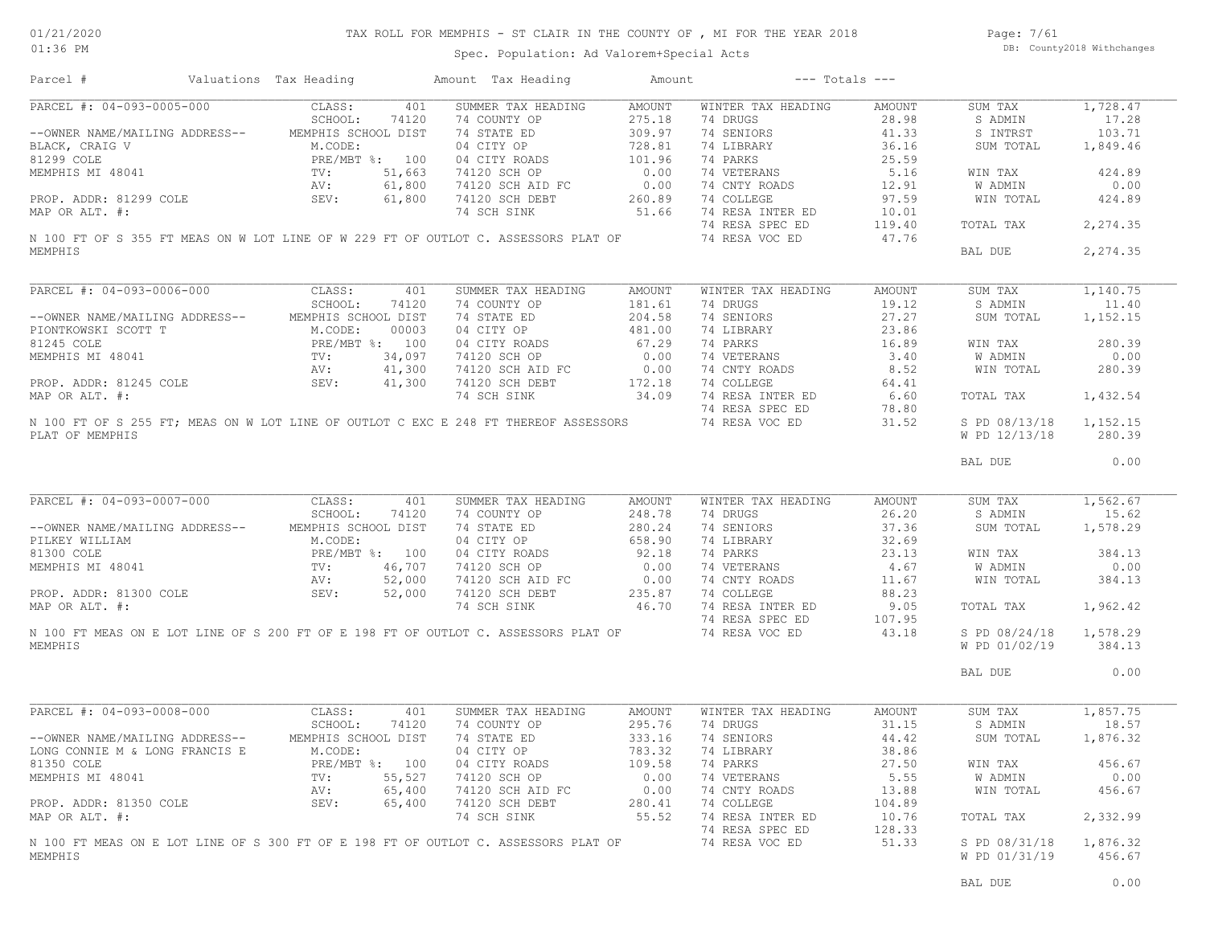### TAX ROLL FOR MEMPHIS - ST CLAIR IN THE COUNTY OF , MI FOR THE YEAR 2018

Spec. Population: Ad Valorem+Special Acts

Page: 7/61 DB: County2018 Withchanges

| Parcel #                                                                                                                              | Valuations Tax Heading                                                                                                                       |        | Amount Tax Heading                                                                                                                               | Amount |                    | $---$ Totals $---$ |               |          |
|---------------------------------------------------------------------------------------------------------------------------------------|----------------------------------------------------------------------------------------------------------------------------------------------|--------|--------------------------------------------------------------------------------------------------------------------------------------------------|--------|--------------------|--------------------|---------------|----------|
| PARCEL #: 04-093-0005-000                                                                                                             | CLASS:                                                                                                                                       | 401    | SUMMER TAX HEADING                                                                                                                               | AMOUNT | WINTER TAX HEADING | AMOUNT             | SUM TAX       | 1,728.47 |
|                                                                                                                                       | SCHOOL:                                                                                                                                      | 74120  | 74 COUNTY OP                                                                                                                                     | 275.18 | 74 DRUGS           | 28.98              | S ADMIN       | 17.28    |
| --OWNER NAME/MAILING ADDRESS-- MEMPHIS SCHOOL DIST                                                                                    |                                                                                                                                              |        | 74 STATE ED                                                                                                                                      | 309.97 | 74 SENIORS         | 41.33              | S INTRST      | 103.71   |
| BLACK, CRAIG V<br>81299 COLE PRE/MBT %: 100<br>MEMPHIS MI 48041 TV: 51,663<br>PROP. ADDR: 81299 COLE SEV: 61,800<br>MRD ANT #: 61,800 |                                                                                                                                              |        | 04 CITY OP                                                                                                                                       | 728.81 | 74 LIBRARY         | 36.16              | SUM TOTAL     | 1,849.46 |
|                                                                                                                                       |                                                                                                                                              |        | 04 CITY ROADS                                                                                                                                    | 101.96 | 74 PARKS           | 25.59              |               |          |
|                                                                                                                                       |                                                                                                                                              |        | 74120 SCH OP                                                                                                                                     | 0.00   | 74 VETERANS        | 5.16               | WIN TAX       | 424.89   |
|                                                                                                                                       |                                                                                                                                              |        | 74120 SCH AID FC                                                                                                                                 | 0.00   | 74 CNTY ROADS      | 12.91              | W ADMIN       | 0.00     |
|                                                                                                                                       |                                                                                                                                              |        | 74120 SCH DEBT                                                                                                                                   | 260.89 | 74 COLLEGE         | 97.59              | WIN TOTAL     | 424.89   |
| MAP OR ALT. #:                                                                                                                        |                                                                                                                                              |        | 74 SCH SINK                                                                                                                                      | 51.66  | 74 RESA INTER ED   | 10.01              |               |          |
|                                                                                                                                       |                                                                                                                                              |        |                                                                                                                                                  |        | 74 RESA SPEC ED    | 119.40             | TOTAL TAX     | 2,274.35 |
|                                                                                                                                       |                                                                                                                                              |        | N 100 FT OF S 355 FT MEAS ON W LOT LINE OF W 229 FT OF OUTLOT C. ASSESSORS PLAT OF                                                               |        | 74 RESA VOC ED     | 47.76              |               |          |
| MEMPHIS                                                                                                                               |                                                                                                                                              |        |                                                                                                                                                  |        |                    |                    | BAL DUE       | 2,274.35 |
| PARCEL #: 04-093-0006-000                                                                                                             |                                                                                                                                              |        |                                                                                                                                                  |        |                    |                    |               |          |
|                                                                                                                                       | CLASS:<br>SCHOOL:                                                                                                                            | 401    | SUMMER TAX HEADING                                                                                                                               | AMOUNT | WINTER TAX HEADING | AMOUNT             | SUM TAX       | 1,140.75 |
|                                                                                                                                       |                                                                                                                                              | 74120  | 74 COUNTY OP                                                                                                                                     | 181.61 | 74 DRUGS           | 19.12              | S ADMIN       | 11.40    |
| --OWNER NAME/MAILING ADDRESS--                                                                                                        | MEMPHIS SCHOOL DIST                                                                                                                          |        | 74 STATE ED                                                                                                                                      | 204.58 | 74 SENIORS         | 27.27              | SUM TOTAL     | 1,152.15 |
| PIONTKOWSKI SCOTT T                                                                                                                   | $\footnotesize\begin{array}{ll} \texttt{T} & \texttt{M.CODE:} \\ \texttt{PRE/MBT} & \texttt{TV:} \\ \texttt{AV:} & \texttt{AV:} \end{array}$ | 00003  | 04 CITY OP                                                                                                                                       | 481.00 | 74 LIBRARY         | 23.86              |               |          |
| 81245 COLE                                                                                                                            | PRE/MBT %: 100                                                                                                                               |        | 04 CITY ROADS                                                                                                                                    | 67.29  | 74 PARKS           | 16.89              | WIN TAX       | 280.39   |
| MEMPHIS MI 48041                                                                                                                      |                                                                                                                                              | 34,097 | 74120 SCH OP                                                                                                                                     | 0.00   | 74 VETERANS        | 3.40               | W ADMIN       | 0.00     |
|                                                                                                                                       |                                                                                                                                              | 41,300 | 74120 SCH AID FC                                                                                                                                 | 0.00   | 74 CNTY ROADS      | 8.52               | WIN TOTAL     | 280.39   |
| PROP. ADDR: 81245 COLE SEV:                                                                                                           |                                                                                                                                              | 41,300 | 74120 SCH DEBT                                                                                                                                   | 172.18 | 74 COLLEGE         | 64.41              |               |          |
| MAP OR ALT. #:                                                                                                                        |                                                                                                                                              |        | 74 SCH SINK                                                                                                                                      | 34.09  | 74 RESA INTER ED   | 6.60               | TOTAL TAX     | 1,432.54 |
|                                                                                                                                       |                                                                                                                                              |        |                                                                                                                                                  |        | 74 RESA SPEC ED    | 78.80              |               |          |
|                                                                                                                                       |                                                                                                                                              |        | N 100 FT OF S 255 FT; MEAS ON W LOT LINE OF OUTLOT C EXC E 248 FT THEREOF ASSESSORS                                                              |        | 74 RESA VOC ED     | 31.52              | S PD 08/13/18 | 1,152.15 |
| PLAT OF MEMPHIS                                                                                                                       |                                                                                                                                              |        |                                                                                                                                                  |        |                    |                    | W PD 12/13/18 | 280.39   |
|                                                                                                                                       |                                                                                                                                              |        |                                                                                                                                                  |        |                    |                    | BAL DUE       | 0.00     |
|                                                                                                                                       |                                                                                                                                              |        |                                                                                                                                                  |        |                    |                    |               |          |
| PARCEL #: 04-093-0007-000                                                                                                             | CLASS:                                                                                                                                       | 401    | SUMMER TAX HEADING                                                                                                                               | AMOUNT | WINTER TAX HEADING | AMOUNT             | SUM TAX       | 1,562.67 |
|                                                                                                                                       | SCHOOL:                                                                                                                                      | 74120  | 74 COUNTY OP                                                                                                                                     | 248.78 | 74 DRUGS           | 26.20              | S ADMIN       | 15.62    |
| --OWNER NAME/MAILING ADDRESS-- MEMPHIS SCHOOL DIST                                                                                    |                                                                                                                                              |        | 74 STATE ED                                                                                                                                      | 280.24 | 74 SENIORS         | 37.36              | SUM TOTAL     | 1,578.29 |
| PILKEY WILLIAM                                                                                                                        |                                                                                                                                              |        |                                                                                                                                                  |        | 74 LIBRARY         | 32.69              |               |          |
| 81300 COLE                                                                                                                            |                                                                                                                                              |        |                                                                                                                                                  |        | 74 PARKS           | 23.13              | WIN TAX       | 384.13   |
| MEMPHIS MI 48041                                                                                                                      |                                                                                                                                              |        |                                                                                                                                                  |        | 74 VETERANS        | 4.67               | W ADMIN       | 0.00     |
|                                                                                                                                       | M.CODE:<br>PRE/MBT %: 100<br>TV: 46,707<br>AV: 52,000                                                                                        |        |                                                                                                                                                  |        | 74 CNTY ROADS      | 11.67              | WIN TOTAL     | 384.13   |
| PROP. ADDR: 81300 COLE SEV:                                                                                                           |                                                                                                                                              | 52,000 |                                                                                                                                                  |        | 74 COLLEGE         | 88.23              |               |          |
| MAP OR ALT. #:                                                                                                                        |                                                                                                                                              |        | 04 CITY OF 04 CITY ROADS<br>74120 SCH OP 0.00<br>74120 SCH AID FC 0.00<br>74120 SCH AID FC 0.00<br>7.120 SCH DEBT 235.87<br>46.70<br>74 SCH SINK | 46.70  | 74 RESA INTER ED   | 9.05               | TOTAL TAX     | 1,962.42 |
|                                                                                                                                       |                                                                                                                                              |        |                                                                                                                                                  |        | 74 RESA SPEC ED    | 107.95             |               |          |
|                                                                                                                                       |                                                                                                                                              |        | N 100 FT MEAS ON E LOT LINE OF S 200 FT OF E 198 FT OF OUTLOT C. ASSESSORS PLAT OF 74 RESA VOC ED                                                |        |                    | 43.18              | S PD 08/24/18 | 1,578.29 |
| MEMPHIS                                                                                                                               |                                                                                                                                              |        |                                                                                                                                                  |        |                    |                    | W PD 01/02/19 | 384.13   |
|                                                                                                                                       |                                                                                                                                              |        |                                                                                                                                                  |        |                    |                    |               |          |
|                                                                                                                                       |                                                                                                                                              |        |                                                                                                                                                  |        |                    |                    | BAL DUE       | 0.00     |
| PARCEL #: 04-093-0008-000                                                                                                             | CLASS:                                                                                                                                       | 401    | SUMMER TAX HEADING                                                                                                                               | AMOUNT | WINTER TAX HEADING | AMOUNT             | SUM TAX       | 1,857.75 |
|                                                                                                                                       | SCHOOL:                                                                                                                                      | 74120  | 74 COUNTY OP                                                                                                                                     | 295.76 | 74 DRUGS           | 31.15              | S ADMIN       | 18.57    |
|                                                                                                                                       | MEMPHIS SCHOOL DIST                                                                                                                          |        |                                                                                                                                                  |        | 74 SENIORS         | 44.42              |               | 1,876.32 |
| --OWNER NAME/MAILING ADDRESS--                                                                                                        |                                                                                                                                              |        | 74 STATE ED                                                                                                                                      | 333.16 |                    |                    | SUM TOTAL     |          |
| LONG CONNIE M & LONG FRANCIS E                                                                                                        | M.CODE:                                                                                                                                      |        | 04 CITY OP                                                                                                                                       | 783.32 | 74 LIBRARY         | 38.86              |               |          |
| 81350 COLE                                                                                                                            | PRE/MBT %: 100                                                                                                                               |        | 04 CITY ROADS                                                                                                                                    | 109.58 | 74 PARKS           | 27.50              | WIN TAX       | 456.67   |
| MEMPHIS MI 48041                                                                                                                      | $\text{TV}$ :                                                                                                                                | 55,527 | 74120 SCH OP                                                                                                                                     | 0.00   | 74 VETERANS        | 5.55               | W ADMIN       | 0.00     |
|                                                                                                                                       | AV:                                                                                                                                          | 65,400 | 74120 SCH AID FC                                                                                                                                 | 0.00   | 74 CNTY ROADS      | 13.88              | WIN TOTAL     | 456.67   |
| PROP. ADDR: 81350 COLE                                                                                                                | SEV:                                                                                                                                         | 65,400 | 74120 SCH DEBT                                                                                                                                   | 280.41 | 74 COLLEGE         | 104.89             |               |          |
| MAP OR ALT. #:                                                                                                                        |                                                                                                                                              |        | 74 SCH SINK                                                                                                                                      | 55.52  | 74 RESA INTER ED   | 10.76              | TOTAL TAX     | 2,332.99 |
|                                                                                                                                       |                                                                                                                                              |        |                                                                                                                                                  |        | 74 RESA SPEC ED    | 128.33             |               |          |
|                                                                                                                                       |                                                                                                                                              |        | N 100 FT MEAS ON E LOT LINE OF S 300 FT OF E 198 FT OF OUTLOT C. ASSESSORS PLAT OF                                                               |        | 74 RESA VOC ED     | 51.33              | S PD 08/31/18 | 1,876.32 |
| MEMPHIS                                                                                                                               |                                                                                                                                              |        |                                                                                                                                                  |        |                    |                    | W PD 01/31/19 | 456.67   |
|                                                                                                                                       |                                                                                                                                              |        |                                                                                                                                                  |        |                    |                    |               |          |
|                                                                                                                                       |                                                                                                                                              |        |                                                                                                                                                  |        |                    |                    | BAL DUE       | 0.00     |
|                                                                                                                                       |                                                                                                                                              |        |                                                                                                                                                  |        |                    |                    |               |          |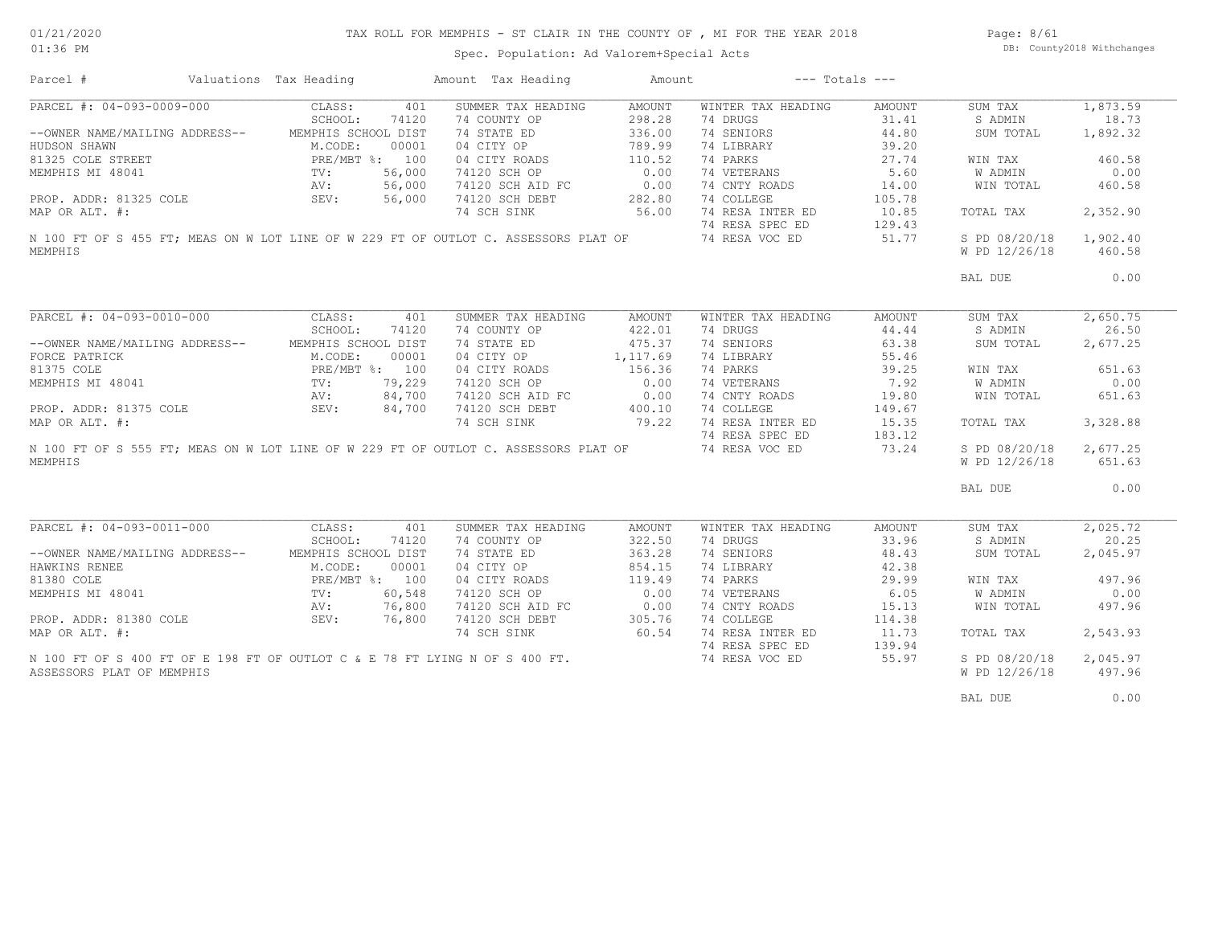### TAX ROLL FOR MEMPHIS - ST CLAIR IN THE COUNTY OF , MI FOR THE YEAR 2018

Spec. Population: Ad Valorem+Special Acts

Page: 8/61 DB: County2018 Withchanges

| Parcel #                  |                                                                                                                                                                                                                       | Valuations Tax Heading |       | Amount Tax Heading                                                                                                                 | Amount           | $---$ Totals $---$ |        |                                |                    |
|---------------------------|-----------------------------------------------------------------------------------------------------------------------------------------------------------------------------------------------------------------------|------------------------|-------|------------------------------------------------------------------------------------------------------------------------------------|------------------|--------------------|--------|--------------------------------|--------------------|
| PARCEL #: 04-093-0009-000 |                                                                                                                                                                                                                       | CLASS:                 | 401   | SUMMER TAX HEADING                                                                                                                 | AMOUNT           | WINTER TAX HEADING | AMOUNT | SUM TAX                        | 1,873.59           |
|                           |                                                                                                                                                                                                                       | SCHOOL:                | 74120 | 74 COUNTY OP                                                                                                                       | 298.28           | 74 DRUGS           | 31.41  | S ADMIN                        | 18.73              |
|                           | --OWNER NAME/MAILING ADDRESS--                                                                                                                                                                                        | MEMPHIS SCHOOL DIST    |       | 74 STATE ED                                                                                                                        | 336.00           | 74 SENIORS         | 44.80  | SUM TOTAL                      | 1,892.32           |
|                           | HUDSON SHAWN M.CODE: 00001<br>81325 COLE STREET PRE/MBT %: 100<br>MEMPHIS MI 48041 TV: 56,000<br>PROP. ADDR: 81325 COLE SEV: 56,000<br>MAP OR ALT. #: 56,000                                                          |                        |       | 04 CITY OP                                                                                                                         | 789.99           | 74 LIBRARY         | 39.20  |                                |                    |
|                           |                                                                                                                                                                                                                       |                        |       | 04 CITY ROADS                                                                                                                      | 110.52           | 74 PARKS           | 27.74  | WIN TAX                        | 460.58             |
|                           |                                                                                                                                                                                                                       |                        |       | 74120 SCH OP                                                                                                                       | 0.00             | 74 VETERANS        | 5.60   | W ADMIN                        | 0.00               |
|                           |                                                                                                                                                                                                                       |                        |       | 74120 SCH AID FC 0.00                                                                                                              |                  | 74 CNTY ROADS      | 14.00  | WIN TOTAL                      | 460.58             |
|                           |                                                                                                                                                                                                                       |                        |       | 74120 SCH DEBT                                                                                                                     | 282.80           | 74 COLLEGE         | 105.78 |                                |                    |
|                           |                                                                                                                                                                                                                       |                        |       | 74 SCH SINK                                                                                                                        | 56.00            | 74 RESA INTER ED   | 10.85  | TOTAL TAX                      | 2,352.90           |
|                           |                                                                                                                                                                                                                       |                        |       |                                                                                                                                    |                  |                    |        |                                |                    |
|                           |                                                                                                                                                                                                                       |                        |       | 74 RESA SPEC ED 129.43<br>N 100 FT OF S 455 FT; MEAS ON W LOT LINE OF W 229 FT OF OUTLOT C. ASSESSORS PLAT OF 74 RESA VOC ED 51.77 |                  |                    |        | S PD 08/20/18                  | 1,902.40           |
| MEMPHIS                   |                                                                                                                                                                                                                       |                        |       |                                                                                                                                    |                  |                    |        | W PD 12/26/18                  | 460.58             |
|                           |                                                                                                                                                                                                                       |                        |       |                                                                                                                                    |                  |                    |        | BAL DUE                        | 0.00               |
|                           |                                                                                                                                                                                                                       |                        |       |                                                                                                                                    |                  |                    |        |                                |                    |
|                           | PARCEL #: 04-093-0010-000 CLASS:                                                                                                                                                                                      |                        | 401   | SUMMER TAX HEADING                                                                                                                 | AMOUNT           | WINTER TAX HEADING | AMOUNT | SUM TAX                        | 2,650.75           |
|                           |                                                                                                                                                                                                                       | SCHOOL:                | 74120 | 74 COUNTY OP                                                                                                                       | 422.01           | 74 DRUGS           | 44.44  | S ADMIN                        | 26.50              |
|                           |                                                                                                                                                                                                                       |                        |       | 74 STATE ED                                                                                                                        | 475.37           | 74 SENIORS         | 63.38  | SUM TOTAL                      | 2,677.25           |
|                           |                                                                                                                                                                                                                       |                        |       | 04 CITY OP                                                                                                                         | 1,117.69         | 74 LIBRARY         | 55.46  |                                |                    |
|                           |                                                                                                                                                                                                                       |                        |       | 04 CITY ROADS                                                                                                                      | 156.36           | 74 PARKS           | 39.25  | WIN TAX                        | 651.63             |
|                           |                                                                                                                                                                                                                       |                        |       | 74120 SCH OP                                                                                                                       | 0.00             | 74 VETERANS        | 7.92   | W ADMIN                        | 0.00               |
|                           |                                                                                                                                                                                                                       |                        |       | 74120 SCH AID FC                                                                                                                   |                  | 74 CNTY ROADS      | 19.80  | WIN TOTAL                      | 651.63             |
|                           |                                                                                                                                                                                                                       |                        |       | 74120 SCH DEBT                                                                                                                     | $0.00$<br>400.10 | 74 COLLEGE         | 149.67 |                                |                    |
|                           |                                                                                                                                                                                                                       |                        |       | 74 SCH SINK                                                                                                                        | 79.22            | 74 RESA INTER ED   | 15.35  | TOTAL TAX                      | 3,328.88           |
|                           |                                                                                                                                                                                                                       |                        |       |                                                                                                                                    |                  | 74 RESA SPEC ED    | 183.12 |                                |                    |
|                           | --OWNER NAME/MAILING ADDRESS-<br>FORCE PATRICK M.CODE: UUUU1<br>81375 COLE PRE/MBT %: 100<br>MEMPHIS MI 48041 TV: 79,229<br>PROP. ADDR: 81375 COLE AV: 84,700<br>PROP. ADDR: 81375 COLE SEV: 84,700<br>MAP OR ALT. #: |                        |       | N 100 FT OF S 555 FT; MEAS ON W LOT LINE OF W 229 FT OF OUTLOT C. ASSESSORS PLAT OF                                                |                  | 74 RESA VOC ED     | 73.24  | S PD 08/20/18                  | 2,677.25           |
| MEMPHIS                   |                                                                                                                                                                                                                       |                        |       |                                                                                                                                    |                  |                    |        | W PD 12/26/18                  | 651.63             |
|                           |                                                                                                                                                                                                                       |                        |       |                                                                                                                                    |                  |                    |        | BAL DUE                        | 0.00               |
|                           |                                                                                                                                                                                                                       |                        |       |                                                                                                                                    |                  |                    |        |                                |                    |
|                           | PARCEL #: 04-093-0011-000 CLASS:                                                                                                                                                                                      |                        | 401   | SUMMER TAX HEADING                                                                                                                 | AMOUNT           | WINTER TAX HEADING | AMOUNT | SUM TAX                        | 2,025.72           |
|                           |                                                                                                                                                                                                                       | SCHOOL:                | 74120 | 74 COUNTY OP                                                                                                                       | 322.50           | 74 DRUGS           | 33.96  | S ADMIN                        | 20.25              |
|                           | --OWNER NAME/MAILING ADDRESS--                                                                                                                                                                                        | MEMPHIS SCHOOL DIST    |       |                                                                                                                                    | 363.28           | 74 SENIORS         | 48.43  | SUM TOTAL                      | 2,045.97           |
|                           |                                                                                                                                                                                                                       |                        |       | 74 STATE ED<br>04 CITY OP                                                                                                          | 854.15           | 74 LIBRARY         | 42.38  |                                |                    |
|                           |                                                                                                                                                                                                                       |                        |       | 04 CITY ROADS                                                                                                                      | 119.49           | 74 PARKS           | 29.99  | WIN TAX                        | 497.96             |
|                           |                                                                                                                                                                                                                       |                        |       | 74120 SCH OP                                                                                                                       | 0.00             | 74 VETERANS        | 6.05   | W ADMIN                        | 0.00               |
|                           |                                                                                                                                                                                                                       |                        |       |                                                                                                                                    |                  | 74 CNTY ROADS      | 15.13  | WIN TOTAL                      | 497.96             |
|                           |                                                                                                                                                                                                                       |                        |       | 74120 SCH AID FC 0.00<br>74120 SCH DEBT 305.76                                                                                     |                  | 74 COLLEGE         | 114.38 |                                |                    |
|                           | MANEAR NEWSTAPP 1 MANUS AND RESPONSE MANUSING MANUS AND MANUS MUSCULE PRE/MBT %: 100<br>MEMPHIS MI 48041 TV: 60,548<br>PROP. ADDR: 81380 COLE SEV: 76,800<br>MAP OR ALT. #:                                           |                        |       | 74 SCH SINK 60.54                                                                                                                  |                  | 74 RESA INTER ED   | 11.73  | TOTAL TAX                      | 2,543.93           |
|                           |                                                                                                                                                                                                                       |                        |       |                                                                                                                                    |                  | 74 RESA SPEC ED    | 139.94 |                                |                    |
|                           |                                                                                                                                                                                                                       |                        |       |                                                                                                                                    |                  |                    |        |                                |                    |
|                           |                                                                                                                                                                                                                       |                        |       |                                                                                                                                    |                  |                    |        |                                |                    |
| ASSESSORS PLAT OF MEMPHIS |                                                                                                                                                                                                                       |                        |       | N 100 FT OF S 400 FT OF E 198 FT OF OUTLOT C & E 78 FT LYING N OF S 400 FT.                                                        |                  | 74 RESA VOC ED     | 55.97  | S PD 08/20/18<br>W PD 12/26/18 | 2,045.97<br>497.96 |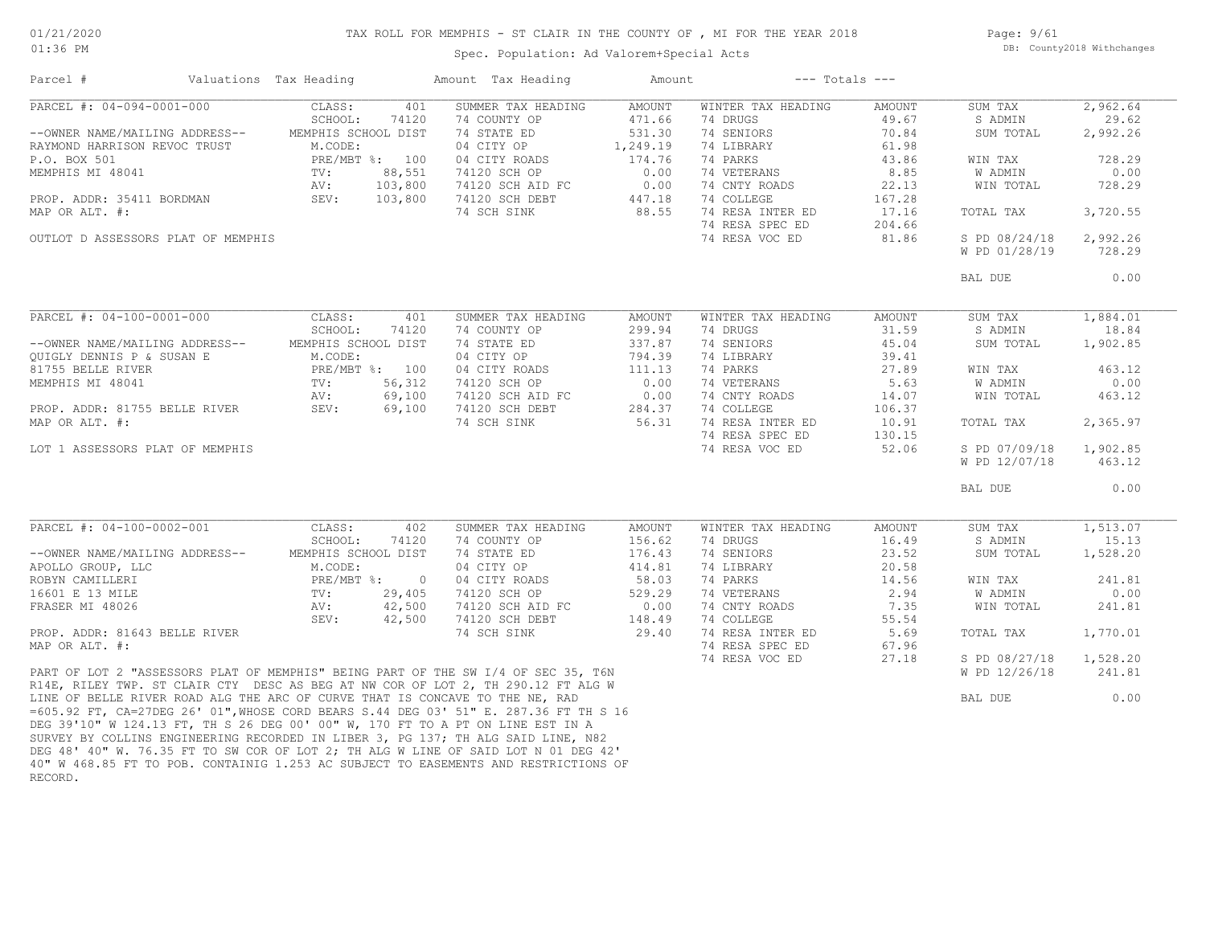# TAX ROLL FOR MEMPHIS - ST CLAIR IN THE COUNTY OF , MI FOR THE YEAR 2018

Page: 9/61 DB: County2018 Withchanges

### Spec. Population: Ad Valorem+Special Acts

| Parcel #                                                                                                                                                             | Valuations Tax Heading         |                | Amount Tax Heading                                                                  | Amount             |                                | $---$ Totals $---$ |                                |                    |
|----------------------------------------------------------------------------------------------------------------------------------------------------------------------|--------------------------------|----------------|-------------------------------------------------------------------------------------|--------------------|--------------------------------|--------------------|--------------------------------|--------------------|
| PARCEL #: 04-094-0001-000                                                                                                                                            | CLASS:<br>SCHOOL:              | 401<br>74120   | SUMMER TAX HEADING<br>74 COUNTY OP                                                  | AMOUNT<br>471.66   | WINTER TAX HEADING<br>74 DRUGS | AMOUNT<br>49.67    | SUM TAX<br>S ADMIN             | 2,962.64<br>29.62  |
| --OWNER NAME/MAILING ADDRESS--<br>RAYMOND HARRISON REVOC TRUST                                                                                                       | MEMPHIS SCHOOL DIST<br>M.CODE: |                | 74 STATE ED<br>04 CITY OP                                                           | 531.30<br>1,249.19 | 74 SENIORS<br>74 LIBRARY       | 70.84<br>61.98     | SUM TOTAL                      | 2,992.26           |
| P.O. BOX 501                                                                                                                                                         | PRE/MBT %: 100                 |                | 04 CITY ROADS                                                                       | 174.76             | 74 PARKS                       | 43.86              | WIN TAX                        | 728.29             |
| MEMPHIS MI 48041                                                                                                                                                     | TV:                            | 88,551         | 74120 SCH OP                                                                        | 0.00               | 74 VETERANS                    | 8.85               | W ADMIN                        | 0.00               |
|                                                                                                                                                                      | AV:                            | 103,800        | 74120 SCH AID FC                                                                    | 0.00               | 74 CNTY ROADS                  | 22.13              | WIN TOTAL                      | 728.29             |
| PROP. ADDR: 35411 BORDMAN                                                                                                                                            | SEV:                           | 103,800        | 74120 SCH DEBT                                                                      | 447.18             | 74 COLLEGE                     | 167.28             |                                |                    |
| MAP OR ALT. #:                                                                                                                                                       |                                |                | 74 SCH SINK                                                                         | 88.55              | 74 RESA INTER ED               | 17.16              | TOTAL TAX                      | 3,720.55           |
|                                                                                                                                                                      |                                |                |                                                                                     |                    | 74 RESA SPEC ED                | 204.66             |                                |                    |
| OUTLOT D ASSESSORS PLAT OF MEMPHIS                                                                                                                                   |                                |                |                                                                                     |                    | 74 RESA VOC ED                 | 81.86              | S PD 08/24/18                  | 2,992.26           |
|                                                                                                                                                                      |                                |                |                                                                                     |                    |                                |                    | W PD 01/28/19                  | 728.29             |
|                                                                                                                                                                      |                                |                |                                                                                     |                    |                                |                    | BAL DUE                        | 0.00               |
|                                                                                                                                                                      |                                |                |                                                                                     |                    |                                |                    |                                |                    |
| PARCEL #: 04-100-0001-000                                                                                                                                            | CLASS:                         | 401            | SUMMER TAX HEADING                                                                  | AMOUNT             | WINTER TAX HEADING             | AMOUNT             | SUM TAX                        | 1,884.01           |
|                                                                                                                                                                      | SCHOOL:                        | 74120          | 74 COUNTY OP                                                                        | 299.94             | 74 DRUGS                       | 31.59              | S ADMIN                        | 18.84              |
| --OWNER NAME/MAILING ADDRESS--                                                                                                                                       | MEMPHIS SCHOOL DIST            |                | 74 STATE ED                                                                         | 337.87             | 74 SENIORS                     | 45.04              | SUM TOTAL                      | 1,902.85           |
| QUIGLY DENNIS P & SUSAN E                                                                                                                                            | M.CODE:                        |                | 04 CITY OP                                                                          | 794.39             | 74 LIBRARY                     | 39.41              |                                |                    |
| 81755 BELLE RIVER                                                                                                                                                    | PRE/MBT %: 100                 |                | 04 CITY ROADS                                                                       | 111.13             | 74 PARKS                       | 27.89              | WIN TAX                        | 463.12             |
| MEMPHIS MI 48041                                                                                                                                                     | $\text{TV}$ :                  | 56,312         | 74120 SCH OP                                                                        | 0.00               | 74 VETERANS                    | 5.63               | W ADMIN                        | 0.00               |
|                                                                                                                                                                      | AV:                            | 69,100         | 74120 SCH AID FC                                                                    | 0.00               | 74 CNTY ROADS                  | 14.07              | WIN TOTAL                      | 463.12             |
| PROP. ADDR: 81755 BELLE RIVER                                                                                                                                        | SEV:                           | 69,100         | 74120 SCH DEBT                                                                      | 284.37             | 74 COLLEGE                     | 106.37             |                                |                    |
| MAP OR ALT. #:                                                                                                                                                       |                                |                | 74 SCH SINK                                                                         | 56.31              | 74 RESA INTER ED               | 10.91              | TOTAL TAX                      | 2,365.97           |
|                                                                                                                                                                      |                                |                |                                                                                     |                    | 74 RESA SPEC ED                | 130.15             |                                |                    |
| LOT 1 ASSESSORS PLAT OF MEMPHIS                                                                                                                                      |                                |                |                                                                                     |                    | 74 RESA VOC ED                 | 52.06              | S PD 07/09/18<br>W PD 12/07/18 | 1,902.85<br>463.12 |
|                                                                                                                                                                      |                                |                |                                                                                     |                    |                                |                    |                                |                    |
|                                                                                                                                                                      |                                |                |                                                                                     |                    |                                |                    | BAL DUE                        | 0.00               |
| PARCEL #: 04-100-0002-001                                                                                                                                            | CLASS:                         | 402            | SUMMER TAX HEADING                                                                  | AMOUNT             | WINTER TAX HEADING             | AMOUNT             | SUM TAX                        | 1,513.07           |
|                                                                                                                                                                      | SCHOOL:                        | 74120          | 74 COUNTY OP                                                                        | 156.62             | 74 DRUGS                       | 16.49              | S ADMIN                        | 15.13              |
| --OWNER NAME/MAILING ADDRESS--                                                                                                                                       | MEMPHIS SCHOOL DIST            |                | 74 STATE ED                                                                         | 176.43             | 74 SENIORS                     | 23.52              | SUM TOTAL                      | 1,528.20           |
| APOLLO GROUP, LLC                                                                                                                                                    | M.CODE:                        |                | 04 CITY OP                                                                          | 414.81             | 74 LIBRARY                     | 20.58              |                                |                    |
| ROBYN CAMILLERI                                                                                                                                                      | PRE/MBT %:                     | $\overline{0}$ | 04 CITY ROADS                                                                       | 58.03              | 74 PARKS                       | 14.56              | WIN TAX                        | 241.81             |
| 16601 E 13 MILE                                                                                                                                                      | TV:                            | 29,405         | 74120 SCH OP                                                                        | 529.29             | 74 VETERANS                    | 2.94               | W ADMIN                        | 0.00               |
| FRASER MI 48026                                                                                                                                                      | AV:                            | 42,500         | 74120 SCH AID FC                                                                    | 0.00               | 74 CNTY ROADS                  | 7.35               | WIN TOTAL                      | 241.81             |
|                                                                                                                                                                      | SEV:                           | 42,500         | 74120 SCH DEBT                                                                      | 148.49             | 74 COLLEGE                     | 55.54              |                                |                    |
| PROP. ADDR: 81643 BELLE RIVER                                                                                                                                        |                                |                | 74 SCH SINK                                                                         | 29.40              | 74 RESA INTER ED               | 5.69               | TOTAL TAX                      | 1,770.01           |
| MAP OR ALT. #:                                                                                                                                                       |                                |                |                                                                                     |                    | 74 RESA SPEC ED                | 67.96              |                                |                    |
|                                                                                                                                                                      |                                |                |                                                                                     |                    | 74 RESA VOC ED                 | 27.18              | S PD 08/27/18                  | 1,528.20           |
| PART OF LOT 2 "ASSESSORS PLAT OF MEMPHIS" BEING PART OF THE SW I/4 OF SEC 35, T6N                                                                                    |                                |                |                                                                                     |                    |                                |                    | W PD 12/26/18                  | 241.81             |
| R14E, RILEY TWP. ST CLAIR CTY DESC AS BEG AT NW COR OF LOT 2, TH 290.12 FT ALG W                                                                                     |                                |                |                                                                                     |                    |                                |                    |                                |                    |
| LINE OF BELLE RIVER ROAD ALG THE ARC OF CURVE THAT IS CONCAVE TO THE NE, RAD<br>=605.92 FT, CA=27DEG 26' 01", WHOSE CORD BEARS S.44 DEG 03' 51" E. 287.36 FT TH S 16 |                                |                |                                                                                     |                    |                                |                    | BAL DUE                        | 0.00               |
| DEG 39'10" W 124.13 FT, TH S 26 DEG 00' 00" W, 170 FT TO A PT ON LINE EST IN A<br>SURVEY BY COLLINS ENGINEERING RECORDED IN LIBER 3, PG 137; TH ALG SAID LINE, N82   |                                |                |                                                                                     |                    |                                |                    |                                |                    |
| DEG 48' 40" W. 76.35 FT TO SW COR OF LOT 2; TH ALG W LINE OF SAID LOT N 01 DEG 42'                                                                                   |                                |                | 40" W 468.85 FT TO POB. CONTAINIG 1.253 AC SUBJECT TO EASEMENTS AND RESTRICTIONS OF |                    |                                |                    |                                |                    |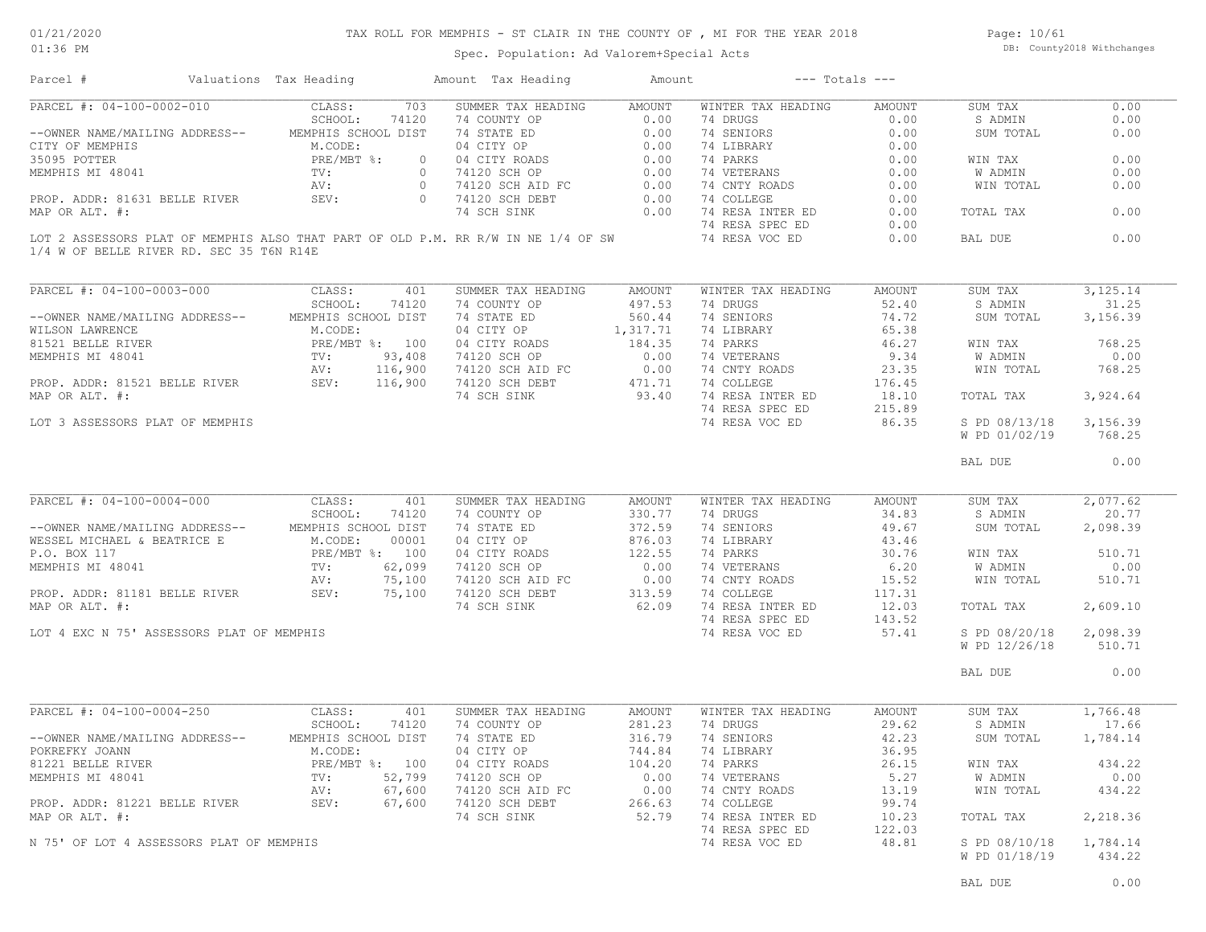### TAX ROLL FOR MEMPHIS - ST CLAIR IN THE COUNTY OF , MI FOR THE YEAR 2018

01:36 PM

### Spec. Population: Ad Valorem+Special Acts

Page: 10/61 DB: County2018 Withchanges

| PARCEL #: 04-100-0002-010<br>0.00<br>CLASS:<br>703<br>SUMMER TAX HEADING<br>AMOUNT<br>WINTER TAX HEADING<br>AMOUNT<br>SUM TAX<br>SCHOOL:<br>74120<br>74 COUNTY OP<br>0.00<br>74 DRUGS<br>S ADMIN<br>0.00<br>0.00<br>74 SENIORS<br>MEMPHIS SCHOOL DIST<br>0.00<br>SUM TOTAL<br>0.00<br>--OWNER NAME/MAILING ADDRESS--<br>15T 74 STATE ED 0.00<br>04 CITY OP 0.00<br>04 CITY ROADS 0.00<br>074120 SCH OP 0.00<br>074120 SCH AID FC 0.00<br>074120 SCH AID FC 0.00<br>074120 SCH DEBT 0.00<br>74 SCH SINK 0.00<br>M.CODE:<br>74 LIBRARY<br>0.00<br>$PRE/MBT$ %:<br>74 PARKS<br>0.00<br>WIN TAX<br>TV:<br>74 VETERANS<br>0.00<br>W ADMIN<br>74 CNTY ROADS<br>AV:<br>0.00<br>WIN TOTAL<br>PROP. ADDR: 81631 BELLE RIVER SEV:<br>74 COLLEGE<br>0.00<br>0.00 74 RESA INTER ED<br>0.00<br>TOTAL TAX<br>74 RESA SPEC ED<br>0.00<br>LOT 2 ASSESSORS PLAT OF MEMPHIS ALSO THAT PART OF OLD P.M. RR R/W IN NE 1/4 OF SW<br>74 RESA VOC ED<br>0.00<br>BAL DUE<br>1/4 W OF BELLE RIVER RD. SEC 35 T6N R14E<br>PARCEL #: 04-100-0003-000<br>CLASS:<br>401<br>SUMMER TAX HEADING<br>AMOUNT<br>WINTER TAX HEADING<br>AMOUNT<br>SUM TAX<br>SCHOOL:<br>74120<br>74 COUNTY OP<br>497.53<br>74 DRUGS<br>52.40<br>S ADMIN<br>74 SENIORS<br>MEMPHIS SCHOOL DIST<br>74 STATE ED<br>560.44<br>74.72<br>--OWNER NAME/MAILING ADDRESS--<br>SUM TOTAL<br>04 CITY OP<br>1,317.71<br>74 LIBRARY<br>65.38<br>VILSON LAWRENCE<br>WILSON LAWRENCE<br>81521 BELLE RIVER<br>MEMPHIS MI 48041 TV:<br>AV:<br>M.CODE:<br>PRE/MBT %: 100<br>04 CITY ROADS<br>184.35<br>74 PARKS<br>46.27<br>WIN TAX<br>74120 SCH OP 0.00<br>74120 SCH AID FC 0.00<br>74120 SCH DEBT 471.71<br>74.001 GIME<br>74 VETERANS<br>9.34<br>93,408<br>W ADMIN<br>AV: 116,900<br>74 CNTY ROADS<br>23.35<br>WIN TOTAL<br>PROP. ADDR: 81521 BELLE RIVER SEV: 116,900<br>74 COLLEGE<br>176.45<br>93.40<br>74 RESA INTER ED<br>MAP OR ALT. #:<br>74 SCH SINK<br>18.10<br>TOTAL TAX<br>74 RESA SPEC ED<br>215.89<br>74 RESA VOC ED<br>86.35<br>S PD 08/13/18<br>LOT 3 ASSESSORS PLAT OF MEMPHIS<br>W PD 01/02/19<br>768.25<br>BAL DUE<br>PARCEL #: 04-100-0004-000<br>CLASS:<br>SUMMER TAX HEADING<br>AMOUNT<br>WINTER TAX HEADING<br>401<br>AMOUNT<br>SUM TAX<br>SCHOOL:<br>74 COUNTY OP<br>330.77<br>74 DRUGS<br>34.83<br>S ADMIN<br>74120<br>372.59<br>--OWNER NAME/MAILING ADDRESS-- MEMPHIS SCHOOL DIST<br>74 STATE ED<br>74 SENIORS<br>49.67<br>SUM TOTAL<br>WESSEL MICHAEL & BEATRICE E M.CODE:<br>876.03<br>04 CITY OP<br>74 LIBRARY<br>00001<br>43.46<br>122.55<br>P.O. BOX 117<br>PRE/MBT %: 100<br>74 PARKS<br>30.76<br>510.71<br>04 CITY ROADS<br>WIN TAX<br>PRE/MI<br>TV:<br>04 CITY ROADS<br>74120 SCH OP 0.00<br>74120 SCH AID FC 0.00<br>74120 SCH DEBT 313.59<br>74 VETERANS<br>MEMPHIS MI 48041<br>62,099<br>6.20<br>W ADMIN<br>75,100<br>74 CNTY ROADS<br>WIN TOTAL<br>AV:<br>15.52<br>SEV:<br>75,100<br>74 COLLEGE<br>PROP. ADDR: 81181 BELLE RIVER<br>117.31<br>62.09<br>MAP OR ALT. #:<br>74 SCH SINK<br>74 RESA INTER ED<br>12.03<br>TOTAL TAX<br>2,609.10<br>74 RESA SPEC ED<br>143.52<br>LOT 4 EXC N 75' ASSESSORS PLAT OF MEMPHIS<br>74 RESA VOC ED<br>57.41<br>S PD 08/20/18<br>2,098.39<br>W PD 12/26/18<br>510.71<br>BAL DUE<br>PARCEL #: 04-100-0004-250<br>CLASS:<br>401<br>SUMMER TAX HEADING<br>AMOUNT<br>WINTER TAX HEADING<br>AMOUNT<br>SUM TAX<br>281.23<br>29.62<br>SCHOOL:<br>74120<br>74 COUNTY OP<br>74 DRUGS<br>S ADMIN<br>--OWNER NAME/MAILING ADDRESS--<br>MEMPHIS SCHOOL DIST<br>74 STATE ED<br>316.79<br>74 SENIORS<br>42.23<br>SUM TOTAL<br>POKREFKY JOANN<br>M.CODE:<br>04 CITY OP<br>744.84<br>74 LIBRARY<br>36.95<br>PRE/MBT %: 100<br>81221 BELLE RIVER<br>04 CITY ROADS<br>104.20<br>74 PARKS<br>26.15<br>WIN TAX<br>52,799<br>0.00<br>5.27<br>MEMPHIS MI 48041<br>$\texttt{TV}$ :<br>74120 SCH OP<br>74 VETERANS<br>W ADMIN<br>67,600<br>0.00<br>13.19<br>74120 SCH AID FC<br>74 CNTY ROADS<br>AV:<br>WIN TOTAL<br>PROP. ADDR: 81221 BELLE RIVER<br>SEV:<br>67,600<br>74120 SCH DEBT<br>266.63<br>74 COLLEGE<br>99.74<br>MAP OR ALT. #:<br>74 SCH SINK<br>52.79<br>74 RESA INTER ED<br>10.23<br>TOTAL TAX<br>74 RESA SPEC ED<br>122.03<br>74 RESA VOC ED<br>48.81<br>N 75' OF LOT 4 ASSESSORS PLAT OF MEMPHIS<br>S PD 08/10/18<br>1,784.14<br>W PD 01/18/19 | Parcel #         | Valuations Tax Heading | Amount Tax Heading | Amount | $---$ Totals $---$ |          |
|--------------------------------------------------------------------------------------------------------------------------------------------------------------------------------------------------------------------------------------------------------------------------------------------------------------------------------------------------------------------------------------------------------------------------------------------------------------------------------------------------------------------------------------------------------------------------------------------------------------------------------------------------------------------------------------------------------------------------------------------------------------------------------------------------------------------------------------------------------------------------------------------------------------------------------------------------------------------------------------------------------------------------------------------------------------------------------------------------------------------------------------------------------------------------------------------------------------------------------------------------------------------------------------------------------------------------------------------------------------------------------------------------------------------------------------------------------------------------------------------------------------------------------------------------------------------------------------------------------------------------------------------------------------------------------------------------------------------------------------------------------------------------------------------------------------------------------------------------------------------------------------------------------------------------------------------------------------------------------------------------------------------------------------------------------------------------------------------------------------------------------------------------------------------------------------------------------------------------------------------------------------------------------------------------------------------------------------------------------------------------------------------------------------------------------------------------------------------------------------------------------------------------------------------------------------------------------------------------------------------------------------------------------------------------------------------------------------------------------------------------------------------------------------------------------------------------------------------------------------------------------------------------------------------------------------------------------------------------------------------------------------------------------------------------------------------------------------------------------------------------------------------------------------------------------------------------------------------------------------------------------------------------------------------------------------------------------------------------------------------------------------------------------------------------------------------------------------------------------------------------------------------------------------------------------------------------------------------------------------------------------------------------------------------------------------------------------------------------------------------------------------------------------------------------------------------------------------------------------------------------------------------------------------------------------------------------------------------------------------------------------------------------------------------------------------------------------------------------------------------------------------------------------------------------------------------------------------------------------------------|------------------|------------------------|--------------------|--------|--------------------|----------|
|                                                                                                                                                                                                                                                                                                                                                                                                                                                                                                                                                                                                                                                                                                                                                                                                                                                                                                                                                                                                                                                                                                                                                                                                                                                                                                                                                                                                                                                                                                                                                                                                                                                                                                                                                                                                                                                                                                                                                                                                                                                                                                                                                                                                                                                                                                                                                                                                                                                                                                                                                                                                                                                                                                                                                                                                                                                                                                                                                                                                                                                                                                                                                                                                                                                                                                                                                                                                                                                                                                                                                                                                                                                                                                                                                                                                                                                                                                                                                                                                                                                                                                                                                                                                                                            |                  |                        |                    |        |                    |          |
|                                                                                                                                                                                                                                                                                                                                                                                                                                                                                                                                                                                                                                                                                                                                                                                                                                                                                                                                                                                                                                                                                                                                                                                                                                                                                                                                                                                                                                                                                                                                                                                                                                                                                                                                                                                                                                                                                                                                                                                                                                                                                                                                                                                                                                                                                                                                                                                                                                                                                                                                                                                                                                                                                                                                                                                                                                                                                                                                                                                                                                                                                                                                                                                                                                                                                                                                                                                                                                                                                                                                                                                                                                                                                                                                                                                                                                                                                                                                                                                                                                                                                                                                                                                                                                            |                  |                        |                    |        |                    |          |
|                                                                                                                                                                                                                                                                                                                                                                                                                                                                                                                                                                                                                                                                                                                                                                                                                                                                                                                                                                                                                                                                                                                                                                                                                                                                                                                                                                                                                                                                                                                                                                                                                                                                                                                                                                                                                                                                                                                                                                                                                                                                                                                                                                                                                                                                                                                                                                                                                                                                                                                                                                                                                                                                                                                                                                                                                                                                                                                                                                                                                                                                                                                                                                                                                                                                                                                                                                                                                                                                                                                                                                                                                                                                                                                                                                                                                                                                                                                                                                                                                                                                                                                                                                                                                                            |                  |                        |                    |        |                    |          |
| 0.00<br>0.00<br>0.00<br>0.00<br>0.00<br>0.00<br>768.25<br>3,924.64<br>3,156.39<br>0.00<br>20.77<br>2,098.39<br>0.00<br>510.71<br>1,784.14<br>434.22<br>0.00<br>434.22<br>2,218.36<br>434.22                                                                                                                                                                                                                                                                                                                                                                                                                                                                                                                                                                                                                                                                                                                                                                                                                                                                                                                                                                                                                                                                                                                                                                                                                                                                                                                                                                                                                                                                                                                                                                                                                                                                                                                                                                                                                                                                                                                                                                                                                                                                                                                                                                                                                                                                                                                                                                                                                                                                                                                                                                                                                                                                                                                                                                                                                                                                                                                                                                                                                                                                                                                                                                                                                                                                                                                                                                                                                                                                                                                                                                                                                                                                                                                                                                                                                                                                                                                                                                                                                                                | CITY OF MEMPHIS  |                        |                    |        |                    |          |
|                                                                                                                                                                                                                                                                                                                                                                                                                                                                                                                                                                                                                                                                                                                                                                                                                                                                                                                                                                                                                                                                                                                                                                                                                                                                                                                                                                                                                                                                                                                                                                                                                                                                                                                                                                                                                                                                                                                                                                                                                                                                                                                                                                                                                                                                                                                                                                                                                                                                                                                                                                                                                                                                                                                                                                                                                                                                                                                                                                                                                                                                                                                                                                                                                                                                                                                                                                                                                                                                                                                                                                                                                                                                                                                                                                                                                                                                                                                                                                                                                                                                                                                                                                                                                                            | 35095 POTTER     |                        |                    |        |                    |          |
|                                                                                                                                                                                                                                                                                                                                                                                                                                                                                                                                                                                                                                                                                                                                                                                                                                                                                                                                                                                                                                                                                                                                                                                                                                                                                                                                                                                                                                                                                                                                                                                                                                                                                                                                                                                                                                                                                                                                                                                                                                                                                                                                                                                                                                                                                                                                                                                                                                                                                                                                                                                                                                                                                                                                                                                                                                                                                                                                                                                                                                                                                                                                                                                                                                                                                                                                                                                                                                                                                                                                                                                                                                                                                                                                                                                                                                                                                                                                                                                                                                                                                                                                                                                                                                            | MEMPHIS MI 48041 |                        |                    |        |                    |          |
|                                                                                                                                                                                                                                                                                                                                                                                                                                                                                                                                                                                                                                                                                                                                                                                                                                                                                                                                                                                                                                                                                                                                                                                                                                                                                                                                                                                                                                                                                                                                                                                                                                                                                                                                                                                                                                                                                                                                                                                                                                                                                                                                                                                                                                                                                                                                                                                                                                                                                                                                                                                                                                                                                                                                                                                                                                                                                                                                                                                                                                                                                                                                                                                                                                                                                                                                                                                                                                                                                                                                                                                                                                                                                                                                                                                                                                                                                                                                                                                                                                                                                                                                                                                                                                            |                  |                        |                    |        |                    |          |
|                                                                                                                                                                                                                                                                                                                                                                                                                                                                                                                                                                                                                                                                                                                                                                                                                                                                                                                                                                                                                                                                                                                                                                                                                                                                                                                                                                                                                                                                                                                                                                                                                                                                                                                                                                                                                                                                                                                                                                                                                                                                                                                                                                                                                                                                                                                                                                                                                                                                                                                                                                                                                                                                                                                                                                                                                                                                                                                                                                                                                                                                                                                                                                                                                                                                                                                                                                                                                                                                                                                                                                                                                                                                                                                                                                                                                                                                                                                                                                                                                                                                                                                                                                                                                                            |                  |                        |                    |        |                    |          |
|                                                                                                                                                                                                                                                                                                                                                                                                                                                                                                                                                                                                                                                                                                                                                                                                                                                                                                                                                                                                                                                                                                                                                                                                                                                                                                                                                                                                                                                                                                                                                                                                                                                                                                                                                                                                                                                                                                                                                                                                                                                                                                                                                                                                                                                                                                                                                                                                                                                                                                                                                                                                                                                                                                                                                                                                                                                                                                                                                                                                                                                                                                                                                                                                                                                                                                                                                                                                                                                                                                                                                                                                                                                                                                                                                                                                                                                                                                                                                                                                                                                                                                                                                                                                                                            | MAP OR ALT. #:   |                        |                    |        |                    |          |
|                                                                                                                                                                                                                                                                                                                                                                                                                                                                                                                                                                                                                                                                                                                                                                                                                                                                                                                                                                                                                                                                                                                                                                                                                                                                                                                                                                                                                                                                                                                                                                                                                                                                                                                                                                                                                                                                                                                                                                                                                                                                                                                                                                                                                                                                                                                                                                                                                                                                                                                                                                                                                                                                                                                                                                                                                                                                                                                                                                                                                                                                                                                                                                                                                                                                                                                                                                                                                                                                                                                                                                                                                                                                                                                                                                                                                                                                                                                                                                                                                                                                                                                                                                                                                                            |                  |                        |                    |        |                    |          |
|                                                                                                                                                                                                                                                                                                                                                                                                                                                                                                                                                                                                                                                                                                                                                                                                                                                                                                                                                                                                                                                                                                                                                                                                                                                                                                                                                                                                                                                                                                                                                                                                                                                                                                                                                                                                                                                                                                                                                                                                                                                                                                                                                                                                                                                                                                                                                                                                                                                                                                                                                                                                                                                                                                                                                                                                                                                                                                                                                                                                                                                                                                                                                                                                                                                                                                                                                                                                                                                                                                                                                                                                                                                                                                                                                                                                                                                                                                                                                                                                                                                                                                                                                                                                                                            |                  |                        |                    |        |                    |          |
|                                                                                                                                                                                                                                                                                                                                                                                                                                                                                                                                                                                                                                                                                                                                                                                                                                                                                                                                                                                                                                                                                                                                                                                                                                                                                                                                                                                                                                                                                                                                                                                                                                                                                                                                                                                                                                                                                                                                                                                                                                                                                                                                                                                                                                                                                                                                                                                                                                                                                                                                                                                                                                                                                                                                                                                                                                                                                                                                                                                                                                                                                                                                                                                                                                                                                                                                                                                                                                                                                                                                                                                                                                                                                                                                                                                                                                                                                                                                                                                                                                                                                                                                                                                                                                            |                  |                        |                    |        |                    |          |
|                                                                                                                                                                                                                                                                                                                                                                                                                                                                                                                                                                                                                                                                                                                                                                                                                                                                                                                                                                                                                                                                                                                                                                                                                                                                                                                                                                                                                                                                                                                                                                                                                                                                                                                                                                                                                                                                                                                                                                                                                                                                                                                                                                                                                                                                                                                                                                                                                                                                                                                                                                                                                                                                                                                                                                                                                                                                                                                                                                                                                                                                                                                                                                                                                                                                                                                                                                                                                                                                                                                                                                                                                                                                                                                                                                                                                                                                                                                                                                                                                                                                                                                                                                                                                                            |                  |                        |                    |        |                    | 3,125.14 |
|                                                                                                                                                                                                                                                                                                                                                                                                                                                                                                                                                                                                                                                                                                                                                                                                                                                                                                                                                                                                                                                                                                                                                                                                                                                                                                                                                                                                                                                                                                                                                                                                                                                                                                                                                                                                                                                                                                                                                                                                                                                                                                                                                                                                                                                                                                                                                                                                                                                                                                                                                                                                                                                                                                                                                                                                                                                                                                                                                                                                                                                                                                                                                                                                                                                                                                                                                                                                                                                                                                                                                                                                                                                                                                                                                                                                                                                                                                                                                                                                                                                                                                                                                                                                                                            |                  |                        |                    |        |                    | 31.25    |
|                                                                                                                                                                                                                                                                                                                                                                                                                                                                                                                                                                                                                                                                                                                                                                                                                                                                                                                                                                                                                                                                                                                                                                                                                                                                                                                                                                                                                                                                                                                                                                                                                                                                                                                                                                                                                                                                                                                                                                                                                                                                                                                                                                                                                                                                                                                                                                                                                                                                                                                                                                                                                                                                                                                                                                                                                                                                                                                                                                                                                                                                                                                                                                                                                                                                                                                                                                                                                                                                                                                                                                                                                                                                                                                                                                                                                                                                                                                                                                                                                                                                                                                                                                                                                                            |                  |                        |                    |        |                    | 3,156.39 |
|                                                                                                                                                                                                                                                                                                                                                                                                                                                                                                                                                                                                                                                                                                                                                                                                                                                                                                                                                                                                                                                                                                                                                                                                                                                                                                                                                                                                                                                                                                                                                                                                                                                                                                                                                                                                                                                                                                                                                                                                                                                                                                                                                                                                                                                                                                                                                                                                                                                                                                                                                                                                                                                                                                                                                                                                                                                                                                                                                                                                                                                                                                                                                                                                                                                                                                                                                                                                                                                                                                                                                                                                                                                                                                                                                                                                                                                                                                                                                                                                                                                                                                                                                                                                                                            |                  |                        |                    |        |                    |          |
|                                                                                                                                                                                                                                                                                                                                                                                                                                                                                                                                                                                                                                                                                                                                                                                                                                                                                                                                                                                                                                                                                                                                                                                                                                                                                                                                                                                                                                                                                                                                                                                                                                                                                                                                                                                                                                                                                                                                                                                                                                                                                                                                                                                                                                                                                                                                                                                                                                                                                                                                                                                                                                                                                                                                                                                                                                                                                                                                                                                                                                                                                                                                                                                                                                                                                                                                                                                                                                                                                                                                                                                                                                                                                                                                                                                                                                                                                                                                                                                                                                                                                                                                                                                                                                            |                  |                        |                    |        |                    | 768.25   |
|                                                                                                                                                                                                                                                                                                                                                                                                                                                                                                                                                                                                                                                                                                                                                                                                                                                                                                                                                                                                                                                                                                                                                                                                                                                                                                                                                                                                                                                                                                                                                                                                                                                                                                                                                                                                                                                                                                                                                                                                                                                                                                                                                                                                                                                                                                                                                                                                                                                                                                                                                                                                                                                                                                                                                                                                                                                                                                                                                                                                                                                                                                                                                                                                                                                                                                                                                                                                                                                                                                                                                                                                                                                                                                                                                                                                                                                                                                                                                                                                                                                                                                                                                                                                                                            |                  |                        |                    |        |                    |          |
|                                                                                                                                                                                                                                                                                                                                                                                                                                                                                                                                                                                                                                                                                                                                                                                                                                                                                                                                                                                                                                                                                                                                                                                                                                                                                                                                                                                                                                                                                                                                                                                                                                                                                                                                                                                                                                                                                                                                                                                                                                                                                                                                                                                                                                                                                                                                                                                                                                                                                                                                                                                                                                                                                                                                                                                                                                                                                                                                                                                                                                                                                                                                                                                                                                                                                                                                                                                                                                                                                                                                                                                                                                                                                                                                                                                                                                                                                                                                                                                                                                                                                                                                                                                                                                            |                  |                        |                    |        |                    |          |
|                                                                                                                                                                                                                                                                                                                                                                                                                                                                                                                                                                                                                                                                                                                                                                                                                                                                                                                                                                                                                                                                                                                                                                                                                                                                                                                                                                                                                                                                                                                                                                                                                                                                                                                                                                                                                                                                                                                                                                                                                                                                                                                                                                                                                                                                                                                                                                                                                                                                                                                                                                                                                                                                                                                                                                                                                                                                                                                                                                                                                                                                                                                                                                                                                                                                                                                                                                                                                                                                                                                                                                                                                                                                                                                                                                                                                                                                                                                                                                                                                                                                                                                                                                                                                                            |                  |                        |                    |        |                    |          |
|                                                                                                                                                                                                                                                                                                                                                                                                                                                                                                                                                                                                                                                                                                                                                                                                                                                                                                                                                                                                                                                                                                                                                                                                                                                                                                                                                                                                                                                                                                                                                                                                                                                                                                                                                                                                                                                                                                                                                                                                                                                                                                                                                                                                                                                                                                                                                                                                                                                                                                                                                                                                                                                                                                                                                                                                                                                                                                                                                                                                                                                                                                                                                                                                                                                                                                                                                                                                                                                                                                                                                                                                                                                                                                                                                                                                                                                                                                                                                                                                                                                                                                                                                                                                                                            |                  |                        |                    |        |                    |          |
|                                                                                                                                                                                                                                                                                                                                                                                                                                                                                                                                                                                                                                                                                                                                                                                                                                                                                                                                                                                                                                                                                                                                                                                                                                                                                                                                                                                                                                                                                                                                                                                                                                                                                                                                                                                                                                                                                                                                                                                                                                                                                                                                                                                                                                                                                                                                                                                                                                                                                                                                                                                                                                                                                                                                                                                                                                                                                                                                                                                                                                                                                                                                                                                                                                                                                                                                                                                                                                                                                                                                                                                                                                                                                                                                                                                                                                                                                                                                                                                                                                                                                                                                                                                                                                            |                  |                        |                    |        |                    |          |
|                                                                                                                                                                                                                                                                                                                                                                                                                                                                                                                                                                                                                                                                                                                                                                                                                                                                                                                                                                                                                                                                                                                                                                                                                                                                                                                                                                                                                                                                                                                                                                                                                                                                                                                                                                                                                                                                                                                                                                                                                                                                                                                                                                                                                                                                                                                                                                                                                                                                                                                                                                                                                                                                                                                                                                                                                                                                                                                                                                                                                                                                                                                                                                                                                                                                                                                                                                                                                                                                                                                                                                                                                                                                                                                                                                                                                                                                                                                                                                                                                                                                                                                                                                                                                                            |                  |                        |                    |        |                    |          |
|                                                                                                                                                                                                                                                                                                                                                                                                                                                                                                                                                                                                                                                                                                                                                                                                                                                                                                                                                                                                                                                                                                                                                                                                                                                                                                                                                                                                                                                                                                                                                                                                                                                                                                                                                                                                                                                                                                                                                                                                                                                                                                                                                                                                                                                                                                                                                                                                                                                                                                                                                                                                                                                                                                                                                                                                                                                                                                                                                                                                                                                                                                                                                                                                                                                                                                                                                                                                                                                                                                                                                                                                                                                                                                                                                                                                                                                                                                                                                                                                                                                                                                                                                                                                                                            |                  |                        |                    |        |                    |          |
|                                                                                                                                                                                                                                                                                                                                                                                                                                                                                                                                                                                                                                                                                                                                                                                                                                                                                                                                                                                                                                                                                                                                                                                                                                                                                                                                                                                                                                                                                                                                                                                                                                                                                                                                                                                                                                                                                                                                                                                                                                                                                                                                                                                                                                                                                                                                                                                                                                                                                                                                                                                                                                                                                                                                                                                                                                                                                                                                                                                                                                                                                                                                                                                                                                                                                                                                                                                                                                                                                                                                                                                                                                                                                                                                                                                                                                                                                                                                                                                                                                                                                                                                                                                                                                            |                  |                        |                    |        |                    |          |
|                                                                                                                                                                                                                                                                                                                                                                                                                                                                                                                                                                                                                                                                                                                                                                                                                                                                                                                                                                                                                                                                                                                                                                                                                                                                                                                                                                                                                                                                                                                                                                                                                                                                                                                                                                                                                                                                                                                                                                                                                                                                                                                                                                                                                                                                                                                                                                                                                                                                                                                                                                                                                                                                                                                                                                                                                                                                                                                                                                                                                                                                                                                                                                                                                                                                                                                                                                                                                                                                                                                                                                                                                                                                                                                                                                                                                                                                                                                                                                                                                                                                                                                                                                                                                                            |                  |                        |                    |        |                    |          |
|                                                                                                                                                                                                                                                                                                                                                                                                                                                                                                                                                                                                                                                                                                                                                                                                                                                                                                                                                                                                                                                                                                                                                                                                                                                                                                                                                                                                                                                                                                                                                                                                                                                                                                                                                                                                                                                                                                                                                                                                                                                                                                                                                                                                                                                                                                                                                                                                                                                                                                                                                                                                                                                                                                                                                                                                                                                                                                                                                                                                                                                                                                                                                                                                                                                                                                                                                                                                                                                                                                                                                                                                                                                                                                                                                                                                                                                                                                                                                                                                                                                                                                                                                                                                                                            |                  |                        |                    |        |                    |          |
|                                                                                                                                                                                                                                                                                                                                                                                                                                                                                                                                                                                                                                                                                                                                                                                                                                                                                                                                                                                                                                                                                                                                                                                                                                                                                                                                                                                                                                                                                                                                                                                                                                                                                                                                                                                                                                                                                                                                                                                                                                                                                                                                                                                                                                                                                                                                                                                                                                                                                                                                                                                                                                                                                                                                                                                                                                                                                                                                                                                                                                                                                                                                                                                                                                                                                                                                                                                                                                                                                                                                                                                                                                                                                                                                                                                                                                                                                                                                                                                                                                                                                                                                                                                                                                            |                  |                        |                    |        |                    |          |
|                                                                                                                                                                                                                                                                                                                                                                                                                                                                                                                                                                                                                                                                                                                                                                                                                                                                                                                                                                                                                                                                                                                                                                                                                                                                                                                                                                                                                                                                                                                                                                                                                                                                                                                                                                                                                                                                                                                                                                                                                                                                                                                                                                                                                                                                                                                                                                                                                                                                                                                                                                                                                                                                                                                                                                                                                                                                                                                                                                                                                                                                                                                                                                                                                                                                                                                                                                                                                                                                                                                                                                                                                                                                                                                                                                                                                                                                                                                                                                                                                                                                                                                                                                                                                                            |                  |                        |                    |        |                    | 2,077.62 |
|                                                                                                                                                                                                                                                                                                                                                                                                                                                                                                                                                                                                                                                                                                                                                                                                                                                                                                                                                                                                                                                                                                                                                                                                                                                                                                                                                                                                                                                                                                                                                                                                                                                                                                                                                                                                                                                                                                                                                                                                                                                                                                                                                                                                                                                                                                                                                                                                                                                                                                                                                                                                                                                                                                                                                                                                                                                                                                                                                                                                                                                                                                                                                                                                                                                                                                                                                                                                                                                                                                                                                                                                                                                                                                                                                                                                                                                                                                                                                                                                                                                                                                                                                                                                                                            |                  |                        |                    |        |                    |          |
|                                                                                                                                                                                                                                                                                                                                                                                                                                                                                                                                                                                                                                                                                                                                                                                                                                                                                                                                                                                                                                                                                                                                                                                                                                                                                                                                                                                                                                                                                                                                                                                                                                                                                                                                                                                                                                                                                                                                                                                                                                                                                                                                                                                                                                                                                                                                                                                                                                                                                                                                                                                                                                                                                                                                                                                                                                                                                                                                                                                                                                                                                                                                                                                                                                                                                                                                                                                                                                                                                                                                                                                                                                                                                                                                                                                                                                                                                                                                                                                                                                                                                                                                                                                                                                            |                  |                        |                    |        |                    |          |
|                                                                                                                                                                                                                                                                                                                                                                                                                                                                                                                                                                                                                                                                                                                                                                                                                                                                                                                                                                                                                                                                                                                                                                                                                                                                                                                                                                                                                                                                                                                                                                                                                                                                                                                                                                                                                                                                                                                                                                                                                                                                                                                                                                                                                                                                                                                                                                                                                                                                                                                                                                                                                                                                                                                                                                                                                                                                                                                                                                                                                                                                                                                                                                                                                                                                                                                                                                                                                                                                                                                                                                                                                                                                                                                                                                                                                                                                                                                                                                                                                                                                                                                                                                                                                                            |                  |                        |                    |        |                    |          |
|                                                                                                                                                                                                                                                                                                                                                                                                                                                                                                                                                                                                                                                                                                                                                                                                                                                                                                                                                                                                                                                                                                                                                                                                                                                                                                                                                                                                                                                                                                                                                                                                                                                                                                                                                                                                                                                                                                                                                                                                                                                                                                                                                                                                                                                                                                                                                                                                                                                                                                                                                                                                                                                                                                                                                                                                                                                                                                                                                                                                                                                                                                                                                                                                                                                                                                                                                                                                                                                                                                                                                                                                                                                                                                                                                                                                                                                                                                                                                                                                                                                                                                                                                                                                                                            |                  |                        |                    |        |                    |          |
|                                                                                                                                                                                                                                                                                                                                                                                                                                                                                                                                                                                                                                                                                                                                                                                                                                                                                                                                                                                                                                                                                                                                                                                                                                                                                                                                                                                                                                                                                                                                                                                                                                                                                                                                                                                                                                                                                                                                                                                                                                                                                                                                                                                                                                                                                                                                                                                                                                                                                                                                                                                                                                                                                                                                                                                                                                                                                                                                                                                                                                                                                                                                                                                                                                                                                                                                                                                                                                                                                                                                                                                                                                                                                                                                                                                                                                                                                                                                                                                                                                                                                                                                                                                                                                            |                  |                        |                    |        |                    |          |
|                                                                                                                                                                                                                                                                                                                                                                                                                                                                                                                                                                                                                                                                                                                                                                                                                                                                                                                                                                                                                                                                                                                                                                                                                                                                                                                                                                                                                                                                                                                                                                                                                                                                                                                                                                                                                                                                                                                                                                                                                                                                                                                                                                                                                                                                                                                                                                                                                                                                                                                                                                                                                                                                                                                                                                                                                                                                                                                                                                                                                                                                                                                                                                                                                                                                                                                                                                                                                                                                                                                                                                                                                                                                                                                                                                                                                                                                                                                                                                                                                                                                                                                                                                                                                                            |                  |                        |                    |        |                    |          |
|                                                                                                                                                                                                                                                                                                                                                                                                                                                                                                                                                                                                                                                                                                                                                                                                                                                                                                                                                                                                                                                                                                                                                                                                                                                                                                                                                                                                                                                                                                                                                                                                                                                                                                                                                                                                                                                                                                                                                                                                                                                                                                                                                                                                                                                                                                                                                                                                                                                                                                                                                                                                                                                                                                                                                                                                                                                                                                                                                                                                                                                                                                                                                                                                                                                                                                                                                                                                                                                                                                                                                                                                                                                                                                                                                                                                                                                                                                                                                                                                                                                                                                                                                                                                                                            |                  |                        |                    |        |                    |          |
|                                                                                                                                                                                                                                                                                                                                                                                                                                                                                                                                                                                                                                                                                                                                                                                                                                                                                                                                                                                                                                                                                                                                                                                                                                                                                                                                                                                                                                                                                                                                                                                                                                                                                                                                                                                                                                                                                                                                                                                                                                                                                                                                                                                                                                                                                                                                                                                                                                                                                                                                                                                                                                                                                                                                                                                                                                                                                                                                                                                                                                                                                                                                                                                                                                                                                                                                                                                                                                                                                                                                                                                                                                                                                                                                                                                                                                                                                                                                                                                                                                                                                                                                                                                                                                            |                  |                        |                    |        |                    |          |
|                                                                                                                                                                                                                                                                                                                                                                                                                                                                                                                                                                                                                                                                                                                                                                                                                                                                                                                                                                                                                                                                                                                                                                                                                                                                                                                                                                                                                                                                                                                                                                                                                                                                                                                                                                                                                                                                                                                                                                                                                                                                                                                                                                                                                                                                                                                                                                                                                                                                                                                                                                                                                                                                                                                                                                                                                                                                                                                                                                                                                                                                                                                                                                                                                                                                                                                                                                                                                                                                                                                                                                                                                                                                                                                                                                                                                                                                                                                                                                                                                                                                                                                                                                                                                                            |                  |                        |                    |        |                    |          |
|                                                                                                                                                                                                                                                                                                                                                                                                                                                                                                                                                                                                                                                                                                                                                                                                                                                                                                                                                                                                                                                                                                                                                                                                                                                                                                                                                                                                                                                                                                                                                                                                                                                                                                                                                                                                                                                                                                                                                                                                                                                                                                                                                                                                                                                                                                                                                                                                                                                                                                                                                                                                                                                                                                                                                                                                                                                                                                                                                                                                                                                                                                                                                                                                                                                                                                                                                                                                                                                                                                                                                                                                                                                                                                                                                                                                                                                                                                                                                                                                                                                                                                                                                                                                                                            |                  |                        |                    |        |                    |          |
|                                                                                                                                                                                                                                                                                                                                                                                                                                                                                                                                                                                                                                                                                                                                                                                                                                                                                                                                                                                                                                                                                                                                                                                                                                                                                                                                                                                                                                                                                                                                                                                                                                                                                                                                                                                                                                                                                                                                                                                                                                                                                                                                                                                                                                                                                                                                                                                                                                                                                                                                                                                                                                                                                                                                                                                                                                                                                                                                                                                                                                                                                                                                                                                                                                                                                                                                                                                                                                                                                                                                                                                                                                                                                                                                                                                                                                                                                                                                                                                                                                                                                                                                                                                                                                            |                  |                        |                    |        |                    |          |
|                                                                                                                                                                                                                                                                                                                                                                                                                                                                                                                                                                                                                                                                                                                                                                                                                                                                                                                                                                                                                                                                                                                                                                                                                                                                                                                                                                                                                                                                                                                                                                                                                                                                                                                                                                                                                                                                                                                                                                                                                                                                                                                                                                                                                                                                                                                                                                                                                                                                                                                                                                                                                                                                                                                                                                                                                                                                                                                                                                                                                                                                                                                                                                                                                                                                                                                                                                                                                                                                                                                                                                                                                                                                                                                                                                                                                                                                                                                                                                                                                                                                                                                                                                                                                                            |                  |                        |                    |        |                    |          |
|                                                                                                                                                                                                                                                                                                                                                                                                                                                                                                                                                                                                                                                                                                                                                                                                                                                                                                                                                                                                                                                                                                                                                                                                                                                                                                                                                                                                                                                                                                                                                                                                                                                                                                                                                                                                                                                                                                                                                                                                                                                                                                                                                                                                                                                                                                                                                                                                                                                                                                                                                                                                                                                                                                                                                                                                                                                                                                                                                                                                                                                                                                                                                                                                                                                                                                                                                                                                                                                                                                                                                                                                                                                                                                                                                                                                                                                                                                                                                                                                                                                                                                                                                                                                                                            |                  |                        |                    |        |                    | 0.00     |
|                                                                                                                                                                                                                                                                                                                                                                                                                                                                                                                                                                                                                                                                                                                                                                                                                                                                                                                                                                                                                                                                                                                                                                                                                                                                                                                                                                                                                                                                                                                                                                                                                                                                                                                                                                                                                                                                                                                                                                                                                                                                                                                                                                                                                                                                                                                                                                                                                                                                                                                                                                                                                                                                                                                                                                                                                                                                                                                                                                                                                                                                                                                                                                                                                                                                                                                                                                                                                                                                                                                                                                                                                                                                                                                                                                                                                                                                                                                                                                                                                                                                                                                                                                                                                                            |                  |                        |                    |        |                    |          |
|                                                                                                                                                                                                                                                                                                                                                                                                                                                                                                                                                                                                                                                                                                                                                                                                                                                                                                                                                                                                                                                                                                                                                                                                                                                                                                                                                                                                                                                                                                                                                                                                                                                                                                                                                                                                                                                                                                                                                                                                                                                                                                                                                                                                                                                                                                                                                                                                                                                                                                                                                                                                                                                                                                                                                                                                                                                                                                                                                                                                                                                                                                                                                                                                                                                                                                                                                                                                                                                                                                                                                                                                                                                                                                                                                                                                                                                                                                                                                                                                                                                                                                                                                                                                                                            |                  |                        |                    |        |                    | 1,766.48 |
|                                                                                                                                                                                                                                                                                                                                                                                                                                                                                                                                                                                                                                                                                                                                                                                                                                                                                                                                                                                                                                                                                                                                                                                                                                                                                                                                                                                                                                                                                                                                                                                                                                                                                                                                                                                                                                                                                                                                                                                                                                                                                                                                                                                                                                                                                                                                                                                                                                                                                                                                                                                                                                                                                                                                                                                                                                                                                                                                                                                                                                                                                                                                                                                                                                                                                                                                                                                                                                                                                                                                                                                                                                                                                                                                                                                                                                                                                                                                                                                                                                                                                                                                                                                                                                            |                  |                        |                    |        |                    | 17.66    |
|                                                                                                                                                                                                                                                                                                                                                                                                                                                                                                                                                                                                                                                                                                                                                                                                                                                                                                                                                                                                                                                                                                                                                                                                                                                                                                                                                                                                                                                                                                                                                                                                                                                                                                                                                                                                                                                                                                                                                                                                                                                                                                                                                                                                                                                                                                                                                                                                                                                                                                                                                                                                                                                                                                                                                                                                                                                                                                                                                                                                                                                                                                                                                                                                                                                                                                                                                                                                                                                                                                                                                                                                                                                                                                                                                                                                                                                                                                                                                                                                                                                                                                                                                                                                                                            |                  |                        |                    |        |                    |          |
|                                                                                                                                                                                                                                                                                                                                                                                                                                                                                                                                                                                                                                                                                                                                                                                                                                                                                                                                                                                                                                                                                                                                                                                                                                                                                                                                                                                                                                                                                                                                                                                                                                                                                                                                                                                                                                                                                                                                                                                                                                                                                                                                                                                                                                                                                                                                                                                                                                                                                                                                                                                                                                                                                                                                                                                                                                                                                                                                                                                                                                                                                                                                                                                                                                                                                                                                                                                                                                                                                                                                                                                                                                                                                                                                                                                                                                                                                                                                                                                                                                                                                                                                                                                                                                            |                  |                        |                    |        |                    |          |
|                                                                                                                                                                                                                                                                                                                                                                                                                                                                                                                                                                                                                                                                                                                                                                                                                                                                                                                                                                                                                                                                                                                                                                                                                                                                                                                                                                                                                                                                                                                                                                                                                                                                                                                                                                                                                                                                                                                                                                                                                                                                                                                                                                                                                                                                                                                                                                                                                                                                                                                                                                                                                                                                                                                                                                                                                                                                                                                                                                                                                                                                                                                                                                                                                                                                                                                                                                                                                                                                                                                                                                                                                                                                                                                                                                                                                                                                                                                                                                                                                                                                                                                                                                                                                                            |                  |                        |                    |        |                    |          |
|                                                                                                                                                                                                                                                                                                                                                                                                                                                                                                                                                                                                                                                                                                                                                                                                                                                                                                                                                                                                                                                                                                                                                                                                                                                                                                                                                                                                                                                                                                                                                                                                                                                                                                                                                                                                                                                                                                                                                                                                                                                                                                                                                                                                                                                                                                                                                                                                                                                                                                                                                                                                                                                                                                                                                                                                                                                                                                                                                                                                                                                                                                                                                                                                                                                                                                                                                                                                                                                                                                                                                                                                                                                                                                                                                                                                                                                                                                                                                                                                                                                                                                                                                                                                                                            |                  |                        |                    |        |                    |          |
|                                                                                                                                                                                                                                                                                                                                                                                                                                                                                                                                                                                                                                                                                                                                                                                                                                                                                                                                                                                                                                                                                                                                                                                                                                                                                                                                                                                                                                                                                                                                                                                                                                                                                                                                                                                                                                                                                                                                                                                                                                                                                                                                                                                                                                                                                                                                                                                                                                                                                                                                                                                                                                                                                                                                                                                                                                                                                                                                                                                                                                                                                                                                                                                                                                                                                                                                                                                                                                                                                                                                                                                                                                                                                                                                                                                                                                                                                                                                                                                                                                                                                                                                                                                                                                            |                  |                        |                    |        |                    |          |
|                                                                                                                                                                                                                                                                                                                                                                                                                                                                                                                                                                                                                                                                                                                                                                                                                                                                                                                                                                                                                                                                                                                                                                                                                                                                                                                                                                                                                                                                                                                                                                                                                                                                                                                                                                                                                                                                                                                                                                                                                                                                                                                                                                                                                                                                                                                                                                                                                                                                                                                                                                                                                                                                                                                                                                                                                                                                                                                                                                                                                                                                                                                                                                                                                                                                                                                                                                                                                                                                                                                                                                                                                                                                                                                                                                                                                                                                                                                                                                                                                                                                                                                                                                                                                                            |                  |                        |                    |        |                    |          |
|                                                                                                                                                                                                                                                                                                                                                                                                                                                                                                                                                                                                                                                                                                                                                                                                                                                                                                                                                                                                                                                                                                                                                                                                                                                                                                                                                                                                                                                                                                                                                                                                                                                                                                                                                                                                                                                                                                                                                                                                                                                                                                                                                                                                                                                                                                                                                                                                                                                                                                                                                                                                                                                                                                                                                                                                                                                                                                                                                                                                                                                                                                                                                                                                                                                                                                                                                                                                                                                                                                                                                                                                                                                                                                                                                                                                                                                                                                                                                                                                                                                                                                                                                                                                                                            |                  |                        |                    |        |                    |          |
|                                                                                                                                                                                                                                                                                                                                                                                                                                                                                                                                                                                                                                                                                                                                                                                                                                                                                                                                                                                                                                                                                                                                                                                                                                                                                                                                                                                                                                                                                                                                                                                                                                                                                                                                                                                                                                                                                                                                                                                                                                                                                                                                                                                                                                                                                                                                                                                                                                                                                                                                                                                                                                                                                                                                                                                                                                                                                                                                                                                                                                                                                                                                                                                                                                                                                                                                                                                                                                                                                                                                                                                                                                                                                                                                                                                                                                                                                                                                                                                                                                                                                                                                                                                                                                            |                  |                        |                    |        |                    |          |
|                                                                                                                                                                                                                                                                                                                                                                                                                                                                                                                                                                                                                                                                                                                                                                                                                                                                                                                                                                                                                                                                                                                                                                                                                                                                                                                                                                                                                                                                                                                                                                                                                                                                                                                                                                                                                                                                                                                                                                                                                                                                                                                                                                                                                                                                                                                                                                                                                                                                                                                                                                                                                                                                                                                                                                                                                                                                                                                                                                                                                                                                                                                                                                                                                                                                                                                                                                                                                                                                                                                                                                                                                                                                                                                                                                                                                                                                                                                                                                                                                                                                                                                                                                                                                                            |                  |                        |                    |        |                    |          |
|                                                                                                                                                                                                                                                                                                                                                                                                                                                                                                                                                                                                                                                                                                                                                                                                                                                                                                                                                                                                                                                                                                                                                                                                                                                                                                                                                                                                                                                                                                                                                                                                                                                                                                                                                                                                                                                                                                                                                                                                                                                                                                                                                                                                                                                                                                                                                                                                                                                                                                                                                                                                                                                                                                                                                                                                                                                                                                                                                                                                                                                                                                                                                                                                                                                                                                                                                                                                                                                                                                                                                                                                                                                                                                                                                                                                                                                                                                                                                                                                                                                                                                                                                                                                                                            |                  |                        |                    |        |                    |          |
|                                                                                                                                                                                                                                                                                                                                                                                                                                                                                                                                                                                                                                                                                                                                                                                                                                                                                                                                                                                                                                                                                                                                                                                                                                                                                                                                                                                                                                                                                                                                                                                                                                                                                                                                                                                                                                                                                                                                                                                                                                                                                                                                                                                                                                                                                                                                                                                                                                                                                                                                                                                                                                                                                                                                                                                                                                                                                                                                                                                                                                                                                                                                                                                                                                                                                                                                                                                                                                                                                                                                                                                                                                                                                                                                                                                                                                                                                                                                                                                                                                                                                                                                                                                                                                            |                  |                        |                    |        |                    |          |

BAL DUE  $0.00$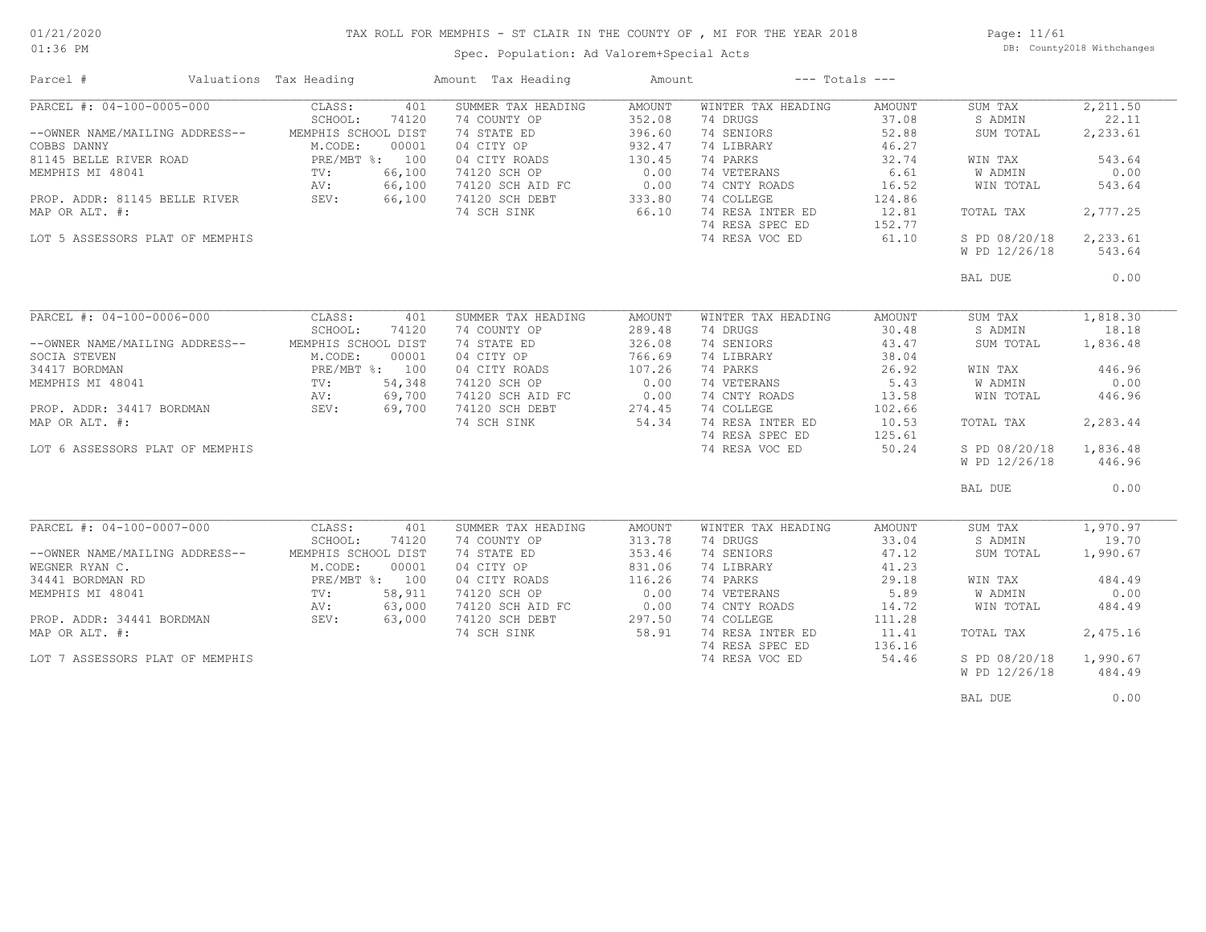### TAX ROLL FOR MEMPHIS - ST CLAIR IN THE COUNTY OF , MI FOR THE YEAR 2018

Spec. Population: Ad Valorem+Special Acts

Page: 11/61 DB: County2018 Withchanges

| Parcel #                        | Valuations Tax Heading | Amount Tax Heading         | Amount | $---$ Totals $---$ |        |               |          |
|---------------------------------|------------------------|----------------------------|--------|--------------------|--------|---------------|----------|
| PARCEL #: 04-100-0005-000       | CLASS:                 | 401<br>SUMMER TAX HEADING  | AMOUNT | WINTER TAX HEADING | AMOUNT | SUM TAX       | 2,211.50 |
|                                 | SCHOOL:                | 74 COUNTY OP<br>74120      | 352.08 | 74 DRUGS           | 37.08  | S ADMIN       | 22.11    |
| --OWNER NAME/MAILING ADDRESS--  | MEMPHIS SCHOOL DIST    | 74 STATE ED                | 396.60 | 74 SENIORS         | 52.88  | SUM TOTAL     | 2,233.61 |
| COBBS DANNY                     | M.CODE:                | 04 CITY OP<br>00001        | 932.47 | 74 LIBRARY         | 46.27  |               |          |
| 81145 BELLE RIVER ROAD          | PRE/MBT %: 100         | 04 CITY ROADS              | 130.45 | 74 PARKS           | 32.74  | WIN TAX       | 543.64   |
| MEMPHIS MI 48041                | TV:                    | 66,100<br>74120 SCH OP     | 0.00   | 74 VETERANS        | 6.61   | W ADMIN       | 0.00     |
|                                 | AV:                    | 66,100<br>74120 SCH AID FC | 0.00   | 74 CNTY ROADS      | 16.52  | WIN TOTAL     | 543.64   |
| PROP. ADDR: 81145 BELLE RIVER   | SEV:                   | 66,100<br>74120 SCH DEBT   | 333.80 | 74 COLLEGE         | 124.86 |               |          |
| MAP OR ALT. #:                  |                        | 74 SCH SINK                | 66.10  | 74 RESA INTER ED   | 12.81  | TOTAL TAX     | 2,777.25 |
|                                 |                        |                            |        | 74 RESA SPEC ED    | 152.77 |               |          |
| LOT 5 ASSESSORS PLAT OF MEMPHIS |                        |                            |        | 74 RESA VOC ED     | 61.10  | S PD 08/20/18 | 2,233.61 |
|                                 |                        |                            |        |                    |        | W PD 12/26/18 | 543.64   |
|                                 |                        |                            |        |                    |        |               |          |
|                                 |                        |                            |        |                    |        | BAL DUE       | 0.00     |
|                                 |                        |                            |        |                    |        |               |          |
| PARCEL #: 04-100-0006-000       | CLASS:                 | 401<br>SUMMER TAX HEADING  | AMOUNT | WINTER TAX HEADING | AMOUNT | SUM TAX       | 1,818.30 |
|                                 | SCHOOL:                | 74120<br>74 COUNTY OP      | 289.48 | 74 DRUGS           | 30.48  | S ADMIN       | 18.18    |
| --OWNER NAME/MAILING ADDRESS--  | MEMPHIS SCHOOL DIST    | 74 STATE ED                | 326.08 | 74 SENIORS         | 43.47  | SUM TOTAL     | 1,836.48 |
| SOCIA STEVEN                    | M.CODE:                | 00001<br>04 CITY OP        | 766.69 | 74 LIBRARY         | 38.04  |               |          |
| 34417 BORDMAN                   | PRE/MBT %: 100         | 04 CITY ROADS              | 107.26 | 74 PARKS           | 26.92  | WIN TAX       | 446.96   |
| MEMPHIS MI 48041                | TV:                    | 54,348<br>74120 SCH OP     | 0.00   | 74 VETERANS        | 5.43   | W ADMIN       | 0.00     |
|                                 | AV:                    | 69,700<br>74120 SCH AID FC | 0.00   | 74 CNTY ROADS      | 13.58  | WIN TOTAL     | 446.96   |
| PROP. ADDR: 34417 BORDMAN       | SEV:                   | 69,700<br>74120 SCH DEBT   | 274.45 | 74 COLLEGE         | 102.66 |               |          |
| MAP OR ALT. #:                  |                        | 74 SCH SINK                | 54.34  | 74 RESA INTER ED   | 10.53  | TOTAL TAX     | 2,283.44 |
|                                 |                        |                            |        | 74 RESA SPEC ED    | 125.61 |               |          |
|                                 |                        |                            |        |                    |        |               |          |
| LOT 6 ASSESSORS PLAT OF MEMPHIS |                        |                            |        | 74 RESA VOC ED     | 50.24  | S PD 08/20/18 | 1,836.48 |
|                                 |                        |                            |        |                    |        | W PD 12/26/18 | 446.96   |
|                                 |                        |                            |        |                    |        | BAL DUE       | 0.00     |
|                                 |                        |                            |        |                    |        |               |          |
| PARCEL #: 04-100-0007-000       | CLASS:                 | SUMMER TAX HEADING<br>401  | AMOUNT | WINTER TAX HEADING | AMOUNT | SUM TAX       | 1,970.97 |
|                                 | SCHOOL:                | 74 COUNTY OP<br>74120      | 313.78 | 74 DRUGS           | 33.04  | S ADMIN       | 19.70    |
| --OWNER NAME/MAILING ADDRESS--  | MEMPHIS SCHOOL DIST    | 74 STATE ED                | 353.46 | 74 SENIORS         | 47.12  | SUM TOTAL     | 1,990.67 |
| WEGNER RYAN C.                  | M.CODE:                | 00001<br>04 CITY OP        | 831.06 | 74 LIBRARY         | 41.23  |               |          |
| 34441 BORDMAN RD                | PRE/MBT %: 100         | 04 CITY ROADS              | 116.26 | 74 PARKS           | 29.18  | WIN TAX       | 484.49   |
| MEMPHIS MI 48041                | $\text{TV}$ :          | 58,911<br>74120 SCH OP     | 0.00   | 74 VETERANS        | 5.89   | W ADMIN       | 0.00     |
|                                 | AV:                    | 63,000<br>74120 SCH AID FC | 0.00   | 74 CNTY ROADS      | 14.72  | WIN TOTAL     | 484.49   |
| PROP. ADDR: 34441 BORDMAN       | SEV:                   | 63,000<br>74120 SCH DEBT   | 297.50 | 74 COLLEGE         | 111.28 |               |          |
| MAP OR ALT. #:                  |                        | 74 SCH SINK                | 58.91  | 74 RESA INTER ED   | 11.41  | TOTAL TAX     | 2,475.16 |
|                                 |                        |                            |        | 74 RESA SPEC ED    | 136.16 |               |          |
|                                 |                        |                            |        | 74 RESA VOC ED     | 54.46  | S PD 08/20/18 | 1,990.67 |
| LOT 7 ASSESSORS PLAT OF MEMPHIS |                        |                            |        |                    |        |               |          |
|                                 |                        |                            |        |                    |        | W PD 12/26/18 | 484.49   |
|                                 |                        |                            |        |                    |        | BAL DUE       | 0.00     |
|                                 |                        |                            |        |                    |        |               |          |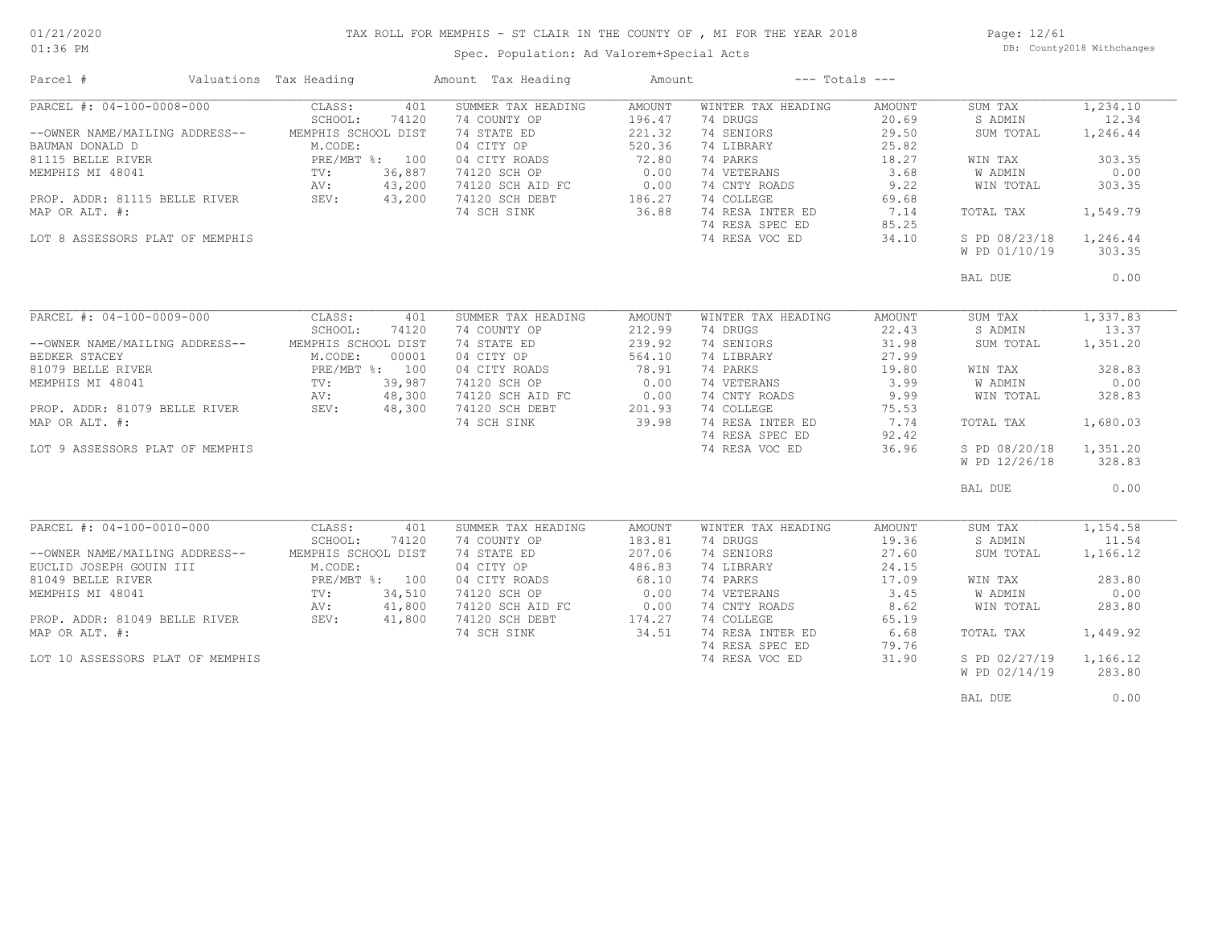### TAX ROLL FOR MEMPHIS - ST CLAIR IN THE COUNTY OF , MI FOR THE YEAR 2018

01:36 PM

### Spec. Population: Ad Valorem+Special Acts

Page: 12/61 DB: County2018 Withchanges

| Parcel #                           | Valuations Tax Heading |        | Amount Tax Heading | Amount        |                    | $---$ Totals $---$ |               |          |
|------------------------------------|------------------------|--------|--------------------|---------------|--------------------|--------------------|---------------|----------|
| PARCEL #: 04-100-0008-000          | CLASS:                 | 401    | SUMMER TAX HEADING | AMOUNT        | WINTER TAX HEADING | AMOUNT             | SUM TAX       | 1,234.10 |
|                                    | SCHOOL:                | 74120  | 74 COUNTY OP       | 196.47        | 74 DRUGS           | 20.69              | S ADMIN       | 12.34    |
| --OWNER NAME/MAILING ADDRESS--     | MEMPHIS SCHOOL DIST    |        | 74 STATE ED        | 221.32        | 74 SENIORS         | 29.50              | SUM TOTAL     | 1,246.44 |
| BAUMAN DONALD D                    | M.CODE:                |        | 04 CITY OP         | 520.36        | 74 LIBRARY         | 25.82              |               |          |
| 81115 BELLE RIVER                  | PRE/MBT %: 100         |        | 04 CITY ROADS      | 72.80         | 74 PARKS           | 18.27              | WIN TAX       | 303.35   |
| MEMPHIS MI 48041                   | $\text{TV}$ :          | 36,887 | 74120 SCH OP       | 0.00          | 74 VETERANS        | 3.68               | W ADMIN       | 0.00     |
|                                    | AV:                    | 43,200 | 74120 SCH AID FC   | 0.00          | 74 CNTY ROADS      | 9.22               | WIN TOTAL     | 303.35   |
| PROP. ADDR: 81115 BELLE RIVER SEV: |                        | 43,200 | 74120 SCH DEBT     | 186.27        | 74 COLLEGE         | 69.68              |               |          |
| MAP OR ALT. #:                     |                        |        | 74 SCH SINK        | 36.88         | 74 RESA INTER ED   | 7.14               | TOTAL TAX     | 1,549.79 |
|                                    |                        |        |                    |               | 74 RESA SPEC ED    | 85.25              |               |          |
| LOT 8 ASSESSORS PLAT OF MEMPHIS    |                        |        |                    |               | 74 RESA VOC ED     | 34.10              | S PD 08/23/18 | 1,246.44 |
|                                    |                        |        |                    |               |                    |                    | W PD 01/10/19 | 303.35   |
|                                    |                        |        |                    |               |                    |                    |               |          |
|                                    |                        |        |                    |               |                    |                    | BAL DUE       | 0.00     |
|                                    |                        |        |                    |               |                    |                    |               |          |
| PARCEL #: 04-100-0009-000          | CLASS:                 | 401    | SUMMER TAX HEADING | <b>AMOUNT</b> | WINTER TAX HEADING | AMOUNT             | SUM TAX       | 1,337.83 |
|                                    | SCHOOL:                | 74120  | 74 COUNTY OP       | 212.99        | 74 DRUGS           | 22.43              | S ADMIN       | 13.37    |
| --OWNER NAME/MAILING ADDRESS--     | MEMPHIS SCHOOL DIST    |        | 74 STATE ED        | 239.92        | 74 SENIORS         | 31.98              | SUM TOTAL     | 1,351.20 |
| BEDKER STACEY                      | M.CODE:                | 00001  | 04 CITY OP         | 564.10        | 74 LIBRARY         | 27.99              |               |          |
| 81079 BELLE RIVER                  | PRE/MBT %: 100         |        | 04 CITY ROADS      | 78.91         | 74 PARKS           | 19.80              | WIN TAX       | 328.83   |
| MEMPHIS MI 48041                   | $\text{TV}$ :          | 39,987 | 74120 SCH OP       | 0.00          | 74 VETERANS        | 3.99               | W ADMIN       | 0.00     |
|                                    | AV:                    | 48,300 | 74120 SCH AID FC   | 0.00          | 74 CNTY ROADS      | 9.99               | WIN TOTAL     | 328.83   |
| PROP. ADDR: 81079 BELLE RIVER      | SEV:                   | 48,300 | 74120 SCH DEBT     | 201.93        | 74 COLLEGE         | 75.53              |               |          |
| MAP OR ALT. #:                     |                        |        | 74 SCH SINK        | 39.98         | 74 RESA INTER ED   | 7.74               | TOTAL TAX     | 1,680.03 |
|                                    |                        |        |                    |               | 74 RESA SPEC ED    | 92.42              |               |          |
| LOT 9 ASSESSORS PLAT OF MEMPHIS    |                        |        |                    |               | 74 RESA VOC ED     | 36.96              | S PD 08/20/18 | 1,351.20 |
|                                    |                        |        |                    |               |                    |                    | W PD 12/26/18 | 328.83   |
|                                    |                        |        |                    |               |                    |                    |               |          |
|                                    |                        |        |                    |               |                    |                    | BAL DUE       | 0.00     |
|                                    |                        |        |                    |               |                    |                    |               |          |
| PARCEL #: 04-100-0010-000          | CLASS:                 | 401    | SUMMER TAX HEADING | <b>AMOUNT</b> | WINTER TAX HEADING | AMOUNT             | SUM TAX       | 1,154.58 |
|                                    | SCHOOL:                | 74120  | 74 COUNTY OP       | 183.81        | 74 DRUGS           | 19.36              | S ADMIN       | 11.54    |
| --OWNER NAME/MAILING ADDRESS--     | MEMPHIS SCHOOL DIST    |        | 74 STATE ED        | 207.06        | 74 SENIORS         | 27.60              | SUM TOTAL     | 1,166.12 |
| EUCLID JOSEPH GOUIN III            | M.CODE:                |        | 04 CITY OP         | 486.83        | 74 LIBRARY         | 24.15              |               |          |
| 81049 BELLE RIVER                  | PRE/MBT %: 100         |        | 04 CITY ROADS      | 68.10         | 74 PARKS           | 17.09              | WIN TAX       | 283.80   |
| MEMPHIS MI 48041                   | $\text{TV}$ :          | 34,510 | 74120 SCH OP       | 0.00          | 74 VETERANS        | 3.45               | W ADMIN       | 0.00     |
|                                    | AV:                    | 41,800 | 74120 SCH AID FC   | 0.00          | 74 CNTY ROADS      | 8.62               | WIN TOTAL     | 283.80   |
| PROP. ADDR: 81049 BELLE RIVER      | SEV:                   | 41,800 | 74120 SCH DEBT     | 174.27        | 74 COLLEGE         | 65.19              |               |          |
| MAP OR ALT. #:                     |                        |        | 74 SCH SINK        | 34.51         | 74 RESA INTER ED   | 6.68               | TOTAL TAX     | 1,449.92 |
|                                    |                        |        |                    |               | 74 RESA SPEC ED    | 79.76              |               |          |
| LOT 10 ASSESSORS PLAT OF MEMPHIS   |                        |        |                    |               | 74 RESA VOC ED     | 31.90              | S PD 02/27/19 | 1,166.12 |
|                                    |                        |        |                    |               |                    |                    | W PD 02/14/19 | 283.80   |
|                                    |                        |        |                    |               |                    |                    |               |          |

BAL DUE  $0.00$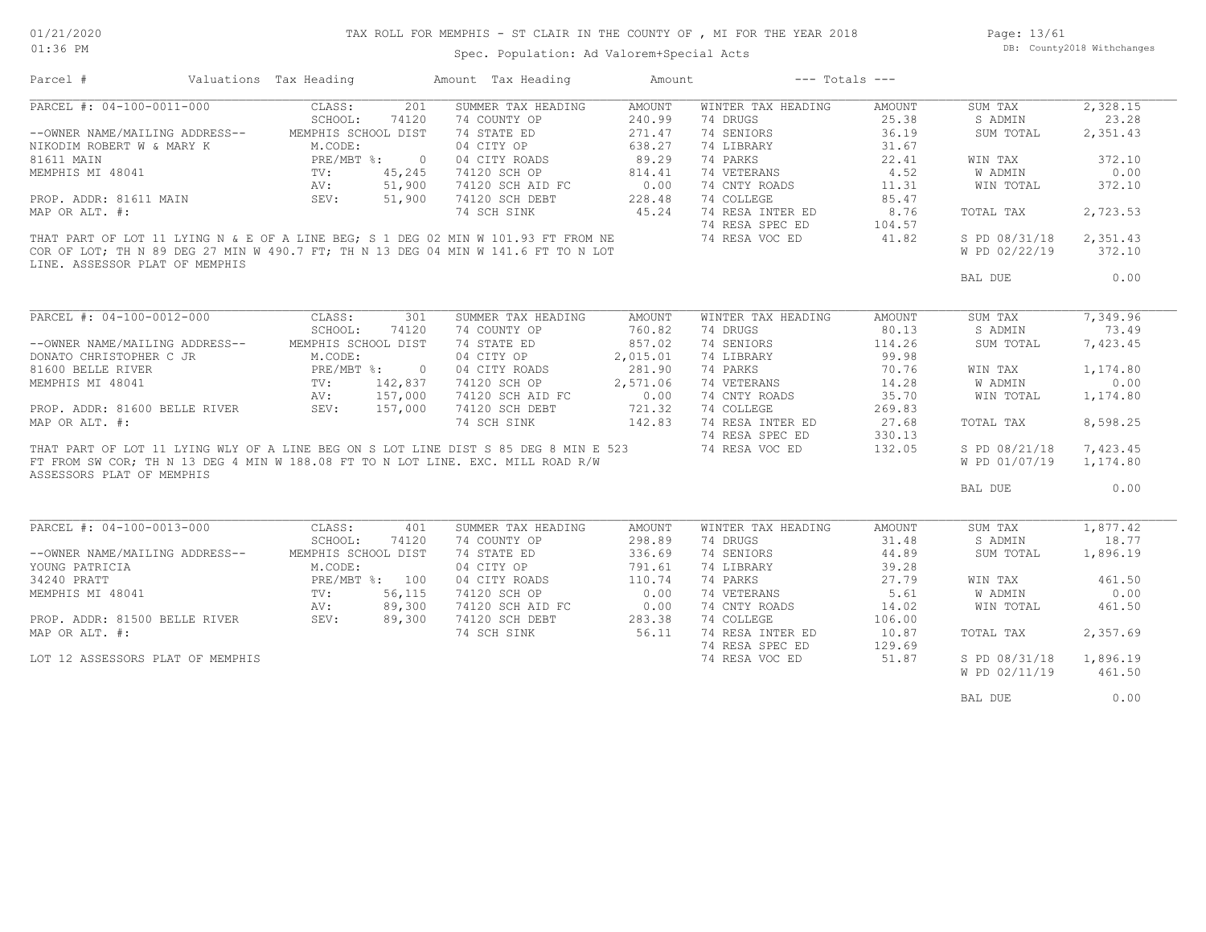### TAX ROLL FOR MEMPHIS - ST CLAIR IN THE COUNTY OF , MI FOR THE YEAR 2018

Page: 13/61 DB: County2018 Withchanges

### Spec. Population: Ad Valorem+Special Acts

| Parcel #                                                                            | Valuations Tax Heading                                    |         | Amount Tax Heading                             | Amount   | $---$ Totals $---$ |        |               |          |
|-------------------------------------------------------------------------------------|-----------------------------------------------------------|---------|------------------------------------------------|----------|--------------------|--------|---------------|----------|
| PARCEL #: 04-100-0011-000                                                           | CLASS:                                                    | 201     | SUMMER TAX HEADING                             | AMOUNT   | WINTER TAX HEADING | AMOUNT | SUM TAX       | 2,328.15 |
|                                                                                     | SCHOOL:                                                   | 74120   | 74 COUNTY OP                                   | 240.99   | 74 DRUGS           | 25.38  | S ADMIN       | 23.28    |
| --OWNER NAME/MAILING ADDRESS--                                                      | MEMPHIS SCHOOL DIST                                       |         | 74 STATE ED                                    | 271.47   | 74 SENIORS         | 36.19  | SUM TOTAL     | 2,351.43 |
| NIKODIM ROBERT W & MARY K                                                           | M.CODE:                                                   |         | 04 CITY OP                                     | 638.27   | 74 LIBRARY         | 31.67  |               |          |
| 81611 MAIN                                                                          | PRE/MBT %: 0<br>TV: 45,245<br>AV: 51,900<br>N SEV: 51,900 |         |                                                | 89.29    | 74 PARKS           | 22.41  | WIN TAX       | 372.10   |
| MEMPHIS MI 48041                                                                    |                                                           |         | 04 CITY ROADS<br>74120 SCH OP                  | 814.41   | 74 VETERANS        | 4.52   | W ADMIN       | 0.00     |
|                                                                                     |                                                           |         | 74120 SCH AID FC                               | 0.00     | 74 CNTY ROADS      | 11.31  | WIN TOTAL     | 372.10   |
| PROP. ADDR: 81611 MAIN                                                              |                                                           |         | 74120 SCH DEBT                                 | 228.48   | 74 COLLEGE         | 85.47  |               |          |
| MAP OR ALT. #:                                                                      |                                                           |         | 74 SCH SINK                                    | 45.24    | 74 RESA INTER ED   | 8.76   | TOTAL TAX     | 2,723.53 |
|                                                                                     |                                                           |         |                                                |          | 74 RESA SPEC ED    | 104.57 |               |          |
| THAT PART OF LOT 11 LYING N & E OF A LINE BEG; S 1 DEG 02 MIN W 101.93 FT FROM NE   |                                                           |         |                                                |          | 74 RESA VOC ED     | 41.82  | S PD 08/31/18 | 2,351.43 |
|                                                                                     |                                                           |         |                                                |          |                    |        |               | 372.10   |
| COR OF LOT; TH N 89 DEG 27 MIN W 490.7 FT; TH N 13 DEG 04 MIN W 141.6 FT TO N LOT   |                                                           |         |                                                |          |                    |        | W PD 02/22/19 |          |
| LINE. ASSESSOR PLAT OF MEMPHIS                                                      |                                                           |         |                                                |          |                    |        |               |          |
|                                                                                     |                                                           |         |                                                |          |                    |        | BAL DUE       | 0.00     |
|                                                                                     |                                                           |         |                                                |          |                    |        |               |          |
| PARCEL #: 04-100-0012-000 CLASS:                                                    |                                                           | 301     | SUMMER TAX HEADING                             | AMOUNT   | WINTER TAX HEADING | AMOUNT | SUM TAX       | 7,349.96 |
|                                                                                     | SCHOOL:                                                   | 74120   | 74 COUNTY OP                                   | 760.82   | 74 DRUGS           | 80.13  | S ADMIN       | 73.49    |
| --OWNER NAME/MAILING ADDRESS-- MEMPHIS SCHOOL DIST                                  |                                                           |         | 74 STATE ED                                    | 857.02   | 74 SENIORS         | 114.26 | SUM TOTAL     | 7,423.45 |
| DONATO CHRISTOPHER C JR                                                             | M.CODE:                                                   |         | 04 CITY OP                                     | 2,015.01 | 74 LIBRARY         | 99.98  |               |          |
| 81600 BELLE RIVER                                                                   |                                                           |         | 04 CITY ROADS                                  | 281.90   | 74 PARKS           | 70.76  | WIN TAX       | 1,174.80 |
| MEMPHIS MI 48041                                                                    | PRE/MBT %: 0<br>TV: 142,837                               | 142,837 | 74120 SCH OP                                   | 2,571.06 | 74 VETERANS        | 14.28  | W ADMIN       | 0.00     |
|                                                                                     |                                                           |         |                                                |          | 74 CNTY ROADS      | 35.70  | WIN TOTAL     | 1,174.80 |
| PROP. ADDR: 81600 BELLE RIVER<br>MP OD NT "                                         |                                                           |         | 74120 SCH AID FC 0.00<br>74120 SCH DEBT 721.32 |          | 74 COLLEGE         | 269.83 |               |          |
| MAP OR ALT. #:                                                                      |                                                           |         | 74 SCH SINK                                    | 142.83   | 74 RESA INTER ED   | 27.68  | TOTAL TAX     | 8,598.25 |
|                                                                                     |                                                           |         |                                                |          | 74 RESA SPEC ED    | 330.13 |               |          |
| THAT PART OF LOT 11 LYING WLY OF A LINE BEG ON S LOT LINE DIST S 85 DEG 8 MIN E 523 |                                                           |         |                                                |          | 74 RESA VOC ED     |        |               |          |
|                                                                                     |                                                           |         |                                                |          |                    | 132.05 | S PD 08/21/18 | 7,423.45 |
| FT FROM SW COR; TH N 13 DEG 4 MIN W 188.08 FT TO N LOT LINE. EXC. MILL ROAD R/W     |                                                           |         |                                                |          |                    |        | W PD 01/07/19 | 1,174.80 |
| ASSESSORS PLAT OF MEMPHIS                                                           |                                                           |         |                                                |          |                    |        | BAL DUE       | 0.00     |
|                                                                                     |                                                           |         |                                                |          |                    |        |               |          |
|                                                                                     |                                                           |         |                                                |          |                    |        |               |          |
| PARCEL #: 04-100-0013-000 CLASS:                                                    |                                                           | 401     | SUMMER TAX HEADING                             | AMOUNT   | WINTER TAX HEADING | AMOUNT | SUM TAX       | 1,877.42 |
|                                                                                     | SCHOOL:                                                   | 74120   | 74 COUNTY OP                                   | 298.89   | 74 DRUGS           | 31.48  | S ADMIN       | 18.77    |
| --OWNER NAME/MAILING ADDRESS--                                                      | MEMPHIS SCHOOL DIST                                       |         | 74 STATE ED                                    | 336.69   | 74 SENIORS         | 44.89  | SUM TOTAL     | 1,896.19 |
| YOUNG PATRICIA                                                                      | M.CODE:                                                   |         | 04 CITY OP                                     | 791.61   | 74 LIBRARY         | 39.28  |               |          |
| 34240 PRATT                                                                         | PRE/MBT %: 100                                            |         | 04 CITY ROADS                                  | 110.74   | 74 PARKS           | 27.79  | WIN TAX       | 461.50   |
| MEMPHIS MI 48041                                                                    | PRE/MI<br>TV:                                             | 56,115  | 74120 SCH OP                                   | 0.00     | 74 VETERANS        | 5.61   | W ADMIN       | 0.00     |
|                                                                                     | AV:                                                       | 89,300  | 74120 SCH AID FC                               | 0.00     | 74 CNTY ROADS      | 14.02  | WIN TOTAL     | 461.50   |
| PROP. ADDR: 81500 BELLE RIVER SEV:                                                  |                                                           | 89,300  | 74120 SCH DEBT                                 | 283.38   | 74 COLLEGE         | 106.00 |               |          |
| MAP OR ALT. #:                                                                      |                                                           |         | 74 SCH SINK                                    | 56.11    | 74 RESA INTER ED   | 10.87  | TOTAL TAX     | 2,357.69 |
|                                                                                     |                                                           |         |                                                |          | 74 RESA SPEC ED    | 129.69 |               |          |
| LOT 12 ASSESSORS PLAT OF MEMPHIS                                                    |                                                           |         |                                                |          | 74 RESA VOC ED     | 51.87  | S PD 08/31/18 | 1,896.19 |
|                                                                                     |                                                           |         |                                                |          |                    |        | W PD 02/11/19 | 461.50   |
|                                                                                     |                                                           |         |                                                |          |                    |        |               |          |
|                                                                                     |                                                           |         |                                                |          |                    |        | BAL DUE       | 0.00     |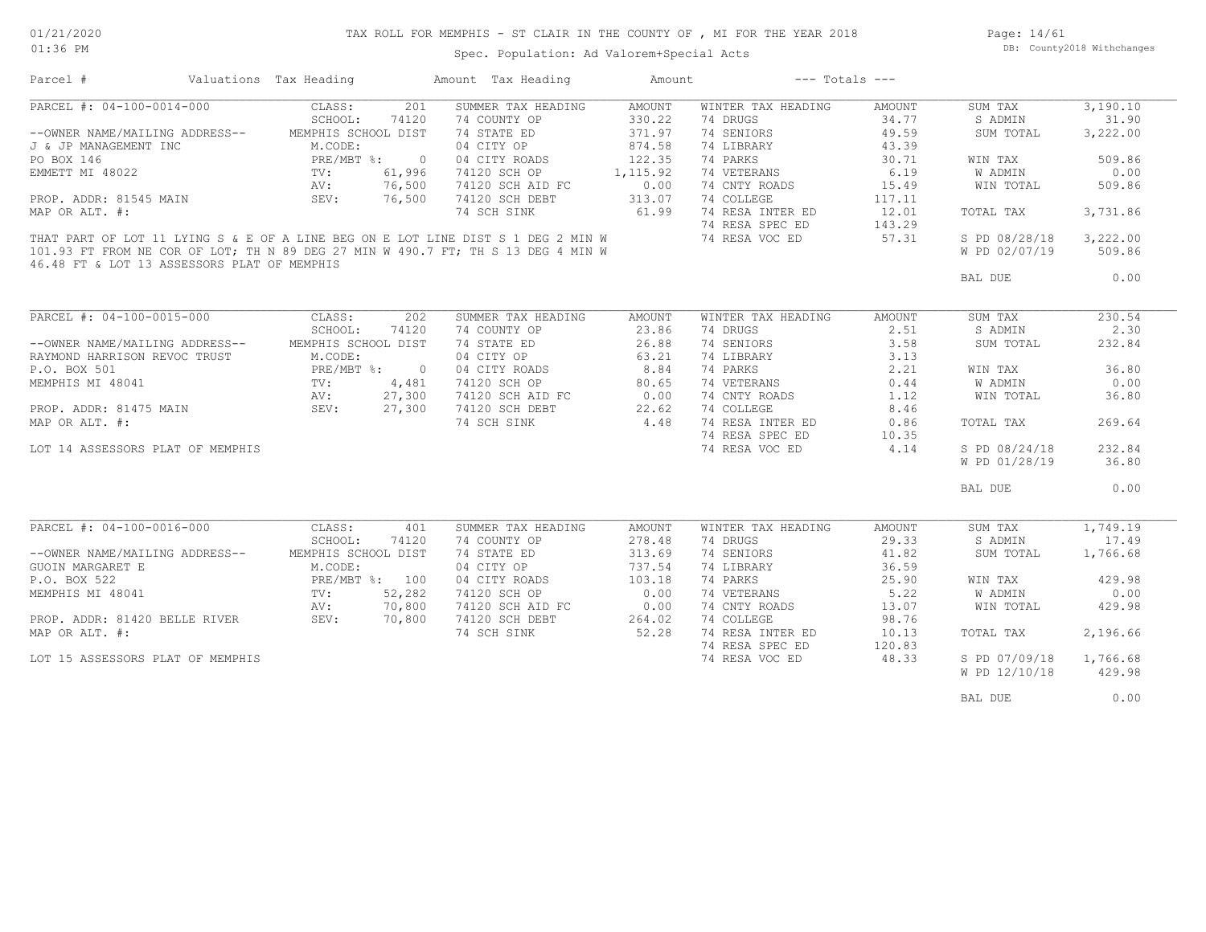01:36 PM

### TAX ROLL FOR MEMPHIS - ST CLAIR IN THE COUNTY OF , MI FOR THE YEAR 2018

Page: 14/61 DB: County2018 Withchanges

Spec. Population: Ad Valorem+Special Acts

| Parcel #                                                                         | Valuations Tax Heading |                | Amount Tax Heading | Amount   |                    | $---$ Totals $---$ |               |          |
|----------------------------------------------------------------------------------|------------------------|----------------|--------------------|----------|--------------------|--------------------|---------------|----------|
| PARCEL #: 04-100-0014-000                                                        | CLASS:                 | 201            | SUMMER TAX HEADING | AMOUNT   | WINTER TAX HEADING | AMOUNT             | SUM TAX       | 3,190.10 |
|                                                                                  | SCHOOL:                | 74120          | 74 COUNTY OP       | 330.22   | 74 DRUGS           | 34.77              | S ADMIN       | 31.90    |
| --OWNER NAME/MAILING ADDRESS--                                                   | MEMPHIS SCHOOL DIST    |                | 74 STATE ED        | 371.97   | 74 SENIORS         | 49.59              | SUM TOTAL     | 3,222.00 |
| J & JP MANAGEMENT INC                                                            | M.CODE:                |                | 04 CITY OP         | 874.58   | 74 LIBRARY         | 43.39              |               |          |
| PO BOX 146                                                                       | PRE/MBT %:             | $\overline{0}$ | 04 CITY ROADS      | 122.35   | 74 PARKS           | 30.71              | WIN TAX       | 509.86   |
| EMMETT MI 48022                                                                  |                        | 61,996         | 74120 SCH OP       | 1,115.92 | 74 VETERANS        | 6.19               | W ADMIN       | 0.00     |
|                                                                                  |                        | 76,500         | 74120 SCH AID FC   | 0.00     | 74 CNTY ROADS      | 15.49              | WIN TOTAL     | 509.86   |
| PROP. ADDR: 81545 MAIN                                                           | SEV:                   | 76,500         | 74120 SCH DEBT     | 313.07   | 74 COLLEGE         | 117.11             |               |          |
| MAP OR ALT. #:                                                                   |                        |                | 74 SCH SINK        | 61.99    | 74 RESA INTER ED   | 12.01              | TOTAL TAX     | 3,731.86 |
|                                                                                  |                        |                |                    |          |                    |                    |               |          |
|                                                                                  |                        |                |                    |          | 74 RESA SPEC ED    | 143.29             |               |          |
| THAT PART OF LOT 11 LYING S & E OF A LINE BEG ON E LOT LINE DIST S 1 DEG 2 MIN W |                        |                |                    |          | 74 RESA VOC ED     | 57.31              | S PD 08/28/18 | 3,222.00 |
| 101.93 FT FROM NE COR OF LOT; TH N 89 DEG 27 MIN W 490.7 FT; TH S 13 DEG 4 MIN W |                        |                |                    |          |                    |                    | W PD 02/07/19 | 509.86   |
| 46.48 FT & LOT 13 ASSESSORS PLAT OF MEMPHIS                                      |                        |                |                    |          |                    |                    | BAL DUE       | 0.00     |
|                                                                                  |                        |                |                    |          |                    |                    |               |          |
| PARCEL #: 04-100-0015-000                                                        | CLASS:                 | 202            | SUMMER TAX HEADING | AMOUNT   | WINTER TAX HEADING | <b>AMOUNT</b>      | SUM TAX       | 230.54   |
|                                                                                  | SCHOOL:                | 74120          | 74 COUNTY OP       | 23.86    | 74 DRUGS           | 2.51               | S ADMIN       | 2.30     |
| --OWNER NAME/MAILING ADDRESS--                                                   | MEMPHIS SCHOOL DIST    |                | 74 STATE ED        | 26.88    | 74 SENIORS         | 3.58               | SUM TOTAL     | 232.84   |
|                                                                                  |                        |                | 04 CITY OP         | 63.21    | 74 LIBRARY         | 3.13               |               |          |
|                                                                                  |                        | $\overline{0}$ | 04 CITY ROADS      | 8.84     | 74 PARKS           | 2.21               | WIN TAX       | 36.80    |
|                                                                                  |                        | 4,481          | 74120 SCH OP       | 80.65    | 74 VETERANS        | 0.44               | W ADMIN       | 0.00     |
|                                                                                  |                        |                |                    |          |                    | 1.12               |               |          |
|                                                                                  |                        | 27,300         | 74120 SCH AID FC   | 0.00     | 74 CNTY ROADS      |                    | WIN TOTAL     | 36.80    |
|                                                                                  |                        | 27,300         | 74120 SCH DEBT     | 22.62    | 74 COLLEGE         | 8.46               |               |          |
|                                                                                  |                        |                | 74 SCH SINK        | 4.48     | 74 RESA INTER ED   | 0.86               | TOTAL TAX     | 269.64   |
|                                                                                  |                        |                |                    |          | 74 RESA SPEC ED    | 10.35              |               |          |
| LOT 14 ASSESSORS PLAT OF MEMPHIS                                                 |                        |                |                    |          | 74 RESA VOC ED     | 4.14               | S PD 08/24/18 | 232.84   |
|                                                                                  |                        |                |                    |          |                    |                    | W PD 01/28/19 | 36.80    |
|                                                                                  |                        |                |                    |          |                    |                    | BAL DUE       | 0.00     |
|                                                                                  |                        |                |                    |          |                    |                    |               |          |
| PARCEL #: 04-100-0016-000                                                        | CLASS:                 | 401            | SUMMER TAX HEADING | AMOUNT   | WINTER TAX HEADING | AMOUNT             | SUM TAX       | 1,749.19 |
|                                                                                  | SCHOOL:                | 74120          | 74 COUNTY OP       | 278.48   | 74 DRUGS           | 29.33              | S ADMIN       | 17.49    |
| --OWNER NAME/MAILING ADDRESS--                                                   | MEMPHIS SCHOOL DIST    |                | 74 STATE ED        | 313.69   | 74 SENIORS         | 41.82              | SUM TOTAL     | 1,766.68 |
| GUOIN MARGARET E                                                                 | M.CODE:                |                | 04 CITY OP         | 737.54   | 74 LIBRARY         | 36.59              |               |          |
| P.O. BOX 522                                                                     | PRE/MBT %: 100         |                | 04 CITY ROADS      | 103.18   | 74 PARKS           | 25.90              | WIN TAX       | 429.98   |
| MEMPHIS MI 48041                                                                 | $\texttt{TV}$ :        | 52,282         | 74120 SCH OP       | 0.00     | 74 VETERANS        | 5.22               | W ADMIN       | 0.00     |
|                                                                                  | AV:                    | 70,800         | 74120 SCH AID FC   | 0.00     | 74 CNTY ROADS      | 13.07              | WIN TOTAL     | 429.98   |
| PROP. ADDR: 81420 BELLE RIVER                                                    | SEV: 70,800            |                | 74120 SCH DEBT     | 264.02   | 74 COLLEGE         | 98.76              |               |          |
| MAP OR ALT. #:                                                                   |                        |                | 74 SCH SINK        | 52.28    | 74 RESA INTER ED   | 10.13              | TOTAL TAX     | 2,196.66 |
|                                                                                  |                        |                |                    |          | 74 RESA SPEC ED    | 120.83             |               |          |
| LOT 15 ASSESSORS PLAT OF MEMPHIS                                                 |                        |                |                    |          | 74 RESA VOC ED     | 48.33              | S PD 07/09/18 | 1,766.68 |
|                                                                                  |                        |                |                    |          |                    |                    | W PD 12/10/18 | 429.98   |
|                                                                                  |                        |                |                    |          |                    |                    |               |          |
|                                                                                  |                        |                |                    |          |                    |                    | BAL DUE       | 0.00     |
|                                                                                  |                        |                |                    |          |                    |                    |               |          |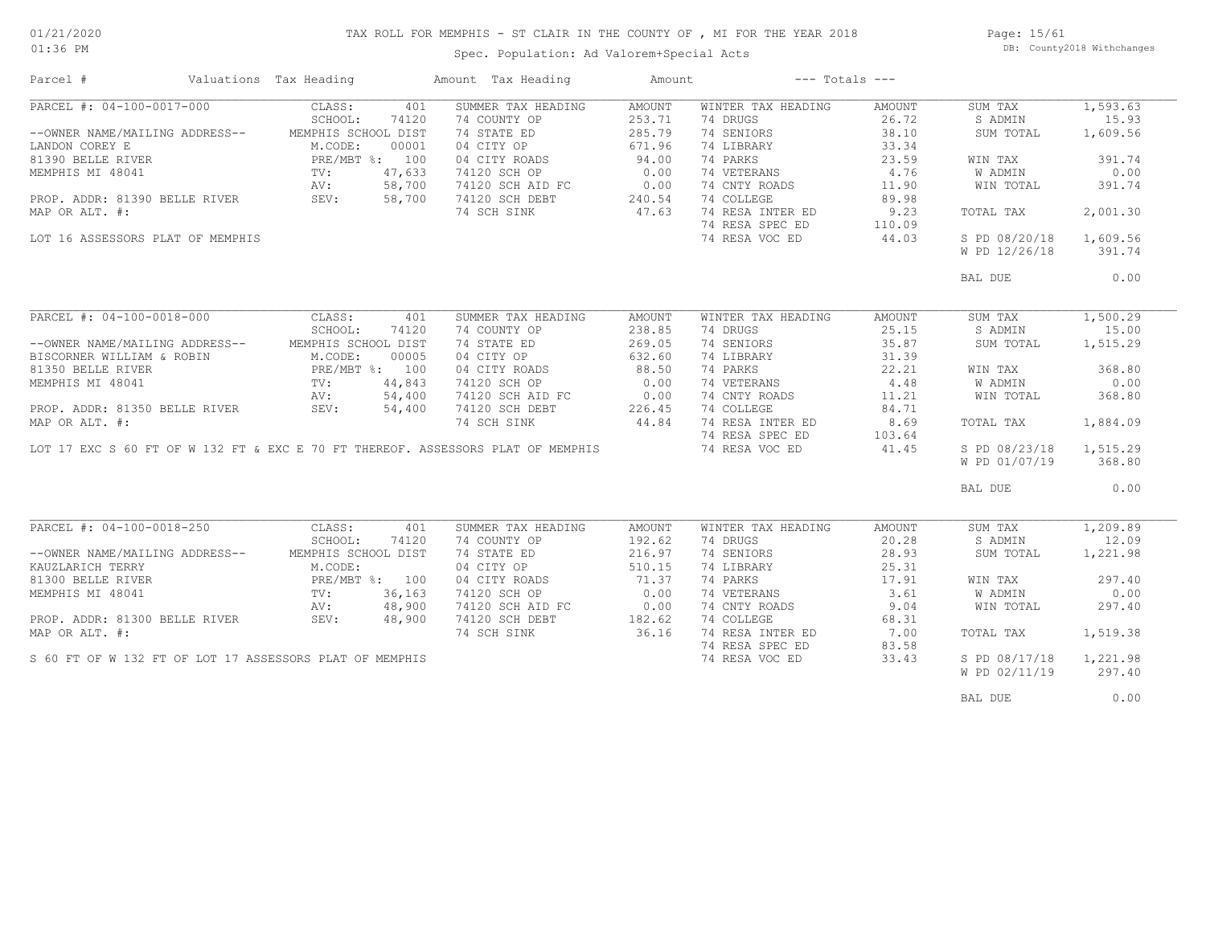### TAX ROLL FOR MEMPHIS - ST CLAIR IN THE COUNTY OF , MI FOR THE YEAR 2018

Spec. Population: Ad Valorem+Special Acts

Page: 15/61 DB: County2018 Withchanges

| Parcel #                                                                        | Valuations Tax Heading |        | Amount Tax Heading | Amount | $---$ Totals $---$ |        |               |          |
|---------------------------------------------------------------------------------|------------------------|--------|--------------------|--------|--------------------|--------|---------------|----------|
| PARCEL #: 04-100-0017-000                                                       | CLASS:                 | 401    | SUMMER TAX HEADING | AMOUNT | WINTER TAX HEADING | AMOUNT | SUM TAX       | 1,593.63 |
|                                                                                 | SCHOOL:                | 74120  | 74 COUNTY OP       | 253.71 | 74 DRUGS           | 26.72  | S ADMIN       | 15.93    |
| --OWNER NAME/MAILING ADDRESS--                                                  | MEMPHIS SCHOOL DIST    |        | 74 STATE ED        | 285.79 | 74 SENIORS         | 38.10  | SUM TOTAL     | 1,609.56 |
| LANDON COREY E                                                                  | M.CODE:                | 00001  | 04 CITY OP         | 671.96 | 74 LIBRARY         | 33.34  |               |          |
| 81390 BELLE RIVER                                                               | PRE/MBT %: 100         |        | 04 CITY ROADS      | 94.00  | 74 PARKS           | 23.59  | WIN TAX       | 391.74   |
| MEMPHIS MI 48041                                                                | TV:                    | 47,633 | 74120 SCH OP       | 0.00   | 74 VETERANS        | 4.76   | W ADMIN       | 0.00     |
|                                                                                 | AV:                    | 58,700 | 74120 SCH AID FC   | 0.00   | 74 CNTY ROADS      | 11.90  | WIN TOTAL     | 391.74   |
| PROP. ADDR: 81390 BELLE RIVER                                                   | SEV:                   | 58,700 | 74120 SCH DEBT     | 240.54 | 74 COLLEGE         | 89.98  |               |          |
| MAP OR ALT. #:                                                                  |                        |        | 74 SCH SINK        | 47.63  | 74 RESA INTER ED   | 9.23   | TOTAL TAX     | 2,001.30 |
|                                                                                 |                        |        |                    |        | 74 RESA SPEC ED    | 110.09 |               |          |
|                                                                                 |                        |        |                    |        |                    |        |               |          |
| LOT 16 ASSESSORS PLAT OF MEMPHIS                                                |                        |        |                    |        | 74 RESA VOC ED     | 44.03  | S PD 08/20/18 | 1,609.56 |
|                                                                                 |                        |        |                    |        |                    |        | W PD 12/26/18 | 391.74   |
|                                                                                 |                        |        |                    |        |                    |        | BAL DUE       | 0.00     |
|                                                                                 |                        |        |                    |        |                    |        |               |          |
| PARCEL #: 04-100-0018-000                                                       | CLASS:                 | 401    | SUMMER TAX HEADING | AMOUNT | WINTER TAX HEADING | AMOUNT | SUM TAX       | 1,500.29 |
|                                                                                 | SCHOOL:                | 74120  | 74 COUNTY OP       | 238.85 | 74 DRUGS           | 25.15  | S ADMIN       | 15.00    |
| --OWNER NAME/MAILING ADDRESS--                                                  | MEMPHIS SCHOOL DIST    |        | 74 STATE ED        | 269.05 | 74 SENIORS         | 35.87  | SUM TOTAL     | 1,515.29 |
| BISCORNER WILLIAM & ROBIN                                                       | M.CODE:                | 00005  | 04 CITY OP         | 632.60 | 74 LIBRARY         | 31.39  |               |          |
| 81350 BELLE RIVER                                                               | PRE/MBT %: 100         |        | 04 CITY ROADS      | 88.50  | 74 PARKS           | 22.21  | WIN TAX       | 368.80   |
| MEMPHIS MI 48041                                                                | TV:                    | 44,843 | 74120 SCH OP       | 0.00   | 74 VETERANS        | 4.48   | W ADMIN       | 0.00     |
|                                                                                 | AV:                    | 54,400 | 74120 SCH AID FC   | 0.00   | 74 CNTY ROADS      | 11.21  | WIN TOTAL     | 368.80   |
| PROP. ADDR: 81350 BELLE RIVER                                                   | SEV:                   | 54,400 | 74120 SCH DEBT     | 226.45 | 74 COLLEGE         | 84.71  |               |          |
| MAP OR ALT. #:                                                                  |                        |        | 74 SCH SINK        | 44.84  | 74 RESA INTER ED   | 8.69   | TOTAL TAX     | 1,884.09 |
|                                                                                 |                        |        |                    |        | 74 RESA SPEC ED    | 103.64 |               |          |
| LOT 17 EXC S 60 FT OF W 132 FT & EXC E 70 FT THEREOF. ASSESSORS PLAT OF MEMPHIS |                        |        |                    |        | 74 RESA VOC ED     | 41.45  | S PD 08/23/18 | 1,515.29 |
|                                                                                 |                        |        |                    |        |                    |        |               | 368.80   |
|                                                                                 |                        |        |                    |        |                    |        | W PD 01/07/19 |          |
|                                                                                 |                        |        |                    |        |                    |        | BAL DUE       | 0.00     |
|                                                                                 |                        |        |                    |        |                    |        |               |          |
| PARCEL #: 04-100-0018-250                                                       | CLASS:                 | 401    | SUMMER TAX HEADING | AMOUNT | WINTER TAX HEADING | AMOUNT | SUM TAX       | 1,209.89 |
|                                                                                 | SCHOOL:                | 74120  | 74 COUNTY OP       | 192.62 | 74 DRUGS           | 20.28  | S ADMIN       | 12.09    |
| --OWNER NAME/MAILING ADDRESS--                                                  | MEMPHIS SCHOOL DIST    |        | 74 STATE ED        | 216.97 | 74 SENIORS         | 28.93  | SUM TOTAL     | 1,221.98 |
| KAUZLARICH TERRY                                                                | M.CODE:                |        | 04 CITY OP         | 510.15 | 74 LIBRARY         | 25.31  |               |          |
| 81300 BELLE RIVER                                                               | PRE/MBT %: 100         |        | 04 CITY ROADS      | 71.37  | 74 PARKS           | 17.91  | WIN TAX       | 297.40   |
| MEMPHIS MI 48041                                                                | $\texttt{TV}$ :        | 36,163 | 74120 SCH OP       | 0.00   | 74 VETERANS        | 3.61   | W ADMIN       | 0.00     |
|                                                                                 | AV:                    | 48,900 | 74120 SCH AID FC   | 0.00   | 74 CNTY ROADS      | 9.04   | WIN TOTAL     | 297.40   |
| PROP. ADDR: 81300 BELLE RIVER                                                   | SEV:                   | 48,900 | 74120 SCH DEBT     | 182.62 | 74 COLLEGE         | 68.31  |               |          |
| MAP OR ALT. #:                                                                  |                        |        | 74 SCH SINK        | 36.16  | 74 RESA INTER ED   | 7.00   | TOTAL TAX     | 1,519.38 |
|                                                                                 |                        |        |                    |        | 74 RESA SPEC ED    | 83.58  |               |          |
| S 60 FT OF W 132 FT OF LOT 17 ASSESSORS PLAT OF MEMPHIS                         |                        |        |                    |        | 74 RESA VOC ED     | 33.43  | S PD 08/17/18 | 1,221.98 |
|                                                                                 |                        |        |                    |        |                    |        | W PD 02/11/19 | 297.40   |
|                                                                                 |                        |        |                    |        |                    |        |               |          |
|                                                                                 |                        |        |                    |        |                    |        | BAL DUE       | 0.00     |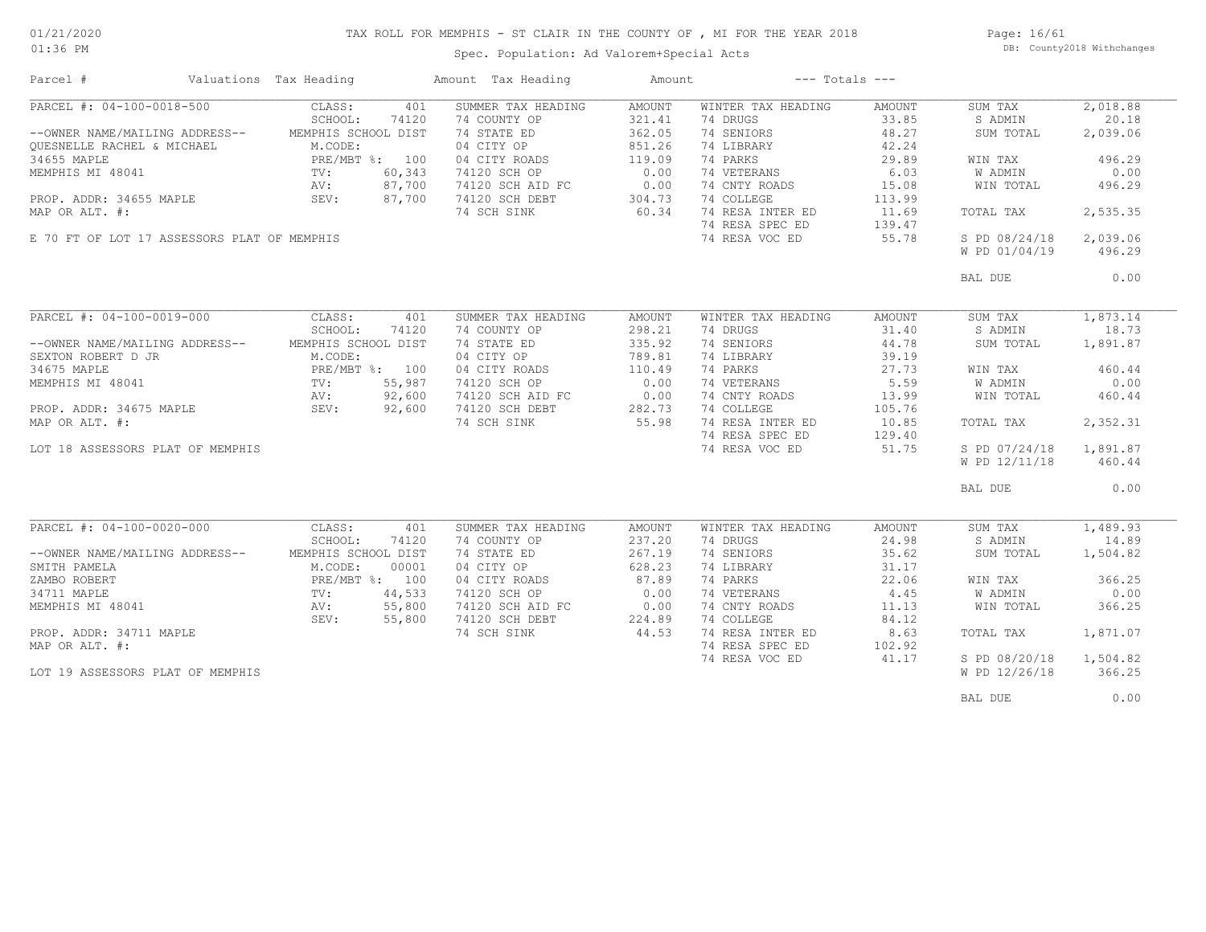### TAX ROLL FOR MEMPHIS - ST CLAIR IN THE COUNTY OF , MI FOR THE YEAR 2018

Spec. Population: Ad Valorem+Special Acts

Page: 16/61 DB: County2018 Withchanges

| Parcel #                                    | Valuations Tax Heading | Amount Tax Heading         | Amount | $---$ Totals $---$ |        |               |          |
|---------------------------------------------|------------------------|----------------------------|--------|--------------------|--------|---------------|----------|
| PARCEL #: 04-100-0018-500                   | CLASS:                 | 401<br>SUMMER TAX HEADING  | AMOUNT | WINTER TAX HEADING | AMOUNT | SUM TAX       | 2,018.88 |
|                                             | SCHOOL:                | 74 COUNTY OP<br>74120      | 321.41 | 74 DRUGS           | 33.85  | S ADMIN       | 20.18    |
| --OWNER NAME/MAILING ADDRESS--              | MEMPHIS SCHOOL DIST    | 74 STATE ED                | 362.05 | 74 SENIORS         | 48.27  | SUM TOTAL     | 2,039.06 |
| OUESNELLE RACHEL & MICHAEL                  | M.CODE:                | 04 CITY OP                 | 851.26 | 74 LIBRARY         | 42.24  |               |          |
| 34655 MAPLE                                 | PRE/MBT %: 100         | 04 CITY ROADS              | 119.09 | 74 PARKS           | 29.89  | WIN TAX       | 496.29   |
| MEMPHIS MI 48041                            | TV:                    | 60,343<br>74120 SCH OP     | 0.00   | 74 VETERANS        | 6.03   | W ADMIN       | 0.00     |
|                                             | AV:                    | 87,700<br>74120 SCH AID FC | 0.00   | 74 CNTY ROADS      | 15.08  | WIN TOTAL     | 496.29   |
| PROP. ADDR: 34655 MAPLE                     | SEV:                   | 87,700<br>74120 SCH DEBT   | 304.73 | 74 COLLEGE         | 113.99 |               |          |
| MAP OR ALT. #:                              |                        | 74 SCH SINK                | 60.34  | 74 RESA INTER ED   | 11.69  | TOTAL TAX     | 2,535.35 |
|                                             |                        |                            |        | 74 RESA SPEC ED    |        |               |          |
|                                             |                        |                            |        |                    | 139.47 |               |          |
| E 70 FT OF LOT 17 ASSESSORS PLAT OF MEMPHIS |                        |                            |        | 74 RESA VOC ED     | 55.78  | S PD 08/24/18 | 2,039.06 |
|                                             |                        |                            |        |                    |        | W PD 01/04/19 | 496.29   |
|                                             |                        |                            |        |                    |        | BAL DUE       | 0.00     |
|                                             |                        |                            |        |                    |        |               |          |
| PARCEL #: 04-100-0019-000                   | CLASS:                 | 401<br>SUMMER TAX HEADING  | AMOUNT | WINTER TAX HEADING | AMOUNT | SUM TAX       | 1,873.14 |
|                                             | SCHOOL:                | 74120<br>74 COUNTY OP      | 298.21 | 74 DRUGS           | 31.40  | S ADMIN       | 18.73    |
| --OWNER NAME/MAILING ADDRESS--              | MEMPHIS SCHOOL DIST    | 74 STATE ED                | 335.92 | 74 SENIORS         | 44.78  | SUM TOTAL     | 1,891.87 |
| SEXTON ROBERT D JR                          | M.CODE:                | 04 CITY OP                 | 789.81 | 74 LIBRARY         | 39.19  |               |          |
| 34675 MAPLE                                 | PRE/MBT %: 100         | 04 CITY ROADS              | 110.49 | 74 PARKS           | 27.73  | WIN TAX       | 460.44   |
| MEMPHIS MI 48041                            | TV:                    | 55,987<br>74120 SCH OP     | 0.00   | 74 VETERANS        | 5.59   | W ADMIN       | 0.00     |
|                                             | AV:                    | 92,600<br>74120 SCH AID FC | 0.00   | 74 CNTY ROADS      | 13.99  | WIN TOTAL     | 460.44   |
| PROP. ADDR: 34675 MAPLE                     | SEV:                   | 92,600<br>74120 SCH DEBT   | 282.73 | 74 COLLEGE         | 105.76 |               |          |
| MAP OR ALT. #:                              |                        | 74 SCH SINK                | 55.98  | 74 RESA INTER ED   | 10.85  | TOTAL TAX     | 2,352.31 |
|                                             |                        |                            |        | 74 RESA SPEC ED    |        |               |          |
|                                             |                        |                            |        |                    | 129.40 |               |          |
| LOT 18 ASSESSORS PLAT OF MEMPHIS            |                        |                            |        | 74 RESA VOC ED     | 51.75  | S PD 07/24/18 | 1,891.87 |
|                                             |                        |                            |        |                    |        | W PD 12/11/18 | 460.44   |
|                                             |                        |                            |        |                    |        | BAL DUE       | 0.00     |
|                                             |                        |                            |        |                    |        |               |          |
| PARCEL #: 04-100-0020-000                   | CLASS:                 | SUMMER TAX HEADING<br>401  | AMOUNT | WINTER TAX HEADING | AMOUNT | SUM TAX       | 1,489.93 |
|                                             | SCHOOL:                | 74 COUNTY OP<br>74120      | 237.20 | 74 DRUGS           | 24.98  | S ADMIN       | 14.89    |
| --OWNER NAME/MAILING ADDRESS--              | MEMPHIS SCHOOL DIST    | 74 STATE ED                | 267.19 | 74 SENIORS         | 35.62  | SUM TOTAL     | 1,504.82 |
| SMITH PAMELA                                | M.CODE:                | 00001<br>04 CITY OP        | 628.23 | 74 LIBRARY         | 31.17  |               |          |
| ZAMBO ROBERT                                | PRE/MBT %: 100         | 04 CITY ROADS              | 87.89  | 74 PARKS           | 22.06  | WIN TAX       | 366.25   |
| 34711 MAPLE                                 | $\text{TV}$ :          | 44,533<br>74120 SCH OP     | 0.00   | 74 VETERANS        | 4.45   | W ADMIN       | 0.00     |
| MEMPHIS MI 48041                            | AV:                    | 55,800<br>74120 SCH AID FC | 0.00   | 74 CNTY ROADS      | 11.13  | WIN TOTAL     | 366.25   |
|                                             | SEV:                   | 55,800<br>74120 SCH DEBT   | 224.89 | 74 COLLEGE         | 84.12  |               |          |
| PROP. ADDR: 34711 MAPLE                     |                        | 74 SCH SINK                | 44.53  | 74 RESA INTER ED   | 8.63   | TOTAL TAX     | 1,871.07 |
| MAP OR ALT. #:                              |                        |                            |        | 74 RESA SPEC ED    | 102.92 |               |          |
|                                             |                        |                            |        | 74 RESA VOC ED     | 41.17  | S PD 08/20/18 | 1,504.82 |
|                                             |                        |                            |        |                    |        |               | 366.25   |
| LOT 19 ASSESSORS PLAT OF MEMPHIS            |                        |                            |        |                    |        | W PD 12/26/18 |          |
|                                             |                        |                            |        |                    |        | BAL DUE       | 0.00     |
|                                             |                        |                            |        |                    |        |               |          |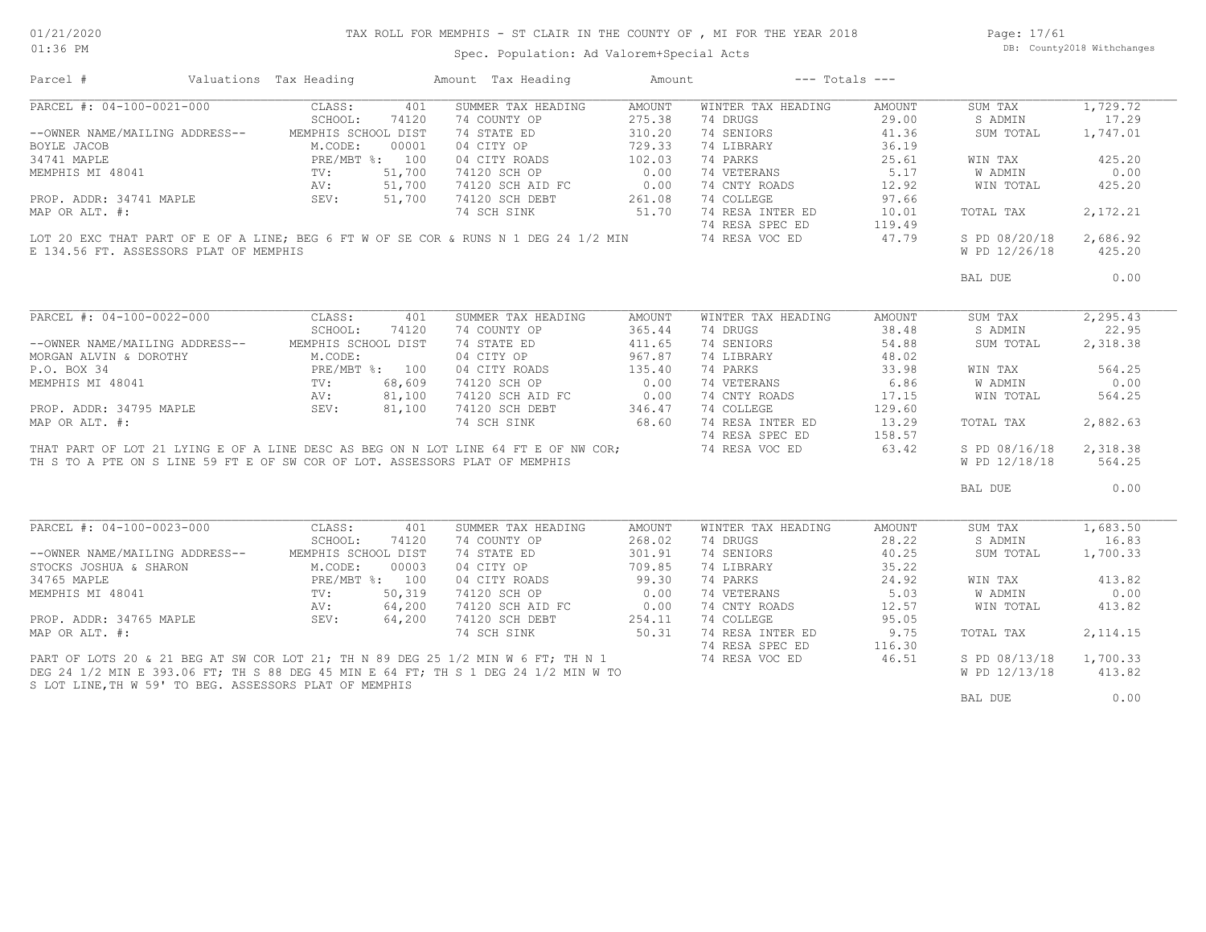# TAX ROLL FOR MEMPHIS - ST CLAIR IN THE COUNTY OF , MI FOR THE YEAR 2018

Spec. Population: Ad Valorem+Special Acts

Page: 17/61 DB: County2018 Withchanges

| Parcel #                                                                                                                                                             | Valuations Tax Heading |        | Amount Tax Heading                                                                                              | Amount | $---$ Totals $---$          |        |                        |           |
|----------------------------------------------------------------------------------------------------------------------------------------------------------------------|------------------------|--------|-----------------------------------------------------------------------------------------------------------------|--------|-----------------------------|--------|------------------------|-----------|
| $PARCEL$ #: $04-100-0021-000$                                                                                                                                        | CLASS:                 | 401    | SUMMER TAX HEADING                                                                                              | AMOUNT | WINTER TAX HEADING          | AMOUNT | SUM TAX                | 1,729.72  |
|                                                                                                                                                                      | SCHOOL:                | 74120  | 74 COUNTY OP                                                                                                    | 275.38 | 74 DRUGS                    | 29.00  | S ADMIN                | 17.29     |
| --OWNER NAME/MAILING ADDRESS-- MEMPHIS SCHOOL DIST                                                                                                                   |                        |        | 74 STATE ED                                                                                                     | 310.20 | 74 SENIORS                  | 41.36  | SUM TOTAL              | 1,747.01  |
| BOYLE JACOB M.CODE: 00001<br>34741 MAPLE PRE/MBT %: 100<br>MEMPHIS MI 48041 TV: 51,700<br>PROP. ADDR: 34741 MAPLE SEV: 51,700<br>PROP. ADDR: 34741 MAPLE SEV: 51,700 |                        |        | 04 CITY OP                                                                                                      | 729.33 | 74 LIBRARY                  | 36.19  |                        |           |
|                                                                                                                                                                      |                        |        |                                                                                                                 |        | 74 PARKS                    | 25.61  | WIN TAX                | 425.20    |
|                                                                                                                                                                      |                        |        | 04 CITY ROADS 102.03<br>74120 SCH OP 0.00                                                                       |        | 74 VETERANS                 | 5.17   | W ADMIN                | 0.00      |
|                                                                                                                                                                      |                        |        |                                                                                                                 |        | 74 CNTY ROADS 12.92         |        | WIN TOTAL              | 425.20    |
|                                                                                                                                                                      |                        |        | 74120 SCH AID FC 0.00<br>74120 SCH DEBT 261.08                                                                  |        | 74 COLLEGE                  | 97.66  |                        |           |
| MAP OR ALT. #:                                                                                                                                                       |                        |        | 74 SCH SINK                                                                                                     | 51.70  |                             |        | TOTAL TAX              | 2,172.21  |
|                                                                                                                                                                      |                        |        |                                                                                                                 |        |                             |        |                        |           |
| LOT 20 EXC THAT PART OF E OF A LINE; BEG 6 FT W OF SE COR & RUNS N 1 DEG 24 1/2 MIN                                                                                  |                        |        |                                                                                                                 |        |                             |        | S PD 08/20/18          | 2,686.92  |
|                                                                                                                                                                      |                        |        |                                                                                                                 |        |                             |        |                        |           |
| E 134.56 FT. ASSESSORS PLAT OF MEMPHIS                                                                                                                               |                        |        |                                                                                                                 |        |                             |        | W PD 12/26/18          | 425.20    |
|                                                                                                                                                                      |                        |        |                                                                                                                 |        |                             |        | BAL DUE                | 0.00      |
|                                                                                                                                                                      |                        |        |                                                                                                                 |        |                             |        |                        |           |
| PARCEL #: 04-100-0022-000 CLASS: 401                                                                                                                                 |                        |        | SUMMER TAX HEADING                                                                                              | AMOUNT | WINTER TAX HEADING          | AMOUNT | SUM TAX                | 2, 295.43 |
|                                                                                                                                                                      | SCHOOL:                | 74120  | 74 COUNTY OP                                                                                                    | 365.44 | 74 DRUGS                    | 38.48  | S ADMIN                | 22.95     |
| --OWNER NAME/MAILING ADDRESS-- MEMPHIS SCHOOL DIST                                                                                                                   |                        |        | 74 STATE ED                                                                                                     | 411.65 | 74 SENIORS                  | 54.88  | SUM TOTAL              | 2,318.38  |
|                                                                                                                                                                      |                        |        | 04 CITY OP                                                                                                      | 967.87 | 74 LIBRARY                  | 48.02  |                        |           |
|                                                                                                                                                                      |                        |        |                                                                                                                 |        | 74 PARKS                    | 33.98  | WIN TAX                | 564.25    |
|                                                                                                                                                                      |                        |        | 04 CITY ROADS 135.40<br>74120 SCH OP 0.00                                                                       |        | 74 VETERANS                 | 6.86   | W ADMIN                | 0.00      |
| MORGAN ALVIN & DOROTHY M.CODE:<br>P.O. BOX 34<br>MEMPHIS MI 48041 TV: 68,609<br>PROP. ADDR: 34795 MAPLE SEV: 81,100                                                  |                        |        |                                                                                                                 |        |                             | 17.15  | WIN TOTAL              | 564.25    |
|                                                                                                                                                                      |                        |        | 74120 SCH AID FC 0.00<br>74120 SCH DEBT 346.47                                                                  |        | 74 CNTY ROADS<br>74 COLLEGE | 129.60 |                        |           |
| MAP OR ALT. #:                                                                                                                                                       |                        |        | 74 SCH SINK 68.60                                                                                               |        | 74 RESA INTER ED            | 13.29  | TOTAL TAX              | 2,882.63  |
|                                                                                                                                                                      |                        |        |                                                                                                                 |        | 74 RESA SPEC ED             | 158.57 |                        |           |
| THAT PART OF LOT 21 LYING E OF A LINE DESC AS BEG ON N LOT LINE 64 FT E OF NW COR;                                                                                   |                        |        |                                                                                                                 |        | 74 RESA VOC ED 63.42        |        | S PD 08/16/18          | 2,318.38  |
| TH S TO A PTE ON S LINE 59 FT E OF SW COR OF LOT. ASSESSORS PLAT OF MEMPHIS                                                                                          |                        |        |                                                                                                                 |        |                             |        | W PD 12/18/18          | 564.25    |
|                                                                                                                                                                      |                        |        |                                                                                                                 |        |                             |        |                        |           |
|                                                                                                                                                                      |                        |        |                                                                                                                 |        |                             |        | BAL DUE                | 0.00      |
|                                                                                                                                                                      |                        |        |                                                                                                                 |        |                             |        |                        |           |
| $PARCEL$ #: $04-100-0023-000$                                                                                                                                        | CLASS:                 | 401    | SUMMER TAX HEADING                                                                                              | AMOUNT | WINTER TAX HEADING          | AMOUNT | SUM TAX                | 1,683.50  |
|                                                                                                                                                                      | SCHOOL:                | 74120  | 74 COUNTY OP                                                                                                    | 268.02 | 74 DRUGS                    | 28.22  | S ADMIN                | 16.83     |
| --OWNER NAME/MAILING ADDRESS-- MEMPHIS SCHOOL DIST                                                                                                                   |                        |        | 74 STATE ED                                                                                                     | 301.91 | 74 SENIORS                  | 40.25  | SUM TOTAL              | 1,700.33  |
|                                                                                                                                                                      |                        |        |                                                                                                                 |        | 74 LIBRARY                  | 35.22  |                        |           |
|                                                                                                                                                                      |                        |        |                                                                                                                 |        | 74 PARKS                    | 24.92  | WIN TAX                | 413.82    |
|                                                                                                                                                                      |                        |        |                                                                                                                 |        | 74 VETERANS                 | 5.03   | W ADMIN                | 0.00      |
| 970CKS JOSHUA & SHARON M.CODE: 00003<br>34765 MAPLE PRE/MBT %: 100<br>MEMPHIS MI 48041 TV: 50,319<br>AV: 64,200                                                      |                        |        | 04 CITY OP 709.85<br>04 CITY ROADS 79.30<br>74120 SCH OP 0.00<br>74120 SCH AID FC 0.00<br>74120 SCH DEBT 254.11 |        | 74 CNTY ROADS               | 12.57  | WIN TOTAL              | 413.82    |
| PROP. ADDR: 34765 MAPLE SEV:                                                                                                                                         |                        | 64,200 |                                                                                                                 |        | 74 COLLEGE                  | 95.05  |                        |           |
| MAP OR ALT. #:                                                                                                                                                       |                        |        | 74 SCH SINK                                                                                                     | 50.31  | 74 RESA INTER ED            | 9.75   | TOTAL TAX              | 2, 114.15 |
|                                                                                                                                                                      |                        |        |                                                                                                                 |        | 74 RESA SPEC ED             | 116.30 |                        |           |
| PART OF LOTS 20 & 21 BEG AT SW COR LOT 21; TH N 89 DEG 25 1/2 MIN W 6 FT; TH N 1                                                                                     |                        |        |                                                                                                                 |        | 74 RESA VOC ED              | 46.51  | S PD 08/13/18 1,700.33 |           |
| DEG 24 1/2 MIN E 393.06 FT; TH S 88 DEG 45 MIN E 64 FT; TH S 1 DEG 24 1/2 MIN W TO                                                                                   |                        |        |                                                                                                                 |        |                             |        | W PD 12/13/18          | 413.82    |
| S LOT LINE, TH W 59' TO BEG. ASSESSORS PLAT OF MEMPHIS                                                                                                               |                        |        |                                                                                                                 |        |                             |        |                        |           |
|                                                                                                                                                                      |                        |        |                                                                                                                 |        |                             |        | BAL DUE                | 0.00      |
|                                                                                                                                                                      |                        |        |                                                                                                                 |        |                             |        |                        |           |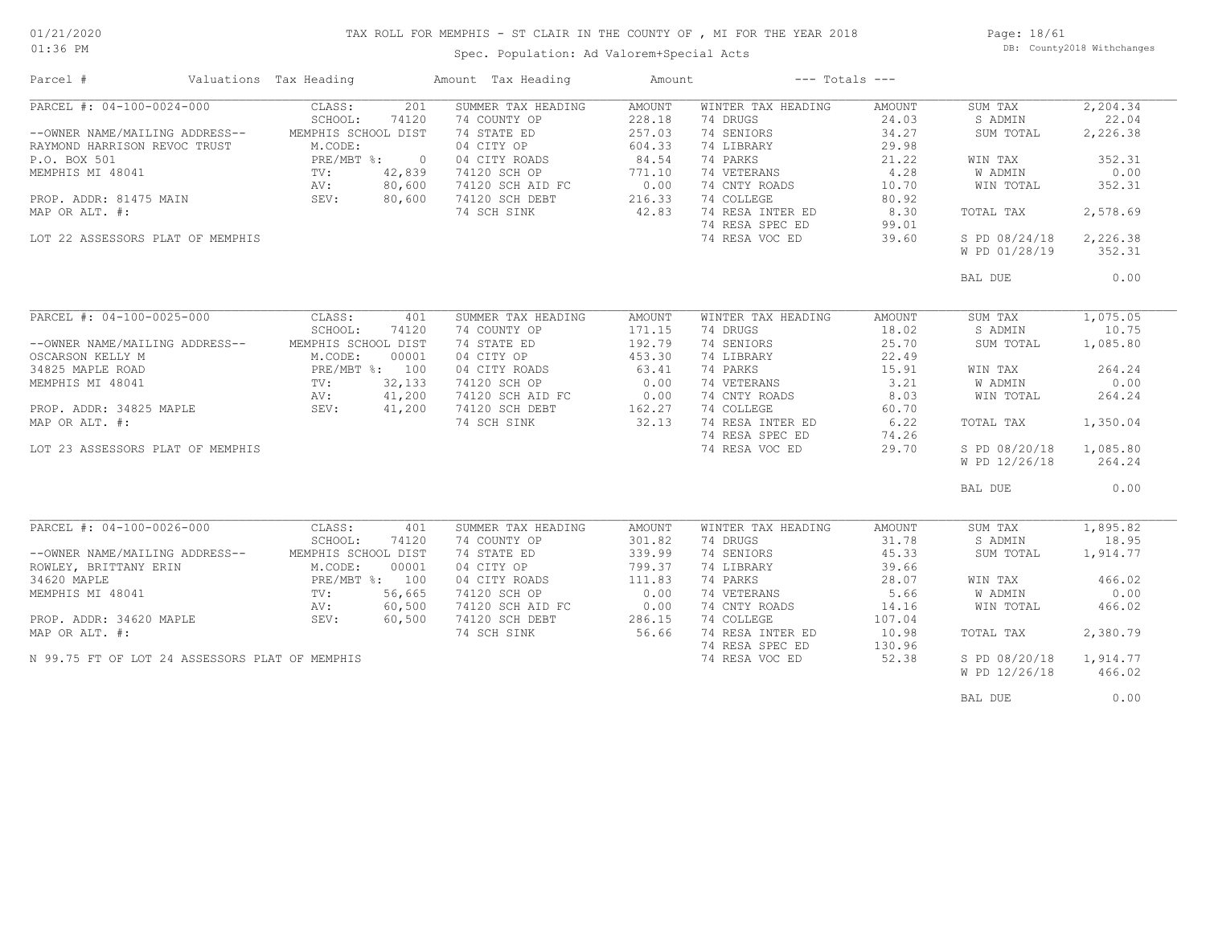### TAX ROLL FOR MEMPHIS - ST CLAIR IN THE COUNTY OF , MI FOR THE YEAR 2018

01:36 PM

### Spec. Population: Ad Valorem+Special Acts

Page: 18/61 DB: County2018 Withchanges

| Parcel #                                       | Valuations Tax Heading |         | Amount Tax Heading | Amount        |                    | $---$ Totals $---$ |                |           |
|------------------------------------------------|------------------------|---------|--------------------|---------------|--------------------|--------------------|----------------|-----------|
| PARCEL #: 04-100-0024-000                      | CLASS:                 | 201     | SUMMER TAX HEADING | <b>AMOUNT</b> | WINTER TAX HEADING | AMOUNT             | SUM TAX        | 2, 204.34 |
|                                                | SCHOOL:                | 74120   | 74 COUNTY OP       | 228.18        | 74 DRUGS           | 24.03              | S ADMIN        | 22.04     |
| --OWNER NAME/MAILING ADDRESS--                 | MEMPHIS SCHOOL DIST    |         | 74 STATE ED        | 257.03        | 74 SENIORS         | 34.27              | SUM TOTAL      | 2,226.38  |
| RAYMOND HARRISON REVOC TRUST                   | M.CODE:                |         | 04 CITY OP         | 604.33        | 74 LIBRARY         | 29.98              |                |           |
| P.O. BOX 501                                   | PRE/MBT %:             | $\circ$ | 04 CITY ROADS      | 84.54         | 74 PARKS           | 21.22              | WIN TAX        | 352.31    |
| MEMPHIS MI 48041                               | $\text{TV}$ :          | 42,839  | 74120 SCH OP       | 771.10        | 74 VETERANS        | 4.28               | <b>W ADMIN</b> | 0.00      |
|                                                | AV:                    | 80,600  | 74120 SCH AID FC   | 0.00          | 74 CNTY ROADS      | 10.70              | WIN TOTAL      | 352.31    |
| PROP. ADDR: 81475 MAIN SEV:                    |                        | 80,600  | 74120 SCH DEBT     | 216.33        | 74 COLLEGE         | 80.92              |                |           |
| MAP OR ALT. #:                                 |                        |         | 74 SCH SINK        | 42.83         | 74 RESA INTER ED   | 8.30               | TOTAL TAX      | 2,578.69  |
|                                                |                        |         |                    |               | 74 RESA SPEC ED    | 99.01              |                |           |
| LOT 22 ASSESSORS PLAT OF MEMPHIS               |                        |         |                    |               | 74 RESA VOC ED     | 39.60              | S PD 08/24/18  | 2,226.38  |
|                                                |                        |         |                    |               |                    |                    | W PD 01/28/19  | 352.31    |
|                                                |                        |         |                    |               |                    |                    |                |           |
|                                                |                        |         |                    |               |                    |                    | BAL DUE        | 0.00      |
|                                                |                        |         |                    |               |                    |                    |                |           |
| PARCEL #: 04-100-0025-000                      | CLASS:                 | 401     | SUMMER TAX HEADING | AMOUNT        | WINTER TAX HEADING | AMOUNT             | SUM TAX        | 1,075.05  |
|                                                | SCHOOL:                | 74120   | 74 COUNTY OP       | 171.15        | 74 DRUGS           | 18.02              | S ADMIN        | 10.75     |
| --OWNER NAME/MAILING ADDRESS--                 | MEMPHIS SCHOOL DIST    |         | 74 STATE ED        | 192.79        | 74 SENIORS         | 25.70              | SUM TOTAL      | 1,085.80  |
| OSCARSON KELLY M                               | M.CODE:                | 00001   | 04 CITY OP         | 453.30        | 74 LIBRARY         | 22.49              |                |           |
| 34825 MAPLE ROAD                               | PRE/MBT %: 100         |         | 04 CITY ROADS      | 63.41         | 74 PARKS           | 15.91              | WIN TAX        | 264.24    |
| MEMPHIS MI 48041                               | $\text{TV}$ :          | 32,133  | 74120 SCH OP       | 0.00          | 74 VETERANS        | 3.21               | W ADMIN        | 0.00      |
|                                                | AV:                    | 41,200  | 74120 SCH AID FC   | 0.00          | 74 CNTY ROADS      | 8.03               | WIN TOTAL      | 264.24    |
| PROP. ADDR: 34825 MAPLE                        | SEV:                   | 41,200  | 74120 SCH DEBT     | 162.27        | 74 COLLEGE         | 60.70              |                |           |
| MAP OR ALT. #:                                 |                        |         | 74 SCH SINK        | 32.13         | 74 RESA INTER ED   | 6.22               | TOTAL TAX      | 1,350.04  |
|                                                |                        |         |                    |               | 74 RESA SPEC ED    | 74.26              |                |           |
| LOT 23 ASSESSORS PLAT OF MEMPHIS               |                        |         |                    |               | 74 RESA VOC ED     | 29.70              | S PD 08/20/18  | 1,085.80  |
|                                                |                        |         |                    |               |                    |                    | W PD 12/26/18  | 264.24    |
|                                                |                        |         |                    |               |                    |                    |                |           |
|                                                |                        |         |                    |               |                    |                    | BAL DUE        | 0.00      |
|                                                |                        |         |                    |               |                    |                    |                |           |
| PARCEL #: 04-100-0026-000                      | CLASS:                 | 401     | SUMMER TAX HEADING | <b>AMOUNT</b> | WINTER TAX HEADING | <b>AMOUNT</b>      | SUM TAX        | 1,895.82  |
|                                                | SCHOOL:                | 74120   | 74 COUNTY OP       | 301.82        | 74 DRUGS           | 31.78              | S ADMIN        | 18.95     |
| --OWNER NAME/MAILING ADDRESS--                 | MEMPHIS SCHOOL DIST    |         | 74 STATE ED        | 339.99        | 74 SENIORS         | 45.33              | SUM TOTAL      | 1,914.77  |
| ROWLEY, BRITTANY ERIN                          | M.CODE:                | 00001   | 04 CITY OP         | 799.37        | 74 LIBRARY         | 39.66              |                |           |
| 34620 MAPLE                                    | PRE/MBT %: 100         |         | 04 CITY ROADS      | 111.83        | 74 PARKS           | 28.07              | WIN TAX        | 466.02    |
| MEMPHIS MI 48041                               | TV:                    | 56,665  | 74120 SCH OP       | 0.00          | 74 VETERANS        | 5.66               | <b>W ADMIN</b> | 0.00      |
|                                                | AV:                    | 60,500  | 74120 SCH AID FC   | 0.00          | 74 CNTY ROADS      | 14.16              | WIN TOTAL      | 466.02    |
| PROP. ADDR: 34620 MAPLE                        | SEV:                   | 60,500  | 74120 SCH DEBT     | 286.15        | 74 COLLEGE         | 107.04             |                |           |
| MAP OR ALT. #:                                 |                        |         | 74 SCH SINK        | 56.66         | 74 RESA INTER ED   | 10.98              | TOTAL TAX      | 2,380.79  |
|                                                |                        |         |                    |               | 74 RESA SPEC ED    | 130.96             |                |           |
| N 99.75 FT OF LOT 24 ASSESSORS PLAT OF MEMPHIS |                        |         |                    |               | 74 RESA VOC ED     | 52.38              | S PD 08/20/18  | 1,914.77  |
|                                                |                        |         |                    |               |                    |                    | W PD 12/26/18  | 466.02    |
|                                                |                        |         |                    |               |                    |                    |                |           |

BAL DUE  $0.00$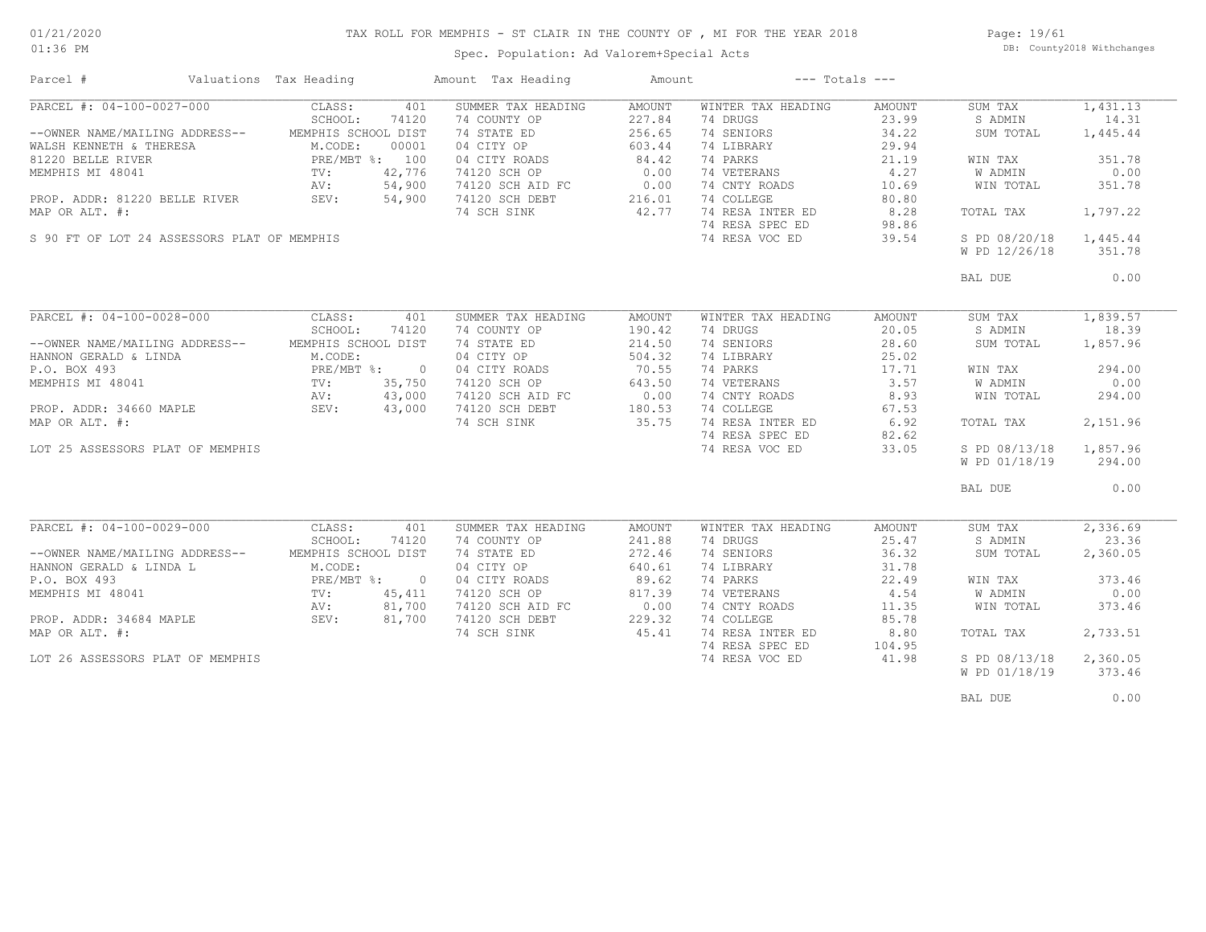### TAX ROLL FOR MEMPHIS - ST CLAIR IN THE COUNTY OF , MI FOR THE YEAR 2018

Spec. Population: Ad Valorem+Special Acts

Page: 19/61 DB: County2018 Withchanges

| Parcel #                                    | Valuations Tax Heading |        | Amount Tax Heading | Amount | $---$ Totals $---$ |        |               |          |
|---------------------------------------------|------------------------|--------|--------------------|--------|--------------------|--------|---------------|----------|
| PARCEL #: 04-100-0027-000                   | CLASS:                 | 401    | SUMMER TAX HEADING | AMOUNT | WINTER TAX HEADING | AMOUNT | SUM TAX       | 1,431.13 |
|                                             | SCHOOL:                | 74120  | 74 COUNTY OP       | 227.84 | 74 DRUGS           | 23.99  | S ADMIN       | 14.31    |
| --OWNER NAME/MAILING ADDRESS--              | MEMPHIS SCHOOL DIST    |        | 74 STATE ED        | 256.65 | 74 SENIORS         | 34.22  | SUM TOTAL     | 1,445.44 |
| WALSH KENNETH & THERESA                     | M.CODE:                | 00001  | 04 CITY OP         | 603.44 | 74 LIBRARY         | 29.94  |               |          |
| 81220 BELLE RIVER                           | PRE/MBT %: 100         |        | 04 CITY ROADS      | 84.42  | 74 PARKS           | 21.19  | WIN TAX       | 351.78   |
| MEMPHIS MI 48041                            | TV:                    | 42,776 | 74120 SCH OP       | 0.00   | 74 VETERANS        | 4,27   | W ADMIN       | 0.00     |
|                                             | AV:                    | 54,900 | 74120 SCH AID FC   | 0.00   | 74 CNTY ROADS      | 10.69  | WIN TOTAL     | 351.78   |
| PROP. ADDR: 81220 BELLE RIVER               | SEV:                   | 54,900 | 74120 SCH DEBT     | 216.01 | 74 COLLEGE         | 80.80  |               |          |
| MAP OR ALT. #:                              |                        |        | 74 SCH SINK        | 42.77  | 74 RESA INTER ED   | 8.28   | TOTAL TAX     | 1,797.22 |
|                                             |                        |        |                    |        | 74 RESA SPEC ED    |        |               |          |
|                                             |                        |        |                    |        |                    | 98.86  |               |          |
| S 90 FT OF LOT 24 ASSESSORS PLAT OF MEMPHIS |                        |        |                    |        | 74 RESA VOC ED     | 39.54  | S PD 08/20/18 | 1,445.44 |
|                                             |                        |        |                    |        |                    |        | W PD 12/26/18 | 351.78   |
|                                             |                        |        |                    |        |                    |        | BAL DUE       | 0.00     |
|                                             |                        |        |                    |        |                    |        |               |          |
| PARCEL #: 04-100-0028-000                   | CLASS:                 | 401    | SUMMER TAX HEADING | AMOUNT | WINTER TAX HEADING | AMOUNT | SUM TAX       | 1,839.57 |
|                                             | SCHOOL:                | 74120  | 74 COUNTY OP       | 190.42 | 74 DRUGS           | 20.05  | S ADMIN       | 18.39    |
| --OWNER NAME/MAILING ADDRESS--              | MEMPHIS SCHOOL DIST    |        | 74 STATE ED        | 214.50 | 74 SENIORS         | 28.60  | SUM TOTAL     | 1,857.96 |
| HANNON GERALD & LINDA                       | M.CODE:                |        | 04 CITY OP         | 504.32 | 74 LIBRARY         | 25.02  |               |          |
| P.O. BOX 493                                | PRE/MBT %: 0           |        | 04 CITY ROADS      | 70.55  | 74 PARKS           | 17.71  | WIN TAX       | 294.00   |
| MEMPHIS MI 48041                            | TV:                    | 35,750 | 74120 SCH OP       | 643.50 | 74 VETERANS        | 3.57   | W ADMIN       | 0.00     |
|                                             | AV:                    | 43,000 | 74120 SCH AID FC   | 0.00   | 74 CNTY ROADS      | 8.93   | WIN TOTAL     | 294.00   |
| PROP. ADDR: 34660 MAPLE                     | SEV:                   | 43,000 | 74120 SCH DEBT     |        | 74 COLLEGE         | 67.53  |               |          |
| MAP OR ALT. #:                              |                        |        | 74 SCH SINK        | 35.75  | 74 RESA INTER ED   | 6.92   |               | 2,151.96 |
|                                             |                        |        |                    |        |                    |        | TOTAL TAX     |          |
|                                             |                        |        |                    |        | 74 RESA SPEC ED    | 82.62  |               |          |
| LOT 25 ASSESSORS PLAT OF MEMPHIS            |                        |        |                    |        | 74 RESA VOC ED     | 33.05  | S PD 08/13/18 | 1,857.96 |
|                                             |                        |        |                    |        |                    |        | W PD 01/18/19 | 294.00   |
|                                             |                        |        |                    |        |                    |        | BAL DUE       | 0.00     |
|                                             |                        |        |                    |        |                    |        |               |          |
| PARCEL #: 04-100-0029-000                   | CLASS:                 | 401    | SUMMER TAX HEADING | AMOUNT | WINTER TAX HEADING | AMOUNT | SUM TAX       | 2,336.69 |
|                                             | SCHOOL:                | 74120  | 74 COUNTY OP       | 241.88 | 74 DRUGS           | 25.47  | S ADMIN       | 23.36    |
| --OWNER NAME/MAILING ADDRESS--              | MEMPHIS SCHOOL DIST    |        | 74 STATE ED        | 272.46 | 74 SENIORS         | 36.32  | SUM TOTAL     | 2,360.05 |
| HANNON GERALD & LINDA L                     | M.CODE:                |        | 04 CITY OP         | 640.61 | 74 LIBRARY         | 31.78  |               |          |
| P.O. BOX 493                                | PRE/MBT %: 0           |        | 04 CITY ROADS      | 89.62  | 74 PARKS           | 22.49  | WIN TAX       | 373.46   |
| MEMPHIS MI 48041                            | $\texttt{TV}$ :        | 45,411 | 74120 SCH OP       | 817.39 | 74 VETERANS        | 4.54   | W ADMIN       | 0.00     |
|                                             | AV:                    | 81,700 | 74120 SCH AID FC   | 0.00   | 74 CNTY ROADS      | 11.35  | WIN TOTAL     | 373.46   |
| PROP. ADDR: 34684 MAPLE                     | SEV:                   | 81,700 | 74120 SCH DEBT     | 229.32 | 74 COLLEGE         | 85.78  |               |          |
| MAP OR ALT. #:                              |                        |        | 74 SCH SINK        | 45.41  | 74 RESA INTER ED   | 8.80   | TOTAL TAX     | 2,733.51 |
|                                             |                        |        |                    |        | 74 RESA SPEC ED    | 104.95 |               |          |
| LOT 26 ASSESSORS PLAT OF MEMPHIS            |                        |        |                    |        | 74 RESA VOC ED     | 41.98  | S PD 08/13/18 | 2,360.05 |
|                                             |                        |        |                    |        |                    |        |               | 373.46   |
|                                             |                        |        |                    |        |                    |        | W PD 01/18/19 |          |
|                                             |                        |        |                    |        |                    |        | BAL DUE       | 0.00     |
|                                             |                        |        |                    |        |                    |        |               |          |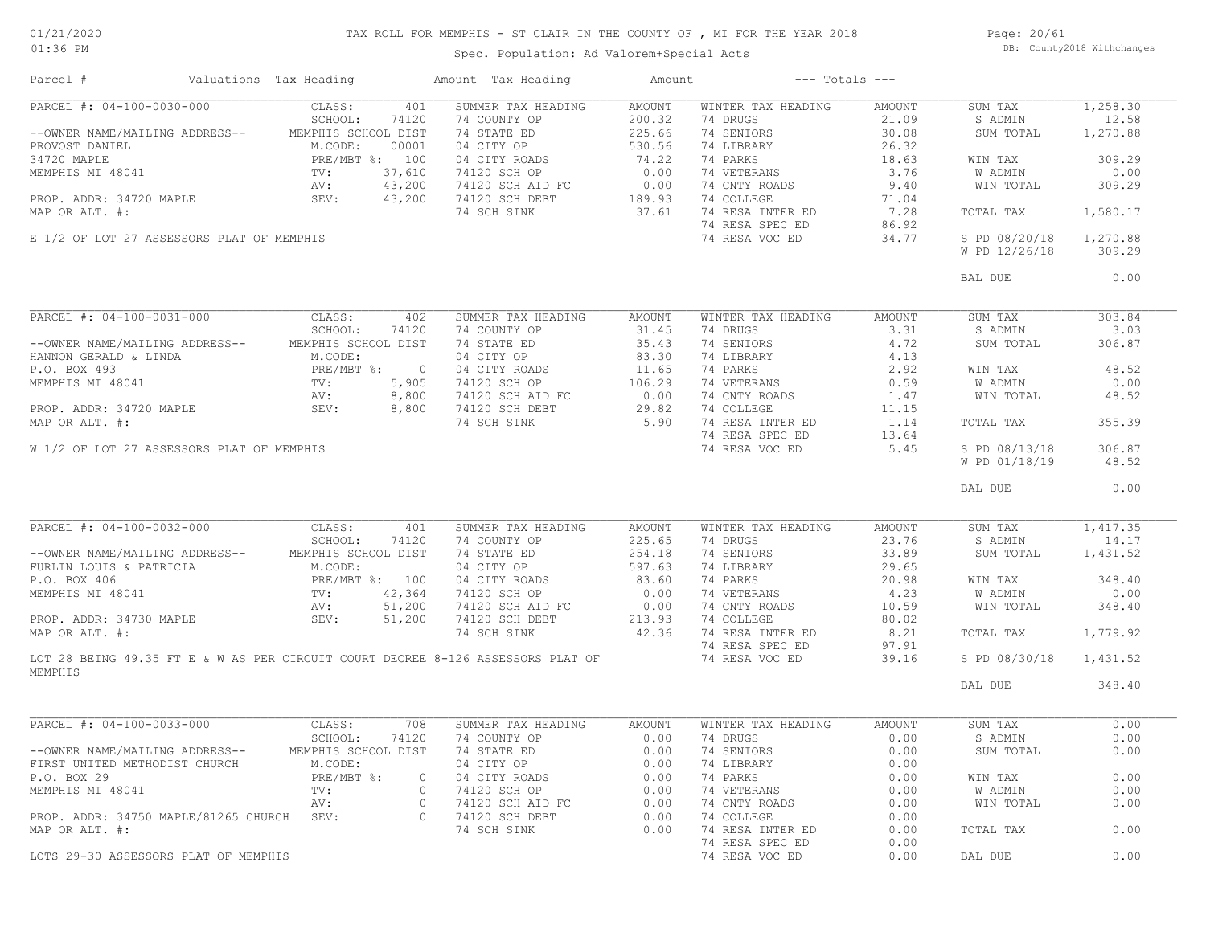# TAX ROLL FOR MEMPHIS - ST CLAIR IN THE COUNTY OF , MI FOR THE YEAR 2018

01:36 PM

## Spec. Population: Ad Valorem+Special Acts

Page: 20/61 DB: County2018 Withchanges

| Parcel #                                                                     |                        | Valuations Tax Heading |          | Amount Tax Heading                                                                          |        | Amount --- Totals --- |        |               |          |
|------------------------------------------------------------------------------|------------------------|------------------------|----------|---------------------------------------------------------------------------------------------|--------|-----------------------|--------|---------------|----------|
| PARCEL #: 04-100-0030-000                                                    |                        | CLASS:                 | 401      | SUMMER TAX HEADING                                                                          | AMOUNT | WINTER TAX HEADING    | AMOUNT | SUM TAX       | 1,258.30 |
|                                                                              |                        | SCHOOL:                | 74120    | 74 COUNTY OP                                                                                | 200.32 | 74 DRUGS              | 21.09  | S ADMIN       | 12.58    |
| --OWNER NAME/MAILING ADDRESS--                                               |                        | MEMPHIS SCHOOL DIST    |          | 74 STATE ED                                                                                 | 225.66 | 74 SENIORS            | 30.08  | SUM TOTAL     | 1,270.88 |
| PROVOST DANIEL                                                               |                        | M.CODE:                | 00001    | 04 CITY OP                                                                                  | 530.56 | 74 LIBRARY            | 26.32  |               |          |
| 34720 MAPLE                                                                  |                        | PRE/MBT %: 100         |          | 04 CITY ROADS                                                                               | 74.22  | 74 PARKS              | 18.63  | WIN TAX       | 309.29   |
| MEMPHIS MI 48041                                                             |                        | $\operatorname{TV}$ :  | 37,610   | 74120 SCH OP                                                                                | 0.00   | 74 VETERANS           | 3.76   | W ADMIN       | 0.00     |
|                                                                              |                        | AV:                    | 43,200   |                                                                                             |        | 74 CNTY ROADS         | 9.40   | WIN TOTAL     | 309.29   |
| PROP. ADDR: 34720 MAPLE SEV:                                                 |                        |                        | 43,200   | 74120 SCH AID FC 0.00<br>74120 SCH DEBT 189.93<br>74 SCH STNK 37 61                         |        | 74 COLLEGE            | 71.04  |               |          |
| MAP OR ALT. #:                                                               |                        |                        |          | 74 SCH SINK                                                                                 | 37.61  | 74 RESA INTER ED      | 7.28   | TOTAL TAX     | 1,580.17 |
|                                                                              |                        |                        |          |                                                                                             |        | 74 RESA SPEC ED       | 86.92  |               |          |
| E 1/2 OF LOT 27 ASSESSORS PLAT OF MEMPHIS                                    |                        |                        |          |                                                                                             |        | 74 RESA VOC ED        | 34.77  | S PD 08/20/18 | 1,270.88 |
|                                                                              |                        |                        |          |                                                                                             |        |                       |        | W PD 12/26/18 | 309.29   |
|                                                                              |                        |                        |          |                                                                                             |        |                       |        |               |          |
|                                                                              |                        |                        |          |                                                                                             |        |                       |        | BAL DUE       | 0.00     |
|                                                                              |                        |                        |          |                                                                                             |        |                       |        |               |          |
| PARCEL #: 04-100-0031-000 CLASS:                                             |                        |                        | 402      | SUMMER TAX HEADING                                                                          | AMOUNT | WINTER TAX HEADING    | AMOUNT | SUM TAX       | 303.84   |
|                                                                              |                        | SCHOOL:                | 74120    | 74 COUNTY OP                                                                                | 31.45  | 74 DRUGS              | 3.31   | S ADMIN       | 3.03     |
| --OWNER NAME/MAILING ADDRESS--                                               |                        | MEMPHIS SCHOOL DIST    |          | 74 STATE ED                                                                                 | 35.43  | 74 SENIORS            | 4.72   | SUM TOTAL     | 306.87   |
| HANNON GERALD & LINDA                                                        |                        | M.CODE:                |          | 74 STATE ED<br>04 CITY OP                                                                   | 83.30  | 74 LIBRARY            | 4.13   |               |          |
| P.O. BOX 493                                                                 | PRE/N<br>PRE/N<br>TV : | PRE/MBT %: 0           |          | 04 CITY ROADS                                                                               | 11.65  | 74 PARKS              | 2.92   | WIN TAX       | 48.52    |
| MEMPHIS MI 48041                                                             |                        |                        | 5,905    | 04 CITY ROADS 11.65<br>74120 SCH OP 106.29<br>74120 SCH AID FC 0.00<br>74120 SCH DEBT 29.82 |        | 74 VETERANS           | 0.59   | W ADMIN       | 0.00     |
|                                                                              |                        | AV:                    | 8,800    |                                                                                             |        | 74 CNTY ROADS         | 1.47   | WIN TOTAL     | 48.52    |
| PROP. ADDR: 34720 MAPLE SEV:                                                 |                        |                        | 8,800    |                                                                                             |        | 74 COLLEGE            | 11.15  |               |          |
| MAP OR ALT. #:                                                               |                        |                        |          |                                                                                             | 5.90   | 74 RESA INTER ED      | 1.14   |               | 355.39   |
|                                                                              |                        |                        |          | 74 SCH SINK                                                                                 |        |                       |        | TOTAL TAX     |          |
|                                                                              |                        |                        |          |                                                                                             |        | 74 RESA SPEC ED       | 13.64  |               |          |
| W 1/2 OF LOT 27 ASSESSORS PLAT OF MEMPHIS                                    |                        |                        |          |                                                                                             |        | 74 RESA VOC ED        | 5.45   | S PD 08/13/18 | 306.87   |
|                                                                              |                        |                        |          |                                                                                             |        |                       |        | W PD 01/18/19 | 48.52    |
|                                                                              |                        |                        |          |                                                                                             |        |                       |        | BAL DUE       | 0.00     |
| PARCEL #: 04-100-0032-000                                                    |                        | CLASS:                 | 401      | SUMMER TAX HEADING                                                                          | AMOUNT | WINTER TAX HEADING    | AMOUNT | SUM TAX       | 1,417.35 |
|                                                                              |                        |                        |          |                                                                                             |        |                       |        |               |          |
|                                                                              |                        | SCHOOL:                | 74120    | 74 COUNTY OP                                                                                | 225.65 | 74 DRUGS              | 23.76  | S ADMIN       | 14.17    |
| --OWNER NAME/MAILING ADDRESS--                                               |                        | MEMPHIS SCHOOL DIST    |          | 74 STATE ED                                                                                 | 254.18 | 74 SENIORS            | 33.89  | SUM TOTAL     | 1,431.52 |
| FURLIN LOUIS & PATRICIA                                                      |                        | M.CODE:                |          | 04 CITY OP                                                                                  | 597.63 | 74 LIBRARY            | 29.65  |               |          |
|                                                                              |                        | PRE/MBT %: 100         |          | 04 CITY ROADS                                                                               | 83.60  | 74 PARKS              | 20.98  | WIN TAX       | 348.40   |
| PURLIN LOUIS & LAINIVIII<br>P.O. BOX 406 PRE/MBT<br>MEMPHIS MI 48041 TV: AV: |                        |                        | 42,364   | 74120 SCH OP                                                                                | 0.00   | 74 VETERANS           | 4.23   | W ADMIN       | 0.00     |
|                                                                              |                        |                        | 51,200   | 74120 SCH AID FC                                                                            | 0.00   | 74 CNTY ROADS         | 10.59  | WIN TOTAL     | 348.40   |
| PROP. ADDR: 34730 MAPLE $SEV:$                                               |                        |                        | 51,200   | 74120 SCH DEBT                                                                              | 213.93 | 74 COLLEGE            | 80.02  |               |          |
| MAP OR ALT. #:                                                               |                        |                        |          | 74 SCH SINK                                                                                 | 42.36  | 74 RESA INTER ED      | 8.21   | TOTAL TAX     | 1,779.92 |
|                                                                              |                        |                        |          |                                                                                             |        | 74 RESA SPEC ED       | 97.91  |               |          |
|                                                                              |                        |                        |          | LOT 28 BEING 49.35 FT E & W AS PER CIRCUIT COURT DECREE 8-126 ASSESSORS PLAT OF             |        | 74 RESA VOC ED        | 39.16  | S PD 08/30/18 | 1,431.52 |
| MEMPHIS                                                                      |                        |                        |          |                                                                                             |        |                       |        |               |          |
|                                                                              |                        |                        |          |                                                                                             |        |                       |        | BAL DUE       | 348.40   |
| PARCEL #: 04-100-0033-000                                                    |                        | CLASS:                 | 708      | SUMMER TAX HEADING                                                                          | AMOUNT | WINTER TAX HEADING    | AMOUNT | SUM TAX       | 0.00     |
|                                                                              |                        | SCHOOL:                | 74120    | 74 COUNTY OP                                                                                | 0.00   | 74 DRUGS              | 0.00   | S ADMIN       | 0.00     |
| --OWNER NAME/MAILING ADDRESS-- MEMPHIS SCHOOL DIST                           |                        |                        |          | 74 STATE ED                                                                                 |        | 0.00 74 SENIORS       | 0.00   | SUM TOTAL     | 0.00     |
|                                                                              |                        |                        |          |                                                                                             |        |                       |        |               |          |
| FIRST UNITED METHODIST CHURCH                                                |                        | M.CODE:                |          | 04 CITY OP                                                                                  | 0.00   | 74 LIBRARY            | 0.00   |               |          |
| P.O. BOX 29                                                                  |                        | $PRE/MBT$ %:           |          | 0 04 CITY ROADS                                                                             | 0.00   | 74 PARKS              | 0.00   | WIN TAX       | 0.00     |
| MEMPHIS MI 48041                                                             |                        | $TV$ :                 | $\circ$  | 74120 SCH OP                                                                                | 0.00   | 74 VETERANS           | 0.00   | W ADMIN       | 0.00     |
|                                                                              |                        | AV:                    | $\circ$  | 74120 SCH AID FC                                                                            | 0.00   | 74 CNTY ROADS         | 0.00   | WIN TOTAL     | 0.00     |
| PROP. ADDR: 34750 MAPLE/81265 CHURCH SEV:                                    |                        |                        | $\Omega$ | 74120 SCH DEBT                                                                              | 0.00   | 74 COLLEGE            | 0.00   |               |          |
| MAP OR ALT. #:                                                               |                        |                        |          | 74 SCH SINK                                                                                 | 0.00   | 74 RESA INTER ED      | 0.00   | TOTAL TAX     | 0.00     |
|                                                                              |                        |                        |          |                                                                                             |        | 74 RESA SPEC ED       | 0.00   |               |          |
| LOTS 29-30 ASSESSORS PLAT OF MEMPHIS                                         |                        |                        |          |                                                                                             |        | 74 RESA VOC ED        | 0.00   | BAL DUE       | 0.00     |
|                                                                              |                        |                        |          |                                                                                             |        |                       |        |               |          |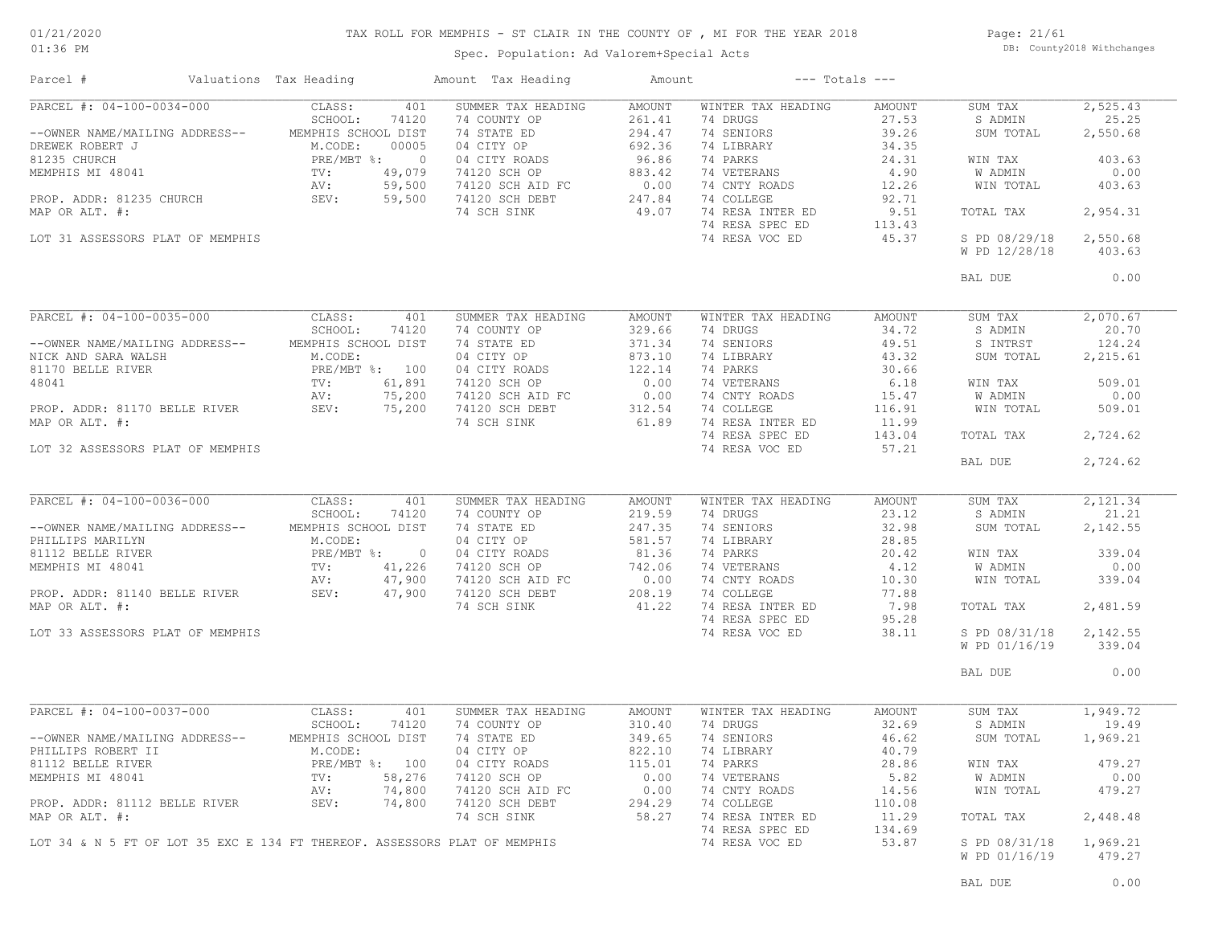### TAX ROLL FOR MEMPHIS - ST CLAIR IN THE COUNTY OF , MI FOR THE YEAR 2018

Page: 21/61 DB: County2018 Withchanges

Spec. Population: Ad Valorem+Special Acts

| PARCEL #: 04-100-0034-000<br>CLASS:<br>401<br>SUMMER TAX HEADING<br>AMOUNT<br>WINTER TAX HEADING<br>AMOUNT<br>SUM TAX<br>SCHOOL:<br>74120<br>74 COUNTY OP<br>261.41<br>74 DRUGS<br>27.53<br>S ADMIN<br>--OWNER NAME/MAILING ADDRESS-- MEMPHIS SCHOOL DIST<br>74 STATE ED<br>294.47<br>74 SENIORS<br>39.26<br>SUM TOTAL<br>2,550.68<br>74 LIBRARY<br>34.35<br>DREWER ROBERT J<br>81235 CHURCH<br>MEMPHIS MI 48041<br>PROP. ADDR: 81235 CHURCH<br>PROP. ADDR: 81235 CHURCH<br>PROP. ADDR: 81235 CHURCH<br>PROP. ADDR: 8235 CHURCH<br>PROP. ADDR: 8235 CHURCH<br>PROP. ADDR: 8235 CHURCH<br>SEV: 59,500 74120 SC<br>74 PARKS<br>24.31<br>WIN TAX<br>74 VETERANS<br>4.90<br>W ADMIN<br>74 CNTY ROADS<br>12.26<br>WIN TOTAL<br>403.63<br>74 COLLEGE<br>92.71<br>49.07<br>74 NESA INTER ED<br>74 RESA SPEC ED<br>74 DECA VOC ED<br>9.51<br>2,954.31<br>MAP OR ALT. #:<br>74 SCH SINK<br>TOTAL TAX<br>113.43<br>74 RESA VOC ED<br>45.37<br>S PD 08/29/18<br>2,550.68<br>LOT 31 ASSESSORS PLAT OF MEMPHIS<br>W PD 12/28/18<br>403.63<br>BAL DUE<br>PARCEL #: 04-100-0035-000<br>2,070.67<br>CLASS:<br>401<br>SUMMER TAX HEADING<br>AMOUNT<br>WINTER TAX HEADING<br>AMOUNT<br>SUM TAX<br>SCHOOL:<br>74120<br>74 COUNTY OP<br>329.66<br>74 DRUGS<br>34.72<br>S ADMIN<br>20.70<br>371.34<br>74 SENIORS<br>49.51<br>S INTRST<br>124.24<br>--OWNER NAME/MAILING ADDRESS--<br>MEMPHIS SCHOOL DIST<br>74 STATE ED<br>43.32<br>74 LIBRARY<br>SUM TOTAL<br>2,215.61<br>NICK AND SARA WALSH M.CODE: 04 CITY OP 873.10<br>81170 BELLE RIVER PRE/MBT %: 100 04 CITY ROADS 122.14<br>48041 TV: 61,891 74120 SCH OP 0.00<br>PROP. ADDR: 81170 BELLE RIVER SEV: 75,200 74120 SCH AID FC 0.00<br>PROP. ADDR: 81170 B<br>74 PARKS<br>30.66<br>74 VETERANS<br>6.18<br>WIN TAX<br>74 CNTY ROADS<br>15.47<br>W ADMIN<br>WIN TOTAL<br>74 CNTY ROADS<br>74 COLLEGE<br>116.91<br>61.89<br>74 RESA INTER ED<br>74 SCH SINK<br>11.99<br>74 RESA SPEC ED<br>143.04<br>TOTAL TAX<br>2,724.62<br>74 RESA VOC ED<br>57.21<br>LOT 32 ASSESSORS PLAT OF MEMPHIS<br>BAL DUE<br>2,724.62<br>PARCEL #: 04-100-0036-000<br>CLASS:<br>401<br>SUMMER TAX HEADING<br>AMOUNT<br>WINTER TAX HEADING<br>AMOUNT<br>SUM TAX<br>2,121.34<br>SCHOOL:<br>74120<br>74 COUNTY OP<br>219.59<br>74 DRUGS<br>23.12<br>S ADMIN<br>21.21<br>74 SENIORS<br>32.98<br>--OWNER NAME/MAILING ADDRESS--<br>MEMPHIS SCHOOL DIST<br>74 STATE ED<br>247.35<br>04 CITY OP<br>361.57<br>04 CITY ROADS<br>74120 SCH OP<br>742.06<br>74120 SCH AID FC<br>74120 SCH AID FC<br>74120 SCH AID FC<br>74120 SCH AID FC<br>74120 SCH AID FC<br>208.19<br>SUM TOTAL<br>2,142.55<br>M.CODE:<br>74 LIBRARY<br>28.85<br>PHILLIPS MARILYN<br>81112 BELLE RIVER<br>MEMPHIS MI 48041 TV: 41,226 74120 SCH OP<br>PROP. ADDR: 81140 BELLE RIVER<br>PROP. ADDR: 81140 BELLE RIVER<br>SEV: 47,900 74120 SCH AID FC<br>SEV: 47,900 74120 SCH DEPT<br>339.04<br>WIN TAX<br>74 PARKS<br>74 PARKS<br>74 CNTY ROADS<br>74 CNTY ROADS<br>10.30<br>77 88<br>W ADMIN<br>WIN TOTAL<br>0.00<br>339.04<br>74 COLLEGE<br>77.88<br>41.22<br>MAP OR ALT. #:<br>74 SCH SINK<br>74 RESA INTER ED<br>7.98<br>2,481.59<br>TOTAL TAX<br>74 RESA SPEC ED<br>95.28<br>74 RESA VOC ED<br>38.11<br>LOT 33 ASSESSORS PLAT OF MEMPHIS<br>S PD 08/31/18<br>2,142.55<br>W PD 01/16/19<br>339.04<br>0.00<br>BAL DUE<br>PARCEL #: 04-100-0037-000<br>WINTER TAX HEADING<br>CLASS:<br>401<br>SUMMER TAX HEADING<br>AMOUNT<br>AMOUNT<br>SUM TAX<br>SCHOOL:<br>74120<br>74 COUNTY OP<br>310.40<br>74 DRUGS<br>32.69<br>S ADMIN<br>MEMPHIS SCHOOL DIST<br>74 STATE ED<br>349.65<br>74 SENIORS<br>46.62<br>SUM TOTAL<br>--OWNER NAME/MAILING ADDRESS--<br>M.CODE:<br>04 CITY OP<br>822.10<br>74 LIBRARY<br>40.79<br>PHILLIPS ROBERT II<br>04 CITY ROADS<br>74120 SCH OP<br>115.01<br>74 PARKS<br>81112 BELLE RIVER<br>28.86<br>WIN TAX<br>479.27<br>PRE/MBT %: 100<br>TV: 58,276<br>0.00<br>74 VETERANS<br>5.82<br>0.00<br>MEMPHIS MI 48041<br>W ADMIN<br>74,800<br>74120 SCH AID FC<br>0.00<br>74 CNTY ROADS<br>WIN TOTAL<br>479.27<br>AV:<br>14.56<br>PROP. ADDR: 81112 BELLE RIVER<br>SEV:<br>74,800<br>74120 SCH DEBT<br>294.29<br>74 COLLEGE<br>110.08<br>74 RESA INTER ED<br>MAP OR ALT. #:<br>74 SCH SINK<br>58.27<br>11.29<br>2,448.48<br>TOTAL TAX<br>74 RESA SPEC ED<br>134.69<br>74 RESA VOC ED<br>53.87<br>LOT 34 & N 5 FT OF LOT 35 EXC E 134 FT THEREOF. ASSESSORS PLAT OF MEMPHIS<br>S PD 08/31/18<br>1,969.21<br>W PD 01/16/19<br>479.27 | Parcel #       | Valuations Tax Heading | Amount Tax Heading | Amount | $---$ Totals $---$ |          |
|-----------------------------------------------------------------------------------------------------------------------------------------------------------------------------------------------------------------------------------------------------------------------------------------------------------------------------------------------------------------------------------------------------------------------------------------------------------------------------------------------------------------------------------------------------------------------------------------------------------------------------------------------------------------------------------------------------------------------------------------------------------------------------------------------------------------------------------------------------------------------------------------------------------------------------------------------------------------------------------------------------------------------------------------------------------------------------------------------------------------------------------------------------------------------------------------------------------------------------------------------------------------------------------------------------------------------------------------------------------------------------------------------------------------------------------------------------------------------------------------------------------------------------------------------------------------------------------------------------------------------------------------------------------------------------------------------------------------------------------------------------------------------------------------------------------------------------------------------------------------------------------------------------------------------------------------------------------------------------------------------------------------------------------------------------------------------------------------------------------------------------------------------------------------------------------------------------------------------------------------------------------------------------------------------------------------------------------------------------------------------------------------------------------------------------------------------------------------------------------------------------------------------------------------------------------------------------------------------------------------------------------------------------------------------------------------------------------------------------------------------------------------------------------------------------------------------------------------------------------------------------------------------------------------------------------------------------------------------------------------------------------------------------------------------------------------------------------------------------------------------------------------------------------------------------------------------------------------------------------------------------------------------------------------------------------------------------------------------------------------------------------------------------------------------------------------------------------------------------------------------------------------------------------------------------------------------------------------------------------------------------------------------------------------------------------------------------------------------------------------------------------------------------------------------------------------------------------------------------------------------------------------------------------------------------------------------------------------------------------------------------------------------------------------------------------------------------------------------------------------------------------------------------------------------------------------------------------------------------------------------------------------------------------------------------------------------------------------------------------------------------------------------------------------------------|----------------|------------------------|--------------------|--------|--------------------|----------|
|                                                                                                                                                                                                                                                                                                                                                                                                                                                                                                                                                                                                                                                                                                                                                                                                                                                                                                                                                                                                                                                                                                                                                                                                                                                                                                                                                                                                                                                                                                                                                                                                                                                                                                                                                                                                                                                                                                                                                                                                                                                                                                                                                                                                                                                                                                                                                                                                                                                                                                                                                                                                                                                                                                                                                                                                                                                                                                                                                                                                                                                                                                                                                                                                                                                                                                                                                                                                                                                                                                                                                                                                                                                                                                                                                                                                                                                                                                                                                                                                                                                                                                                                                                                                                                                                                                                                                                                                                             |                |                        |                    |        |                    | 2,525.43 |
|                                                                                                                                                                                                                                                                                                                                                                                                                                                                                                                                                                                                                                                                                                                                                                                                                                                                                                                                                                                                                                                                                                                                                                                                                                                                                                                                                                                                                                                                                                                                                                                                                                                                                                                                                                                                                                                                                                                                                                                                                                                                                                                                                                                                                                                                                                                                                                                                                                                                                                                                                                                                                                                                                                                                                                                                                                                                                                                                                                                                                                                                                                                                                                                                                                                                                                                                                                                                                                                                                                                                                                                                                                                                                                                                                                                                                                                                                                                                                                                                                                                                                                                                                                                                                                                                                                                                                                                                                             |                |                        |                    |        |                    | 25.25    |
|                                                                                                                                                                                                                                                                                                                                                                                                                                                                                                                                                                                                                                                                                                                                                                                                                                                                                                                                                                                                                                                                                                                                                                                                                                                                                                                                                                                                                                                                                                                                                                                                                                                                                                                                                                                                                                                                                                                                                                                                                                                                                                                                                                                                                                                                                                                                                                                                                                                                                                                                                                                                                                                                                                                                                                                                                                                                                                                                                                                                                                                                                                                                                                                                                                                                                                                                                                                                                                                                                                                                                                                                                                                                                                                                                                                                                                                                                                                                                                                                                                                                                                                                                                                                                                                                                                                                                                                                                             |                |                        |                    |        |                    |          |
|                                                                                                                                                                                                                                                                                                                                                                                                                                                                                                                                                                                                                                                                                                                                                                                                                                                                                                                                                                                                                                                                                                                                                                                                                                                                                                                                                                                                                                                                                                                                                                                                                                                                                                                                                                                                                                                                                                                                                                                                                                                                                                                                                                                                                                                                                                                                                                                                                                                                                                                                                                                                                                                                                                                                                                                                                                                                                                                                                                                                                                                                                                                                                                                                                                                                                                                                                                                                                                                                                                                                                                                                                                                                                                                                                                                                                                                                                                                                                                                                                                                                                                                                                                                                                                                                                                                                                                                                                             |                |                        |                    |        |                    |          |
|                                                                                                                                                                                                                                                                                                                                                                                                                                                                                                                                                                                                                                                                                                                                                                                                                                                                                                                                                                                                                                                                                                                                                                                                                                                                                                                                                                                                                                                                                                                                                                                                                                                                                                                                                                                                                                                                                                                                                                                                                                                                                                                                                                                                                                                                                                                                                                                                                                                                                                                                                                                                                                                                                                                                                                                                                                                                                                                                                                                                                                                                                                                                                                                                                                                                                                                                                                                                                                                                                                                                                                                                                                                                                                                                                                                                                                                                                                                                                                                                                                                                                                                                                                                                                                                                                                                                                                                                                             |                |                        |                    |        |                    | 403.63   |
|                                                                                                                                                                                                                                                                                                                                                                                                                                                                                                                                                                                                                                                                                                                                                                                                                                                                                                                                                                                                                                                                                                                                                                                                                                                                                                                                                                                                                                                                                                                                                                                                                                                                                                                                                                                                                                                                                                                                                                                                                                                                                                                                                                                                                                                                                                                                                                                                                                                                                                                                                                                                                                                                                                                                                                                                                                                                                                                                                                                                                                                                                                                                                                                                                                                                                                                                                                                                                                                                                                                                                                                                                                                                                                                                                                                                                                                                                                                                                                                                                                                                                                                                                                                                                                                                                                                                                                                                                             |                |                        |                    |        |                    | 0.00     |
|                                                                                                                                                                                                                                                                                                                                                                                                                                                                                                                                                                                                                                                                                                                                                                                                                                                                                                                                                                                                                                                                                                                                                                                                                                                                                                                                                                                                                                                                                                                                                                                                                                                                                                                                                                                                                                                                                                                                                                                                                                                                                                                                                                                                                                                                                                                                                                                                                                                                                                                                                                                                                                                                                                                                                                                                                                                                                                                                                                                                                                                                                                                                                                                                                                                                                                                                                                                                                                                                                                                                                                                                                                                                                                                                                                                                                                                                                                                                                                                                                                                                                                                                                                                                                                                                                                                                                                                                                             |                |                        |                    |        |                    |          |
|                                                                                                                                                                                                                                                                                                                                                                                                                                                                                                                                                                                                                                                                                                                                                                                                                                                                                                                                                                                                                                                                                                                                                                                                                                                                                                                                                                                                                                                                                                                                                                                                                                                                                                                                                                                                                                                                                                                                                                                                                                                                                                                                                                                                                                                                                                                                                                                                                                                                                                                                                                                                                                                                                                                                                                                                                                                                                                                                                                                                                                                                                                                                                                                                                                                                                                                                                                                                                                                                                                                                                                                                                                                                                                                                                                                                                                                                                                                                                                                                                                                                                                                                                                                                                                                                                                                                                                                                                             |                |                        |                    |        |                    |          |
|                                                                                                                                                                                                                                                                                                                                                                                                                                                                                                                                                                                                                                                                                                                                                                                                                                                                                                                                                                                                                                                                                                                                                                                                                                                                                                                                                                                                                                                                                                                                                                                                                                                                                                                                                                                                                                                                                                                                                                                                                                                                                                                                                                                                                                                                                                                                                                                                                                                                                                                                                                                                                                                                                                                                                                                                                                                                                                                                                                                                                                                                                                                                                                                                                                                                                                                                                                                                                                                                                                                                                                                                                                                                                                                                                                                                                                                                                                                                                                                                                                                                                                                                                                                                                                                                                                                                                                                                                             |                |                        |                    |        |                    |          |
|                                                                                                                                                                                                                                                                                                                                                                                                                                                                                                                                                                                                                                                                                                                                                                                                                                                                                                                                                                                                                                                                                                                                                                                                                                                                                                                                                                                                                                                                                                                                                                                                                                                                                                                                                                                                                                                                                                                                                                                                                                                                                                                                                                                                                                                                                                                                                                                                                                                                                                                                                                                                                                                                                                                                                                                                                                                                                                                                                                                                                                                                                                                                                                                                                                                                                                                                                                                                                                                                                                                                                                                                                                                                                                                                                                                                                                                                                                                                                                                                                                                                                                                                                                                                                                                                                                                                                                                                                             |                |                        |                    |        |                    |          |
|                                                                                                                                                                                                                                                                                                                                                                                                                                                                                                                                                                                                                                                                                                                                                                                                                                                                                                                                                                                                                                                                                                                                                                                                                                                                                                                                                                                                                                                                                                                                                                                                                                                                                                                                                                                                                                                                                                                                                                                                                                                                                                                                                                                                                                                                                                                                                                                                                                                                                                                                                                                                                                                                                                                                                                                                                                                                                                                                                                                                                                                                                                                                                                                                                                                                                                                                                                                                                                                                                                                                                                                                                                                                                                                                                                                                                                                                                                                                                                                                                                                                                                                                                                                                                                                                                                                                                                                                                             |                |                        |                    |        |                    |          |
|                                                                                                                                                                                                                                                                                                                                                                                                                                                                                                                                                                                                                                                                                                                                                                                                                                                                                                                                                                                                                                                                                                                                                                                                                                                                                                                                                                                                                                                                                                                                                                                                                                                                                                                                                                                                                                                                                                                                                                                                                                                                                                                                                                                                                                                                                                                                                                                                                                                                                                                                                                                                                                                                                                                                                                                                                                                                                                                                                                                                                                                                                                                                                                                                                                                                                                                                                                                                                                                                                                                                                                                                                                                                                                                                                                                                                                                                                                                                                                                                                                                                                                                                                                                                                                                                                                                                                                                                                             |                |                        |                    |        |                    |          |
|                                                                                                                                                                                                                                                                                                                                                                                                                                                                                                                                                                                                                                                                                                                                                                                                                                                                                                                                                                                                                                                                                                                                                                                                                                                                                                                                                                                                                                                                                                                                                                                                                                                                                                                                                                                                                                                                                                                                                                                                                                                                                                                                                                                                                                                                                                                                                                                                                                                                                                                                                                                                                                                                                                                                                                                                                                                                                                                                                                                                                                                                                                                                                                                                                                                                                                                                                                                                                                                                                                                                                                                                                                                                                                                                                                                                                                                                                                                                                                                                                                                                                                                                                                                                                                                                                                                                                                                                                             |                |                        |                    |        |                    |          |
|                                                                                                                                                                                                                                                                                                                                                                                                                                                                                                                                                                                                                                                                                                                                                                                                                                                                                                                                                                                                                                                                                                                                                                                                                                                                                                                                                                                                                                                                                                                                                                                                                                                                                                                                                                                                                                                                                                                                                                                                                                                                                                                                                                                                                                                                                                                                                                                                                                                                                                                                                                                                                                                                                                                                                                                                                                                                                                                                                                                                                                                                                                                                                                                                                                                                                                                                                                                                                                                                                                                                                                                                                                                                                                                                                                                                                                                                                                                                                                                                                                                                                                                                                                                                                                                                                                                                                                                                                             |                |                        |                    |        |                    | 0.00     |
|                                                                                                                                                                                                                                                                                                                                                                                                                                                                                                                                                                                                                                                                                                                                                                                                                                                                                                                                                                                                                                                                                                                                                                                                                                                                                                                                                                                                                                                                                                                                                                                                                                                                                                                                                                                                                                                                                                                                                                                                                                                                                                                                                                                                                                                                                                                                                                                                                                                                                                                                                                                                                                                                                                                                                                                                                                                                                                                                                                                                                                                                                                                                                                                                                                                                                                                                                                                                                                                                                                                                                                                                                                                                                                                                                                                                                                                                                                                                                                                                                                                                                                                                                                                                                                                                                                                                                                                                                             |                |                        |                    |        |                    |          |
|                                                                                                                                                                                                                                                                                                                                                                                                                                                                                                                                                                                                                                                                                                                                                                                                                                                                                                                                                                                                                                                                                                                                                                                                                                                                                                                                                                                                                                                                                                                                                                                                                                                                                                                                                                                                                                                                                                                                                                                                                                                                                                                                                                                                                                                                                                                                                                                                                                                                                                                                                                                                                                                                                                                                                                                                                                                                                                                                                                                                                                                                                                                                                                                                                                                                                                                                                                                                                                                                                                                                                                                                                                                                                                                                                                                                                                                                                                                                                                                                                                                                                                                                                                                                                                                                                                                                                                                                                             |                |                        |                    |        |                    |          |
|                                                                                                                                                                                                                                                                                                                                                                                                                                                                                                                                                                                                                                                                                                                                                                                                                                                                                                                                                                                                                                                                                                                                                                                                                                                                                                                                                                                                                                                                                                                                                                                                                                                                                                                                                                                                                                                                                                                                                                                                                                                                                                                                                                                                                                                                                                                                                                                                                                                                                                                                                                                                                                                                                                                                                                                                                                                                                                                                                                                                                                                                                                                                                                                                                                                                                                                                                                                                                                                                                                                                                                                                                                                                                                                                                                                                                                                                                                                                                                                                                                                                                                                                                                                                                                                                                                                                                                                                                             |                |                        |                    |        |                    |          |
|                                                                                                                                                                                                                                                                                                                                                                                                                                                                                                                                                                                                                                                                                                                                                                                                                                                                                                                                                                                                                                                                                                                                                                                                                                                                                                                                                                                                                                                                                                                                                                                                                                                                                                                                                                                                                                                                                                                                                                                                                                                                                                                                                                                                                                                                                                                                                                                                                                                                                                                                                                                                                                                                                                                                                                                                                                                                                                                                                                                                                                                                                                                                                                                                                                                                                                                                                                                                                                                                                                                                                                                                                                                                                                                                                                                                                                                                                                                                                                                                                                                                                                                                                                                                                                                                                                                                                                                                                             |                |                        |                    |        |                    |          |
|                                                                                                                                                                                                                                                                                                                                                                                                                                                                                                                                                                                                                                                                                                                                                                                                                                                                                                                                                                                                                                                                                                                                                                                                                                                                                                                                                                                                                                                                                                                                                                                                                                                                                                                                                                                                                                                                                                                                                                                                                                                                                                                                                                                                                                                                                                                                                                                                                                                                                                                                                                                                                                                                                                                                                                                                                                                                                                                                                                                                                                                                                                                                                                                                                                                                                                                                                                                                                                                                                                                                                                                                                                                                                                                                                                                                                                                                                                                                                                                                                                                                                                                                                                                                                                                                                                                                                                                                                             |                |                        |                    |        |                    |          |
|                                                                                                                                                                                                                                                                                                                                                                                                                                                                                                                                                                                                                                                                                                                                                                                                                                                                                                                                                                                                                                                                                                                                                                                                                                                                                                                                                                                                                                                                                                                                                                                                                                                                                                                                                                                                                                                                                                                                                                                                                                                                                                                                                                                                                                                                                                                                                                                                                                                                                                                                                                                                                                                                                                                                                                                                                                                                                                                                                                                                                                                                                                                                                                                                                                                                                                                                                                                                                                                                                                                                                                                                                                                                                                                                                                                                                                                                                                                                                                                                                                                                                                                                                                                                                                                                                                                                                                                                                             |                |                        |                    |        |                    |          |
|                                                                                                                                                                                                                                                                                                                                                                                                                                                                                                                                                                                                                                                                                                                                                                                                                                                                                                                                                                                                                                                                                                                                                                                                                                                                                                                                                                                                                                                                                                                                                                                                                                                                                                                                                                                                                                                                                                                                                                                                                                                                                                                                                                                                                                                                                                                                                                                                                                                                                                                                                                                                                                                                                                                                                                                                                                                                                                                                                                                                                                                                                                                                                                                                                                                                                                                                                                                                                                                                                                                                                                                                                                                                                                                                                                                                                                                                                                                                                                                                                                                                                                                                                                                                                                                                                                                                                                                                                             |                |                        |                    |        |                    | 509.01   |
|                                                                                                                                                                                                                                                                                                                                                                                                                                                                                                                                                                                                                                                                                                                                                                                                                                                                                                                                                                                                                                                                                                                                                                                                                                                                                                                                                                                                                                                                                                                                                                                                                                                                                                                                                                                                                                                                                                                                                                                                                                                                                                                                                                                                                                                                                                                                                                                                                                                                                                                                                                                                                                                                                                                                                                                                                                                                                                                                                                                                                                                                                                                                                                                                                                                                                                                                                                                                                                                                                                                                                                                                                                                                                                                                                                                                                                                                                                                                                                                                                                                                                                                                                                                                                                                                                                                                                                                                                             |                |                        |                    |        |                    | 0.00     |
|                                                                                                                                                                                                                                                                                                                                                                                                                                                                                                                                                                                                                                                                                                                                                                                                                                                                                                                                                                                                                                                                                                                                                                                                                                                                                                                                                                                                                                                                                                                                                                                                                                                                                                                                                                                                                                                                                                                                                                                                                                                                                                                                                                                                                                                                                                                                                                                                                                                                                                                                                                                                                                                                                                                                                                                                                                                                                                                                                                                                                                                                                                                                                                                                                                                                                                                                                                                                                                                                                                                                                                                                                                                                                                                                                                                                                                                                                                                                                                                                                                                                                                                                                                                                                                                                                                                                                                                                                             |                |                        |                    |        |                    | 509.01   |
|                                                                                                                                                                                                                                                                                                                                                                                                                                                                                                                                                                                                                                                                                                                                                                                                                                                                                                                                                                                                                                                                                                                                                                                                                                                                                                                                                                                                                                                                                                                                                                                                                                                                                                                                                                                                                                                                                                                                                                                                                                                                                                                                                                                                                                                                                                                                                                                                                                                                                                                                                                                                                                                                                                                                                                                                                                                                                                                                                                                                                                                                                                                                                                                                                                                                                                                                                                                                                                                                                                                                                                                                                                                                                                                                                                                                                                                                                                                                                                                                                                                                                                                                                                                                                                                                                                                                                                                                                             | MAP OR ALT. #: |                        |                    |        |                    |          |
|                                                                                                                                                                                                                                                                                                                                                                                                                                                                                                                                                                                                                                                                                                                                                                                                                                                                                                                                                                                                                                                                                                                                                                                                                                                                                                                                                                                                                                                                                                                                                                                                                                                                                                                                                                                                                                                                                                                                                                                                                                                                                                                                                                                                                                                                                                                                                                                                                                                                                                                                                                                                                                                                                                                                                                                                                                                                                                                                                                                                                                                                                                                                                                                                                                                                                                                                                                                                                                                                                                                                                                                                                                                                                                                                                                                                                                                                                                                                                                                                                                                                                                                                                                                                                                                                                                                                                                                                                             |                |                        |                    |        |                    |          |
|                                                                                                                                                                                                                                                                                                                                                                                                                                                                                                                                                                                                                                                                                                                                                                                                                                                                                                                                                                                                                                                                                                                                                                                                                                                                                                                                                                                                                                                                                                                                                                                                                                                                                                                                                                                                                                                                                                                                                                                                                                                                                                                                                                                                                                                                                                                                                                                                                                                                                                                                                                                                                                                                                                                                                                                                                                                                                                                                                                                                                                                                                                                                                                                                                                                                                                                                                                                                                                                                                                                                                                                                                                                                                                                                                                                                                                                                                                                                                                                                                                                                                                                                                                                                                                                                                                                                                                                                                             |                |                        |                    |        |                    |          |
|                                                                                                                                                                                                                                                                                                                                                                                                                                                                                                                                                                                                                                                                                                                                                                                                                                                                                                                                                                                                                                                                                                                                                                                                                                                                                                                                                                                                                                                                                                                                                                                                                                                                                                                                                                                                                                                                                                                                                                                                                                                                                                                                                                                                                                                                                                                                                                                                                                                                                                                                                                                                                                                                                                                                                                                                                                                                                                                                                                                                                                                                                                                                                                                                                                                                                                                                                                                                                                                                                                                                                                                                                                                                                                                                                                                                                                                                                                                                                                                                                                                                                                                                                                                                                                                                                                                                                                                                                             |                |                        |                    |        |                    |          |
|                                                                                                                                                                                                                                                                                                                                                                                                                                                                                                                                                                                                                                                                                                                                                                                                                                                                                                                                                                                                                                                                                                                                                                                                                                                                                                                                                                                                                                                                                                                                                                                                                                                                                                                                                                                                                                                                                                                                                                                                                                                                                                                                                                                                                                                                                                                                                                                                                                                                                                                                                                                                                                                                                                                                                                                                                                                                                                                                                                                                                                                                                                                                                                                                                                                                                                                                                                                                                                                                                                                                                                                                                                                                                                                                                                                                                                                                                                                                                                                                                                                                                                                                                                                                                                                                                                                                                                                                                             |                |                        |                    |        |                    |          |
|                                                                                                                                                                                                                                                                                                                                                                                                                                                                                                                                                                                                                                                                                                                                                                                                                                                                                                                                                                                                                                                                                                                                                                                                                                                                                                                                                                                                                                                                                                                                                                                                                                                                                                                                                                                                                                                                                                                                                                                                                                                                                                                                                                                                                                                                                                                                                                                                                                                                                                                                                                                                                                                                                                                                                                                                                                                                                                                                                                                                                                                                                                                                                                                                                                                                                                                                                                                                                                                                                                                                                                                                                                                                                                                                                                                                                                                                                                                                                                                                                                                                                                                                                                                                                                                                                                                                                                                                                             |                |                        |                    |        |                    |          |
|                                                                                                                                                                                                                                                                                                                                                                                                                                                                                                                                                                                                                                                                                                                                                                                                                                                                                                                                                                                                                                                                                                                                                                                                                                                                                                                                                                                                                                                                                                                                                                                                                                                                                                                                                                                                                                                                                                                                                                                                                                                                                                                                                                                                                                                                                                                                                                                                                                                                                                                                                                                                                                                                                                                                                                                                                                                                                                                                                                                                                                                                                                                                                                                                                                                                                                                                                                                                                                                                                                                                                                                                                                                                                                                                                                                                                                                                                                                                                                                                                                                                                                                                                                                                                                                                                                                                                                                                                             |                |                        |                    |        |                    |          |
|                                                                                                                                                                                                                                                                                                                                                                                                                                                                                                                                                                                                                                                                                                                                                                                                                                                                                                                                                                                                                                                                                                                                                                                                                                                                                                                                                                                                                                                                                                                                                                                                                                                                                                                                                                                                                                                                                                                                                                                                                                                                                                                                                                                                                                                                                                                                                                                                                                                                                                                                                                                                                                                                                                                                                                                                                                                                                                                                                                                                                                                                                                                                                                                                                                                                                                                                                                                                                                                                                                                                                                                                                                                                                                                                                                                                                                                                                                                                                                                                                                                                                                                                                                                                                                                                                                                                                                                                                             |                |                        |                    |        |                    |          |
|                                                                                                                                                                                                                                                                                                                                                                                                                                                                                                                                                                                                                                                                                                                                                                                                                                                                                                                                                                                                                                                                                                                                                                                                                                                                                                                                                                                                                                                                                                                                                                                                                                                                                                                                                                                                                                                                                                                                                                                                                                                                                                                                                                                                                                                                                                                                                                                                                                                                                                                                                                                                                                                                                                                                                                                                                                                                                                                                                                                                                                                                                                                                                                                                                                                                                                                                                                                                                                                                                                                                                                                                                                                                                                                                                                                                                                                                                                                                                                                                                                                                                                                                                                                                                                                                                                                                                                                                                             |                |                        |                    |        |                    |          |
|                                                                                                                                                                                                                                                                                                                                                                                                                                                                                                                                                                                                                                                                                                                                                                                                                                                                                                                                                                                                                                                                                                                                                                                                                                                                                                                                                                                                                                                                                                                                                                                                                                                                                                                                                                                                                                                                                                                                                                                                                                                                                                                                                                                                                                                                                                                                                                                                                                                                                                                                                                                                                                                                                                                                                                                                                                                                                                                                                                                                                                                                                                                                                                                                                                                                                                                                                                                                                                                                                                                                                                                                                                                                                                                                                                                                                                                                                                                                                                                                                                                                                                                                                                                                                                                                                                                                                                                                                             |                |                        |                    |        |                    |          |
|                                                                                                                                                                                                                                                                                                                                                                                                                                                                                                                                                                                                                                                                                                                                                                                                                                                                                                                                                                                                                                                                                                                                                                                                                                                                                                                                                                                                                                                                                                                                                                                                                                                                                                                                                                                                                                                                                                                                                                                                                                                                                                                                                                                                                                                                                                                                                                                                                                                                                                                                                                                                                                                                                                                                                                                                                                                                                                                                                                                                                                                                                                                                                                                                                                                                                                                                                                                                                                                                                                                                                                                                                                                                                                                                                                                                                                                                                                                                                                                                                                                                                                                                                                                                                                                                                                                                                                                                                             |                |                        |                    |        |                    |          |
|                                                                                                                                                                                                                                                                                                                                                                                                                                                                                                                                                                                                                                                                                                                                                                                                                                                                                                                                                                                                                                                                                                                                                                                                                                                                                                                                                                                                                                                                                                                                                                                                                                                                                                                                                                                                                                                                                                                                                                                                                                                                                                                                                                                                                                                                                                                                                                                                                                                                                                                                                                                                                                                                                                                                                                                                                                                                                                                                                                                                                                                                                                                                                                                                                                                                                                                                                                                                                                                                                                                                                                                                                                                                                                                                                                                                                                                                                                                                                                                                                                                                                                                                                                                                                                                                                                                                                                                                                             |                |                        |                    |        |                    |          |
|                                                                                                                                                                                                                                                                                                                                                                                                                                                                                                                                                                                                                                                                                                                                                                                                                                                                                                                                                                                                                                                                                                                                                                                                                                                                                                                                                                                                                                                                                                                                                                                                                                                                                                                                                                                                                                                                                                                                                                                                                                                                                                                                                                                                                                                                                                                                                                                                                                                                                                                                                                                                                                                                                                                                                                                                                                                                                                                                                                                                                                                                                                                                                                                                                                                                                                                                                                                                                                                                                                                                                                                                                                                                                                                                                                                                                                                                                                                                                                                                                                                                                                                                                                                                                                                                                                                                                                                                                             |                |                        |                    |        |                    |          |
|                                                                                                                                                                                                                                                                                                                                                                                                                                                                                                                                                                                                                                                                                                                                                                                                                                                                                                                                                                                                                                                                                                                                                                                                                                                                                                                                                                                                                                                                                                                                                                                                                                                                                                                                                                                                                                                                                                                                                                                                                                                                                                                                                                                                                                                                                                                                                                                                                                                                                                                                                                                                                                                                                                                                                                                                                                                                                                                                                                                                                                                                                                                                                                                                                                                                                                                                                                                                                                                                                                                                                                                                                                                                                                                                                                                                                                                                                                                                                                                                                                                                                                                                                                                                                                                                                                                                                                                                                             |                |                        |                    |        |                    |          |
|                                                                                                                                                                                                                                                                                                                                                                                                                                                                                                                                                                                                                                                                                                                                                                                                                                                                                                                                                                                                                                                                                                                                                                                                                                                                                                                                                                                                                                                                                                                                                                                                                                                                                                                                                                                                                                                                                                                                                                                                                                                                                                                                                                                                                                                                                                                                                                                                                                                                                                                                                                                                                                                                                                                                                                                                                                                                                                                                                                                                                                                                                                                                                                                                                                                                                                                                                                                                                                                                                                                                                                                                                                                                                                                                                                                                                                                                                                                                                                                                                                                                                                                                                                                                                                                                                                                                                                                                                             |                |                        |                    |        |                    |          |
|                                                                                                                                                                                                                                                                                                                                                                                                                                                                                                                                                                                                                                                                                                                                                                                                                                                                                                                                                                                                                                                                                                                                                                                                                                                                                                                                                                                                                                                                                                                                                                                                                                                                                                                                                                                                                                                                                                                                                                                                                                                                                                                                                                                                                                                                                                                                                                                                                                                                                                                                                                                                                                                                                                                                                                                                                                                                                                                                                                                                                                                                                                                                                                                                                                                                                                                                                                                                                                                                                                                                                                                                                                                                                                                                                                                                                                                                                                                                                                                                                                                                                                                                                                                                                                                                                                                                                                                                                             |                |                        |                    |        |                    |          |
|                                                                                                                                                                                                                                                                                                                                                                                                                                                                                                                                                                                                                                                                                                                                                                                                                                                                                                                                                                                                                                                                                                                                                                                                                                                                                                                                                                                                                                                                                                                                                                                                                                                                                                                                                                                                                                                                                                                                                                                                                                                                                                                                                                                                                                                                                                                                                                                                                                                                                                                                                                                                                                                                                                                                                                                                                                                                                                                                                                                                                                                                                                                                                                                                                                                                                                                                                                                                                                                                                                                                                                                                                                                                                                                                                                                                                                                                                                                                                                                                                                                                                                                                                                                                                                                                                                                                                                                                                             |                |                        |                    |        |                    |          |
|                                                                                                                                                                                                                                                                                                                                                                                                                                                                                                                                                                                                                                                                                                                                                                                                                                                                                                                                                                                                                                                                                                                                                                                                                                                                                                                                                                                                                                                                                                                                                                                                                                                                                                                                                                                                                                                                                                                                                                                                                                                                                                                                                                                                                                                                                                                                                                                                                                                                                                                                                                                                                                                                                                                                                                                                                                                                                                                                                                                                                                                                                                                                                                                                                                                                                                                                                                                                                                                                                                                                                                                                                                                                                                                                                                                                                                                                                                                                                                                                                                                                                                                                                                                                                                                                                                                                                                                                                             |                |                        |                    |        |                    |          |
|                                                                                                                                                                                                                                                                                                                                                                                                                                                                                                                                                                                                                                                                                                                                                                                                                                                                                                                                                                                                                                                                                                                                                                                                                                                                                                                                                                                                                                                                                                                                                                                                                                                                                                                                                                                                                                                                                                                                                                                                                                                                                                                                                                                                                                                                                                                                                                                                                                                                                                                                                                                                                                                                                                                                                                                                                                                                                                                                                                                                                                                                                                                                                                                                                                                                                                                                                                                                                                                                                                                                                                                                                                                                                                                                                                                                                                                                                                                                                                                                                                                                                                                                                                                                                                                                                                                                                                                                                             |                |                        |                    |        |                    |          |
|                                                                                                                                                                                                                                                                                                                                                                                                                                                                                                                                                                                                                                                                                                                                                                                                                                                                                                                                                                                                                                                                                                                                                                                                                                                                                                                                                                                                                                                                                                                                                                                                                                                                                                                                                                                                                                                                                                                                                                                                                                                                                                                                                                                                                                                                                                                                                                                                                                                                                                                                                                                                                                                                                                                                                                                                                                                                                                                                                                                                                                                                                                                                                                                                                                                                                                                                                                                                                                                                                                                                                                                                                                                                                                                                                                                                                                                                                                                                                                                                                                                                                                                                                                                                                                                                                                                                                                                                                             |                |                        |                    |        |                    |          |
|                                                                                                                                                                                                                                                                                                                                                                                                                                                                                                                                                                                                                                                                                                                                                                                                                                                                                                                                                                                                                                                                                                                                                                                                                                                                                                                                                                                                                                                                                                                                                                                                                                                                                                                                                                                                                                                                                                                                                                                                                                                                                                                                                                                                                                                                                                                                                                                                                                                                                                                                                                                                                                                                                                                                                                                                                                                                                                                                                                                                                                                                                                                                                                                                                                                                                                                                                                                                                                                                                                                                                                                                                                                                                                                                                                                                                                                                                                                                                                                                                                                                                                                                                                                                                                                                                                                                                                                                                             |                |                        |                    |        |                    | 1,949.72 |
|                                                                                                                                                                                                                                                                                                                                                                                                                                                                                                                                                                                                                                                                                                                                                                                                                                                                                                                                                                                                                                                                                                                                                                                                                                                                                                                                                                                                                                                                                                                                                                                                                                                                                                                                                                                                                                                                                                                                                                                                                                                                                                                                                                                                                                                                                                                                                                                                                                                                                                                                                                                                                                                                                                                                                                                                                                                                                                                                                                                                                                                                                                                                                                                                                                                                                                                                                                                                                                                                                                                                                                                                                                                                                                                                                                                                                                                                                                                                                                                                                                                                                                                                                                                                                                                                                                                                                                                                                             |                |                        |                    |        |                    | 19.49    |
|                                                                                                                                                                                                                                                                                                                                                                                                                                                                                                                                                                                                                                                                                                                                                                                                                                                                                                                                                                                                                                                                                                                                                                                                                                                                                                                                                                                                                                                                                                                                                                                                                                                                                                                                                                                                                                                                                                                                                                                                                                                                                                                                                                                                                                                                                                                                                                                                                                                                                                                                                                                                                                                                                                                                                                                                                                                                                                                                                                                                                                                                                                                                                                                                                                                                                                                                                                                                                                                                                                                                                                                                                                                                                                                                                                                                                                                                                                                                                                                                                                                                                                                                                                                                                                                                                                                                                                                                                             |                |                        |                    |        |                    | 1,969.21 |
|                                                                                                                                                                                                                                                                                                                                                                                                                                                                                                                                                                                                                                                                                                                                                                                                                                                                                                                                                                                                                                                                                                                                                                                                                                                                                                                                                                                                                                                                                                                                                                                                                                                                                                                                                                                                                                                                                                                                                                                                                                                                                                                                                                                                                                                                                                                                                                                                                                                                                                                                                                                                                                                                                                                                                                                                                                                                                                                                                                                                                                                                                                                                                                                                                                                                                                                                                                                                                                                                                                                                                                                                                                                                                                                                                                                                                                                                                                                                                                                                                                                                                                                                                                                                                                                                                                                                                                                                                             |                |                        |                    |        |                    |          |
|                                                                                                                                                                                                                                                                                                                                                                                                                                                                                                                                                                                                                                                                                                                                                                                                                                                                                                                                                                                                                                                                                                                                                                                                                                                                                                                                                                                                                                                                                                                                                                                                                                                                                                                                                                                                                                                                                                                                                                                                                                                                                                                                                                                                                                                                                                                                                                                                                                                                                                                                                                                                                                                                                                                                                                                                                                                                                                                                                                                                                                                                                                                                                                                                                                                                                                                                                                                                                                                                                                                                                                                                                                                                                                                                                                                                                                                                                                                                                                                                                                                                                                                                                                                                                                                                                                                                                                                                                             |                |                        |                    |        |                    |          |
|                                                                                                                                                                                                                                                                                                                                                                                                                                                                                                                                                                                                                                                                                                                                                                                                                                                                                                                                                                                                                                                                                                                                                                                                                                                                                                                                                                                                                                                                                                                                                                                                                                                                                                                                                                                                                                                                                                                                                                                                                                                                                                                                                                                                                                                                                                                                                                                                                                                                                                                                                                                                                                                                                                                                                                                                                                                                                                                                                                                                                                                                                                                                                                                                                                                                                                                                                                                                                                                                                                                                                                                                                                                                                                                                                                                                                                                                                                                                                                                                                                                                                                                                                                                                                                                                                                                                                                                                                             |                |                        |                    |        |                    |          |
|                                                                                                                                                                                                                                                                                                                                                                                                                                                                                                                                                                                                                                                                                                                                                                                                                                                                                                                                                                                                                                                                                                                                                                                                                                                                                                                                                                                                                                                                                                                                                                                                                                                                                                                                                                                                                                                                                                                                                                                                                                                                                                                                                                                                                                                                                                                                                                                                                                                                                                                                                                                                                                                                                                                                                                                                                                                                                                                                                                                                                                                                                                                                                                                                                                                                                                                                                                                                                                                                                                                                                                                                                                                                                                                                                                                                                                                                                                                                                                                                                                                                                                                                                                                                                                                                                                                                                                                                                             |                |                        |                    |        |                    |          |
|                                                                                                                                                                                                                                                                                                                                                                                                                                                                                                                                                                                                                                                                                                                                                                                                                                                                                                                                                                                                                                                                                                                                                                                                                                                                                                                                                                                                                                                                                                                                                                                                                                                                                                                                                                                                                                                                                                                                                                                                                                                                                                                                                                                                                                                                                                                                                                                                                                                                                                                                                                                                                                                                                                                                                                                                                                                                                                                                                                                                                                                                                                                                                                                                                                                                                                                                                                                                                                                                                                                                                                                                                                                                                                                                                                                                                                                                                                                                                                                                                                                                                                                                                                                                                                                                                                                                                                                                                             |                |                        |                    |        |                    |          |
|                                                                                                                                                                                                                                                                                                                                                                                                                                                                                                                                                                                                                                                                                                                                                                                                                                                                                                                                                                                                                                                                                                                                                                                                                                                                                                                                                                                                                                                                                                                                                                                                                                                                                                                                                                                                                                                                                                                                                                                                                                                                                                                                                                                                                                                                                                                                                                                                                                                                                                                                                                                                                                                                                                                                                                                                                                                                                                                                                                                                                                                                                                                                                                                                                                                                                                                                                                                                                                                                                                                                                                                                                                                                                                                                                                                                                                                                                                                                                                                                                                                                                                                                                                                                                                                                                                                                                                                                                             |                |                        |                    |        |                    |          |
|                                                                                                                                                                                                                                                                                                                                                                                                                                                                                                                                                                                                                                                                                                                                                                                                                                                                                                                                                                                                                                                                                                                                                                                                                                                                                                                                                                                                                                                                                                                                                                                                                                                                                                                                                                                                                                                                                                                                                                                                                                                                                                                                                                                                                                                                                                                                                                                                                                                                                                                                                                                                                                                                                                                                                                                                                                                                                                                                                                                                                                                                                                                                                                                                                                                                                                                                                                                                                                                                                                                                                                                                                                                                                                                                                                                                                                                                                                                                                                                                                                                                                                                                                                                                                                                                                                                                                                                                                             |                |                        |                    |        |                    |          |
|                                                                                                                                                                                                                                                                                                                                                                                                                                                                                                                                                                                                                                                                                                                                                                                                                                                                                                                                                                                                                                                                                                                                                                                                                                                                                                                                                                                                                                                                                                                                                                                                                                                                                                                                                                                                                                                                                                                                                                                                                                                                                                                                                                                                                                                                                                                                                                                                                                                                                                                                                                                                                                                                                                                                                                                                                                                                                                                                                                                                                                                                                                                                                                                                                                                                                                                                                                                                                                                                                                                                                                                                                                                                                                                                                                                                                                                                                                                                                                                                                                                                                                                                                                                                                                                                                                                                                                                                                             |                |                        |                    |        |                    |          |
|                                                                                                                                                                                                                                                                                                                                                                                                                                                                                                                                                                                                                                                                                                                                                                                                                                                                                                                                                                                                                                                                                                                                                                                                                                                                                                                                                                                                                                                                                                                                                                                                                                                                                                                                                                                                                                                                                                                                                                                                                                                                                                                                                                                                                                                                                                                                                                                                                                                                                                                                                                                                                                                                                                                                                                                                                                                                                                                                                                                                                                                                                                                                                                                                                                                                                                                                                                                                                                                                                                                                                                                                                                                                                                                                                                                                                                                                                                                                                                                                                                                                                                                                                                                                                                                                                                                                                                                                                             |                |                        |                    |        |                    |          |
|                                                                                                                                                                                                                                                                                                                                                                                                                                                                                                                                                                                                                                                                                                                                                                                                                                                                                                                                                                                                                                                                                                                                                                                                                                                                                                                                                                                                                                                                                                                                                                                                                                                                                                                                                                                                                                                                                                                                                                                                                                                                                                                                                                                                                                                                                                                                                                                                                                                                                                                                                                                                                                                                                                                                                                                                                                                                                                                                                                                                                                                                                                                                                                                                                                                                                                                                                                                                                                                                                                                                                                                                                                                                                                                                                                                                                                                                                                                                                                                                                                                                                                                                                                                                                                                                                                                                                                                                                             |                |                        |                    |        |                    |          |

BAL DUE  $0.00$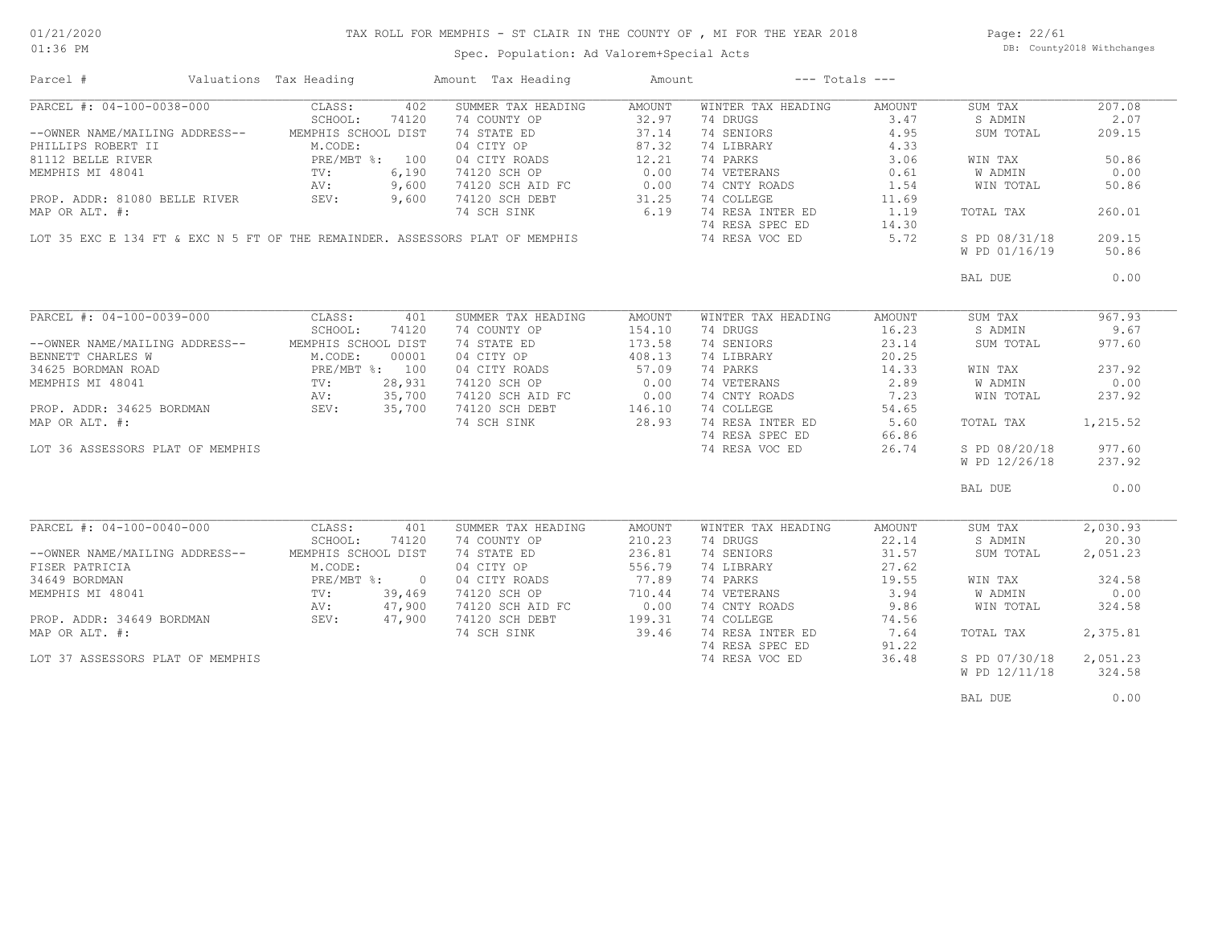### TAX ROLL FOR MEMPHIS - ST CLAIR IN THE COUNTY OF , MI FOR THE YEAR 2018

Spec. Population: Ad Valorem+Special Acts

Page: 22/61 DB: County2018 Withchanges

| Parcel #                               | Valuations Tax Heading |        | Amount Tax Heading                                                           | Amount |                    | $---$ Totals $---$ |               |          |
|----------------------------------------|------------------------|--------|------------------------------------------------------------------------------|--------|--------------------|--------------------|---------------|----------|
| PARCEL #: 04-100-0038-000              | CLASS:                 | 402    | SUMMER TAX HEADING                                                           | AMOUNT | WINTER TAX HEADING | AMOUNT             | SUM TAX       | 207.08   |
|                                        | SCHOOL:                | 74120  | 74 COUNTY OP                                                                 | 32.97  | 74 DRUGS           | 3.47               | S ADMIN       | 2.07     |
| --OWNER NAME/MAILING ADDRESS--         | MEMPHIS SCHOOL DIST    |        | 74 STATE ED                                                                  | 37.14  | 74 SENIORS         | 4.95               | SUM TOTAL     | 209.15   |
| PHILLIPS ROBERT II                     | M.CODE:                |        | 04 CITY OP                                                                   | 87.32  | 74 LIBRARY         | 4.33               |               |          |
| 81112 BELLE RIVER                      | PRE/MBT %: 100         |        | 04 CITY ROADS                                                                | 12.21  | 74 PARKS           | 3.06               | WIN TAX       | 50.86    |
| MEMPHIS MI 48041                       | TV:                    | 6,190  | 74120 SCH OP                                                                 | 0.00   | 74 VETERANS        | 0.61               | W ADMIN       | 0.00     |
|                                        | AV:                    | 9,600  |                                                                              | 0.00   | 74 CNTY ROADS      | 1.54               | WIN TOTAL     | 50.86    |
|                                        |                        |        | 74120 SCH AID FC<br>74120 SCH DEBT                                           |        |                    |                    |               |          |
| PROP. ADDR: 81080 BELLE RIVER          | SEV:                   | 9,600  |                                                                              | 31.25  | 74 COLLEGE         | 11.69              |               |          |
| MAP OR ALT. #:                         |                        |        | 74 SCH SINK                                                                  | 6.19   | 74 RESA INTER ED   | 1.19               | TOTAL TAX     | 260.01   |
|                                        |                        |        |                                                                              |        | 74 RESA SPEC ED    | 14.30              |               |          |
|                                        |                        |        | LOT 35 EXC E 134 FT & EXC N 5 FT OF THE REMAINDER. ASSESSORS PLAT OF MEMPHIS |        | 74 RESA VOC ED     | 5.72               | S PD 08/31/18 | 209.15   |
|                                        |                        |        |                                                                              |        |                    |                    | W PD 01/16/19 | 50.86    |
|                                        |                        |        |                                                                              |        |                    |                    | BAL DUE       | 0.00     |
|                                        |                        |        |                                                                              |        |                    |                    |               |          |
| PARCEL #: 04-100-0039-000 CLASS:       |                        | 401    | SUMMER TAX HEADING                                                           | AMOUNT | WINTER TAX HEADING | AMOUNT             | SUM TAX       | 967.93   |
|                                        | SCHOOL:                | 74120  | 74 COUNTY OP                                                                 | 154.10 | 74 DRUGS           | 16.23              | S ADMIN       | 9.67     |
| --OWNER NAME/MAILING ADDRESS--         | MEMPHIS SCHOOL DIST    |        | 74 STATE ED                                                                  | 173.58 | 74 SENIORS         | 23.14              | SUM TOTAL     | 977.60   |
| BENNETT CHARLES W                      | M.CODE:                | 00001  | 04 CITY OP                                                                   | 408.13 | 74 LIBRARY         | 20.25              |               |          |
|                                        | PRE/MBT %: 100         |        | 04 CITY ROADS                                                                | 57.09  | 74 PARKS           | 14.33              | WIN TAX       | 237.92   |
| 34625 BORDMAN ROAD<br>mrmphts Mi 48041 | TV:                    | 28,931 | 74120 SCH OP                                                                 | 0.00   | 74 VETERANS        | 2.89               | W ADMIN       | 0.00     |
|                                        | AV:                    | 35,700 |                                                                              |        | 74 CNTY ROADS      | 7.23               | WIN TOTAL     | 237.92   |
| PROP. ADDR: 34625 BORDMAN SEV:         |                        |        | 74120 SCH AID FC 0.00<br>74120 SCH DEBT 146.10                               |        |                    |                    |               |          |
|                                        |                        | 35,700 |                                                                              |        | 74 COLLEGE         | 54.65              |               |          |
| MAP OR ALT. #:                         |                        |        | 74 SCH SINK                                                                  | 28.93  | 74 RESA INTER ED   | 5.60               | TOTAL TAX     | 1,215.52 |
|                                        |                        |        |                                                                              |        | 74 RESA SPEC ED    | 66.86              |               |          |
| LOT 36 ASSESSORS PLAT OF MEMPHIS       |                        |        |                                                                              |        | 74 RESA VOC ED     | 26.74              | S PD 08/20/18 | 977.60   |
|                                        |                        |        |                                                                              |        |                    |                    | W PD 12/26/18 | 237.92   |
|                                        |                        |        |                                                                              |        |                    |                    | BAL DUE       | 0.00     |
|                                        |                        |        |                                                                              |        |                    |                    |               |          |
| PARCEL #: 04-100-0040-000              | CLASS:                 | 401    | SUMMER TAX HEADING                                                           | AMOUNT | WINTER TAX HEADING | AMOUNT             | SUM TAX       | 2,030.93 |
|                                        | SCHOOL:                | 74120  | 74 COUNTY OP                                                                 | 210.23 | 74 DRUGS           | 22.14              | S ADMIN       | 20.30    |
| --OWNER NAME/MAILING ADDRESS--         | MEMPHIS SCHOOL DIST    |        | 74 STATE ED                                                                  | 236.81 | 74 SENIORS         | 31.57              | SUM TOTAL     | 2,051.23 |
| FISER PATRICIA                         | M.CODE:                |        | 04 CITY OP                                                                   | 556.79 | 74 LIBRARY         | 27.62              |               |          |
| 34649 BORDMAN                          | PRE/MBT %: 0           |        | 04 CITY ROADS                                                                | 77.89  | 74 PARKS           | 19.55              | WIN TAX       | 324.58   |
| MEMPHIS MI 48041                       | $\text{TV}$ :          | 39,469 | 74120 SCH OP                                                                 | 710.44 | 74 VETERANS        | 3.94               | W ADMIN       | 0.00     |
|                                        | AV:                    | 47,900 | 74120 SCH AID FC                                                             | 0.00   | 74 CNTY ROADS      | 9.86               | WIN TOTAL     | 324.58   |
| PROP. ADDR: 34649 BORDMAN              | SEV:                   | 47,900 | 74120 SCH DEBT                                                               | 199.31 | 74 COLLEGE         | 74.56              |               |          |
| MAP OR ALT. #:                         |                        |        | 74 SCH SINK                                                                  | 39.46  | 74 RESA INTER ED   | 7.64               | TOTAL TAX     | 2,375.81 |
|                                        |                        |        |                                                                              |        |                    |                    |               |          |
|                                        |                        |        |                                                                              |        | 74 RESA SPEC ED    | 91.22              |               |          |
| LOT 37 ASSESSORS PLAT OF MEMPHIS       |                        |        |                                                                              |        | 74 RESA VOC ED     | 36.48              | S PD 07/30/18 | 2,051.23 |
|                                        |                        |        |                                                                              |        |                    |                    | W PD 12/11/18 | 324.58   |
|                                        |                        |        |                                                                              |        |                    |                    | BAL DUE       | 0.00     |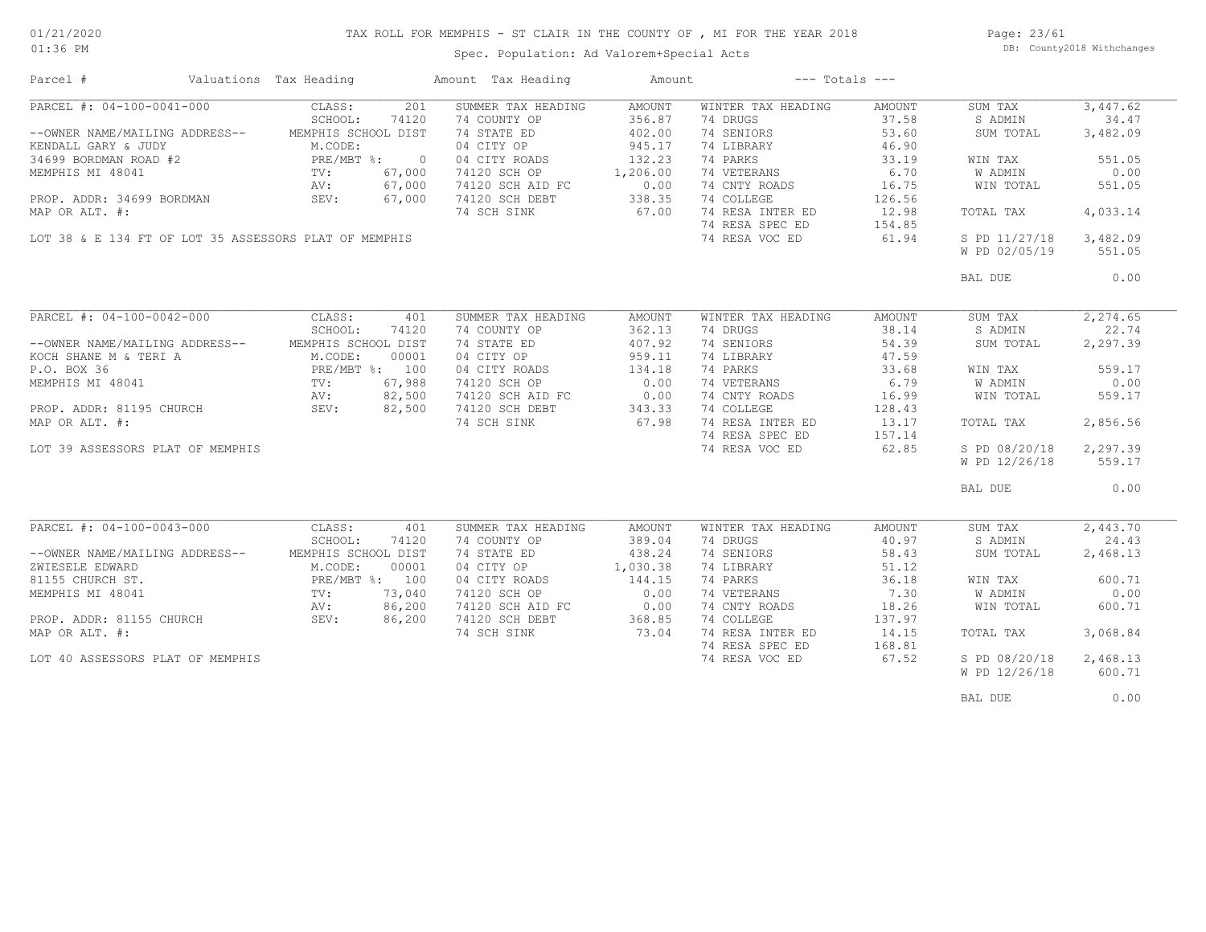### TAX ROLL FOR MEMPHIS - ST CLAIR IN THE COUNTY OF , MI FOR THE YEAR 2018

Spec. Population: Ad Valorem+Special Acts

Page: 23/61 DB: County2018 Withchanges

| Parcel #                                                                                                                                                                                           | Valuations Tax Heading                                                                             |       | Amount Tax Heading                                                  | Amount | $---$ Totals $---$ |                 |                        |           |
|----------------------------------------------------------------------------------------------------------------------------------------------------------------------------------------------------|----------------------------------------------------------------------------------------------------|-------|---------------------------------------------------------------------|--------|--------------------|-----------------|------------------------|-----------|
| $PARCH$ #: 04-100-0041-000                                                                                                                                                                         | CLASS:                                                                                             | 201   | SUMMER TAX HEADING                                                  | AMOUNT | WINTER TAX HEADING | AMOUNT          | SUM TAX                | 3,447.62  |
|                                                                                                                                                                                                    | SCHOOL:                                                                                            | 74120 | 74 COUNTY OP                                                        | 356.87 | 74 DRUGS           | 37.58           | S ADMIN                | 34.47     |
| --OWNER NAME/MAILING ADDRESS-- MEMPHIS SCHOOL DIST                                                                                                                                                 |                                                                                                    |       | 74 STATE ED                                                         | 402.00 | 74 SENIORS         | 53.60           | SUM TOTAL              | 3,482.09  |
| ENDALL GARY & JUDY M.CODE:<br>34699 BORDMAN ROAD #2 PRE/MBT %: 0<br>MEMPHIS MI 48041 TV: 67,000<br>PROP. ADDR: 34699 BORDMAN SEV: 67,000                                                           |                                                                                                    |       | 04 CITY OP                                                          | 945.17 | 74 LIBRARY         | 46.90           |                        |           |
|                                                                                                                                                                                                    |                                                                                                    |       |                                                                     |        | 74 PARKS           | 33.19           | WIN TAX                | 551.05    |
|                                                                                                                                                                                                    |                                                                                                    |       | 04 CITY ROADS 132.23<br>74120 SCH OP 1,206.00                       |        | 74 VETERANS        | 6.70            | <b>W ADMIN</b>         | 0.00      |
|                                                                                                                                                                                                    |                                                                                                    |       |                                                                     |        | 74 CNTY ROADS      | 16.75           | WIN TOTAL              | 551.05    |
|                                                                                                                                                                                                    |                                                                                                    |       | 74120 SCH AID FC 0.00<br>74120 SCH DEBT 338.35<br>74 SCH SINK 67.00 |        | 74 COLLEGE         | 126.56          |                        |           |
| MAP OR ALT. #:                                                                                                                                                                                     |                                                                                                    |       |                                                                     |        | 74 RESA INTER ED   | 12.98           | TOTAL TAX              | 4,033.14  |
|                                                                                                                                                                                                    |                                                                                                    |       |                                                                     |        | 74 RESA SPEC ED    |                 |                        |           |
| LOT 38 & E 134 FT OF LOT 35 ASSESSORS PLAT OF MEMPHIS                                                                                                                                              |                                                                                                    |       |                                                                     |        | 74 RESA VOC ED     | 154.85<br>61.94 | S PD 11/27/18 3,482.09 |           |
|                                                                                                                                                                                                    |                                                                                                    |       |                                                                     |        |                    |                 | W PD 02/05/19          | 551.05    |
|                                                                                                                                                                                                    |                                                                                                    |       |                                                                     |        |                    |                 |                        |           |
|                                                                                                                                                                                                    |                                                                                                    |       |                                                                     |        |                    |                 | BAL DUE                | 0.00      |
|                                                                                                                                                                                                    |                                                                                                    |       |                                                                     |        |                    |                 |                        |           |
| PARCEL #: 04-100-0042-000 CLASS:                                                                                                                                                                   |                                                                                                    | 401   | SUMMER TAX HEADING                                                  | AMOUNT | WINTER TAX HEADING | AMOUNT          | SUM TAX                | 2, 274.65 |
|                                                                                                                                                                                                    | SCHOOL:                                                                                            | 74120 | 74 COUNTY OP                                                        | 362.13 | 74 DRUGS           | 38.14           | S ADMIN                | 22.74     |
| --OWNER NAME/MAILING ADDRESS-- MEMPHIS SCHOOL DIST                                                                                                                                                 |                                                                                                    |       |                                                                     | 407.92 | 74 SENIORS         | 54.39           | SUM TOTAL              | 2,297.39  |
| KOCH SHANE $M$ & TERI A M.CODE:                                                                                                                                                                    |                                                                                                    | 00001 | 74 STATE ED<br>04 CITY OP                                           | 959.11 | 74 LIBRARY         | 47.59           |                        |           |
|                                                                                                                                                                                                    |                                                                                                    |       | 04 CITY ROADS                                                       | 134.18 | 74 PARKS           | 33.68           | WIN TAX                | 559.17    |
|                                                                                                                                                                                                    |                                                                                                    |       | 74120 SCH OP                                                        | 0.00   | 74 VETERANS        | 6.79            | W ADMIN                | 0.00      |
| P.O. BOX 36<br>P.O. BOX 36<br>MEMPHIS MI 48041<br>PROP. ADDR: 81195 CHURCH<br>MAP OR ALT. #:<br><br>MAP OR ALT. #:<br><br>PROP. ADDR: 81195 CHURCH<br>SEV: 82,500<br>SEV: 82,500<br>MAP OR ALT. #: |                                                                                                    |       |                                                                     |        | 74 CNTY ROADS      | 16.99           | WIN TOTAL              | 559.17    |
|                                                                                                                                                                                                    |                                                                                                    |       | 74120 SCH AID FC 0.00<br>74120 SCH DEBT 343.33<br>74 SCH SINK 67.98 |        | 74 COLLEGE         | 128.43          |                        |           |
|                                                                                                                                                                                                    |                                                                                                    |       |                                                                     |        | 74 RESA INTER ED   | 13.17           | TOTAL TAX              | 2,856.56  |
|                                                                                                                                                                                                    |                                                                                                    |       |                                                                     |        | 74 RESA SPEC ED    | 157.14          |                        |           |
|                                                                                                                                                                                                    |                                                                                                    |       |                                                                     |        |                    | 62.85           |                        |           |
| LOT 39 ASSESSORS PLAT OF MEMPHIS                                                                                                                                                                   |                                                                                                    |       |                                                                     |        | 74 RESA VOC ED     |                 | S PD 08/20/18          | 2,297.39  |
|                                                                                                                                                                                                    |                                                                                                    |       |                                                                     |        |                    |                 | W PD 12/26/18          | 559.17    |
|                                                                                                                                                                                                    |                                                                                                    |       |                                                                     |        |                    |                 | BAL DUE                | 0.00      |
|                                                                                                                                                                                                    |                                                                                                    |       |                                                                     |        |                    |                 |                        |           |
| PARCEL #: 04-100-0043-000 CLASS:                                                                                                                                                                   |                                                                                                    | 401   | SUMMER TAX HEADING                                                  | AMOUNT | WINTER TAX HEADING | AMOUNT          | SUM TAX                | 2,443.70  |
|                                                                                                                                                                                                    | SCHOOL:                                                                                            | 74120 | 74 COUNTY OP                                                        | 389.04 | 74 DRUGS           | 40.97           | S ADMIN                | 24.43     |
| --OWNER NAME/MAILING ADDRESS--                                                                                                                                                                     | MEMPHIS SCHOOL DIST                                                                                |       | 74 STATE ED                                                         | 438.24 | 74 SENIORS         | 58.43           | SUM TOTAL              | 2,468.13  |
| ZWIESELE EDWARD                                                                                                                                                                                    |                                                                                                    |       | 04 CITY OP 1,030.38                                                 |        | 74 LIBRARY         | 51.12           |                        |           |
| 81155 CHURCH ST.                                                                                                                                                                                   |                                                                                                    |       | 04 CITY ROADS                                                       | 144.15 | 74 PARKS           | 36.18           | WIN TAX                | 600.71    |
| MEMPHIS MI 48041                                                                                                                                                                                   |                                                                                                    |       | 74120 SCH OP                                                        | 0.00   | 74 VETERANS        | 7.30            | W ADMIN                | 0.00      |
|                                                                                                                                                                                                    | M.CODE: 00001<br>M.CODE: 00001<br>PRE/MBT %: 100<br>TV: 73,040<br>AV: 86,200<br>CHURCH SEV: 86,200 |       |                                                                     |        | 74 CNTY ROADS      | 18.26           | WIN TOTAL              | 600.71    |
| PROP. ADDR: 81155 CHURCH                                                                                                                                                                           |                                                                                                    |       | 74120 SCH AID FC 0.00<br>74120 SCH DEBT 368.85                      |        | 74 COLLEGE         | 137.97          |                        |           |
|                                                                                                                                                                                                    |                                                                                                    |       |                                                                     |        | 74 RESA INTER ED   |                 |                        |           |
| MAP OR ALT. #:                                                                                                                                                                                     |                                                                                                    |       | 74 SCH SINK                                                         | 73.04  |                    | 14.15           | TOTAL TAX              | 3,068.84  |
|                                                                                                                                                                                                    |                                                                                                    |       |                                                                     |        | 74 RESA SPEC ED    | 168.81          |                        |           |
| LOT 40 ASSESSORS PLAT OF MEMPHIS                                                                                                                                                                   |                                                                                                    |       |                                                                     |        | 74 RESA VOC ED     | 67.52           | S PD 08/20/18          | 2,468.13  |
|                                                                                                                                                                                                    |                                                                                                    |       |                                                                     |        |                    |                 | W PD 12/26/18          | 600.71    |
|                                                                                                                                                                                                    |                                                                                                    |       |                                                                     |        |                    |                 | BAL DUE                | 0.00      |
|                                                                                                                                                                                                    |                                                                                                    |       |                                                                     |        |                    |                 |                        |           |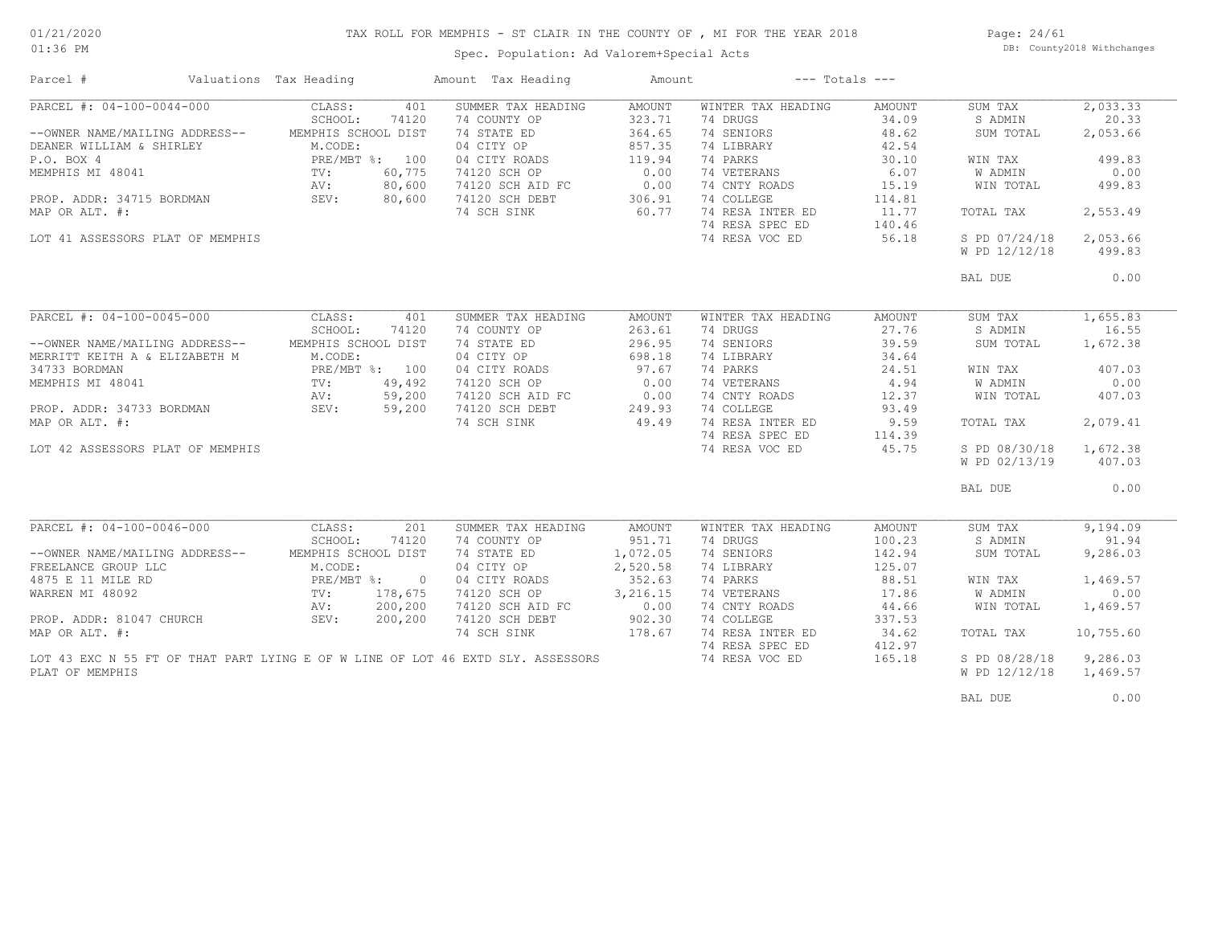### TAX ROLL FOR MEMPHIS - ST CLAIR IN THE COUNTY OF , MI FOR THE YEAR 2018

01:36 PM

## Spec. Population: Ad Valorem+Special Acts

Page: 24/61 DB: County2018 Withchanges

| Parcel #                                                                                                                                                                                                                                               | Valuations Tax Heading |         | Amount Tax Heading                             | Amount   |                    | $---$ Totals $---$ |               |           |
|--------------------------------------------------------------------------------------------------------------------------------------------------------------------------------------------------------------------------------------------------------|------------------------|---------|------------------------------------------------|----------|--------------------|--------------------|---------------|-----------|
| PARCEL #: 04-100-0044-000                                                                                                                                                                                                                              | CLASS:                 | 401     | SUMMER TAX HEADING                             | AMOUNT   | WINTER TAX HEADING | AMOUNT             | SUM TAX       | 2,033.33  |
|                                                                                                                                                                                                                                                        | SCHOOL:                | 74120   | 74 COUNTY OP                                   | 323.71   | 74 DRUGS           | 34.09              | S ADMIN       | 20.33     |
| --OWNER NAME/MAILING ADDRESS--                                                                                                                                                                                                                         | MEMPHIS SCHOOL DIST    |         | 74 STATE ED                                    | 364.65   | 74 SENIORS         | 48.62              | SUM TOTAL     | 2,053.66  |
| M.CODE:<br>M.CODE:<br>PRE/MBT %: 100<br>PRE/MBT %: 100<br>TV: 60,775<br>AV: 80,600<br>MAP OR ALT. #:<br>2011 ASSESSION AN SEV: 80,600<br>MAP OR ALT. #:<br>2011 ASSESSION SEV: 80,600<br>2011 AV: 80,600<br>2011 ASSESSION SEV: 80,600<br>2011 ASSESSI |                        |         | 04 CITY OP                                     | 857.35   | 74 LIBRARY         | 42.54              |               |           |
|                                                                                                                                                                                                                                                        |                        |         | 04 CITY ROADS                                  | 119.94   | 74 PARKS           | 30.10              | WIN TAX       | 499.83    |
|                                                                                                                                                                                                                                                        |                        |         | 74120 SCH OP                                   | 0.00     | 74 VETERANS        | 6.07               | W ADMIN       | 0.00      |
|                                                                                                                                                                                                                                                        |                        |         | 74120 SCH AID FC                               | 0.00     | 74 CNTY ROADS      | 15.19              | WIN TOTAL     | 499.83    |
|                                                                                                                                                                                                                                                        |                        |         | 74120 SCH DEBT                                 | 306.91   | 74 COLLEGE         | 114.81             |               |           |
|                                                                                                                                                                                                                                                        |                        |         | 74 SCH SINK                                    | 60.77    | 74 RESA INTER ED   | 11.77              | TOTAL TAX     | 2,553.49  |
|                                                                                                                                                                                                                                                        |                        |         |                                                |          | 74 RESA SPEC ED    | 140.46             |               |           |
| LOT 41 ASSESSORS PLAT OF MEMPHIS                                                                                                                                                                                                                       |                        |         |                                                |          | 74 RESA VOC ED     | 56.18              | S PD 07/24/18 | 2,053.66  |
|                                                                                                                                                                                                                                                        |                        |         |                                                |          |                    |                    | W PD 12/12/18 | 499.83    |
|                                                                                                                                                                                                                                                        |                        |         |                                                |          |                    |                    |               |           |
|                                                                                                                                                                                                                                                        |                        |         |                                                |          |                    |                    | BAL DUE       | 0.00      |
|                                                                                                                                                                                                                                                        |                        |         |                                                |          |                    |                    |               |           |
| PARCEL #: 04-100-0045-000                                                                                                                                                                                                                              | CLASS:                 | 401     | SUMMER TAX HEADING                             | AMOUNT   | WINTER TAX HEADING | AMOUNT             | SUM TAX       | 1,655.83  |
|                                                                                                                                                                                                                                                        | SCHOOL:                | 74120   | 74 COUNTY OP                                   | 263.61   | 74 DRUGS           | 27.76              | S ADMIN       | 16.55     |
| --OWNER NAME/MAILING ADDRESS--                                                                                                                                                                                                                         | MEMPHIS SCHOOL DIST    |         | 74 STATE ED                                    | 296.95   | 74 SENIORS         | 39.59              | SUM TOTAL     | 1,672.38  |
| MERRITT KEITH A & ELIZABETH M                                                                                                                                                                                                                          | M.CODE:                |         | 04 CITY OP                                     | 698.18   | 74 LIBRARY         | 34.64              |               |           |
|                                                                                                                                                                                                                                                        |                        |         | 04 CITY ROADS                                  | 97.67    | 74 PARKS           | 24.51              | WIN TAX       | 407.03    |
| ALCODE:<br>PRE/MBT %: 10<br>PROP. ADDR: 34733 BORDMAN<br>MAP OR ALT. #:<br>OT 42 ASSESSORS                                                                                                                                                             |                        |         | 74120 SCH OP                                   | 0.00     | 74 VETERANS        | 4.94               | W ADMIN       | 0.00      |
|                                                                                                                                                                                                                                                        |                        |         |                                                |          | 74 CNTY ROADS      | 12.37              | WIN TOTAL     | 407.03    |
|                                                                                                                                                                                                                                                        |                        |         | 74120 SCH AID FC 0.00<br>74120 SCH DEBT 249.93 |          | 74 COLLEGE         | 93.49              |               |           |
|                                                                                                                                                                                                                                                        |                        |         | 74 SCH SINK                                    | 49.49    | 74 RESA INTER ED   | 9.59               | TOTAL TAX     | 2,079.41  |
|                                                                                                                                                                                                                                                        |                        |         |                                                |          | 74 RESA SPEC ED    | 114.39             |               |           |
| LOT 42 ASSESSORS PLAT OF MEMPHIS                                                                                                                                                                                                                       |                        |         |                                                |          | 74 RESA VOC ED     | 45.75              | S PD 08/30/18 | 1,672.38  |
|                                                                                                                                                                                                                                                        |                        |         |                                                |          |                    |                    | W PD 02/13/19 | 407.03    |
|                                                                                                                                                                                                                                                        |                        |         |                                                |          |                    |                    |               |           |
|                                                                                                                                                                                                                                                        |                        |         |                                                |          |                    |                    | BAL DUE       | 0.00      |
|                                                                                                                                                                                                                                                        |                        |         |                                                |          |                    |                    |               |           |
| PARCEL #: 04-100-0046-000                                                                                                                                                                                                                              | CLASS:                 | 201     | SUMMER TAX HEADING                             | AMOUNT   | WINTER TAX HEADING | AMOUNT             | SUM TAX       | 9,194.09  |
|                                                                                                                                                                                                                                                        | SCHOOL:                | 74120   | 74 COUNTY OP                                   | 951.71   | 74 DRUGS           | 100.23             | S ADMIN       | 91.94     |
| --OWNER NAME/MAILING ADDRESS--                                                                                                                                                                                                                         | MEMPHIS SCHOOL DIST    |         | 74 STATE ED                                    | 1,072.05 | 74 SENIORS         | 142.94             | SUM TOTAL     | 9,286.03  |
| FREELANCE GROUP LLC                                                                                                                                                                                                                                    |                        |         | 04 CITY OP                                     | 2,520.58 | 74 LIBRARY         | 125.07             |               |           |
| 4875 E 11 MILE RD                                                                                                                                                                                                                                      |                        |         | 04 CITY ROADS                                  | 352.63   | 74 PARKS           | 88.51              | WIN TAX       | 1,469.57  |
| WARREN MI 48092                                                                                                                                                                                                                                        |                        |         | 74120 SCH OP                                   | 3,216.15 | 74 VETERANS        | 17.86              | W ADMIN       | 0.00      |
| 3 ADDRESS--<br>M.CODE:<br>PRE/MBT %: 0<br>TV: 178,675<br>AV: 200,200<br>TV: 200,200                                                                                                                                                                    |                        |         | 74120 SCH AID FC                               | 0.00     | 74 CNTY ROADS      | 44.66              | WIN TOTAL     | 1,469.57  |
| PROP. ADDR: 81047 CHURCH                                                                                                                                                                                                                               | SEV:                   | 200,200 | 74120 SCH DEBT                                 | 902.30   | 74 COLLEGE         | 337.53             |               |           |
| MAP OR ALT. #:                                                                                                                                                                                                                                         |                        |         | 74 SCH SINK                                    | 178.67   | 74 RESA INTER ED   | 34.62              | TOTAL TAX     | 10,755.60 |
|                                                                                                                                                                                                                                                        |                        |         |                                                |          | 74 RESA SPEC ED    | 412.97             |               |           |
| LOT 43 EXC N 55 FT OF THAT PART LYING E OF W LINE OF LOT 46 EXTD SLY. ASSESSORS                                                                                                                                                                        |                        |         |                                                |          | 74 RESA VOC ED     | 165.18             | S PD 08/28/18 | 9,286.03  |
| PLAT OF MEMPHIS                                                                                                                                                                                                                                        |                        |         |                                                |          |                    |                    | W PD 12/12/18 | 1,469.57  |
|                                                                                                                                                                                                                                                        |                        |         |                                                |          |                    |                    |               |           |
|                                                                                                                                                                                                                                                        |                        |         |                                                |          |                    |                    | BAL DUE       | 0.00      |
|                                                                                                                                                                                                                                                        |                        |         |                                                |          |                    |                    |               |           |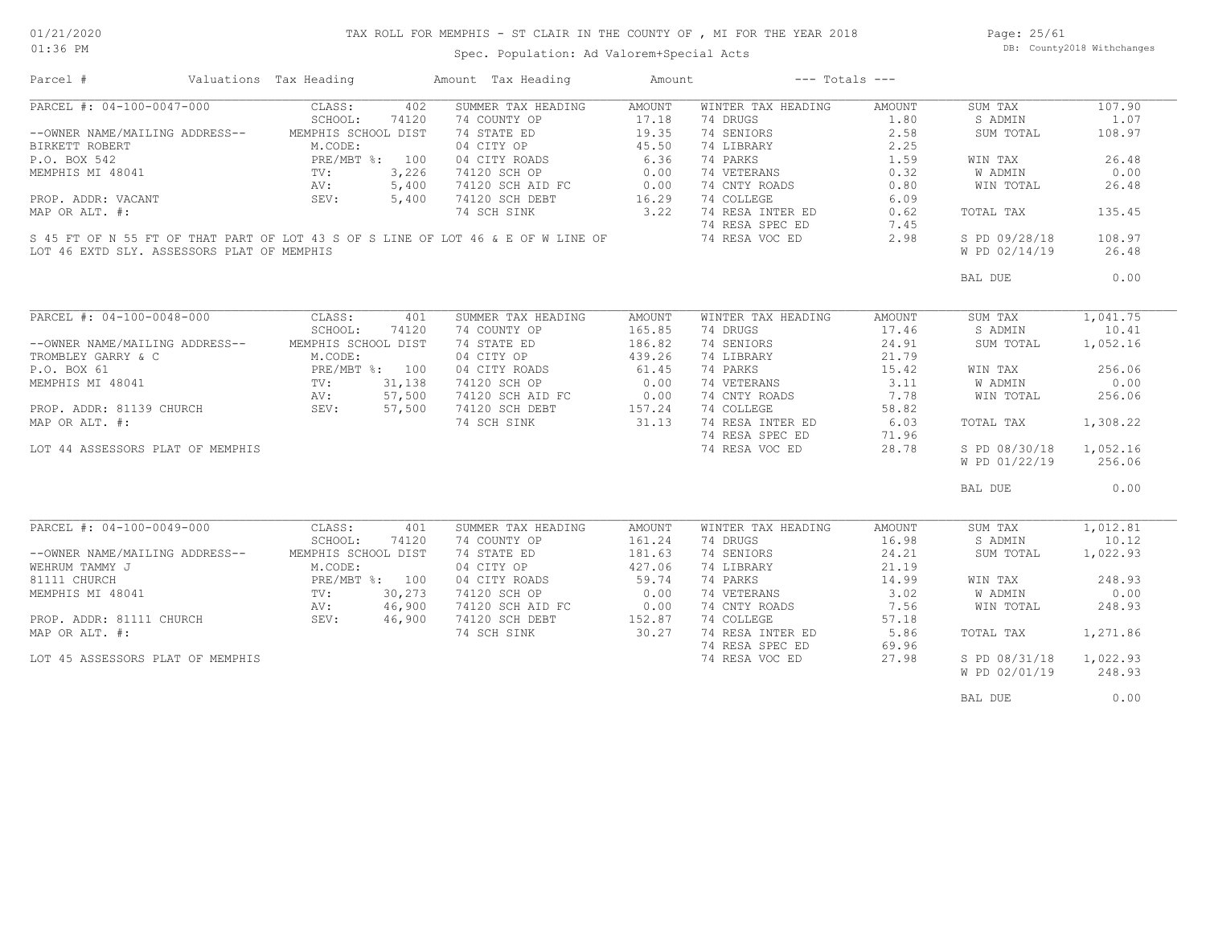### TAX ROLL FOR MEMPHIS - ST CLAIR IN THE COUNTY OF , MI FOR THE YEAR 2018

01:36 PM

## Spec. Population: Ad Valorem+Special Acts

Page: 25/61 DB: County2018 Withchanges

| Parcel #                                                                                                                                                                                                                                    | Valuations Tax Heading |       | Amount Tax Heading                                                                                                                                                                              | Amount             | $---$ Totals $---$                  |                  |                |          |
|---------------------------------------------------------------------------------------------------------------------------------------------------------------------------------------------------------------------------------------------|------------------------|-------|-------------------------------------------------------------------------------------------------------------------------------------------------------------------------------------------------|--------------------|-------------------------------------|------------------|----------------|----------|
| PARCEL #: 04-100-0047-000                                                                                                                                                                                                                   | CLASS:                 | 402   | SUMMER TAX HEADING                                                                                                                                                                              | AMOUNT             | WINTER TAX HEADING                  | AMOUNT           | SUM TAX        | 107.90   |
|                                                                                                                                                                                                                                             | SCHOOL:                | 74120 | 74 COUNTY OP                                                                                                                                                                                    | 17.18              | 74 DRUGS                            | 1.80             | S ADMIN        | 1.07     |
| --OWNER NAME/MAILING ADDRESS-- MEMPHIS SCHOOL DIST                                                                                                                                                                                          |                        |       | 74 STATE ED                                                                                                                                                                                     |                    | 74 SENIORS                          | 2.58             | SUM TOTAL      | 108.97   |
| BIRKETT ROBERT<br>P.O. BOX 542<br>MEMPHIS MI 48041<br>PRE/MBT %: 100<br>MEMPHIS MI 48041<br>PROP. ADDR: VACANT<br>PROP. ADDR: VACANT<br>PROP. ADDR: VACANT<br>PROP. ADDR: VACANT<br>PROP. ADDR: VACANT<br>PROP. ADDR: VACANT<br>PROP. 5,400 |                        |       | 04 CITY OP                                                                                                                                                                                      | $19.35$<br>$45.50$ | 74 LIBRARY                          | 2.25             |                |          |
|                                                                                                                                                                                                                                             |                        |       |                                                                                                                                                                                                 |                    |                                     |                  | WIN TAX        | 26.48    |
|                                                                                                                                                                                                                                             |                        |       |                                                                                                                                                                                                 |                    |                                     |                  | <b>W ADMIN</b> | 0.00     |
|                                                                                                                                                                                                                                             |                        |       |                                                                                                                                                                                                 |                    |                                     |                  | WIN TOTAL      | 26.48    |
|                                                                                                                                                                                                                                             |                        |       | 04 CITY ROADS<br>04 CITY ROADS<br>74120 SCH OP 0.00 74 VETERANS<br>74120 SCH AID FC 0.00 74 CNTY ROADS 0.32<br>74 SCH SINK 3.22 74 RESA INTER ED 0.09<br>74 SCH SINK 3.22 74 RESA INTER ED 0.60 |                    |                                     |                  |                |          |
| MAP OR ALT. #:                                                                                                                                                                                                                              |                        |       |                                                                                                                                                                                                 |                    |                                     |                  | TOTAL TAX      | 135.45   |
|                                                                                                                                                                                                                                             |                        |       |                                                                                                                                                                                                 |                    | 74 RESA SPEC ED                     | 7.45             |                |          |
|                                                                                                                                                                                                                                             |                        |       | 74 RESA SPEC ED<br>S 45 FT OF N 55 FT OF THAT PART OF LOT 43 S OF S LINE OF LOT 46 & E OF W LINE OF 3 74 RESA VOC ED                                                                            |                    |                                     | 2.98             | S PD 09/28/18  | 108.97   |
| LOT 46 EXTD SLY. ASSESSORS PLAT OF MEMPHIS                                                                                                                                                                                                  |                        |       |                                                                                                                                                                                                 |                    |                                     |                  | W PD 02/14/19  | 26.48    |
|                                                                                                                                                                                                                                             |                        |       |                                                                                                                                                                                                 |                    |                                     |                  | BAL DUE        | 0.00     |
|                                                                                                                                                                                                                                             |                        |       |                                                                                                                                                                                                 |                    |                                     |                  |                |          |
| PARCEL #: 04-100-0048-000                                                                                                                                                                                                                   | CLASS:                 | 401   | SUMMER TAX HEADING                                                                                                                                                                              | AMOUNT             | WINTER TAX HEADING                  | AMOUNT           | SUM TAX        | 1,041.75 |
|                                                                                                                                                                                                                                             | SCHOOL:                | 74120 | 74 COUNTY OP                                                                                                                                                                                    | 165.85             | 74 DRUGS                            | 17.46            | S ADMIN        | 10.41    |
| --OWNER NAME/MAILING ADDRESS-- MEMPHIS SCHOOL DIST                                                                                                                                                                                          |                        |       |                                                                                                                                                                                                 | 186.82             | 74 SENIORS                          | 24.91            | SUM TOTAL      | 1,052.16 |
| TROMBLEY GARRY & C<br>P.O. BOX 61<br>MEMPHIS MI 48041<br>MEMPHIS MI 48041<br>PROP. ADDR: 81139 CHURCH<br>MAP OR ALT. #:<br>SEV: 57,500<br>MAP OR ALT. #:                                                                                    |                        |       | 74 STATE ED<br>04 CITY OP                                                                                                                                                                       | 439.26             | 74 LIBRARY                          | 21.79            |                |          |
|                                                                                                                                                                                                                                             |                        |       |                                                                                                                                                                                                 |                    | 74 PARKS                            | $\frac{1}{3.11}$ | WIN TAX        | 256.06   |
|                                                                                                                                                                                                                                             |                        |       | 04 CITY ROADS 61.45<br>74120 SCH OP 0.00                                                                                                                                                        |                    | 74 VETERANS                         |                  | W ADMIN        | 0.00     |
|                                                                                                                                                                                                                                             |                        |       |                                                                                                                                                                                                 |                    | 74 CNTY ROADS 7.78                  |                  | WIN TOTAL      | 256.06   |
|                                                                                                                                                                                                                                             |                        |       |                                                                                                                                                                                                 |                    | 74 COLLEGE                          | 58.82            |                |          |
|                                                                                                                                                                                                                                             |                        |       | 74120 SCH AID FC<br>74120 SCH AID FC<br>74120 SCH DEBT<br>74 SCH SINK 31.13                                                                                                                     |                    | 74 RESA INTER ED 6.03               |                  | TOTAL TAX      | 1,308.22 |
|                                                                                                                                                                                                                                             |                        |       |                                                                                                                                                                                                 |                    | 74 RESA SPEC ED                     | 71.96            |                |          |
| LOT 44 ASSESSORS PLAT OF MEMPHIS                                                                                                                                                                                                            |                        |       |                                                                                                                                                                                                 |                    | 74 RESA VOC ED                      | 28.78            | S PD 08/30/18  | 1,052.16 |
|                                                                                                                                                                                                                                             |                        |       |                                                                                                                                                                                                 |                    |                                     |                  | W PD 01/22/19  | 256.06   |
|                                                                                                                                                                                                                                             |                        |       |                                                                                                                                                                                                 |                    |                                     |                  | BAL DUE        | 0.00     |
|                                                                                                                                                                                                                                             |                        |       |                                                                                                                                                                                                 |                    |                                     |                  |                |          |
| PARCEL #: 04-100-0049-000                                                                                                                                                                                                                   | CLASS:                 | 401   | SUMMER TAX HEADING                                                                                                                                                                              | AMOUNT             | WINTER TAX HEADING                  | AMOUNT           | SUM TAX        | 1,012.81 |
|                                                                                                                                                                                                                                             | SCHOOL:                | 74120 | 74 COUNTY OP<br>74 STATE ED 181.63<br>04 CITY OP 427.06                                                                                                                                         |                    | 74 DRUGS                            | 16.98            | S ADMIN        | 10.12    |
| --OWNER NAME/MAILING ADDRESS-- MEMPHIS SCHOOL DIST                                                                                                                                                                                          |                        |       |                                                                                                                                                                                                 |                    | 74 SENIORS                          | 24.21            | SUM TOTAL      | 1,022.93 |
|                                                                                                                                                                                                                                             |                        |       |                                                                                                                                                                                                 |                    | 74 LIBRARY                          | 21.19            |                |          |
| WEHRUM TAMMY J<br>81111 CHURCH<br>MEMPHIS MI 48041 PRE/MBT %: 100<br>MEMPHIS MI 48041 TV: 30,273<br>PROP. ADDR: 81111 CHURCH<br>PROP. ADDR: 81111 CHURCH<br>SEV: 46,900                                                                     |                        |       | 04 CITY ROADS 59.74<br>74120 SCH OP 0.00                                                                                                                                                        |                    | 74 PARKS<br>74 PARKS<br>74 VETERANS | 14.99            | WIN TAX        | 248.93   |
|                                                                                                                                                                                                                                             |                        |       |                                                                                                                                                                                                 |                    |                                     | 3.02             | W ADMIN        | 0.00     |
|                                                                                                                                                                                                                                             |                        |       | 74120 SCH AID FC 0.00<br>74120 SCH DEBT 152.87                                                                                                                                                  |                    | 74 CNTY ROADS                       | $7.56$<br>57.18  | WIN TOTAL      | 248.93   |
|                                                                                                                                                                                                                                             |                        |       |                                                                                                                                                                                                 |                    | 74 COLLEGE                          |                  |                |          |
| MAP OR ALT. #:                                                                                                                                                                                                                              |                        |       | 74 SCH SINK                                                                                                                                                                                     | 30.27              | 74 RESA INTER ED                    | 5.86             | TOTAL TAX      | 1,271.86 |
|                                                                                                                                                                                                                                             |                        |       |                                                                                                                                                                                                 |                    | 74 RESA SPEC ED                     | 69.96            |                |          |
| LOT 45 ASSESSORS PLAT OF MEMPHIS                                                                                                                                                                                                            |                        |       |                                                                                                                                                                                                 |                    | 74 RESA VOC ED                      | 27.98            | S PD 08/31/18  | 1,022.93 |
|                                                                                                                                                                                                                                             |                        |       |                                                                                                                                                                                                 |                    |                                     |                  | W PD 02/01/19  | 248.93   |
|                                                                                                                                                                                                                                             |                        |       |                                                                                                                                                                                                 |                    |                                     |                  | BAL DUE        | 0.00     |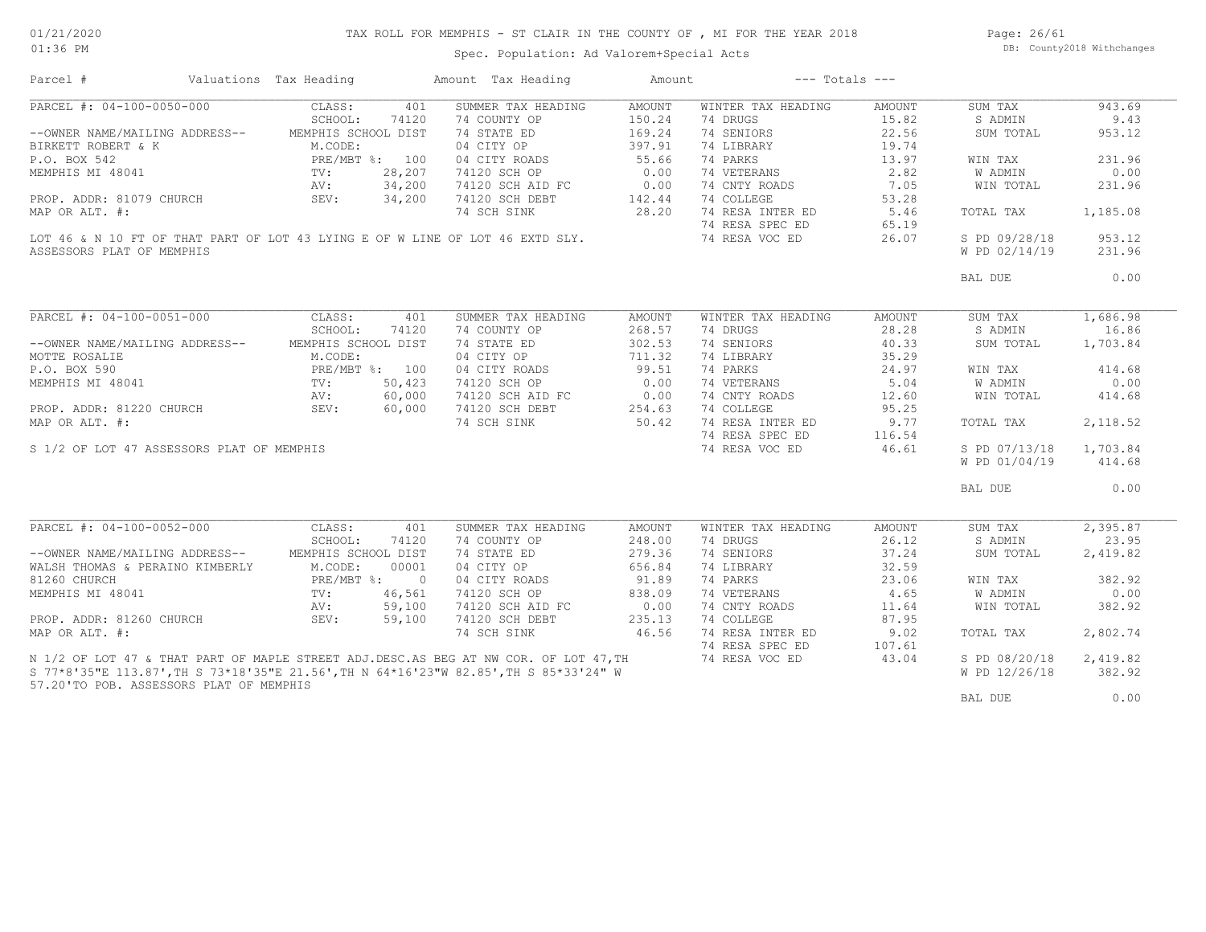# TAX ROLL FOR MEMPHIS - ST CLAIR IN THE COUNTY OF , MI FOR THE YEAR 2018

Spec. Population: Ad Valorem+Special Acts

Page: 26/61 DB: County2018 Withchanges

| Parcel #                                  | Valuations Tax Heading                                                                                                                                                                                        |        | Amount Tax Heading                                                                         | Amount                |                    | $---$ Totals $---$ |               |          |
|-------------------------------------------|---------------------------------------------------------------------------------------------------------------------------------------------------------------------------------------------------------------|--------|--------------------------------------------------------------------------------------------|-----------------------|--------------------|--------------------|---------------|----------|
| PARCEL #: 04-100-0050-000                 | CLASS:                                                                                                                                                                                                        | 401    | SUMMER TAX HEADING                                                                         | AMOUNT                | WINTER TAX HEADING | AMOUNT             | SUM TAX       | 943.69   |
|                                           | SCHOOL:                                                                                                                                                                                                       | 74120  | 74 COUNTY OP                                                                               | 150.24                | 74 DRUGS           | 15.82              | S ADMIN       | 9.43     |
| --OWNER NAME/MAILING ADDRESS--            | MEMPHIS SCHOOL DIST                                                                                                                                                                                           |        | 74 STATE ED                                                                                | 169.24                | 74 SENIORS         | 22.56              | SUM TOTAL     | 953.12   |
| BIRKETT ROBERT & K                        | M.CODE:                                                                                                                                                                                                       |        | 04 CITY OP                                                                                 | 397.91                | 74 LIBRARY         | 19.74              |               |          |
| P.O. BOX 542                              |                                                                                                                                                                                                               |        | 04 CITY ROADS                                                                              | 55.66                 | 74 PARKS           | 13.97              | WIN TAX       | 231.96   |
| MEMPHIS MI 48041                          | $\begin{tabular}{lcccc} & & & & & & \texttt{PRE} / \texttt{MBT} & \texttt{\$:} & 100 \\ & & & & \texttt{TV:} & 28, 207 \\ & & & & \texttt{AV:} & 34, 200 \\ & & & & \texttt{SEV:} & 34, 200 \\ \end{tabular}$ |        | 74120 SCH OP                                                                               | 0.00                  | 74 VETERANS        | 2.82               | W ADMIN       | 0.00     |
|                                           |                                                                                                                                                                                                               |        | 74120 SCH AID FC                                                                           | 0.00                  | 74 CNTY ROADS      | 7.05               | WIN TOTAL     | 231.96   |
| PROP. ADDR: 81079 CHURCH                  |                                                                                                                                                                                                               |        | 74120 SCH AID FC 0.00<br>74120 SCH DEBT 142.44                                             |                       | 74 COLLEGE         | 53.28              |               |          |
| MAP OR ALT. #:                            |                                                                                                                                                                                                               |        | 74 SCH SINK                                                                                | 28.20                 | 74 RESA INTER ED   |                    |               | 1,185.08 |
|                                           |                                                                                                                                                                                                               |        |                                                                                            |                       |                    | 5.46               | TOTAL TAX     |          |
|                                           |                                                                                                                                                                                                               |        |                                                                                            |                       | 74 RESA SPEC ED    | 65.19              |               |          |
|                                           |                                                                                                                                                                                                               |        | LOT 46 & N 10 FT OF THAT PART OF LOT 43 LYING E OF W LINE OF LOT 46 EXTD SLY.              |                       | 74 RESA VOC ED     | 26.07              | S PD 09/28/18 | 953.12   |
| ASSESSORS PLAT OF MEMPHIS                 |                                                                                                                                                                                                               |        |                                                                                            |                       |                    |                    | W PD 02/14/19 | 231.96   |
|                                           |                                                                                                                                                                                                               |        |                                                                                            |                       |                    |                    | BAL DUE       | 0.00     |
|                                           |                                                                                                                                                                                                               |        |                                                                                            |                       |                    |                    |               |          |
| PARCEL #: 04-100-0051-000                 | CLASS:                                                                                                                                                                                                        | 401    | SUMMER TAX HEADING                                                                         | AMOUNT                | WINTER TAX HEADING | AMOUNT             | SUM TAX       | 1,686.98 |
|                                           | SCHOOL:                                                                                                                                                                                                       | 74120  | 74 COUNTY OP                                                                               | 268.57                | 74 DRUGS           | 28.28              | S ADMIN       | 16.86    |
| --OWNER NAME/MAILING ADDRESS--            | MEMPHIS SCHOOL DIST                                                                                                                                                                                           |        | 74 STATE ED                                                                                | 302.53                | 74 SENIORS         | 40.33              | SUM TOTAL     | 1,703.84 |
|                                           |                                                                                                                                                                                                               |        | 04 CITY OP                                                                                 | 711.32                | 74 LIBRARY         | 35.29              |               |          |
|                                           |                                                                                                                                                                                                               |        |                                                                                            |                       | 74 PARKS           | 24.97              | WIN TAX       | 414.68   |
|                                           |                                                                                                                                                                                                               |        | 04 CITY ROADS 99.51<br>74120 SCH OP 0.00<br>74120 SCH AID FC 0.00<br>74120 SCH DEBT 254.63 |                       | 74 VETERANS        | 5.04               | W ADMIN       | 0.00     |
|                                           |                                                                                                                                                                                                               |        |                                                                                            |                       | 74 CNTY ROADS      | 12.60              | WIN TOTAL     | 414.68   |
|                                           |                                                                                                                                                                                                               |        |                                                                                            |                       | 74 COLLEGE         | 95.25              |               |          |
| MAP OR ALT. #:                            |                                                                                                                                                                                                               |        | 74 SCH SINK 50.42                                                                          |                       | 74 RESA INTER ED   | 9.77               | TOTAL TAX     | 2,118.52 |
|                                           |                                                                                                                                                                                                               |        |                                                                                            |                       | 74 RESA SPEC ED    | 116.54             |               |          |
|                                           |                                                                                                                                                                                                               |        |                                                                                            |                       |                    | 46.61              | S PD 07/13/18 | 1,703.84 |
| S 1/2 OF LOT 47 ASSESSORS PLAT OF MEMPHIS |                                                                                                                                                                                                               |        |                                                                                            |                       | 74 RESA VOC ED     |                    |               |          |
|                                           |                                                                                                                                                                                                               |        |                                                                                            |                       |                    |                    | W PD 01/04/19 | 414.68   |
|                                           |                                                                                                                                                                                                               |        |                                                                                            |                       |                    |                    | BAL DUE       | 0.00     |
| PARCEL #: 04-100-0052-000                 | CLASS:                                                                                                                                                                                                        | 401    | SUMMER TAX HEADING                                                                         | AMOUNT                | WINTER TAX HEADING | AMOUNT             | SUM TAX       | 2,395.87 |
|                                           | SCHOOL:                                                                                                                                                                                                       | 74120  | 74 COUNTY OP                                                                               | 248.00                | 74 DRUGS           | 26.12              | S ADMIN       | 23.95    |
| --OWNER NAME/MAILING ADDRESS--            | MEMPHIS SCHOOL DIST                                                                                                                                                                                           |        | 74 STATE ED                                                                                | 279.36                | 74 SENIORS         | 37.24              | SUM TOTAL     | 2,419.82 |
| WALSH THOMAS & PERAINO KIMBERLY           | M.CODE:                                                                                                                                                                                                       | 00001  | 04 CITY OP                                                                                 | 656.84                | 74 LIBRARY         | 32.59              |               |          |
| 81260 CHURCH                              | PRE/MBT %: 0                                                                                                                                                                                                  |        | 04 CITY ROADS                                                                              | 91.89                 | 74 PARKS           | 23.06              | WIN TAX       | 382.92   |
| MEMPHIS MI 48041                          | $\text{TV}$ :                                                                                                                                                                                                 | 46,561 | 74120 SCH OP                                                                               |                       | 74 VETERANS        | 4.65               | W ADMIN       | 0.00     |
|                                           | AV:                                                                                                                                                                                                           | 59,100 | 74120 SCH AID FC                                                                           | $\frac{838.09}{0.00}$ | 74 CNTY ROADS      | 11.64              | WIN TOTAL     | 382.92   |
| PROP. ADDR: 81260 CHURCH                  | SEV:                                                                                                                                                                                                          | 59,100 | 74120 SCH DEBT                                                                             | 235.13                | 74 COLLEGE         | 87.95              |               |          |
|                                           |                                                                                                                                                                                                               |        |                                                                                            |                       |                    |                    |               |          |
| MAP OR ALT. #:                            |                                                                                                                                                                                                               |        | 74 SCH SINK                                                                                | 46.56                 | 74 RESA INTER ED   | 9.02               | TOTAL TAX     | 2,802.74 |
|                                           |                                                                                                                                                                                                               |        |                                                                                            |                       | 74 RESA SPEC ED    | 107.61             |               |          |
|                                           |                                                                                                                                                                                                               |        | N 1/2 OF LOT 47 & THAT PART OF MAPLE STREET ADJ. DESC. AS BEG AT NW COR. OF LOT 47, TH     |                       | 74 RESA VOC ED     | 43.04              | S PD 08/20/18 | 2,419.82 |
|                                           |                                                                                                                                                                                                               |        | S 77*8'35"E 113.87',TH S 73*18'35"E 21.56',TH N 64*16'23"W 82.85',TH S 85*33'24" W         |                       |                    |                    | W PD 12/26/18 | 382.92   |
| 57.20'TO POB. ASSESSORS PLAT OF MEMPHIS   |                                                                                                                                                                                                               |        |                                                                                            |                       |                    |                    |               |          |
|                                           |                                                                                                                                                                                                               |        |                                                                                            |                       |                    |                    | BAL DUE       | 0.00     |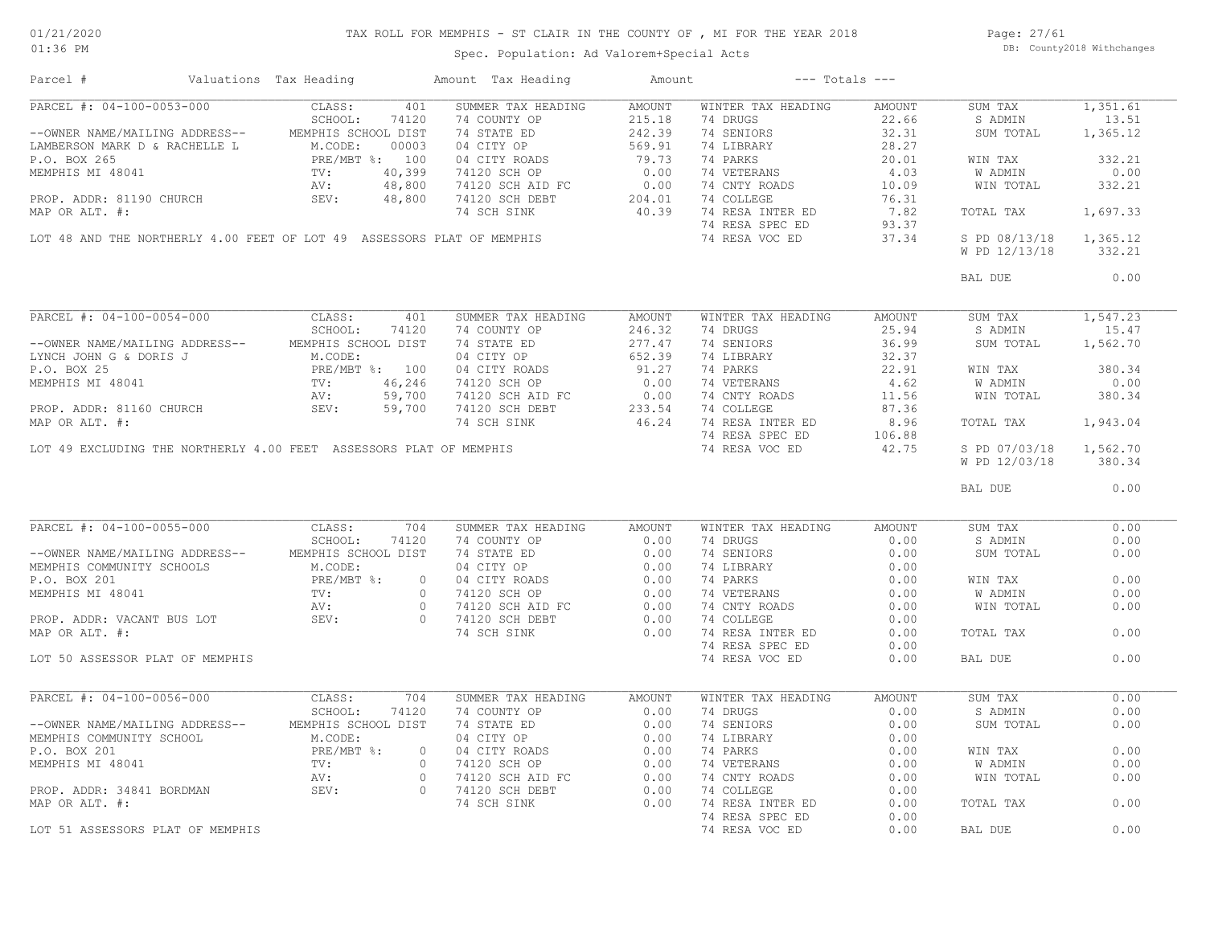# TAX ROLL FOR MEMPHIS - ST CLAIR IN THE COUNTY OF , MI FOR THE YEAR 2018

Page: 27/61 DB: County2018 Withchanges

Spec. Population: Ad Valorem+Special Acts

| Parcel #                                                                                   | Valuations Tax Heading                                |                | Amount Tax Heading                                                                                                                                                                                                               | Amount |                              | $---$ Totals $---$ |                |          |
|--------------------------------------------------------------------------------------------|-------------------------------------------------------|----------------|----------------------------------------------------------------------------------------------------------------------------------------------------------------------------------------------------------------------------------|--------|------------------------------|--------------------|----------------|----------|
| PARCEL #: 04-100-0053-000                                                                  | CLASS:                                                | 401            | SUMMER TAX HEADING                                                                                                                                                                                                               | AMOUNT | WINTER TAX HEADING           | AMOUNT             | SUM TAX        | 1,351.61 |
|                                                                                            | SCHOOL:                                               | 74120          | 74 COUNTY OP                                                                                                                                                                                                                     | 215.18 | 74 DRUGS                     | 22.66              | S ADMIN        | 13.51    |
| --OWNER NAME/MAILING ADDRESS-- MEMPHIS SCHOOL DIST                                         |                                                       |                | 74 STATE ED                                                                                                                                                                                                                      | 242.39 | 74 SENIORS                   | 32.31              | SUM TOTAL      | 1,365.12 |
| LAMBERSON MARK D & RACHELLE L                                                              | M.CODE:<br>PRE/MBT                                    | 00003          | 04 CITY OP                                                                                                                                                                                                                       | 569.91 | 74 LIBRARY                   | 28.27              |                |          |
| P.O. BOX 265<br>P.O. BOX 265<br>MEMPHIS MI 48041 TV:<br>PROP. ADDR: 81190 CHURCH SEV: SEV: | PRE/MBT %: 100                                        |                | 04 CITY ROADS 79.73<br>74120 SCH OP 0.00                                                                                                                                                                                         |        | 74 PARKS<br>$74$ VETERANS    | 20.01              | WIN TAX        | 332.21   |
|                                                                                            |                                                       | 40,399         |                                                                                                                                                                                                                                  |        |                              | 4.03               | W ADMIN        | 0.00     |
|                                                                                            |                                                       | 48,800         | 74120 SCH AID FC<br>74120 SCH DEBT                                                                                                                                                                                               | 0.00   | 74 CNTY ROADS                | 10.09              | WIN TOTAL      | 332.21   |
|                                                                                            |                                                       | 48,800         |                                                                                                                                                                                                                                  | 204.01 | 74 COLLEGE                   | 76.31              |                |          |
| MAP OR ALT. #:                                                                             |                                                       |                | 74 SCH SINK                                                                                                                                                                                                                      | 40.39  | 74 RESA INTER ED             | 7.82               | TOTAL TAX      | 1,697.33 |
|                                                                                            |                                                       |                |                                                                                                                                                                                                                                  |        | 74 RESA SPEC ED              | 93.37              |                |          |
| LOT 48 AND THE NORTHERLY 4.00 FEET OF LOT 49 ASSESSORS PLAT OF MEMPHIS                     |                                                       |                |                                                                                                                                                                                                                                  |        | 74 RESA VOC ED               | 37.34              | S PD 08/13/18  | 1,365.12 |
|                                                                                            |                                                       |                |                                                                                                                                                                                                                                  |        |                              |                    | W PD 12/13/18  | 332.21   |
|                                                                                            |                                                       |                |                                                                                                                                                                                                                                  |        |                              |                    | BAL DUE        | 0.00     |
|                                                                                            |                                                       |                |                                                                                                                                                                                                                                  |        |                              |                    |                |          |
| PARCEL #: 04-100-0054-000                                                                  | CLASS:                                                | 401            | SUMMER TAX HEADING                                                                                                                                                                                                               | AMOUNT | WINTER TAX HEADING           | AMOUNT             | SUM TAX        | 1,547.23 |
|                                                                                            | SCHOOL:                                               | 74120          | 74 COUNTY OP                                                                                                                                                                                                                     | 246.32 | 74 DRUGS                     | 25.94              | S ADMIN        | 15.47    |
| --OWNER NAME/MAILING ADDRESS--                                                             | MEMPHIS SCHOOL DIST                                   |                | 74 STATE ED                                                                                                                                                                                                                      | 277.47 | 74 SENIORS                   | 36.99              | SUM TOTAL      | 1,562.70 |
| LYNCH JOHN G & DORIS J                                                                     | M.CODE:<br>PRE/MBT %: 100<br>TV: 46,246<br>AV: 59,700 |                | 04 CITY OP                                                                                                                                                                                                                       | 652.39 | 74 LIBRARY                   | 32.37              |                |          |
| P.O. BOX 25                                                                                |                                                       |                | 04 CITY ROADS<br>74120 SCH OP<br>74120 SCH AID FC<br>1100 SCH DEBT                                                                                                                                                               | 91.27  | 74 PARKS                     | 22.91              | WIN TAX        | 380.34   |
| MEMPHIS MI 48041                                                                           |                                                       |                |                                                                                                                                                                                                                                  | 0.00   | 74 VETERANS                  | 4.62               | W ADMIN        | 0.00     |
|                                                                                            |                                                       |                |                                                                                                                                                                                                                                  | 0.00   | 74 CNTY ROADS 11.56          |                    | WIN TOTAL      | 380.34   |
| PROP. ADDR: 81160 CHURCH                                                                   | SEV:                                                  | 59,700         |                                                                                                                                                                                                                                  | 233.54 | 74 COLLEGE                   | 87.36              |                |          |
| MAP OR ALT. #:                                                                             |                                                       |                | 74 SCH SINK                                                                                                                                                                                                                      |        | 46.24 74 RESA INTER ED       | 8.96               | TOTAL TAX      | 1,943.04 |
|                                                                                            |                                                       |                |                                                                                                                                                                                                                                  |        | 74 RESA SPEC ED              | 106.88             |                |          |
| LOT 49 EXCLUDING THE NORTHERLY 4.00 FEET ASSESSORS PLAT OF MEMPHIS                         |                                                       |                |                                                                                                                                                                                                                                  |        | 74 RESA VOC ED               | 42.75              | S PD 07/03/18  | 1,562.70 |
|                                                                                            |                                                       |                |                                                                                                                                                                                                                                  |        |                              |                    | W PD 12/03/18  | 380.34   |
|                                                                                            |                                                       |                |                                                                                                                                                                                                                                  |        |                              |                    | BAL DUE        | 0.00     |
|                                                                                            |                                                       |                |                                                                                                                                                                                                                                  |        |                              |                    |                |          |
| PARCEL #: 04-100-0055-000                                                                  | CLASS:                                                | 704            | SUMMER TAX HEADING                                                                                                                                                                                                               | AMOUNT | WINTER TAX HEADING           | AMOUNT             | SUM TAX        | 0.00     |
|                                                                                            | SCHOOL:                                               | 74120          |                                                                                                                                                                                                                                  |        | 74 DRUGS                     | 0.00               | S ADMIN        | 0.00     |
| --OWNER NAME/MAILING ADDRESS-- MEMPHIS SCHOOL DIST                                         |                                                       |                |                                                                                                                                                                                                                                  |        | 74 SENIORS                   | 0.00               | SUM TOTAL      | 0.00     |
| MEMPHIS COMMUNITY SCHOOLS M.CODE:                                                          |                                                       |                |                                                                                                                                                                                                                                  |        | 74 LIBRARY                   | 0.00               |                |          |
| P.O. BOX 201                                                                               | PRE/MBT %:                                            | $\overline{0}$ |                                                                                                                                                                                                                                  |        | 74 PARKS                     | 0.00               | WIN TAX        | 0.00     |
| MEMPHIS MI 48041                                                                           | TV:                                                   | $\overline{0}$ |                                                                                                                                                                                                                                  |        | 74 VETERANS                  | 0.00               | <b>W ADMIN</b> | 0.00     |
|                                                                                            | AV:                                                   | $\overline{0}$ | 14 COUNTY OP 0.00<br>14 COUNTY OP 0.00<br>14 STATE ED 0.00<br>04 CITY OP 0.00<br>04 CITY ROADS 0.00<br>14120 SCH AID FC 0.00<br>14120 SCH AID FC 0.00<br>14120 SCH AID FC 0.00<br>14120 SCH AID FC 0.00<br>14120 SCH AID FC 0.00 |        | 74 CNTY ROADS                | 0.00               | WIN TOTAL      | 0.00     |
| PROP. ADDR: VACANT BUS LOT                                                                 | SEV:                                                  | $\overline{0}$ |                                                                                                                                                                                                                                  |        | 74 COLLEGE                   | 0.00               |                |          |
| MAP OR ALT. #:                                                                             |                                                       |                | 74 SCH SINK                                                                                                                                                                                                                      | 0.00   | 74 RESA INTER ED             | 0.00               | TOTAL TAX      | 0.00     |
|                                                                                            |                                                       |                |                                                                                                                                                                                                                                  |        | 74 RESA SPEC ED              | 0.00               |                |          |
| LOT 50 ASSESSOR PLAT OF MEMPHIS                                                            |                                                       |                |                                                                                                                                                                                                                                  |        | 74 RESA VOC ED               | 0.00               | BAL DUE        | 0.00     |
|                                                                                            |                                                       |                |                                                                                                                                                                                                                                  |        |                              |                    |                |          |
| PARCEL #: 04-100-0056-000                                                                  | CLASS:                                                | 704            | SUMMER TAX HEADING                                                                                                                                                                                                               | AMOUNT | WINTER TAX HEADING           | AMOUNT             | SUM TAX        | 0.00     |
|                                                                                            | SCHOOL:                                               | 74120          | 74 COUNTY OP                                                                                                                                                                                                                     | 0.00   | 74 DRUGS                     | 0.00               | S ADMIN        | 0.00     |
| --OWNER NAME/MAILING ADDRESS--                                                             | MEMPHIS SCHOOL DIST                                   |                | MEMPHIS SCHOOL DIST<br>M.CODE: 04 CITY OP 0.00<br>PRE/MBT %: 0 04 CITY ROADS 0.00<br>TV: 0 74120 SCH OP 0.00<br>AV: 0 74120 SCH AID FC 0.00<br>SEV: 0 74120 SCH DEBT 0.00                                                        |        | 74 SENIORS                   | 0.00               | SUM TOTAL      | 0.00     |
| MEMPHIS COMMUNITY SCHOOL M.CODE:                                                           |                                                       |                |                                                                                                                                                                                                                                  |        | 74 LIBRARY                   | 0.00               |                |          |
| P.O. BOX 201                                                                               | PRE/MBT %:                                            |                |                                                                                                                                                                                                                                  |        | 74 PARKS                     | 0.00               | WIN TAX        | 0.00     |
| MEMPHIS MI 48041                                                                           | TV:                                                   |                |                                                                                                                                                                                                                                  |        | 74 VETERANS<br>74 CNTY ROADS | 0.00               | W ADMIN        | 0.00     |
|                                                                                            |                                                       |                |                                                                                                                                                                                                                                  |        |                              | 0.00               | WIN TOTAL      | 0.00     |
| PROP. ADDR: 34841 BORDMAN SEV:                                                             |                                                       |                |                                                                                                                                                                                                                                  |        | 74 COLLEGE                   | 0.00               |                |          |
| MAP OR ALT. #:                                                                             |                                                       |                | 74 SCH SINK                                                                                                                                                                                                                      | 0.00   | 74 RESA INTER ED             | 0.00               | TOTAL TAX      | 0.00     |
|                                                                                            |                                                       |                |                                                                                                                                                                                                                                  |        | 74 RESA SPEC ED              | 0.00               |                |          |
| LOT 51 ASSESSORS PLAT OF MEMPHIS                                                           |                                                       |                |                                                                                                                                                                                                                                  |        | 74 RESA VOC ED               | 0.00               | BAL DUE        | 0.00     |
|                                                                                            |                                                       |                |                                                                                                                                                                                                                                  |        |                              |                    |                |          |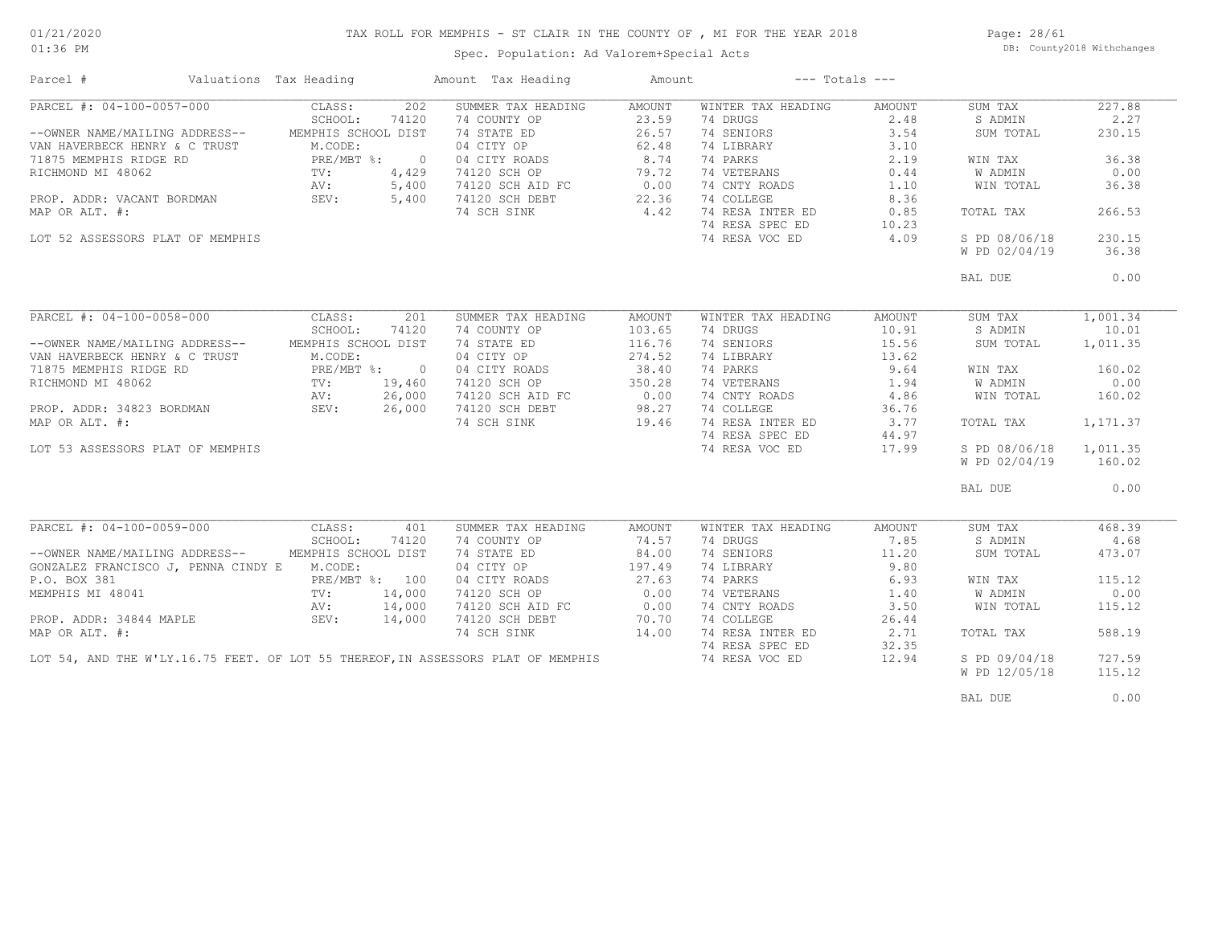# TAX ROLL FOR MEMPHIS - ST CLAIR IN THE COUNTY OF , MI FOR THE YEAR 2018

Spec. Population: Ad Valorem+Special Acts

Page: 28/61 DB: County2018 Withchanges

| Parcel #                                                      | Valuations Tax Heading |        | Amount Tax Heading                                                               | Amount | $---$ Totals $---$ |        |               |          |
|---------------------------------------------------------------|------------------------|--------|----------------------------------------------------------------------------------|--------|--------------------|--------|---------------|----------|
| PARCEL #: 04-100-0057-000                                     | CLASS:                 | 202    | SUMMER TAX HEADING                                                               | AMOUNT | WINTER TAX HEADING | AMOUNT | SUM TAX       | 227.88   |
|                                                               | SCHOOL:                | 74120  | 74 COUNTY OP                                                                     | 23.59  | 74 DRUGS           | 2.48   | S ADMIN       | 2.27     |
| --OWNER NAME/MAILING ADDRESS--                                | MEMPHIS SCHOOL DIST    |        | 74 STATE ED                                                                      | 26.57  | 74 SENIORS         | 3.54   | SUM TOTAL     | 230.15   |
| VAN HAVERBECK HENRY & C TRUST                                 | M.CODE:                |        | 04 CITY OP                                                                       | 62.48  | 74 LIBRARY         | 3.10   |               |          |
| 71875 MEMPHIS RIDGE RD                                        | PRE/MBT %: 0           |        |                                                                                  | 8.74   | 74 PARKS           | 2.19   | WIN TAX       | 36.38    |
| RICHMOND MI 48062                                             | TV:                    | 4,429  | 04 CITY ROADS<br>74120 SCH OP                                                    | 79.72  | 74 VETERANS        | 0.44   | W ADMIN       | 0.00     |
|                                                               | AV:                    | 5,400  |                                                                                  | 0.00   | 74 CNTY ROADS      | 1.10   | WIN TOTAL     | 36.38    |
| PROP. ADDR: VACANT BORDMAN                                    | SEV:                   | 5,400  | 74120 SCH AID FC<br>74120 SCH DEBT<br>74120 SCH DEBT                             | 22.36  | 74 COLLEGE         | 8.36   |               |          |
|                                                               |                        |        |                                                                                  |        |                    |        |               |          |
| MAP OR ALT. #:                                                |                        |        | 74 SCH SINK                                                                      | 4.42   | 74 RESA INTER ED   | 0.85   | TOTAL TAX     | 266.53   |
|                                                               |                        |        |                                                                                  |        | 74 RESA SPEC ED    | 10.23  |               |          |
| LOT 52 ASSESSORS PLAT OF MEMPHIS                              |                        |        |                                                                                  |        | 74 RESA VOC ED     | 4.09   | S PD 08/06/18 | 230.15   |
|                                                               |                        |        |                                                                                  |        |                    |        | W PD 02/04/19 | 36.38    |
|                                                               |                        |        |                                                                                  |        |                    |        | BAL DUE       | 0.00     |
|                                                               |                        |        |                                                                                  |        |                    |        |               |          |
| PARCEL #: 04-100-0058-000                                     | CLASS:                 | 201    | SUMMER TAX HEADING                                                               | AMOUNT | WINTER TAX HEADING | AMOUNT | SUM TAX       | 1,001.34 |
|                                                               | SCHOOL:                | 74120  | 74 COUNTY OP                                                                     | 103.65 | 74 DRUGS           | 10.91  | S ADMIN       | 10.01    |
| --OWNER NAME/MAILING ADDRESS--                                | MEMPHIS SCHOOL DIST    |        | 74 STATE ED                                                                      | 116.76 | 74 SENIORS         | 15.56  | SUM TOTAL     | 1,011.35 |
| VAN HAVERBECK HENRY & C TRUST                                 | M.CODE:                |        | 04 CITY OP                                                                       | 274.52 | 74 LIBRARY         | 13.62  |               |          |
| 71875 MEMPHIS RIDGE RD                                        | PRE/MBT %: 0           |        | 04 CITY ROADS                                                                    | 38.40  | 74 PARKS           | 9.64   | WIN TAX       | 160.02   |
| RICHMOND MI 48062                                             | TV:                    | 19,460 | 74120 SCH OP                                                                     | 350.28 | 74 VETERANS        | 1.94   | W ADMIN       | 0.00     |
|                                                               |                        |        | 74120 SCH AID FC                                                                 | 0.00   | 74 CNTY ROADS      | 4.86   | WIN TOTAL     | 160.02   |
|                                                               |                        |        | 74120 SCH DEBT                                                                   |        | 74 COLLEGE         | 36.76  |               |          |
| PROP. ADDR: 34823 BORDMAN AV: 26,000<br>MAP OR ALT. #: 26,000 |                        |        |                                                                                  |        | 74 RESA INTER ED   | 3.77   |               |          |
|                                                               |                        |        | 74 SCH SINK                                                                      | 19.46  |                    |        | TOTAL TAX     | 1,171.37 |
|                                                               |                        |        |                                                                                  |        | 74 RESA SPEC ED    | 44.97  |               |          |
| LOT 53 ASSESSORS PLAT OF MEMPHIS                              |                        |        |                                                                                  |        | 74 RESA VOC ED     | 17.99  | S PD 08/06/18 | 1,011.35 |
|                                                               |                        |        |                                                                                  |        |                    |        | W PD 02/04/19 | 160.02   |
|                                                               |                        |        |                                                                                  |        |                    |        | BAL DUE       | 0.00     |
|                                                               |                        |        |                                                                                  |        |                    |        |               |          |
| PARCEL #: 04-100-0059-000                                     | CLASS:                 | 401    | SUMMER TAX HEADING                                                               | AMOUNT | WINTER TAX HEADING | AMOUNT | SUM TAX       | 468.39   |
|                                                               | SCHOOL:                | 74120  | 74 COUNTY OP                                                                     | 74.57  | 74 DRUGS           | 7.85   | S ADMIN       | 4.68     |
| --OWNER NAME/MAILING ADDRESS--                                | MEMPHIS SCHOOL DIST    |        | 74 STATE ED                                                                      | 84.00  | 74 SENIORS         | 11.20  | SUM TOTAL     | 473.07   |
| GONZALEZ FRANCISCO J, PENNA CINDY E M.CODE:                   |                        |        | 04 CITY OP                                                                       | 197.49 | 74 LIBRARY         | 9.80   |               |          |
| P.O. BOX 381                                                  | PRE/MBT %: 100         |        | 04 CITY ROADS                                                                    | 27.63  | 74 PARKS           | 6.93   | WIN TAX       | 115.12   |
| MEMPHIS MI 48041                                              | $\texttt{TV}$ :        | 14,000 | 74120 SCH OP                                                                     | 0.00   | 74 VETERANS        | 1.40   | W ADMIN       | 0.00     |
|                                                               | AV:                    | 14,000 | 74120 SCH AID FC                                                                 | 0.00   | 74 CNTY ROADS      | 3.50   | WIN TOTAL     | 115.12   |
| PROP. ADDR: 34844 MAPLE                                       | SEV:                   | 14,000 | 74120 SCH DEBT                                                                   | 70.70  | 74 COLLEGE         | 26.44  |               |          |
| MAP OR ALT. #:                                                |                        |        | 74 SCH SINK                                                                      | 14.00  | 74 RESA INTER ED   | 2.71   |               | 588.19   |
|                                                               |                        |        |                                                                                  |        |                    |        | TOTAL TAX     |          |
|                                                               |                        |        |                                                                                  |        | 74 RESA SPEC ED    | 32.35  |               |          |
|                                                               |                        |        | LOT 54, AND THE W'LY.16.75 FEET. OF LOT 55 THEREOF, IN ASSESSORS PLAT OF MEMPHIS |        | 74 RESA VOC ED     | 12.94  | S PD 09/04/18 | 727.59   |
|                                                               |                        |        |                                                                                  |        |                    |        | W PD 12/05/18 | 115.12   |
|                                                               |                        |        |                                                                                  |        |                    |        | BAL DUE       | 0.00     |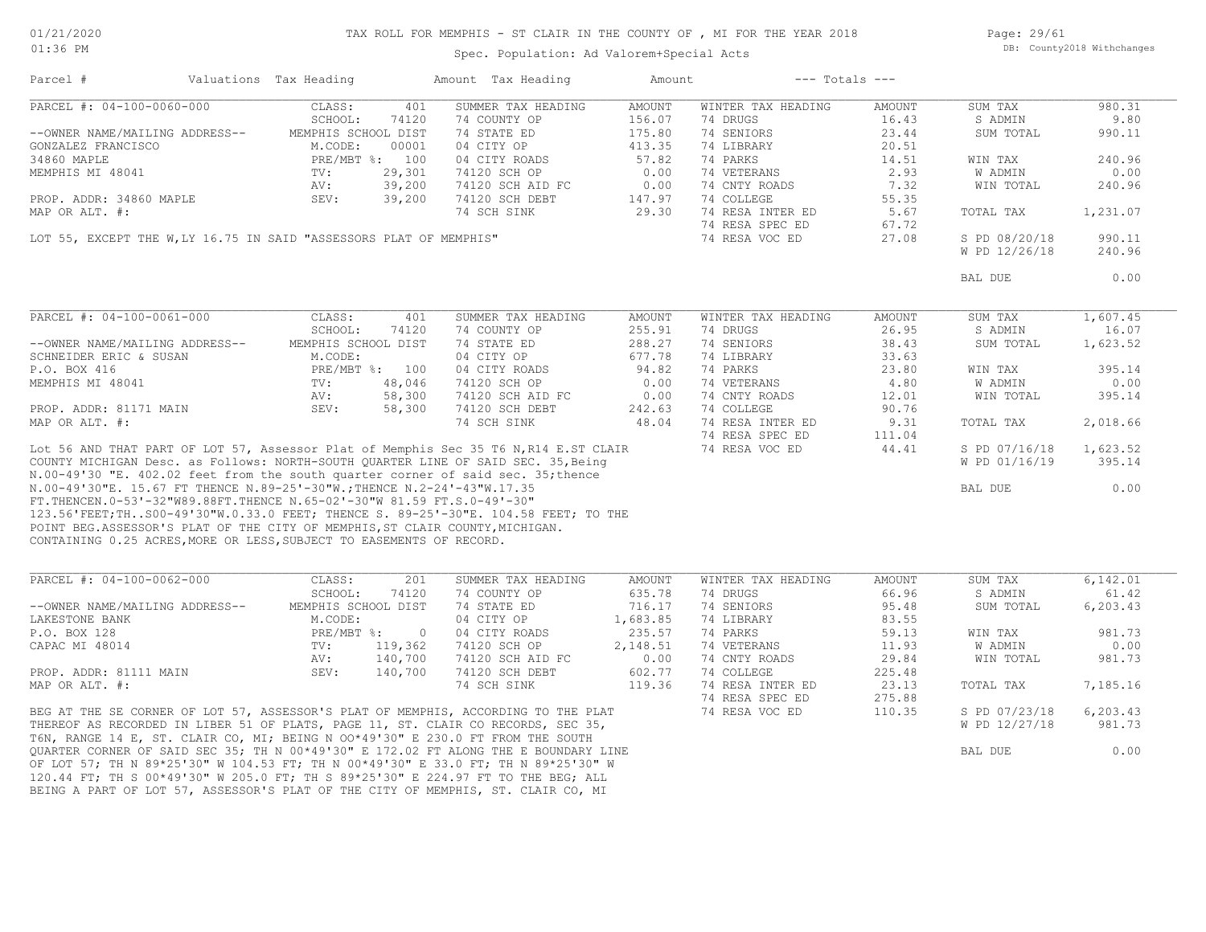#### TAX ROLL FOR MEMPHIS - ST CLAIR IN THE COUNTY OF , MI FOR THE YEAR 2018

Spec. Population: Ad Valorem+Special Acts

Page: 29/61 DB: County2018 Withchanges

| Parcel #                                                                             | Valuations Tax Heading |                          | Amount Tax Heading | Amount        | $---$ Totals $---$ |        |                |           |
|--------------------------------------------------------------------------------------|------------------------|--------------------------|--------------------|---------------|--------------------|--------|----------------|-----------|
| PARCEL #: 04-100-0060-000                                                            | CLASS:                 | 401                      | SUMMER TAX HEADING | <b>AMOUNT</b> | WINTER TAX HEADING | AMOUNT | SUM TAX        | 980.31    |
|                                                                                      | SCHOOL:                | 74120                    | 74 COUNTY OP       | 156.07        | 74 DRUGS           | 16.43  | S ADMIN        | 9.80      |
| --OWNER NAME/MAILING ADDRESS--                                                       | MEMPHIS SCHOOL DIST    |                          | 74 STATE ED        | 175.80        | 74 SENIORS         | 23.44  | SUM TOTAL      | 990.11    |
| GONZALEZ FRANCISCO                                                                   | M.CODE:                | 00001                    | 04 CITY OP         | 413.35        | 74 LIBRARY         | 20.51  |                |           |
| 34860 MAPLE                                                                          |                        | PRE/MBT %: 100           | 04 CITY ROADS      | 57.82         | 74 PARKS           | 14.51  | WIN TAX        | 240.96    |
| MEMPHIS MI 48041                                                                     | TV:                    | 29,301                   | 74120 SCH OP       | 0.00          | 74 VETERANS        | 2.93   | <b>W ADMIN</b> | 0.00      |
|                                                                                      | AV:                    | 39,200                   | 74120 SCH AID FC   | 0.00          | 74 CNTY ROADS      | 7.32   | WIN TOTAL      | 240.96    |
| PROP. ADDR: 34860 MAPLE                                                              | SEV:                   | 39,200                   | 74120 SCH DEBT     | 147.97        | 74 COLLEGE         | 55.35  |                |           |
| MAP OR ALT. #:                                                                       |                        |                          | 74 SCH SINK        | 29.30         | 74 RESA INTER ED   | 5.67   | TOTAL TAX      | 1,231.07  |
|                                                                                      |                        |                          |                    |               |                    |        |                |           |
|                                                                                      |                        |                          |                    |               | 74 RESA SPEC ED    | 67.72  |                | 990.11    |
| LOT 55, EXCEPT THE W, LY 16.75 IN SAID "ASSESSORS PLAT OF MEMPHIS"                   |                        |                          |                    |               | 74 RESA VOC ED     | 27.08  | S PD 08/20/18  |           |
|                                                                                      |                        |                          |                    |               |                    |        | W PD 12/26/18  | 240.96    |
|                                                                                      |                        |                          |                    |               |                    |        | BAL DUE        | 0.00      |
|                                                                                      |                        |                          |                    |               |                    |        |                |           |
| PARCEL #: 04-100-0061-000                                                            | CLASS:                 | 401                      | SUMMER TAX HEADING | AMOUNT        | WINTER TAX HEADING | AMOUNT | SUM TAX        | 1,607.45  |
|                                                                                      | SCHOOL:                | 74120                    | 74 COUNTY OP       | 255.91        | 74 DRUGS           | 26.95  | S ADMIN        | 16.07     |
| --OWNER NAME/MAILING ADDRESS--                                                       | MEMPHIS SCHOOL DIST    |                          | 74 STATE ED        | 288.27        | 74 SENIORS         | 38.43  | SUM TOTAL      | 1,623.52  |
| SCHNEIDER ERIC & SUSAN                                                               | M.CODE:                |                          | 04 CITY OP         | 677.78        | 74 LIBRARY         | 33.63  |                |           |
| P.O. BOX 416                                                                         |                        | PRE/MBT %: 100           | 04 CITY ROADS      | 94.82         | 74 PARKS           | 23.80  | WIN TAX        | 395.14    |
| MEMPHIS MI 48041                                                                     | $\text{TV}$ :          | 48,046                   | 74120 SCH OP       | 0.00          | 74 VETERANS        | 4.80   | <b>W ADMIN</b> | 0.00      |
|                                                                                      | AV:                    | 58,300                   | 74120 SCH AID FC   | 0.00          | 74 CNTY ROADS      | 12.01  | WIN TOTAL      | 395.14    |
| PROP. ADDR: 81171 MAIN                                                               | SEV:                   | 58,300                   | 74120 SCH DEBT     | 242.63        | 74 COLLEGE         | 90.76  |                |           |
| MAP OR ALT. #:                                                                       |                        |                          | 74 SCH SINK        | 48.04         | 74 RESA INTER ED   | 9.31   | TOTAL TAX      | 2,018.66  |
|                                                                                      |                        |                          |                    |               | 74 RESA SPEC ED    | 111.04 |                |           |
| Lot 56 AND THAT PART OF LOT 57, Assessor Plat of Memphis Sec 35 T6 N, R14 E.ST CLAIR |                        |                          |                    |               | 74 RESA VOC ED     | 44.41  | S PD 07/16/18  | 1,623.52  |
| COUNTY MICHIGAN Desc. as Follows: NORTH-SOUTH QUARTER LINE OF SAID SEC. 35, Being    |                        |                          |                    |               |                    |        | W PD 01/16/19  | 395.14    |
| N.00-49'30 "E. 402.02 feet from the south quarter corner of said sec. 35; thence     |                        |                          |                    |               |                    |        |                |           |
| N.00-49'30"E. 15.67 FT THENCE N.89-25'-30"W.;THENCE N.2-24'-43"W.17.35               |                        |                          |                    |               |                    |        | BAL DUE        | 0.00      |
| FT. THENCEN. 0-53'-32"W89.88FT. THENCE N. 65-02'-30"W 81.59 FT.S. 0-49'-30"          |                        |                          |                    |               |                    |        |                |           |
| 123.56'FEET; THS00-49'30"W.0.33.0 FEET; THENCE S. 89-25'-30"E. 104.58 FEET; TO THE   |                        |                          |                    |               |                    |        |                |           |
| POINT BEG.ASSESSOR'S PLAT OF THE CITY OF MEMPHIS, ST CLAIR COUNTY, MICHIGAN.         |                        |                          |                    |               |                    |        |                |           |
| CONTAINING 0.25 ACRES, MORE OR LESS, SUBJECT TO EASEMENTS OF RECORD.                 |                        |                          |                    |               |                    |        |                |           |
|                                                                                      |                        |                          |                    |               |                    |        |                |           |
| PARCEL #: 04-100-0062-000                                                            | CLASS:                 | 201                      | SUMMER TAX HEADING | AMOUNT        | WINTER TAX HEADING | AMOUNT | SUM TAX        | 6, 142.01 |
|                                                                                      | SCHOOL:                | 74120                    | 74 COUNTY OP       | 635.78        | 74 DRUGS           | 66.96  | S ADMIN        | 61.42     |
| --OWNER NAME/MAILING ADDRESS--                                                       | MEMPHIS SCHOOL DIST    |                          | 74 STATE ED        | 716.17        | 74 SENIORS         | 95.48  | SUM TOTAL      | 6,203.43  |
| LAKESTONE BANK                                                                       | M.CODE:                |                          | 04 CITY OP         | 1,683.85      | 74 LIBRARY         | 83.55  |                |           |
| P.O. BOX 128                                                                         | PRE/MBT %:             | $\overline{\phantom{0}}$ | 04 CITY ROADS      | 235.57        | 74 PARKS           | 59.13  | WIN TAX        | 981.73    |
| CAPAC MI 48014                                                                       | TV:                    | 119,362                  | 74120 SCH OP       | 2,148.51      | 74 VETERANS        | 11.93  | W ADMIN        | 0.00      |
|                                                                                      |                        |                          |                    |               |                    |        |                |           |
|                                                                                      | AV:                    | 140,700                  | 74120 SCH AID FC   | 0.00          | 74 CNTY ROADS      | 29.84  | WIN TOTAL      | 981.73    |
| PROP. ADDR: 81111 MAIN                                                               | SEV:                   | 140,700                  | 74120 SCH DEBT     | 602.77        | 74 COLLEGE         | 225.48 |                |           |
| MAP OR ALT. #:                                                                       |                        |                          | 74 SCH SINK        | 119.36        | 74 RESA INTER ED   | 23.13  | TOTAL TAX      | 7,185.16  |
|                                                                                      |                        |                          |                    |               | 74 RESA SPEC ED    | 275.88 |                |           |
| BEG AT THE SE CORNER OF LOT 57, ASSESSOR'S PLAT OF MEMPHIS, ACCORDING TO THE PLAT    |                        |                          |                    |               | 74 RESA VOC ED     | 110.35 | S PD 07/23/18  | 6,203.43  |
| THEREOF AS RECORDED IN LIBER 51 OF PLATS, PAGE 11, ST. CLAIR CO RECORDS, SEC 35,     |                        |                          |                    |               |                    |        | W PD 12/27/18  | 981.73    |
| T6N, RANGE 14 E, ST. CLAIR CO, MI; BEING N 00*49'30" E 230.0 FT FROM THE SOUTH       |                        |                          |                    |               |                    |        |                |           |

BEING A PART OF LOT 57, ASSESSOR'S PLAT OF THE CITY OF MEMPHIS, ST. CLAIR CO, MI 120.44 FT; TH S 00\*49'30" W 205.0 FT; TH S 89\*25'30" E 224.97 FT TO THE BEG; ALL OF LOT 57; TH N 89\*25'30" W 104.53 FT; TH N 00\*49'30" E 33.0 FT; TH N 89\*25'30" W QUARTER CORNER OF SAID SEC 35; TH N 00\*49'30" E 172.02 FT ALONG THE E BOUNDARY LINE **External and Security Constant** Bal DUE 0.00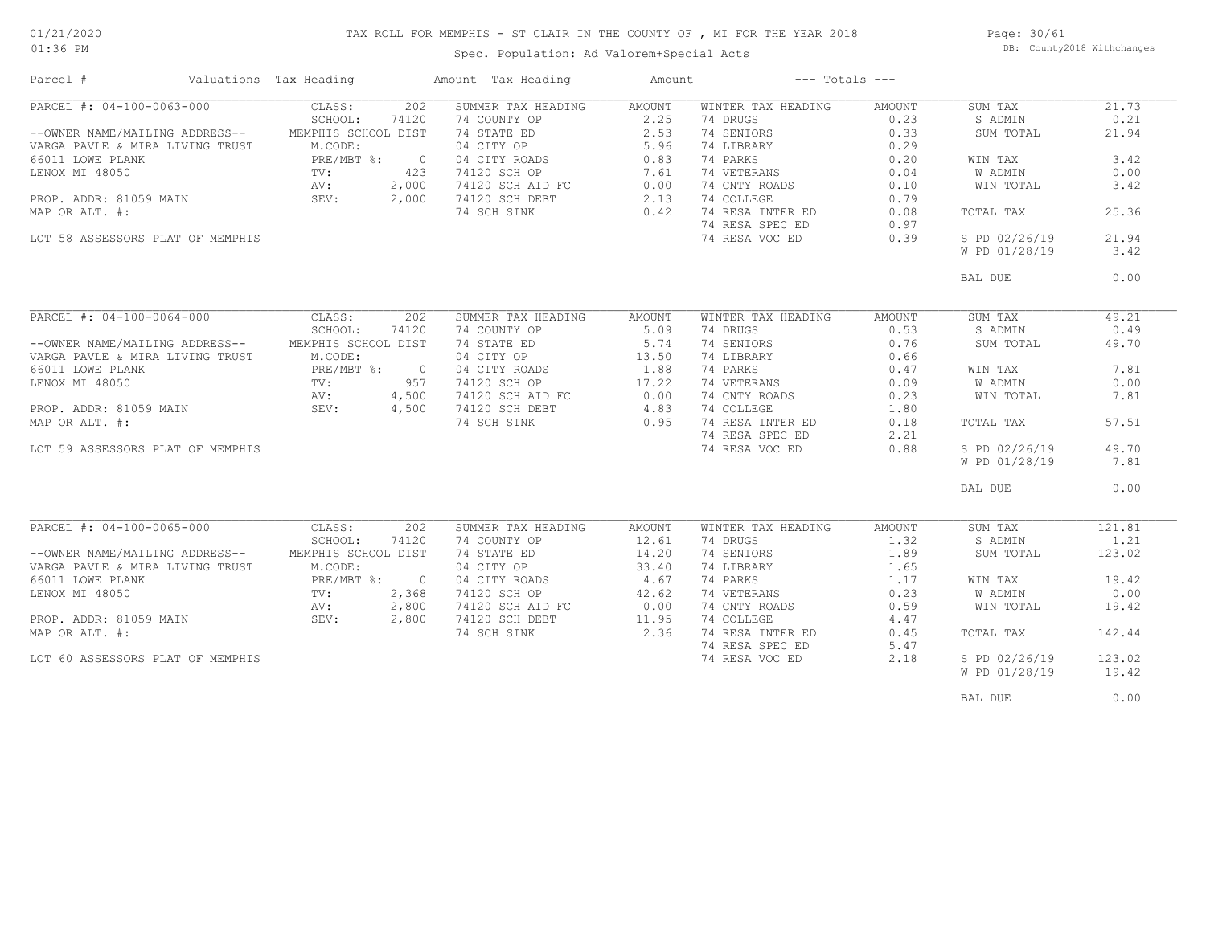### TAX ROLL FOR MEMPHIS - ST CLAIR IN THE COUNTY OF , MI FOR THE YEAR 2018

01:36 PM

## Spec. Population: Ad Valorem+Special Acts

Page: 30/61 DB: County2018 Withchanges

| Parcel #                                           | Valuations Tax Heading |       | Amount Tax Heading                                                  | Amount |                    | $---$ Totals $---$ |               |        |
|----------------------------------------------------|------------------------|-------|---------------------------------------------------------------------|--------|--------------------|--------------------|---------------|--------|
| PARCEL #: 04-100-0063-000                          | CLASS:                 | 202   | SUMMER TAX HEADING                                                  | AMOUNT | WINTER TAX HEADING | AMOUNT             | SUM TAX       | 21.73  |
|                                                    | SCHOOL:                | 74120 | 74 COUNTY OP                                                        | 2.25   | 74 DRUGS           | 0.23               | S ADMIN       | 0.21   |
| --OWNER NAME/MAILING ADDRESS-- MEMPHIS SCHOOL DIST |                        |       | 74 STATE ED<br>04 CITY OP<br>04 CITY ROADS<br>74120 SCH OP          | 2.53   | 74 SENIORS         | 0.33               | SUM TOTAL     | 21.94  |
| VARGA PAVLE & MIRA LIVING TRUST                    | M.CODE:                |       |                                                                     | 5.96   | 74 LIBRARY         | 0.29               |               |        |
| 66011 LOWE PLANK                                   | PRE/MBT %: 0           |       |                                                                     | 0.83   | 74 PARKS           | 0.20               | WIN TAX       | 3.42   |
| LENOX MI 48050                                     | $\text{TV}$ :          | 423   |                                                                     | 7.61   | 74 VETERANS        | 0.04               | W ADMIN       | 0.00   |
|                                                    | AV:                    | 2,000 |                                                                     |        | 74 CNTY ROADS      | 0.10               | WIN TOTAL     | 3.42   |
| PROP. ADDR: 81059 MAIN                             | SEV:                   | 2,000 | 74120 SCH AID FC 0.00 74 CNTY ROA<br>74120 SCH DEBT 2.13 74 COLLEGE |        |                    | 0.79               |               |        |
| MAP OR ALT. #:                                     |                        |       | 74 SCH SINK                                                         | 0.42   | 74 RESA INTER ED   | 0.08               | TOTAL TAX     | 25.36  |
|                                                    |                        |       |                                                                     |        | 74 RESA SPEC ED    | 0.97               |               |        |
| LOT 58 ASSESSORS PLAT OF MEMPHIS                   |                        |       |                                                                     |        | 74 RESA VOC ED     | 0.39               | S PD 02/26/19 | 21.94  |
|                                                    |                        |       |                                                                     |        |                    |                    |               | 3.42   |
|                                                    |                        |       |                                                                     |        |                    |                    | W PD 01/28/19 |        |
|                                                    |                        |       |                                                                     |        |                    |                    | BAL DUE       | 0.00   |
|                                                    |                        |       |                                                                     |        |                    |                    |               |        |
|                                                    |                        |       |                                                                     |        |                    |                    |               |        |
| PARCEL #: 04-100-0064-000                          | CLASS:                 | 202   | SUMMER TAX HEADING                                                  | AMOUNT | WINTER TAX HEADING | AMOUNT             | SUM TAX       | 49.21  |
|                                                    | SCHOOL:                | 74120 | 74 COUNTY OP                                                        | 5.09   | 74 DRUGS           | 0.53               | S ADMIN       | 0.49   |
| --OWNER NAME/MAILING ADDRESS--                     | MEMPHIS SCHOOL DIST    |       | 74 STATE ED                                                         | 5.74   | 74 SENIORS         | 0.76               | SUM TOTAL     | 49.70  |
| VARGA PAVLE & MIRA LIVING TRUST                    | M.CODE:                |       | 04 CITY OP                                                          | 13.50  | 74 LIBRARY         | 0.66               |               |        |
| 66011 LOWE PLANK                                   | PRE/MBT %: 0           |       |                                                                     | 1.88   | 74 PARKS           | 0.47               | WIN TAX       | 7.81   |
| LENOX MI 48050                                     | TV:                    | 957   | 04 CITY ROADS<br>74120 SCH OP                                       | 17.22  | 74 VETERANS        | 0.09               | W ADMIN       | 0.00   |
|                                                    | AV:                    | 4,500 |                                                                     |        | 74 CNTY ROADS      | 0.23               | WIN TOTAL     | 7.81   |
| PROP. ADDR: 81059 MAIN                             | SEV: $4,500$           |       | 74120 SCH AID FC 0.00<br>74120 SCH DEBT 4.83                        |        | 74 COLLEGE         | 1.80               |               |        |
| MAP OR ALT. #:                                     |                        |       | 74 SCH SINK                                                         | 0.95   | 74 RESA INTER ED   | 0.18               | TOTAL TAX     | 57.51  |
|                                                    |                        |       |                                                                     |        |                    |                    |               |        |
|                                                    |                        |       |                                                                     |        | 74 RESA SPEC ED    | 2.21               |               |        |
| LOT 59 ASSESSORS PLAT OF MEMPHIS                   |                        |       |                                                                     |        | 74 RESA VOC ED     | 0.88               | S PD 02/26/19 | 49.70  |
|                                                    |                        |       |                                                                     |        |                    |                    | W PD 01/28/19 | 7.81   |
|                                                    |                        |       |                                                                     |        |                    |                    | BAL DUE       | 0.00   |
|                                                    |                        |       |                                                                     |        |                    |                    |               |        |
|                                                    |                        |       |                                                                     |        |                    |                    |               |        |
| PARCEL #: 04-100-0065-000                          | CLASS:                 | 202   | SUMMER TAX HEADING                                                  | AMOUNT | WINTER TAX HEADING | AMOUNT             | SUM TAX       | 121.81 |
|                                                    | SCHOOL:                | 74120 | 74 COUNTY OP                                                        | 12.61  | 74 DRUGS           | 1.32               | S ADMIN       | 1.21   |
| --OWNER NAME/MAILING ADDRESS--                     | MEMPHIS SCHOOL DIST    |       | 74 STATE ED                                                         | 14.20  | 74 SENIORS         | 1.89               | SUM TOTAL     | 123.02 |
| VARGA PAVLE & MIRA LIVING TRUST                    | M.CODE:                |       | 04 CITY OP                                                          | 33.40  | 74 LIBRARY         | 1.65               |               |        |
| 66011 LOWE PLANK                                   | PRE/MBT %: 0           |       | 04 CITY ROADS                                                       | 4.67   | 74 PARKS           | 1.17               | WIN TAX       | 19.42  |
| LENOX MI 48050                                     | TV:                    | 2,368 | 74120 SCH OP                                                        | 42.62  | 74 VETERANS        | 0.23               | W ADMIN       | 0.00   |
|                                                    | AV:                    | 2,800 | 74120 SCH AID FC<br>74120 SCH DEBT                                  | 0.00   | 74 CNTY ROADS      | 0.59               | WIN TOTAL     | 19.42  |
| PROP. ADDR: 81059 MAIN                             | SEV:                   | 2,800 | 74120 SCH DEBT                                                      | 11.95  | 74 COLLEGE         | 4.47               |               |        |
| MAP OR ALT. #:                                     |                        |       | 74 SCH SINK                                                         | 2.36   | 74 RESA INTER ED   | 0.45               | TOTAL TAX     | 142.44 |
|                                                    |                        |       |                                                                     |        | 74 RESA SPEC ED    | 5.47               |               |        |
| LOT 60 ASSESSORS PLAT OF MEMPHIS                   |                        |       |                                                                     |        | 74 RESA VOC ED     | 2.18               | S PD 02/26/19 | 123.02 |
|                                                    |                        |       |                                                                     |        |                    |                    | W PD 01/28/19 | 19.42  |
|                                                    |                        |       |                                                                     |        |                    |                    |               |        |
|                                                    |                        |       |                                                                     |        |                    |                    | BAL DUE       | 0.00   |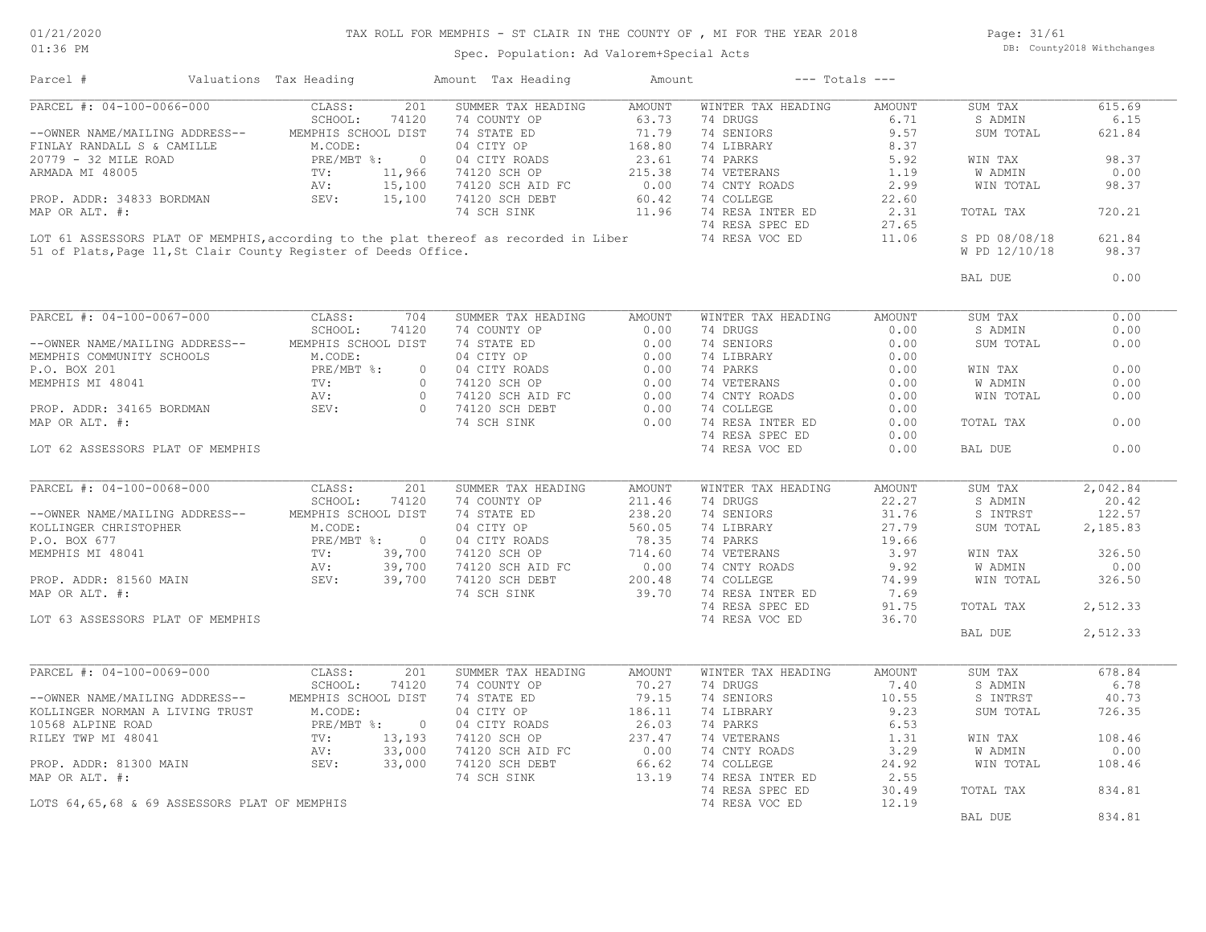### TAX ROLL FOR MEMPHIS - ST CLAIR IN THE COUNTY OF , MI FOR THE YEAR 2018

Spec. Population: Ad Valorem+Special Acts

Page: 31/61 DB: County2018 Withchanges

| Parcel #                                                                             | Valuations Tax Heading       | Amount Tax Heading                  | Amount        | $---$ Totals $---$ |               |               |          |
|--------------------------------------------------------------------------------------|------------------------------|-------------------------------------|---------------|--------------------|---------------|---------------|----------|
| PARCEL #: 04-100-0066-000                                                            | 201<br>CLASS:                | SUMMER TAX HEADING                  | <b>AMOUNT</b> | WINTER TAX HEADING | AMOUNT        | SUM TAX       | 615.69   |
|                                                                                      | SCHOOL:<br>74120             | 74 COUNTY OP                        | 63.73         | 74 DRUGS           | 6.71          | S ADMIN       | 6.15     |
| --OWNER NAME/MAILING ADDRESS--                                                       | MEMPHIS SCHOOL DIST          | 74 STATE ED                         | 71.79         | 74 SENIORS         | 9.57          | SUM TOTAL     | 621.84   |
| FINLAY RANDALL S & CAMILLE                                                           | M.CODE:                      | 04 CITY OP                          | 168.80        | 74 LIBRARY         | 8.37          |               |          |
| 20779 - 32 MILE ROAD                                                                 | PRE/MBT %:<br>$\circ$        | 04 CITY ROADS                       | 23.61         | 74 PARKS           | 5.92          | WIN TAX       | 98.37    |
| ARMADA MI 48005                                                                      | 11,966<br>$\texttt{TV}$ :    | 74120 SCH OP                        | 215.38        | 74 VETERANS        | 1.19          | W ADMIN       | 0.00     |
|                                                                                      | 15,100<br>AV:                | 74120 SCH AID FC                    | 0.00          | 74 CNTY ROADS      | 2.99          | WIN TOTAL     | 98.37    |
| PROP. ADDR: 34833 BORDMAN                                                            | SEV:<br>15,100               | 74120 SCH DEBT                      | 60.42         | 74 COLLEGE         | 22.60         |               |          |
| MAP OR ALT. #:                                                                       |                              | 74 SCH SINK                         | 11.96         | 74 RESA INTER ED   | 2.31          | TOTAL TAX     | 720.21   |
|                                                                                      |                              |                                     |               | 74 RESA SPEC ED    | 27.65         |               |          |
| LOT 61 ASSESSORS PLAT OF MEMPHIS, according to the plat thereof as recorded in Liber |                              |                                     |               | 74 RESA VOC ED     | 11.06         | S PD 08/08/18 | 621.84   |
| 51 of Plats, Page 11, St Clair County Register of Deeds Office.                      |                              |                                     |               |                    |               | W PD 12/10/18 | 98.37    |
|                                                                                      |                              |                                     |               |                    |               | BAL DUE       | 0.00     |
|                                                                                      |                              |                                     |               |                    |               |               |          |
| PARCEL #: 04-100-0067-000                                                            | CLASS:<br>704                | SUMMER TAX HEADING                  | <b>AMOUNT</b> | WINTER TAX HEADING | <b>AMOUNT</b> | SUM TAX       | 0.00     |
|                                                                                      | SCHOOL:<br>74120             | 74 COUNTY OP                        | 0.00          | 74 DRUGS           | 0.00          | S ADMIN       | 0.00     |
| --OWNER NAME/MAILING ADDRESS--                                                       | MEMPHIS SCHOOL DIST          | 74 STATE ED                         | 0.00          | 74 SENIORS         | 0.00          | SUM TOTAL     | 0.00     |
| MEMPHIS COMMUNITY SCHOOLS                                                            | M.CODE:                      | 04 CITY OP                          | 0.00          | 74 LIBRARY         | 0.00          |               |          |
| P.O. BOX 201                                                                         | PRE/MBT %:<br>$\circ$        | 04 CITY ROADS                       | 0.00          | 74 PARKS           | 0.00          | WIN TAX       | 0.00     |
| MEMPHIS MI 48041                                                                     | TV:<br>$\circ$               | 74120 SCH OP                        | 0.00          | 74 VETERANS        | 0.00          | W ADMIN       | 0.00     |
|                                                                                      | AV:<br>$\bigcirc$            | 74120 SCH AID FC                    | 0.00          | 74 CNTY ROADS      | 0.00          | WIN TOTAL     | 0.00     |
| PROP. ADDR: 34165 BORDMAN                                                            | SEV:                         | 74120 SCH DEBT<br>$0 \qquad \qquad$ | 0.00          | 74 COLLEGE         | 0.00          |               |          |
| MAP OR ALT. #:                                                                       |                              | 74 SCH SINK                         | 0.00          | 74 RESA INTER ED   | 0.00          | TOTAL TAX     | 0.00     |
|                                                                                      |                              |                                     |               | 74 RESA SPEC ED    | 0.00          |               |          |
| LOT 62 ASSESSORS PLAT OF MEMPHIS                                                     |                              |                                     |               | 74 RESA VOC ED     | 0.00          | BAL DUE       | 0.00     |
|                                                                                      |                              |                                     |               |                    |               |               |          |
| PARCEL #: 04-100-0068-000                                                            | CLASS:<br>201                | SUMMER TAX HEADING                  | <b>AMOUNT</b> | WINTER TAX HEADING | <b>AMOUNT</b> | SUM TAX       | 2,042.84 |
|                                                                                      | SCHOOL:<br>74120             | 74 COUNTY OP                        | 211.46        | 74 DRUGS           | 22.27         | S ADMIN       | 20.42    |
| --OWNER NAME/MAILING ADDRESS--                                                       | MEMPHIS SCHOOL DIST          | 74 STATE ED                         | 238.20        | 74 SENIORS         | 31.76         | S INTRST      | 122.57   |
| KOLLINGER CHRISTOPHER                                                                | M.CODE:                      | 04 CITY OP                          | 560.05        | 74 LIBRARY         | 27.79         | SUM TOTAL     | 2,185.83 |
| P.O. BOX 677                                                                         | PRE/MBT %:<br>$\overline{0}$ | 04 CITY ROADS                       | 78.35         | 74 PARKS           | 19.66         |               |          |
| MEMPHIS MI 48041                                                                     | TV:<br>39,700                | 74120 SCH OP                        | 714.60        | 74 VETERANS        | 3.97          | WIN TAX       | 326.50   |
|                                                                                      | 39,700<br>AV:                | 74120 SCH AID FC                    | 0.00          | 74 CNTY ROADS      | 9.92          | W ADMIN       | 0.00     |
| PROP. ADDR: 81560 MAIN                                                               | SEV:<br>39,700               | 74120 SCH DEBT                      | 200.48        | 74 COLLEGE         | 74.99         | WIN TOTAL     | 326.50   |
| MAP OR ALT. #:                                                                       |                              | 74 SCH SINK                         | 39.70         | 74 RESA INTER ED   | 7.69          |               |          |
|                                                                                      |                              |                                     |               | 74 RESA SPEC ED    | 91.75         | TOTAL TAX     | 2,512.33 |
| LOT 63 ASSESSORS PLAT OF MEMPHIS                                                     |                              |                                     |               | 74 RESA VOC ED     | 36.70         |               |          |
|                                                                                      |                              |                                     |               |                    |               |               | 2,512.33 |
|                                                                                      |                              |                                     |               |                    |               | BAL DUE       |          |
| PARCEL #: 04-100-0069-000                                                            | CLASS:<br>201                | SUMMER TAX HEADING                  | AMOUNT        | WINTER TAX HEADING | AMOUNT        | SUM TAX       | 678.84   |
|                                                                                      | SCHOOL:<br>74120             | 74 COUNTY OP                        | 70.27         | 74 DRUGS           | 7.40          | S ADMIN       | 6.78     |
| --OWNER NAME/MAILING ADDRESS--                                                       | MEMPHIS SCHOOL DIST          | 74 STATE ED                         | 79.15         | 74 SENIORS         | 10.55         | S INTRST      | 40.73    |
|                                                                                      | M.CODE:                      | 04 CITY OP                          | 186.11        | 74 LIBRARY         | 9.23          |               |          |
| KOLLINGER NORMAN A LIVING TRUST                                                      |                              |                                     |               |                    |               | SUM TOTAL     | 726.35   |
| 10568 ALPINE ROAD                                                                    | PRE/MBT %:<br>$\circ$        | 04 CITY ROADS                       | 26.03         | 74 PARKS           | 6.53          |               |          |
| RILEY TWP MI 48041                                                                   | 13,193<br>$\texttt{TV}$ :    | 74120 SCH OP                        | 237.47        | 74 VETERANS        | 1.31          | WIN TAX       | 108.46   |
|                                                                                      | 33,000<br>AV:                | 74120 SCH AID FC                    | 0.00          | 74 CNTY ROADS      | 3.29          | W ADMIN       | 0.00     |
| PROP. ADDR: 81300 MAIN                                                               | SEV:<br>33,000               | 74120 SCH DEBT                      | 66.62         | 74 COLLEGE         | 24.92         | WIN TOTAL     | 108.46   |
| MAP OR ALT. #:                                                                       |                              | 74 SCH SINK                         | 13.19         | 74 RESA INTER ED   | 2.55          |               |          |
|                                                                                      |                              |                                     |               | 74 RESA SPEC ED    | 30.49         | TOTAL TAX     | 834.81   |
| LOTS 64,65,68 & 69 ASSESSORS PLAT OF MEMPHIS                                         |                              |                                     |               | 74 RESA VOC ED     | 12.19         |               |          |
|                                                                                      |                              |                                     |               |                    |               | BAL DUE       | 834.81   |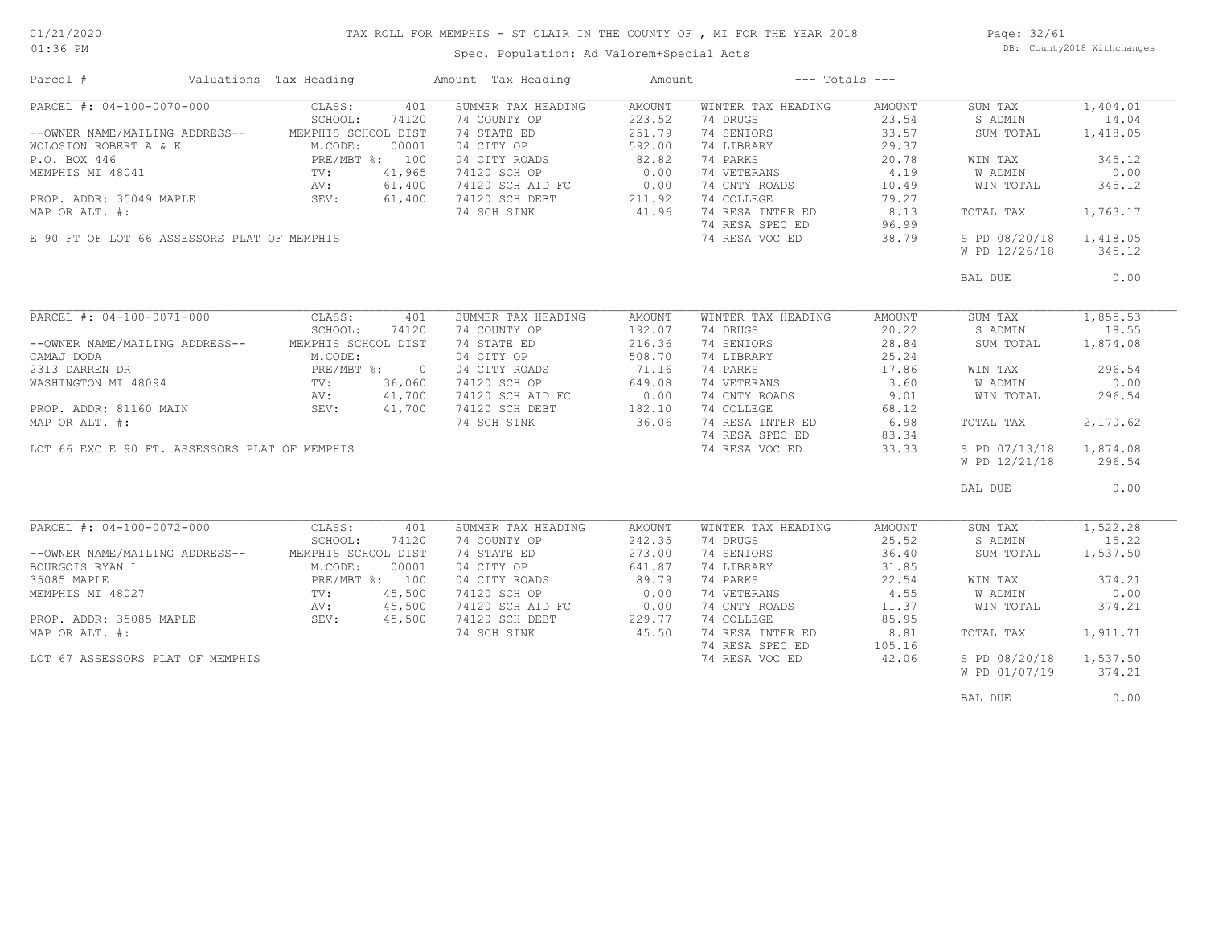### TAX ROLL FOR MEMPHIS - ST CLAIR IN THE COUNTY OF , MI FOR THE YEAR 2018

Spec. Population: Ad Valorem+Special Acts

Page: 32/61 DB: County2018 Withchanges

| Parcel #                                      | Valuations Tax Heading |        | Amount Tax Heading | Amount |                    | $---$ Totals $---$ |               |          |
|-----------------------------------------------|------------------------|--------|--------------------|--------|--------------------|--------------------|---------------|----------|
| PARCEL #: 04-100-0070-000                     | CLASS:                 | 401    | SUMMER TAX HEADING | AMOUNT | WINTER TAX HEADING | AMOUNT             | SUM TAX       | 1,404.01 |
|                                               | SCHOOL:                | 74120  | 74 COUNTY OP       | 223.52 | 74 DRUGS           | 23.54              | S ADMIN       | 14.04    |
| --OWNER NAME/MAILING ADDRESS--                | MEMPHIS SCHOOL DIST    |        | 74 STATE ED        | 251.79 | 74 SENIORS         | 33.57              | SUM TOTAL     | 1,418.05 |
| WOLOSION ROBERT A & K                         | M.CODE:                | 00001  | 04 CITY OP         | 592.00 | 74 LIBRARY         | 29.37              |               |          |
| P.O. BOX 446                                  | PRE/MBT %: 100         |        | 04 CITY ROADS      | 82.82  | 74 PARKS           | 20.78              | WIN TAX       | 345.12   |
| MEMPHIS MI 48041                              | TV:                    | 41,965 | 74120 SCH OP       | 0.00   | 74 VETERANS        | 4.19               | W ADMIN       | 0.00     |
|                                               | AV:                    | 61,400 | 74120 SCH AID FC   | 0.00   | 74 CNTY ROADS      | 10.49              | WIN TOTAL     | 345.12   |
|                                               | SEV:                   |        |                    | 211.92 | 74 COLLEGE         |                    |               |          |
| PROP. ADDR: 35049 MAPLE                       |                        | 61,400 | 74120 SCH DEBT     |        | 74 RESA INTER ED   | 79.27              |               |          |
| MAP OR ALT. #:                                |                        |        | 74 SCH SINK        | 41.96  |                    | 8.13               | TOTAL TAX     | 1,763.17 |
|                                               |                        |        |                    |        | 74 RESA SPEC ED    | 96.99              |               |          |
| E 90 FT OF LOT 66 ASSESSORS PLAT OF MEMPHIS   |                        |        |                    |        | 74 RESA VOC ED     | 38.79              | S PD 08/20/18 | 1,418.05 |
|                                               |                        |        |                    |        |                    |                    | W PD 12/26/18 | 345.12   |
|                                               |                        |        |                    |        |                    |                    | BAL DUE       | 0.00     |
|                                               |                        |        |                    |        |                    |                    |               |          |
| PARCEL #: 04-100-0071-000                     | CLASS:                 | 401    | SUMMER TAX HEADING | AMOUNT | WINTER TAX HEADING | AMOUNT             | SUM TAX       | 1,855.53 |
|                                               | SCHOOL:                | 74120  | 74 COUNTY OP       | 192.07 | 74 DRUGS           | 20.22              | S ADMIN       | 18.55    |
| --OWNER NAME/MAILING ADDRESS--                | MEMPHIS SCHOOL DIST    |        | 74 STATE ED        | 216.36 | 74 SENIORS         | 28.84              | SUM TOTAL     | 1,874.08 |
| CAMAJ DODA                                    | M.CODE:                |        | 04 CITY OP         | 508.70 | 74 LIBRARY         | 25.24              |               |          |
| 2313 DARREN DR                                | PRE/MBT %: 0           |        | 04 CITY ROADS      | 71.16  | 74 PARKS           | 17.86              | WIN TAX       | 296.54   |
| WASHINGTON MI 48094                           | TV:                    | 36,060 | 74120 SCH OP       | 649.08 | 74 VETERANS        | 3.60               | W ADMIN       | 0.00     |
|                                               |                        | 41,700 | 74120 SCH AID FC   | 0.00   | 74 CNTY ROADS      | 9.01               | WIN TOTAL     | 296.54   |
|                                               | AV:<br>SEV:            |        |                    |        |                    |                    |               |          |
| PROP. ADDR: 81160 MAIN                        |                        | 41,700 | 74120 SCH DEBT     | 182.10 | 74 COLLEGE         | 68.12              |               |          |
| MAP OR ALT. #:                                |                        |        | 74 SCH SINK        | 36.06  | 74 RESA INTER ED   | 6.98               | TOTAL TAX     | 2,170.62 |
|                                               |                        |        |                    |        | 74 RESA SPEC ED    | 83.34              |               |          |
| LOT 66 EXC E 90 FT. ASSESSORS PLAT OF MEMPHIS |                        |        |                    |        | 74 RESA VOC ED     | 33.33              | S PD 07/13/18 | 1,874.08 |
|                                               |                        |        |                    |        |                    |                    | W PD 12/21/18 | 296.54   |
|                                               |                        |        |                    |        |                    |                    | BAL DUE       | 0.00     |
|                                               |                        |        |                    |        |                    |                    |               |          |
| PARCEL #: 04-100-0072-000                     | CLASS:                 | 401    | SUMMER TAX HEADING | AMOUNT | WINTER TAX HEADING | AMOUNT             | SUM TAX       | 1,522.28 |
|                                               | SCHOOL:                | 74120  | 74 COUNTY OP       | 242.35 | 74 DRUGS           | 25.52              | S ADMIN       | 15.22    |
| --OWNER NAME/MAILING ADDRESS--                | MEMPHIS SCHOOL DIST    |        | 74 STATE ED        | 273.00 | 74 SENIORS         | 36.40              | SUM TOTAL     | 1,537.50 |
| BOURGOIS RYAN L                               | M.CODE:                | 00001  | 04 CITY OP         | 641.87 | 74 LIBRARY         | 31.85              |               |          |
| 35085 MAPLE                                   | PRE/MBT %: 100         |        | 04 CITY ROADS      | 89.79  | 74 PARKS           | 22.54              | WIN TAX       | 374.21   |
| MEMPHIS MI 48027                              | TV:                    | 45,500 | 74120 SCH OP       | 0.00   | 74 VETERANS        | 4.55               | W ADMIN       | 0.00     |
|                                               | AV:                    | 45,500 | 74120 SCH AID FC   | 0.00   | 74 CNTY ROADS      | 11.37              | WIN TOTAL     | 374.21   |
| PROP. ADDR: 35085 MAPLE                       | SEV:                   | 45,500 | 74120 SCH DEBT     | 229.77 | 74 COLLEGE         | 85.95              |               |          |
| MAP OR ALT. #:                                |                        |        | 74 SCH SINK        | 45.50  | 74 RESA INTER ED   | 8.81               | TOTAL TAX     | 1,911.71 |
|                                               |                        |        |                    |        | 74 RESA SPEC ED    | 105.16             |               |          |
| LOT 67 ASSESSORS PLAT OF MEMPHIS              |                        |        |                    |        | 74 RESA VOC ED     | 42.06              | S PD 08/20/18 | 1,537.50 |
|                                               |                        |        |                    |        |                    |                    | W PD 01/07/19 | 374.21   |
|                                               |                        |        |                    |        |                    |                    |               |          |
|                                               |                        |        |                    |        |                    |                    | BAL DUE       | 0.00     |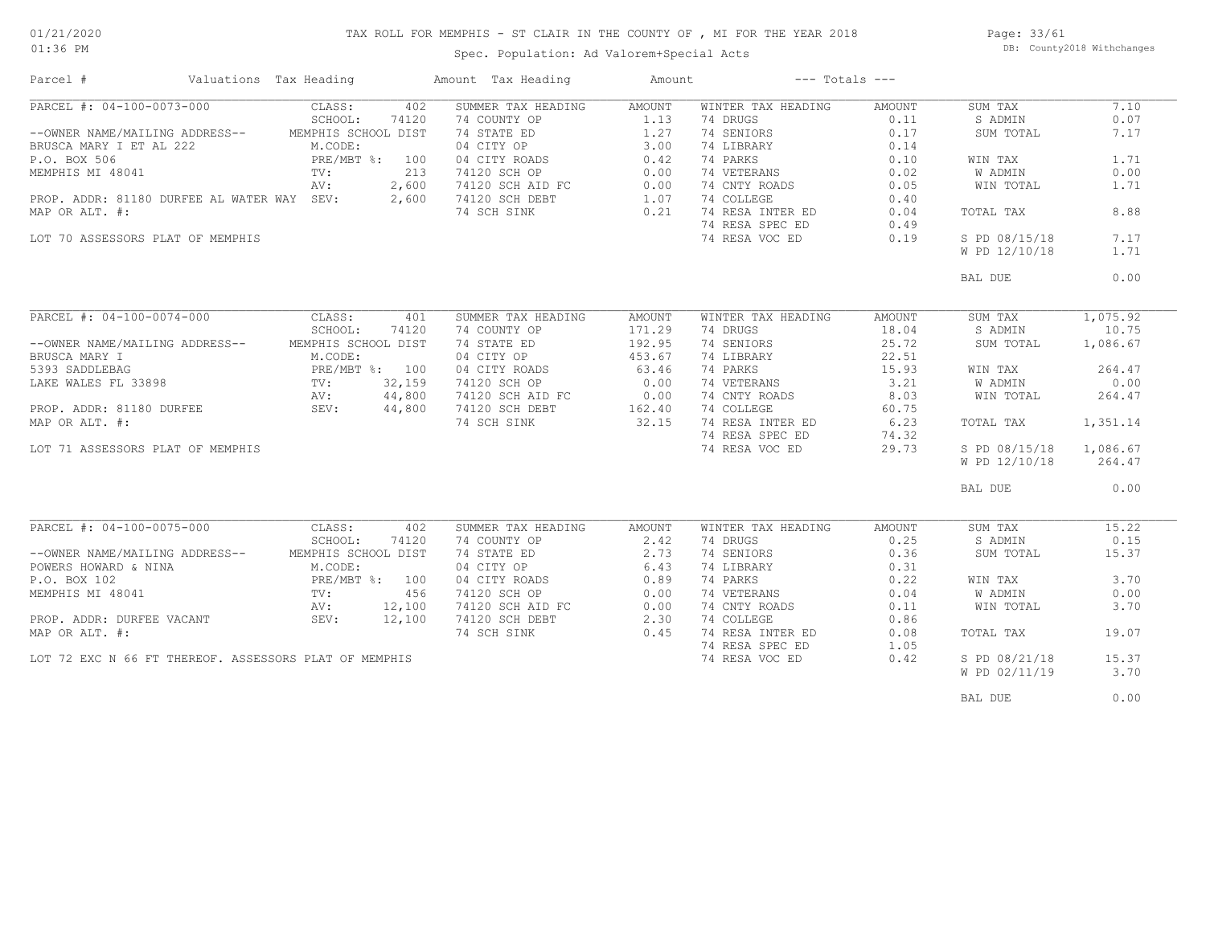### TAX ROLL FOR MEMPHIS - ST CLAIR IN THE COUNTY OF , MI FOR THE YEAR 2018

01:36 PM

### Spec. Population: Ad Valorem+Special Acts

Page: 33/61 DB: County2018 Withchanges

| Parcel #                                              | Valuations Tax Heading                  |        | Amount Tax Heading                                                                                                                                                    | Amount             | $---$ Totals $---$           |        |               |          |
|-------------------------------------------------------|-----------------------------------------|--------|-----------------------------------------------------------------------------------------------------------------------------------------------------------------------|--------------------|------------------------------|--------|---------------|----------|
| PARCEL #: 04-100-0073-000                             | CLASS:                                  | 402    | SUMMER TAX HEADING                                                                                                                                                    | AMOUNT             | WINTER TAX HEADING           | AMOUNT | SUM TAX       | 7.10     |
|                                                       | SCHOOL:                                 | 74120  | 74 COUNTY OP                                                                                                                                                          | 1.13               | 74 DRUGS                     | 0.11   | S ADMIN       | 0.07     |
| --OWNER NAME/MAILING ADDRESS-- MEMPHIS SCHOOL DIST    |                                         |        | 74 STATE ED                                                                                                                                                           | 1.27               | 74 SENIORS                   | 0.17   | SUM TOTAL     | 7.17     |
| BRUSCA MARY I ET AL 222                               | 222 M.CODE:<br>PRE/MBT %: 100           |        | CHOOL DISI 74 DIMLET OF 3.00<br>3T %: 100 04 CITY ROADS 0.42<br>213 74120 SCH OP 0.00<br>2,600 74120 SCH AID FC 0.00<br>2,600 74120 SCH DEBT 1.07<br>74 SCH SINK 0.21 |                    | 74 LIBRARY                   | 0.14   |               |          |
| P.O. BOX 506                                          |                                         |        |                                                                                                                                                                       |                    | 74 PARKS                     | 0.10   | WIN TAX       | 1.71     |
| MEMPHIS MI 48041                                      | $\operatorname{TV}$ :                   |        |                                                                                                                                                                       |                    | 74 VETERANS                  | 0.02   | W ADMIN       | 0.00     |
|                                                       | AV:                                     |        |                                                                                                                                                                       |                    | 74 VETERANS<br>74 CNTY ROADS | 0.05   | WIN TOTAL     | 1.71     |
| PROP. ADDR: 81180 DURFEE AL WATER WAY SEV:            |                                         |        |                                                                                                                                                                       |                    | 74 COLLEGE                   | 0.40   |               |          |
| MAP OR ALT. #:                                        |                                         |        |                                                                                                                                                                       |                    | 74 RESA INTER ED             | 0.04   | TOTAL TAX     | 8.88     |
|                                                       |                                         |        |                                                                                                                                                                       |                    | 74 RESA SPEC ED              | 0.49   |               |          |
| LOT 70 ASSESSORS PLAT OF MEMPHIS                      |                                         |        |                                                                                                                                                                       |                    | 74 RESA VOC ED               | 0.19   | S PD 08/15/18 | 7.17     |
|                                                       |                                         |        |                                                                                                                                                                       |                    |                              |        | W PD 12/10/18 | 1.71     |
|                                                       |                                         |        |                                                                                                                                                                       |                    |                              |        |               |          |
|                                                       |                                         |        |                                                                                                                                                                       |                    |                              |        | BAL DUE       | 0.00     |
|                                                       |                                         |        |                                                                                                                                                                       |                    |                              |        |               |          |
| PARCEL #: 04-100-0074-000                             | CLASS:                                  | 401    | SUMMER TAX HEADING                                                                                                                                                    | AMOUNT             | WINTER TAX HEADING           | AMOUNT | SUM TAX       | 1,075.92 |
|                                                       | SCHOOL:                                 | 74120  | 74 COUNTY OP                                                                                                                                                          | 171.29             | 74 DRUGS                     | 18.04  | S ADMIN       | 10.75    |
| --OWNER NAME/MAILING ADDRESS--                        | MEMPHIS SCHOOL DIST                     |        | 74 STATE ED                                                                                                                                                           | 192.95             | 74 SENIORS                   | 25.72  | SUM TOTAL     | 1,086.67 |
|                                                       |                                         |        | 04 CITY OP                                                                                                                                                            | 453.67             | 74 LIBRARY                   | 22.51  |               |          |
|                                                       |                                         |        | 04 CITY ROADS                                                                                                                                                         | 63.46              | 74 PARKS                     | 15.93  | WIN TAX       | 264.47   |
|                                                       |                                         |        | 74120 SCH OP                                                                                                                                                          | 0.00               | 74 VETERANS                  | 3.21   | W ADMIN       | 0.00     |
|                                                       |                                         |        | 74120 SCH AID FC                                                                                                                                                      |                    | 74 CNTY ROADS                | 8.03   | WIN TOTAL     | 264.47   |
|                                                       |                                         |        | 74120 SCH DEBT                                                                                                                                                        | $C$ 0.00<br>162.40 | 74 COLLEGE                   | 60.75  |               |          |
| MAP OR ALT. #:                                        |                                         |        | 74 SCH SINK                                                                                                                                                           | 32.15              | 74 RESA INTER ED             | 6.23   | TOTAL TAX     | 1,351.14 |
|                                                       |                                         |        |                                                                                                                                                                       |                    | 74 RESA SPEC ED              | 74.32  |               |          |
| LOT 71 ASSESSORS PLAT OF MEMPHIS                      |                                         |        |                                                                                                                                                                       |                    | 74 RESA VOC ED               | 29.73  | S PD 08/15/18 | 1,086.67 |
|                                                       |                                         |        |                                                                                                                                                                       |                    |                              |        | W PD 12/10/18 | 264.47   |
|                                                       |                                         |        |                                                                                                                                                                       |                    |                              |        |               |          |
|                                                       |                                         |        |                                                                                                                                                                       |                    |                              |        | BAL DUE       | 0.00     |
|                                                       |                                         |        |                                                                                                                                                                       |                    |                              |        |               |          |
| PARCEL #: 04-100-0075-000                             | CLASS:                                  | 402    | SUMMER TAX HEADING                                                                                                                                                    | AMOUNT             | WINTER TAX HEADING           | AMOUNT | SUM TAX       | 15.22    |
|                                                       | SCHOOL:                                 | 74120  | 74 COUNTY OP                                                                                                                                                          | 2.42               | 74 DRUGS                     | 0.25   | S ADMIN       | 0.15     |
| --OWNER NAME/MAILING ADDRESS--                        | MEMPHIS SCHOOL DIST                     |        |                                                                                                                                                                       | 2.73               | 74 SENIORS                   | 0.36   | SUM TOTAL     | 15.37    |
| POWERS HOWARD & NINA                                  | M.CODE:                                 |        |                                                                                                                                                                       | 6.43               | 74 LIBRARY                   | 0.31   |               |          |
| P.O. BOX 102                                          | PRE/MBT %: 100<br>TV: 456<br>AV: 12,100 |        | 74 STATE ED<br>04 CITY OP<br>04 CITY ROADS                                                                                                                            | 0.89               | 74 PARKS                     | 0.22   | WIN TAX       | 3.70     |
| MEMPHIS MI 48041                                      |                                         |        | 74120 SCH OP                                                                                                                                                          | 0.00               | 74 VETERANS                  | 0.04   | W ADMIN       | 0.00     |
|                                                       |                                         |        |                                                                                                                                                                       | 0.00               | 74 CNTY ROADS                | 0.11   | WIN TOTAL     | 3.70     |
|                                                       |                                         | 12,100 |                                                                                                                                                                       | 2.30               | 74 COLLEGE                   | 0.86   |               |          |
| PROP. ADDR: DURFEE VACANT SEV:<br>MAP OR ALT. #:      |                                         |        | 74120 SCH AID FC<br>74120 SCH DEBT<br>74 SCH SINK                                                                                                                     | 0.45               | 74 RESA INTER ED             | 0.08   | TOTAL TAX     | 19.07    |
|                                                       |                                         |        |                                                                                                                                                                       |                    | 74 RESA SPEC ED              | 1.05   |               |          |
| LOT 72 EXC N 66 FT THEREOF. ASSESSORS PLAT OF MEMPHIS |                                         |        |                                                                                                                                                                       |                    | 74 RESA VOC ED               | 0.42   | S PD 08/21/18 | 15.37    |
|                                                       |                                         |        |                                                                                                                                                                       |                    |                              |        | W PD 02/11/19 | 3.70     |
|                                                       |                                         |        |                                                                                                                                                                       |                    |                              |        |               |          |

BAL DUE  $0.00$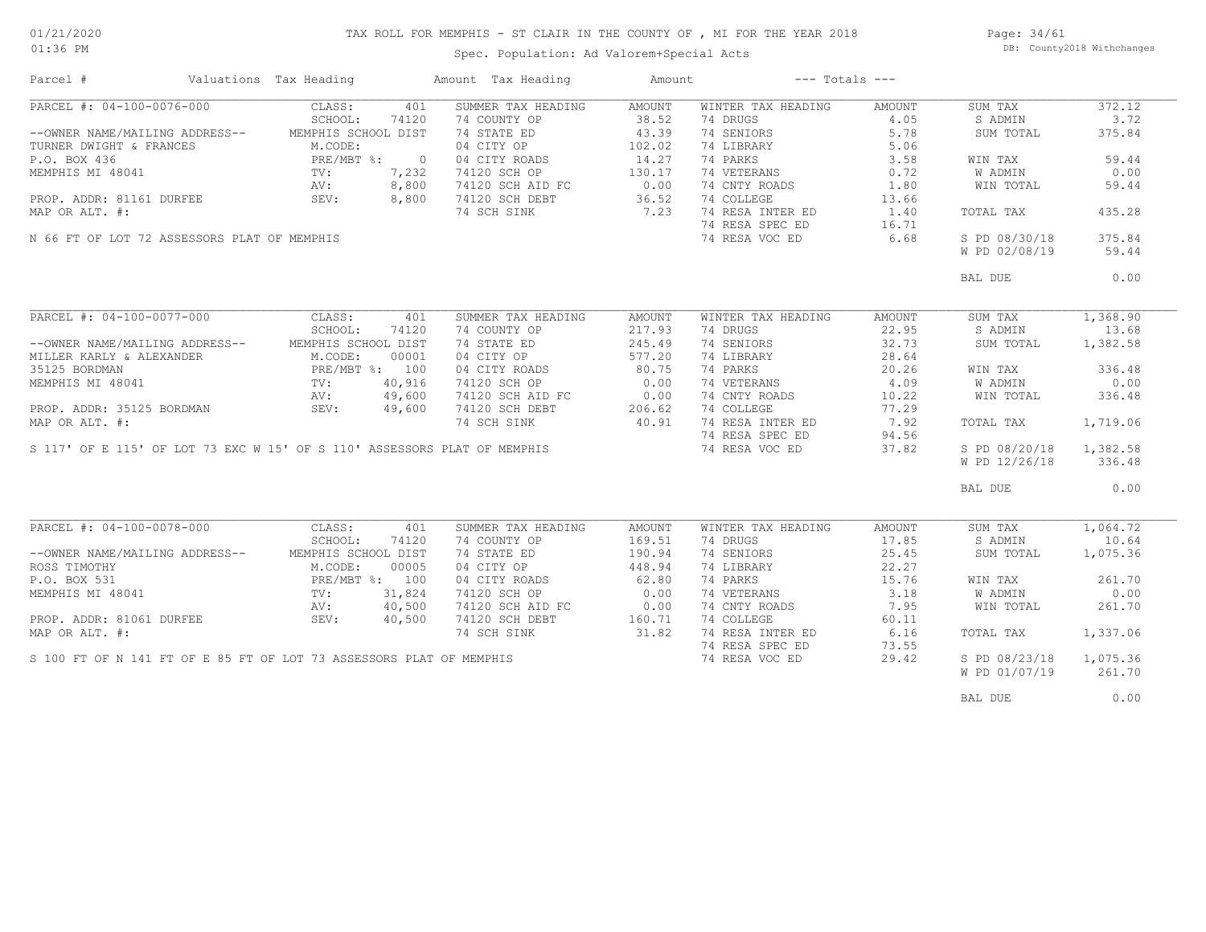### TAX ROLL FOR MEMPHIS - ST CLAIR IN THE COUNTY OF , MI FOR THE YEAR 2018

Spec. Population: Ad Valorem+Special Acts

Page: 34/61 DB: County2018 Withchanges

| Parcel #                                    | Valuations Tax Heading                   |                | Amount Tax Heading                                                       | Amount             | $---$ Totals $---$ |        |               |          |
|---------------------------------------------|------------------------------------------|----------------|--------------------------------------------------------------------------|--------------------|--------------------|--------|---------------|----------|
| PARCEL #: 04-100-0076-000                   | CLASS:                                   | 401            | SUMMER TAX HEADING                                                       | AMOUNT             | WINTER TAX HEADING | AMOUNT | SUM TAX       | 372.12   |
|                                             | SCHOOL:                                  | 74120          | 74 COUNTY OP                                                             | 38.52              | 74 DRUGS           | 4.05   | S ADMIN       | 3.72     |
| --OWNER NAME/MAILING ADDRESS--              | MEMPHIS SCHOOL DIST                      |                | 74 STATE ED                                                              | 43.39              | 74 SENIORS         | 5.78   | SUM TOTAL     | 375.84   |
| TURNER DWIGHT & FRANCES                     | M.CODE:                                  |                | 04 CITY OP                                                               | 102.02             | 74 LIBRARY         | 5.06   |               |          |
| P.O. BOX 436                                | PRE/MBT %:                               | $\overline{0}$ | 04 CITY ROADS                                                            | 14.27              | 74 PARKS           | 3.58   | WIN TAX       | 59.44    |
| MEMPHIS MI 48041                            | $\frac{F_{IV}}{TV}$ :<br>$\frac{TV}{AV}$ | 7,232          | 74120 SCH OP                                                             | 130.17             | 74 VETERANS        | 0.72   | W ADMIN       | 0.00     |
|                                             | AV:                                      | 8,800          | 74120 SCH AID FC                                                         | 0.00               | 74 CNTY ROADS      | 1.80   | WIN TOTAL     | 59.44    |
| PROP. ADDR: 81161 DURFEE                    | SEV:                                     | 8,800          | 74120 SCH DEBT                                                           | 36.52              | 74 COLLEGE         | 13.66  |               |          |
| MAP OR ALT. #:                              |                                          |                | 74 SCH SINK                                                              | 7.23               | 74 RESA INTER ED   | 1.40   | TOTAL TAX     | 435.28   |
|                                             |                                          |                |                                                                          |                    | 74 RESA SPEC ED    |        |               |          |
|                                             |                                          |                |                                                                          |                    |                    | 16.71  |               | 375.84   |
| N 66 FT OF LOT 72 ASSESSORS PLAT OF MEMPHIS |                                          |                |                                                                          |                    | 74 RESA VOC ED     | 6.68   | S PD 08/30/18 |          |
|                                             |                                          |                |                                                                          |                    |                    |        | W PD 02/08/19 | 59.44    |
|                                             |                                          |                |                                                                          |                    |                    |        | BAL DUE       | 0.00     |
|                                             |                                          |                |                                                                          |                    |                    |        |               |          |
| PARCEL #: 04-100-0077-000                   | CLASS:                                   | 401            | SUMMER TAX HEADING                                                       | AMOUNT             | WINTER TAX HEADING | AMOUNT | SUM TAX       | 1,368.90 |
|                                             | SCHOOL:                                  | 74120          | 74 COUNTY OP                                                             | 217.93             | 74 DRUGS           | 22.95  | S ADMIN       | 13.68    |
| --OWNER NAME/MAILING ADDRESS--              | MEMPHIS SCHOOL DIST                      |                | 74 STATE ED                                                              | 245.49             | 74 SENIORS         | 32.73  | SUM TOTAL     | 1,382.58 |
| MILLER KARLY & ALEXANDER                    | M.CODE:                                  | 00001          | 04 CITY OP                                                               | 577.20             | 74 LIBRARY         | 28.64  |               |          |
| 35125 BORDMAN                               | PRE/MBT %: 100                           |                | 04 CITY ROADS                                                            | 80.75              | 74 PARKS           | 20.26  | WIN TAX       | 336.48   |
| MEMPHIS MI 48041                            | TV:                                      | 40,916         | 74120 SCH OP                                                             | 0.00               | 74 VETERANS        | 4.09   | W ADMIN       | 0.00     |
|                                             | AV:                                      | 49,600         | 74120 SCH AID FC                                                         |                    | 74 CNTY ROADS      | 10.22  | WIN TOTAL     | 336.48   |
| PROP. ADDR: 35125 BORDMAN                   | AV:<br>SEV:                              | 49,600         | 74120 SCH DEBT                                                           | $C$ 0.00<br>206.62 | 74 COLLEGE         | 77.29  |               |          |
| MAP OR ALT. #:                              |                                          |                | 74 SCH SINK                                                              | 40.91              | 74 RESA INTER ED   | 7.92   | TOTAL TAX     | 1,719.06 |
|                                             |                                          |                |                                                                          |                    | 74 RESA SPEC ED    |        |               |          |
|                                             |                                          |                |                                                                          |                    |                    | 94.56  |               |          |
|                                             |                                          |                | S 117' OF E 115' OF LOT 73 EXC W 15' OF S 110' ASSESSORS PLAT OF MEMPHIS |                    | 74 RESA VOC ED     | 37.82  | S PD 08/20/18 | 1,382.58 |
|                                             |                                          |                |                                                                          |                    |                    |        | W PD 12/26/18 | 336.48   |
|                                             |                                          |                |                                                                          |                    |                    |        | BAL DUE       | 0.00     |
|                                             |                                          |                |                                                                          |                    |                    |        |               |          |
| PARCEL #: 04-100-0078-000 CLASS:            |                                          | 401            | SUMMER TAX HEADING                                                       | AMOUNT             | WINTER TAX HEADING | AMOUNT | SUM TAX       | 1,064.72 |
|                                             | SCHOOL:                                  | 74120          | 74 COUNTY OP                                                             | 169.51             | 74 DRUGS           | 17.85  | S ADMIN       | 10.64    |
| --OWNER NAME/MAILING ADDRESS--              | MEMPHIS SCHOOL DIST                      |                | 74 STATE ED                                                              | 190.94             | 74 SENIORS         | 25.45  | SUM TOTAL     | 1,075.36 |
| ROSS TIMOTHY                                | M.CODE:                                  | 00005          | 04 CITY OP                                                               | 448.94             | 74 LIBRARY         | 22.27  |               |          |
| P.O. BOX 531                                | PRE/MBT %: 100                           |                | 04 CITY ROADS                                                            | 62.80              | 74 PARKS           | 15.76  | WIN TAX       | 261.70   |
| MEMPHIS MI 48041                            | $\text{TV}$ :                            | 31,824         | 74120 SCH OP                                                             | 0.00               | 74 VETERANS        | 3.18   | W ADMIN       | 0.00     |
|                                             | AV:                                      | 40,500         | 74120 SCH AID FC                                                         | 0.00               | 74 CNTY ROADS      | 7.95   | WIN TOTAL     | 261.70   |
| PROP. ADDR: 81061 DURFEE                    | SEV:                                     | 40,500         | 74120 SCH DEBT                                                           | 160.71             | 74 COLLEGE         | 60.11  |               |          |
| MAP OR ALT. #:                              |                                          |                | 74 SCH SINK                                                              | 31.82              | 74 RESA INTER ED   | 6.16   | TOTAL TAX     | 1,337.06 |
|                                             |                                          |                |                                                                          |                    | 74 RESA SPEC ED    | 73.55  |               |          |
|                                             |                                          |                | S 100 FT OF N 141 FT OF E 85 FT OF LOT 73 ASSESSORS PLAT OF MEMPHIS      |                    | 74 RESA VOC ED     | 29.42  | S PD 08/23/18 | 1,075.36 |
|                                             |                                          |                |                                                                          |                    |                    |        | W PD 01/07/19 | 261.70   |
|                                             |                                          |                |                                                                          |                    |                    |        |               |          |
|                                             |                                          |                |                                                                          |                    |                    |        | BAL DUE       | 0.00     |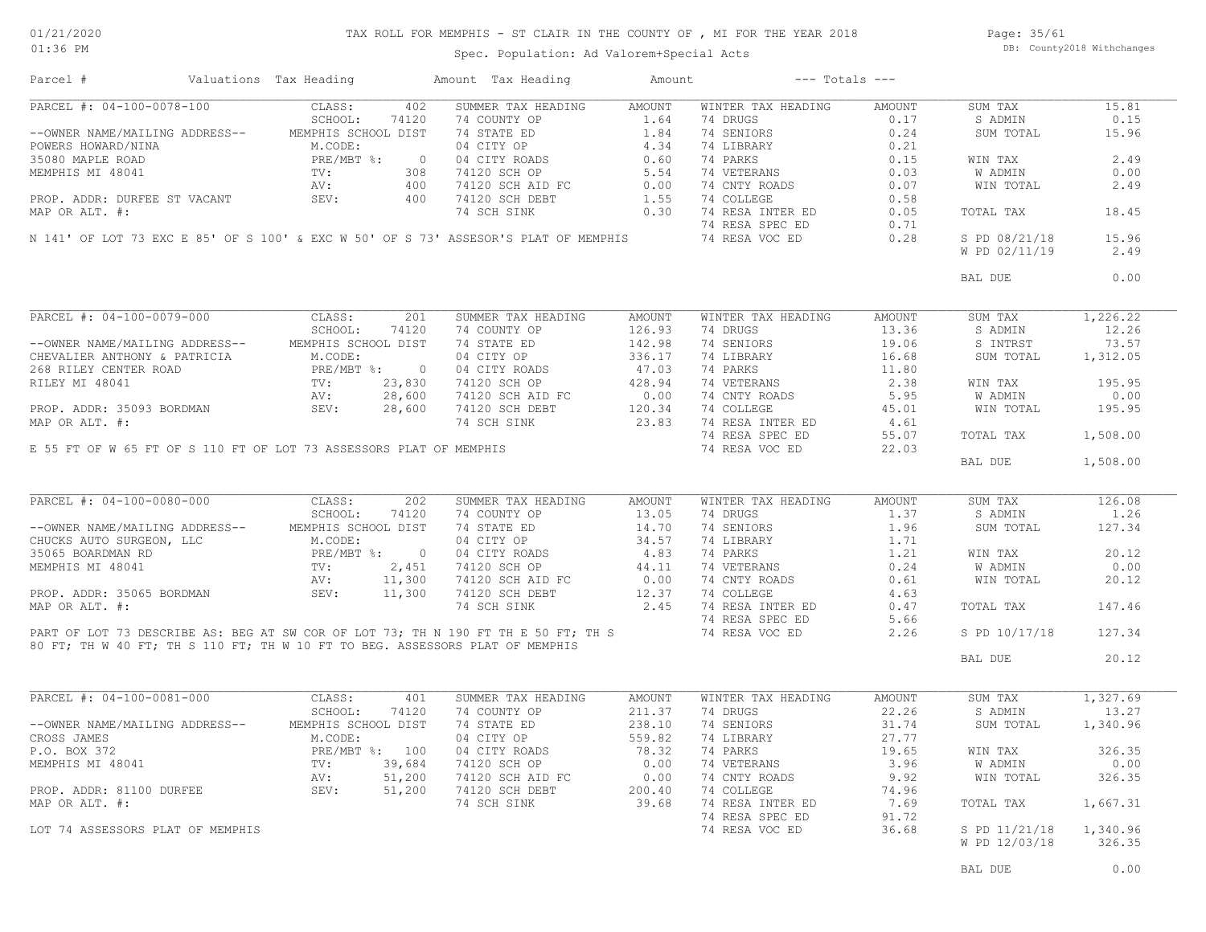### TAX ROLL FOR MEMPHIS - ST CLAIR IN THE COUNTY OF , MI FOR THE YEAR 2018

Page: 35/61 DB: County2018 Withchanges

Spec. Population: Ad Valorem+Special Acts

|                                                                                                                                                                                    | Valuations Tax Heading                         |                          | Amount Tax Heading                                                                                                                                                                                                          | Amount        | $---$ Totals $---$                |              |                                |                                      |
|------------------------------------------------------------------------------------------------------------------------------------------------------------------------------------|------------------------------------------------|--------------------------|-----------------------------------------------------------------------------------------------------------------------------------------------------------------------------------------------------------------------------|---------------|-----------------------------------|--------------|--------------------------------|--------------------------------------|
| PARCEL #: 04-100-0078-100                                                                                                                                                          | CLASS:                                         | 402                      | SUMMER TAX HEADING                                                                                                                                                                                                          | AMOUNT        | WINTER TAX HEADING                | AMOUNT       | SUM TAX                        | 15.81                                |
|                                                                                                                                                                                    | SCHOOL:                                        | 74120                    | 74 COUNTY OP                                                                                                                                                                                                                | 1.64          | 74 DRUGS                          | 0.17         | S ADMIN                        | 0.15                                 |
| --OWNER NAME/MAILING ADDRESS-- MEMPHIS SCHOOL DIST                                                                                                                                 |                                                |                          | 74 STATE ED                                                                                                                                                                                                                 | 1.84          | 74 SENIORS                        | 0.24         | SUM TOTAL                      | 15.96                                |
| POWERS HOWARD/NINA                                                                                                                                                                 | M.CODE:                                        |                          | 04 CITY OP<br>04 CITY OP<br>04 CITY ROADS<br>74120 SCH OP<br>74120 SCH AID FC<br>74120 SCH AID FC<br>74120 SCH DEBT<br>74120 SCH DEBT<br>1.55<br>74120 SCH DEBT<br>1.55                                                     |               | 74 LIBRARY                        | 0.21         |                                |                                      |
| 35080 MAPLE ROAD                                                                                                                                                                   | PRE/MBT %:<br>$\frac{\text{PRE}}{\text{TV}}$ : | $\overline{\phantom{0}}$ |                                                                                                                                                                                                                             |               | 74 PARKS                          | 0.15         | WIN TAX                        | 2.49                                 |
| MEMPHIS MI 48041                                                                                                                                                                   |                                                | 308                      |                                                                                                                                                                                                                             |               | 74 VETERANS                       | 0.03         | W ADMIN                        | 0.00                                 |
|                                                                                                                                                                                    | AV:                                            | 400                      |                                                                                                                                                                                                                             |               | 74 CNTY ROADS                     | 0.07         | WIN TOTAL                      | 2.49                                 |
| PROP. ADDR: DURFEE ST VACANT                                                                                                                                                       | SEV:                                           | 400                      |                                                                                                                                                                                                                             |               | 74 COLLEGE                        | 0.58         |                                |                                      |
| MAP OR ALT. #:                                                                                                                                                                     |                                                |                          | 74 SCH SINK                                                                                                                                                                                                                 | 0.30          | 74 RESA INTER ED                  | 0.05         | TOTAL TAX                      | 18.45                                |
|                                                                                                                                                                                    |                                                |                          |                                                                                                                                                                                                                             |               | 74 RESA SPEC ED                   | 0.71         |                                |                                      |
|                                                                                                                                                                                    |                                                |                          | N 141' OF LOT 73 EXC E 85' OF S 100' & EXC W 50' OF S 73' ASSESOR'S PLAT OF MEMPHIS                                                                                                                                         |               | 74 RESA VOC ED                    | 0.28         | S PD 08/21/18                  | 15.96                                |
|                                                                                                                                                                                    |                                                |                          |                                                                                                                                                                                                                             |               |                                   |              | W PD 02/11/19                  | 2.49                                 |
|                                                                                                                                                                                    |                                                |                          |                                                                                                                                                                                                                             |               |                                   |              |                                |                                      |
|                                                                                                                                                                                    |                                                |                          |                                                                                                                                                                                                                             |               |                                   |              | BAL DUE                        | 0.00                                 |
|                                                                                                                                                                                    |                                                |                          |                                                                                                                                                                                                                             |               |                                   |              |                                |                                      |
| PARCEL #: 04-100-0079-000                                                                                                                                                          | CLASS:                                         | 201                      | SUMMER TAX HEADING                                                                                                                                                                                                          | AMOUNT        | WINTER TAX HEADING                | AMOUNT       | SUM TAX                        | 1,226.22                             |
|                                                                                                                                                                                    | SCHOOL:                                        | 74120                    | 74 COUNTY OP                                                                                                                                                                                                                | 126.93        | 74 DRUGS                          | 13.36        | S ADMIN                        | 12.26                                |
| --OWNER NAME/MAILING ADDRESS-- MEMPHIS SCHOOL DIST                                                                                                                                 |                                                |                          | 74 STATE ED                                                                                                                                                                                                                 | 142.98        | 74 SENIORS                        | 19.06        | S INTRST                       | 73.57                                |
|                                                                                                                                                                                    |                                                |                          | 04 CITY OP                                                                                                                                                                                                                  | 336.17        | 74 LIBRARY                        | 16.68        | SUM TOTAL                      | 1,312.05                             |
| --OWNER NATE/FIRITING ADDRESS<br>CHEVALIER ANTHONY & PATRICIA M.CODE:<br>268 RILEY CENTER ROAD PRE/MBT \$: 0<br>RILEY MI 48041 TV: 23,830<br>PROP. ADDR: 35093 BORDMAN SEV: 28,600 |                                                |                          |                                                                                                                                                                                                                             |               | 74 PARKS                          | 11.80        |                                |                                      |
|                                                                                                                                                                                    |                                                |                          | 04 CITY ROADS<br>74120 SCH OP 428.94<br>74120 SCH AID FC 0.00<br>74120 SCH DEBT 120.34<br>74 SCH SINK 23.83                                                                                                                 |               | 74 VETERANS                       | 2.38         | WIN TAX                        | 195.95                               |
|                                                                                                                                                                                    |                                                |                          |                                                                                                                                                                                                                             |               | 74 CNTY ROADS                     | 5.95         | W ADMIN                        | 0.00                                 |
|                                                                                                                                                                                    |                                                |                          |                                                                                                                                                                                                                             |               | 74 COLLEGE                        | 45.01        | WIN TOTAL                      | 195.95                               |
| MAP OR ALT. #:                                                                                                                                                                     |                                                |                          |                                                                                                                                                                                                                             |               | 74 RESA INTER ED                  | 4.61         |                                |                                      |
|                                                                                                                                                                                    |                                                |                          |                                                                                                                                                                                                                             |               |                                   |              |                                |                                      |
|                                                                                                                                                                                    |                                                |                          |                                                                                                                                                                                                                             |               | 74 RESA SPEC ED                   | 55.07        | TOTAL TAX                      | 1,508.00                             |
| E 55 FT OF W 65 FT OF S 110 FT OF LOT 73 ASSESSORS PLAT OF MEMPHIS                                                                                                                 |                                                |                          |                                                                                                                                                                                                                             |               | 74 RESA VOC ED                    | 22.03        |                                |                                      |
|                                                                                                                                                                                    |                                                |                          |                                                                                                                                                                                                                             |               |                                   |              | BAL DUE                        | 1,508.00                             |
|                                                                                                                                                                                    |                                                |                          |                                                                                                                                                                                                                             |               |                                   |              |                                |                                      |
| PARCEL #: 04-100-0080-000                                                                                                                                                          | CLASS:                                         | 202                      | SUMMER TAX HEADING                                                                                                                                                                                                          | AMOUNT        | WINTER TAX HEADING                | AMOUNT       | SUM TAX                        | 126.08                               |
|                                                                                                                                                                                    |                                                |                          |                                                                                                                                                                                                                             |               | 74 DRUGS                          | 1.37         | S ADMIN                        | 1.26                                 |
|                                                                                                                                                                                    |                                                |                          |                                                                                                                                                                                                                             |               |                                   |              |                                |                                      |
|                                                                                                                                                                                    |                                                |                          |                                                                                                                                                                                                                             |               | 74 SENIORS                        | 1.96         | SUM TOTAL                      | 127.34                               |
|                                                                                                                                                                                    |                                                |                          |                                                                                                                                                                                                                             |               | 74 LIBRARY                        | 1.71         |                                |                                      |
|                                                                                                                                                                                    |                                                |                          |                                                                                                                                                                                                                             |               | 74 PARKS                          | 1.21         | WIN TAX                        | 20.12                                |
|                                                                                                                                                                                    |                                                |                          |                                                                                                                                                                                                                             |               | 74 VETERANS                       | 0.24         | W ADMIN                        | 0.00                                 |
|                                                                                                                                                                                    |                                                |                          |                                                                                                                                                                                                                             |               | 74 CNTY ROADS                     | 0.61         | WIN TOTAL                      |                                      |
|                                                                                                                                                                                    |                                                |                          |                                                                                                                                                                                                                             |               | 74 COLLEGE                        | 4.63         |                                |                                      |
|                                                                                                                                                                                    |                                                |                          |                                                                                                                                                                                                                             |               | 74 RESA INTER ED                  | 0.47         | TOTAL TAX                      | 20.12<br>147.46                      |
|                                                                                                                                                                                    |                                                |                          |                                                                                                                                                                                                                             |               |                                   |              |                                |                                      |
|                                                                                                                                                                                    |                                                |                          |                                                                                                                                                                                                                             |               | 74 RESA SPEC ED<br>74 RESA VOC ED | 5.66<br>2.26 | S PD 10/17/18                  | 127.34                               |
|                                                                                                                                                                                    |                                                |                          | PART OF LOT 73 DESCRIBE AS: BEG AT SW COR OF LOT 73; TH N 190 FT TH E 50 FT; TH S<br>80 FT: TH W 40 FT: TH S 110 FT: TH W 10 FT TO TH ALL I<br>80 FT; TH W 40 FT; TH S 110 FT; TH W 10 FT TO BEG. ASSESSORS PLAT OF MEMPHIS |               |                                   |              | BAL DUE                        | 20.12                                |
|                                                                                                                                                                                    |                                                |                          |                                                                                                                                                                                                                             |               |                                   |              |                                |                                      |
|                                                                                                                                                                                    | CLASS:                                         | 401                      | SUMMER TAX HEADING                                                                                                                                                                                                          | <b>AMOUNT</b> | WINTER TAX HEADING                | AMOUNT       | SUM TAX                        | 1,327.69                             |
|                                                                                                                                                                                    | SCHOOL:                                        | 74120                    | 74 COUNTY OP                                                                                                                                                                                                                | 211.37        | 74 DRUGS                          | 22.26        | S ADMIN                        | 13.27                                |
|                                                                                                                                                                                    | MEMPHIS SCHOOL DIST                            |                          | 74 STATE ED                                                                                                                                                                                                                 | 238.10        | 74 SENIORS                        | 31.74        | SUM TOTAL                      | 1,340.96                             |
|                                                                                                                                                                                    | M.CODE:                                        |                          | 04 CITY OP                                                                                                                                                                                                                  | 559.82        | 74 LIBRARY                        | 27.77        |                                |                                      |
|                                                                                                                                                                                    |                                                |                          |                                                                                                                                                                                                                             |               |                                   |              |                                |                                      |
|                                                                                                                                                                                    |                                                |                          |                                                                                                                                                                                                                             |               | 74 PARKS                          | 19.65        | WIN TAX                        |                                      |
|                                                                                                                                                                                    |                                                |                          |                                                                                                                                                                                                                             | 0.00          | 74 VETERANS                       | 3.96         | W ADMIN                        |                                      |
|                                                                                                                                                                                    |                                                |                          | $74120$ SCH OP<br>$74120$ SCH OP<br>$74120$ SCH OP<br>51,200 74120 SCH AID FC                                                                                                                                               | 0.00          | 74 CNTY ROADS                     | 9.92         | WIN TOTAL                      |                                      |
|                                                                                                                                                                                    |                                                |                          | PRE/MBT %: 100 04 CITY ROADS<br>TV: 39,684 74120 SCH OP<br>AV: 51,200 74120 SCH AID FC<br>SEV: 51,200 74120 SCH DEBT                                                                                                        | 200.40        | 74 COLLEGE                        | 74.96        |                                |                                      |
| PARCEL #: 04-100-0081-000<br>--OWNER NAME/MAILING ADDRESS--<br>CROSS JAMES<br>P.O. BOX 372<br>MEMPHIS MI 48041<br>PROP. ADDR: 81100 DURFEE<br>MAP OR ALT. #:                       |                                                |                          | 74 SCH SINK                                                                                                                                                                                                                 | 39.68         | 74 RESA INTER ED                  | 7.69         | TOTAL TAX                      | 326.35<br>0.00<br>326.35<br>1,667.31 |
|                                                                                                                                                                                    |                                                |                          |                                                                                                                                                                                                                             |               | 74 RESA SPEC ED                   | 91.72        |                                |                                      |
| LOT 74 ASSESSORS PLAT OF MEMPHIS                                                                                                                                                   |                                                |                          |                                                                                                                                                                                                                             |               | 74 RESA VOC ED                    | 36.68        | S PD 11/21/18<br>W PD 12/03/18 | 1,340.96<br>326.35                   |

BAL DUE  $0.00$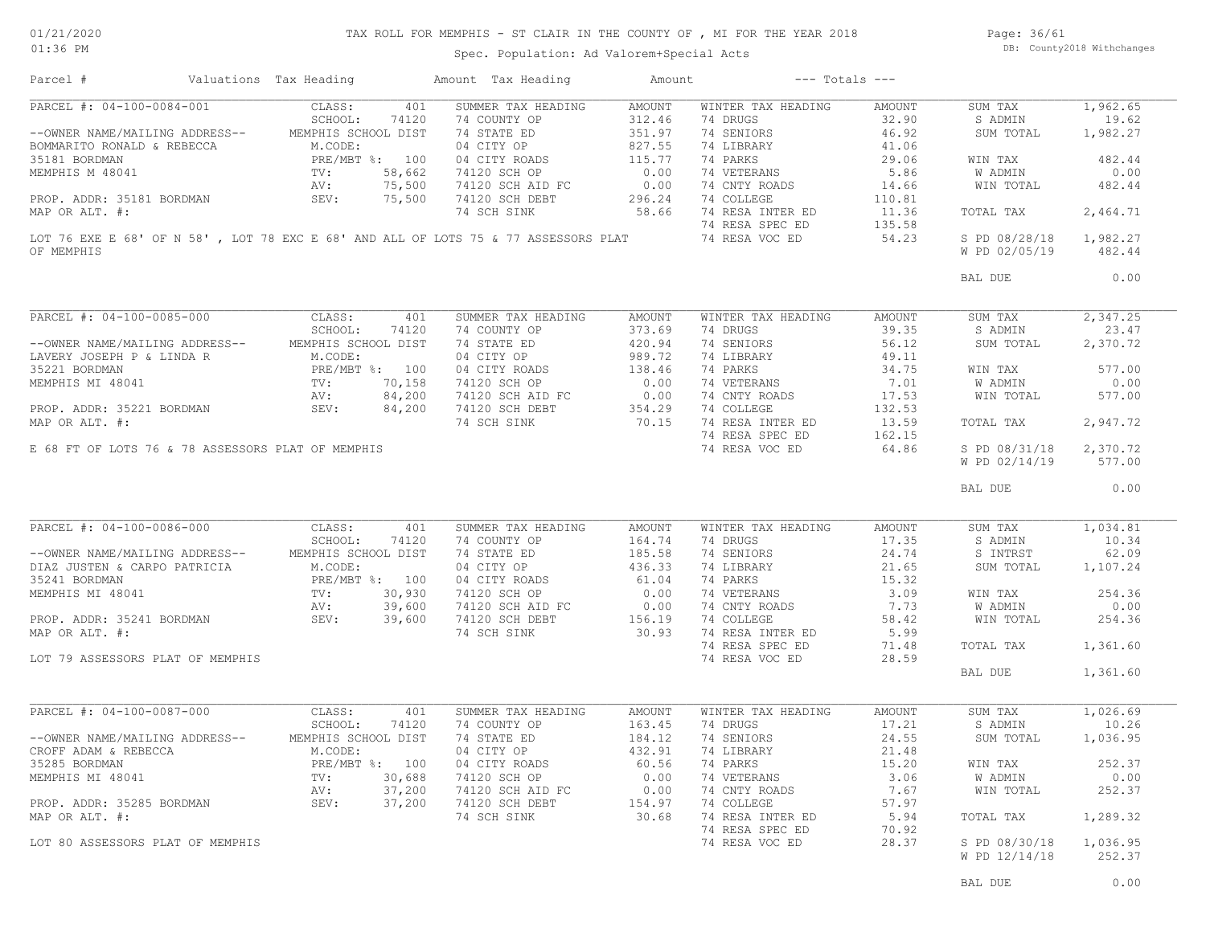### TAX ROLL FOR MEMPHIS - ST CLAIR IN THE COUNTY OF , MI FOR THE YEAR 2018

Page: 36/61 DB: County2018 Withchanges

Spec. Population: Ad Valorem+Special Acts

| Parcel #                                          | Valuations Tax Heading  | Amount Tax Heading                                                                 | Amount | $---$ Totals $---$ |        |                                |                                                                                             |
|---------------------------------------------------|-------------------------|------------------------------------------------------------------------------------|--------|--------------------|--------|--------------------------------|---------------------------------------------------------------------------------------------|
| PARCEL #: 04-100-0084-001                         | CLASS:                  | SUMMER TAX HEADING<br>401                                                          | AMOUNT | WINTER TAX HEADING | AMOUNT | SUM TAX                        | 1,962.65                                                                                    |
|                                                   | SCHOOL:<br>74120        | 74 COUNTY OP                                                                       | 312.46 | 74 DRUGS           | 32.90  | S ADMIN                        | 19.62                                                                                       |
| --OWNER NAME/MAILING ADDRESS--                    | MEMPHIS SCHOOL DIST     | 74 STATE ED                                                                        | 351.97 | 74 SENIORS         | 46.92  | SUM TOTAL                      | 1,982.27                                                                                    |
| BOMMARITO RONALD & REBECCA                        | M.CODE:                 | 04 CITY OP                                                                         | 827.55 | 74 LIBRARY         | 41.06  |                                |                                                                                             |
| 35181 BORDMAN                                     | PRE/MBT %: 100          | 04 CITY ROADS                                                                      | 115.77 | 74 PARKS           | 29.06  | WIN TAX                        | 482.44                                                                                      |
| MEMPHIS M 48041                                   | 58,662<br>$\text{TV}$ : | 74120 SCH OP                                                                       | 0.00   | 74 VETERANS        | 5.86   | <b>W ADMIN</b>                 | 0.00                                                                                        |
|                                                   | 75,500<br>AV:           | 74120 SCH AID FC                                                                   | 0.00   | 74 CNTY ROADS      | 14.66  | WIN TOTAL                      | 482.44                                                                                      |
| PROP. ADDR: 35181 BORDMAN                         | SEV:<br>75,500          | 74120 SCH DEBT                                                                     | 296.24 | 74 COLLEGE         | 110.81 |                                |                                                                                             |
| MAP OR ALT. #:                                    |                         | 74 SCH SINK                                                                        | 58.66  | 74 RESA INTER ED   | 11.36  | TOTAL TAX                      | 2,464.71                                                                                    |
|                                                   |                         |                                                                                    |        | 74 RESA SPEC ED    | 135.58 |                                |                                                                                             |
|                                                   |                         | LOT 76 EXE E 68' OF N 58', LOT 78 EXC E 68' AND ALL OF LOTS 75 & 77 ASSESSORS PLAT |        | 74 RESA VOC ED     | 54.23  | S PD 08/28/18                  | 1,982.27                                                                                    |
| OF MEMPHIS                                        |                         |                                                                                    |        |                    |        | W PD 02/05/19                  | 482.44                                                                                      |
|                                                   |                         |                                                                                    |        |                    |        |                                |                                                                                             |
|                                                   |                         |                                                                                    |        |                    |        | BAL DUE                        | 0.00                                                                                        |
|                                                   |                         |                                                                                    |        |                    |        |                                |                                                                                             |
| PARCEL #: 04-100-0085-000                         | CLASS:                  | 401<br>SUMMER TAX HEADING                                                          | AMOUNT | WINTER TAX HEADING | AMOUNT | SUM TAX                        | 2,347.25                                                                                    |
|                                                   | SCHOOL:<br>74120        | 74 COUNTY OP                                                                       | 373.69 | 74 DRUGS           | 39.35  | S ADMIN                        | 23.47                                                                                       |
| --OWNER NAME/MAILING ADDRESS--                    | MEMPHIS SCHOOL DIST     | 74 STATE ED                                                                        | 420.94 | 74 SENIORS         | 56.12  | SUM TOTAL                      | 2,370.72                                                                                    |
| LAVERY JOSEPH P & LINDA R                         | M.CODE:                 | 04 CITY OP                                                                         | 989.72 | 74 LIBRARY         | 49.11  |                                |                                                                                             |
| 35221 BORDMAN                                     | PRE/MBT %: 100          | 04 CITY ROADS                                                                      | 138.46 | 74 PARKS           | 34.75  | WIN TAX                        | 577.00                                                                                      |
| MEMPHIS MI 48041                                  | TV:<br>70,158           | 74120 SCH OP                                                                       | 0.00   | 74 VETERANS        | 7.01   | W ADMIN                        | 0.00                                                                                        |
|                                                   | 84,200<br>AV:           | 74120 SCH AID FC                                                                   | 0.00   | 74 CNTY ROADS      | 17.53  | WIN TOTAL                      | 577.00                                                                                      |
| PROP. ADDR: 35221 BORDMAN                         | SEV:<br>84,200          | 74120 SCH DEBT                                                                     | 354.29 | 74 COLLEGE         | 132.53 |                                |                                                                                             |
| MAP OR ALT. #:                                    |                         | 74 SCH SINK                                                                        | 70.15  | 74 RESA INTER ED   | 13.59  | TOTAL TAX                      | 2,947.72                                                                                    |
|                                                   |                         |                                                                                    |        | 74 RESA SPEC ED    | 162.15 |                                |                                                                                             |
| E 68 FT OF LOTS 76 & 78 ASSESSORS PLAT OF MEMPHIS |                         |                                                                                    |        | 74 RESA VOC ED     | 64.86  | S PD 08/31/18                  | 2,370.72                                                                                    |
|                                                   |                         |                                                                                    |        |                    |        | W PD 02/14/19                  | 577.00                                                                                      |
|                                                   |                         |                                                                                    |        |                    |        | BAL DUE                        | 0.00                                                                                        |
|                                                   |                         |                                                                                    |        |                    |        |                                |                                                                                             |
| PARCEL #: 04-100-0086-000                         | CLASS:                  | 401<br>SUMMER TAX HEADING                                                          | AMOUNT | WINTER TAX HEADING | AMOUNT | SUM TAX                        | 1,034.81                                                                                    |
|                                                   | SCHOOL:<br>74120        | 74 COUNTY OP                                                                       | 164.74 | 74 DRUGS           | 17.35  | S ADMIN                        | 10.34                                                                                       |
| --OWNER NAME/MAILING ADDRESS--                    | MEMPHIS SCHOOL DIST     | 74 STATE ED                                                                        | 185.58 | 74 SENIORS         | 24.74  | S INTRST                       | 62.09                                                                                       |
| DIAZ JUSTEN & CARPO PATRICIA                      | M.CODE:                 | 04 CITY OP                                                                         | 436.33 | 74 LIBRARY         | 21.65  | SUM TOTAL                      | 1,107.24                                                                                    |
| 35241 BORDMAN                                     | PRE/MBT %: 100          | 04 CITY ROADS                                                                      | 61.04  | 74 PARKS           | 15.32  |                                |                                                                                             |
| MEMPHIS MI 48041                                  | 30,930<br>TV:           | 74120 SCH OP                                                                       | 0.00   | 74 VETERANS        | 3.09   | WIN TAX                        | 254.36                                                                                      |
|                                                   | 39,600<br>AV:           | 74120 SCH AID FC                                                                   | 0.00   | 74 CNTY ROADS      | 7.73   | W ADMIN                        | 0.00                                                                                        |
| PROP. ADDR: 35241 BORDMAN SEV:                    | 39,600                  | 74120 SCH DEBT                                                                     | 156.19 | 74 COLLEGE         | 58.42  | WIN TOTAL                      | 254.36                                                                                      |
| MAP OR ALT. #:                                    |                         | 74 SCH SINK                                                                        | 30.93  | 74 RESA INTER ED   | 5.99   |                                |                                                                                             |
|                                                   |                         |                                                                                    |        | 74 RESA SPEC ED    | 71.48  | TOTAL TAX                      | 1,361.60                                                                                    |
| LOT 79 ASSESSORS PLAT OF MEMPHIS                  |                         |                                                                                    |        | 74 RESA VOC ED     | 28.59  |                                |                                                                                             |
|                                                   |                         |                                                                                    |        |                    |        | BAL DUE                        | 1,361.60                                                                                    |
|                                                   |                         |                                                                                    |        |                    |        |                                |                                                                                             |
|                                                   |                         |                                                                                    |        |                    |        |                                |                                                                                             |
|                                                   |                         |                                                                                    |        |                    |        |                                |                                                                                             |
| PARCEL #: 04-100-0087-000                         | CLASS:                  | 401<br>SUMMER TAX HEADING                                                          | AMOUNT | WINTER TAX HEADING | AMOUNT | SUM TAX                        |                                                                                             |
|                                                   | SCHOOL:<br>74120        | 74 COUNTY OP                                                                       | 163.45 | 74 DRUGS           | 17.21  | S ADMIN                        |                                                                                             |
| --OWNER NAME/MAILING ADDRESS--                    | MEMPHIS SCHOOL DIST     | 74 STATE ED                                                                        | 184.12 | 74 SENIORS         | 24.55  | SUM TOTAL                      |                                                                                             |
| CROFF ADAM & REBECCA                              | M.CODE:                 | 04 CITY OP                                                                         | 432.91 | 74 LIBRARY         | 21.48  |                                |                                                                                             |
| 35285 BORDMAN                                     | PRE/MBT %: 100          | 04 CITY ROADS                                                                      | 60.56  | 74 PARKS           | 15.20  | WIN TAX                        |                                                                                             |
| MEMPHIS MI 48041                                  | 30,688<br>$\text{TV}$ : | 74120 SCH OP                                                                       | 0.00   | 74 VETERANS        | 3.06   | W ADMIN                        |                                                                                             |
|                                                   | 37,200<br>AV:           | 74120 SCH AID FC                                                                   | 0.00   | 74 CNTY ROADS      | 7.67   | WIN TOTAL                      |                                                                                             |
| PROP. ADDR: 35285 BORDMAN                         | 37,200<br>SEV:          | 74120 SCH DEBT                                                                     | 154.97 | 74 COLLEGE         | 57.97  |                                |                                                                                             |
|                                                   |                         | 74 SCH SINK                                                                        | 30.68  | 74 RESA INTER ED   | 5.94   | TOTAL TAX                      |                                                                                             |
| MAP OR ALT. #:                                    |                         |                                                                                    |        | 74 RESA SPEC ED    | 70.92  |                                |                                                                                             |
| LOT 80 ASSESSORS PLAT OF MEMPHIS                  |                         |                                                                                    |        | 74 RESA VOC ED     | 28.37  | S PD 08/30/18<br>W PD 12/14/18 | 1,026.69<br>10.26<br>1,036.95<br>252.37<br>0.00<br>252.37<br>1,289.32<br>1,036.95<br>252.37 |

BAL DUE  $0.00$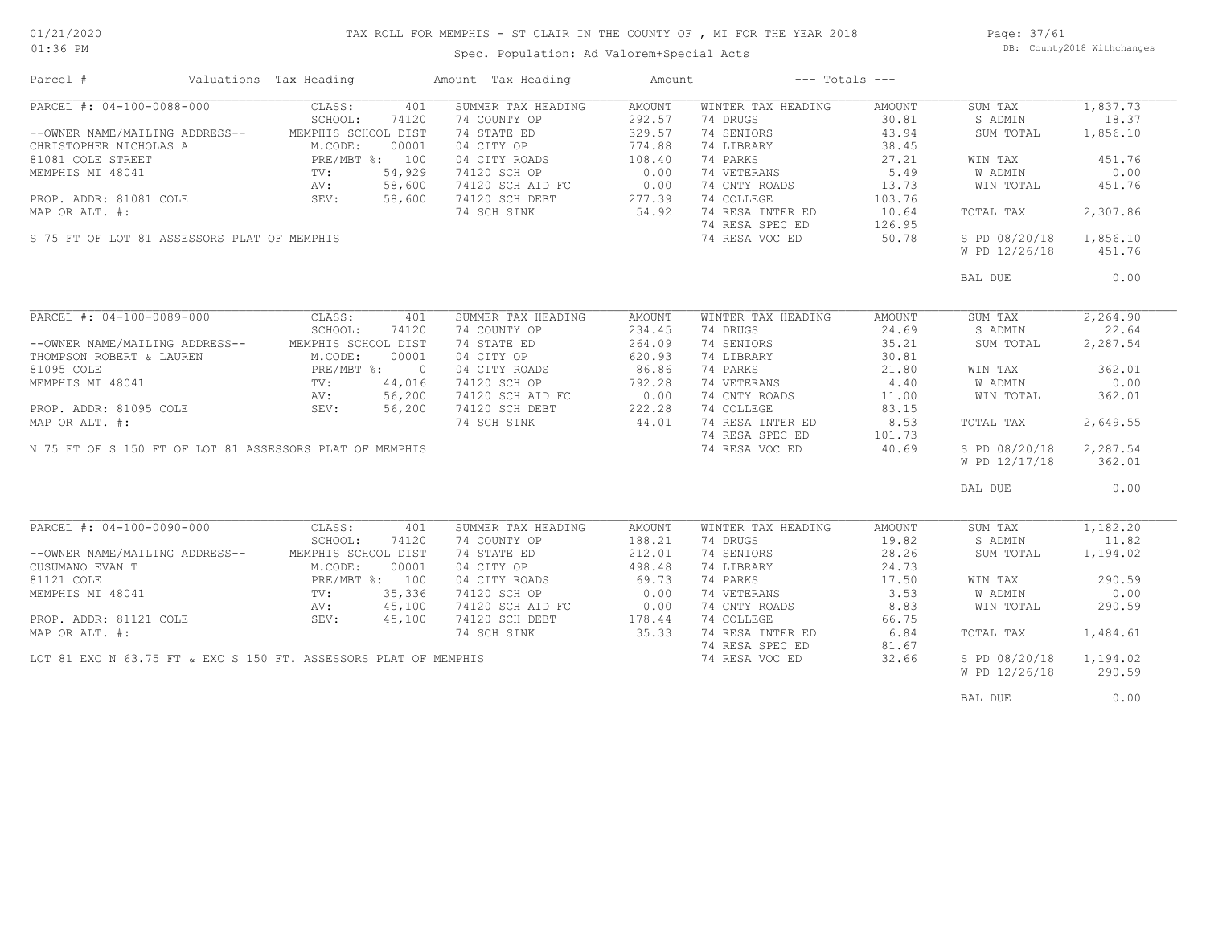### TAX ROLL FOR MEMPHIS - ST CLAIR IN THE COUNTY OF , MI FOR THE YEAR 2018

Spec. Population: Ad Valorem+Special Acts

Page: 37/61 DB: County2018 Withchanges

| Parcel #                                                | Valuations Tax Heading |        | Amount Tax Heading                                              | Amount |                    | $---$ Totals $---$ |               |          |
|---------------------------------------------------------|------------------------|--------|-----------------------------------------------------------------|--------|--------------------|--------------------|---------------|----------|
| PARCEL #: 04-100-0088-000                               | CLASS:                 | 401    | SUMMER TAX HEADING                                              | AMOUNT | WINTER TAX HEADING | AMOUNT             | SUM TAX       | 1,837.73 |
|                                                         | SCHOOL:                | 74120  | 74 COUNTY OP                                                    | 292.57 | 74 DRUGS           | 30.81              | S ADMIN       | 18.37    |
| --OWNER NAME/MAILING ADDRESS--                          | MEMPHIS SCHOOL DIST    |        | 74 STATE ED                                                     | 329.57 | 74 SENIORS         | 43.94              | SUM TOTAL     | 1,856.10 |
| CHRISTOPHER NICHOLAS A                                  | M.CODE:                | 00001  | 04 CITY OP                                                      | 774.88 | 74 LIBRARY         | 38.45              |               |          |
| 81081 COLE STREET                                       | PRE/MBT %: 100         |        | 04 CITY ROADS                                                   | 108.40 | 74 PARKS           | 27.21              | WIN TAX       | 451.76   |
| MEMPHIS MI 48041                                        | PRE/M<br>TV:           | 54,929 | 74120 SCH OP                                                    | 0.00   | 74 VETERANS        | 5.49               | W ADMIN       | 0.00     |
|                                                         | AV:                    | 58,600 | 74120 SCH AID FC                                                | 0.00   | 74 CNTY ROADS      | 13.73              | WIN TOTAL     | 451.76   |
| PROP. ADDR: 81081 COLE                                  | SEV:                   | 58,600 | 74120 SCH DEBT                                                  | 277.39 | 74 COLLEGE         | 103.76             |               |          |
| MAP OR ALT. #:                                          |                        |        | 74 SCH SINK                                                     | 54.92  | 74 RESA INTER ED   |                    | TOTAL TAX     | 2,307.86 |
|                                                         |                        |        |                                                                 |        |                    | 10.64              |               |          |
|                                                         |                        |        |                                                                 |        | 74 RESA SPEC ED    | 126.95             |               |          |
| S 75 FT OF LOT 81 ASSESSORS PLAT OF MEMPHIS             |                        |        |                                                                 |        | 74 RESA VOC ED     | 50.78              | S PD 08/20/18 | 1,856.10 |
|                                                         |                        |        |                                                                 |        |                    |                    | W PD 12/26/18 | 451.76   |
|                                                         |                        |        |                                                                 |        |                    |                    | BAL DUE       | 0.00     |
|                                                         |                        |        |                                                                 |        |                    |                    |               |          |
| PARCEL #: 04-100-0089-000                               | CLASS:                 | 401    | SUMMER TAX HEADING                                              | AMOUNT | WINTER TAX HEADING | AMOUNT             | SUM TAX       | 2,264.90 |
|                                                         | SCHOOL:                | 74120  | 74 COUNTY OP                                                    | 234.45 | 74 DRUGS           | 24.69              | S ADMIN       | 22.64    |
| --OWNER NAME/MAILING ADDRESS--                          | MEMPHIS SCHOOL DIST    |        | 74 STATE ED                                                     | 264.09 | 74 SENIORS         | 35.21              | SUM TOTAL     | 2,287.54 |
| THOMPSON ROBERT & LAUREN                                | M.CODE:                | 00001  | 04 CITY OP                                                      | 620.93 | 74 LIBRARY         | 30.81              |               |          |
| 81095 COLE                                              | PRE/MBT %: 0           |        | 04 CITY ROADS                                                   | 86.86  | 74 PARKS           | 21.80              | WIN TAX       | 362.01   |
| MEMPHIS MI 48041                                        | $\text{TV}$ :          | 44,016 | 74120 SCH OP                                                    | 792.28 | 74 VETERANS        | 4.40               | W ADMIN       | 0.00     |
|                                                         |                        | 56,200 |                                                                 |        | 74 CNTY ROADS      | 11.00              | WIN TOTAL     | 362.01   |
|                                                         | AV:<br>SEV:            |        | 74120 SCH AID FC 0.00<br>74120 SCH DEBT 222.28                  |        |                    |                    |               |          |
| PROP. ADDR: 81095 COLE                                  |                        | 56,200 |                                                                 |        | 74 COLLEGE         | 83.15              |               |          |
| MAP OR ALT. #:                                          |                        |        | 74 SCH SINK                                                     | 44.01  | 74 RESA INTER ED   | 8.53               | TOTAL TAX     | 2,649.55 |
|                                                         |                        |        |                                                                 |        | 74 RESA SPEC ED    | 101.73             |               |          |
| N 75 FT OF S 150 FT OF LOT 81 ASSESSORS PLAT OF MEMPHIS |                        |        |                                                                 |        | 74 RESA VOC ED     | 40.69              | S PD 08/20/18 | 2,287.54 |
|                                                         |                        |        |                                                                 |        |                    |                    | W PD 12/17/18 | 362.01   |
|                                                         |                        |        |                                                                 |        |                    |                    | BAL DUE       | 0.00     |
|                                                         |                        |        |                                                                 |        |                    |                    |               |          |
| PARCEL #: 04-100-0090-000                               | CLASS:                 | 401    | SUMMER TAX HEADING                                              | AMOUNT | WINTER TAX HEADING | AMOUNT             | SUM TAX       | 1,182.20 |
|                                                         | SCHOOL:                | 74120  | 74 COUNTY OP                                                    | 188.21 | 74 DRUGS           | 19.82              | S ADMIN       | 11.82    |
| --OWNER NAME/MAILING ADDRESS--                          | MEMPHIS SCHOOL DIST    |        | 74 STATE ED                                                     | 212.01 | 74 SENIORS         | 28.26              | SUM TOTAL     | 1,194.02 |
| CUSUMANO EVAN T                                         | M.CODE:                | 00001  | 04 CITY OP                                                      | 498.48 | 74 LIBRARY         | 24.73              |               |          |
| 81121 COLE                                              | PRE/MBT %: 100         |        | 04 CITY ROADS                                                   | 69.73  | 74 PARKS           | 17.50              | WIN TAX       | 290.59   |
| MEMPHIS MI 48041                                        | $\texttt{TV}$ :        | 35,336 | 74120 SCH OP                                                    | 0.00   | 74 VETERANS        | 3.53               | W ADMIN       | 0.00     |
|                                                         | AV:                    | 45,100 | 74120 SCH AID FC                                                | 0.00   | 74 CNTY ROADS      | 8.83               | WIN TOTAL     | 290.59   |
| PROP. ADDR: 81121 COLE                                  | SEV:                   | 45,100 | 74120 SCH DEBT                                                  | 178.44 | 74 COLLEGE         | 66.75              |               |          |
| MAP OR ALT. #:                                          |                        |        | 74 SCH SINK                                                     | 35.33  | 74 RESA INTER ED   | 6.84               | TOTAL TAX     | 1,484.61 |
|                                                         |                        |        |                                                                 |        | 74 RESA SPEC ED    | 81.67              |               |          |
|                                                         |                        |        | LOT 81 EXC N 63.75 FT & EXC S 150 FT. ASSESSORS PLAT OF MEMPHIS |        | 74 RESA VOC ED     | 32.66              | S PD 08/20/18 | 1,194.02 |
|                                                         |                        |        |                                                                 |        |                    |                    | W PD 12/26/18 | 290.59   |
|                                                         |                        |        |                                                                 |        |                    |                    |               |          |
|                                                         |                        |        |                                                                 |        |                    |                    | BAL DUE       | 0.00     |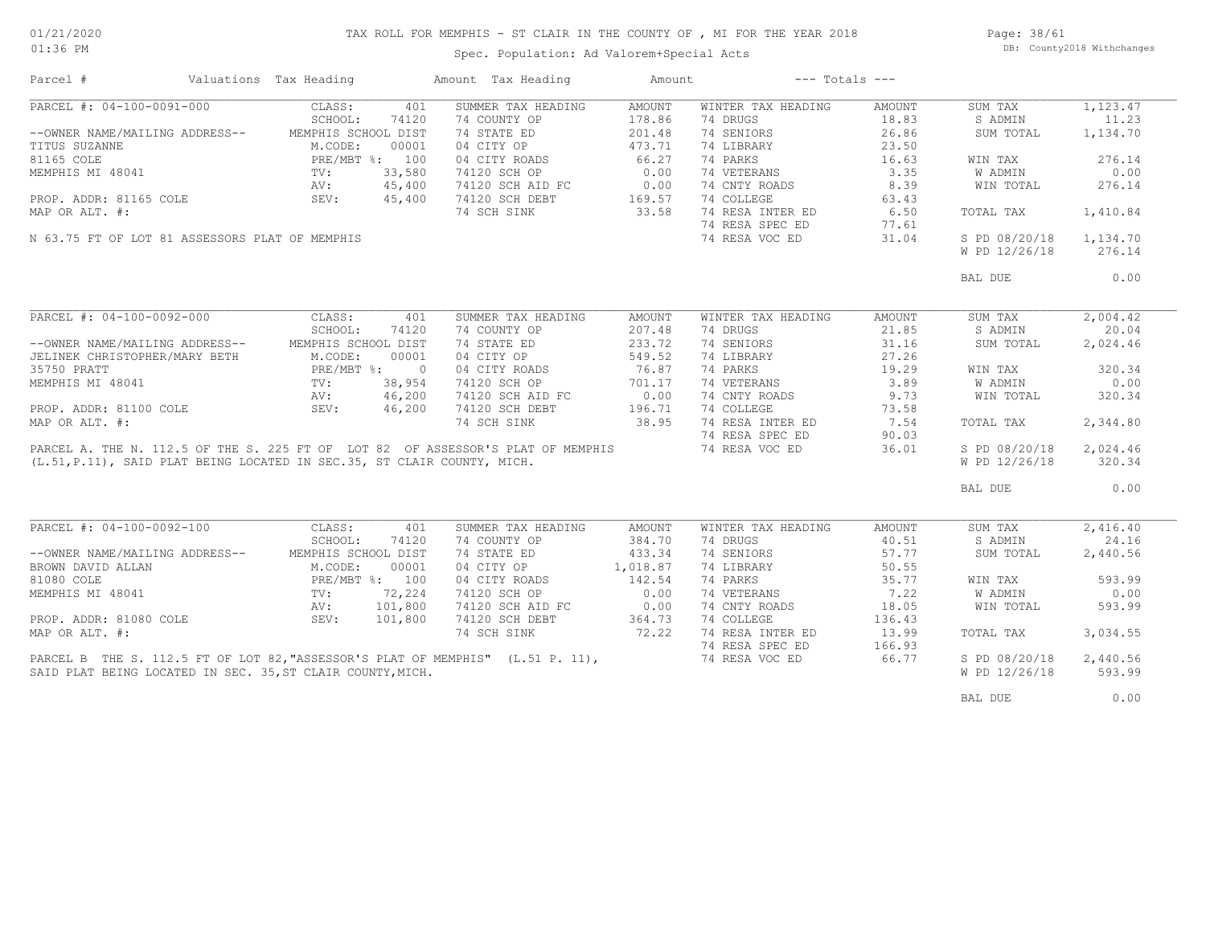# TAX ROLL FOR MEMPHIS - ST CLAIR IN THE COUNTY OF , MI FOR THE YEAR 2018

Spec. Population: Ad Valorem+Special Acts

Page: 38/61 DB: County2018 Withchanges

| Parcel #                                                                                                                                                                                     | Valuations Tax Heading |        | Amount Tax Heading                                                  | Amount                                                                        |                    | $---$ Totals $---$ |               |          |
|----------------------------------------------------------------------------------------------------------------------------------------------------------------------------------------------|------------------------|--------|---------------------------------------------------------------------|-------------------------------------------------------------------------------|--------------------|--------------------|---------------|----------|
| PARCEL #: 04-100-0091-000                                                                                                                                                                    | CLASS:                 | 401    | SUMMER TAX HEADING                                                  | AMOUNT                                                                        | WINTER TAX HEADING | AMOUNT             | SUM TAX       | 1,123.47 |
|                                                                                                                                                                                              | SCHOOL:                | 74120  | 74 COUNTY OP                                                        | 178.86                                                                        | 74 DRUGS           | 18.83              | S ADMIN       | 11.23    |
| --OWNER NAME/MAILING ADDRESS--                                                                                                                                                               | MEMPHIS SCHOOL DIST    |        | 74 STATE ED                                                         | 201.48                                                                        | 74 SENIORS         | 26.86              | SUM TOTAL     | 1,134.70 |
| VALUE TITUS SUZANNE<br>TITUS SUZANNE<br>BI165 COLE<br>M.CODE: 00001<br>BI165 COLE<br>PRE/MBT %: 100<br>MEMPHIS MI 48041<br>TV: 33,580<br>AV: 45,400<br>PROP. ADDR: 81165 COLE<br>SEV: 45,400 |                        |        | 04 CITY OP                                                          | 473.71                                                                        | 74 LIBRARY         | 23.50              |               |          |
|                                                                                                                                                                                              |                        |        | 04 CITY ROADS 66.27<br>74120 SCH OP 0.00                            |                                                                               | 74 PARKS           | 16.63              | WIN TAX       | 276.14   |
|                                                                                                                                                                                              |                        |        |                                                                     |                                                                               | 74 VETERANS        | 3.35               | W ADMIN       | 0.00     |
|                                                                                                                                                                                              |                        |        |                                                                     |                                                                               | 74 CNTY ROADS      | 8.39               | WIN TOTAL     | 276.14   |
|                                                                                                                                                                                              |                        |        | 74120 SCH AID FC 0.00<br>74120 SCH DEBT 169.57<br>74 SCH SINK 33.58 |                                                                               | 74 COLLEGE         | 63.43              |               |          |
| MAP OR ALT. #:                                                                                                                                                                               |                        |        |                                                                     |                                                                               | 74 RESA INTER ED   | 6.50               | TOTAL TAX     | 1,410.84 |
|                                                                                                                                                                                              |                        |        |                                                                     |                                                                               | 74 RESA SPEC ED    | 77.61              |               |          |
| N 63.75 FT OF LOT 81 ASSESSORS PLAT OF MEMPHIS                                                                                                                                               |                        |        |                                                                     |                                                                               | 74 RESA VOC ED     | 31.04              | S PD 08/20/18 | 1,134.70 |
|                                                                                                                                                                                              |                        |        |                                                                     |                                                                               |                    |                    | W PD 12/26/18 | 276.14   |
|                                                                                                                                                                                              |                        |        |                                                                     |                                                                               |                    |                    | BAL DUE       | 0.00     |
|                                                                                                                                                                                              |                        |        |                                                                     |                                                                               |                    |                    |               |          |
| PARCEL #: 04-100-0092-000                                                                                                                                                                    | CLASS:                 | 401    | SUMMER TAX HEADING                                                  | AMOUNT                                                                        | WINTER TAX HEADING | AMOUNT             | SUM TAX       | 2,004.42 |
|                                                                                                                                                                                              | SCHOOL:                | 74120  | 74 COUNTY OP                                                        | 207.48                                                                        | 74 DRUGS           | 21.85              | S ADMIN       | 20.04    |
| --OWNER NAME/MAILING ADDRESS-- MEMPHIS SCHOOL DIST                                                                                                                                           |                        |        | 74 STATE ED                                                         | 233.72                                                                        | 74 SENIORS         | 31.16              | SUM TOTAL     | 2,024.46 |
| JELINEK CHRISTOPHER/MARY BETH                                                                                                                                                                | M.CODE:                | 00001  | 04 CITY OP                                                          | 549.52                                                                        | 74 LIBRARY         | 27.26              |               |          |
| 35750 PRATT                                                                                                                                                                                  | PRE/MBT %: 0           |        |                                                                     | 76.87                                                                         | 74 PARKS           | 19.29              | WIN TAX       | 320.34   |
| MEMPHIS MI 48041                                                                                                                                                                             | TIME/F<br>TV:          | 38,954 | 04 CITY ROADS 76.87<br>74120 SCH OP 701.17                          |                                                                               | 74 VETERANS        | 3.89               | W ADMIN       | 0.00     |
|                                                                                                                                                                                              |                        |        |                                                                     |                                                                               | 74 CNTY ROADS      | 9.73               | WIN TOTAL     | 320.34   |
| RV: 46,200<br>PROP. ADDR: 81100 COLE 200 SEV: 46,200                                                                                                                                         |                        |        | 74120 SCH AID FC 0.00<br>74120 SCH DEBT 196.71                      |                                                                               | 74 COLLEGE         | 73.58              |               |          |
| MAP OR ALT. #:                                                                                                                                                                               |                        |        | 74 SCH SINK                                                         | 38.95                                                                         | 74 RESA INTER ED   | 7.54               | TOTAL TAX     | 2,344.80 |
|                                                                                                                                                                                              |                        |        |                                                                     |                                                                               | 74 RESA SPEC ED    | 90.03              |               |          |
| PARCEL A. THE N. 112.5 OF THE S. 225 FT OF LOT 82 OF ASSESSOR'S PLAT OF MEMPHIS                                                                                                              |                        |        |                                                                     |                                                                               | 74 RESA VOC ED     | 36.01              | S PD 08/20/18 | 2,024.46 |
| (L.51, P.11), SAID PLAT BEING LOCATED IN SEC.35, ST CLAIR COUNTY, MICH.                                                                                                                      |                        |        |                                                                     |                                                                               |                    |                    | W PD 12/26/18 | 320.34   |
|                                                                                                                                                                                              |                        |        |                                                                     |                                                                               |                    |                    | BAL DUE       | 0.00     |
|                                                                                                                                                                                              |                        |        |                                                                     |                                                                               |                    |                    |               |          |
| PARCEL #: 04-100-0092-100                                                                                                                                                                    | CLASS:                 | 401    | SUMMER TAX HEADING                                                  | AMOUNT                                                                        | WINTER TAX HEADING | AMOUNT             | SUM TAX       | 2,416.40 |
|                                                                                                                                                                                              | SCHOOL:                | 74120  | 74 COUNTY OP                                                        | 384.70                                                                        | 74 DRUGS           | 40.51              | S ADMIN       | 24.16    |
| --OWNER NAME/MAILING ADDRESS--                                                                                                                                                               | MEMPHIS SCHOOL DIST    |        | 74 STATE ED                                                         | 433.34                                                                        | 74 SENIORS         | 57.77              | SUM TOTAL     | 2,440.56 |
| BROWN DAVID ALLAN                                                                                                                                                                            |                        |        | 04 CITY OP                                                          | 1,018.87                                                                      | 74 LIBRARY         | 50.55              |               |          |
| 81080 COLE                                                                                                                                                                                   |                        |        | 04 CITY ROADS                                                       | 142.54                                                                        | 74 PARKS           | 35.77              | WIN TAX       | 593.99   |
| MEMPHIS MI 48041                                                                                                                                                                             |                        |        | 74120 SCH OP                                                        | 0.00                                                                          | 74 VETERANS        | 7.22               | W ADMIN       | 0.00     |
|                                                                                                                                                                                              |                        |        | 74120 SCH AID FC                                                    |                                                                               | 74 CNTY ROADS      | 18.05              | WIN TOTAL     | 593.99   |
| PROP. ADDR: 81080 COLE                                                                                                                                                                       | SEV: 101,800           |        | 74120 SCH DEBT                                                      | $\begin{array}{ccc} 0.00 & \cdots & 0 \\ \circ & \circ & 0.00 \\ \end{array}$ | 74 COLLEGE         | 136.43             |               |          |
| MAP OR ALT. #:                                                                                                                                                                               |                        |        | 74 SCH SINK                                                         | 72.22                                                                         | 74 RESA INTER ED   | 13.99              | TOTAL TAX     | 3,034.55 |
|                                                                                                                                                                                              |                        |        |                                                                     |                                                                               | 74 RESA SPEC ED    | 166.93             |               |          |
| PARCEL B THE S. 112.5 FT OF LOT 82, "ASSESSOR'S PLAT OF MEMPHIS" (L.51 P. 11),                                                                                                               |                        |        |                                                                     |                                                                               | 74 RESA VOC ED     | 66.77              | S PD 08/20/18 | 2,440.56 |
| SAID PLAT BEING LOCATED IN SEC. 35, ST CLAIR COUNTY, MICH.                                                                                                                                   |                        |        |                                                                     |                                                                               |                    |                    | W PD 12/26/18 | 593.99   |
|                                                                                                                                                                                              |                        |        |                                                                     |                                                                               |                    |                    | BAL DUE       | 0.00     |
|                                                                                                                                                                                              |                        |        |                                                                     |                                                                               |                    |                    |               |          |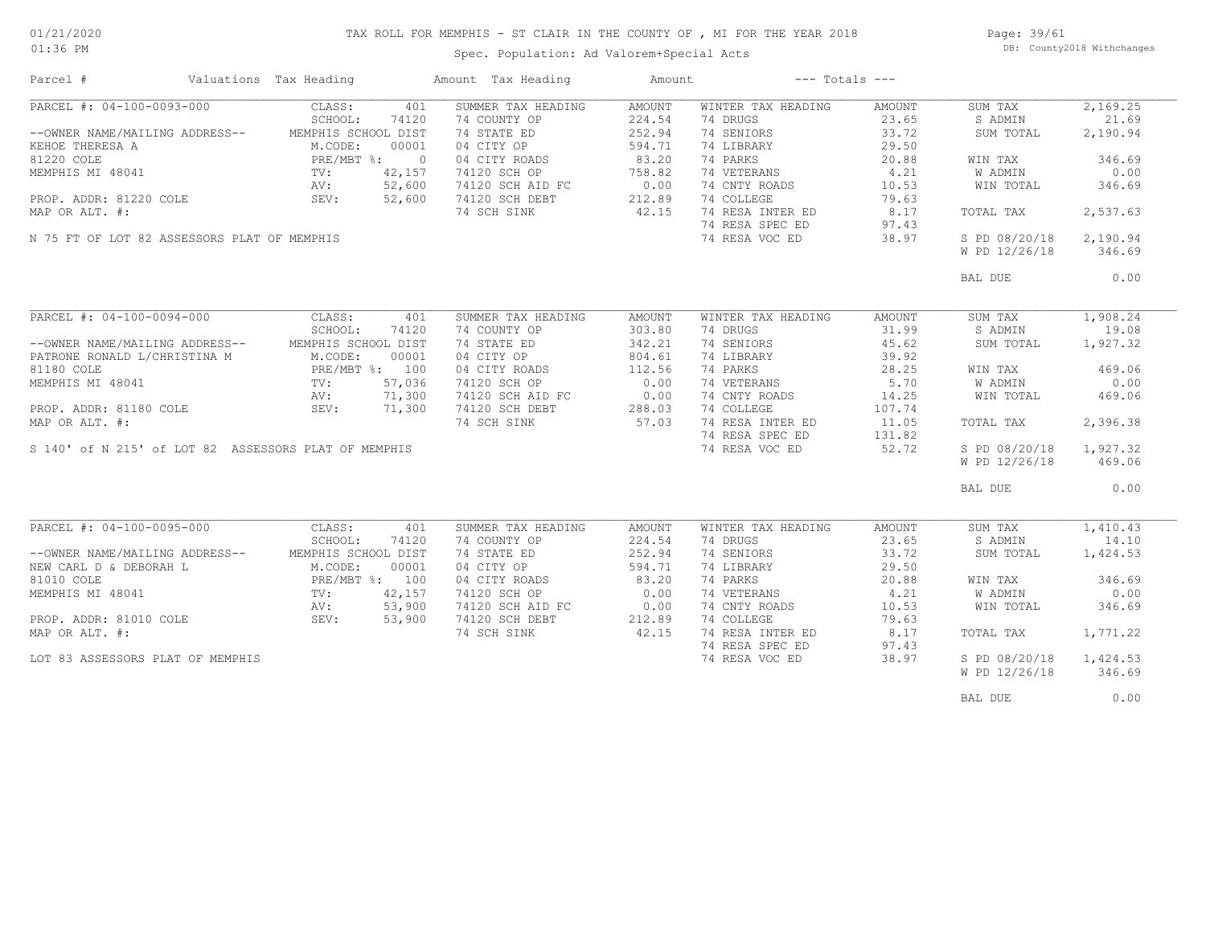### TAX ROLL FOR MEMPHIS - ST CLAIR IN THE COUNTY OF , MI FOR THE YEAR 2018

Spec. Population: Ad Valorem+Special Acts

Page: 39/61 DB: County2018 Withchanges

| Parcel #                                             | Valuations Tax Heading       | Amount Tax Heading                                    | Amount | $---$ Totals $---$ |        |               |          |
|------------------------------------------------------|------------------------------|-------------------------------------------------------|--------|--------------------|--------|---------------|----------|
| PARCEL #: 04-100-0093-000                            | CLASS:<br>401                | SUMMER TAX HEADING                                    | AMOUNT | WINTER TAX HEADING | AMOUNT | SUM TAX       | 2,169.25 |
|                                                      | SCHOOL:<br>74120             | 74 COUNTY OP                                          | 224.54 | 74 DRUGS           | 23.65  | S ADMIN       | 21.69    |
| --OWNER NAME/MAILING ADDRESS--                       | MEMPHIS SCHOOL DIST          | 74 STATE ED                                           | 252.94 | 74 SENIORS         | 33.72  | SUM TOTAL     | 2,190.94 |
| KEHOE THERESA A                                      | M.CODE:<br>00001             | 04 CITY OP                                            | 594.71 | 74 LIBRARY         | 29.50  |               |          |
| 81220 COLE                                           | PRE/MBT %: 0                 | 04 CITY ROADS                                         | 83.20  | 74 PARKS           | 20.88  | WIN TAX       | 346.69   |
| MEMPHIS MI 48041                                     | 42,157                       | 74120 SCH OP                                          | 758.82 | 74 VETERANS        | 4.21   | W ADMIN       | 0.00     |
|                                                      | 52,600                       | 74120 SCH AID FC                                      | 0.00   | 74 CNTY ROADS      | 10.53  | WIN TOTAL     | 346.69   |
| PROP. ADDR: 81220 COLE                               | TV:<br>AV:<br>SEV:<br>52,600 | 74120 SCH DEBT                                        | 212.89 | 74 COLLEGE         | 79.63  |               |          |
| MAP OR ALT. #:                                       |                              | 74 SCH SINK                                           | 42.15  | 74 RESA INTER ED   | 8.17   | TOTAL TAX     | 2,537.63 |
|                                                      |                              |                                                       |        |                    |        |               |          |
|                                                      |                              |                                                       |        | 74 RESA SPEC ED    | 97.43  |               |          |
| N 75 FT OF LOT 82 ASSESSORS PLAT OF MEMPHIS          |                              |                                                       |        | 74 RESA VOC ED     | 38.97  | S PD 08/20/18 | 2,190.94 |
|                                                      |                              |                                                       |        |                    |        | W PD 12/26/18 | 346.69   |
|                                                      |                              |                                                       |        |                    |        | BAL DUE       | 0.00     |
|                                                      |                              |                                                       |        |                    |        |               |          |
| PARCEL #: 04-100-0094-000                            | CLASS:<br>401                | SUMMER TAX HEADING                                    | AMOUNT | WINTER TAX HEADING | AMOUNT | SUM TAX       | 1,908.24 |
|                                                      | SCHOOL:<br>74120             | 74 COUNTY OP                                          | 303.80 | 74 DRUGS           | 31.99  | S ADMIN       | 19.08    |
| --OWNER NAME/MAILING ADDRESS--                       | MEMPHIS SCHOOL DIST          | 74 STATE ED                                           | 342.21 | 74 SENIORS         | 45.62  | SUM TOTAL     | 1,927.32 |
| PATRONE RONALD L/CHRISTINA M                         | M.CODE:<br>00001             | 04 CITY OP                                            | 804.61 | 74 LIBRARY         | 39.92  |               |          |
| 81180 COLE                                           | PRE/MBT %: 100               | 04 CITY ROADS                                         | 112.56 | 74 PARKS           | 28.25  | WIN TAX       | 469.06   |
| MEMPHIS MI 48041                                     | 57,036<br>TV:                | 74120 SCH OP                                          | 0.00   | 74 VETERANS        | 5.70   | W ADMIN       | 0.00     |
|                                                      | 71,300<br>AV:                |                                                       |        | 74 CNTY ROADS      | 14.25  | WIN TOTAL     | 469.06   |
| PROP. ADDR: 81180 COLE AV:<br>SEV:                   | 71,300                       | 2000 - 110 FC<br>74120 SCH DEBT 288.03<br>74 SCH STNP |        | 74 COLLEGE         | 107.74 |               |          |
|                                                      |                              |                                                       | 57.03  |                    |        |               |          |
| MAP OR ALT. #:                                       |                              | 74 SCH SINK                                           |        | 74 RESA INTER ED   | 11.05  | TOTAL TAX     | 2,396.38 |
|                                                      |                              |                                                       |        | 74 RESA SPEC ED    | 131.82 |               |          |
| S 140' of N 215' of LOT 82 ASSESSORS PLAT OF MEMPHIS |                              |                                                       |        | 74 RESA VOC ED     | 52.72  | S PD 08/20/18 | 1,927.32 |
|                                                      |                              |                                                       |        |                    |        | W PD 12/26/18 | 469.06   |
|                                                      |                              |                                                       |        |                    |        | BAL DUE       | 0.00     |
|                                                      |                              |                                                       |        |                    |        |               |          |
| PARCEL #: 04-100-0095-000                            | CLASS:<br>401                | SUMMER TAX HEADING                                    | AMOUNT | WINTER TAX HEADING | AMOUNT | SUM TAX       | 1,410.43 |
|                                                      | SCHOOL:<br>74120             | 74 COUNTY OP                                          | 224.54 | 74 DRUGS           | 23.65  | S ADMIN       | 14.10    |
| --OWNER NAME/MAILING ADDRESS--                       | MEMPHIS SCHOOL DIST          | 74 STATE ED                                           | 252.94 | 74 SENIORS         | 33.72  | SUM TOTAL     | 1,424.53 |
| NEW CARL D & DEBORAH L                               | M.CODE:<br>00001             | 04 CITY OP                                            | 594.71 | 74 LIBRARY         | 29.50  |               |          |
| 81010 COLE                                           |                              | 04 CITY ROADS                                         | 83.20  | 74 PARKS           | 20.88  | WIN TAX       | 346.69   |
| MEMPHIS MI 48041                                     | PRE/MBT %: 100<br>TV: 42,157 | 74120 SCH OP                                          | 0.00   | 74 VETERANS        | 4.21   | W ADMIN       | 0.00     |
|                                                      | 53,900<br>AV:                | 74120 SCH AID FC                                      | 0.00   | 74 CNTY ROADS      | 10.53  | WIN TOTAL     | 346.69   |
| PROP. ADDR: 81010 COLE                               | XIV:<br>SEV:<br>53,900       | 74120 SCH DEBT                                        | 212.89 | 74 COLLEGE         | 79.63  |               |          |
| MAP OR ALT. #:                                       |                              | 74 SCH SINK                                           | 42.15  | 74 RESA INTER ED   | 8.17   | TOTAL TAX     | 1,771.22 |
|                                                      |                              |                                                       |        | 74 RESA SPEC ED    | 97.43  |               |          |
| LOT 83 ASSESSORS PLAT OF MEMPHIS                     |                              |                                                       |        | 74 RESA VOC ED     | 38.97  | S PD 08/20/18 | 1,424.53 |
|                                                      |                              |                                                       |        |                    |        | W PD 12/26/18 | 346.69   |
|                                                      |                              |                                                       |        |                    |        |               |          |
|                                                      |                              |                                                       |        |                    |        | BAL DUE       | 0.00     |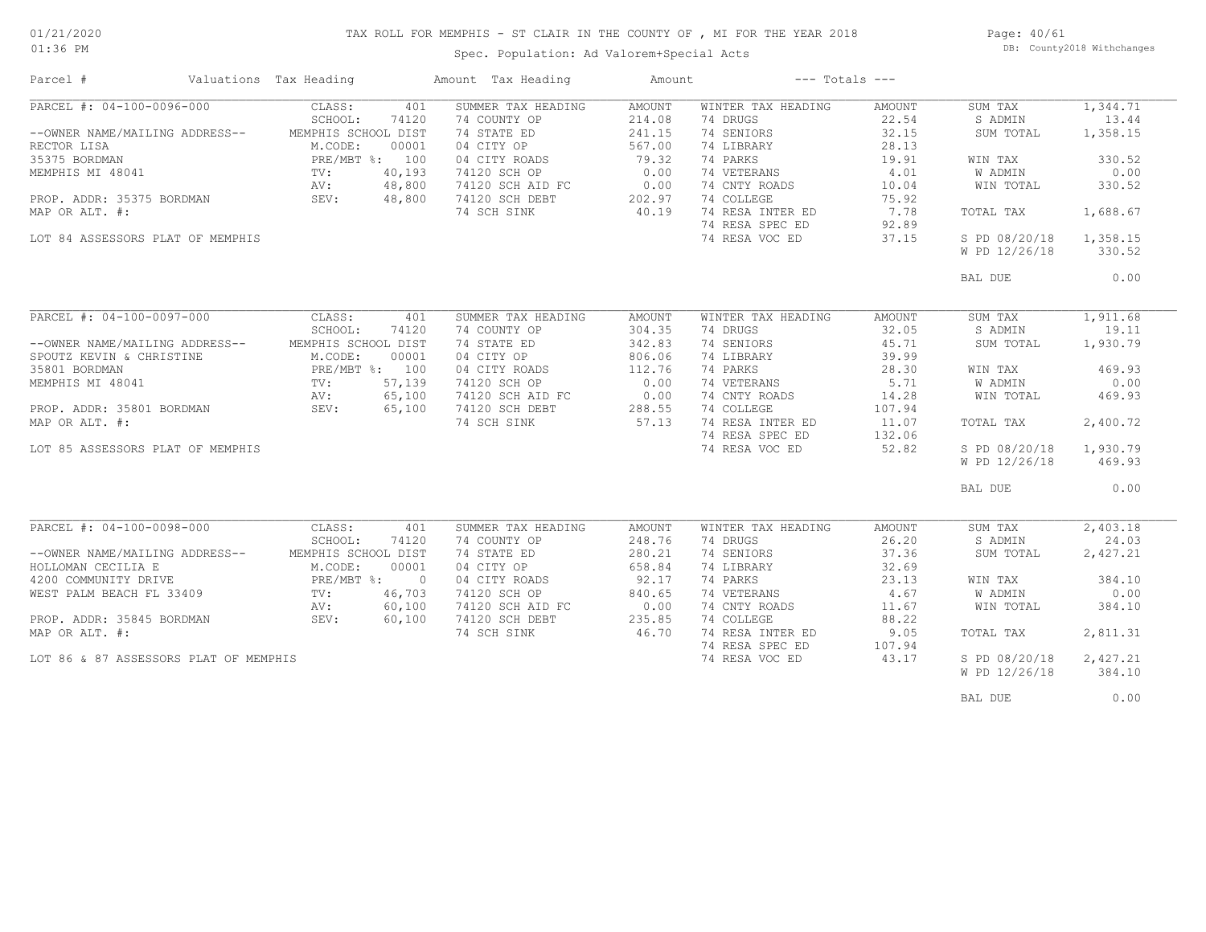### TAX ROLL FOR MEMPHIS - ST CLAIR IN THE COUNTY OF , MI FOR THE YEAR 2018

Spec. Population: Ad Valorem+Special Acts

Page: 40/61 DB: County2018 Withchanges

| Parcel #                                                                                                                                                                                           | Valuations Tax Heading                                                                      |                                                     | Amount Tax Heading                                                                                                                                    | Amount                                                                           |                                                                                                                                                                               | $---$ Totals $---$                                                                             |                                                                                                                   |                                                                                             |
|----------------------------------------------------------------------------------------------------------------------------------------------------------------------------------------------------|---------------------------------------------------------------------------------------------|-----------------------------------------------------|-------------------------------------------------------------------------------------------------------------------------------------------------------|----------------------------------------------------------------------------------|-------------------------------------------------------------------------------------------------------------------------------------------------------------------------------|------------------------------------------------------------------------------------------------|-------------------------------------------------------------------------------------------------------------------|---------------------------------------------------------------------------------------------|
| PARCEL #: 04-100-0096-000<br>--OWNER NAME/MAILING ADDRESS--<br>RECTOR LISA<br>35375 BORDMAN<br>MEMPHIS MI 48041<br>PROP. ADDR: 35375 BORDMAN<br>MAP OR ALT. #:<br>LOT 84 ASSESSORS PLAT OF MEMPHIS | CLASS:<br>SCHOOL:<br>MEMPHIS SCHOOL DIST<br>M.CODE:<br>PRE/MBT %: 100<br>TV:<br>AV:<br>SEV: | 401<br>74120<br>00001<br>40,193<br>48,800<br>48,800 | SUMMER TAX HEADING<br>74 COUNTY OP<br>74 STATE ED<br>04 CITY OP<br>04 CITY ROADS<br>74120 SCH OP<br>74120 SCH AID FC<br>74120 SCH DEBT<br>74 SCH SINK | AMOUNT<br>214.08<br>241.15<br>567.00<br>79.32<br>0.00<br>0.00<br>202.97<br>40.19 | WINTER TAX HEADING<br>74 DRUGS<br>74 SENIORS<br>74 LIBRARY<br>74 PARKS<br>74 VETERANS<br>74 CNTY ROADS<br>74 COLLEGE<br>74 RESA INTER ED<br>74 RESA SPEC ED<br>74 RESA VOC ED | AMOUNT<br>22.54<br>32.15<br>28.13<br>19.91<br>4.01<br>10.04<br>75.92<br>7.78<br>92.89<br>37.15 | SUM TAX<br>S ADMIN<br>SUM TOTAL<br>WIN TAX<br>W ADMIN<br>WIN TOTAL<br>TOTAL TAX<br>S PD 08/20/18<br>W PD 12/26/18 | 1,344.71<br>13.44<br>1,358.15<br>330.52<br>0.00<br>330.52<br>1,688.67<br>1,358.15<br>330.52 |
|                                                                                                                                                                                                    |                                                                                             |                                                     |                                                                                                                                                       |                                                                                  |                                                                                                                                                                               |                                                                                                | BAL DUE                                                                                                           | 0.00                                                                                        |
|                                                                                                                                                                                                    |                                                                                             |                                                     |                                                                                                                                                       |                                                                                  |                                                                                                                                                                               |                                                                                                |                                                                                                                   |                                                                                             |
| PARCEL #: 04-100-0097-000                                                                                                                                                                          | CLASS:<br>SCHOOL:                                                                           | 401<br>74120                                        | SUMMER TAX HEADING<br>74 COUNTY OP                                                                                                                    | <b>AMOUNT</b><br>304.35                                                          | WINTER TAX HEADING<br>74 DRUGS                                                                                                                                                | AMOUNT<br>32.05                                                                                | SUM TAX<br>S ADMIN                                                                                                | 1,911.68<br>19.11                                                                           |
| --OWNER NAME/MAILING ADDRESS--                                                                                                                                                                     | MEMPHIS SCHOOL DIST                                                                         |                                                     | 74 STATE ED                                                                                                                                           | 342.83                                                                           | 74 SENIORS                                                                                                                                                                    | 45.71                                                                                          | SUM TOTAL                                                                                                         | 1,930.79                                                                                    |
| SPOUTZ KEVIN & CHRISTINE                                                                                                                                                                           | M.CODE:                                                                                     | 00001                                               | 04 CITY OP                                                                                                                                            | 806.06                                                                           | 74 LIBRARY                                                                                                                                                                    | 39.99                                                                                          |                                                                                                                   |                                                                                             |
| 35801 BORDMAN                                                                                                                                                                                      | PRE/MBT %: 100                                                                              |                                                     | 04 CITY ROADS                                                                                                                                         | 112.76                                                                           | 74 PARKS                                                                                                                                                                      | 28.30                                                                                          | WIN TAX                                                                                                           | 469.93                                                                                      |
| MEMPHIS MI 48041                                                                                                                                                                                   | TV:                                                                                         | 57,139                                              | 74120 SCH OP                                                                                                                                          | 0.00                                                                             | 74 VETERANS                                                                                                                                                                   | 5.71                                                                                           | <b>W ADMIN</b>                                                                                                    | 0.00                                                                                        |
|                                                                                                                                                                                                    | AV:                                                                                         | 65,100                                              | 74120 SCH AID FC                                                                                                                                      | 0.00                                                                             | 74 CNTY ROADS                                                                                                                                                                 | 14.28                                                                                          | WIN TOTAL                                                                                                         | 469.93                                                                                      |
| PROP. ADDR: 35801 BORDMAN                                                                                                                                                                          | SEV:                                                                                        | 65,100                                              | 74120 SCH DEBT                                                                                                                                        | 288.55                                                                           | 74 COLLEGE                                                                                                                                                                    | 107.94                                                                                         |                                                                                                                   |                                                                                             |
| MAP OR ALT. #:                                                                                                                                                                                     |                                                                                             |                                                     | 74 SCH SINK                                                                                                                                           | 57.13                                                                            | 74 RESA INTER ED                                                                                                                                                              | 11.07                                                                                          | TOTAL TAX                                                                                                         | 2,400.72                                                                                    |
|                                                                                                                                                                                                    |                                                                                             |                                                     |                                                                                                                                                       |                                                                                  | 74 RESA SPEC ED                                                                                                                                                               | 132.06                                                                                         |                                                                                                                   |                                                                                             |
| LOT 85 ASSESSORS PLAT OF MEMPHIS                                                                                                                                                                   |                                                                                             |                                                     |                                                                                                                                                       |                                                                                  | 74 RESA VOC ED                                                                                                                                                                | 52.82                                                                                          | S PD 08/20/18                                                                                                     | 1,930.79                                                                                    |
|                                                                                                                                                                                                    |                                                                                             |                                                     |                                                                                                                                                       |                                                                                  |                                                                                                                                                                               |                                                                                                | W PD 12/26/18                                                                                                     | 469.93                                                                                      |
|                                                                                                                                                                                                    |                                                                                             |                                                     |                                                                                                                                                       |                                                                                  |                                                                                                                                                                               |                                                                                                | BAL DUE                                                                                                           | 0.00                                                                                        |
|                                                                                                                                                                                                    |                                                                                             |                                                     |                                                                                                                                                       |                                                                                  |                                                                                                                                                                               |                                                                                                |                                                                                                                   |                                                                                             |
| PARCEL #: 04-100-0098-000                                                                                                                                                                          | CLASS:                                                                                      | 401                                                 | SUMMER TAX HEADING                                                                                                                                    | AMOUNT                                                                           | WINTER TAX HEADING                                                                                                                                                            | AMOUNT                                                                                         | SUM TAX                                                                                                           | 2,403.18                                                                                    |
|                                                                                                                                                                                                    | SCHOOL:                                                                                     | 74120                                               | 74 COUNTY OP                                                                                                                                          | 248.76                                                                           | 74 DRUGS                                                                                                                                                                      | 26.20                                                                                          | S ADMIN                                                                                                           | 24.03                                                                                       |
| --OWNER NAME/MAILING ADDRESS--                                                                                                                                                                     | MEMPHIS SCHOOL DIST                                                                         |                                                     | 74 STATE ED                                                                                                                                           | 280.21                                                                           | 74 SENIORS                                                                                                                                                                    | 37.36                                                                                          | SUM TOTAL                                                                                                         | 2,427.21                                                                                    |
| HOLLOMAN CECILIA E                                                                                                                                                                                 | M.CODE:                                                                                     | 00001                                               | 04 CITY OP                                                                                                                                            | 658.84                                                                           | 74 LIBRARY                                                                                                                                                                    | 32.69                                                                                          |                                                                                                                   |                                                                                             |
| 4200 COMMUNITY DRIVE                                                                                                                                                                               | PRE/MBT %:                                                                                  | $\overline{0}$                                      | 04 CITY ROADS                                                                                                                                         | 92.17                                                                            | 74 PARKS                                                                                                                                                                      | 23.13                                                                                          | WIN TAX                                                                                                           | 384.10                                                                                      |
| WEST PALM BEACH FL 33409                                                                                                                                                                           | TV:                                                                                         | 46,703                                              | 74120 SCH OP                                                                                                                                          | 840.65                                                                           | 74 VETERANS                                                                                                                                                                   | 4.67                                                                                           | W ADMIN                                                                                                           | 0.00                                                                                        |
|                                                                                                                                                                                                    | AV:                                                                                         | 60,100                                              | 74120 SCH AID FC                                                                                                                                      | 0.00                                                                             | 74 CNTY ROADS                                                                                                                                                                 | 11.67                                                                                          | WIN TOTAL                                                                                                         | 384.10                                                                                      |
| PROP. ADDR: 35845 BORDMAN                                                                                                                                                                          | SEV:                                                                                        | 60,100                                              | 74120 SCH DEBT                                                                                                                                        | 235.85                                                                           | 74 COLLEGE                                                                                                                                                                    | 88.22                                                                                          |                                                                                                                   |                                                                                             |
| MAP OR ALT. #:                                                                                                                                                                                     |                                                                                             |                                                     | 74 SCH SINK                                                                                                                                           | 46.70                                                                            | 74 RESA INTER ED                                                                                                                                                              | 9.05                                                                                           | TOTAL TAX                                                                                                         | 2,811.31                                                                                    |
|                                                                                                                                                                                                    |                                                                                             |                                                     |                                                                                                                                                       |                                                                                  | 74 RESA SPEC ED                                                                                                                                                               | 107.94                                                                                         |                                                                                                                   |                                                                                             |
| LOT 86 & 87 ASSESSORS PLAT OF MEMPHIS                                                                                                                                                              |                                                                                             |                                                     |                                                                                                                                                       |                                                                                  | 74 RESA VOC ED                                                                                                                                                                | 43.17                                                                                          | S PD 08/20/18                                                                                                     | 2,427.21                                                                                    |
|                                                                                                                                                                                                    |                                                                                             |                                                     |                                                                                                                                                       |                                                                                  |                                                                                                                                                                               |                                                                                                | W PD 12/26/18                                                                                                     | 384.10                                                                                      |
|                                                                                                                                                                                                    |                                                                                             |                                                     |                                                                                                                                                       |                                                                                  |                                                                                                                                                                               |                                                                                                |                                                                                                                   |                                                                                             |

BAL DUE  $0.00$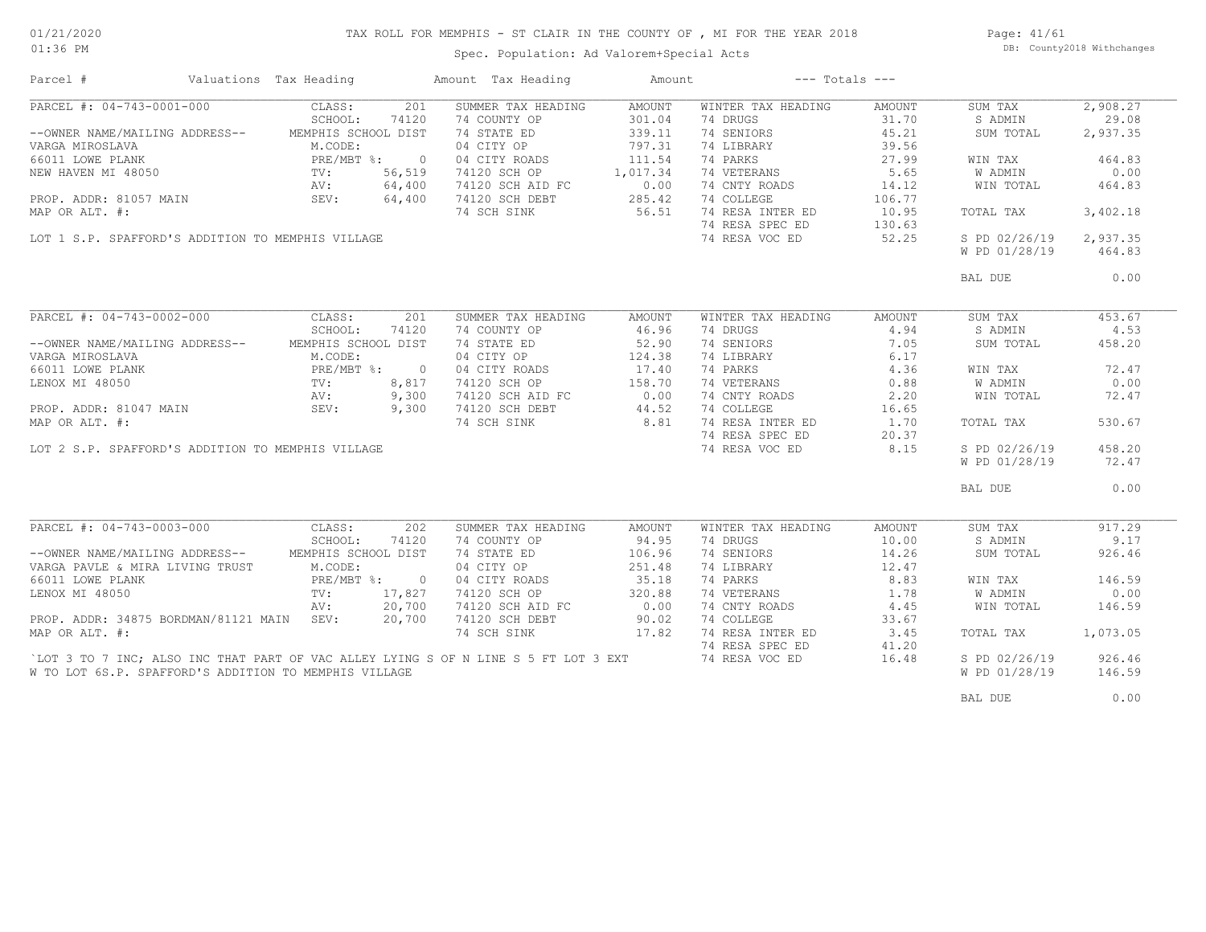# TAX ROLL FOR MEMPHIS - ST CLAIR IN THE COUNTY OF , MI FOR THE YEAR 2018

Spec. Population: Ad Valorem+Special Acts

Page: 41/61 DB: County2018 Withchanges

| Parcel #                                                                                                                                                        | Valuations Tax Heading     |        | Amount Tax Heading                                                | Amount              | $---$ Totals $---$ |                 |               |          |
|-----------------------------------------------------------------------------------------------------------------------------------------------------------------|----------------------------|--------|-------------------------------------------------------------------|---------------------|--------------------|-----------------|---------------|----------|
| PARCEL #: 04-743-0001-000                                                                                                                                       | CLASS:                     | 201    | SUMMER TAX HEADING                                                | AMOUNT              | WINTER TAX HEADING | AMOUNT          | SUM TAX       | 2,908.27 |
|                                                                                                                                                                 | SCHOOL:                    | 74120  | 74 COUNTY OP                                                      | 301.04              | 74 DRUGS           | 31.70           | S ADMIN       | 29.08    |
| --OWNER NAME/MAILING ADDRESS--                                                                                                                                  | MEMPHIS SCHOOL DIST        |        | 74 STATE ED                                                       | 339.11              | 74 SENIORS         | 45.21           | SUM TOTAL     | 2,937.35 |
| VARGA MIROSLAVA M.CODE:<br>66011 LOWE PLANK M.CODE:<br>NEW HAVEN MI 48050 TV: 56,519<br>ROP. ADDR: 81057 MAIN SEV: 64,400<br>PROP. ADDR: 81057 MAIN SEV: 64,400 |                            |        | 04 CITY OP                                                        | 797.31              | 74 LIBRARY         | 39.56           |               |          |
|                                                                                                                                                                 |                            |        |                                                                   |                     | 74 PARKS           | 27.99           | WIN TAX       | 464.83   |
|                                                                                                                                                                 |                            |        | 04 CITY ROADS 111.54<br>74120 SCH OP 1,017.34                     |                     | 74 VETERANS        | 5.65            | W ADMIN       | 0.00     |
|                                                                                                                                                                 |                            |        |                                                                   |                     | 74 CNTY ROADS      | 14.12           | WIN TOTAL     | 464.83   |
|                                                                                                                                                                 |                            |        | 74120 SCH AID FC 0.00<br>74120 SCH DEBT 285.42<br>74120 SCH DEBT  |                     | 74 COLLEGE         | 106.77          |               |          |
| MAP OR ALT. #:                                                                                                                                                  |                            |        | 74 SCH SINK                                                       | 56.51               | 74 RESA INTER ED   | 10.95           | TOTAL TAX     | 3,402.18 |
|                                                                                                                                                                 |                            |        |                                                                   |                     | 74 RESA SPEC ED    |                 |               |          |
| LOT 1 S.P. SPAFFORD'S ADDITION TO MEMPHIS VILLAGE                                                                                                               |                            |        |                                                                   |                     | 74 RESA VOC ED     | 130.63<br>52.25 | S PD 02/26/19 | 2,937.35 |
|                                                                                                                                                                 |                            |        |                                                                   |                     |                    |                 | W PD 01/28/19 | 464.83   |
|                                                                                                                                                                 |                            |        |                                                                   |                     |                    |                 | BAL DUE       | 0.00     |
|                                                                                                                                                                 |                            |        |                                                                   |                     |                    |                 |               |          |
| PARCEL #: 04-743-0002-000 CLASS:                                                                                                                                |                            | 201    | SUMMER TAX HEADING                                                | AMOUNT              | WINTER TAX HEADING | AMOUNT          | SUM TAX       | 453.67   |
|                                                                                                                                                                 | SCHOOL:                    | 74120  | 74 COUNTY OP                                                      | 46.96               | 74 DRUGS           | 4.94            | S ADMIN       | 4.53     |
| --OWNER NAME/MAILING ADDRESS-- MEMPHIS SCHOOL DIST                                                                                                              |                            |        | 74 STATE ED                                                       | 52.90               | 74 SENIORS         | 7.05            | SUM TOTAL     | 458.20   |
|                                                                                                                                                                 |                            |        | 04 CITY OP                                                        | 124.38              | 74 LIBRARY         | 6.17            |               |          |
|                                                                                                                                                                 |                            |        | 04 CITY ROADS                                                     |                     | 74 PARKS           |                 |               | 72.47    |
|                                                                                                                                                                 |                            |        |                                                                   | $17.40$<br>$158.70$ |                    | $4.36$<br>0.88  | WIN TAX       |          |
|                                                                                                                                                                 |                            |        | 74120 SCH OP                                                      |                     | 74 VETERANS        |                 | W ADMIN       | 0.00     |
| VARGA MIROSLAVA<br>66011 LOWE PLANK<br>LENOX MI 48050 TV: 8,817<br>PROP. ADDR: 81047 MAIN SEV: 9,300<br>PROP. ADDR: 81047 MAIN SEV: 9,300                       |                            |        | 74120 SCH AID FC 0.00<br>74120 SCH DEBT 44.52<br>74 SCH SINK 8.81 |                     | 74 CNTY ROADS      | 2.20            | WIN TOTAL     | 72.47    |
|                                                                                                                                                                 |                            |        |                                                                   |                     | 74 COLLEGE         | 16.65           |               |          |
| MAP OR ALT. #:                                                                                                                                                  |                            |        |                                                                   |                     | 74 RESA INTER ED   | 1.70            | TOTAL TAX     | 530.67   |
|                                                                                                                                                                 |                            |        |                                                                   |                     | 74 RESA SPEC ED    | 20.37           |               |          |
| LOT 2 S.P. SPAFFORD'S ADDITION TO MEMPHIS VILLAGE                                                                                                               |                            |        |                                                                   |                     | 74 RESA VOC ED     | 8.15            | S PD 02/26/19 | 458.20   |
|                                                                                                                                                                 |                            |        |                                                                   |                     |                    |                 | W PD 01/28/19 | 72.47    |
|                                                                                                                                                                 |                            |        |                                                                   |                     |                    |                 | BAL DUE       | 0.00     |
|                                                                                                                                                                 |                            |        |                                                                   |                     |                    |                 |               |          |
| PARCEL #: 04-743-0003-000 CLASS:                                                                                                                                |                            | 202    | SUMMER TAX HEADING                                                | AMOUNT              | WINTER TAX HEADING | AMOUNT          | SUM TAX       | 917.29   |
|                                                                                                                                                                 | SCHOOL:                    | 74120  | 74 COUNTY OP                                                      | 94.95               | 74 DRUGS           | 10.00           | S ADMIN       | 9.17     |
| --OWNER NAME/MAILING ADDRESS--                                                                                                                                  | MEMPHIS SCHOOL DIST        |        | 74 STATE ED                                                       | 106.96              | 74 SENIORS         | 14.26           | SUM TOTAL     | 926.46   |
| VARGA PAVLE & MIRA LIVING TRUST                                                                                                                                 | M.CODE:                    |        | 04 CITY OP                                                        | 251.48              | 74 LIBRARY         | 12.47           |               |          |
| 66011 LOWE PLANK                                                                                                                                                | PRE/MBT %: 0<br>TV: 17,827 |        | 04 CITY ROADS                                                     | 35.18               | 74 PARKS           | 8.83            | WIN TAX       | 146.59   |
| LENOX MI 48050                                                                                                                                                  |                            |        | 74120 SCH OP                                                      | 320.88              | 74 VETERANS        | 1.78            | W ADMIN       | 0.00     |
|                                                                                                                                                                 | AV:                        | 20,700 | 74120 SCH AID FC                                                  |                     | 74 CNTY ROADS      | 4.45            | WIN TOTAL     | 146.59   |
| PROP. ADDR: 34875 BORDMAN/81121 MAIN SEV:                                                                                                                       |                            | 20,700 | 74120 SCH DEBT                                                    | 0.00<br>90.02       | 74 COLLEGE         | 33.67           |               |          |
| MAP OR ALT. #:                                                                                                                                                  |                            |        | 74 SCH SINK                                                       | 17.82               | 74 RESA INTER ED   | 3.45            | TOTAL TAX     | 1,073.05 |
|                                                                                                                                                                 |                            |        |                                                                   |                     | 74 RESA SPEC ED    | 41.20           |               |          |
| LOT 3 TO 7 INC; ALSO INC THAT PART OF VAC ALLEY LYING S OF N LINE S 5 FT LOT 3 EXT                                                                              |                            |        |                                                                   |                     | 74 RESA VOC ED     | 16.48           | S PD 02/26/19 | 926.46   |
| W TO LOT 6S.P. SPAFFORD'S ADDITION TO MEMPHIS VILLAGE                                                                                                           |                            |        |                                                                   |                     |                    |                 | W PD 01/28/19 | 146.59   |
|                                                                                                                                                                 |                            |        |                                                                   |                     |                    |                 | BAL DUE       | 0.00     |
|                                                                                                                                                                 |                            |        |                                                                   |                     |                    |                 |               |          |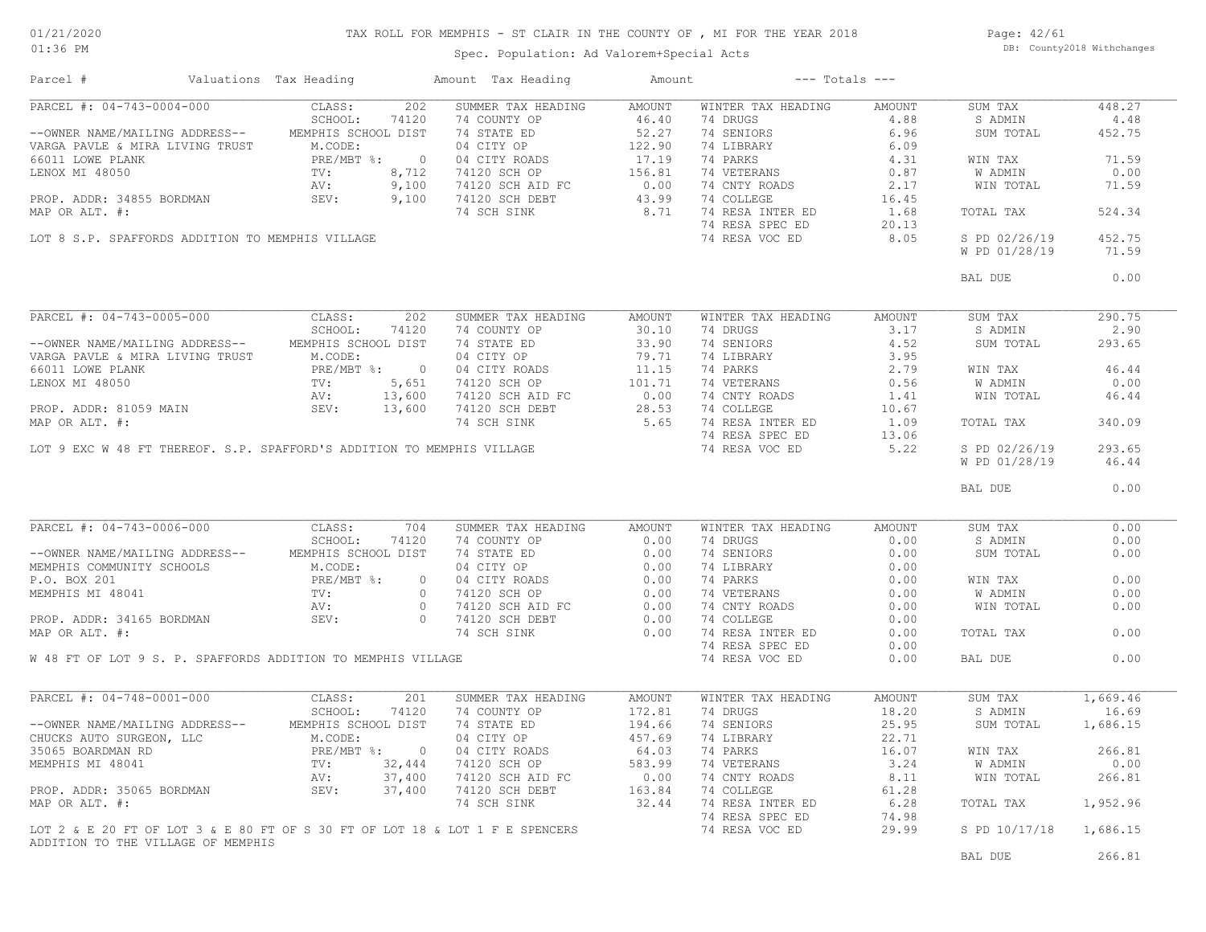### TAX ROLL FOR MEMPHIS - ST CLAIR IN THE COUNTY OF , MI FOR THE YEAR 2018

Page: 42/61 DB: County2018 Withchanges

### Spec. Population: Ad Valorem+Special Acts

| Parcel #                                                     | Valuations Tax Heading |       | Amount Tax Heading                                                                                                                                                                                                                                                                                                                                                                   | Amount |                                                                                                                                                                                                                                                                                                                                                                                                           | $---$ Totals $---$ |                        |          |
|--------------------------------------------------------------|------------------------|-------|--------------------------------------------------------------------------------------------------------------------------------------------------------------------------------------------------------------------------------------------------------------------------------------------------------------------------------------------------------------------------------------|--------|-----------------------------------------------------------------------------------------------------------------------------------------------------------------------------------------------------------------------------------------------------------------------------------------------------------------------------------------------------------------------------------------------------------|--------------------|------------------------|----------|
|                                                              |                        |       | $\begin{tabular}{l c c c c c c c c} \hline \multicolumn{4}{c}{\textbf{PARCH}} & $\mathbf{f}: 04-743-0004-000$ & $\texttt{CLASS}: 5$-HODRESS--\\ & & $\texttt{SCHOOLi} 7420$ & $74\text{ }}\texttt{24} & $\texttt{CUMTY} 0P$ & $46.40$ & $74$ & $\texttt{JWNO} 8$ & $6.96$ \\ & & $\texttt{SCHOMN} 6.96$ & $\texttt{NARBA}~\texttt{LIVING} 7RUST & $\texttt{M.CODE}: 74$ & $\texttt{$ |        |                                                                                                                                                                                                                                                                                                                                                                                                           |                    | SUM TAX                | 448.27   |
|                                                              |                        |       |                                                                                                                                                                                                                                                                                                                                                                                      |        |                                                                                                                                                                                                                                                                                                                                                                                                           |                    | S ADMIN                | 4.48     |
|                                                              |                        |       |                                                                                                                                                                                                                                                                                                                                                                                      |        |                                                                                                                                                                                                                                                                                                                                                                                                           |                    | SUM TOTAL              | 452.75   |
|                                                              |                        |       |                                                                                                                                                                                                                                                                                                                                                                                      |        |                                                                                                                                                                                                                                                                                                                                                                                                           |                    |                        |          |
|                                                              |                        |       |                                                                                                                                                                                                                                                                                                                                                                                      |        |                                                                                                                                                                                                                                                                                                                                                                                                           |                    | WIN TAX                | 71.59    |
|                                                              |                        |       |                                                                                                                                                                                                                                                                                                                                                                                      |        |                                                                                                                                                                                                                                                                                                                                                                                                           |                    | W ADMIN                | 0.00     |
|                                                              |                        |       |                                                                                                                                                                                                                                                                                                                                                                                      |        |                                                                                                                                                                                                                                                                                                                                                                                                           |                    | WIN TOTAL              | 71.59    |
|                                                              |                        |       |                                                                                                                                                                                                                                                                                                                                                                                      |        |                                                                                                                                                                                                                                                                                                                                                                                                           |                    |                        |          |
|                                                              |                        |       |                                                                                                                                                                                                                                                                                                                                                                                      |        |                                                                                                                                                                                                                                                                                                                                                                                                           |                    | TOTAL TAX              | 524.34   |
|                                                              |                        |       |                                                                                                                                                                                                                                                                                                                                                                                      |        |                                                                                                                                                                                                                                                                                                                                                                                                           |                    |                        |          |
|                                                              |                        |       |                                                                                                                                                                                                                                                                                                                                                                                      |        |                                                                                                                                                                                                                                                                                                                                                                                                           | 8.05               | S PD 02/26/19          | 452.75   |
|                                                              |                        |       |                                                                                                                                                                                                                                                                                                                                                                                      |        |                                                                                                                                                                                                                                                                                                                                                                                                           |                    | W PD 01/28/19          | 71.59    |
|                                                              |                        |       |                                                                                                                                                                                                                                                                                                                                                                                      |        |                                                                                                                                                                                                                                                                                                                                                                                                           |                    |                        |          |
|                                                              |                        |       |                                                                                                                                                                                                                                                                                                                                                                                      |        |                                                                                                                                                                                                                                                                                                                                                                                                           |                    | BAL DUE                | 0.00     |
|                                                              |                        |       |                                                                                                                                                                                                                                                                                                                                                                                      |        |                                                                                                                                                                                                                                                                                                                                                                                                           |                    |                        |          |
| PARCEL #: 04-743-0005-000 CLASS: 202                         |                        |       | SUMMER TAX HEADING AMOUNT                                                                                                                                                                                                                                                                                                                                                            |        | WINTER TAX HEADING AMOUNT                                                                                                                                                                                                                                                                                                                                                                                 |                    | SUM TAX                | 290.75   |
|                                                              | SCHOOL: 74120          |       | 74 COUNTY OP 30.10                                                                                                                                                                                                                                                                                                                                                                   |        | 74 DRUGS                                                                                                                                                                                                                                                                                                                                                                                                  | 3.17               | S ADMIN                | 2.90     |
|                                                              |                        |       |                                                                                                                                                                                                                                                                                                                                                                                      |        |                                                                                                                                                                                                                                                                                                                                                                                                           |                    |                        | 293.65   |
|                                                              |                        |       |                                                                                                                                                                                                                                                                                                                                                                                      |        |                                                                                                                                                                                                                                                                                                                                                                                                           |                    |                        |          |
|                                                              |                        |       |                                                                                                                                                                                                                                                                                                                                                                                      |        |                                                                                                                                                                                                                                                                                                                                                                                                           |                    |                        | 46.44    |
|                                                              |                        |       |                                                                                                                                                                                                                                                                                                                                                                                      |        |                                                                                                                                                                                                                                                                                                                                                                                                           |                    |                        | 0.00     |
|                                                              |                        |       |                                                                                                                                                                                                                                                                                                                                                                                      |        |                                                                                                                                                                                                                                                                                                                                                                                                           |                    |                        | 46.44    |
|                                                              |                        |       |                                                                                                                                                                                                                                                                                                                                                                                      |        |                                                                                                                                                                                                                                                                                                                                                                                                           |                    |                        |          |
|                                                              |                        |       |                                                                                                                                                                                                                                                                                                                                                                                      |        |                                                                                                                                                                                                                                                                                                                                                                                                           |                    |                        | 340.09   |
|                                                              |                        |       |                                                                                                                                                                                                                                                                                                                                                                                      |        |                                                                                                                                                                                                                                                                                                                                                                                                           |                    |                        |          |
|                                                              |                        |       |                                                                                                                                                                                                                                                                                                                                                                                      |        |                                                                                                                                                                                                                                                                                                                                                                                                           |                    | S PD 02/26/19          | 293.65   |
|                                                              |                        |       |                                                                                                                                                                                                                                                                                                                                                                                      |        |                                                                                                                                                                                                                                                                                                                                                                                                           |                    |                        | 46.44    |
|                                                              |                        |       |                                                                                                                                                                                                                                                                                                                                                                                      |        |                                                                                                                                                                                                                                                                                                                                                                                                           |                    | W PD 01/28/19          |          |
|                                                              |                        |       |                                                                                                                                                                                                                                                                                                                                                                                      |        |                                                                                                                                                                                                                                                                                                                                                                                                           |                    | BAL DUE                | 0.00     |
|                                                              |                        |       |                                                                                                                                                                                                                                                                                                                                                                                      |        |                                                                                                                                                                                                                                                                                                                                                                                                           |                    |                        |          |
| PARCEL #: 04-743-0006-000 CLASS:                             |                        | 704   | SUMMER TAX HEADING AMOUNT                                                                                                                                                                                                                                                                                                                                                            |        | WINTER TAX HEADING AMOUNT                                                                                                                                                                                                                                                                                                                                                                                 |                    | SUM TAX                | 0.00     |
|                                                              | SCHOOL:                | 74120 | 74 COUNTY OP 0.00                                                                                                                                                                                                                                                                                                                                                                    |        | 74 DRUGS                                                                                                                                                                                                                                                                                                                                                                                                  | 0.00               |                        | 0.00     |
|                                                              |                        |       |                                                                                                                                                                                                                                                                                                                                                                                      |        |                                                                                                                                                                                                                                                                                                                                                                                                           |                    | S ADMIN                |          |
| --OWNER NAME/MAILING ADDRESS-- MEMPHIS SCHOOL DIST           |                        |       |                                                                                                                                                                                                                                                                                                                                                                                      |        |                                                                                                                                                                                                                                                                                                                                                                                                           | 0.00               | SUM TOTAL              | 0.00     |
| MEMPHIS COMMUNITY SCHOOLS M.CODE:                            |                        |       | SCHOOL: 74120 74 COUNTY OF 0.00 74 DKUGS<br>MEMPHIS SCHOOL DIST 74 STATE ED 0.00 74 SENIORS<br>M.CODE: 0 04 CITY ROADS 0.00 74 LIBRARY<br>FRE/MET %: 0 74120 SCHOP 0.00 74 VETERANS<br>NV: 0 74120 SCHOP 0.00 74 VETERANS<br>NV: 0 74120                                                                                                                                             |        |                                                                                                                                                                                                                                                                                                                                                                                                           | 0.00               |                        |          |
| P.O. BOX 201                                                 |                        |       |                                                                                                                                                                                                                                                                                                                                                                                      |        |                                                                                                                                                                                                                                                                                                                                                                                                           | 0.00               | WIN TAX                | 0.00     |
| MEMPHIS MI 48041                                             |                        |       |                                                                                                                                                                                                                                                                                                                                                                                      |        |                                                                                                                                                                                                                                                                                                                                                                                                           |                    | <b>W ADMIN</b>         | 0.00     |
|                                                              |                        |       |                                                                                                                                                                                                                                                                                                                                                                                      |        |                                                                                                                                                                                                                                                                                                                                                                                                           |                    | WIN TOTAL              | 0.00     |
| PROP. ADDR: 34165 BORDMAN                                    |                        |       |                                                                                                                                                                                                                                                                                                                                                                                      |        |                                                                                                                                                                                                                                                                                                                                                                                                           | 0.00               |                        |          |
| MAP OR ALT. #:                                               |                        |       |                                                                                                                                                                                                                                                                                                                                                                                      |        |                                                                                                                                                                                                                                                                                                                                                                                                           | 0.00               | TOTAL TAX              | 0.00     |
|                                                              |                        |       |                                                                                                                                                                                                                                                                                                                                                                                      |        | 74 RESA SPEC ED                                                                                                                                                                                                                                                                                                                                                                                           | 0.00               |                        |          |
| W 48 FT OF LOT 9 S. P. SPAFFORDS ADDITION TO MEMPHIS VILLAGE |                        |       |                                                                                                                                                                                                                                                                                                                                                                                      |        | 74 RESA VOC ED                                                                                                                                                                                                                                                                                                                                                                                            | 0.00               | BAL DUE                | 0.00     |
|                                                              |                        |       |                                                                                                                                                                                                                                                                                                                                                                                      |        |                                                                                                                                                                                                                                                                                                                                                                                                           |                    |                        |          |
| PARCEL #: 04-748-0001-000                                    | CLASS:                 | 201   | SUMMER TAX HEADING                                                                                                                                                                                                                                                                                                                                                                   | AMOUNT | WINTER TAX HEADING                                                                                                                                                                                                                                                                                                                                                                                        | AMOUNT             | SUM TAX                | 1,669.46 |
|                                                              | SCHOOL:                | 74120 | 74 COUNTY OP                                                                                                                                                                                                                                                                                                                                                                         | 172.81 | 74 DRUGS                                                                                                                                                                                                                                                                                                                                                                                                  | 18.20              | S ADMIN                | 16.69    |
| --OWNER NAME/MAILING ADDRESS-- MEMPHIS SCHOOL DIST           |                        |       | 74 STATE ED                                                                                                                                                                                                                                                                                                                                                                          | 194.66 | 74 SENIORS                                                                                                                                                                                                                                                                                                                                                                                                | 25.95              | SUM TOTAL 1,686.15     |          |
|                                                              |                        |       | --OWNER NAME/MAILING ADDRESS--<br>CHUCKS AUTO SURGEON, LLC M.CODE:<br>35065 BOARDMAN RD PRE/MBT %: 0 04 CITY ORADS 64.03<br>MEMPHIS MI 48041 RV: 32,444 74120 SCH OP 583.99<br>PROP. ADDR: 35065 BORDMAN SEV: 37,400 74120 SCH AID FC                                                                                                                                                |        | 74 LIBRARY                                                                                                                                                                                                                                                                                                                                                                                                | 22.71              |                        |          |
|                                                              |                        |       |                                                                                                                                                                                                                                                                                                                                                                                      |        |                                                                                                                                                                                                                                                                                                                                                                                                           | 16.07              |                        | 266.81   |
|                                                              |                        |       |                                                                                                                                                                                                                                                                                                                                                                                      |        | 74 LIBRARI<br>74 PARKS<br>74 VETERANS                                                                                                                                                                                                                                                                                                                                                                     |                    | WIN TAX                |          |
|                                                              |                        |       |                                                                                                                                                                                                                                                                                                                                                                                      |        |                                                                                                                                                                                                                                                                                                                                                                                                           | 3.24               | W ADMIN                | 0.00     |
|                                                              |                        |       |                                                                                                                                                                                                                                                                                                                                                                                      |        | 74 CNTY ROADS                                                                                                                                                                                                                                                                                                                                                                                             |                    | WIN TOTAL              | 266.81   |
|                                                              |                        |       |                                                                                                                                                                                                                                                                                                                                                                                      |        |                                                                                                                                                                                                                                                                                                                                                                                                           |                    |                        |          |
|                                                              |                        |       |                                                                                                                                                                                                                                                                                                                                                                                      |        |                                                                                                                                                                                                                                                                                                                                                                                                           |                    | TOTAL TAX              | 1,952.96 |
|                                                              |                        |       |                                                                                                                                                                                                                                                                                                                                                                                      |        |                                                                                                                                                                                                                                                                                                                                                                                                           |                    |                        |          |
|                                                              |                        |       | LOT 2 & E 20 FT OF LOT 3 & E 80 FT OF S 30 FT OF LOT 18 & LOT 1 F E SPENCERS                                                                                                                                                                                                                                                                                                         |        | $\begin{tabular}{lllllllll} 74 & \textbf{CNIY} & \textbf{RQ} & \textbf{RQ} & \textbf{RQ} & \textbf{RQ} & \textbf{RQ} & \textbf{RQ} & \textbf{RQ} & \textbf{RQ} & \textbf{RQ} & \textbf{RQ} & \textbf{RQ} & \textbf{RQ} & \textbf{RQ} & \textbf{RQ} & \textbf{RQ} & \textbf{RQ} & \textbf{RQ} & \textbf{RQ} & \textbf{RQ} & \textbf{RQ} & \textbf{RQ} & \textbf{RQ} & \textbf{RQ} & \textbf{RQ} & \textbf$ |                    | S PD 10/17/18 1,686.15 |          |
| ADDITION TO THE VILLAGE OF MEMPHIS                           |                        |       |                                                                                                                                                                                                                                                                                                                                                                                      |        |                                                                                                                                                                                                                                                                                                                                                                                                           |                    |                        |          |
|                                                              |                        |       |                                                                                                                                                                                                                                                                                                                                                                                      |        |                                                                                                                                                                                                                                                                                                                                                                                                           |                    | BAL DUE                | 266.81   |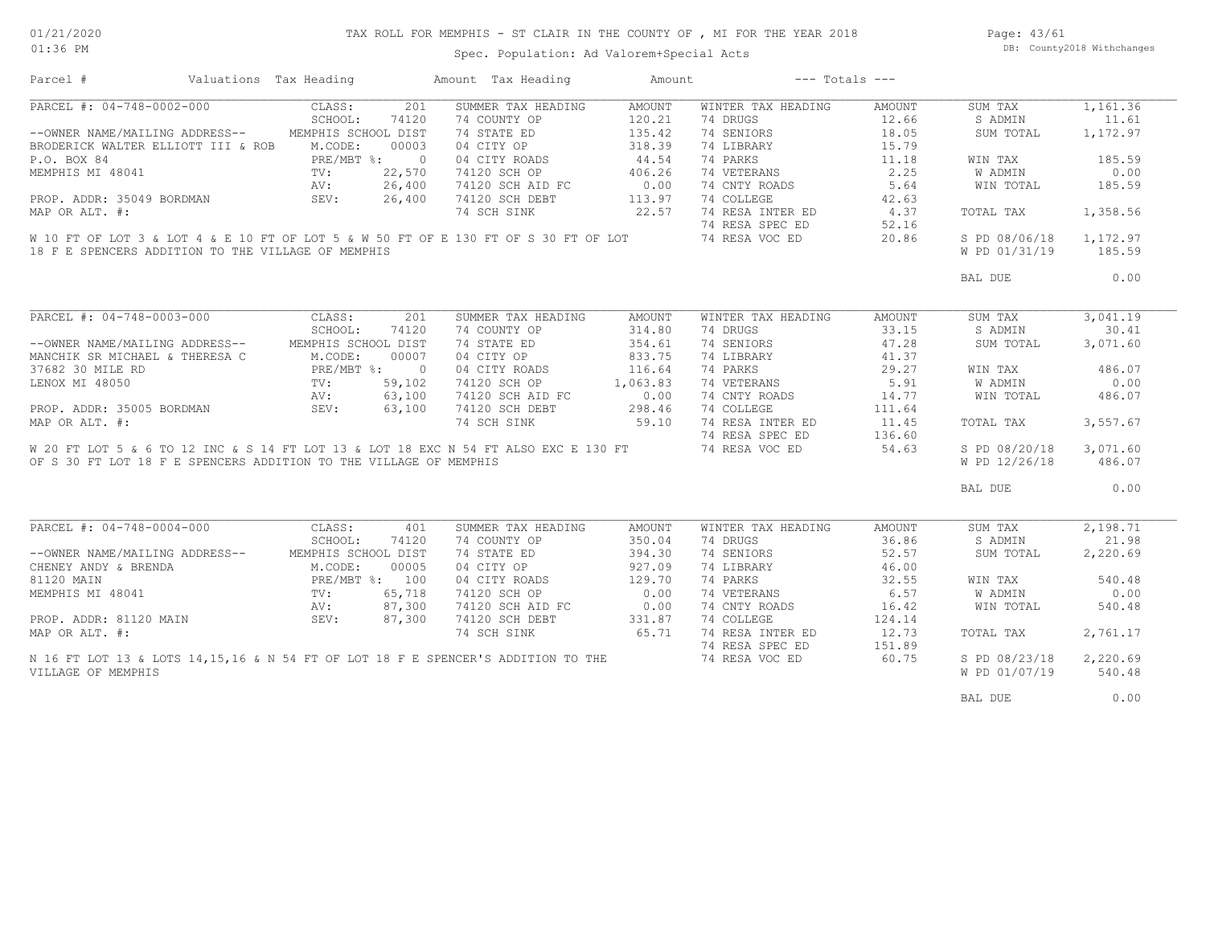| 01/21/2020 |  |
|------------|--|
| $01:36$ PM |  |

# TAX ROLL FOR MEMPHIS - ST CLAIR IN THE COUNTY OF , MI FOR THE YEAR 2018

Page: 43/61 DB: County2018 Withchanges

Spec. Population: Ad Valorem+Special Acts

| Parcel #                                                                                                                                             | Valuations Tax Heading |                                               |              | Amount Tax Heading | Amount   |                                     | $---$ Totals $---$ |               |          |
|------------------------------------------------------------------------------------------------------------------------------------------------------|------------------------|-----------------------------------------------|--------------|--------------------|----------|-------------------------------------|--------------------|---------------|----------|
| PARCEL #: 04-748-0002-000 CLASS:                                                                                                                     |                        |                                               | 201          | SUMMER TAX HEADING | AMOUNT   | WINTER TAX HEADING                  | AMOUNT             | SUM TAX       | 1,161.36 |
|                                                                                                                                                      |                        | SCHOOL:                                       | 74120        | 74 COUNTY OP       | 120.21   | 74 DRUGS                            | 12.66              | S ADMIN       | 11.61    |
| --OWNER NAME/MAILING ADDRESS--                                                                                                                       |                        | MEMPHIS SCHOOL DIST                           |              | 74 STATE ED        | 135.42   | 74 SENIORS                          | 18.05              | SUM TOTAL     | 1,172.97 |
| BRODERICK WALTER ELLIOTT III & ROB                                                                                                                   |                        | M.CODE:                                       | 00003        | 04 CITY OP         | 318.39   | 74 LIBRARY                          | 15.79              |               |          |
| P.O. BOX 84                                                                                                                                          |                        | PRE/MBT %: 0                                  |              | 04 CITY ROADS      | 44.54    | 74 PARKS                            | 11.18              | WIN TAX       | 185.59   |
| MEMPHIS MI 48041                                                                                                                                     |                        | $TV: 22,570$<br>$AV: 26,400$<br>$SEV: 26,400$ |              | 74120 SCH OP       | 406.26   | 74 VETERANS                         | 2.25               | W ADMIN       | 0.00     |
|                                                                                                                                                      |                        |                                               |              | 74120 SCH AID FC   | 0.00     | 74 CNTY ROADS                       | 5.64               | WIN TOTAL     | 185.59   |
| PROP. ADDR: 35049 BORDMAN                                                                                                                            |                        |                                               |              | 74120 SCH DEBT     | 113.97   | 74 COLLEGE                          | 42.63              |               |          |
| MAP OR ALT. #:                                                                                                                                       |                        |                                               |              | 74 SCH SINK        | 22.57    |                                     | 4.37               | TOTAL TAX     | 1,358.56 |
|                                                                                                                                                      |                        |                                               |              |                    |          | 74 RESA INTER ED<br>74 RESA SPEC ED | 52.16              |               |          |
|                                                                                                                                                      |                        |                                               |              |                    |          |                                     |                    |               |          |
| W 10 FT OF LOT 3 & LOT 4 & E 10 FT OF LOT 5 & W 50 FT OF E 130 FT OF S 30 FT OF LOT 74 RESA VOC ED                                                   |                        |                                               |              |                    |          |                                     | 20.86              | S PD 08/06/18 | 1,172.97 |
| 18 F E SPENCERS ADDITION TO THE VILLAGE OF MEMPHIS                                                                                                   |                        |                                               |              |                    |          |                                     |                    | W PD 01/31/19 | 185.59   |
|                                                                                                                                                      |                        |                                               |              |                    |          |                                     |                    | BAL DUE       | 0.00     |
|                                                                                                                                                      |                        |                                               |              |                    |          |                                     |                    |               |          |
| PARCEL #: 04-748-0003-000                                                                                                                            |                        | CLASS:                                        | 201          | SUMMER TAX HEADING | AMOUNT   | WINTER TAX HEADING                  | AMOUNT             | SUM TAX       | 3,041.19 |
|                                                                                                                                                      |                        | SCHOOL:                                       | 74120        | 74 COUNTY OP       | 314.80   | 74 DRUGS                            | 33.15              | S ADMIN       | 30.41    |
| --OWNER NAME/MAILING ADDRESS-- MEMPHIS SCHOOL DIST                                                                                                   |                        |                                               |              | 74 STATE ED        | 354.61   | 74 SENIORS                          | 47.28              | SUM TOTAL     | 3,071.60 |
| MANCHIK SR MICHAEL & THERESA C                                                                                                                       |                        | M.CODE:                                       | 00007        | 04 CITY OP         | 833.75   | 74 LIBRARY                          | 41.37              |               |          |
| 37682 30 MILE RD                                                                                                                                     |                        |                                               | PRE/MBT %: 0 | 04 CITY ROADS      | 116.64   | 74 PARKS                            | 29.27              | WIN TAX       | 486.07   |
| LENOX MI 48050                                                                                                                                       |                        | TV:<br>AV:                                    | 59,102       | 74120 SCH OP       | 1,063.83 | 74 VETERANS                         | 5.91               | W ADMIN       | 0.00     |
|                                                                                                                                                      |                        |                                               | 63,100       | 74120 SCH AID FC   | 0.00     | 74 CNTY ROADS                       | 14.77              | WIN TOTAL     | 486.07   |
| PROP. ADDR: 35005 BORDMAN                                                                                                                            | SEV:                   |                                               | 63,100       | 74120 SCH DEBT     | 298.46   | 74 COLLEGE                          | 111.64             |               |          |
| MAP OR ALT. #:                                                                                                                                       |                        |                                               |              | 74 SCH SINK        | 59.10    | 74 RESA INTER ED                    | 11.45              | TOTAL TAX     | 3,557.67 |
|                                                                                                                                                      |                        |                                               |              |                    |          | 74 RESA SPEC ED                     | 136.60             |               |          |
| W 20 FT LOT 5 & 6 TO 12 INC & S 14 FT LOT 13 & LOT 18 EXC N 54 FT ALSO EXC E 130 FT 74 RESA VOC ED                                                   |                        |                                               |              |                    |          |                                     | 54.63              | S PD 08/20/18 | 3,071.60 |
| OF S 30 FT LOT 18 F E SPENCERS ADDITION TO THE VILLAGE OF MEMPHIS                                                                                    |                        |                                               |              |                    |          |                                     |                    | W PD 12/26/18 | 486.07   |
|                                                                                                                                                      |                        |                                               |              |                    |          |                                     |                    |               |          |
|                                                                                                                                                      |                        |                                               |              |                    |          |                                     |                    | BAL DUE       | 0.00     |
|                                                                                                                                                      |                        |                                               |              |                    |          |                                     |                    |               |          |
| PARCEL #: 04-748-0004-000 CLASS:                                                                                                                     |                        |                                               | 401          | SUMMER TAX HEADING | AMOUNT   | WINTER TAX HEADING                  | AMOUNT             | SUM TAX       | 2,198.71 |
|                                                                                                                                                      |                        | SCHOOL:                                       | 74120        | 74 COUNTY OP       | 350.04   | 74 DRUGS                            | 36.86              | S ADMIN       | 21.98    |
| --OWNER NAME/MAILING ADDRESS-- MEMPHIS SCHOOL DIST                                                                                                   |                        |                                               |              | 74 STATE ED        | 394.30   | 74 SENIORS                          | 52.57              | SUM TOTAL     | 2,220.69 |
| CHENEY ANDY & BRENDA                                                                                                                                 |                        | M.CODE:                                       | 00005        | 04 CITY OP         | 927.09   | 74 LIBRARY                          | 46.00              |               |          |
|                                                                                                                                                      |                        |                                               |              | 04 CITY ROADS      | 129.70   | 74 PARKS                            | 32.55              | WIN TAX       | 540.48   |
|                                                                                                                                                      |                        |                                               |              | 74120 SCH OP       | 0.00     | 74 VETERANS                         | 6.57               | W ADMIN       | 0.00     |
|                                                                                                                                                      |                        |                                               |              | 74120 SCH AID FC   | 0.00     | 74 CNTY ROADS                       | 16.42              | WIN TOTAL     | 540.48   |
|                                                                                                                                                      |                        |                                               |              | 74120 SCH DEBT     | 331.87   | 74 COLLEGE                          | 124.14             |               |          |
| 81120 MAIN PRE/MBT & 00005<br>MEMPHIS MI 48041 TV: 65,718<br>PRE/MBT & 100<br>PROP. ADDR: 81120 MAIN SEV: 87,300<br>MAP OR ALT. #:<br>MAP OR ALT. #: |                        |                                               |              | 74 SCH SINK        | 65.71    | 74 RESA INTER ED                    | 12.73              | TOTAL TAX     | 2,761.17 |
|                                                                                                                                                      |                        |                                               |              |                    |          | 74 RESA SPEC ED                     | 151.89             |               |          |
| N 16 FT LOT 13 & LOTS 14, 15, 16 & N 54 FT OF LOT 18 F E SPENCER'S ADDITION TO THE                                                                   |                        |                                               |              |                    |          | 74 RESA VOC ED                      | 60.75              | S PD 08/23/18 | 2,220.69 |
| VILLAGE OF MEMPHIS                                                                                                                                   |                        |                                               |              |                    |          |                                     |                    | W PD 01/07/19 | 540.48   |
|                                                                                                                                                      |                        |                                               |              |                    |          |                                     |                    |               |          |
|                                                                                                                                                      |                        |                                               |              |                    |          |                                     |                    | BAL DUE       | 0.00     |
|                                                                                                                                                      |                        |                                               |              |                    |          |                                     |                    |               |          |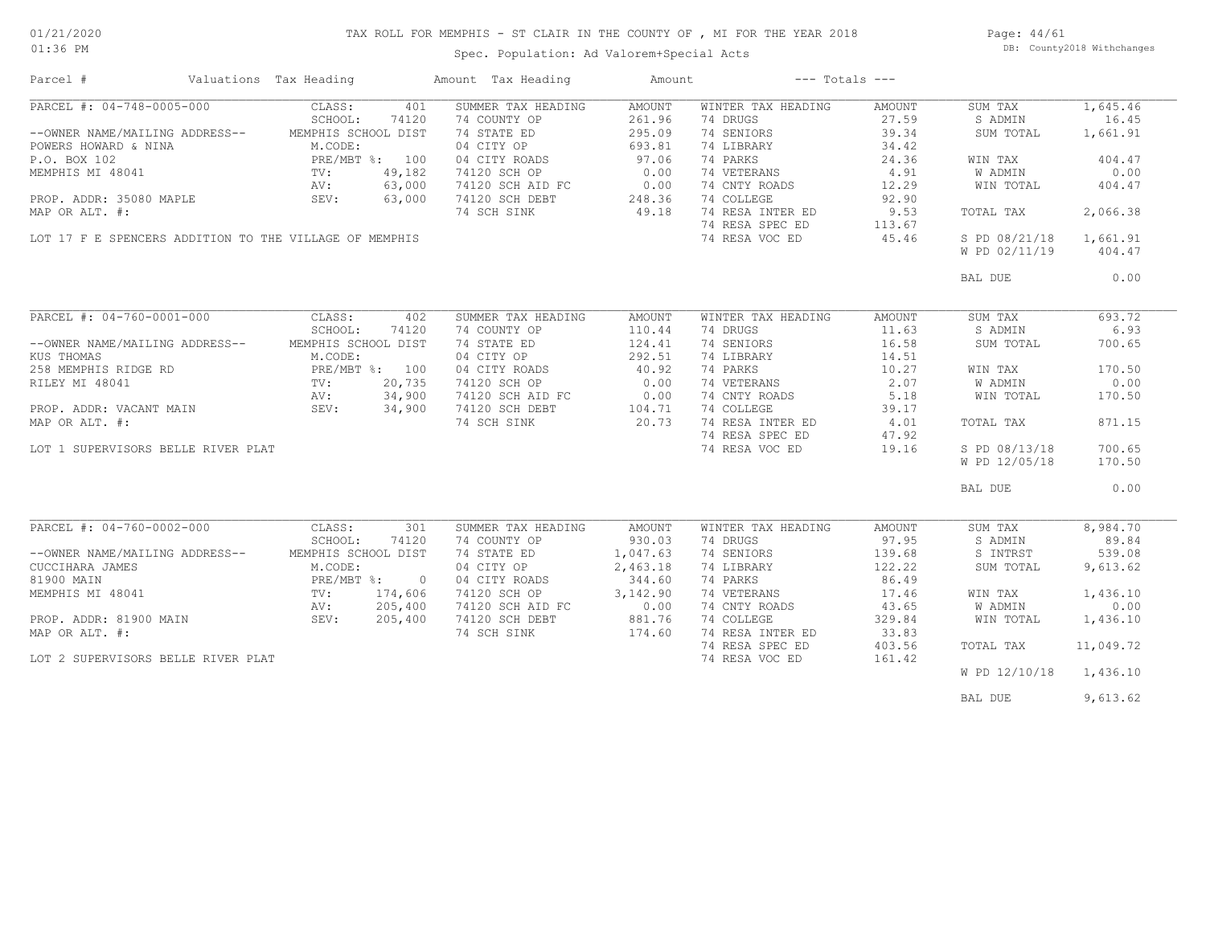### TAX ROLL FOR MEMPHIS - ST CLAIR IN THE COUNTY OF , MI FOR THE YEAR 2018

Spec. Population: Ad Valorem+Special Acts

Page: 44/61 DB: County2018 Withchanges

| Parcel #                                               | Valuations Tax Heading |                | Amount Tax Heading | Amount                                        | $---$ Totals $---$ |        |               |           |
|--------------------------------------------------------|------------------------|----------------|--------------------|-----------------------------------------------|--------------------|--------|---------------|-----------|
| PARCEL #: 04-748-0005-000                              | CLASS:                 | 401            | SUMMER TAX HEADING | AMOUNT                                        | WINTER TAX HEADING | AMOUNT | SUM TAX       | 1,645.46  |
|                                                        | SCHOOL:                | 74120          | 74 COUNTY OP       | 261.96                                        | 74 DRUGS           | 27.59  | S ADMIN       | 16.45     |
| --OWNER NAME/MAILING ADDRESS--                         | MEMPHIS SCHOOL DIST    |                | 74 STATE ED        | 295.09                                        | 74 SENIORS         | 39.34  | SUM TOTAL     | 1,661.91  |
| POWERS HOWARD & NINA                                   | M.CODE:                |                | 04 CITY OP         | 693.81                                        | 74 LIBRARY         | 34.42  |               |           |
| P.O. BOX 102                                           |                        | PRE/MBT %: 100 | 04 CITY ROADS      | 97.06                                         | 74 PARKS           | 24.36  | WIN TAX       | 404.47    |
| MEMPHIS MI 48041                                       | PRE/N<br>TV:           | 49,182         | 74120 SCH OP       | 0.00                                          | 74 VETERANS        | 4.91   | W ADMIN       | 0.00      |
|                                                        |                        | 63,000         |                    | 0.00                                          | 74 CNTY ROADS      | 12.29  |               | 404.47    |
|                                                        | AV:                    |                | 74120 SCH AID FC   |                                               |                    |        | WIN TOTAL     |           |
| PROP. ADDR: 35080 MAPLE                                | SEV:                   | 63,000         | 74120 SCH DEBT     | 248.36                                        | 74 COLLEGE         | 92.90  |               |           |
| MAP OR ALT. #:                                         |                        |                | 74 SCH SINK        | 49.18                                         | 74 RESA INTER ED   | 9.53   | TOTAL TAX     | 2,066.38  |
|                                                        |                        |                |                    |                                               | 74 RESA SPEC ED    | 113.67 |               |           |
| LOT 17 F E SPENCERS ADDITION TO THE VILLAGE OF MEMPHIS |                        |                |                    |                                               | 74 RESA VOC ED     | 45.46  | S PD 08/21/18 | 1,661.91  |
|                                                        |                        |                |                    |                                               |                    |        | W PD 02/11/19 | 404.47    |
|                                                        |                        |                |                    |                                               |                    |        | BAL DUE       | 0.00      |
|                                                        |                        |                |                    |                                               |                    |        |               |           |
| PARCEL #: 04-760-0001-000                              | CLASS:                 | 402            | SUMMER TAX HEADING | AMOUNT                                        | WINTER TAX HEADING | AMOUNT | SUM TAX       | 693.72    |
|                                                        | SCHOOL:                | 74120          | 74 COUNTY OP       | 110.44                                        | 74 DRUGS           | 11.63  | S ADMIN       | 6.93      |
| --OWNER NAME/MAILING ADDRESS--                         | MEMPHIS SCHOOL DIST    |                | 74 STATE ED        | 124.41                                        | 74 SENIORS         | 16.58  | SUM TOTAL     | 700.65    |
| KUS THOMAS                                             | M.CODE:                |                | 04 CITY OP         | 292.51                                        | 74 LIBRARY         | 14.51  |               |           |
| 258 MEMPHIS RIDGE RD                                   |                        | PRE/MBT %: 100 | 04 CITY ROADS      | 40.92                                         | 74 PARKS           | 10.27  | WIN TAX       | 170.50    |
|                                                        |                        |                |                    |                                               |                    |        |               |           |
| RILEY MI 48041                                         | TV:                    | 20,735         | 74120 SCH OP       | 0.00                                          | 74 VETERANS        | 2.07   | W ADMIN       | 0.00      |
|                                                        |                        | 34,900         | 74120 SCH AID FC   | $\begin{array}{c} 0.00 \\ 104.71 \end{array}$ | 74 CNTY ROADS      | 5.18   | WIN TOTAL     | 170.50    |
|                                                        |                        | 34,900         | 74120 SCH DEBT     |                                               | 74 COLLEGE         | 39.17  |               |           |
| MAP OR ALT. #:                                         |                        |                | 74 SCH SINK        | 20.73                                         | 74 RESA INTER ED   | 4.01   | TOTAL TAX     | 871.15    |
|                                                        |                        |                |                    |                                               | 74 RESA SPEC ED    | 47.92  |               |           |
| LOT 1 SUPERVISORS BELLE RIVER PLAT                     |                        |                |                    |                                               | 74 RESA VOC ED     | 19.16  | S PD 08/13/18 | 700.65    |
|                                                        |                        |                |                    |                                               |                    |        | W PD 12/05/18 | 170.50    |
|                                                        |                        |                |                    |                                               |                    |        | BAL DUE       | 0.00      |
|                                                        |                        |                |                    |                                               |                    |        |               |           |
| PARCEL #: 04-760-0002-000                              | CLASS:                 | 301            | SUMMER TAX HEADING | AMOUNT                                        | WINTER TAX HEADING | AMOUNT | SUM TAX       | 8,984.70  |
|                                                        | SCHOOL:                | 74120          | 74 COUNTY OP       | 930.03                                        | 74 DRUGS           | 97.95  | S ADMIN       | 89.84     |
| --OWNER NAME/MAILING ADDRESS--                         | MEMPHIS SCHOOL DIST    |                | 74 STATE ED        | 1,047.63                                      | 74 SENIORS         | 139.68 | S INTRST      | 539.08    |
| CUCCIHARA JAMES                                        | M.CODE:                |                | 04 CITY OP         | 2,463.18                                      | 74 LIBRARY         | 122.22 | SUM TOTAL     | 9,613.62  |
| 81900 MAIN                                             |                        | PRE/MBT %: 0   | 04 CITY ROADS      | 344.60                                        | 74 PARKS           | 86.49  |               |           |
| MEMPHIS MI 48041                                       | TV:                    | 174,606        | 74120 SCH OP       | 3,142.90                                      | 74 VETERANS        | 17.46  | WIN TAX       | 1,436.10  |
|                                                        | AV:                    | 205,400        | 74120 SCH AID FC   | 0.00                                          | 74 CNTY ROADS      | 43.65  | W ADMIN       | 0.00      |
|                                                        | <br>SEV:               | 205,400        |                    | 881.76                                        | 74 COLLEGE         | 329.84 |               | 1,436.10  |
| PROP. ADDR: 81900 MAIN                                 |                        |                | 74120 SCH DEBT     |                                               |                    |        | WIN TOTAL     |           |
| MAP OR ALT. #:                                         |                        |                | 74 SCH SINK        | 174.60                                        | 74 RESA INTER ED   | 33.83  |               |           |
|                                                        |                        |                |                    |                                               | 74 RESA SPEC ED    | 403.56 | TOTAL TAX     | 11,049.72 |
| LOT 2 SUPERVISORS BELLE RIVER PLAT                     |                        |                |                    |                                               | 74 RESA VOC ED     | 161.42 |               |           |
|                                                        |                        |                |                    |                                               |                    |        | W PD 12/10/18 | 1,436.10  |
|                                                        |                        |                |                    |                                               |                    |        | BAL DUE       | 9,613.62  |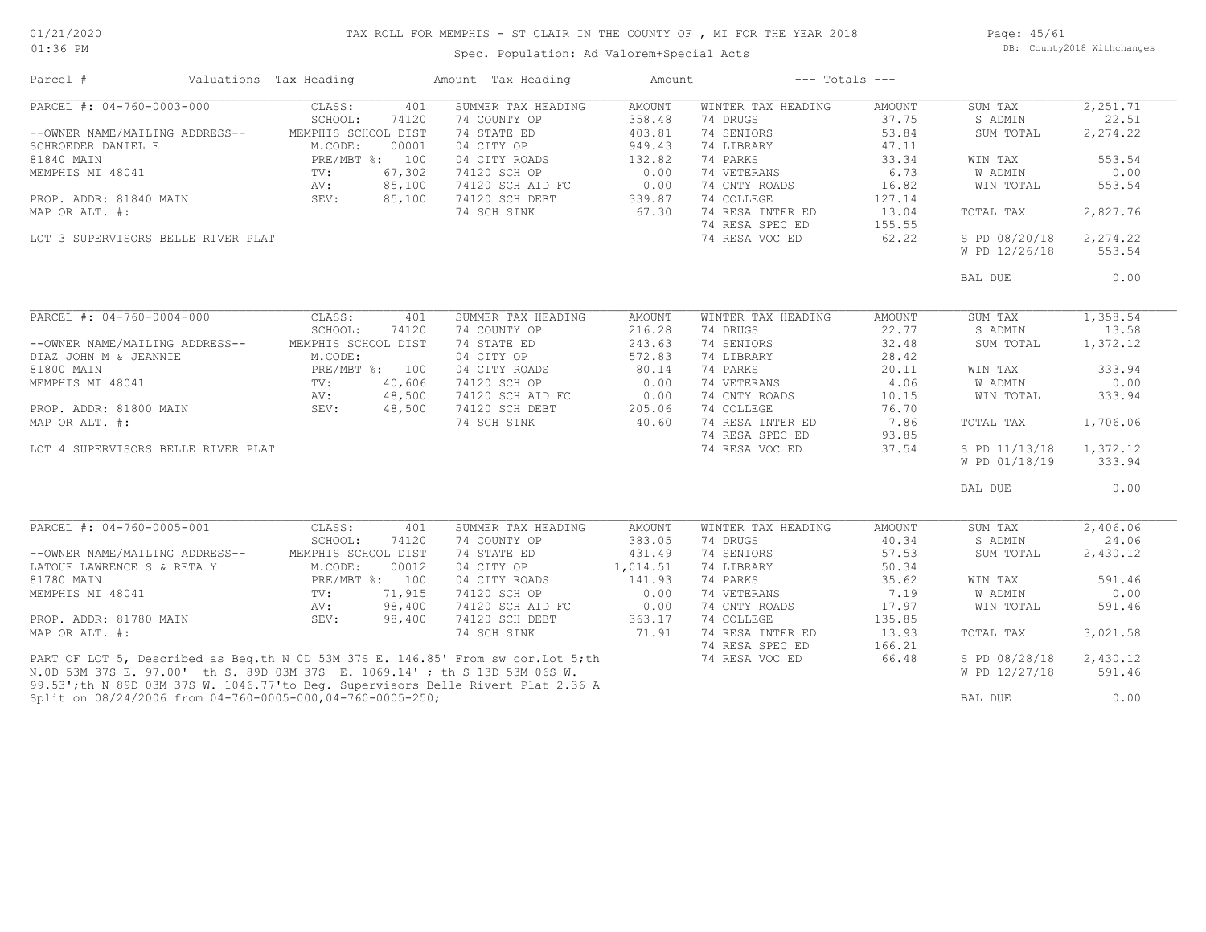# TAX ROLL FOR MEMPHIS - ST CLAIR IN THE COUNTY OF , MI FOR THE YEAR 2018

01:36 PM

### Spec. Population: Ad Valorem+Special Acts

Page: 45/61 DB: County2018 Withchanges

| Parcel #                                                                          | Valuations Tax Heading       | Amount Tax Heading          | Amount                  | $---$ Totals $---$             |                 |                    |                   |
|-----------------------------------------------------------------------------------|------------------------------|-----------------------------|-------------------------|--------------------------------|-----------------|--------------------|-------------------|
| PARCEL #: 04-760-0003-000                                                         | CLASS:<br>401<br>SCHOOL:     | SUMMER TAX HEADING          | <b>AMOUNT</b><br>358.48 | WINTER TAX HEADING<br>74 DRUGS | AMOUNT<br>37.75 | SUM TAX<br>S ADMIN | 2,251.71<br>22.51 |
| --OWNER NAME/MAILING ADDRESS--                                                    | 74120<br>MEMPHIS SCHOOL DIST | 74 COUNTY OP<br>74 STATE ED | 403.81                  | 74 SENIORS                     | 53.84           | SUM TOTAL          | 2,274.22          |
| SCHROEDER DANIEL E                                                                | M.CODE:<br>00001             | 04 CITY OP                  | 949.43                  | 74 LIBRARY                     | 47.11           |                    |                   |
| 81840 MAIN                                                                        | PRE/MBT %: 100               | 04 CITY ROADS               | 132.82                  | 74 PARKS                       | 33.34           | WIN TAX            | 553.54            |
| MEMPHIS MI 48041                                                                  | 67,302<br>TV:                | 74120 SCH OP                | 0.00                    | 74 VETERANS                    | 6.73            | W ADMIN            | 0.00              |
|                                                                                   | 85,100<br>AV:                | 74120 SCH AID FC            | 0.00                    | 74 CNTY ROADS                  | 16.82           | WIN TOTAL          | 553.54            |
| PROP. ADDR: 81840 MAIN                                                            | 85,100<br>SEV:               | 74120 SCH DEBT              | 339.87                  | 74 COLLEGE                     | 127.14          |                    |                   |
| MAP OR ALT. #:                                                                    |                              | 74 SCH SINK                 | 67.30                   | 74 RESA INTER ED               | 13.04           | TOTAL TAX          | 2,827.76          |
|                                                                                   |                              |                             |                         | 74 RESA SPEC ED                | 155.55          |                    |                   |
| LOT 3 SUPERVISORS BELLE RIVER PLAT                                                |                              |                             |                         | 74 RESA VOC ED                 | 62.22           | S PD 08/20/18      | 2,274.22          |
|                                                                                   |                              |                             |                         |                                |                 | W PD 12/26/18      | 553.54            |
|                                                                                   |                              |                             |                         |                                |                 | BAL DUE            | 0.00              |
|                                                                                   |                              |                             |                         |                                |                 |                    |                   |
| PARCEL #: 04-760-0004-000                                                         | CLASS:<br>401                | SUMMER TAX HEADING          | AMOUNT                  | WINTER TAX HEADING             | AMOUNT          | SUM TAX            | 1,358.54          |
|                                                                                   | SCHOOL:<br>74120             | 74 COUNTY OP                | 216.28                  | 74 DRUGS                       | 22.77           | S ADMIN            | 13.58             |
| --OWNER NAME/MAILING ADDRESS--                                                    | MEMPHIS SCHOOL DIST          | 74 STATE ED                 | 243.63                  | 74 SENIORS                     | 32.48           | SUM TOTAL          | 1,372.12          |
| DIAZ JOHN M & JEANNIE                                                             | M.CODE:                      | 04 CITY OP                  | 572.83                  | 74 LIBRARY                     | 28.42           |                    |                   |
| 81800 MAIN                                                                        | PRE/MBT %: 100               | 04 CITY ROADS               | 80.14                   | 74 PARKS                       | 20.11           | WIN TAX            | 333.94            |
| MEMPHIS MI 48041                                                                  | 40,606<br>TV:                | 74120 SCH OP                | 0.00                    | 74 VETERANS                    | 4.06            | W ADMIN            | 0.00              |
|                                                                                   | 48,500<br>AV:                | 74120 SCH AID FC            | 0.00                    | 74 CNTY ROADS                  | 10.15           | WIN TOTAL          | 333.94            |
| PROP. ADDR: 81800 MAIN                                                            | SEV:<br>48,500               | 74120 SCH DEBT              | 205.06                  | 74 COLLEGE                     | 76.70           |                    |                   |
| MAP OR ALT. #:                                                                    |                              | 74 SCH SINK                 | 40.60                   | 74 RESA INTER ED               | 7.86            | TOTAL TAX          | 1,706.06          |
|                                                                                   |                              |                             |                         | 74 RESA SPEC ED                | 93.85           |                    |                   |
| LOT 4 SUPERVISORS BELLE RIVER PLAT                                                |                              |                             |                         | 74 RESA VOC ED                 | 37.54           | S PD 11/13/18      | 1,372.12          |
|                                                                                   |                              |                             |                         |                                |                 | W PD 01/18/19      | 333.94            |
|                                                                                   |                              |                             |                         |                                |                 | BAL DUE            | 0.00              |
| PARCEL #: 04-760-0005-001                                                         | CLASS:<br>401                | SUMMER TAX HEADING          | AMOUNT                  | WINTER TAX HEADING             | AMOUNT          | SUM TAX            | 2,406.06          |
|                                                                                   | SCHOOL:<br>74120             | 74 COUNTY OP                | 383.05                  | 74 DRUGS                       | 40.34           | S ADMIN            | 24.06             |
| --OWNER NAME/MAILING ADDRESS--                                                    | MEMPHIS SCHOOL DIST          | 74 STATE ED                 | 431.49                  | 74 SENIORS                     | 57.53           | SUM TOTAL          | 2,430.12          |
| LATOUF LAWRENCE S & RETA Y                                                        | M.CODE:<br>00012             | 04 CITY OP                  | 1,014.51                | 74 LIBRARY                     | 50.34           |                    |                   |
| 81780 MAIN                                                                        | PRE/MBT %: 100               | 04 CITY ROADS               | 141.93                  | 74 PARKS                       | 35.62           | WIN TAX            | 591.46            |
| MEMPHIS MI 48041                                                                  | 71,915<br>TV:                | 74120 SCH OP                | 0.00                    | 74 VETERANS                    | 7.19            | W ADMIN            | 0.00              |
|                                                                                   | 98,400<br>AV:                | 74120 SCH AID FC            | 0.00                    | 74 CNTY ROADS                  | 17.97           | WIN TOTAL          | 591.46            |
| PROP. ADDR: 81780 MAIN                                                            | SEV:<br>98,400               | 74120 SCH DEBT              | 363.17                  | 74 COLLEGE                     | 135.85          |                    |                   |
| MAP OR ALT. #:                                                                    |                              | 74 SCH SINK                 | 71.91                   | 74 RESA INTER ED               | 13.93           | TOTAL TAX          | 3,021.58          |
|                                                                                   |                              |                             |                         | 74 RESA SPEC ED                | 166.21          |                    |                   |
| PART OF LOT 5, Described as Beg.th N 0D 53M 37S E. 146.85' From sw cor. Lot 5; th |                              |                             |                         | 74 RESA VOC ED                 | 66.48           | S PD 08/28/18      | 2,430.12          |
| N.OD 53M 37S E. 97.00' th S. 89D 03M 37S E. 1069.14'; th S 13D 53M 06S W.         |                              |                             |                         |                                |                 | W PD 12/27/18      | 591.46            |
| 99.53';th N 89D 03M 37S W. 1046.77'to Beq. Supervisors Belle Rivert Plat 2.36 A   |                              |                             |                         |                                |                 |                    |                   |
| Split on 08/24/2006 from 04-760-0005-000,04-760-0005-250;                         |                              |                             |                         |                                |                 | BAL DUE            | 0.00              |
|                                                                                   |                              |                             |                         |                                |                 |                    |                   |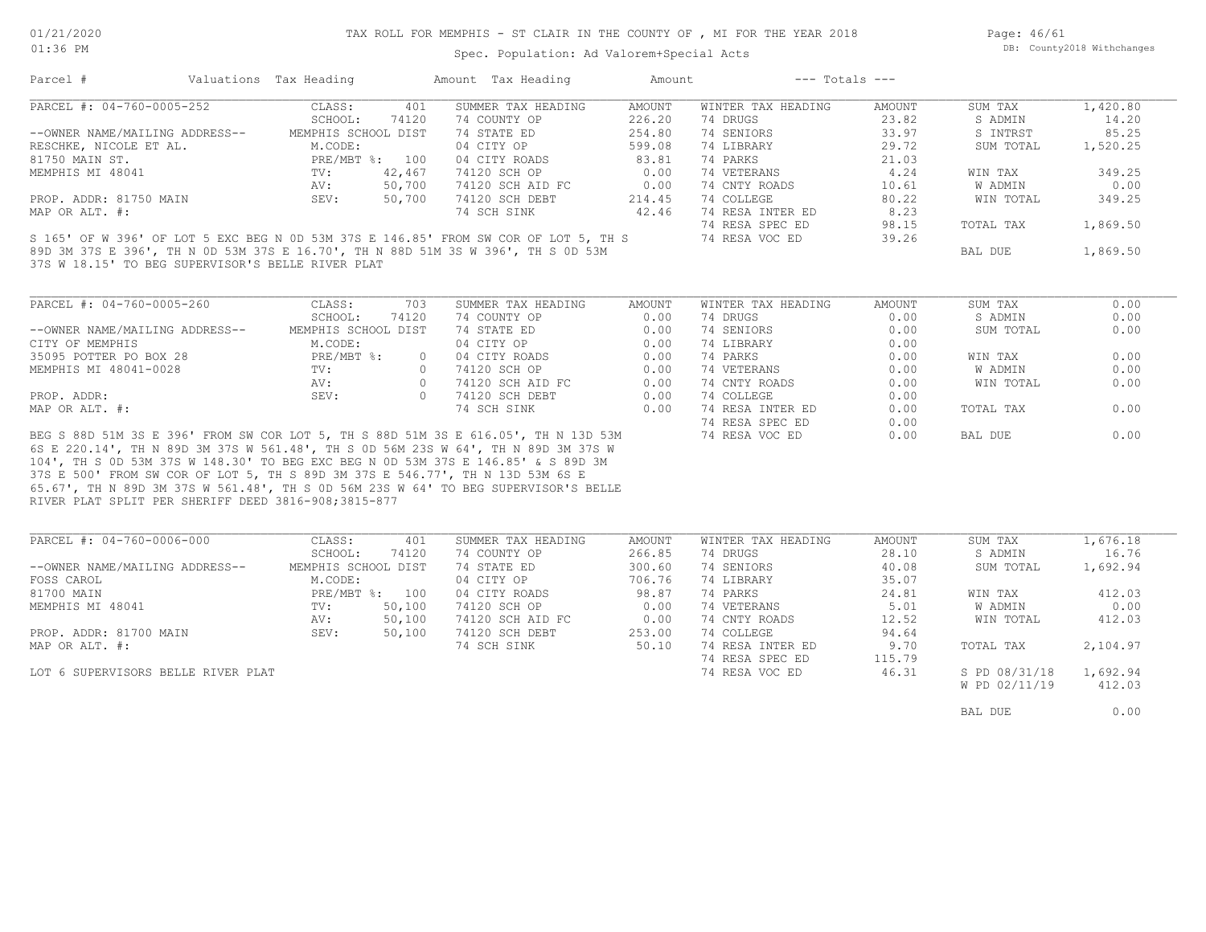Spec. Population: Ad Valorem+Special Acts

Page: 46/61 DB: County2018 Withchanges

| Parcel #                                                                            | Valuations Tax Heading  | Amount Tax Heading          | Amount        | $---$ Totals $---$ |        |           |          |
|-------------------------------------------------------------------------------------|-------------------------|-----------------------------|---------------|--------------------|--------|-----------|----------|
| PARCEL #: 04-760-0005-252                                                           | CLASS:                  | 401<br>SUMMER TAX HEADING   | AMOUNT        | WINTER TAX HEADING | AMOUNT | SUM TAX   | 1,420.80 |
|                                                                                     | SCHOOL:                 | 74120<br>74 COUNTY OP       | 226.20        | 74 DRUGS           | 23.82  | S ADMIN   | 14.20    |
| --OWNER NAME/MAILING ADDRESS--                                                      | MEMPHIS SCHOOL DIST     | 74 STATE ED                 | 254.80        | 74 SENIORS         | 33.97  | S INTRST  | 85.25    |
| RESCHKE, NICOLE ET AL.                                                              | M.CODE:                 | 04 CITY OP                  | 599.08        | 74 LIBRARY         | 29.72  | SUM TOTAL | 1,520.25 |
| 81750 MAIN ST.                                                                      | PRE/MBT %: 100          | 04 CITY ROADS               | 83.81         | 74 PARKS           | 21.03  |           |          |
| MEMPHIS MI 48041                                                                    | 42,467<br>$\text{TV}$ : | 74120 SCH OP                | 0.00          | 74 VETERANS        | 4.24   | WIN TAX   | 349.25   |
|                                                                                     | 50,700<br>AV:           | 74120 SCH AID FC            | 0.00          | 74 CNTY ROADS      | 10.61  | W ADMIN   | 0.00     |
| PROP. ADDR: 81750 MAIN                                                              | SEV:<br>50,700          | 74120 SCH DEBT              | 214.45        | 74 COLLEGE         | 80.22  | WIN TOTAL | 349.25   |
| MAP OR ALT. #:                                                                      |                         | 74 SCH SINK                 | 42.46         | 74 RESA INTER ED   | 8.23   |           |          |
|                                                                                     |                         |                             |               | 74 RESA SPEC ED    | 98.15  | TOTAL TAX | 1,869.50 |
| S 165' OF W 396' OF LOT 5 EXC BEG N 0D 53M 37S E 146.85' FROM SW COR OF LOT 5, TH S |                         |                             |               | 74 RESA VOC ED     | 39.26  |           |          |
| 89D 3M 37S E 396', TH N OD 53M 37S E 16.70', TH N 88D 51M 3S W 396', TH S OD 53M    |                         |                             |               |                    |        | BAL DUE   | 1,869.50 |
| 37S W 18.15' TO BEG SUPERVISOR'S BELLE RIVER PLAT                                   |                         |                             |               |                    |        |           |          |
| PARCEL #: 04-760-0005-260                                                           | CLASS:                  | 703<br>SUMMER TAX HEADING   | <b>AMOUNT</b> | WINTER TAX HEADING | AMOUNT | SUM TAX   | 0.00     |
|                                                                                     | SCHOOL:                 | 74120<br>74 COUNTY OP       | 0.00          | 74 DRUGS           | 0.00   | S ADMIN   | 0.00     |
| --OWNER NAME/MAILING ADDRESS--                                                      | MEMPHIS SCHOOL DIST     | 74 STATE ED                 | 0.00          | 74 SENIORS         | 0.00   | SUM TOTAL | 0.00     |
| CITY OF MEMPHIS                                                                     | M.CODE:                 | 04 CITY OP                  | 0.00          | 74 LIBRARY         | 0.00   |           |          |
| 35095 POTTER PO BOX 28                                                              | PRE/MBT %:              | 04 CITY ROADS<br>$\Omega$   | 0.00          | 74 PARKS           | 0.00   | WIN TAX   | 0.00     |
| MEMPHIS MI 48041-0028                                                               | TV:                     | 74120 SCH OP<br>$\bigcirc$  | 0.00          | 74 VETERANS        | 0.00   | W ADMIN   | 0.00     |
|                                                                                     | AV:                     | $\circ$<br>74120 SCH AID FC | 0.00          | 74 CNTY ROADS      | 0.00   | WIN TOTAL | 0.00     |
| PROP. ADDR:                                                                         | SEV:                    | $\Omega$<br>74120 SCH DEBT  | 0.00          | 74 COLLEGE         | 0.00   |           |          |
| MAP OR ALT. #:                                                                      |                         | 74 SCH SINK                 | 0.00          | 74 RESA INTER ED   | 0.00   | TOTAL TAX | 0.00     |
|                                                                                     |                         |                             |               | 74 RESA SPEC ED    | 0.00   |           |          |
| BEG S 88D 51M 3S E 396' FROM SW COR LOT 5, TH S 88D 51M 3S E 616.05', TH N 13D 53M  |                         |                             |               | 74 RESA VOC ED     | 0.00   | BAL DUE   | 0.00     |
| 6S E 220.14', TH N 89D 3M 37S W 561.48', TH S OD 56M 23S W 64', TH N 89D 3M 37S W   |                         |                             |               |                    |        |           |          |
| 104', TH S OD 53M 37S W 148.30' TO BEG EXC BEG N OD 53M 37S E 146.85' & S 89D 3M    |                         |                             |               |                    |        |           |          |
| 37S E 500' FROM SW COR OF LOT 5, TH S 89D 3M 37S E 546.77', TH N 13D 53M 6S E       |                         |                             |               |                    |        |           |          |
| 65.67', TH N 89D 3M 37S W 561.48', TH S OD 56M 23S W 64' TO BEG SUPERVISOR'S BELLE  |                         |                             |               |                    |        |           |          |
| RIVER PLAT SPLIT PER SHERIFF DEED 3816-908;3815-877                                 |                         |                             |               |                    |        |           |          |

| PARCEL #: 04-760-0006-000          | CLASS:              | 401    | SUMMER TAX HEADING | AMOUNT | WINTER TAX HEADING | AMOUNT | SUM TAX       | 1,676.18 |
|------------------------------------|---------------------|--------|--------------------|--------|--------------------|--------|---------------|----------|
|                                    | SCHOOL:             | 74120  | 74 COUNTY OP       | 266.85 | 74 DRUGS           | 28.10  | S ADMIN       | 16.76    |
| --OWNER NAME/MAILING ADDRESS--     | MEMPHIS SCHOOL DIST |        | 74 STATE ED        | 300.60 | 74 SENIORS         | 40.08  | SUM TOTAL     | 1,692.94 |
| FOSS CAROL                         | M.CODE:             |        | 04 CITY OP         | 706.76 | 74 LIBRARY         | 35.07  |               |          |
| 81700 MAIN                         | $PRE/MBT$ %:        | 100    | 04 CITY ROADS      | 98.87  | 74 PARKS           | 24.81  | WIN TAX       | 412.03   |
| MEMPHIS MI 48041                   | TV:                 | 50,100 | 74120 SCH OP       | 0.00   | 74 VETERANS        | 5.01   | W ADMIN       | 0.00     |
|                                    | AV:                 | 50,100 | 74120 SCH AID FC   | 0.00   | 74 CNTY ROADS      | 12.52  | WIN TOTAL     | 412.03   |
| PROP. ADDR: 81700 MAIN             | SEV:                | 50,100 | 74120 SCH DEBT     | 253.00 | 74 COLLEGE         | 94.64  |               |          |
| MAP OR ALT. #:                     |                     |        | 74 SCH SINK        | 50.10  | 74 RESA INTER ED   | 9.70   | TOTAL TAX     | 2,104.97 |
|                                    |                     |        |                    |        | 74 RESA SPEC ED    | 115.79 |               |          |
| LOT 6 SUPERVISORS BELLE RIVER PLAT |                     |        |                    |        | 74 RESA VOC ED     | 46.31  | S PD 08/31/18 | 1,692.94 |
|                                    |                     |        |                    |        |                    |        | W PD 02/11/19 | 412.03   |

BAL DUE  $0.00$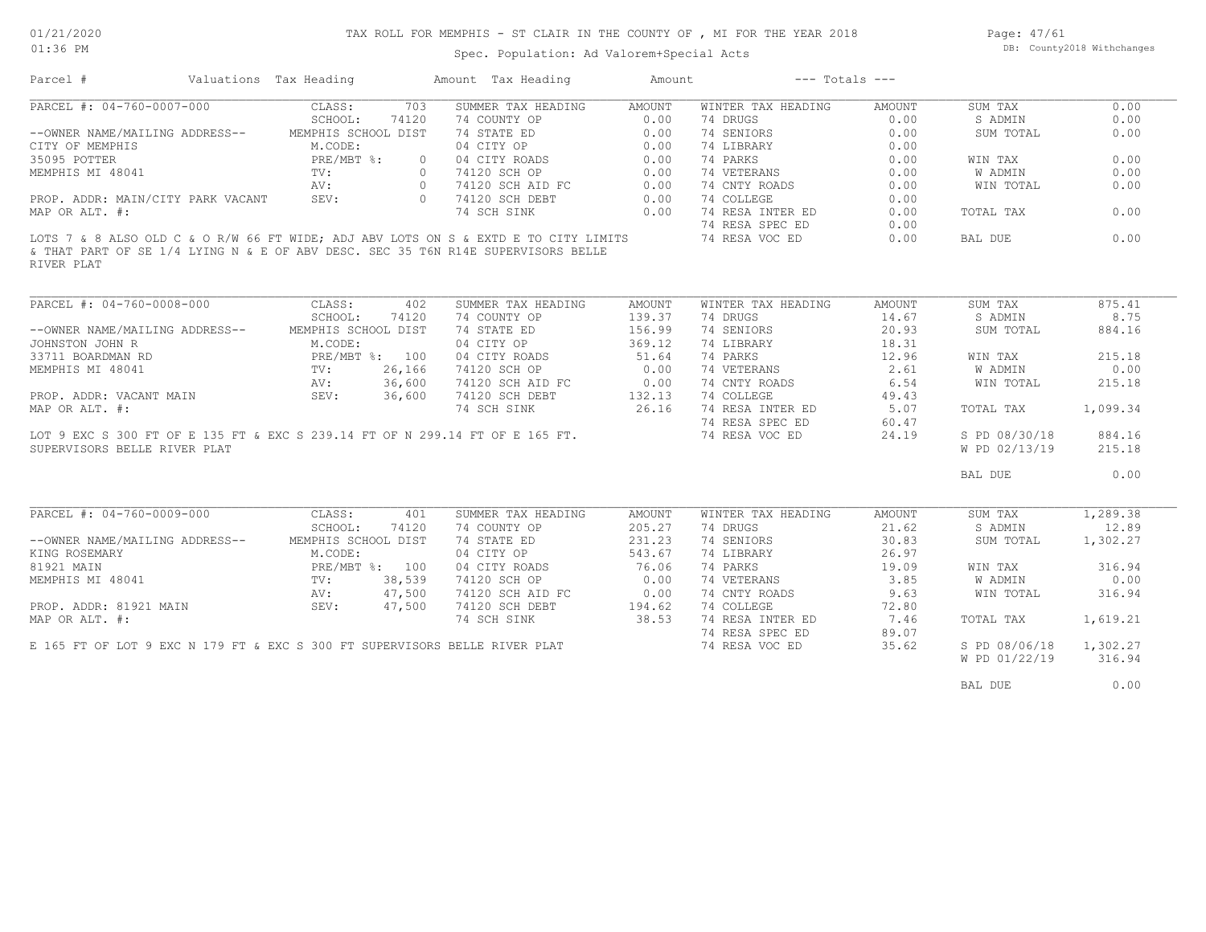Page: 47/61 DB: County2018 Withchanges

Spec. Population: Ad Valorem+Special Acts

| Parcel #                                                                                                       | Valuations Tax Heading |                                                                           |         | Amount Tax Heading                              | Amount |                        | $---$ Totals $---$ |                                                                                                                |          |
|----------------------------------------------------------------------------------------------------------------|------------------------|---------------------------------------------------------------------------|---------|-------------------------------------------------|--------|------------------------|--------------------|----------------------------------------------------------------------------------------------------------------|----------|
| PARCEL #: 04-760-0007-000                                                                                      |                        | CLASS:                                                                    | 703     | SUMMER TAX HEADING                              | AMOUNT | WINTER TAX HEADING     | AMOUNT             | SUM TAX                                                                                                        | 0.00     |
|                                                                                                                |                        | SCHOOL:                                                                   | 74120   | 74 COUNTY OP<br>74 STATE ED<br>04 CITY OP       | 0.00   | 74 DRUGS               | 0.00               | S ADMIN                                                                                                        | 0.00     |
| --OWNER NAME/MAILING ADDRESS--                                                                                 |                        | MEMPHIS SCHOOL DIST                                                       |         |                                                 | 0.00   | 74 SENIORS             | 0.00               | SUM TOTAL                                                                                                      | 0.00     |
| CITY OF MEMPHIS                                                                                                |                        | M.CODE:                                                                   |         |                                                 | 0.00   | 74 LIBRARY             | 0.00               |                                                                                                                |          |
| 35095 POTTER                                                                                                   |                        | PRE/MBT %:                                                                | $\circ$ |                                                 | 0.00   | 74 PARKS               | 0.00               | WIN TAX                                                                                                        | 0.00     |
| MEMPHIS MI 48041                                                                                               |                        | TV:                                                                       |         | 04 CITY ROADS<br>74120 SCH OP<br>0 74120 SCH OP | 0.00   | 74 VETERANS            | 0.00               | W ADMIN                                                                                                        | 0.00     |
|                                                                                                                |                        | AV:                                                                       |         | 0 74120 SCH AID FC                              | 0.00   | 74 CNTY ROADS          | 0.00               | WIN TOTAL                                                                                                      | 0.00     |
| PROP. ADDR: MAIN/CITY PARK VACANT                                                                              |                        | SEV:                                                                      |         | 0 74120 SCH DEBT                                | 0.00   | 74 COLLEGE             | 0.00               |                                                                                                                |          |
| MAP OR ALT. #:                                                                                                 |                        |                                                                           |         | 74 SCH SINK                                     |        | 0.00 74 RESA INTER ED  | 0.00               | TOTAL TAX                                                                                                      | 0.00     |
|                                                                                                                |                        |                                                                           |         |                                                 |        | 74 RESA SPEC ED        | 0.00               |                                                                                                                |          |
| LOTS 7 & 8 ALSO OLD C & O R/W 66 FT WIDE; ADJ ABV LOTS ON S & EXTD E TO CITY LIMITS                            |                        |                                                                           |         |                                                 |        | 74 RESA VOC ED         | 0.00               | BAL DUE                                                                                                        | 0.00     |
| & THAT PART OF SE 1/4 LYING N & E OF ABV DESC. SEC 35 T6N R14E SUPERVISORS BELLE                               |                        |                                                                           |         |                                                 |        |                        |                    |                                                                                                                |          |
| RIVER PLAT                                                                                                     |                        |                                                                           |         |                                                 |        |                        |                    |                                                                                                                |          |
|                                                                                                                |                        |                                                                           |         |                                                 |        |                        |                    |                                                                                                                |          |
|                                                                                                                |                        |                                                                           |         |                                                 |        |                        |                    |                                                                                                                |          |
| PARCEL #: 04-760-0008-000                                                                                      |                        | CLASS:                                                                    | 402     | SUMMER TAX HEADING                              | AMOUNT | WINTER TAX HEADING     | AMOUNT             | SUM TAX                                                                                                        | 875.41   |
|                                                                                                                |                        | SCHOOL:                                                                   | 74120   | 74 COUNTY OP                                    | 139.37 | 74 DRUGS               | 14.67              | S ADMIN                                                                                                        | 8.75     |
| --OWNER NAME/MAILING ADDRESS-- MEMPHIS SCHOOL DIST                                                             |                        |                                                                           |         | 74 STATE ED                                     | 156.99 | 74 SENIORS             | 20.93              | SUM TOTAL                                                                                                      | 884.16   |
| 33711 BOARDMAN RD<br>33711 BOARDMAN RD<br>MEMPHIS MI 48041 TV: 26,166<br>AV: 36,600                            |                        |                                                                           |         | 04 CITY OP                                      | 369.12 | 74 LIBRARY             | 18.31              |                                                                                                                |          |
|                                                                                                                |                        |                                                                           |         | 04 CITY ROADS                                   | 51.64  | 74 PARKS               | 12.96              | WIN TAX                                                                                                        | 215.18   |
|                                                                                                                |                        |                                                                           |         | 74120 SCH OP                                    | 0.00   | 74 VETERANS            | 2.61               | W ADMIN                                                                                                        | 0.00     |
|                                                                                                                |                        |                                                                           |         | 74120 SCH AID FC                                | 0.00   | 74 CNTY ROADS          | 6.54               | WIN TOTAL                                                                                                      | 215.18   |
| PROP. ADDR: VACANT MAIN SEV: 36,600                                                                            |                        |                                                                           |         | 74120 SCH DEBT                                  | 132.13 | 74 COLLEGE             | 49.43              |                                                                                                                |          |
| MAP OR ALT. #:                                                                                                 |                        |                                                                           |         | 74 SCH SINK                                     |        | 26.16 74 RESA INTER ED | 5.07               | TOTAL TAX                                                                                                      | 1,099.34 |
|                                                                                                                |                        |                                                                           |         |                                                 |        | 74 RESA SPEC ED        | 60.47              |                                                                                                                |          |
| LOT 9 EXC S 300 FT OF E 135 FT & EXC S 239.14 FT OF N 299.14 FT OF E 165 FT.                                   |                        |                                                                           |         |                                                 |        | 74 RESA VOC ED         | 24.19              | S PD 08/30/18                                                                                                  | 884.16   |
| SUPERVISORS BELLE RIVER PLAT                                                                                   |                        |                                                                           |         |                                                 |        |                        |                    | W PD 02/13/19                                                                                                  | 215.18   |
|                                                                                                                |                        |                                                                           |         |                                                 |        |                        |                    | BAL DUE                                                                                                        | 0.00     |
|                                                                                                                |                        |                                                                           |         |                                                 |        |                        |                    |                                                                                                                |          |
| PARCEL #: 04-760-0009-000                                                                                      |                        | CLASS:                                                                    | 401     | SUMMER TAX HEADING                              | AMOUNT | WINTER TAX HEADING     | AMOUNT             | SUM TAX                                                                                                        | 1,289.38 |
|                                                                                                                |                        | SCHOOL:                                                                   | 74120   | 74 COUNTY OP                                    | 205.27 | 74 DRUGS               | 21.62              | S ADMIN                                                                                                        | 12.89    |
| --OWNER NAME/MAILING ADDRESS-- MEMPHIS SCHOOL DIST                                                             |                        |                                                                           |         | 74 STATE ED                                     | 231.23 | 74 SENIORS             | 30.83              | SUM TOTAL                                                                                                      | 1,302.27 |
| KING ROSEMARY                                                                                                  |                        |                                                                           |         | 04 CITY OP                                      | 543.67 | 74 LIBRARY             | 26.97              |                                                                                                                |          |
| 81921 MAIN                                                                                                     |                        | M.CODE:<br>PRE/MBT %: 100<br>TV: 38,539<br>AV: 47,500<br>MAIN SEV: 47,500 |         | 04 CITY ROADS                                   | 76.06  | 74 PARKS               | 19.09              | WIN TAX                                                                                                        | 316.94   |
| MEMPHIS MI 48041                                                                                               |                        |                                                                           |         | 74120 SCH OP                                    | 0.00   | 74 VETERANS            | 3.85               | W ADMIN                                                                                                        | 0.00     |
|                                                                                                                |                        |                                                                           |         | 74120 SCH AID FC                                | 0.00   | 74 CNTY ROADS          | 9.63               | WIN TOTAL                                                                                                      | 316.94   |
| PROP. ADDR: 81921 MAIN                                                                                         |                        |                                                                           |         | 74120 SCH DEBT                                  | 194.62 | 74 COLLEGE             | 72.80              |                                                                                                                |          |
| MAP OR ALT. #:                                                                                                 |                        |                                                                           |         | 74 SCH SINK                                     | 38.53  | 74 RESA INTER ED       | 7.46               | TOTAL TAX                                                                                                      | 1,619.21 |
|                                                                                                                |                        |                                                                           |         |                                                 |        |                        |                    |                                                                                                                |          |
| 1000 Andreas Andreas Andreas Andreas Andreas Andreas Andreas Andreas Andreas Andreas Andreas Andreas Andreas A |                        |                                                                           |         |                                                 |        | 74 RESA SPEC ED        | 89.07              | in the second contract of the second contract of the second contract of the second second second second second |          |

W PD 01/22/19 316.94

E 165 FT OF LOT 9 EXC N 179 FT & EXC S 300 FT SUPERVISORS BELLE RIVER PLAT 74 RESA VOC ED 35.62 S PD 08/06/18 1,302.27

BAL DUE  $0.00$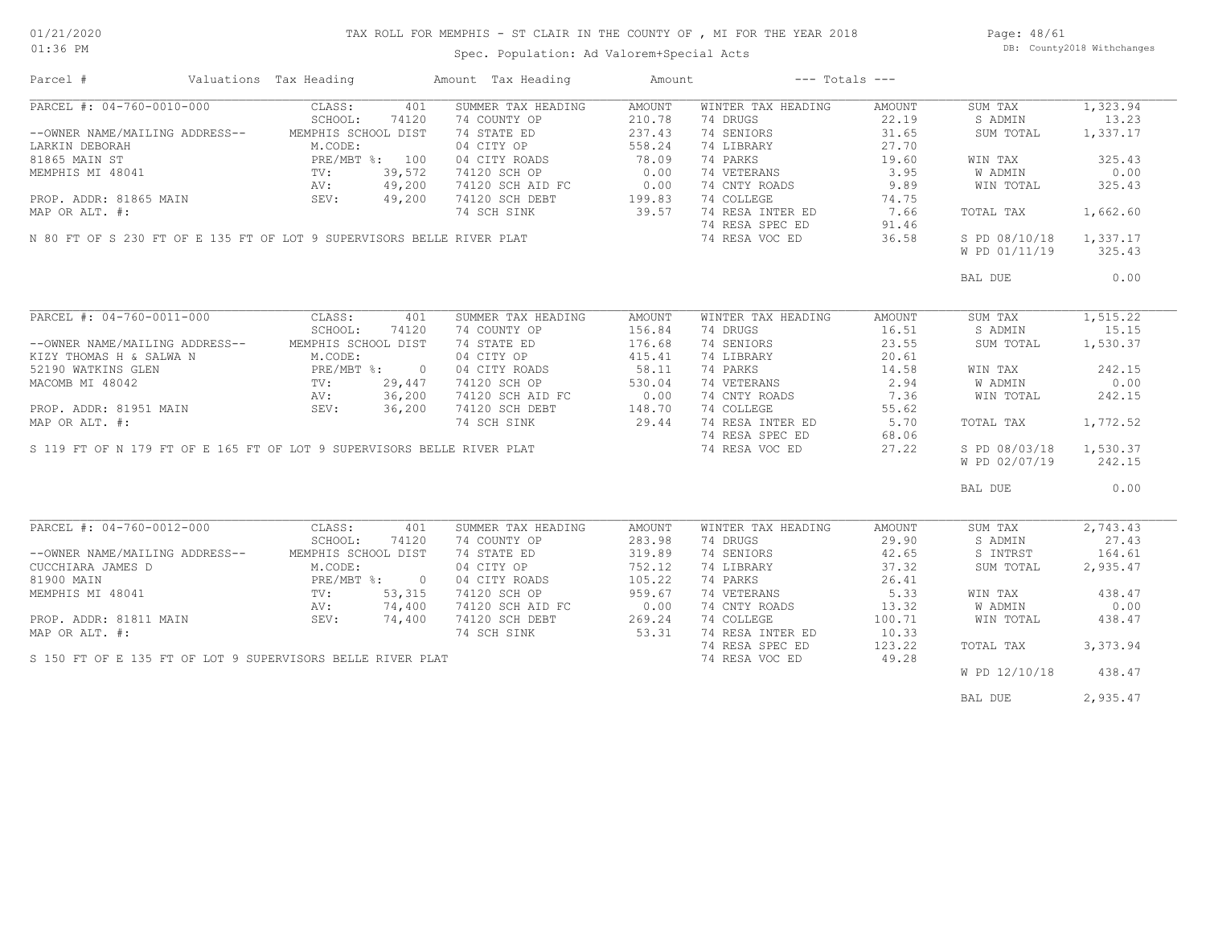### TAX ROLL FOR MEMPHIS - ST CLAIR IN THE COUNTY OF , MI FOR THE YEAR 2018

Spec. Population: Ad Valorem+Special Acts

Page: 48/61 DB: County2018 Withchanges

| Parcel #                                                                                                                                                                                                              | Valuations Tax Heading |        | Amount Tax Heading                                                     | Amount           |                    | $---$ Totals $---$ |               |           |
|-----------------------------------------------------------------------------------------------------------------------------------------------------------------------------------------------------------------------|------------------------|--------|------------------------------------------------------------------------|------------------|--------------------|--------------------|---------------|-----------|
| PARCEL #: 04-760-0010-000                                                                                                                                                                                             | CLASS:                 | 401    | SUMMER TAX HEADING                                                     | AMOUNT           | WINTER TAX HEADING | AMOUNT             | SUM TAX       | 1,323.94  |
|                                                                                                                                                                                                                       | SCHOOL:                | 74120  | 74 COUNTY OP                                                           | 210.78           | 74 DRUGS           | 22.19              | S ADMIN       | 13.23     |
| -OWNER NAME/MAILING ADDRESS<br>LARKIN DEBORAH M.CODE.<br>81865 MAIN ST PRE/MBT %: 100<br>MEMPHIS MI 48041 TV: 39,572<br>NV: 49,200<br>NV: 49,200<br>SEV: 49,200                                                       |                        |        | 74 STATE ED                                                            | 237.43           | 74 SENIORS         | 31.65              | SUM TOTAL     | 1,337.17  |
|                                                                                                                                                                                                                       |                        |        | 04 CITY OP                                                             | 558.24           | 74 LIBRARY         | 27.70              |               |           |
|                                                                                                                                                                                                                       |                        |        | 04 CITY ROADS                                                          | 78.09            | 74 PARKS           | 19.60              | WIN TAX       | 325.43    |
|                                                                                                                                                                                                                       |                        |        | 74120 SCH OP                                                           | 0.00             | 74 VETERANS        | 3.95               | W ADMIN       | 0.00      |
|                                                                                                                                                                                                                       |                        |        |                                                                        | 0.00             | 74 CNTY ROADS      | 9.89               |               | 325.43    |
|                                                                                                                                                                                                                       |                        |        | 74120 SCH AID FC                                                       | $0.00$<br>199.83 |                    |                    | WIN TOTAL     |           |
|                                                                                                                                                                                                                       |                        |        | 74120 SCH DEBT                                                         |                  | 74 COLLEGE         | 74.75              |               |           |
|                                                                                                                                                                                                                       |                        |        | 74 SCH SINK                                                            | 39.57            | 74 RESA INTER ED   | 7.66               | TOTAL TAX     | 1,662.60  |
|                                                                                                                                                                                                                       |                        |        |                                                                        |                  | 74 RESA SPEC ED    | 91.46              |               |           |
|                                                                                                                                                                                                                       |                        |        | N 80 FT OF S 230 FT OF E 135 FT OF LOT 9 SUPERVISORS BELLE RIVER PLAT  |                  | 74 RESA VOC ED     | 36.58              | S PD 08/10/18 | 1,337.17  |
|                                                                                                                                                                                                                       |                        |        |                                                                        |                  |                    |                    | W PD 01/11/19 | 325.43    |
|                                                                                                                                                                                                                       |                        |        |                                                                        |                  |                    |                    | BAL DUE       | 0.00      |
|                                                                                                                                                                                                                       |                        |        |                                                                        |                  |                    |                    |               |           |
| PARCEL #: 04-760-0011-000 CLASS:                                                                                                                                                                                      |                        | 401    | SUMMER TAX HEADING                                                     | AMOUNT           | WINTER TAX HEADING | AMOUNT             | SUM TAX       | 1, 515.22 |
|                                                                                                                                                                                                                       | SCHOOL:                | 74120  | 74 COUNTY OP                                                           | 156.84           | 74 DRUGS           | 16.51              | S ADMIN       | 15.15     |
| --OWNER NAME/MAILING ADDRESS-- MEMPHIS SCHOOL DIST                                                                                                                                                                    |                        |        | 74 STATE ED                                                            | 176.68           | 74 SENIORS         | 23.55              | SUM TOTAL     | 1,530.37  |
| KIZY THOMAS H & SALWA N                                                                                                                                                                                               | M.CODE:                |        | 04 CITY OP                                                             | 415.41           | 74 LIBRARY         | 20.61              |               |           |
|                                                                                                                                                                                                                       |                        |        | 04 CITY ROADS                                                          | 58.11            | 74 PARKS           | 14.58              | WIN TAX       | 242.15    |
|                                                                                                                                                                                                                       |                        |        |                                                                        |                  |                    |                    |               |           |
|                                                                                                                                                                                                                       |                        |        | 74120 SCH OP                                                           | 530.04           | 74 VETERANS        | 2.94               | W ADMIN       | 0.00      |
|                                                                                                                                                                                                                       |                        |        | 74120 SCH AID FC 0.00<br>74120 SCH DEBT 148.70                         |                  | 74 CNTY ROADS      | 7.36               | WIN TOTAL     | 242.15    |
|                                                                                                                                                                                                                       |                        |        |                                                                        |                  | 74 COLLEGE         | 55.62              |               |           |
| MAP OR ALT. #:                                                                                                                                                                                                        |                        |        | 74 SCH SINK                                                            | 29.44            | 74 RESA INTER ED   | 5.70               | TOTAL TAX     | 1,772.52  |
|                                                                                                                                                                                                                       |                        |        |                                                                        |                  | 74 RESA SPEC ED    | 68.06              |               |           |
|                                                                                                                                                                                                                       |                        |        | S 119 FT OF N 179 FT OF E 165 FT OF LOT 9 SUPERVISORS BELLE RIVER PLAT |                  | 74 RESA VOC ED     | 27.22              | S PD 08/03/18 | 1,530.37  |
|                                                                                                                                                                                                                       |                        |        |                                                                        |                  |                    |                    | W PD 02/07/19 | 242.15    |
|                                                                                                                                                                                                                       |                        |        |                                                                        |                  |                    |                    | BAL DUE       | 0.00      |
|                                                                                                                                                                                                                       |                        |        |                                                                        |                  |                    |                    |               |           |
| PARCEL #: 04-760-0012-000                                                                                                                                                                                             | CLASS:                 | 401    | SUMMER TAX HEADING                                                     | AMOUNT           | WINTER TAX HEADING | AMOUNT             | SUM TAX       | 2,743.43  |
|                                                                                                                                                                                                                       | SCHOOL:                | 74120  | 74 COUNTY OP                                                           | 283.98           | 74 DRUGS           | 29.90              | S ADMIN       | 27.43     |
| --OWNER NAME/MAILING ADDRESS--                                                                                                                                                                                        | MEMPHIS SCHOOL DIST    |        | 74 STATE ED                                                            | 319.89           | 74 SENIORS         | 42.65              | S INTRST      | 164.61    |
| CUCCHIARA JAMES D                                                                                                                                                                                                     | M.CODE:                |        | 04 CITY OP                                                             | 752.12           | 74 LIBRARY         | 37.32              | SUM TOTAL     | 2,935.47  |
|                                                                                                                                                                                                                       | PRE/MBT %: 0           |        | 04 CITY ROADS                                                          | 105.22           | 74 PARKS           | 26.41              |               |           |
| ${\small \begin{array}{lll} \tt 81900\\ \tt MEMPHIS\\ \tt MI & 48041 \end{array}} {\small \begin{array}{lll} \tt 91900\\ \tt 1011\\ \tt TV: \end{array}} {\small \begin{array}{lll} \tt PRE/M\\ \tt TV: \end{array}}$ |                        | 53,315 | 74120 SCH OP                                                           | 959.67           | 74 VETERANS        | 5.33               | WIN TAX       | 438.47    |
|                                                                                                                                                                                                                       | AV:                    | 74,400 | 74120 SCH AID FC                                                       | 0.00             | 74 CNTY ROADS      | 13.32              | W ADMIN       | 0.00      |
| PROP. ADDR: 81811 MAIN                                                                                                                                                                                                | SEV: 74,400            |        | 74120 SCH DEBT                                                         | 269.24           | 74 COLLEGE         | 100.71             | WIN TOTAL     | 438.47    |
| MAP OR ALT. #:                                                                                                                                                                                                        |                        |        | 74 SCH SINK 53.31                                                      |                  | 74 RESA INTER ED   | 10.33              |               |           |
|                                                                                                                                                                                                                       |                        |        |                                                                        |                  | 74 RESA SPEC ED    | 123.22             | TOTAL TAX     | 3, 373.94 |
|                                                                                                                                                                                                                       |                        |        | S 150 FT OF E 135 FT OF LOT 9 SUPERVISORS BELLE RIVER PLAT             |                  |                    |                    |               |           |
|                                                                                                                                                                                                                       |                        |        |                                                                        |                  | 74 RESA VOC ED     | 49.28              | W PD 12/10/18 | 438.47    |
|                                                                                                                                                                                                                       |                        |        |                                                                        |                  |                    |                    |               |           |
|                                                                                                                                                                                                                       |                        |        |                                                                        |                  |                    |                    | BAL DUE       | 2,935.47  |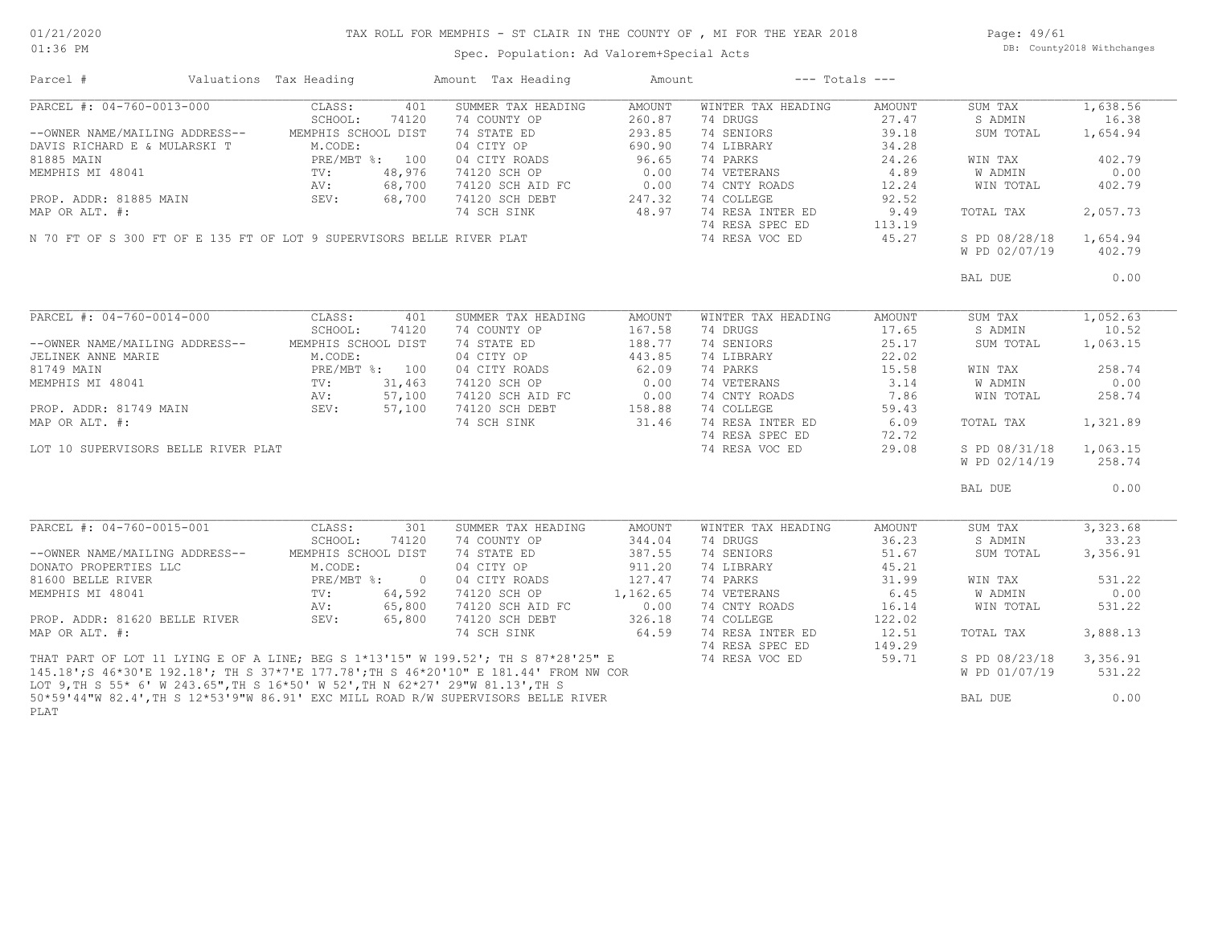# TAX ROLL FOR MEMPHIS - ST CLAIR IN THE COUNTY OF , MI FOR THE YEAR 2018

Spec. Population: Ad Valorem+Special Acts

Page: 49/61 DB: County2018 Withchanges

| Parcel #                                                                              | Valuations Tax Heading |                     |        | Amount Tax Heading | Amount   |                    | $---$ Totals $---$ |                |          |
|---------------------------------------------------------------------------------------|------------------------|---------------------|--------|--------------------|----------|--------------------|--------------------|----------------|----------|
| PARCEL #: 04-760-0013-000                                                             |                        | CLASS:              | 401    | SUMMER TAX HEADING | AMOUNT   | WINTER TAX HEADING | AMOUNT             | SUM TAX        | 1,638.56 |
|                                                                                       |                        | SCHOOL:             | 74120  | 74 COUNTY OP       | 260.87   | 74 DRUGS           | 27.47              | S ADMIN        | 16.38    |
| --OWNER NAME/MAILING ADDRESS--                                                        |                        | MEMPHIS SCHOOL DIST |        | 74 STATE ED        | 293.85   | 74 SENIORS         | 39.18              | SUM TOTAL      | 1,654.94 |
| DAVIS RICHARD E & MULARSKI T                                                          |                        | M.CODE:             |        | 04 CITY OP         | 690.90   | 74 LIBRARY         | 34.28              |                |          |
| 81885 MAIN                                                                            |                        | PRE/MBT %: 100      |        | 04 CITY ROADS      | 96.65    | 74 PARKS           | 24.26              |                | 402.79   |
|                                                                                       |                        |                     |        |                    |          |                    |                    | WIN TAX        |          |
| MEMPHIS MI 48041                                                                      |                        | $\text{TV}$ :       | 48,976 | 74120 SCH OP       | 0.00     | 74 VETERANS        | 4.89               | W ADMIN        | 0.00     |
|                                                                                       |                        | AV:                 | 68,700 | 74120 SCH AID FC   | 0.00     | 74 CNTY ROADS      | 12.24              | WIN TOTAL      | 402.79   |
| PROP. ADDR: 81885 MAIN                                                                |                        | SEV:                | 68,700 | 74120 SCH DEBT     | 247.32   | 74 COLLEGE         | 92.52              |                |          |
| MAP OR ALT. #:                                                                        |                        |                     |        | 74 SCH SINK        | 48.97    | 74 RESA INTER ED   | 9.49               | TOTAL TAX      | 2,057.73 |
|                                                                                       |                        |                     |        |                    |          | 74 RESA SPEC ED    | 113.19             |                |          |
| N 70 FT OF S 300 FT OF E 135 FT OF LOT 9 SUPERVISORS BELLE RIVER PLAT                 |                        |                     |        |                    |          | 74 RESA VOC ED     | 45.27              | S PD 08/28/18  | 1,654.94 |
|                                                                                       |                        |                     |        |                    |          |                    |                    | W PD 02/07/19  | 402.79   |
|                                                                                       |                        |                     |        |                    |          |                    |                    |                |          |
|                                                                                       |                        |                     |        |                    |          |                    |                    | BAL DUE        | 0.00     |
|                                                                                       |                        |                     |        |                    |          |                    |                    |                |          |
|                                                                                       |                        |                     |        |                    |          |                    |                    |                |          |
| PARCEL #: 04-760-0014-000                                                             |                        | CLASS:              | 401    | SUMMER TAX HEADING | AMOUNT   | WINTER TAX HEADING | AMOUNT             | SUM TAX        | 1,052.63 |
|                                                                                       |                        | SCHOOL:             | 74120  | 74 COUNTY OP       | 167.58   | 74 DRUGS           | 17.65              | S ADMIN        | 10.52    |
| --OWNER NAME/MAILING ADDRESS--                                                        |                        | MEMPHIS SCHOOL DIST |        | 74 STATE ED        | 188.77   | 74 SENIORS         | 25.17              | SUM TOTAL      | 1,063.15 |
| JELINEK ANNE MARIE                                                                    |                        | M.CODE:             |        | 04 CITY OP         | 443.85   | 74 LIBRARY         | 22.02              |                |          |
| 81749 MAIN                                                                            |                        | PRE/MBT %: 100      |        | 04 CITY ROADS      | 62.09    | 74 PARKS           | 15.58              | WIN TAX        | 258.74   |
| MEMPHIS MI 48041                                                                      |                        | $\text{TV}$ :       | 31,463 | 74120 SCH OP       | 0.00     | 74 VETERANS        | 3.14               | W ADMIN        | 0.00     |
|                                                                                       |                        | AV:                 | 57,100 |                    | 0.00     | 74 CNTY ROADS      | 7.86               | WIN TOTAL      |          |
|                                                                                       |                        |                     |        | 74120 SCH AID FC   |          |                    |                    |                | 258.74   |
| PROP. ADDR: 81749 MAIN                                                                |                        | SEV:                | 57,100 | 74120 SCH DEBT     | 158.88   | 74 COLLEGE         | 59.43              |                |          |
| MAP OR ALT. #:                                                                        |                        |                     |        | 74 SCH SINK        | 31.46    | 74 RESA INTER ED   | 6.09               | TOTAL TAX      | 1,321.89 |
|                                                                                       |                        |                     |        |                    |          | 74 RESA SPEC ED    | 72.72              |                |          |
| LOT 10 SUPERVISORS BELLE RIVER PLAT                                                   |                        |                     |        |                    |          | 74 RESA VOC ED     | 29.08              | S PD 08/31/18  | 1,063.15 |
|                                                                                       |                        |                     |        |                    |          |                    |                    | W PD 02/14/19  | 258.74   |
|                                                                                       |                        |                     |        |                    |          |                    |                    |                |          |
|                                                                                       |                        |                     |        |                    |          |                    |                    | BAL DUE        | 0.00     |
|                                                                                       |                        |                     |        |                    |          |                    |                    |                |          |
|                                                                                       |                        |                     |        |                    |          |                    |                    |                |          |
| PARCEL #: 04-760-0015-001                                                             |                        | CLASS:              | 301    | SUMMER TAX HEADING | AMOUNT   | WINTER TAX HEADING | AMOUNT             | SUM TAX        | 3,323.68 |
|                                                                                       |                        | SCHOOL:             | 74120  | 74 COUNTY OP       | 344.04   | 74 DRUGS           | 36.23              | S ADMIN        | 33.23    |
| --OWNER NAME/MAILING ADDRESS--                                                        |                        | MEMPHIS SCHOOL DIST |        | 74 STATE ED        | 387.55   | 74 SENIORS         | 51.67              | SUM TOTAL      | 3,356.91 |
| DONATO PROPERTIES LLC                                                                 |                        | M.CODE:             |        | 04 CITY OP         | 911.20   | 74 LIBRARY         | 45.21              |                |          |
| 81600 BELLE RIVER                                                                     |                        | PRE/MBT %: 0        |        | 04 CITY ROADS      | 127.47   | 74 PARKS           | 31.99              | WIN TAX        | 531.22   |
| MEMPHIS MI 48041                                                                      |                        | TV:                 | 64,592 | 74120 SCH OP       | 1,162.65 | 74 VETERANS        | 6.45               | W ADMIN        | 0.00     |
|                                                                                       |                        | AV:                 | 65,800 | 74120 SCH AID FC   | 0.00     | 74 CNTY ROADS      | 16.14              | WIN TOTAL      | 531.22   |
| PROP. ADDR: 81620 BELLE RIVER                                                         |                        | SEV:                | 65,800 | 74120 SCH DEBT     | 326.18   | 74 COLLEGE         | 122.02             |                |          |
| MAP OR ALT. #:                                                                        |                        |                     |        | 74 SCH SINK        | 64.59    | 74 RESA INTER ED   | 12.51              | TOTAL TAX      | 3,888.13 |
|                                                                                       |                        |                     |        |                    |          | 74 RESA SPEC ED    | 149.29             |                |          |
|                                                                                       |                        |                     |        |                    |          |                    |                    |                |          |
| THAT PART OF LOT 11 LYING E OF A LINE; BEG S 1*13'15" W 199.52'; TH S 87*28'25" E     |                        |                     |        |                    |          | 74 RESA VOC ED     | 59.71              | S PD 08/23/18  | 3,356.91 |
| 145.18'; S 46*30'E 192.18'; TH S 37*7'E 177.78'; TH S 46*20'10" E 181.44' FROM NW COR |                        |                     |        |                    |          |                    |                    | W PD 01/07/19  | 531.22   |
| LOT 9, TH S 55* 6' W 243.65", TH S 16*50' W 52', TH N 62*27' 29"W 81.13', TH S        |                        |                     |        |                    |          |                    |                    |                |          |
| 50*59'44"W 82.4', TH S 12*53'9"W 86.91' EXC MILL ROAD R/W SUPERVISORS BELLE RIVER     |                        |                     |        |                    |          |                    |                    | <b>BAL DUE</b> | 0.00     |
| PLAT                                                                                  |                        |                     |        |                    |          |                    |                    |                |          |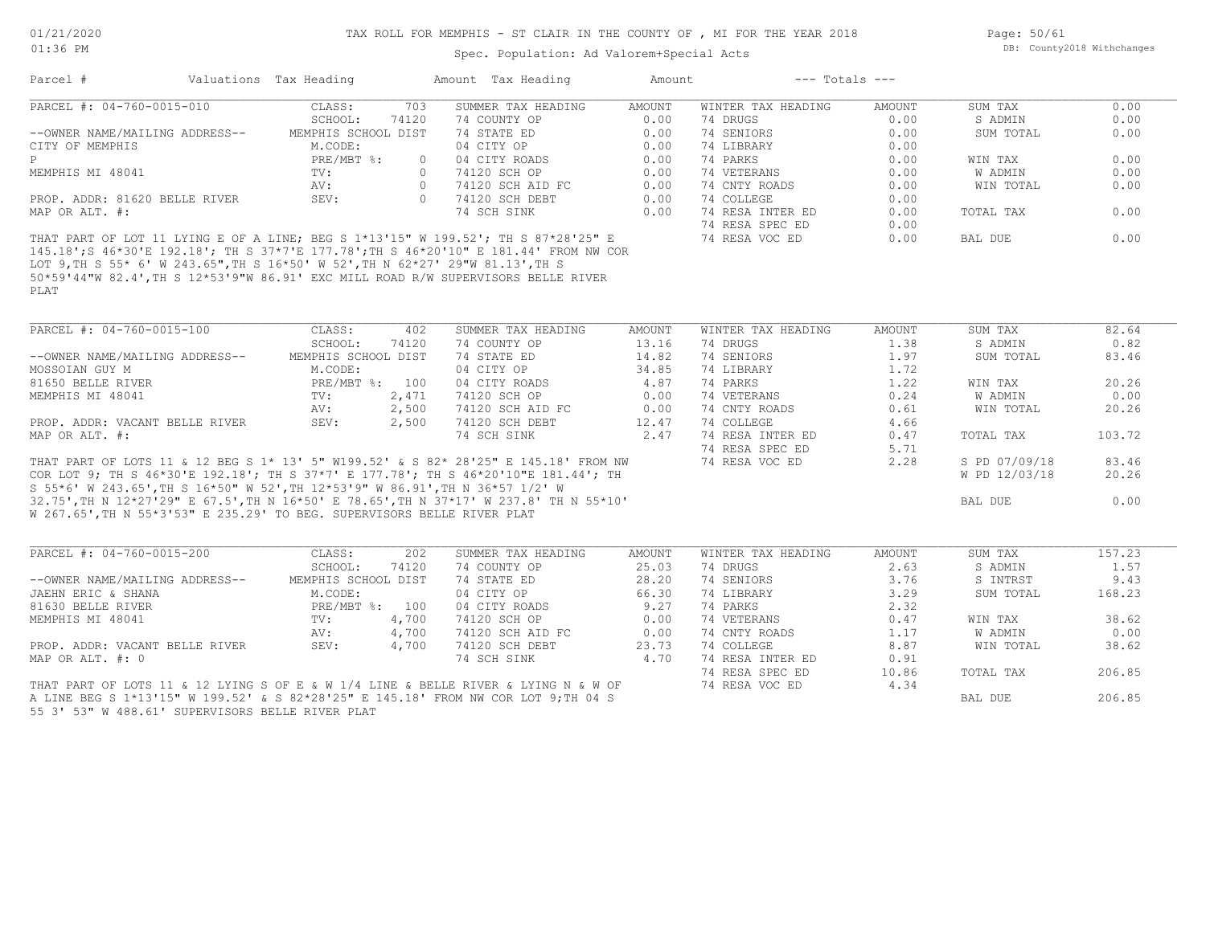#### TAX ROLL FOR MEMPHIS - ST CLAIR IN THE COUNTY OF , MI FOR THE YEAR 2018

Spec. Population: Ad Valorem+Special Acts

Page: 50/61 DB: County2018 Withchanges

| Parcel #                       | Valuations Tax Heading |        | Amount Tax Heading                                                                  | Amount | $---$ Totals $---$ |        |           |      |
|--------------------------------|------------------------|--------|-------------------------------------------------------------------------------------|--------|--------------------|--------|-----------|------|
| PARCEL #: 04-760-0015-010      | CLASS:                 | 703    | SUMMER TAX HEADING                                                                  | AMOUNT | WINTER TAX HEADING | AMOUNT | SUM TAX   | 0.00 |
|                                | SCHOOL:                | 74120  | 74 COUNTY OP                                                                        | 0.00   | 74 DRUGS           | 0.00   | S ADMIN   | 0.00 |
| --OWNER NAME/MAILING ADDRESS-- | MEMPHIS SCHOOL DIST    |        | 74 STATE ED                                                                         | 0.00   | 74 SENIORS         | 0.00   | SUM TOTAL | 0.00 |
| CITY OF MEMPHIS                | M.CODE:                |        | 04 CITY OP                                                                          | 0.00   | 74 LIBRARY         | 0.00   |           |      |
|                                | PRE/MBT %:             | $\cap$ | 04 CITY ROADS                                                                       | 0.00   | 74 PARKS           | 0.00   | WIN TAX   | 0.00 |
| MEMPHIS MI 48041               | TV:                    |        | 74120 SCH OP                                                                        | 0.00   | 74 VETERANS        | 0.00   | W ADMIN   | 0.00 |
|                                | AV:                    |        | 74120 SCH AID FC                                                                    | 0.00   | 74 CNTY ROADS      | 0.00   | WIN TOTAL | 0.00 |
| PROP. ADDR: 81620 BELLE RIVER  | SEV:                   |        | 74120 SCH DEBT                                                                      | 0.00   | 74 COLLEGE         | 0.00   |           |      |
| MAP OR ALT. #:                 |                        |        | 74 SCH SINK                                                                         | 0.00   | 74 RESA INTER ED   | 0.00   | TOTAL TAX | 0.00 |
|                                |                        |        |                                                                                     |        | 74 RESA SPEC ED    | 0.00   |           |      |
|                                |                        |        | THAT PART OF LOT 11 LYING E OF A LINE; BEG S 1*13'15" W 199.52'; TH S 87*28'25" E   |        | 74 RESA VOC ED     | 0.00   | BAL DUE   | 0.00 |
|                                |                        |        | 145 18':S 46*30'E 192 18': TH S 37*7'E 177 78':TH S 46*20'10" E 181 44' FROM NW COR |        |                    |        |           |      |

PLAT 50\*59'44"W 82.4',TH S 12\*53'9"W 86.91' EXC MILL ROAD R/W SUPERVISORS BELLE RIVER LOT 9,TH S 55\* 6' W 243.65",TH S 16\*50' W 52',TH N 62\*27' 29"W 81.13',TH S 145.18';S 46\*30'E 192.18'; TH S 37\*7'E 177.78';TH S 46\*20'10" E 181.44' FROM NW COR

| PARCEL #: 04-760-0015-100                                                           | CLASS:              | 402   | SUMMER TAX HEADING | AMOUNT | WINTER TAX HEADING | AMOUNT | SUM TAX       | 82.64  |
|-------------------------------------------------------------------------------------|---------------------|-------|--------------------|--------|--------------------|--------|---------------|--------|
|                                                                                     | SCHOOL:             | 74120 | 74 COUNTY OP       | 13.16  | 74 DRUGS           | 1.38   | S ADMIN       | 0.82   |
| --OWNER NAME/MAILING ADDRESS--                                                      | MEMPHIS SCHOOL DIST |       | 74 STATE ED        | 14.82  | 74 SENIORS         | 1.97   | SUM TOTAL     | 83.46  |
| MOSSOIAN GUY M                                                                      | M.CODE:             |       | 04 CITY OP         | 34.85  | 74 LIBRARY         | 1.72   |               |        |
| 81650 BELLE RIVER                                                                   | PRE/MBT %: 100      |       | 04 CITY ROADS      | 4.87   | 74 PARKS           | 1.22   | WIN TAX       | 20.26  |
| MEMPHIS MI 48041                                                                    | TV:                 | 2,471 | 74120 SCH OP       | 0.00   | 74 VETERANS        | 0.24   | W ADMIN       | 0.00   |
|                                                                                     | AV:                 | 2,500 | 74120 SCH AID FC   | 0.00   | 74 CNTY ROADS      | 0.61   | WIN TOTAL     | 20.26  |
| PROP. ADDR: VACANT BELLE RIVER                                                      | SEV:                | 2,500 | 74120 SCH DEBT     | 12.47  | 74 COLLEGE         | 4.66   |               |        |
| MAP OR ALT. #:                                                                      |                     |       | 74 SCH SINK        | 2.47   | 74 RESA INTER ED   | 0.47   | TOTAL TAX     | 103.72 |
|                                                                                     |                     |       |                    |        | 74 RESA SPEC ED    | 5.71   |               |        |
| THAT PART OF LOTS 11 & 12 BEG S 1* 13' 5" W199.52' & S 82* 28'25" E 145.18' FROM NW |                     |       |                    |        | 74 RESA VOC ED     | 2.28   | S PD 07/09/18 | 83.46  |
| COR LOT 9; TH S 46*30'E 192.18'; TH S 37*7' E 177.78'; TH S 46*20'10"E 181.44'; TH  |                     |       |                    |        |                    |        | W PD 12/03/18 | 20.26  |
| S 55*6' W 243.65', TH S 16*50" W 52', TH 12*53'9" W 86.91', TH N 36*57 1/2' W       |                     |       |                    |        |                    |        |               |        |
| 32.75',TH N 12*27'29" E 67.5',TH N 16*50' E 78.65',TH N 37*17' W 237.8' TH N 55*10' |                     |       |                    |        |                    |        | BAL DUE       | 0.00   |
| W 267.65', TH N 55*3'53" E 235.29' TO BEG. SUPERVISORS BELLE RIVER PLAT             |                     |       |                    |        |                    |        |               |        |

| PARCEL #: 04-760-0015-200                                                          | CLASS:              | 202   | SUMMER TAX HEADING | AMOUNT | WINTER TAX HEADING | AMOUNT | SUM TAX   | 157.23 |
|------------------------------------------------------------------------------------|---------------------|-------|--------------------|--------|--------------------|--------|-----------|--------|
|                                                                                    | SCHOOL:             | 74120 | 74 COUNTY OP       | 25.03  | 74 DRUGS           | 2.63   | S ADMIN   | 1.57   |
| --OWNER NAME/MAILING ADDRESS--                                                     | MEMPHIS SCHOOL DIST |       | 74 STATE ED        | 28.20  | 74 SENIORS         | 3.76   | S INTRST  | 9.43   |
| JAEHN ERIC & SHANA                                                                 | M.CODE:             |       | 04 CITY OP         | 66.30  | 74 LIBRARY         | 3.29   | SUM TOTAL | 168.23 |
| 81630 BELLE RIVER                                                                  | $PRE/MBT$ %:        | 100   | 04 CITY ROADS      | 9.27   | 74 PARKS           | 2.32   |           |        |
| MEMPHIS MI 48041                                                                   | TV:                 | 4,700 | 74120 SCH OP       | 0.00   | 74 VETERANS        | 0.47   | WIN TAX   | 38.62  |
|                                                                                    | AV:                 | 4,700 | 74120 SCH AID FC   | 0.00   | 74 CNTY ROADS      | 1.17   | W ADMIN   | 0.00   |
| PROP. ADDR: VACANT BELLE RIVER                                                     | SEV:                | 4,700 | 74120 SCH DEBT     | 23.73  | 74 COLLEGE         | 8.87   | WIN TOTAL | 38.62  |
| MAP OR ALT. #: 0                                                                   |                     |       | 74 SCH SINK        | 4.70   | 74 RESA INTER ED   | 0.91   |           |        |
|                                                                                    |                     |       |                    |        | 74 RESA SPEC ED    | 10.86  | TOTAL TAX | 206.85 |
| THAT PART OF LOTS 11 & 12 LYING S OF E & W 1/4 LINE & BELLE RIVER & LYING N & W OF |                     |       |                    |        | 74 RESA VOC ED     | 4.34   |           |        |
| A LINE BEG S 1*13'15" W 199.52' & S 82*28'25" E 145.18' FROM NW COR LOT 9; TH 04 S |                     |       |                    |        |                    |        | BAL DUE   | 206.85 |

55 3' 53" W 488.61' SUPERVISORS BELLE RIVER PLAT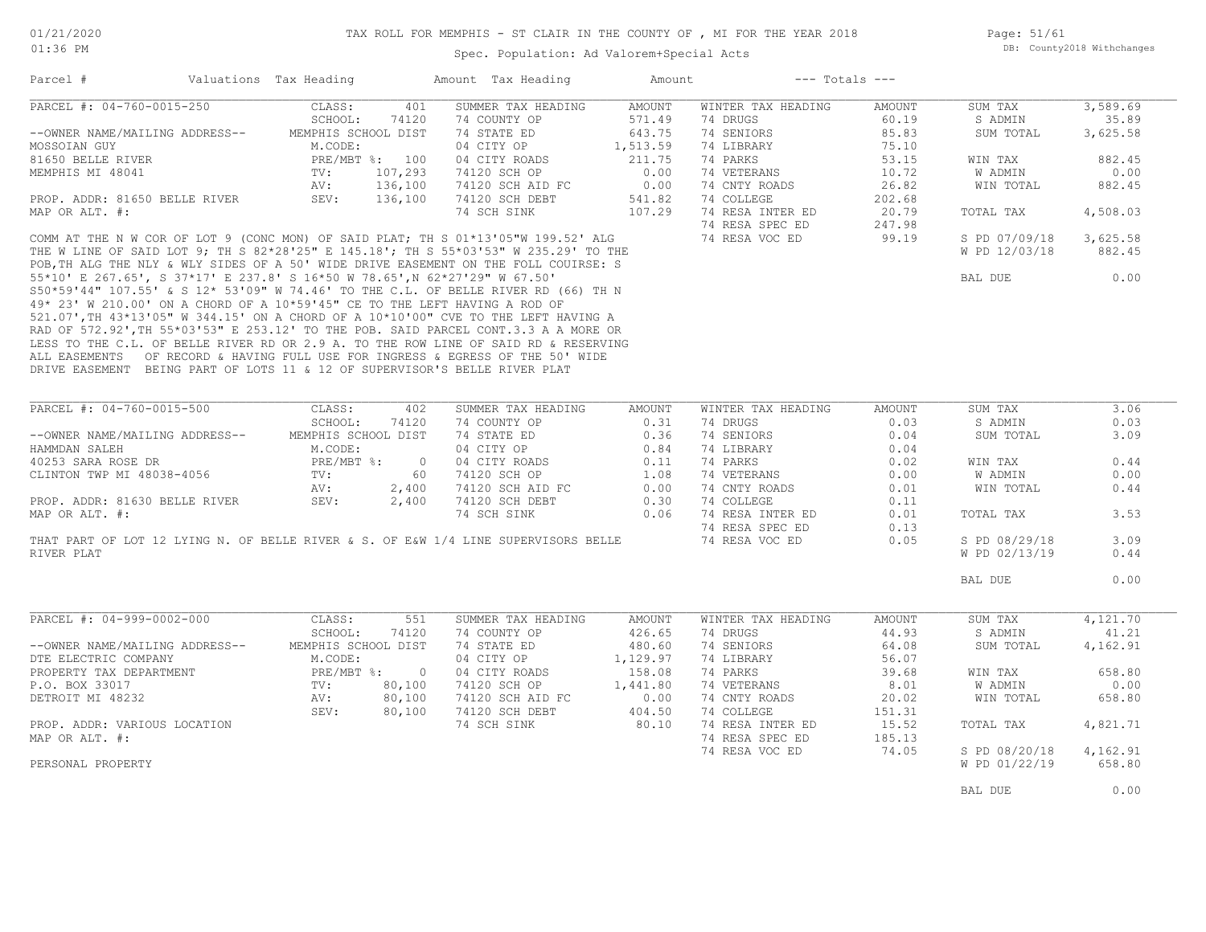Page: 51/61 DB: County2018 Withchanges

#### Spec. Population: Ad Valorem+Special Acts

| Parcel #                       | Valuations Tax Heading |                | Amount Tax Heading                                                                   | Amount   |                    | $---$ Totals $---$ |               |          |
|--------------------------------|------------------------|----------------|--------------------------------------------------------------------------------------|----------|--------------------|--------------------|---------------|----------|
| PARCEL #: 04-760-0015-250      | CLASS:                 | 401            | SUMMER TAX HEADING                                                                   | AMOUNT   | WINTER TAX HEADING | AMOUNT             | SUM TAX       | 3,589.69 |
|                                | SCHOOL:                | 74120          | 74 COUNTY OP                                                                         | 571.49   | 74 DRUGS           | 60.19              | S ADMIN       | 35.89    |
| --OWNER NAME/MAILING ADDRESS-- | MEMPHIS SCHOOL DIST    |                | 74 STATE ED                                                                          | 643.75   | 74 SENIORS         | 85.83              | SUM TOTAL     | 3,625.58 |
| MOSSOIAN GUY                   | M.CODE:                |                | 04 CITY OP                                                                           | 1,513.59 | 74 LIBRARY         | 75.10              |               |          |
| 81650 BELLE RIVER              |                        | PRE/MBT %: 100 | 04 CITY ROADS                                                                        | 211.75   | 74 PARKS           | 53.15              | WIN TAX       | 882.45   |
| MEMPHIS MI 48041               | TV:                    | 107,293        | 74120 SCH OP                                                                         | 0.00     | 74 VETERANS        | 10.72              | W ADMIN       | 0.00     |
|                                | AV:                    | 136,100        | 74120 SCH AID FC                                                                     | 0.00     | 74 CNTY ROADS      | 26.82              | WIN TOTAL     | 882.45   |
| PROP. ADDR: 81650 BELLE RIVER  | SEV:                   | 136,100        | 74120 SCH DEBT                                                                       | 541.82   | 74 COLLEGE         | 202.68             |               |          |
| MAP OR ALT. #:                 |                        |                | 74 SCH SINK                                                                          | 107.29   | 74 RESA INTER ED   | 20.79              | TOTAL TAX     | 4,508.03 |
|                                |                        |                |                                                                                      |          | 74 RESA SPEC ED    | 247.98             |               |          |
|                                |                        |                | COMM AT THE N W COR OF LOT 9 (CONC MON) OF SAID PLAT; TH S $01*13'05''W$ 199.52' ALG |          | 74 RESA VOC ED     | 99.19              | S PD 07/09/18 | 3,625.58 |
|                                |                        |                | THE W LINE OF SAID LOT 9; TH S 82*28'25" E 145.18'; TH S 55*03'53" W 235.29' TO THE  |          |                    |                    | W PD 12/03/18 | 882.45   |
|                                |                        |                | POB, TH ALG THE NLY & WLY SIDES OF A 50' WIDE DRIVE EASEMENT ON THE FOLL COUIRSE: S  |          |                    |                    |               |          |

DRIVE EASEMENT BEING PART OF LOTS 11 & 12 OF SUPERVISOR'S BELLE RIVER PLAT ALL EASEMENTS OF RECORD & HAVING FULL USE FOR INGRESS & EGRESS OF THE 50' WIDE LESS TO THE C.L. OF BELLE RIVER RD OR 2.9 A. TO THE ROW LINE OF SAID RD & RESERVING RAD OF 572.92',TH 55\*03'53" E 253.12' TO THE POB. SAID PARCEL CONT.3.3 A A MORE OR 521.07',TH 43\*13'05" W 344.15' ON A CHORD OF A 10\*10'00" CVE TO THE LEFT HAVING A 49\* 23' W 210.00' ON A CHORD OF A 10\*59'45" CE TO THE LEFT HAVING A ROD OF S50\*59'44" 107.55' & S 12\* 53'09" W 74.46' TO THE C.L. OF BELLE RIVER RD (66) TH N 55\*10' E 267.65', S 37\*17' E 237.8' S 16\*50 W 78.65',N 62\*27'29" W 67.50' BAL DUE 0.00

| PARCEL #: 04-760-0015-500                                                          | CLASS:              | 402      | SUMMER TAX HEADING | AMOUNT   | WINTER TAX HEADING | AMOUNT | SUM TAX       | 3.06     |  |
|------------------------------------------------------------------------------------|---------------------|----------|--------------------|----------|--------------------|--------|---------------|----------|--|
|                                                                                    | SCHOOL:             | 74120    | 74 COUNTY OP       | 0.31     | 74 DRUGS           | 0.03   | S ADMIN       | 0.03     |  |
| --OWNER NAME/MAILING ADDRESS--                                                     | MEMPHIS SCHOOL DIST |          | 74 STATE ED        | 0.36     | 74 SENIORS         | 0.04   | SUM TOTAL     | 3.09     |  |
| HAMMDAN SALEH                                                                      | M.CODE:             |          | 04 CITY OP         | 0.84     | 74 LIBRARY         | 0.04   |               |          |  |
| 40253 SARA ROSE DR                                                                 | $PRE/MBT$ %:        | $\sim$ 0 | 04 CITY ROADS      | 0.11     | 74 PARKS           | 0.02   | WIN TAX       | 0.44     |  |
| CLINTON TWP MI 48038-4056                                                          | TV:                 | 60       | 74120 SCH OP       | 1.08     | 74 VETERANS        | 0.00   | W ADMIN       | 0.00     |  |
|                                                                                    | AV:                 | 2,400    | 74120 SCH AID FC   | 0.00     | 74 CNTY ROADS      | 0.01   | WIN TOTAL     | 0.44     |  |
| PROP. ADDR: 81630 BELLE RIVER                                                      | SEV:                | 2,400    | 74120 SCH DEBT     | 0.30     | 74 COLLEGE         | 0.11   |               |          |  |
| MAP OR ALT. #:                                                                     |                     |          | 74 SCH SINK        | 0.06     | 74 RESA INTER ED   | 0.01   | TOTAL TAX     | 3.53     |  |
|                                                                                    |                     |          |                    |          | 74 RESA SPEC ED    | 0.13   |               |          |  |
| THAT PART OF LOT 12 LYING N. OF BELLE RIVER & S. OF E&W 1/4 LINE SUPERVISORS BELLE |                     |          |                    |          | 74 RESA VOC ED     | 0.05   | S PD 08/29/18 | 3.09     |  |
| RIVER PLAT                                                                         |                     |          |                    |          |                    |        | W PD 02/13/19 | 0.44     |  |
|                                                                                    |                     |          |                    |          |                    |        |               |          |  |
|                                                                                    |                     |          |                    |          |                    |        | BAL DUE       | 0.00     |  |
|                                                                                    |                     |          |                    |          |                    |        |               |          |  |
|                                                                                    |                     |          |                    |          |                    |        |               |          |  |
|                                                                                    |                     |          |                    |          |                    |        |               |          |  |
| PARCEL #: 04-999-0002-000                                                          | CLASS:              | 551      | SUMMER TAX HEADING | AMOUNT   | WINTER TAX HEADING | AMOUNT | SUM TAX       | 4,121.70 |  |
|                                                                                    | SCHOOL:             | 74120    | 74 COUNTY OP       | 426.65   | 74 DRUGS           | 44.93  | S ADMIN       | 41.21    |  |
| --OWNER NAME/MAILING ADDRESS--                                                     | MEMPHIS SCHOOL DIST |          | 74 STATE ED        | 480.60   | 74 SENIORS         | 64.08  | SUM TOTAL     | 4,162.91 |  |
| DTE ELECTRIC COMPANY                                                               | M.CODE:             |          | 04 CITY OP         | 1,129.97 | 74 LIBRARY         | 56.07  |               |          |  |
| PROPERTY TAX DEPARTMENT                                                            | $PRE/MBT$ $\div$ 0  |          | 04 CITY ROADS      | 158.08   | 74 PARKS           | 39.68  | WIN TAX       | 658.80   |  |
| P.O. BOX 33017                                                                     | $\text{TV}$ :       | 80,100   | 74120 SCH OP       | 1,441.80 | 74 VETERANS        | 8.01   | W ADMIN       | 0.00     |  |
| DETROIT MI 48232                                                                   | AV:                 | 80,100   | 74120 SCH AID FC   | 0.00     | 74 CNTY ROADS      | 20.02  | WIN TOTAL     | 658.80   |  |
|                                                                                    | SEV:                | 80,100   | 74120 SCH DEBT     | 404.50   | 74 COLLEGE         | 151.31 |               |          |  |
| PROP. ADDR: VARIOUS LOCATION                                                       |                     |          | 74 SCH SINK        | 80.10    | 74 RESA INTER ED   | 15.52  | TOTAL TAX     | 4,821.71 |  |
| MAP OR ALT. #:                                                                     |                     |          |                    |          | 74 RESA SPEC ED    | 185.13 |               |          |  |
|                                                                                    |                     |          |                    |          | 74 RESA VOC ED     | 74.05  | S PD 08/20/18 | 4,162.91 |  |
| PERSONAL PROPERTY                                                                  |                     |          |                    |          |                    |        | W PD 01/22/19 | 658.80   |  |

 $\mathcal{L}_\mathcal{L} = \mathcal{L}_\mathcal{L} = \mathcal{L}_\mathcal{L} = \mathcal{L}_\mathcal{L} = \mathcal{L}_\mathcal{L} = \mathcal{L}_\mathcal{L} = \mathcal{L}_\mathcal{L} = \mathcal{L}_\mathcal{L} = \mathcal{L}_\mathcal{L} = \mathcal{L}_\mathcal{L} = \mathcal{L}_\mathcal{L} = \mathcal{L}_\mathcal{L} = \mathcal{L}_\mathcal{L} = \mathcal{L}_\mathcal{L} = \mathcal{L}_\mathcal{L} = \mathcal{L}_\mathcal{L} = \mathcal{L}_\mathcal{L}$ 

BAL DUE  $0.00$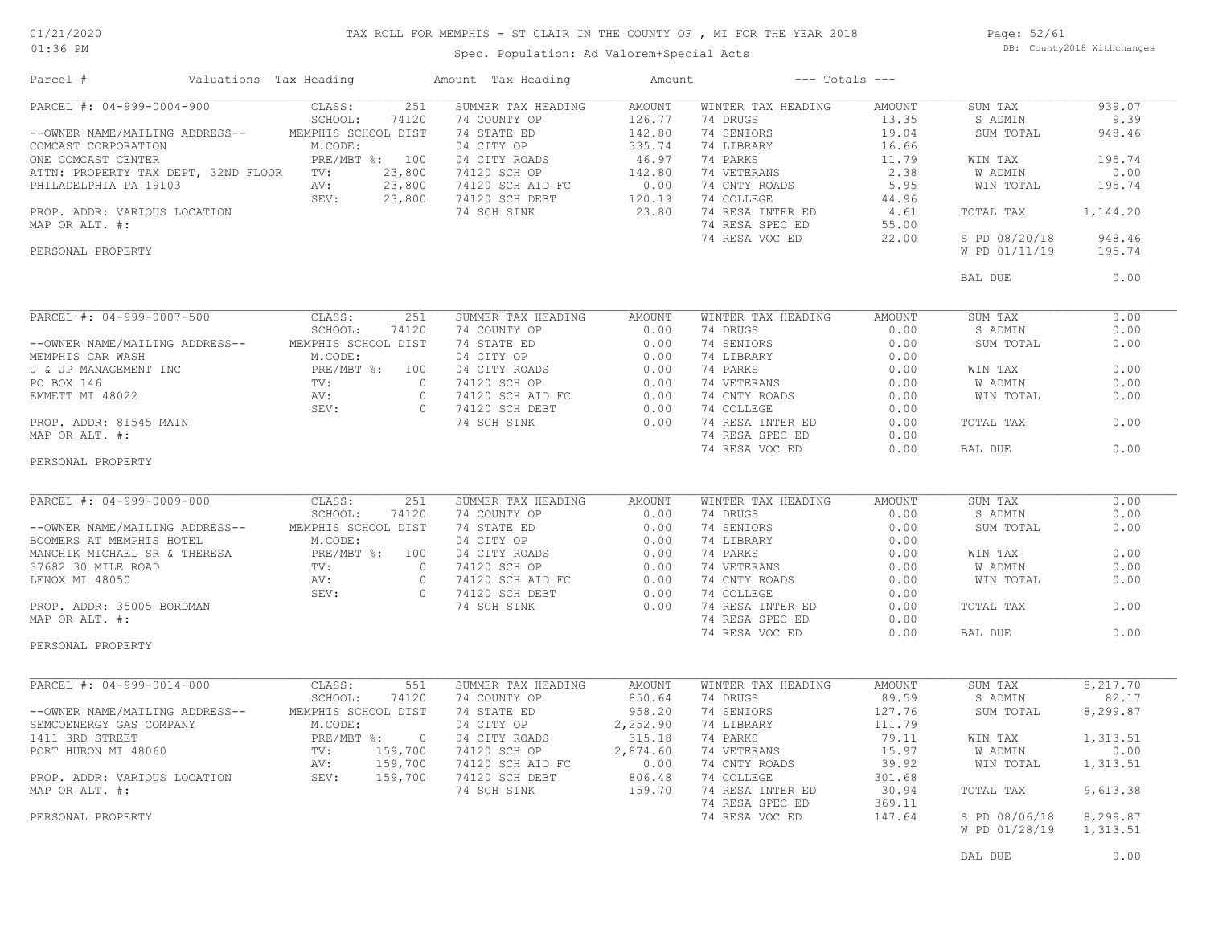### TAX ROLL FOR MEMPHIS - ST CLAIR IN THE COUNTY OF , MI FOR THE YEAR 2018

01:36 PM

### Spec. Population: Ad Valorem+Special Acts

Page: 52/61 DB: County2018 Withchanges

| Parcel #                         | Valuations Tax Heading |     | Amount Tax Heading                                                                                                                                                                                                                                                                                                                                                                                    | Amount |                    | $---$ Totals $---$ |                               |          |
|----------------------------------|------------------------|-----|-------------------------------------------------------------------------------------------------------------------------------------------------------------------------------------------------------------------------------------------------------------------------------------------------------------------------------------------------------------------------------------------------------|--------|--------------------|--------------------|-------------------------------|----------|
|                                  |                        |     | 23,800 74120 SCHAPER TAX HEADING ARVOUNT THING:<br>PARCEL #: 04-999-0004-900 CLASS: 251 SUMMER TAX HEADING ARVOUNT THING:<br>COMCAST CORPORATION M.CODE: 74 SCHOOL DIST 7 4 DRUGS 13.35 3 SAPPLATE SCHOOL: 742 SCHOOL DIST 74 SCHO                                                                                                                                                                    |        |                    |                    |                               | 939.07   |
|                                  |                        |     |                                                                                                                                                                                                                                                                                                                                                                                                       |        |                    |                    |                               | 9.39     |
|                                  |                        |     |                                                                                                                                                                                                                                                                                                                                                                                                       |        |                    |                    |                               | 948.46   |
|                                  |                        |     |                                                                                                                                                                                                                                                                                                                                                                                                       |        |                    |                    |                               |          |
|                                  |                        |     |                                                                                                                                                                                                                                                                                                                                                                                                       |        |                    |                    |                               | 195.74   |
|                                  |                        |     |                                                                                                                                                                                                                                                                                                                                                                                                       |        |                    |                    |                               | 0.00     |
|                                  |                        |     |                                                                                                                                                                                                                                                                                                                                                                                                       |        |                    |                    |                               | 195.74   |
|                                  |                        |     |                                                                                                                                                                                                                                                                                                                                                                                                       |        |                    |                    |                               |          |
|                                  |                        |     |                                                                                                                                                                                                                                                                                                                                                                                                       |        |                    |                    |                               | 1,144.20 |
|                                  |                        |     |                                                                                                                                                                                                                                                                                                                                                                                                       |        |                    |                    |                               |          |
|                                  |                        |     |                                                                                                                                                                                                                                                                                                                                                                                                       |        |                    |                    |                               | 948.46   |
|                                  |                        |     |                                                                                                                                                                                                                                                                                                                                                                                                       |        |                    |                    |                               | 195.74   |
|                                  |                        |     |                                                                                                                                                                                                                                                                                                                                                                                                       |        |                    |                    | BAL DUE                       | 0.00     |
|                                  |                        |     |                                                                                                                                                                                                                                                                                                                                                                                                       |        |                    |                    |                               |          |
|                                  |                        |     | $\begin{tabular}{l c c c c c} \hline \texttt{PACEL} & \texttt{#: 04-999-0007-500} & \texttt{CLASS:} & 251 & \texttt{SUMMER TAX HEADING} & \texttt{AMOUNT} & \texttt{WINTEK TA}\ \texttt{MADING} & \texttt{SCHOOL:} & 74120 & 74 & \texttt{COUNTY OP} & 0.00 & 74 & \texttt{DRUS} & 0.00 \\ & \texttt{SEHWHHIS CAR WASH} & \texttt{SCHA WASH} & \texttt{SCHOOL DIST} & 74 & \texttt{SHTP EP} & 0.00 &$ |        |                    |                    | SUM TAX                       | 0.00     |
|                                  |                        |     |                                                                                                                                                                                                                                                                                                                                                                                                       |        |                    |                    | S ADMIN                       | 0.00     |
|                                  |                        |     |                                                                                                                                                                                                                                                                                                                                                                                                       |        |                    |                    | SUM TOTAL                     | 0.00     |
|                                  |                        |     |                                                                                                                                                                                                                                                                                                                                                                                                       |        |                    |                    |                               |          |
|                                  |                        |     |                                                                                                                                                                                                                                                                                                                                                                                                       |        |                    |                    | WIN TAX                       | 0.00     |
|                                  |                        |     |                                                                                                                                                                                                                                                                                                                                                                                                       |        |                    |                    | <b>W ADMIN</b>                | 0.00     |
|                                  |                        |     |                                                                                                                                                                                                                                                                                                                                                                                                       |        |                    |                    | WIN TOTAL                     | 0.00     |
|                                  |                        |     |                                                                                                                                                                                                                                                                                                                                                                                                       |        |                    |                    |                               |          |
|                                  |                        |     |                                                                                                                                                                                                                                                                                                                                                                                                       |        |                    |                    | TOTAL TAX                     | 0.00     |
|                                  |                        |     |                                                                                                                                                                                                                                                                                                                                                                                                       |        |                    |                    |                               |          |
|                                  |                        |     |                                                                                                                                                                                                                                                                                                                                                                                                       |        |                    |                    | BAL DUE                       | 0.00     |
| PERSONAL PROPERTY                |                        |     |                                                                                                                                                                                                                                                                                                                                                                                                       |        |                    |                    |                               |          |
|                                  |                        |     |                                                                                                                                                                                                                                                                                                                                                                                                       |        |                    |                    |                               |          |
| PARCEL #: 04-999-0009-000 CLASS: |                        | 251 | SUMMER TAX HEADING AMOUNT                                                                                                                                                                                                                                                                                                                                                                             |        | WINTER TAX HEADING | AMOUNT             | SUM TAX                       | 0.00     |
|                                  |                        |     |                                                                                                                                                                                                                                                                                                                                                                                                       |        |                    |                    | S ADMIN                       | 0.00     |
|                                  |                        |     |                                                                                                                                                                                                                                                                                                                                                                                                       |        |                    |                    | SUM TOTAL                     | 0.00     |
|                                  |                        |     |                                                                                                                                                                                                                                                                                                                                                                                                       |        |                    |                    |                               |          |
|                                  |                        |     |                                                                                                                                                                                                                                                                                                                                                                                                       |        |                    |                    | WIN TAX                       | 0.00     |
|                                  |                        |     |                                                                                                                                                                                                                                                                                                                                                                                                       |        |                    |                    |                               | 0.00     |
|                                  |                        |     |                                                                                                                                                                                                                                                                                                                                                                                                       |        |                    |                    | W ADMIN<br>WIN TOTAL          | 0.00     |
|                                  |                        |     |                                                                                                                                                                                                                                                                                                                                                                                                       |        |                    |                    |                               |          |
|                                  |                        |     |                                                                                                                                                                                                                                                                                                                                                                                                       |        |                    |                    |                               | 0.00     |
|                                  |                        |     |                                                                                                                                                                                                                                                                                                                                                                                                       |        |                    |                    | TOTAL TAX                     |          |
|                                  |                        |     |                                                                                                                                                                                                                                                                                                                                                                                                       |        |                    |                    |                               |          |
| PERSONAL PROPERTY                |                        |     | PARCEL #: 04-999-0009-000<br>CLASS: 24120 74 COUNTY OP 0.00 74 PRUS AMOUNT<br>CHOOL: 74120 74 COUNTY OP 0.00 74 PRUS 0.00<br>BOOMERS AT MEMPHIS HOTEL M.CODE: 04 CITY OP 0.00 74 BENIORS 0.00<br>MEMPHIS HOTEL M.CODE: 04 CITY ROADS                                                                                                                                                                  |        |                    |                    | BAL DUE                       | 0.00     |
|                                  |                        |     |                                                                                                                                                                                                                                                                                                                                                                                                       |        |                    |                    |                               |          |
|                                  |                        |     | $\begin{tabular}{l c c c c c} \hline \texttt{PARCH & $t$: 04-999-0014-000 & \texttt{CLASS:} & $51$ & SUMMARY & {\tt RMOINT} & {\tt MNDINT} & {\tt MINLEN-100} & $89.59$ \\ \hline \texttt{--OWNER NAME/AAILING ADDRESS--} & {\tt SSHOOL:} & 74120 & 74 \texttt{COMNET D} & 850.64 & 74 \texttt{DRICS} & 741 \texttt{DNS} & 89.59 & 85.0 \\ \hline \texttt{SEMCOENERGY GAS COMPANY} & {\tt M.CODE:}$   |        |                    |                    | SUM TAX                       | 8,217.70 |
|                                  |                        |     |                                                                                                                                                                                                                                                                                                                                                                                                       |        |                    |                    | S ADMIN                       | 82.17    |
|                                  |                        |     |                                                                                                                                                                                                                                                                                                                                                                                                       |        |                    |                    | SUM TOTAL                     | 8,299.87 |
|                                  |                        |     |                                                                                                                                                                                                                                                                                                                                                                                                       |        |                    |                    |                               |          |
|                                  |                        |     |                                                                                                                                                                                                                                                                                                                                                                                                       |        |                    |                    | WIN TAX                       | 1,313.51 |
|                                  |                        |     |                                                                                                                                                                                                                                                                                                                                                                                                       |        |                    |                    |                               | 0.00     |
|                                  |                        |     |                                                                                                                                                                                                                                                                                                                                                                                                       |        |                    |                    | W ADMIN<br>WIN TOTAL          | 1,313.51 |
|                                  |                        |     |                                                                                                                                                                                                                                                                                                                                                                                                       |        |                    |                    |                               |          |
|                                  |                        |     |                                                                                                                                                                                                                                                                                                                                                                                                       |        |                    |                    | TOTAL TAX                     | 9,613.38 |
|                                  |                        |     |                                                                                                                                                                                                                                                                                                                                                                                                       |        |                    |                    |                               |          |
|                                  |                        |     |                                                                                                                                                                                                                                                                                                                                                                                                       |        |                    |                    |                               |          |
|                                  |                        |     |                                                                                                                                                                                                                                                                                                                                                                                                       |        |                    |                    | 147.64 S PD 08/06/18 8,299.87 |          |
|                                  |                        |     |                                                                                                                                                                                                                                                                                                                                                                                                       |        |                    |                    | W PD 01/28/19 1,313.51        |          |
|                                  |                        |     |                                                                                                                                                                                                                                                                                                                                                                                                       |        |                    |                    | BAL DUE                       | 0.00     |
|                                  |                        |     |                                                                                                                                                                                                                                                                                                                                                                                                       |        |                    |                    |                               |          |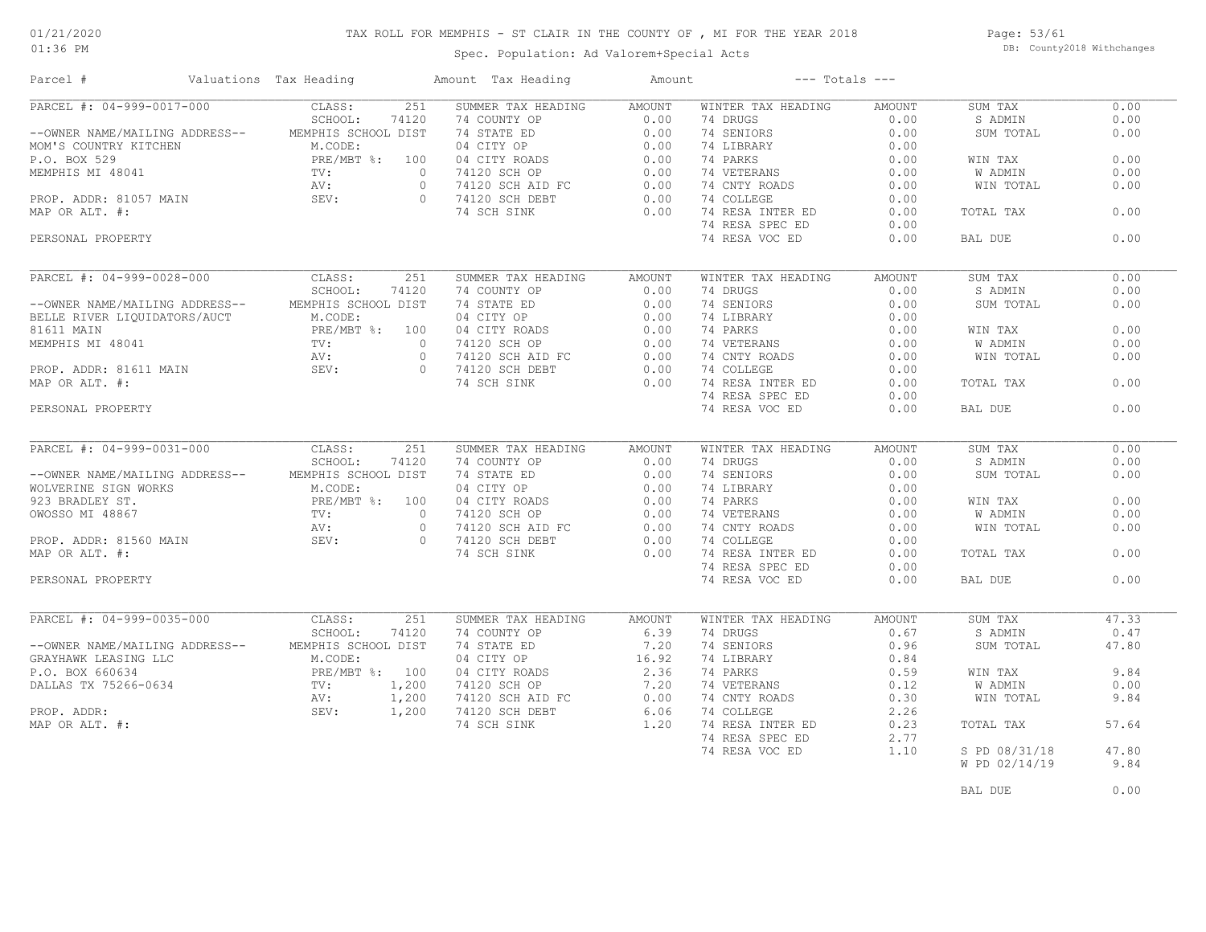### TAX ROLL FOR MEMPHIS - ST CLAIR IN THE COUNTY OF , MI FOR THE YEAR 2018

Spec. Population: Ad Valorem+Special Acts

Page: 53/61 DB: County2018 Withchanges

| Parcel #                                                                                                    | Valuations Tax Heading |       | Amount Tax Heading                                                                                                                                                                                                                                                                                                                                                                                                                                          | Amount        | $---$ Totals $---$                                                                                                                                                                                                                                         |                   |                |       |
|-------------------------------------------------------------------------------------------------------------|------------------------|-------|-------------------------------------------------------------------------------------------------------------------------------------------------------------------------------------------------------------------------------------------------------------------------------------------------------------------------------------------------------------------------------------------------------------------------------------------------------------|---------------|------------------------------------------------------------------------------------------------------------------------------------------------------------------------------------------------------------------------------------------------------------|-------------------|----------------|-------|
| PARCEL #: 04-999-0017-000 CLASS:                                                                            |                        | 251   | SUMMER TAX HEADING AMOUNT<br>$\begin{tabular}{l c c c c c c c} \hline \texttt{PARGE & $\mathsf{H}$: $04$--999$--0017$--000 & $C{\tt LASS}:$ & $251$ & $SUMMER TAX HEADING & AMOUNT$ & MINITER TAS IBDALING & 0.00 & 0.00 & 0.00 & 0.00 & 0.00 & 0.00 & 0.00 & 0.00 & 0.00 & 0.00 & 0.00 & 0.00 & 0.00 & 0.00 & 0.00 & 0.00 & 0.00 & 0.00 & 0.00 & 0.00 & 0.$                                                                                                |               | WINTER TAX HEADING                                                                                                                                                                                                                                         | AMOUNT            | SUM TAX        | 0.00  |
|                                                                                                             |                        |       |                                                                                                                                                                                                                                                                                                                                                                                                                                                             |               |                                                                                                                                                                                                                                                            |                   | S ADMIN        | 0.00  |
|                                                                                                             |                        |       |                                                                                                                                                                                                                                                                                                                                                                                                                                                             |               |                                                                                                                                                                                                                                                            |                   | SUM TOTAL      | 0.00  |
|                                                                                                             |                        |       |                                                                                                                                                                                                                                                                                                                                                                                                                                                             |               |                                                                                                                                                                                                                                                            |                   |                |       |
|                                                                                                             |                        |       |                                                                                                                                                                                                                                                                                                                                                                                                                                                             |               |                                                                                                                                                                                                                                                            |                   | WIN TAX        | 0.00  |
|                                                                                                             |                        |       |                                                                                                                                                                                                                                                                                                                                                                                                                                                             |               |                                                                                                                                                                                                                                                            |                   | W ADMIN        | 0.00  |
|                                                                                                             |                        |       |                                                                                                                                                                                                                                                                                                                                                                                                                                                             |               |                                                                                                                                                                                                                                                            |                   | WIN TOTAL      | 0.00  |
|                                                                                                             |                        |       |                                                                                                                                                                                                                                                                                                                                                                                                                                                             |               |                                                                                                                                                                                                                                                            |                   |                |       |
|                                                                                                             |                        |       |                                                                                                                                                                                                                                                                                                                                                                                                                                                             |               |                                                                                                                                                                                                                                                            |                   | TOTAL TAX      | 0.00  |
|                                                                                                             |                        |       |                                                                                                                                                                                                                                                                                                                                                                                                                                                             |               |                                                                                                                                                                                                                                                            |                   |                |       |
|                                                                                                             |                        |       |                                                                                                                                                                                                                                                                                                                                                                                                                                                             |               |                                                                                                                                                                                                                                                            |                   |                |       |
| PERSONAL PROPERTY                                                                                           |                        |       |                                                                                                                                                                                                                                                                                                                                                                                                                                                             |               | 74 RESA VOC ED                                                                                                                                                                                                                                             | 0.00              | BAL DUE        | 0.00  |
|                                                                                                             |                        | 251   | SUMMER TAX HEADING                                                                                                                                                                                                                                                                                                                                                                                                                                          | AMOUNT        | WINTER TAX HEADING                                                                                                                                                                                                                                         | AMOUNT            | SUM TAX        | 0.00  |
| PARCEL #: 04-999-0028-000 CLASS:<br>SCHOOL: SCHOOL:                                                         |                        |       |                                                                                                                                                                                                                                                                                                                                                                                                                                                             |               |                                                                                                                                                                                                                                                            |                   | S ADMIN        | 0.00  |
|                                                                                                             |                        |       |                                                                                                                                                                                                                                                                                                                                                                                                                                                             |               |                                                                                                                                                                                                                                                            |                   |                | 0.00  |
|                                                                                                             |                        |       |                                                                                                                                                                                                                                                                                                                                                                                                                                                             |               |                                                                                                                                                                                                                                                            |                   | SUM TOTAL      |       |
|                                                                                                             |                        |       |                                                                                                                                                                                                                                                                                                                                                                                                                                                             |               |                                                                                                                                                                                                                                                            |                   |                |       |
|                                                                                                             |                        |       |                                                                                                                                                                                                                                                                                                                                                                                                                                                             |               |                                                                                                                                                                                                                                                            |                   | WIN TAX        | 0.00  |
|                                                                                                             |                        |       |                                                                                                                                                                                                                                                                                                                                                                                                                                                             |               |                                                                                                                                                                                                                                                            |                   | <b>W ADMIN</b> | 0.00  |
|                                                                                                             |                        |       |                                                                                                                                                                                                                                                                                                                                                                                                                                                             |               |                                                                                                                                                                                                                                                            |                   | WIN TOTAL      | 0.00  |
|                                                                                                             |                        |       |                                                                                                                                                                                                                                                                                                                                                                                                                                                             |               |                                                                                                                                                                                                                                                            |                   |                |       |
|                                                                                                             |                        |       |                                                                                                                                                                                                                                                                                                                                                                                                                                                             |               | 74 RESA INTER ED $0.00$<br>74 RESA SPEC ED $0.00$                                                                                                                                                                                                          |                   | TOTAL TAX      | 0.00  |
|                                                                                                             |                        |       |                                                                                                                                                                                                                                                                                                                                                                                                                                                             |               | 74 RESA SPEC ED                                                                                                                                                                                                                                            | 0.00              |                |       |
| PERSONAL PROPERTY                                                                                           |                        |       |                                                                                                                                                                                                                                                                                                                                                                                                                                                             |               | 74 RESA VOC ED                                                                                                                                                                                                                                             | 0.00              | BAL DUE        | 0.00  |
|                                                                                                             |                        |       |                                                                                                                                                                                                                                                                                                                                                                                                                                                             |               |                                                                                                                                                                                                                                                            |                   |                |       |
| PARCEL #: 04-999-0031-000 CLASS: 251<br>SCHOOL: 74120<br>--OWNER NAME/MAILING ADDRESS-- MEMPHIS SCHOOL DIST |                        | 251   | SUMMER TAX HEADING                                                                                                                                                                                                                                                                                                                                                                                                                                          | AMOUNT        | WINTER TAX HEADING                                                                                                                                                                                                                                         | AMOUNT            | SUM TAX        | 0.00  |
|                                                                                                             |                        |       |                                                                                                                                                                                                                                                                                                                                                                                                                                                             |               |                                                                                                                                                                                                                                                            |                   | S ADMIN        | 0.00  |
|                                                                                                             |                        |       |                                                                                                                                                                                                                                                                                                                                                                                                                                                             |               |                                                                                                                                                                                                                                                            |                   | SUM TOTAL      | 0.00  |
|                                                                                                             |                        |       |                                                                                                                                                                                                                                                                                                                                                                                                                                                             |               |                                                                                                                                                                                                                                                            |                   |                |       |
|                                                                                                             |                        |       |                                                                                                                                                                                                                                                                                                                                                                                                                                                             |               |                                                                                                                                                                                                                                                            |                   | WIN TAX        | 0.00  |
|                                                                                                             |                        |       |                                                                                                                                                                                                                                                                                                                                                                                                                                                             |               |                                                                                                                                                                                                                                                            |                   | W ADMIN        | 0.00  |
|                                                                                                             |                        |       |                                                                                                                                                                                                                                                                                                                                                                                                                                                             |               |                                                                                                                                                                                                                                                            |                   |                |       |
|                                                                                                             |                        |       |                                                                                                                                                                                                                                                                                                                                                                                                                                                             |               |                                                                                                                                                                                                                                                            |                   | WIN TOTAL      | 0.00  |
|                                                                                                             |                        |       |                                                                                                                                                                                                                                                                                                                                                                                                                                                             |               |                                                                                                                                                                                                                                                            |                   |                |       |
|                                                                                                             |                        |       | $\begin{tabular}{lcccccc} \texttt{--ONNER} \texttt{NAME}/\texttt{MALLING} & \texttt{ADIDRES} & \texttt{COMWOLV} & \texttt{MIOINT} & \texttt{MIOINT} & \texttt{MINTER} \texttt{TAX HEADING} & \texttt{AMOUNTT} \\ \texttt{--ONNER} \texttt{NAME}/\texttt{MALLING} & \texttt{ADDRESS---} & \texttt{MEMMENIS} \texttt{SCHOOL DIST} & 74120 & 74 \texttt{CONTATE} \texttt{OP} & 0.00 & 74 \texttt{DREUNORS} & 0.00 \\ \texttt{WOLVERINE STGN} \texttt{WORKS} &$ |               |                                                                                                                                                                                                                                                            |                   | TOTAL TAX      | 0.00  |
|                                                                                                             |                        |       |                                                                                                                                                                                                                                                                                                                                                                                                                                                             |               | 74 RESA SPEC ED                                                                                                                                                                                                                                            | 0.00              |                |       |
| PERSONAL PROPERTY                                                                                           |                        |       |                                                                                                                                                                                                                                                                                                                                                                                                                                                             |               | 74 RESA VOC ED                                                                                                                                                                                                                                             | 0.00              | BAL DUE        | 0.00  |
| PARCEL #: 04-999-0035-000                                                                                   | CLASS:                 | 251   | SUMMER TAX HEADING                                                                                                                                                                                                                                                                                                                                                                                                                                          | <b>AMOUNT</b> | WINTER TAX HEADING                                                                                                                                                                                                                                         | <b>AMOUNT</b>     | SUM TAX        | 47.33 |
|                                                                                                             | SCHOOL:                | 74120 | NOWTHER TAX HEADING<br>74 COUNTY OP 6.39<br>74 STATE ED 7.20<br>04 CITY OP 16.92<br>04 CITY ROADS 2.36<br>74120 SCH OP 7.20<br>74120 SCH AID FC 0.00<br>74120 SCH DEBT 6.06<br>74 SCH SINK 1.20                                                                                                                                                                                                                                                             |               | 74 DRUGS 0.67                                                                                                                                                                                                                                              |                   | S ADMIN        | 0.47  |
| --OWNER NAME/MAILING ADDRESS-- MEMPHIS SCHOOL DIST                                                          |                        |       |                                                                                                                                                                                                                                                                                                                                                                                                                                                             |               |                                                                                                                                                                                                                                                            |                   | SUM TOTAL      | 47.80 |
|                                                                                                             |                        |       |                                                                                                                                                                                                                                                                                                                                                                                                                                                             |               |                                                                                                                                                                                                                                                            |                   |                |       |
|                                                                                                             |                        |       |                                                                                                                                                                                                                                                                                                                                                                                                                                                             |               |                                                                                                                                                                                                                                                            |                   |                | 9.84  |
|                                                                                                             |                        |       |                                                                                                                                                                                                                                                                                                                                                                                                                                                             |               | 74 SENIORS<br>74 SENIORS<br>74 LIBRARY<br>74 VETERANS<br>74 VETERANS<br>74 COLLEGE<br>74 RESA INTER ED<br>74 RESA INTER ED<br>74 RESA INTER ED<br>74 RESA INTER ED<br>74 RESA INTER ED<br>74 RESA INTER ED<br>74 RESA INTER ED<br>74 RESA INTER ED<br>74 R |                   | WIN TAX        |       |
|                                                                                                             |                        |       |                                                                                                                                                                                                                                                                                                                                                                                                                                                             |               |                                                                                                                                                                                                                                                            |                   | W ADMIN        | 0.00  |
|                                                                                                             |                        |       |                                                                                                                                                                                                                                                                                                                                                                                                                                                             |               |                                                                                                                                                                                                                                                            |                   | WIN TOTAL      | 9.84  |
|                                                                                                             |                        |       |                                                                                                                                                                                                                                                                                                                                                                                                                                                             |               |                                                                                                                                                                                                                                                            |                   |                |       |
|                                                                                                             |                        |       |                                                                                                                                                                                                                                                                                                                                                                                                                                                             |               |                                                                                                                                                                                                                                                            |                   | TOTAL TAX      | 57.64 |
|                                                                                                             |                        |       |                                                                                                                                                                                                                                                                                                                                                                                                                                                             |               | 74 RESA SPEC ED                                                                                                                                                                                                                                            | 2.77              |                |       |
|                                                                                                             |                        |       |                                                                                                                                                                                                                                                                                                                                                                                                                                                             |               | 74 RESA VOC ED                                                                                                                                                                                                                                             | $\overline{1.10}$ | S PD 08/31/18  | 47.80 |
|                                                                                                             |                        |       |                                                                                                                                                                                                                                                                                                                                                                                                                                                             |               |                                                                                                                                                                                                                                                            |                   | W PD 02/14/19  | 9.84  |
|                                                                                                             |                        |       |                                                                                                                                                                                                                                                                                                                                                                                                                                                             |               |                                                                                                                                                                                                                                                            |                   |                |       |

BAL DUE  $0.00$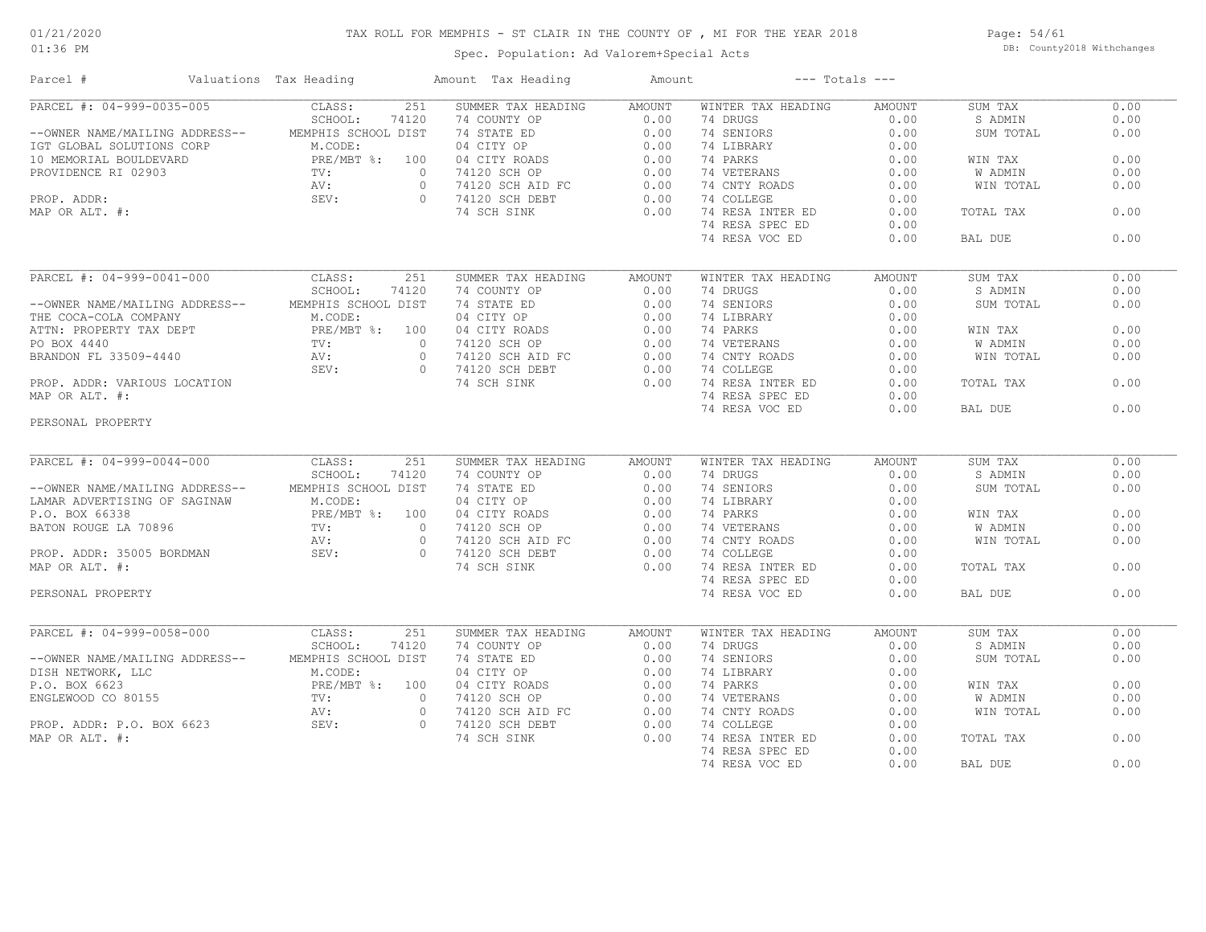### TAX ROLL FOR MEMPHIS - ST CLAIR IN THE COUNTY OF , MI FOR THE YEAR 2018

Spec. Population: Ad Valorem+Special Acts

Page: 54/61 DB: County2018 Withchanges

| 251<br>SUMMER TAX HEADING<br>WINTER TAX HEADING<br>0.00<br>CLASS:<br>AMOUNT<br>AMOUNT<br>SUM TAX<br>SCHOOL:<br>74120<br>74 DRUGS<br>0.00<br>S ADMIN<br>0.00<br>74 COUNTY OP<br>0.00<br>74 SENIORS<br>0.00<br>--OWNER NAME/MAILING ADDRESS--<br>MEMPHIS SCHOOL DIST<br>74 STATE ED<br>0.00<br>0.00<br>SUM TOTAL<br>M.CODE:<br>04 CITY OP<br>0.00<br>74 LIBRARY<br>0.00<br>IGT GLOBAL SOLUTIONS CORP<br>0.00<br>PRE/MBT %: 100<br>04 CITY ROADS<br>0.00<br>74 PARKS<br>0.00<br>WIN TAX<br>PRE/<br>TV:<br>AV:<br>SEV:<br>$\overline{0}$<br>74120 SCH OP<br>0.00<br>74 VETERANS<br>0.00<br>W ADMIN<br>0.00<br>74120 SCH AID FC<br>74120 SCH PEPT<br>0.00<br>74 CNTY ROADS<br>$\circ$<br>0.00<br>WIN TOTAL<br>0.00<br>$\Omega$<br>0.00<br>0.00<br>74120 SCH DEBT<br>74 COLLEGE<br>74 SCH SINK<br>0.00<br>74 RESA INTER ED<br>0.00<br>TOTAL TAX<br>0.00<br>74 RESA SPEC ED<br>0.00<br>0.00<br>74 RESA VOC ED<br>BAL DUE<br>0.00<br>PARCEL #: 04-999-0041-000<br>251<br>CLASS:<br>SUMMER TAX HEADING<br><b>AMOUNT</b><br>WINTER TAX HEADING<br><b>AMOUNT</b><br>SUM TAX<br>0.00<br>SCHOOL:<br>74120<br>74 COUNTY OP<br>0.00<br>74 DRUGS<br>0.00<br>S ADMIN<br>0.00<br>0.00<br>--OWNER NAME/MAILING ADDRESS--<br>MEMPHIS SCHOOL DIST<br>74 STATE ED<br>0.00<br>74 SENIORS<br>0.00<br>SUM TOTAL<br>THE COCA-COLA COMPANY<br>04 CITY OP<br>0.00<br>74 LIBRARY<br>0.00<br>RESS-- M.CODE:<br>M.CODE:<br>PRE/MBT %: 100<br>TV: 0<br>AV: 0<br>SEV: (<br>ATTN: PROPERTY TAX DEPT<br>04 CITY ROADS<br>0.00<br>74 PARKS<br>0.00<br>WIN TAX<br>0.00<br>0.00<br>PO BOX 4440<br>74120 SCH OP<br>0.00<br>74 VETERANS<br>0.00<br>W ADMIN<br>0.00<br>0.00<br>0.00<br>74120 SCH AID FC<br>74 CNTY ROADS<br>WIN TOTAL<br>74120 SCH DEBT<br>0.00<br>74 COLLEGE<br>0.00<br>0.00<br>74 RESA INTER ED<br>0.00<br>74 SCH SINK<br>0.00<br>TOTAL TAX<br>74 RESA SPEC ED<br>0.00<br>0.00<br>74 RESA VOC ED<br>0.00<br>BAL DUE<br>CLASS:<br>251<br>SUMMER TAX HEADING<br>AMOUNT<br>WINTER TAX HEADING<br><b>AMOUNT</b><br>SUM TAX<br>0.00<br>SCHOOL:<br>74120<br>74 COUNTY OP<br>0.00<br>74 DRUGS<br>0.00<br>S ADMIN<br>0.00<br>MEMPHIS SCHOOL DIST<br>74 STATE ED<br>0.00<br>74 SENIORS<br>0.00<br>SUM TOTAL<br>0.00<br>--OWNER NAME/MAILING ADDRESS--<br>04 CITY OP<br>0.00<br>74 LIBRARY<br>0.00<br>0.00<br>UNITED MODE:<br>UNITED MODE:<br>UNITED MODE:<br>PRE/MBT %: 100<br>PROP. ADDR: 35005 BORDMAN<br>TV: 0<br>AV: 0<br>AV: 0<br>NAP OR ALT. #:<br>RSONAL PROPERTY<br>0.00<br>04 CITY ROADS<br>74 PARKS<br>0.00<br>WIN TAX<br>74120 SCH OP<br>0.00<br>74 VETERANS<br>0.00<br>W ADMIN<br>0.00<br>74120 SCH AID FC<br>0.00<br>74 CNTY ROADS<br>0.00<br>0.00<br>WIN TOTAL<br>74120 SCH DEBT<br>0.00<br>74 COLLEGE<br>0.00<br>0.00<br>0.00<br>74 SCH SINK<br>74 RESA INTER ED<br>0.00<br>TOTAL TAX<br>74 RESA SPEC ED<br>0.00<br>0.00<br>74 RESA VOC ED<br>0.00<br>BAL DUE<br>CLASS:<br>251<br>SUMMER TAX HEADING<br><b>AMOUNT</b><br>WINTER TAX HEADING<br><b>AMOUNT</b><br>SUM TAX<br>0.00<br>SCHOOL:<br>74120<br>74 COUNTY OP<br>0.00<br>74 DRUGS<br>0.00<br>S ADMIN<br>0.00<br>0.00<br>--OWNER NAME/MAILING ADDRESS--<br>MEMPHIS SCHOOL DIST<br>74 STATE ED<br>0.00<br>74 SENIORS<br>0.00<br>SUM TOTAL<br>0.00<br>M.CODE:<br>04 CITY OP<br>74 LIBRARY<br>0.00<br>PRE/MBT %: 100<br>0.00<br>74 PARKS<br>0.00<br>04 CITY ROADS<br>0.00<br>WIN TAX<br>0.00<br>TV:<br>$\circ$<br>74120 SCH OP<br>74 VETERANS<br>0.00<br>W ADMIN<br>0.00<br>AV:<br>$\overline{0}$<br>74120 SCH AID FC<br>0.00<br>74 CNTY ROADS<br>0.00<br>WIN TOTAL<br>0.00<br>SEV:<br>74120 SCH DEBT<br>0.00<br>74 COLLEGE<br>0.00<br>$\Omega$<br>0.00<br>0.00<br>74 SCH SINK<br>74 RESA INTER ED<br>0.00<br>TOTAL TAX | Parcel #                     | Valuations Tax Heading | Amount Tax Heading | Amount | $---$ Totals $---$ |      |  |
|----------------------------------------------------------------------------------------------------------------------------------------------------------------------------------------------------------------------------------------------------------------------------------------------------------------------------------------------------------------------------------------------------------------------------------------------------------------------------------------------------------------------------------------------------------------------------------------------------------------------------------------------------------------------------------------------------------------------------------------------------------------------------------------------------------------------------------------------------------------------------------------------------------------------------------------------------------------------------------------------------------------------------------------------------------------------------------------------------------------------------------------------------------------------------------------------------------------------------------------------------------------------------------------------------------------------------------------------------------------------------------------------------------------------------------------------------------------------------------------------------------------------------------------------------------------------------------------------------------------------------------------------------------------------------------------------------------------------------------------------------------------------------------------------------------------------------------------------------------------------------------------------------------------------------------------------------------------------------------------------------------------------------------------------------------------------------------------------------------------------------------------------------------------------------------------------------------------------------------------------------------------------------------------------------------------------------------------------------------------------------------------------------------------------------------------------------------------------------------------------------------------------------------------------------------------------------------------------------------------------------------------------------------------------------------------------------------------------------------------------------------------------------------------------------------------------------------------------------------------------------------------------------------------------------------------------------------------------------------------------------------------------------------------------------------------------------------------------------------------------------------------------------------------------------------------------------------------------------------------------------------------------------------------------------------------------------------------------------------------------------------------------------------------------------------------------------------------------------------------------------------------------------------------------------------------------------------------------------------------------------------------------------------|------------------------------|------------------------|--------------------|--------|--------------------|------|--|
|                                                                                                                                                                                                                                                                                                                                                                                                                                                                                                                                                                                                                                                                                                                                                                                                                                                                                                                                                                                                                                                                                                                                                                                                                                                                                                                                                                                                                                                                                                                                                                                                                                                                                                                                                                                                                                                                                                                                                                                                                                                                                                                                                                                                                                                                                                                                                                                                                                                                                                                                                                                                                                                                                                                                                                                                                                                                                                                                                                                                                                                                                                                                                                                                                                                                                                                                                                                                                                                                                                                                                                                                                                                          | PARCEL #: 04-999-0035-005    |                        |                    |        |                    |      |  |
|                                                                                                                                                                                                                                                                                                                                                                                                                                                                                                                                                                                                                                                                                                                                                                                                                                                                                                                                                                                                                                                                                                                                                                                                                                                                                                                                                                                                                                                                                                                                                                                                                                                                                                                                                                                                                                                                                                                                                                                                                                                                                                                                                                                                                                                                                                                                                                                                                                                                                                                                                                                                                                                                                                                                                                                                                                                                                                                                                                                                                                                                                                                                                                                                                                                                                                                                                                                                                                                                                                                                                                                                                                                          |                              |                        |                    |        |                    |      |  |
|                                                                                                                                                                                                                                                                                                                                                                                                                                                                                                                                                                                                                                                                                                                                                                                                                                                                                                                                                                                                                                                                                                                                                                                                                                                                                                                                                                                                                                                                                                                                                                                                                                                                                                                                                                                                                                                                                                                                                                                                                                                                                                                                                                                                                                                                                                                                                                                                                                                                                                                                                                                                                                                                                                                                                                                                                                                                                                                                                                                                                                                                                                                                                                                                                                                                                                                                                                                                                                                                                                                                                                                                                                                          |                              |                        |                    |        |                    |      |  |
|                                                                                                                                                                                                                                                                                                                                                                                                                                                                                                                                                                                                                                                                                                                                                                                                                                                                                                                                                                                                                                                                                                                                                                                                                                                                                                                                                                                                                                                                                                                                                                                                                                                                                                                                                                                                                                                                                                                                                                                                                                                                                                                                                                                                                                                                                                                                                                                                                                                                                                                                                                                                                                                                                                                                                                                                                                                                                                                                                                                                                                                                                                                                                                                                                                                                                                                                                                                                                                                                                                                                                                                                                                                          |                              |                        |                    |        |                    |      |  |
|                                                                                                                                                                                                                                                                                                                                                                                                                                                                                                                                                                                                                                                                                                                                                                                                                                                                                                                                                                                                                                                                                                                                                                                                                                                                                                                                                                                                                                                                                                                                                                                                                                                                                                                                                                                                                                                                                                                                                                                                                                                                                                                                                                                                                                                                                                                                                                                                                                                                                                                                                                                                                                                                                                                                                                                                                                                                                                                                                                                                                                                                                                                                                                                                                                                                                                                                                                                                                                                                                                                                                                                                                                                          | 10 MEMORIAL BOULDEVARD       |                        |                    |        |                    |      |  |
|                                                                                                                                                                                                                                                                                                                                                                                                                                                                                                                                                                                                                                                                                                                                                                                                                                                                                                                                                                                                                                                                                                                                                                                                                                                                                                                                                                                                                                                                                                                                                                                                                                                                                                                                                                                                                                                                                                                                                                                                                                                                                                                                                                                                                                                                                                                                                                                                                                                                                                                                                                                                                                                                                                                                                                                                                                                                                                                                                                                                                                                                                                                                                                                                                                                                                                                                                                                                                                                                                                                                                                                                                                                          | PROVIDENCE RI 02903          |                        |                    |        |                    |      |  |
|                                                                                                                                                                                                                                                                                                                                                                                                                                                                                                                                                                                                                                                                                                                                                                                                                                                                                                                                                                                                                                                                                                                                                                                                                                                                                                                                                                                                                                                                                                                                                                                                                                                                                                                                                                                                                                                                                                                                                                                                                                                                                                                                                                                                                                                                                                                                                                                                                                                                                                                                                                                                                                                                                                                                                                                                                                                                                                                                                                                                                                                                                                                                                                                                                                                                                                                                                                                                                                                                                                                                                                                                                                                          |                              |                        |                    |        |                    |      |  |
|                                                                                                                                                                                                                                                                                                                                                                                                                                                                                                                                                                                                                                                                                                                                                                                                                                                                                                                                                                                                                                                                                                                                                                                                                                                                                                                                                                                                                                                                                                                                                                                                                                                                                                                                                                                                                                                                                                                                                                                                                                                                                                                                                                                                                                                                                                                                                                                                                                                                                                                                                                                                                                                                                                                                                                                                                                                                                                                                                                                                                                                                                                                                                                                                                                                                                                                                                                                                                                                                                                                                                                                                                                                          | PROP. ADDR:                  |                        |                    |        |                    |      |  |
|                                                                                                                                                                                                                                                                                                                                                                                                                                                                                                                                                                                                                                                                                                                                                                                                                                                                                                                                                                                                                                                                                                                                                                                                                                                                                                                                                                                                                                                                                                                                                                                                                                                                                                                                                                                                                                                                                                                                                                                                                                                                                                                                                                                                                                                                                                                                                                                                                                                                                                                                                                                                                                                                                                                                                                                                                                                                                                                                                                                                                                                                                                                                                                                                                                                                                                                                                                                                                                                                                                                                                                                                                                                          | MAP OR ALT. #:               |                        |                    |        |                    |      |  |
|                                                                                                                                                                                                                                                                                                                                                                                                                                                                                                                                                                                                                                                                                                                                                                                                                                                                                                                                                                                                                                                                                                                                                                                                                                                                                                                                                                                                                                                                                                                                                                                                                                                                                                                                                                                                                                                                                                                                                                                                                                                                                                                                                                                                                                                                                                                                                                                                                                                                                                                                                                                                                                                                                                                                                                                                                                                                                                                                                                                                                                                                                                                                                                                                                                                                                                                                                                                                                                                                                                                                                                                                                                                          |                              |                        |                    |        |                    |      |  |
|                                                                                                                                                                                                                                                                                                                                                                                                                                                                                                                                                                                                                                                                                                                                                                                                                                                                                                                                                                                                                                                                                                                                                                                                                                                                                                                                                                                                                                                                                                                                                                                                                                                                                                                                                                                                                                                                                                                                                                                                                                                                                                                                                                                                                                                                                                                                                                                                                                                                                                                                                                                                                                                                                                                                                                                                                                                                                                                                                                                                                                                                                                                                                                                                                                                                                                                                                                                                                                                                                                                                                                                                                                                          |                              |                        |                    |        |                    |      |  |
|                                                                                                                                                                                                                                                                                                                                                                                                                                                                                                                                                                                                                                                                                                                                                                                                                                                                                                                                                                                                                                                                                                                                                                                                                                                                                                                                                                                                                                                                                                                                                                                                                                                                                                                                                                                                                                                                                                                                                                                                                                                                                                                                                                                                                                                                                                                                                                                                                                                                                                                                                                                                                                                                                                                                                                                                                                                                                                                                                                                                                                                                                                                                                                                                                                                                                                                                                                                                                                                                                                                                                                                                                                                          |                              |                        |                    |        |                    |      |  |
|                                                                                                                                                                                                                                                                                                                                                                                                                                                                                                                                                                                                                                                                                                                                                                                                                                                                                                                                                                                                                                                                                                                                                                                                                                                                                                                                                                                                                                                                                                                                                                                                                                                                                                                                                                                                                                                                                                                                                                                                                                                                                                                                                                                                                                                                                                                                                                                                                                                                                                                                                                                                                                                                                                                                                                                                                                                                                                                                                                                                                                                                                                                                                                                                                                                                                                                                                                                                                                                                                                                                                                                                                                                          |                              |                        |                    |        |                    |      |  |
|                                                                                                                                                                                                                                                                                                                                                                                                                                                                                                                                                                                                                                                                                                                                                                                                                                                                                                                                                                                                                                                                                                                                                                                                                                                                                                                                                                                                                                                                                                                                                                                                                                                                                                                                                                                                                                                                                                                                                                                                                                                                                                                                                                                                                                                                                                                                                                                                                                                                                                                                                                                                                                                                                                                                                                                                                                                                                                                                                                                                                                                                                                                                                                                                                                                                                                                                                                                                                                                                                                                                                                                                                                                          |                              |                        |                    |        |                    |      |  |
|                                                                                                                                                                                                                                                                                                                                                                                                                                                                                                                                                                                                                                                                                                                                                                                                                                                                                                                                                                                                                                                                                                                                                                                                                                                                                                                                                                                                                                                                                                                                                                                                                                                                                                                                                                                                                                                                                                                                                                                                                                                                                                                                                                                                                                                                                                                                                                                                                                                                                                                                                                                                                                                                                                                                                                                                                                                                                                                                                                                                                                                                                                                                                                                                                                                                                                                                                                                                                                                                                                                                                                                                                                                          |                              |                        |                    |        |                    |      |  |
|                                                                                                                                                                                                                                                                                                                                                                                                                                                                                                                                                                                                                                                                                                                                                                                                                                                                                                                                                                                                                                                                                                                                                                                                                                                                                                                                                                                                                                                                                                                                                                                                                                                                                                                                                                                                                                                                                                                                                                                                                                                                                                                                                                                                                                                                                                                                                                                                                                                                                                                                                                                                                                                                                                                                                                                                                                                                                                                                                                                                                                                                                                                                                                                                                                                                                                                                                                                                                                                                                                                                                                                                                                                          |                              |                        |                    |        |                    |      |  |
|                                                                                                                                                                                                                                                                                                                                                                                                                                                                                                                                                                                                                                                                                                                                                                                                                                                                                                                                                                                                                                                                                                                                                                                                                                                                                                                                                                                                                                                                                                                                                                                                                                                                                                                                                                                                                                                                                                                                                                                                                                                                                                                                                                                                                                                                                                                                                                                                                                                                                                                                                                                                                                                                                                                                                                                                                                                                                                                                                                                                                                                                                                                                                                                                                                                                                                                                                                                                                                                                                                                                                                                                                                                          |                              |                        |                    |        |                    |      |  |
|                                                                                                                                                                                                                                                                                                                                                                                                                                                                                                                                                                                                                                                                                                                                                                                                                                                                                                                                                                                                                                                                                                                                                                                                                                                                                                                                                                                                                                                                                                                                                                                                                                                                                                                                                                                                                                                                                                                                                                                                                                                                                                                                                                                                                                                                                                                                                                                                                                                                                                                                                                                                                                                                                                                                                                                                                                                                                                                                                                                                                                                                                                                                                                                                                                                                                                                                                                                                                                                                                                                                                                                                                                                          |                              |                        |                    |        |                    |      |  |
|                                                                                                                                                                                                                                                                                                                                                                                                                                                                                                                                                                                                                                                                                                                                                                                                                                                                                                                                                                                                                                                                                                                                                                                                                                                                                                                                                                                                                                                                                                                                                                                                                                                                                                                                                                                                                                                                                                                                                                                                                                                                                                                                                                                                                                                                                                                                                                                                                                                                                                                                                                                                                                                                                                                                                                                                                                                                                                                                                                                                                                                                                                                                                                                                                                                                                                                                                                                                                                                                                                                                                                                                                                                          | BRANDON FL 33509-4440        |                        |                    |        |                    |      |  |
|                                                                                                                                                                                                                                                                                                                                                                                                                                                                                                                                                                                                                                                                                                                                                                                                                                                                                                                                                                                                                                                                                                                                                                                                                                                                                                                                                                                                                                                                                                                                                                                                                                                                                                                                                                                                                                                                                                                                                                                                                                                                                                                                                                                                                                                                                                                                                                                                                                                                                                                                                                                                                                                                                                                                                                                                                                                                                                                                                                                                                                                                                                                                                                                                                                                                                                                                                                                                                                                                                                                                                                                                                                                          |                              |                        |                    |        |                    |      |  |
|                                                                                                                                                                                                                                                                                                                                                                                                                                                                                                                                                                                                                                                                                                                                                                                                                                                                                                                                                                                                                                                                                                                                                                                                                                                                                                                                                                                                                                                                                                                                                                                                                                                                                                                                                                                                                                                                                                                                                                                                                                                                                                                                                                                                                                                                                                                                                                                                                                                                                                                                                                                                                                                                                                                                                                                                                                                                                                                                                                                                                                                                                                                                                                                                                                                                                                                                                                                                                                                                                                                                                                                                                                                          | PROP. ADDR: VARIOUS LOCATION |                        |                    |        |                    |      |  |
|                                                                                                                                                                                                                                                                                                                                                                                                                                                                                                                                                                                                                                                                                                                                                                                                                                                                                                                                                                                                                                                                                                                                                                                                                                                                                                                                                                                                                                                                                                                                                                                                                                                                                                                                                                                                                                                                                                                                                                                                                                                                                                                                                                                                                                                                                                                                                                                                                                                                                                                                                                                                                                                                                                                                                                                                                                                                                                                                                                                                                                                                                                                                                                                                                                                                                                                                                                                                                                                                                                                                                                                                                                                          | MAP OR ALT. #:               |                        |                    |        |                    |      |  |
|                                                                                                                                                                                                                                                                                                                                                                                                                                                                                                                                                                                                                                                                                                                                                                                                                                                                                                                                                                                                                                                                                                                                                                                                                                                                                                                                                                                                                                                                                                                                                                                                                                                                                                                                                                                                                                                                                                                                                                                                                                                                                                                                                                                                                                                                                                                                                                                                                                                                                                                                                                                                                                                                                                                                                                                                                                                                                                                                                                                                                                                                                                                                                                                                                                                                                                                                                                                                                                                                                                                                                                                                                                                          |                              |                        |                    |        |                    |      |  |
|                                                                                                                                                                                                                                                                                                                                                                                                                                                                                                                                                                                                                                                                                                                                                                                                                                                                                                                                                                                                                                                                                                                                                                                                                                                                                                                                                                                                                                                                                                                                                                                                                                                                                                                                                                                                                                                                                                                                                                                                                                                                                                                                                                                                                                                                                                                                                                                                                                                                                                                                                                                                                                                                                                                                                                                                                                                                                                                                                                                                                                                                                                                                                                                                                                                                                                                                                                                                                                                                                                                                                                                                                                                          | PERSONAL PROPERTY            |                        |                    |        |                    |      |  |
|                                                                                                                                                                                                                                                                                                                                                                                                                                                                                                                                                                                                                                                                                                                                                                                                                                                                                                                                                                                                                                                                                                                                                                                                                                                                                                                                                                                                                                                                                                                                                                                                                                                                                                                                                                                                                                                                                                                                                                                                                                                                                                                                                                                                                                                                                                                                                                                                                                                                                                                                                                                                                                                                                                                                                                                                                                                                                                                                                                                                                                                                                                                                                                                                                                                                                                                                                                                                                                                                                                                                                                                                                                                          |                              |                        |                    |        |                    |      |  |
|                                                                                                                                                                                                                                                                                                                                                                                                                                                                                                                                                                                                                                                                                                                                                                                                                                                                                                                                                                                                                                                                                                                                                                                                                                                                                                                                                                                                                                                                                                                                                                                                                                                                                                                                                                                                                                                                                                                                                                                                                                                                                                                                                                                                                                                                                                                                                                                                                                                                                                                                                                                                                                                                                                                                                                                                                                                                                                                                                                                                                                                                                                                                                                                                                                                                                                                                                                                                                                                                                                                                                                                                                                                          | PARCEL #: 04-999-0044-000    |                        |                    |        |                    |      |  |
|                                                                                                                                                                                                                                                                                                                                                                                                                                                                                                                                                                                                                                                                                                                                                                                                                                                                                                                                                                                                                                                                                                                                                                                                                                                                                                                                                                                                                                                                                                                                                                                                                                                                                                                                                                                                                                                                                                                                                                                                                                                                                                                                                                                                                                                                                                                                                                                                                                                                                                                                                                                                                                                                                                                                                                                                                                                                                                                                                                                                                                                                                                                                                                                                                                                                                                                                                                                                                                                                                                                                                                                                                                                          |                              |                        |                    |        |                    |      |  |
|                                                                                                                                                                                                                                                                                                                                                                                                                                                                                                                                                                                                                                                                                                                                                                                                                                                                                                                                                                                                                                                                                                                                                                                                                                                                                                                                                                                                                                                                                                                                                                                                                                                                                                                                                                                                                                                                                                                                                                                                                                                                                                                                                                                                                                                                                                                                                                                                                                                                                                                                                                                                                                                                                                                                                                                                                                                                                                                                                                                                                                                                                                                                                                                                                                                                                                                                                                                                                                                                                                                                                                                                                                                          |                              |                        |                    |        |                    |      |  |
|                                                                                                                                                                                                                                                                                                                                                                                                                                                                                                                                                                                                                                                                                                                                                                                                                                                                                                                                                                                                                                                                                                                                                                                                                                                                                                                                                                                                                                                                                                                                                                                                                                                                                                                                                                                                                                                                                                                                                                                                                                                                                                                                                                                                                                                                                                                                                                                                                                                                                                                                                                                                                                                                                                                                                                                                                                                                                                                                                                                                                                                                                                                                                                                                                                                                                                                                                                                                                                                                                                                                                                                                                                                          |                              |                        |                    |        |                    |      |  |
|                                                                                                                                                                                                                                                                                                                                                                                                                                                                                                                                                                                                                                                                                                                                                                                                                                                                                                                                                                                                                                                                                                                                                                                                                                                                                                                                                                                                                                                                                                                                                                                                                                                                                                                                                                                                                                                                                                                                                                                                                                                                                                                                                                                                                                                                                                                                                                                                                                                                                                                                                                                                                                                                                                                                                                                                                                                                                                                                                                                                                                                                                                                                                                                                                                                                                                                                                                                                                                                                                                                                                                                                                                                          |                              |                        |                    |        |                    |      |  |
|                                                                                                                                                                                                                                                                                                                                                                                                                                                                                                                                                                                                                                                                                                                                                                                                                                                                                                                                                                                                                                                                                                                                                                                                                                                                                                                                                                                                                                                                                                                                                                                                                                                                                                                                                                                                                                                                                                                                                                                                                                                                                                                                                                                                                                                                                                                                                                                                                                                                                                                                                                                                                                                                                                                                                                                                                                                                                                                                                                                                                                                                                                                                                                                                                                                                                                                                                                                                                                                                                                                                                                                                                                                          |                              |                        |                    |        |                    |      |  |
|                                                                                                                                                                                                                                                                                                                                                                                                                                                                                                                                                                                                                                                                                                                                                                                                                                                                                                                                                                                                                                                                                                                                                                                                                                                                                                                                                                                                                                                                                                                                                                                                                                                                                                                                                                                                                                                                                                                                                                                                                                                                                                                                                                                                                                                                                                                                                                                                                                                                                                                                                                                                                                                                                                                                                                                                                                                                                                                                                                                                                                                                                                                                                                                                                                                                                                                                                                                                                                                                                                                                                                                                                                                          |                              |                        |                    |        |                    |      |  |
|                                                                                                                                                                                                                                                                                                                                                                                                                                                                                                                                                                                                                                                                                                                                                                                                                                                                                                                                                                                                                                                                                                                                                                                                                                                                                                                                                                                                                                                                                                                                                                                                                                                                                                                                                                                                                                                                                                                                                                                                                                                                                                                                                                                                                                                                                                                                                                                                                                                                                                                                                                                                                                                                                                                                                                                                                                                                                                                                                                                                                                                                                                                                                                                                                                                                                                                                                                                                                                                                                                                                                                                                                                                          |                              |                        |                    |        |                    |      |  |
|                                                                                                                                                                                                                                                                                                                                                                                                                                                                                                                                                                                                                                                                                                                                                                                                                                                                                                                                                                                                                                                                                                                                                                                                                                                                                                                                                                                                                                                                                                                                                                                                                                                                                                                                                                                                                                                                                                                                                                                                                                                                                                                                                                                                                                                                                                                                                                                                                                                                                                                                                                                                                                                                                                                                                                                                                                                                                                                                                                                                                                                                                                                                                                                                                                                                                                                                                                                                                                                                                                                                                                                                                                                          |                              |                        |                    |        |                    |      |  |
|                                                                                                                                                                                                                                                                                                                                                                                                                                                                                                                                                                                                                                                                                                                                                                                                                                                                                                                                                                                                                                                                                                                                                                                                                                                                                                                                                                                                                                                                                                                                                                                                                                                                                                                                                                                                                                                                                                                                                                                                                                                                                                                                                                                                                                                                                                                                                                                                                                                                                                                                                                                                                                                                                                                                                                                                                                                                                                                                                                                                                                                                                                                                                                                                                                                                                                                                                                                                                                                                                                                                                                                                                                                          |                              |                        |                    |        |                    |      |  |
|                                                                                                                                                                                                                                                                                                                                                                                                                                                                                                                                                                                                                                                                                                                                                                                                                                                                                                                                                                                                                                                                                                                                                                                                                                                                                                                                                                                                                                                                                                                                                                                                                                                                                                                                                                                                                                                                                                                                                                                                                                                                                                                                                                                                                                                                                                                                                                                                                                                                                                                                                                                                                                                                                                                                                                                                                                                                                                                                                                                                                                                                                                                                                                                                                                                                                                                                                                                                                                                                                                                                                                                                                                                          |                              |                        |                    |        |                    |      |  |
|                                                                                                                                                                                                                                                                                                                                                                                                                                                                                                                                                                                                                                                                                                                                                                                                                                                                                                                                                                                                                                                                                                                                                                                                                                                                                                                                                                                                                                                                                                                                                                                                                                                                                                                                                                                                                                                                                                                                                                                                                                                                                                                                                                                                                                                                                                                                                                                                                                                                                                                                                                                                                                                                                                                                                                                                                                                                                                                                                                                                                                                                                                                                                                                                                                                                                                                                                                                                                                                                                                                                                                                                                                                          |                              |                        |                    |        |                    |      |  |
|                                                                                                                                                                                                                                                                                                                                                                                                                                                                                                                                                                                                                                                                                                                                                                                                                                                                                                                                                                                                                                                                                                                                                                                                                                                                                                                                                                                                                                                                                                                                                                                                                                                                                                                                                                                                                                                                                                                                                                                                                                                                                                                                                                                                                                                                                                                                                                                                                                                                                                                                                                                                                                                                                                                                                                                                                                                                                                                                                                                                                                                                                                                                                                                                                                                                                                                                                                                                                                                                                                                                                                                                                                                          | PARCEL #: 04-999-0058-000    |                        |                    |        |                    |      |  |
|                                                                                                                                                                                                                                                                                                                                                                                                                                                                                                                                                                                                                                                                                                                                                                                                                                                                                                                                                                                                                                                                                                                                                                                                                                                                                                                                                                                                                                                                                                                                                                                                                                                                                                                                                                                                                                                                                                                                                                                                                                                                                                                                                                                                                                                                                                                                                                                                                                                                                                                                                                                                                                                                                                                                                                                                                                                                                                                                                                                                                                                                                                                                                                                                                                                                                                                                                                                                                                                                                                                                                                                                                                                          |                              |                        |                    |        |                    |      |  |
|                                                                                                                                                                                                                                                                                                                                                                                                                                                                                                                                                                                                                                                                                                                                                                                                                                                                                                                                                                                                                                                                                                                                                                                                                                                                                                                                                                                                                                                                                                                                                                                                                                                                                                                                                                                                                                                                                                                                                                                                                                                                                                                                                                                                                                                                                                                                                                                                                                                                                                                                                                                                                                                                                                                                                                                                                                                                                                                                                                                                                                                                                                                                                                                                                                                                                                                                                                                                                                                                                                                                                                                                                                                          |                              |                        |                    |        |                    |      |  |
|                                                                                                                                                                                                                                                                                                                                                                                                                                                                                                                                                                                                                                                                                                                                                                                                                                                                                                                                                                                                                                                                                                                                                                                                                                                                                                                                                                                                                                                                                                                                                                                                                                                                                                                                                                                                                                                                                                                                                                                                                                                                                                                                                                                                                                                                                                                                                                                                                                                                                                                                                                                                                                                                                                                                                                                                                                                                                                                                                                                                                                                                                                                                                                                                                                                                                                                                                                                                                                                                                                                                                                                                                                                          | DISH NETWORK, LLC            |                        |                    |        |                    |      |  |
|                                                                                                                                                                                                                                                                                                                                                                                                                                                                                                                                                                                                                                                                                                                                                                                                                                                                                                                                                                                                                                                                                                                                                                                                                                                                                                                                                                                                                                                                                                                                                                                                                                                                                                                                                                                                                                                                                                                                                                                                                                                                                                                                                                                                                                                                                                                                                                                                                                                                                                                                                                                                                                                                                                                                                                                                                                                                                                                                                                                                                                                                                                                                                                                                                                                                                                                                                                                                                                                                                                                                                                                                                                                          | P.O. BOX 6623                |                        |                    |        |                    |      |  |
|                                                                                                                                                                                                                                                                                                                                                                                                                                                                                                                                                                                                                                                                                                                                                                                                                                                                                                                                                                                                                                                                                                                                                                                                                                                                                                                                                                                                                                                                                                                                                                                                                                                                                                                                                                                                                                                                                                                                                                                                                                                                                                                                                                                                                                                                                                                                                                                                                                                                                                                                                                                                                                                                                                                                                                                                                                                                                                                                                                                                                                                                                                                                                                                                                                                                                                                                                                                                                                                                                                                                                                                                                                                          | ENGLEWOOD CO 80155           |                        |                    |        |                    |      |  |
|                                                                                                                                                                                                                                                                                                                                                                                                                                                                                                                                                                                                                                                                                                                                                                                                                                                                                                                                                                                                                                                                                                                                                                                                                                                                                                                                                                                                                                                                                                                                                                                                                                                                                                                                                                                                                                                                                                                                                                                                                                                                                                                                                                                                                                                                                                                                                                                                                                                                                                                                                                                                                                                                                                                                                                                                                                                                                                                                                                                                                                                                                                                                                                                                                                                                                                                                                                                                                                                                                                                                                                                                                                                          |                              |                        |                    |        |                    |      |  |
|                                                                                                                                                                                                                                                                                                                                                                                                                                                                                                                                                                                                                                                                                                                                                                                                                                                                                                                                                                                                                                                                                                                                                                                                                                                                                                                                                                                                                                                                                                                                                                                                                                                                                                                                                                                                                                                                                                                                                                                                                                                                                                                                                                                                                                                                                                                                                                                                                                                                                                                                                                                                                                                                                                                                                                                                                                                                                                                                                                                                                                                                                                                                                                                                                                                                                                                                                                                                                                                                                                                                                                                                                                                          | PROP. ADDR: P.O. BOX 6623    |                        |                    |        |                    |      |  |
|                                                                                                                                                                                                                                                                                                                                                                                                                                                                                                                                                                                                                                                                                                                                                                                                                                                                                                                                                                                                                                                                                                                                                                                                                                                                                                                                                                                                                                                                                                                                                                                                                                                                                                                                                                                                                                                                                                                                                                                                                                                                                                                                                                                                                                                                                                                                                                                                                                                                                                                                                                                                                                                                                                                                                                                                                                                                                                                                                                                                                                                                                                                                                                                                                                                                                                                                                                                                                                                                                                                                                                                                                                                          | MAP OR ALT. #:               |                        |                    |        |                    |      |  |
|                                                                                                                                                                                                                                                                                                                                                                                                                                                                                                                                                                                                                                                                                                                                                                                                                                                                                                                                                                                                                                                                                                                                                                                                                                                                                                                                                                                                                                                                                                                                                                                                                                                                                                                                                                                                                                                                                                                                                                                                                                                                                                                                                                                                                                                                                                                                                                                                                                                                                                                                                                                                                                                                                                                                                                                                                                                                                                                                                                                                                                                                                                                                                                                                                                                                                                                                                                                                                                                                                                                                                                                                                                                          |                              |                        |                    |        | 74 RESA SPEC ED    | 0.00 |  |

74 RESA VOC ED 0.00 BAL DUE 0.00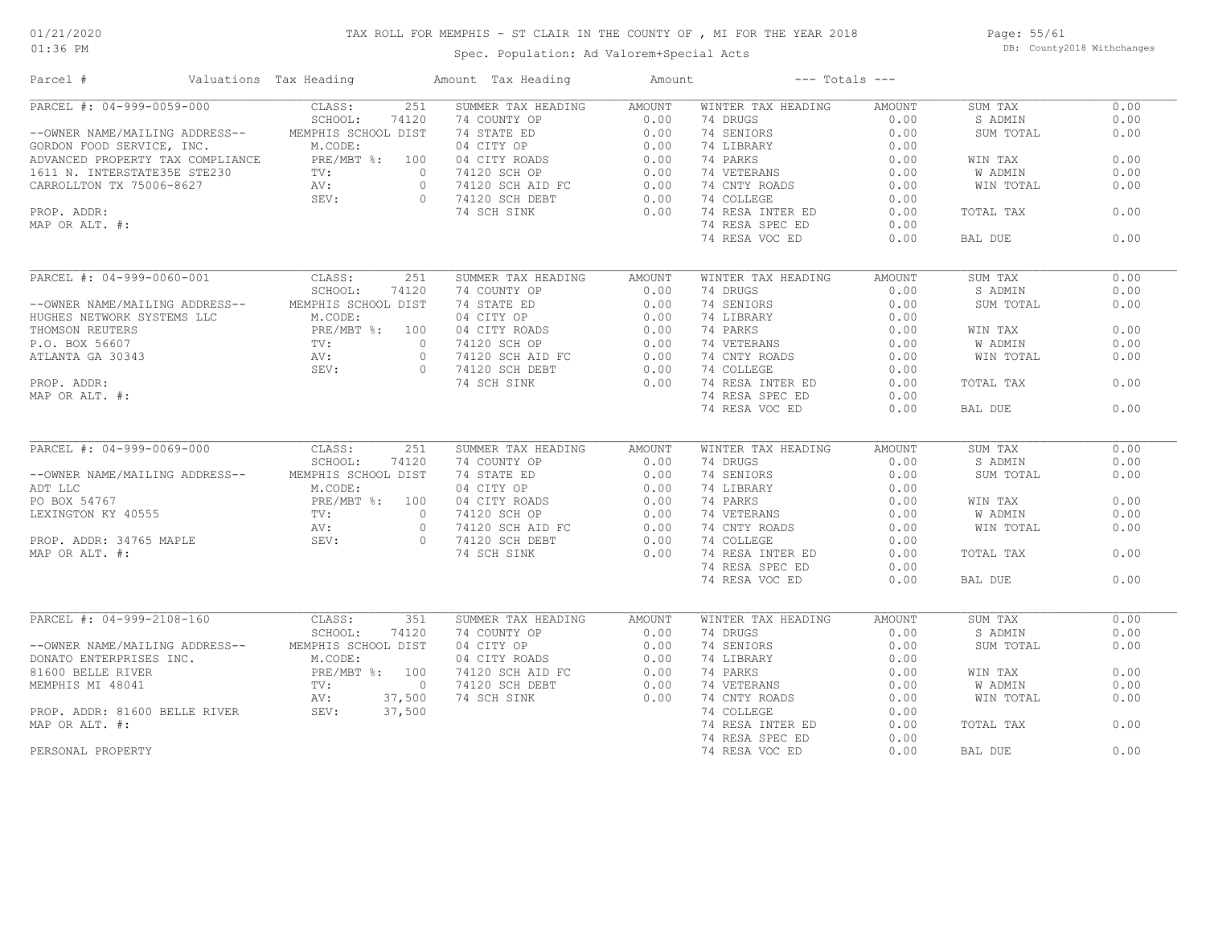### TAX ROLL FOR MEMPHIS - ST CLAIR IN THE COUNTY OF , MI FOR THE YEAR 2018

Spec. Population: Ad Valorem+Special Acts

Page: 55/61 DB: County2018 Withchanges

| Parcel #                                                                                                                                                                                                                                                                                                                                                      | Valuations Tax Heading              | Amount Tax Heading            | Amount |                    | $---$ Totals $---$ |           |      |
|---------------------------------------------------------------------------------------------------------------------------------------------------------------------------------------------------------------------------------------------------------------------------------------------------------------------------------------------------------------|-------------------------------------|-------------------------------|--------|--------------------|--------------------|-----------|------|
| PARCEL #: 04-999-0059-000                                                                                                                                                                                                                                                                                                                                     | 251<br>CLASS:                       | SUMMER TAX HEADING            | AMOUNT | WINTER TAX HEADING | AMOUNT             | SUM TAX   | 0.00 |
|                                                                                                                                                                                                                                                                                                                                                               | SCHOOL:<br>74120                    | 74 COUNTY OP                  | 0.00   | 74 DRUGS           | 0.00               | S ADMIN   | 0.00 |
| --OWNER NAME/MAILING ADDRESS--                                                                                                                                                                                                                                                                                                                                | MEMPHIS SCHOOL DIST                 | 74 STATE ED                   | 0.00   | 74 SENIORS         | 0.00               | SUM TOTAL | 0.00 |
| GORDON FOOD SERVICE, INC.                                                                                                                                                                                                                                                                                                                                     | M.CODE:                             | 04 CITY OP                    | 0.00   | 74 LIBRARY         | 0.00               |           |      |
| ADVANCED PROPERTY TAX COMPLIANCE                                                                                                                                                                                                                                                                                                                              | PRE/MBT %: 100                      | 04 CITY ROADS                 | 0.00   | 74 PARKS           | 0.00               | WIN TAX   | 0.00 |
| 1611 N. INTERSTATE35E STE230                                                                                                                                                                                                                                                                                                                                  | $30$ TV:<br>$AV:$<br>$\overline{0}$ | 74120 SCH OP                  | 0.00   | 74 VETERANS        | 0.00               | W ADMIN   | 0.00 |
| CARROLLTON TX 75006-8627                                                                                                                                                                                                                                                                                                                                      |                                     | $74120$ SCH AID FC<br>$\circ$ | 0.00   | 74 CNTY ROADS      | 0.00               | WIN TOTAL | 0.00 |
|                                                                                                                                                                                                                                                                                                                                                               | SEV:                                | $\circ$<br>74120 SCH DEBT     | 0.00   | 74 COLLEGE         | 0.00               |           |      |
| PROP. ADDR:                                                                                                                                                                                                                                                                                                                                                   |                                     | 74 SCH SINK                   | 0.00   | 74 RESA INTER ED   | 0.00               | TOTAL TAX | 0.00 |
| MAP OR ALT. #:                                                                                                                                                                                                                                                                                                                                                |                                     |                               |        | 74 RESA SPEC ED    | 0.00               |           |      |
|                                                                                                                                                                                                                                                                                                                                                               |                                     |                               |        | 74 RESA VOC ED     | 0.00               | BAL DUE   | 0.00 |
|                                                                                                                                                                                                                                                                                                                                                               |                                     |                               |        |                    |                    |           |      |
| PARCEL #: 04-999-0060-001                                                                                                                                                                                                                                                                                                                                     | CLASS:<br>251                       | SUMMER TAX HEADING            | AMOUNT | WINTER TAX HEADING | AMOUNT             | SUM TAX   | 0.00 |
|                                                                                                                                                                                                                                                                                                                                                               | SCHOOL:<br>74120                    | 74 COUNTY OP                  | 0.00   | 74 DRUGS           | 0.00               | S ADMIN   | 0.00 |
| --OWNER NAME/MAILING ADDRESS--                                                                                                                                                                                                                                                                                                                                | MEMPHIS SCHOOL DIST                 | 74 STATE ED                   | 0.00   | 74 SENIORS         | 0.00               | SUM TOTAL | 0.00 |
| HUGHES NETWORK SYSTEMS LLC                                                                                                                                                                                                                                                                                                                                    | M.CODE:                             | 04 CITY OP                    | 0.00   | 74 LIBRARY         | 0.00               |           |      |
| THOMSON REUTERS                                                                                                                                                                                                                                                                                                                                               | PRE/MBT %: 100                      | 04 CITY ROADS                 | 0.00   | 74 PARKS           | 0.00               | WIN TAX   | 0.00 |
|                                                                                                                                                                                                                                                                                                                                                               | $P$ KL $\mu$ .<br>TV:               | $\circ$                       |        |                    |                    |           | 0.00 |
| P.O. BOX 56607                                                                                                                                                                                                                                                                                                                                                |                                     | 74120 SCH OP                  | 0.00   | 74 VETERANS        | 0.00               | W ADMIN   |      |
| ATLANTA GA 30343                                                                                                                                                                                                                                                                                                                                              |                                     | 74120 SCH AID FC<br>$\circ$   | 0.00   | 74 CNTY ROADS      | 0.00               | WIN TOTAL | 0.00 |
|                                                                                                                                                                                                                                                                                                                                                               |                                     | 74120 SCH DEBT<br>$\Omega$    | 0.00   | 74 COLLEGE         | 0.00               |           |      |
| PROP. ADDR:                                                                                                                                                                                                                                                                                                                                                   |                                     | 74 SCH SINK                   | 0.00   | 74 RESA INTER ED   | 0.00               | TOTAL TAX | 0.00 |
| MAP OR ALT. #:                                                                                                                                                                                                                                                                                                                                                | $TV:$ AV : $SEV:$                   |                               |        | 74 RESA SPEC ED    | 0.00               |           |      |
|                                                                                                                                                                                                                                                                                                                                                               |                                     |                               |        | 74 RESA VOC ED     | 0.00               | BAL DUE   | 0.00 |
|                                                                                                                                                                                                                                                                                                                                                               |                                     |                               |        |                    |                    |           |      |
| PARCEL #: 04-999-0069-000                                                                                                                                                                                                                                                                                                                                     | CLASS:<br>251                       | SUMMER TAX HEADING            | AMOUNT | WINTER TAX HEADING | AMOUNT             | SUM TAX   | 0.00 |
|                                                                                                                                                                                                                                                                                                                                                               | SCHOOL:<br>74120                    | 74 COUNTY OP                  | 0.00   | 74 DRUGS           | 0.00               | S ADMIN   | 0.00 |
| --OWNER NAME/MAILING ADDRESS--                                                                                                                                                                                                                                                                                                                                | MEMPHIS SCHOOL DIST                 | 74 STATE ED                   | 0.00   | 74 SENIORS         | 0.00               | SUM TOTAL | 0.00 |
|                                                                                                                                                                                                                                                                                                                                                               | M.CODE:                             | 04 CITY OP                    | 0.00   | 74 LIBRARY         | 0.00               |           |      |
|                                                                                                                                                                                                                                                                                                                                                               | PRE/MBT %: 100                      | 04 CITY ROADS                 | 0.00   | 74 PARKS           | 0.00               | WIN TAX   | 0.00 |
|                                                                                                                                                                                                                                                                                                                                                               | $\overline{0}$                      | 74120 SCH OP                  | 0.00   | 74 VETERANS        | 0.00               | W ADMIN   | 0.00 |
|                                                                                                                                                                                                                                                                                                                                                               |                                     | $\circ$<br>74120 SCH AID FC   | 0.00   | 74 CNTY ROADS      | 0.00               | WIN TOTAL | 0.00 |
|                                                                                                                                                                                                                                                                                                                                                               | SEV:                                | $\circ$<br>74120 SCH DEBT     | 0.00   | 74 COLLEGE         | 0.00               |           |      |
| $\begin{tabular}{lllllllll} \texttt{ADT} \texttt{LLC} & \texttt{M. COD} \\ \texttt{PO} \texttt{BOX} \texttt{54767} & \texttt{PRE/M} \\ \texttt{LEXINGTON} \texttt{KY} \texttt{40555} & \texttt{TV:} \\ \texttt{PROP.} \texttt{ADDR:} \texttt{34765} \texttt{MAPLE} & \texttt{SEV:} \\ \texttt{MAP} \texttt{OR} \texttt{ALT}. & \texttt{\#:} \\ \end{tabular}$ |                                     | 74 SCH SINK                   | 0.00   | 74 RESA INTER ED   | 0.00               | TOTAL TAX | 0.00 |
|                                                                                                                                                                                                                                                                                                                                                               |                                     |                               |        | 74 RESA SPEC ED    | 0.00               |           |      |
|                                                                                                                                                                                                                                                                                                                                                               |                                     |                               |        | 74 RESA VOC ED     | 0.00               | BAL DUE   | 0.00 |
|                                                                                                                                                                                                                                                                                                                                                               |                                     |                               |        |                    |                    |           |      |
| PARCEL #: 04-999-2108-160                                                                                                                                                                                                                                                                                                                                     | 351<br>CLASS:                       | SUMMER TAX HEADING            | AMOUNT | WINTER TAX HEADING | AMOUNT             | SUM TAX   | 0.00 |
|                                                                                                                                                                                                                                                                                                                                                               | SCHOOL:<br>74120                    | 74 COUNTY OP<br>$rac{1}{10}$  | 0.00   | 74 DRUGS           | 0.00               | S ADMIN   | 0.00 |
| --OWNER NAME/MAILING ADDRESS--                                                                                                                                                                                                                                                                                                                                | MEMPHIS SCHOOL DIST                 | 04 CITY OP                    | 0.00   | 74 SENIORS         | 0.00               | SUM TOTAL | 0.00 |
| DONATO ENTERPRISES INC.<br>81600 BELLE RIVER                                                                                                                                                                                                                                                                                                                  | M.CODE:                             | 04 CITY ROADS                 | 0.00   | 74 LIBRARY         | 0.00               |           |      |
|                                                                                                                                                                                                                                                                                                                                                               |                                     | 74120 SCH AID FC              | 0.00   | 74 PARKS           | 0.00               | WIN TAX   | 0.00 |
| MEMPHIS MI 48041                                                                                                                                                                                                                                                                                                                                              | PRE/MBT %: 100<br>TV: 0             | 74120 SCH DEBT                | 0.00   | 74 VETERANS        | 0.00               | W ADMIN   | 0.00 |
|                                                                                                                                                                                                                                                                                                                                                               | 37,500<br>AV:                       | 74 SCH SINK                   | 0.00   | 74 CNTY ROADS      | 0.00               | WIN TOTAL | 0.00 |
| PROP. ADDR: 81600 BELLE RIVER                                                                                                                                                                                                                                                                                                                                 | SEV:<br>37,500                      |                               |        | 74 COLLEGE         | 0.00               |           |      |
| MAP OR ALT. #:                                                                                                                                                                                                                                                                                                                                                |                                     |                               |        | 74 RESA INTER ED   | 0.00               | TOTAL TAX | 0.00 |
|                                                                                                                                                                                                                                                                                                                                                               |                                     |                               |        | 74 RESA SPEC ED    | 0.00               |           |      |
| PERSONAL PROPERTY                                                                                                                                                                                                                                                                                                                                             |                                     |                               |        | 74 RESA VOC ED     | 0.00               | BAL DUE   | 0.00 |
|                                                                                                                                                                                                                                                                                                                                                               |                                     |                               |        |                    |                    |           |      |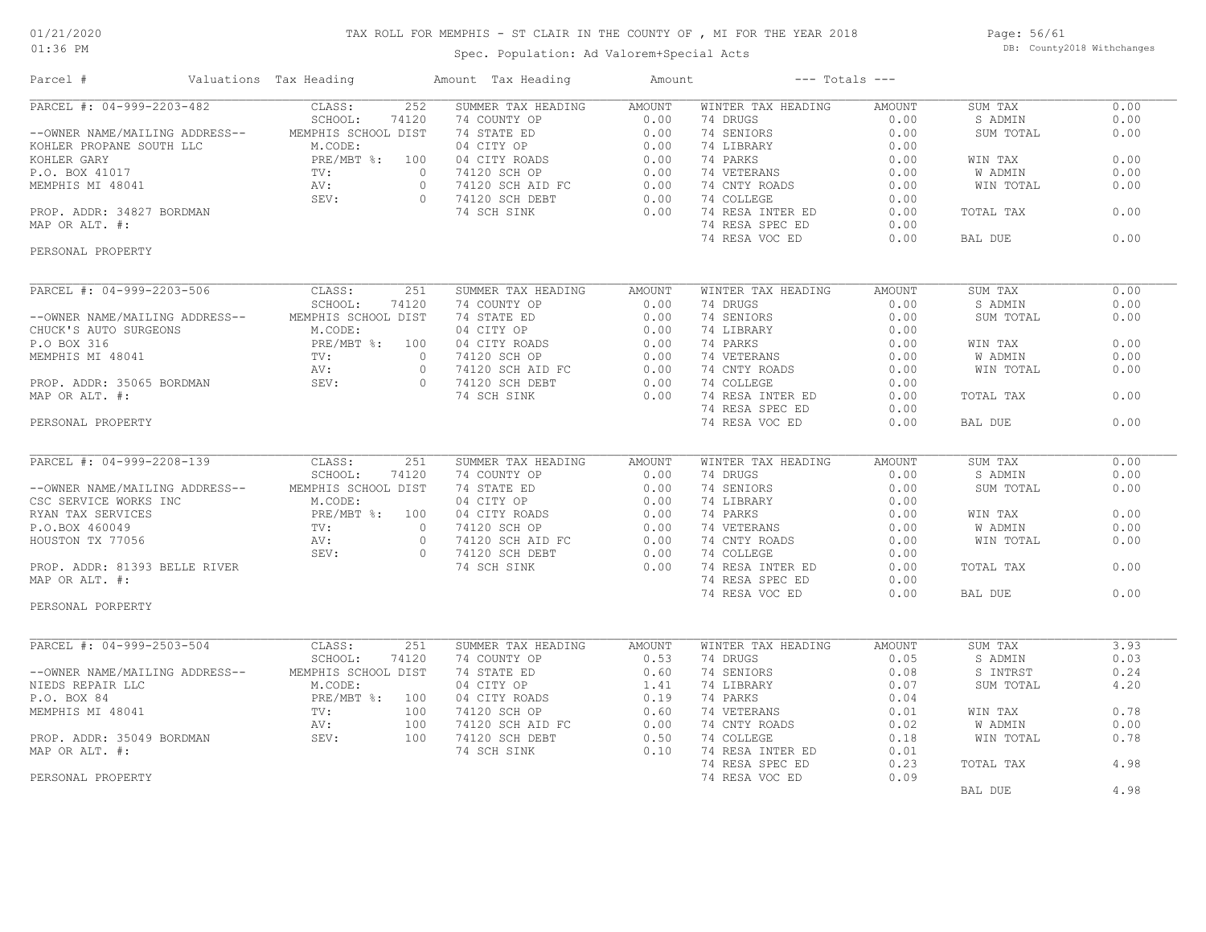#### 01:36 PM

### TAX ROLL FOR MEMPHIS - ST CLAIR IN THE COUNTY OF , MI FOR THE YEAR 2018

Spec. Population: Ad Valorem+Special Acts

Page: 56/61 DB: County2018 Withchanges

| Parcel #                                                                                                                                                                                                 | Valuations Tax Heading                          | Amount Tax Heading                                                                                                                      | Amount |                    | $---$ Totals $---$ |                |      |
|----------------------------------------------------------------------------------------------------------------------------------------------------------------------------------------------------------|-------------------------------------------------|-----------------------------------------------------------------------------------------------------------------------------------------|--------|--------------------|--------------------|----------------|------|
| PARCEL #: 04-999-2203-482                                                                                                                                                                                | 252<br>CLASS:                                   | SUMMER TAX HEADING                                                                                                                      | AMOUNT | WINTER TAX HEADING | AMOUNT             | SUM TAX        | 0.00 |
|                                                                                                                                                                                                          | SCHOOL:<br>74120                                | 74 COUNTY OP                                                                                                                            | 0.00   | 74 DRUGS           | 0.00               | S ADMIN        | 0.00 |
| --OWNER NAME/MAILING ADDRESS--                                                                                                                                                                           | MEMPHIS SCHOOL DIST                             | 74 COUNTI OF<br>74 STATE ED<br>04 CITY OP<br>74120 SCH OP<br>74120 SCH AID FC<br>74120 SCH DEBT                                         | 0.00   | 74 SENIORS         | 0.00               | SUM TOTAL      | 0.00 |
| VOHLER RROPANE SOUTH LLC M.CODE<br>KOHLER GARY PRE/MB<br>P.O. BOX 41017 TV:<br>MEMPHIS MI 48041 AV:<br>PROP. ADDR: 34827 BORDMAN SEV:<br>MAP OP ALT #:                                                   | M.CODE:                                         |                                                                                                                                         | 0.00   | 74 LIBRARY         | 0.00               |                |      |
|                                                                                                                                                                                                          | PRE/MBT %: 100                                  |                                                                                                                                         | 0.00   | 74 PARKS           | 0.00               | WIN TAX        | 0.00 |
|                                                                                                                                                                                                          |                                                 | $\circ$                                                                                                                                 | 0.00   | 74 VETERANS        | 0.00               | W ADMIN        | 0.00 |
|                                                                                                                                                                                                          |                                                 | $0 \qquad \qquad$                                                                                                                       | 0.00   | 74 CNTY ROADS      | 0.00               | WIN TOTAL      | 0.00 |
|                                                                                                                                                                                                          |                                                 | 0 74120 SCH DEBT                                                                                                                        | 0.00   | 74 COLLEGE         | 0.00               |                |      |
|                                                                                                                                                                                                          |                                                 | 74 SCH SINK                                                                                                                             | 0.00   | 74 RESA INTER ED   | 0.00               | TOTAL TAX      | 0.00 |
|                                                                                                                                                                                                          |                                                 |                                                                                                                                         |        |                    |                    |                |      |
| MAP OR ALT. #:                                                                                                                                                                                           |                                                 |                                                                                                                                         |        | 74 RESA SPEC ED    | 0.00               |                |      |
| PERSONAL PROPERTY                                                                                                                                                                                        |                                                 |                                                                                                                                         |        | 74 RESA VOC ED     | 0.00               | BAL DUE        | 0.00 |
|                                                                                                                                                                                                          |                                                 |                                                                                                                                         |        |                    |                    |                |      |
| PARCEL #: 04-999-2203-506                                                                                                                                                                                | 251<br>CLASS:                                   | SUMMER TAX HEADING                                                                                                                      | AMOUNT | WINTER TAX HEADING | AMOUNT             | SUM TAX        | 0.00 |
|                                                                                                                                                                                                          | SCHOOL:<br>74120                                |                                                                                                                                         | 0.00   | 74 DRUGS           | 0.00               | S ADMIN        | 0.00 |
|                                                                                                                                                                                                          | MEMPHIS SCHOOL DIST                             |                                                                                                                                         | 0.00   | 74 SENIORS         | 0.00               | SUM TOTAL      | 0.00 |
|                                                                                                                                                                                                          |                                                 |                                                                                                                                         | 0.00   | 74 LIBRARY         | 0.00               |                |      |
|                                                                                                                                                                                                          | PRE/MBT %: 100                                  |                                                                                                                                         | 0.00   | 74 PARKS           | 0.00               | WIN TAX        | 0.00 |
|                                                                                                                                                                                                          |                                                 | $\circ$                                                                                                                                 | 0.00   | 74 VETERANS        | 0.00               | <b>W ADMIN</b> | 0.00 |
|                                                                                                                                                                                                          |                                                 | MER 111<br>COUNTY OP<br>1 STATE ED<br>4 CITY OP<br>0 4 CITY ROADS<br>74120 SCH OP<br>74120 SCH DEBT<br>74120 SCH DEBT<br>$\overline{0}$ | 0.00   | 74 CNTY ROADS      | 0.00               | WIN TOTAL      | 0.00 |
|                                                                                                                                                                                                          |                                                 | $\bigcirc$                                                                                                                              | 0.00   | 74 COLLEGE         | 0.00               |                |      |
|                                                                                                                                                                                                          |                                                 |                                                                                                                                         | 0.00   | 74 RESA INTER ED   | 0.00               | TOTAL TAX      | 0.00 |
|                                                                                                                                                                                                          |                                                 |                                                                                                                                         |        | 74 RESA SPEC ED    | 0.00               |                |      |
|                                                                                                                                                                                                          |                                                 |                                                                                                                                         |        | 74 RESA VOC ED     | 0.00               | BAL DUE        | 0.00 |
|                                                                                                                                                                                                          |                                                 |                                                                                                                                         |        |                    |                    |                |      |
| MEMPHIS MEMPHIS<br>MEMPHIS M.COL<br>PRE/MEMPIS M.COL<br>PROP. ADDR: 35065 BORDMAN<br>PROP. ADDR: 35065 BORDMAN<br>PROP. ALT. #:<br>350NAL PROPERTY                                                       |                                                 |                                                                                                                                         |        |                    |                    |                |      |
| PARCEL #: 04-999-2208-139                                                                                                                                                                                | CLASS:<br>251                                   | SUMMER TAX HEADING                                                                                                                      | AMOUNT | WINTER TAX HEADING | <b>AMOUNT</b>      | SUM TAX        | 0.00 |
|                                                                                                                                                                                                          | SCHOOL:<br>74120                                | 74 COUNTY OP                                                                                                                            | 0.00   | 74 DRUGS           | 0.00               | S ADMIN        | 0.00 |
| --OWNER NAME/MAILING ADDRESS--                                                                                                                                                                           | MEMPHIS SCHOOL DIST                             |                                                                                                                                         |        | 74 SENIORS         | 0.00               | SUM TOTAL      | 0.00 |
|                                                                                                                                                                                                          |                                                 |                                                                                                                                         |        | 74 LIBRARY         | 0.00               |                |      |
|                                                                                                                                                                                                          |                                                 |                                                                                                                                         |        | 74 PARKS           | 0.00               | WIN TAX        | 0.00 |
|                                                                                                                                                                                                          |                                                 |                                                                                                                                         |        |                    |                    |                |      |
|                                                                                                                                                                                                          |                                                 |                                                                                                                                         |        | 74 VETERANS        | 0.00               | <b>W ADMIN</b> | 0.00 |
| CREATIVE WORKS INC.<br>CREATIVE WORKS INC.<br>RYAN TAX SERVICES<br>P.O.BOX 460049<br>HOUSTON TX 77056<br>PROP. ADDR: 81393 BELLE RIVER<br>PROP. ADDR: 81393 BELLE RIVER<br>PROP. ADDR: 81393 BELLE RIVER |                                                 |                                                                                                                                         |        | 74 CNTY ROADS      | 0.00               | WIN TOTAL      | 0.00 |
|                                                                                                                                                                                                          |                                                 | 0 74120 SCH DEBT                                                                                                                        |        | 74 COLLEGE         | 0.00               |                |      |
|                                                                                                                                                                                                          |                                                 | 74 SCH SINK                                                                                                                             | 0.00   | 74 RESA INTER ED   | 0.00               | TOTAL TAX      | 0.00 |
| MAP OR ALT. #:                                                                                                                                                                                           |                                                 |                                                                                                                                         |        | 74 RESA SPEC ED    | 0.00               |                |      |
|                                                                                                                                                                                                          |                                                 |                                                                                                                                         |        | 74 RESA VOC ED     | 0.00               | BAL DUE        | 0.00 |
| PERSONAL PORPERTY                                                                                                                                                                                        |                                                 |                                                                                                                                         |        |                    |                    |                |      |
| PARCEL #: 04-999-2503-504 CLASS:                                                                                                                                                                         | 251                                             | SUMMER TAX HEADING                                                                                                                      |        | WINTER TAX HEADING | <b>AMOUNT</b>      | SUM TAX        | 3.93 |
|                                                                                                                                                                                                          |                                                 |                                                                                                                                         | AMOUNT |                    |                    |                |      |
|                                                                                                                                                                                                          | SCHOOL:<br>74120                                | 74 COUNTY OP                                                                                                                            | 0.53   | 74 DRUGS           | 0.05               | S ADMIN        | 0.03 |
| --OWNER NAME/MAILING ADDRESS-- MEMPHIS SCHOOL DIST                                                                                                                                                       |                                                 | 74 STATE ED                                                                                                                             | 0.60   | 74 SENIORS         | 0.08               | S INTRST       | 0.24 |
| NIEDS REPAIR LLC                                                                                                                                                                                         |                                                 | 04 CITY OP                                                                                                                              | 1.41   | 74 LIBRARY         | 0.07               | SUM TOTAL      | 4.20 |
| P.O. BOX 84                                                                                                                                                                                              |                                                 | 04 CITY ROADS                                                                                                                           | 0.19   | 74 PARKS           | 0.04               |                |      |
| MEMPHIS MI 48041                                                                                                                                                                                         | M.CODE:<br>PRE/MBT %: 100<br>TV: 100<br>TV: 100 | 74120 SCH OP                                                                                                                            | 0.60   | 74 VETERANS        | 0.01               | WIN TAX        | 0.78 |
|                                                                                                                                                                                                          | 100<br>$AV:$<br>SEV:                            | 74120 SCH AID FC                                                                                                                        | 0.00   | 74 CNTY ROADS      | 0.02               | W ADMIN        | 0.00 |
| PROP. ADDR: 35049 BORDMAN                                                                                                                                                                                | 100                                             | 74120 SCH DEBT                                                                                                                          | 0.50   | 74 COLLEGE         | 0.18               | WIN TOTAL      | 0.78 |
| MAP OR ALT. #:                                                                                                                                                                                           |                                                 | 74 SCH SINK                                                                                                                             | 0.10   | 74 RESA INTER ED   | 0.01               |                |      |
|                                                                                                                                                                                                          |                                                 |                                                                                                                                         |        | 74 RESA SPEC ED    | 0.23               | TOTAL TAX      | 4.98 |
| PERSONAL PROPERTY                                                                                                                                                                                        |                                                 |                                                                                                                                         |        | 74 RESA VOC ED     | 0.09               |                |      |
|                                                                                                                                                                                                          |                                                 |                                                                                                                                         |        |                    |                    | BAL DUE        | 4.98 |
|                                                                                                                                                                                                          |                                                 |                                                                                                                                         |        |                    |                    |                |      |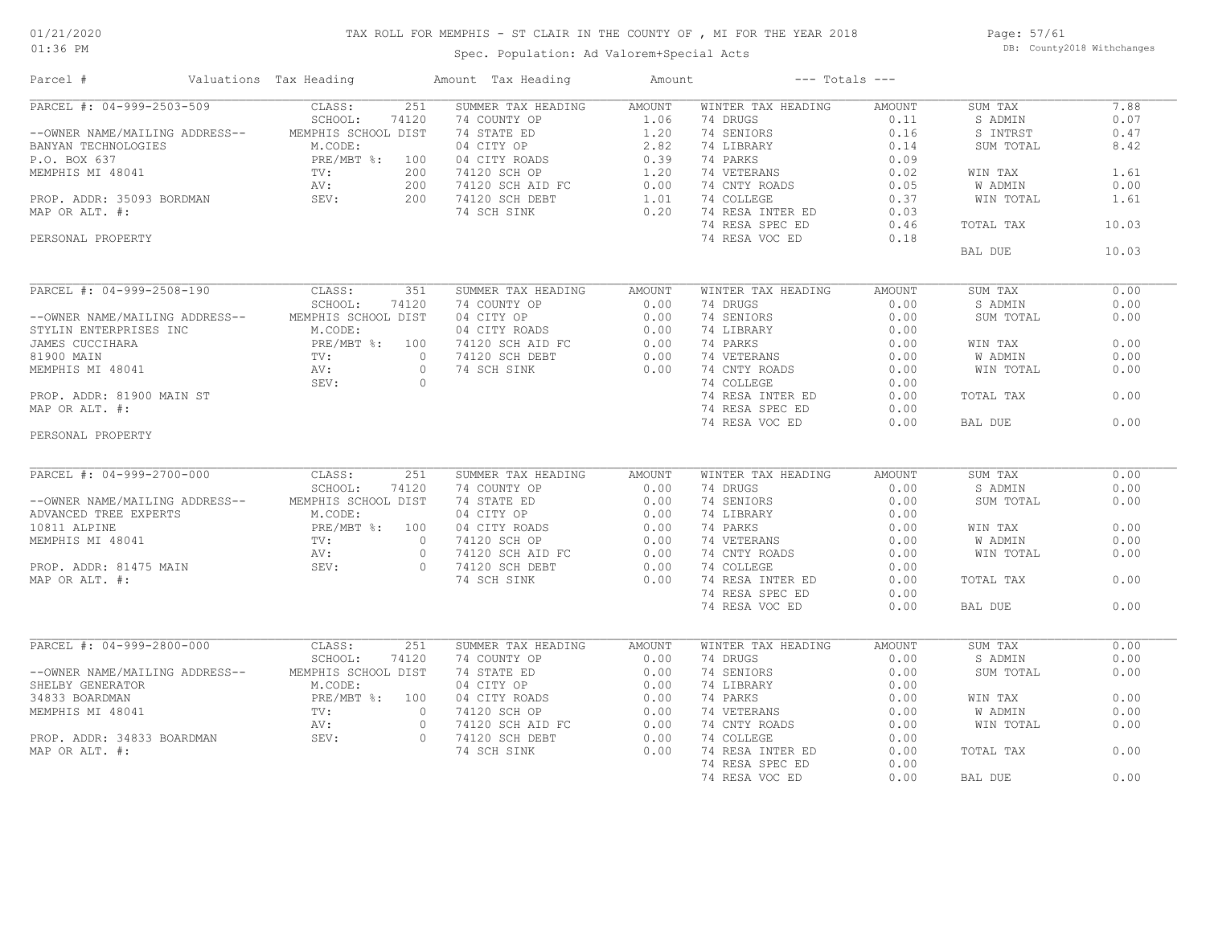### TAX ROLL FOR MEMPHIS - ST CLAIR IN THE COUNTY OF , MI FOR THE YEAR 2018

Spec. Population: Ad Valorem+Special Acts

Page: 57/61 DB: County2018 Withchanges

| Parcel #                                                                                                                                                                                                                                                                                                                                                                                                                                                                     | Valuations Tax Heading |                  | Amount Tax Heading                                                                                                                                                                                          | Amount        | $---$ Totals $---$ |               |                |       |
|------------------------------------------------------------------------------------------------------------------------------------------------------------------------------------------------------------------------------------------------------------------------------------------------------------------------------------------------------------------------------------------------------------------------------------------------------------------------------|------------------------|------------------|-------------------------------------------------------------------------------------------------------------------------------------------------------------------------------------------------------------|---------------|--------------------|---------------|----------------|-------|
| PARCEL #: 04-999-2503-509<br>9 = 1.06 (4 PANCEL (4 POUNTY OP = 1.06 (4 PANOS)<br>= -OWNER NAME/MAILING ADDRESS--<br>BANYAN TECHNOLOGIES<br>P.O. BOX 637 (PRE/MBT %: 100 04 CITY ROADS 0.39 74 PARKS 0.14<br>P.O. BOX 637 (PRE/MBT %: 100 04 CITY ROADS 0.39 74 PA                                                                                                                                                                                                            | CLASS:                 | 251              | SUMMER TAX HEADING AMOUNT                                                                                                                                                                                   |               | WINTER TAX HEADING | AMOUNT        | SUM TAX        | 7.88  |
|                                                                                                                                                                                                                                                                                                                                                                                                                                                                              |                        |                  |                                                                                                                                                                                                             |               |                    |               | S ADMIN        | 0.07  |
|                                                                                                                                                                                                                                                                                                                                                                                                                                                                              |                        |                  |                                                                                                                                                                                                             |               |                    |               | S INTRST       | 0.47  |
|                                                                                                                                                                                                                                                                                                                                                                                                                                                                              |                        |                  |                                                                                                                                                                                                             |               |                    |               | SUM TOTAL      | 8.42  |
|                                                                                                                                                                                                                                                                                                                                                                                                                                                                              |                        |                  |                                                                                                                                                                                                             |               |                    |               |                |       |
|                                                                                                                                                                                                                                                                                                                                                                                                                                                                              |                        |                  |                                                                                                                                                                                                             |               |                    |               | WIN TAX        | 1.61  |
|                                                                                                                                                                                                                                                                                                                                                                                                                                                                              |                        |                  |                                                                                                                                                                                                             |               |                    |               | W ADMIN        | 0.00  |
|                                                                                                                                                                                                                                                                                                                                                                                                                                                                              |                        |                  |                                                                                                                                                                                                             |               |                    |               | WIN TOTAL      | 1.61  |
|                                                                                                                                                                                                                                                                                                                                                                                                                                                                              |                        |                  |                                                                                                                                                                                                             |               |                    |               |                |       |
|                                                                                                                                                                                                                                                                                                                                                                                                                                                                              |                        |                  |                                                                                                                                                                                                             |               |                    |               | TOTAL TAX      | 10.03 |
| PERSONAL PROPERTY                                                                                                                                                                                                                                                                                                                                                                                                                                                            |                        |                  |                                                                                                                                                                                                             |               | 74 RESA VOC ED     | 0.18          |                |       |
|                                                                                                                                                                                                                                                                                                                                                                                                                                                                              |                        |                  |                                                                                                                                                                                                             |               |                    |               | BAL DUE        | 10.03 |
|                                                                                                                                                                                                                                                                                                                                                                                                                                                                              |                        |                  |                                                                                                                                                                                                             |               |                    |               |                |       |
| PARCEL #: 04-999-2508-190 CLASS:                                                                                                                                                                                                                                                                                                                                                                                                                                             |                        | $\overline{351}$ | SUMMER TAX HEADING AMOUNT                                                                                                                                                                                   |               | WINTER TAX HEADING | AMOUNT        | SUM TAX        | 0.00  |
|                                                                                                                                                                                                                                                                                                                                                                                                                                                                              |                        |                  |                                                                                                                                                                                                             |               |                    |               | S ADMIN        | 0.00  |
|                                                                                                                                                                                                                                                                                                                                                                                                                                                                              |                        |                  |                                                                                                                                                                                                             |               |                    |               | SUM TOTAL      | 0.00  |
|                                                                                                                                                                                                                                                                                                                                                                                                                                                                              |                        |                  |                                                                                                                                                                                                             |               |                    |               |                |       |
|                                                                                                                                                                                                                                                                                                                                                                                                                                                                              |                        |                  |                                                                                                                                                                                                             |               |                    |               | WIN TAX        | 0.00  |
| $\begin{tabular}{c cccccc} -\textsc{number} & \textsc{MEMPHIS} & \textsc{ADDRESS--} & \textsc{MEMPHIS} & \textsc{SCHOOL}\textsc{DIST} & 4 \textsc{COUNTY} & 0 & 0.00 & 74 \textsc{DRG} & 0.00 \\ \textsc{STYILIN} & \textsc{MENPHIS} & \textsc{SCHOOL}\textsc{DIST} & 04 \textsc{CITY} & 09 & 0.00 & 74 \textsc{DINGS} & 0.00 \\ \textsc{JMMS} & \textsc{DCCITX} & \textsc{M.CODE}: & 04 \textsc{CTTY} & \textsc{D.0$                                                        |                        |                  |                                                                                                                                                                                                             |               |                    |               | <b>W ADMIN</b> | 0.00  |
|                                                                                                                                                                                                                                                                                                                                                                                                                                                                              |                        |                  |                                                                                                                                                                                                             |               |                    |               | WIN TOTAL      | 0.00  |
|                                                                                                                                                                                                                                                                                                                                                                                                                                                                              |                        |                  |                                                                                                                                                                                                             |               |                    |               |                |       |
|                                                                                                                                                                                                                                                                                                                                                                                                                                                                              |                        |                  |                                                                                                                                                                                                             |               |                    |               | TOTAL TAX      | 0.00  |
| MAP OR ALT. #:                                                                                                                                                                                                                                                                                                                                                                                                                                                               |                        |                  |                                                                                                                                                                                                             |               | 74 RESA SPEC ED    | 0.00          |                |       |
|                                                                                                                                                                                                                                                                                                                                                                                                                                                                              |                        |                  |                                                                                                                                                                                                             |               | 74 RESA VOC ED     | 0.00          | BAL DUE        | 0.00  |
| PERSONAL PROPERTY                                                                                                                                                                                                                                                                                                                                                                                                                                                            |                        |                  |                                                                                                                                                                                                             |               |                    |               |                |       |
|                                                                                                                                                                                                                                                                                                                                                                                                                                                                              |                        |                  |                                                                                                                                                                                                             |               |                    |               |                |       |
|                                                                                                                                                                                                                                                                                                                                                                                                                                                                              |                        |                  |                                                                                                                                                                                                             |               |                    |               |                |       |
| PARCEL #: 04-999-2700-000                                                                                                                                                                                                                                                                                                                                                                                                                                                    | CLASS:                 | 251              | SUMMER TAX HEADING                                                                                                                                                                                          | <b>AMOUNT</b> | WINTER TAX HEADING | <b>AMOUNT</b> | SUM TAX        | 0.00  |
|                                                                                                                                                                                                                                                                                                                                                                                                                                                                              |                        |                  |                                                                                                                                                                                                             |               |                    |               | S ADMIN        | 0.00  |
|                                                                                                                                                                                                                                                                                                                                                                                                                                                                              |                        |                  |                                                                                                                                                                                                             |               |                    |               | SUM TOTAL      | 0.00  |
|                                                                                                                                                                                                                                                                                                                                                                                                                                                                              |                        |                  |                                                                                                                                                                                                             |               |                    |               |                |       |
|                                                                                                                                                                                                                                                                                                                                                                                                                                                                              |                        |                  |                                                                                                                                                                                                             |               |                    |               | WIN TAX        | 0.00  |
|                                                                                                                                                                                                                                                                                                                                                                                                                                                                              |                        |                  |                                                                                                                                                                                                             |               |                    |               | W ADMIN        | 0.00  |
|                                                                                                                                                                                                                                                                                                                                                                                                                                                                              |                        |                  |                                                                                                                                                                                                             |               |                    |               | WIN TOTAL      | 0.00  |
|                                                                                                                                                                                                                                                                                                                                                                                                                                                                              |                        |                  |                                                                                                                                                                                                             |               |                    |               |                |       |
|                                                                                                                                                                                                                                                                                                                                                                                                                                                                              |                        |                  |                                                                                                                                                                                                             |               |                    |               | TOTAL TAX      | 0.00  |
| $\begin{tabular}{c cccc} \multicolumn{4}{c}{\textbf{A}} & \multicolumn{4}{c}{\textbf{A}} & \multicolumn{4}{c}{\textbf{A}} & \multicolumn{4}{c}{\textbf{A}} & \multicolumn{4}{c}{\textbf{A}} & \multicolumn{4}{c}{\textbf{A}} & \multicolumn{4}{c}{\textbf{A}} & \multicolumn{4}{c}{\textbf{A}} & \multicolumn{4}{c}{\textbf{A}} & \multicolumn{4}{c}{\textbf{A}} & \multicolumn{4}{c}{\textbf{A}} & \multicolumn{4}{c}{\textbf{A}} & \multicolumn{4}{c}{\textbf{A}} & \mult$ |                        |                  |                                                                                                                                                                                                             |               | 74 RESA SPEC ED    | 0.00          |                |       |
|                                                                                                                                                                                                                                                                                                                                                                                                                                                                              |                        |                  |                                                                                                                                                                                                             |               | 74 RESA VOC ED     | 0.00          | BAL DUE        | 0.00  |
|                                                                                                                                                                                                                                                                                                                                                                                                                                                                              |                        |                  |                                                                                                                                                                                                             |               |                    |               |                |       |
| PARCEL #: 04-999-2800-000                                                                                                                                                                                                                                                                                                                                                                                                                                                    | CLASS:                 | 251              | SUMMER TAX HEADING                                                                                                                                                                                          | <b>AMOUNT</b> | WINTER TAX HEADING | <b>AMOUNT</b> | SUM TAX        | 0.00  |
|                                                                                                                                                                                                                                                                                                                                                                                                                                                                              | SCHOOL:                | 74120            | 74120 74 SOUNTER TAX READING<br>174120 74 STATE ED 0.00<br>100 04 CITY OP 0.00<br>100 04 CITY ROADS 0.00<br>100 74120 SCH OP 0.00<br>0 74120 SCH AID FC 0.00<br>0 74120 SCH AID FC 0.00<br>74 SCH SINK 0.00 |               | 74 DRUGS           | 0.00          | S ADMIN        | 0.00  |
| --OWNER NAME/MAILING ADDRESS--                                                                                                                                                                                                                                                                                                                                                                                                                                               | MEMPHIS SCHOOL DIST    |                  |                                                                                                                                                                                                             |               | 74 SENIORS         | 0.00          | SUM TOTAL      | 0.00  |
| SHELBY GENERATOR M.CODE:<br>34833 BOARDMAN PRE/MBT %: 100<br>MEMPHIS MI 48041 TV: 0<br>PROP. ADDR: 34833 BOARDMAN SEV: 0<br>MAP OR ALT. #:                                                                                                                                                                                                                                                                                                                                   |                        |                  |                                                                                                                                                                                                             |               | 74 LIBRARY         | 0.00          |                |       |
|                                                                                                                                                                                                                                                                                                                                                                                                                                                                              |                        |                  |                                                                                                                                                                                                             |               | 74 PARKS           | 0.00          | WIN TAX        | 0.00  |
|                                                                                                                                                                                                                                                                                                                                                                                                                                                                              |                        |                  |                                                                                                                                                                                                             |               | 74 VETERANS        |               | W ADMIN        | 0.00  |
|                                                                                                                                                                                                                                                                                                                                                                                                                                                                              |                        |                  |                                                                                                                                                                                                             |               |                    | 0.00          |                | 0.00  |
|                                                                                                                                                                                                                                                                                                                                                                                                                                                                              |                        |                  |                                                                                                                                                                                                             |               | 74 CNTY ROADS      | 0.00          | WIN TOTAL      |       |
|                                                                                                                                                                                                                                                                                                                                                                                                                                                                              |                        |                  |                                                                                                                                                                                                             |               | 74 COLLEGE         | 0.00          |                |       |
|                                                                                                                                                                                                                                                                                                                                                                                                                                                                              |                        |                  | 74 SCH SINK                                                                                                                                                                                                 | 0.00          | 74 RESA INTER ED   | 0.00          | TOTAL TAX      | 0.00  |
|                                                                                                                                                                                                                                                                                                                                                                                                                                                                              |                        |                  |                                                                                                                                                                                                             |               | 74 RESA SPEC ED    | 0.00          |                |       |
|                                                                                                                                                                                                                                                                                                                                                                                                                                                                              |                        |                  |                                                                                                                                                                                                             |               | 74 RESA VOC ED     | 0.00          | BAL DUE        | 0.00  |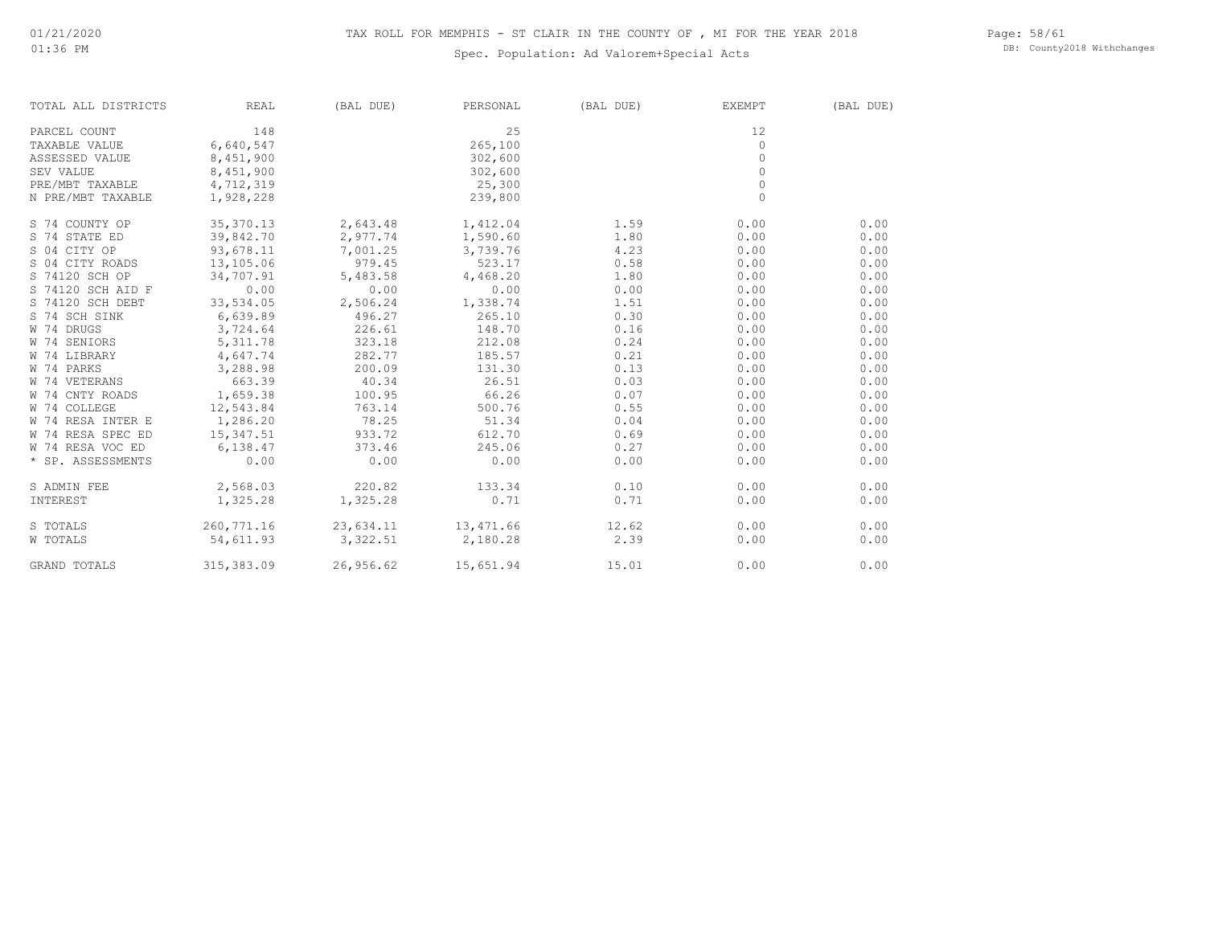### Spec. Population: Ad Valorem+Special Acts

Page: 58/61 DB: County2018 Withchanges

| TOTAL ALL DISTRICTS | REAL        | (BAL DUE) | PERSONAL  | (BAL DUE) | EXEMPT      | (BAL DUE) |
|---------------------|-------------|-----------|-----------|-----------|-------------|-----------|
| PARCEL COUNT        | 148         |           | 25        |           | 12          |           |
| TAXABLE VALUE       | 6,640,547   |           | 265,100   |           | 0           |           |
| ASSESSED VALUE      | 8,451,900   |           | 302,600   |           | 0           |           |
| SEV VALUE           | 8,451,900   |           | 302,600   |           | $\circ$     |           |
| PRE/MBT TAXABLE     | 4,712,319   |           | 25,300    |           | $\circ$     |           |
| N PRE/MBT TAXABLE   | 1,928,228   |           | 239,800   |           | $\mathbf 0$ |           |
| S 74 COUNTY OP      | 35, 370.13  | 2,643.48  | 1,412.04  | 1.59      | 0.00        | 0.00      |
| S 74 STATE ED       | 39,842.70   | 2,977.74  | 1,590.60  | 1.80      | 0.00        | 0.00      |
| S 04 CITY OP        | 93,678.11   | 7,001.25  | 3,739.76  | 4.23      | 0.00        | 0.00      |
| S 04 CITY ROADS     | 13,105.06   | 979.45    | 523.17    | 0.58      | 0.00        | 0.00      |
| S 74120 SCH OP      | 34,707.91   | 5,483.58  | 4,468.20  | 1.80      | 0.00        | 0.00      |
| S 74120 SCH AID F   | 0.00        | 0.00      | 0.00      | 0.00      | 0.00        | 0.00      |
| S 74120 SCH DEBT    | 33,534.05   | 2,506.24  | 1,338.74  | 1.51      | 0.00        | 0.00      |
| S 74 SCH SINK       | 6,639.89    | 496.27    | 265.10    | 0.30      | 0.00        | 0.00      |
| W 74 DRUGS          | 3,724.64    | 226.61    | 148.70    | 0.16      | 0.00        | 0.00      |
| W 74 SENIORS        | 5, 311.78   | 323.18    | 212.08    | 0.24      | 0.00        | 0.00      |
| W 74 LIBRARY        | 4,647.74    | 282.77    | 185.57    | 0.21      | 0.00        | 0.00      |
| W 74 PARKS          | 3,288.98    | 200.09    | 131.30    | 0.13      | 0.00        | 0.00      |
| W 74 VETERANS       | 663.39      | 40.34     | 26.51     | 0.03      | 0.00        | 0.00      |
| W 74 CNTY ROADS     | 1,659.38    | 100.95    | 66.26     | 0.07      | 0.00        | 0.00      |
| W 74 COLLEGE        | 12,543.84   | 763.14    | 500.76    | 0.55      | 0.00        | 0.00      |
| W 74 RESA INTER E   | 1,286.20    | 78.25     | 51.34     | 0.04      | 0.00        | 0.00      |
| W 74 RESA SPEC ED   | 15,347.51   | 933.72    | 612.70    | 0.69      | 0.00        | 0.00      |
| W 74 RESA VOC ED    | 6,138.47    | 373.46    | 245.06    | 0.27      | 0.00        | 0.00      |
| * SP. ASSESSMENTS   | 0.00        | 0.00      | 0.00      | 0.00      | 0.00        | 0.00      |
| S ADMIN FEE         | 2,568.03    | 220.82    | 133.34    | 0.10      | 0.00        | 0.00      |
| INTEREST            | 1,325.28    | 1,325.28  | 0.71      | 0.71      | 0.00        | 0.00      |
| S TOTALS            | 260,771.16  | 23,634.11 | 13,471.66 | 12.62     | 0.00        | 0.00      |
| W TOTALS            | 54,611.93   | 3,322.51  | 2,180.28  | 2.39      | 0.00        | 0.00      |
| <b>GRAND TOTALS</b> | 315, 383.09 | 26,956.62 | 15,651.94 | 15.01     | 0.00        | 0.00      |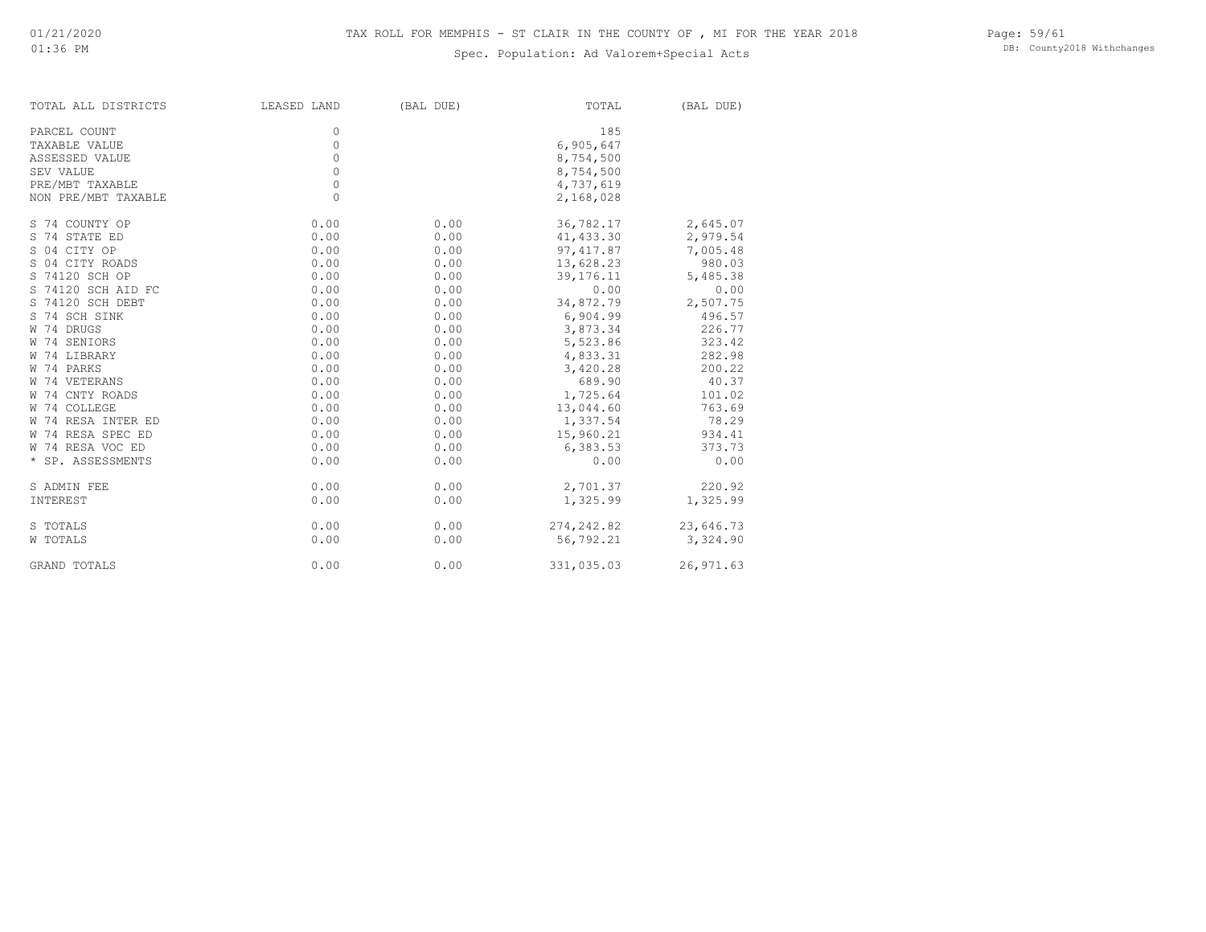### Spec. Population: Ad Valorem+Special Acts

Page: 59/61 DB: County2018 Withchanges

| TOTAL ALL DISTRICTS | LEASED LAND | (BAL DUE) | TOTAL       | (BAL DUE)  |
|---------------------|-------------|-----------|-------------|------------|
| PARCEL COUNT        | 0           |           | 185         |            |
| TAXABLE VALUE       | 0           |           | 6,905,647   |            |
| ASSESSED VALUE      | 0           |           | 8,754,500   |            |
| SEV VALUE           | $\circ$     |           | 8,754,500   |            |
| PRE/MBT TAXABLE     | $\circ$     |           | 4,737,619   |            |
| NON PRE/MBT TAXABLE | $\circ$     |           | 2,168,028   |            |
| S 74 COUNTY OP      | 0.00        | 0.00      | 36,782.17   | 2,645.07   |
| S 74 STATE ED       | 0.00        | 0.00      | 41, 433.30  | 2,979.54   |
| S 04 CITY OP        | 0.00        | 0.00      | 97, 417.87  | 7,005.48   |
| S 04 CITY ROADS     | 0.00        | 0.00      | 13,628.23   | 980.03     |
| S 74120 SCH OP      | 0.00        | 0.00      | 39, 176. 11 | 5,485.38   |
| S 74120 SCH AID FC  | 0.00        | 0.00      | 0.00        | 0.00       |
| S 74120 SCH DEBT    | 0.00        | 0.00      | 34,872.79   | 2,507.75   |
| S 74 SCH SINK       | 0.00        | 0.00      | 6,904.99    | 496.57     |
| W 74 DRUGS          | 0.00        | 0.00      | 3,873.34    | 226.77     |
| W 74 SENIORS        | 0.00        | 0.00      | 5,523.86    | 323.42     |
| W 74 LIBRARY        | 0.00        | 0.00      | 4,833.31    | 282.98     |
| W 74 PARKS          | 0.00        | 0.00      | 3,420.28    | 200.22     |
| W 74 VETERANS       | 0.00        | 0.00      | 689.90      | 40.37      |
| W 74 CNTY ROADS     | 0.00        | 0.00      | 1,725.64    | 101.02     |
| W 74 COLLEGE        | 0.00        | 0.00      | 13,044.60   | 763.69     |
| W 74 RESA INTER ED  | 0.00        | 0.00      | 1,337.54    | 78.29      |
| W 74 RESA SPEC ED   | 0.00        | 0.00      | 15,960.21   | 934.41     |
| W 74 RESA VOC ED    | 0.00        | 0.00      | 6,383.53    | 373.73     |
| * SP. ASSESSMENTS   | 0.00        | 0.00      | 0.00        | 0.00       |
| S ADMIN FEE         | 0.00        | 0.00      | 2,701.37    | 220.92     |
| INTEREST            | 0.00        | 0.00      | 1,325.99    | 1,325.99   |
| S TOTALS            | 0.00        | 0.00      | 274,242.82  | 23,646.73  |
| W TOTALS            | 0.00        | 0.00      | 56,792.21   | 3,324.90   |
| <b>GRAND TOTALS</b> | 0.00        | 0.00      | 331,035.03  | 26, 971.63 |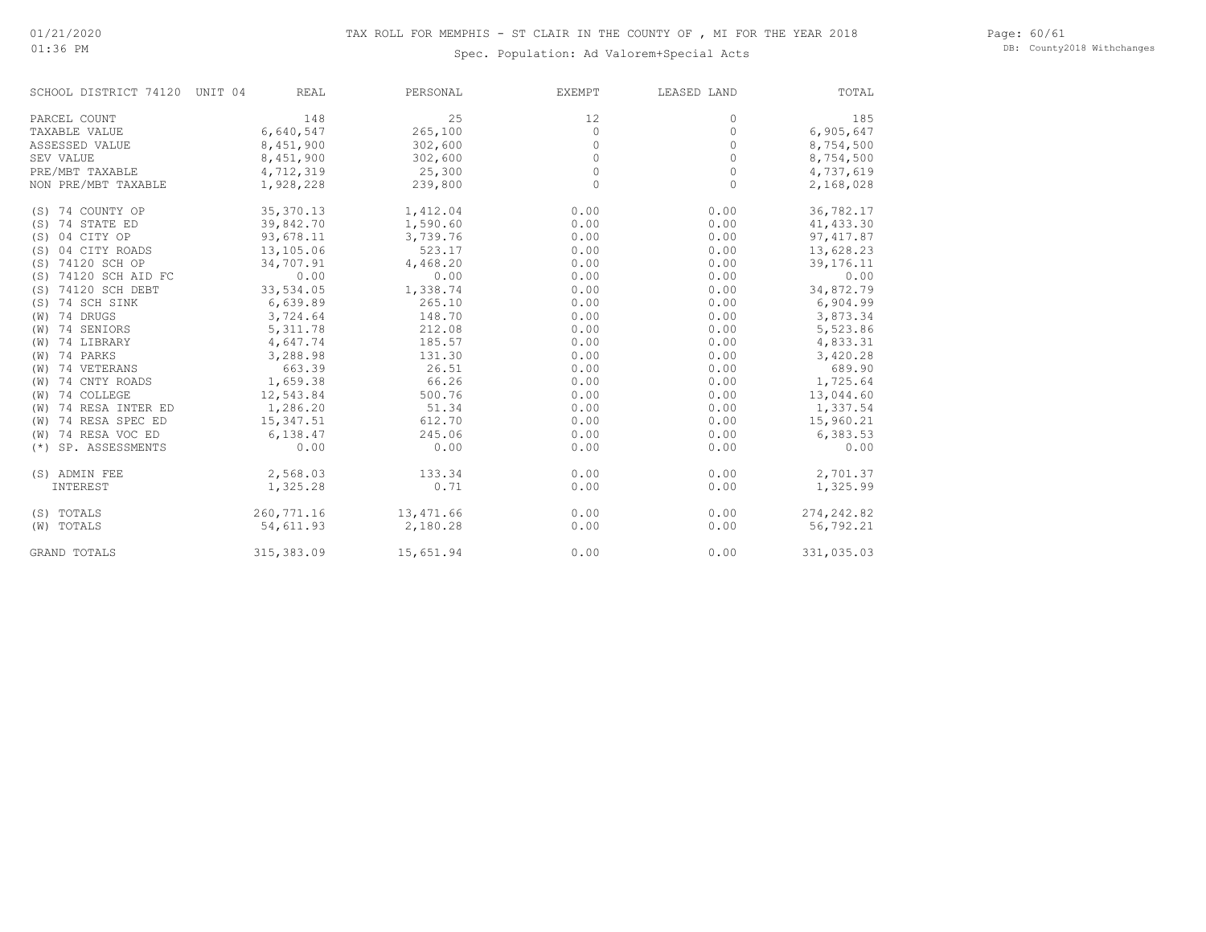#### Page: 60/61 DB: County2018 Withchanges

### Spec. Population: Ad Valorem+Special Acts

| SCHOOL DISTRICT 74120 UNIT 04 |             | <b>REAL</b> | PERSONAL  | <b>EXEMPT</b> | LEASED LAND | TOTAL       |
|-------------------------------|-------------|-------------|-----------|---------------|-------------|-------------|
| PARCEL COUNT                  |             | 148         | 25        | 12            | 0           | 185         |
| TAXABLE VALUE                 | 6,640,547   |             | 265,100   | $\circ$       | $\circ$     | 6,905,647   |
| ASSESSED VALUE                | 8,451,900   |             | 302,600   | $\circ$       | 0           | 8,754,500   |
| SEV VALUE                     | 8,451,900   |             | 302,600   | $\circ$       | $\circ$     | 8,754,500   |
| PRE/MBT TAXABLE               | 4,712,319   |             | 25,300    | $\circ$       | $\circ$     | 4,737,619   |
| NON PRE/MBT TAXABLE           | 1,928,228   |             | 239,800   | 0             | $\circ$     | 2,168,028   |
| (S) 74 COUNTY OP              | 35, 370.13  |             | 1,412.04  | 0.00          | 0.00        | 36,782.17   |
| (S) 74 STATE ED               | 39,842.70   |             | 1,590.60  | 0.00          | 0.00        | 41, 433.30  |
| (S) 04 CITY OP                | 93,678.11   |             | 3,739.76  | 0.00          | 0.00        | 97, 417.87  |
| (S) 04 CITY ROADS             | 13,105.06   |             | 523.17    | 0.00          | 0.00        | 13,628.23   |
| (S) 74120 SCH OP              | 34,707.91   |             | 4,468.20  | 0.00          | 0.00        | 39, 176. 11 |
| (S) 74120 SCH AID FC          |             | 0.00        | 0.00      | 0.00          | 0.00        | 0.00        |
| (S) 74120 SCH DEBT            | 33,534.05   |             | 1,338.74  | 0.00          | 0.00        | 34,872.79   |
| 74 SCH SINK<br>(S)            | 6,639.89    |             | 265.10    | 0.00          | 0.00        | 6,904.99    |
| (W) 74 DRUGS                  | 3,724.64    |             | 148.70    | 0.00          | 0.00        | 3,873.34    |
| (W) 74 SENIORS                | 5, 311.78   |             | 212.08    | 0.00          | 0.00        | 5,523.86    |
| 74 LIBRARY<br>(W)             | 4,647.74    |             | 185.57    | 0.00          | 0.00        | 4,833.31    |
| $(W)$ 74 PARKS                | 3,288.98    |             | 131.30    | 0.00          | 0.00        | 3,420.28    |
| (W) 74 VETERANS               |             | 663.39      | 26.51     | 0.00          | 0.00        | 689.90      |
| (W) 74 CNTY ROADS             | 1,659.38    |             | 66.26     | 0.00          | 0.00        | 1,725.64    |
| (W) 74 COLLEGE                | 12,543.84   |             | 500.76    | 0.00          | 0.00        | 13,044.60   |
| 74 RESA INTER ED<br>(W)       | 1,286.20    |             | 51.34     | 0.00          | 0.00        | 1,337.54    |
| 74 RESA SPEC ED<br>(W)        | 15,347.51   |             | 612.70    | 0.00          | 0.00        | 15,960.21   |
| (W) 74 RESA VOC ED            | 6,138.47    |             | 245.06    | 0.00          | 0.00        | 6,383.53    |
| (*) SP. ASSESSMENTS           |             | 0.00        | 0.00      | 0.00          | 0.00        | 0.00        |
| (S) ADMIN FEE                 | 2,568.03    |             | 133.34    | 0.00          | 0.00        | 2,701.37    |
| INTEREST                      | 1,325.28    |             | 0.71      | 0.00          | 0.00        | 1,325.99    |
| (S) TOTALS                    | 260, 771.16 |             | 13,471.66 | 0.00          | 0.00        | 274,242.82  |
| (W) TOTALS                    | 54,611.93   |             | 2,180.28  | 0.00          | 0.00        | 56,792.21   |
| <b>GRAND TOTALS</b>           | 315,383.09  |             | 15,651.94 | 0.00          | 0.00        | 331,035.03  |